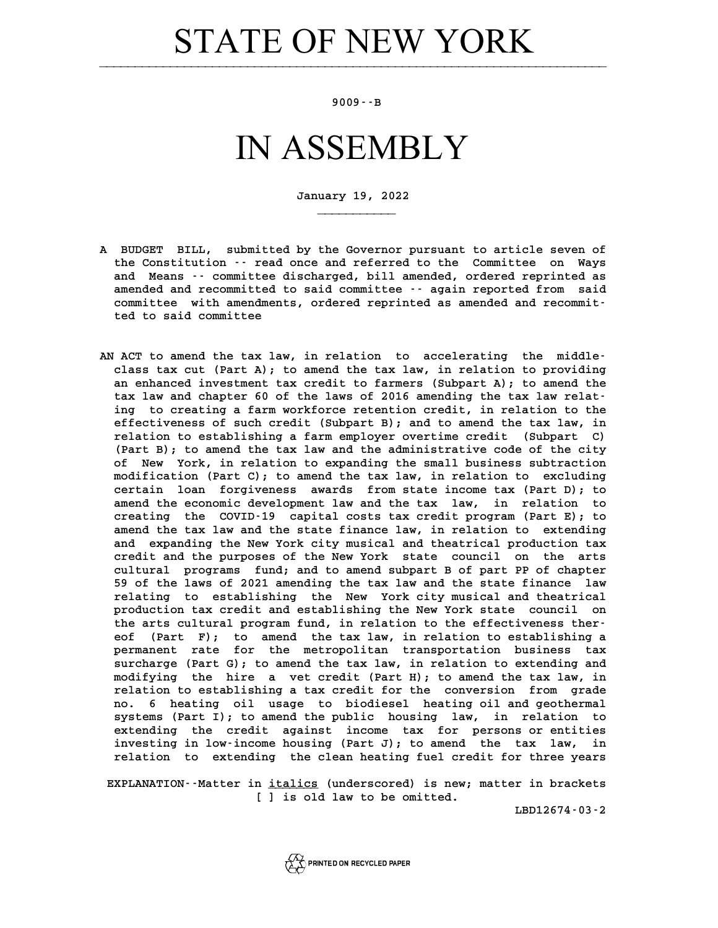# **STATE OF NEW YORK**

### **9009--B**

## IN ASSEMBLY

**January 19, 2022**

**\_\_\_\_\_\_\_\_\_\_\_**

- **A BUDGET BILL, submitted by the Governor pursuant to article seven of** BUDGET BILL, submitted by the Governor pursuant to article seven of<br>the Constitution -- read once and referred to the Committee on Ways BUDGET BILL, submitted by the Governor pursuant to article seven of<br>the Constitution -- read once and referred to the Committee on Ways<br>and Means -- committee discharged, bill amended, ordered reprinted as<br>areaded and reco the Constitution -- read once and referred to the Committee on Ways<br>and Means -- committee discharged, bill amended, ordered reprinted as<br>amended and recommitted to said committee -- again reported from said<br>committee with and Means  $\cdot$  committee discharged, bill amended, ordered reprinted as amended and recommitted to said committee  $\cdot$  again reported from said committee with amendments, ordered reprinted as amended and recommitted to sai amended and recommitted<br>committee with amendmen<br>ted to said committee
- **AN ACT to amend the tax law, in relation to accelerating the middle-**ACT to amend the tax law, in relation to accelerating the middle-<br>class tax cut (Part A); to amend the tax law, in relation to providing<br>an enhanced investment tax gredit to farmers (Subpart A); to amend the ACT to amend the tax law, in relation to accelerating the middle-<br>class tax cut (Part A); to amend the tax law, in relation to providing<br>an enhanced investment tax credit to farmers (Subpart A); to amend the<br>tax law and ch class tax cut (Part A); to amend the tax law, in relation to providing<br>an enhanced investment tax credit to farmers (Subpart A); to amend the<br>tax law and chapter 60 of the laws of 2016 amending the tax law relat-<br>ing to gr an enhanced investment tax credit to farmers (Subpart A); to amend the<br>tax law and chapter 60 of the laws of 2016 amending the tax law relat-<br>ing to creating a farm workforce retention credit, in relation to the<br>offectiven tax law and chapter 60 of the laws of 2016 amending the tax law relat-<br>ing to creating a farm workforce retention credit, in relation to the<br>effectiveness of such credit (Subpart B); and to amend the tax law, in<br>relation t ing to creating a farm workforce retention credit, in relation to the effectiveness of such credit (Subpart B); and to amend the tax law, in relation to establishing a farm employer overtime credit (Subpart C) effectiveness of such credit (Subpart B); and to amend the tax law, in relation to establishing a farm employer overtime credit (Subpart C) (Part B); to amend the tax law and the administrative code of the city<br>(Part B); t relation to establishing a farm employer overtime credit (Subpart C)<br>(Part B); to amend the tax law and the administrative code of the city<br>of New York, in relation to expanding the small business subtraction<br>modification (Part B); to amend the tax law and the administrative code of the city<br>of New York, in relation to expanding the small business subtraction<br>modification (Part C); to amend the tax law, in relation to excluding<br>contain loan of New York, in relation to expanding the small business subtraction modification (Part C); to amend the tax law, in relation to excluding<br>certain loan forgiveness awards from state income tax (Part D); to<br>amend the economic development law and the tax law, in relation to<br>creating the COVID certain loan forgiveness awards from state income tax (Part D); to amend the economic development law and the tax law, in relation to creating the COVID-19 capital costs tax credit program (Part E); to amend the tax law an amend the economic development law and the tax law, in relation to creating the COVID-19 capital costs tax credit program (Part E); to<br>amend the tax law and the state finance law, in relation to extending<br>and expanding the New York city musical and theatrical production tax<br>gradit and the amend the tax law and the state finance law, in relation to extending<br>and expanding the New York city musical and theatrical production tax<br>credit and the purposes of the New York state council on the arts<br>cultural program and expanding the New York city musical and theatrical production tax<br>credit and the purposes of the New York state council on the arts<br>cultural programs fund; and to amend subpart B of part PP of chapter<br>50 of the laws of credit and the purposes of the New York state council on the arts<br>cultural programs fund; and to amend subpart B of part PP of chapter<br>59 of the laws of 2021 amending the tax law and the state finance law<br>rolating to estab cultural programs fund; and to amend subpart B of part PP of chapter<br>59 of the laws of 2021 amending the tax law and the state finance law<br>relating to establishing the New York city musical and theatrical<br>production tax cr 59 of the laws of 2021 amending the tax law and the state finance law<br>relating to establishing the New York city musical and theatrical<br>production tax credit and establishing the New York state council on **the arts cultural program fund, in relation to the effectiveness ther**production tax credit and establishing the New York state council on<br>the arts cultural program fund, in relation to the effectiveness ther-<br>eof (Part F); to amend the tax law, in relation to establishing a<br>permanent rate f the arts cultural program fund, in relation to the effectiveness thereof (Part F); to amend the tax law, in relation to establishing a<br>permanent rate for the metropolitan transportation business tax<br>qursharse (Bart C): to eof (Part F); to amend the tax law, in relation to establishing a<br>permanent rate for the metropolitan transportation business tax<br>surcharge (Part G); to amend the tax law, in relation to extending and<br>modifying the bire a permanent rate for the metropolitan transportation business tax<br>surcharge (Part G); to amend the tax law, in relation to extending and<br>modifying the hire a vet credit (Part H); to amend the tax law, in<br>relation to establis surcharge (Part G); to amend the tax law, in relation to extending and<br>modifying the hire a vet credit (Part H); to amend the tax law, in<br>relation to establishing a tax credit for the conversion from grade<br>no. 6 heating oi modifying the hire a vet credit (Part H); to amend the tax law, in relation to establishing a tax credit for the conversion from grade<br>no. 6 heating oil usage to biodiesel heating oil and geothermal<br>quaters (Part I), to am relation to establishing a tax credit for the conversion from grade<br>no. 6 heating oil usage to biodiesel heating oil and geothermal<br>systems (Part I); to amend the public housing law, in relation to<br>outonding the gradit aga no. 6 heating oil usage to biodiesel heating oil and geothermal<br>systems (Part I); to amend the public housing law, in relation to<br>extending the credit against income tax for persons or entities<br>investing in low-income bous systems (Part I); to amend the public housing law, in relation to<br>extending the credit against income tax for persons or entities<br>investing in low-income housing (Part J); to amend the tax law, in<br>relation to extending the extending the credit against income tax for persons or entities<br>investing in low-income housing (Part J); to amend the tax law, in<br>relation to extending the clean heating fuel credit for three years

relation to extending the clean heating fuel credit for three years<br>**EXPLANATION**--Matter in <u>italics</u> (underscored) is new; matter in brackets **ficulary**<br>**p** <u>italics</u> (underscored) is new;<br>[ ] is old law to be omitted.

**LBD12674-03-2**

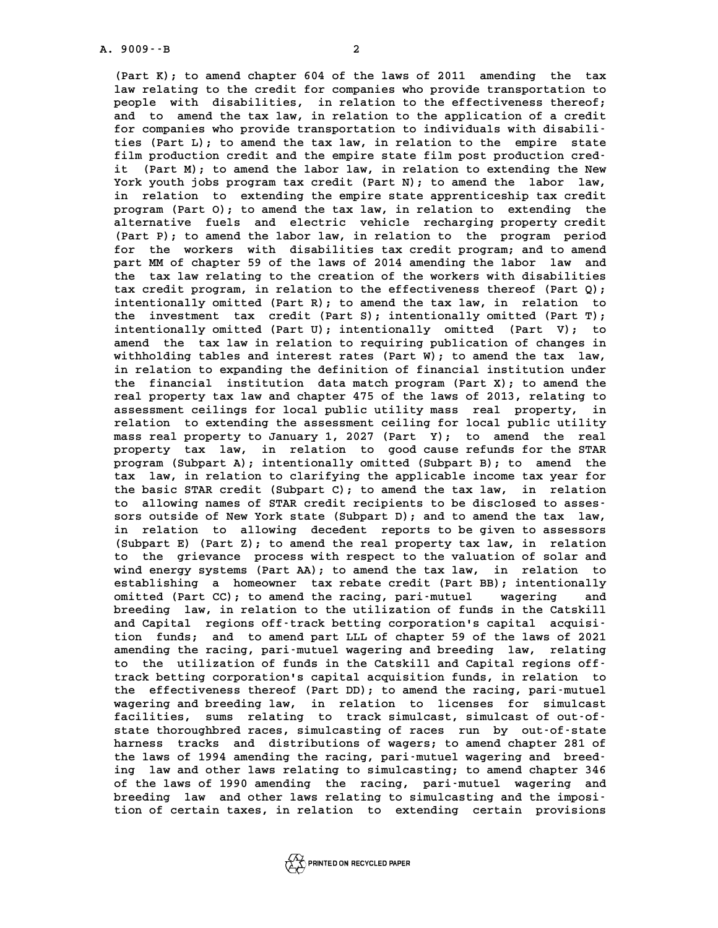**(Part K); to amend chapter 604 of the laws of 2011 amending the tax** (Part K); to amend chapter 604 of the laws of 2011 amending the tax<br>law relating to the credit for companies who provide transportation to<br>people with disabilities, in relation to the effectiveness thereof: **people with disabilities, in relation to the effectiveness thereof;** law relating to the credit for companies who provide transportation to<br>people with disabilities, in relation to the effectiveness thereof;<br>and to amend the tax law, in relation to the application of a credit<br>for companies people with disabilities, in relation to the effectiveness thereof;<br>and to amend the tax law, in relation to the application of a credit<br>for companies who provide transportation to individuals with disabili-<br>ties (Part I), and to amend the tax law, in relation to the application of a credit<br>for companies who provide transportation to individuals with disabili-<br>ties (Part L); to amend the tax law, in relation to the empire state<br>film producti for companies who provide transportation to individuals with disabili-<br>ties (Part L); to amend the tax law, in relation to the empire state<br>film production credit and the empire state film post production cred-<br>it (Part M) ties (Part L); to amend the tax law, in relation to the empire state<br>film production credit and the empire state film post production cred-<br>it (Part M); to amend the labor law, in relation to extending the New<br>York wouth i film production credit and the empire state film post production credit (Part M); to amend the labor law, in relation to extending the New York youth jobs program tax credit (Part N); to amend the labor law, it (Part M); to amend the labor law, in relation to extending the New<br>York youth jobs program tax credit (Part N); to amend the labor law,<br>in relation to extending the empire state apprenticeship tax credit<br>program (Part O York youth jobs program tax credit (Part N); to amend the labor law,<br>in relation to extending the empire state apprenticeship tax credit<br>program (Part O); to amend the tax law, in relation to extending the<br>alternative fuel in relation to extending the empire state apprenticeship tax credit<br>program (Part O); to amend the tax law, in relation to extending the<br>alternative fuels and electric vehicle recharging property credit<br>(Part B); to amend program (Part O); to amend the tax law, in relation to extending the alternative fuels and electric vehicle recharging property credit (Part P); to amend the labor law, in relation to the program period for the workers wit alternative fuels and electric vehicle recharging property credit<br>(Part P); to amend the labor law, in relation to the program period<br>for the workers with disabilities tax credit program; and to amend<br>part MM of shapter 59 (Part P); to amend the labor law, in relation to the program period<br>for the workers with disabilities tax credit program; and to amend<br>part MM of chapter 59 of the laws of 2014 amending the labor law and for the workers with disabilities tax credit program; and to amend part MM of chapter 59 of the laws of 2014 amending the labor law and the tax law relating to the creation of the workers with disabilities tax credit prog part MM of chapter 59 of the laws of 2014 amending the labor law and<br>the tax law relating to the creation of the workers with disabilities<br>tax credit program, in relation to the effectiveness thereof (Part Q);<br>intentionall the tax law relating to the creation of the workers with disabilities<br>tax credit program, in relation to the effectiveness thereof (Part Q);<br>intentionally omitted (Part R); to amend the tax law, in relation to<br>the investme **the investment tax credit (Part S); intentionally omitted (Part T);** intentionally omitted (Part R); to amend the tax law, in relation to<br>the investment tax credit (Part S); intentionally omitted (Part T);<br>intentionally omitted (Part U); intentionally omitted (Part V); to<br>amend the tax law the investment tax credit (Part S); intentionally omitted (Part T);<br>intentionally omitted (Part U); intentionally omitted (Part V); to<br>amend the tax law in relation to requiring publication of changes in<br>withbolding tables intentionally omitted (Part U); intentionally omitted (Part V); to amend the tax law in relation to requiring publication of changes in withholding tables and interest rates (Part W); to amend the tax law, in relation to e amend the tax law in relation to requiring publication of changes in<br>withholding tables and interest rates (Part W); to amend the tax law,<br>in relation to expanding the definition of financial institution under<br>the financia withholding tables and interest rates (Part W); to amend the tax law,<br>in relation to expanding the definition of financial institution under<br>the financial institution data match program (Part X); to amend the<br>real property in relation to expanding the definition of financial institution under<br>the financial institution data match program (Part X); to amend the<br>real property tax law and chapter 475 of the laws of 2013, relating to the financial institution data match program (Part X); to amend the<br>real property tax law and chapter 475 of the laws of 2013, relating to<br>assessment ceilings for local public utility mass real property, in<br>relation to ext real property tax law and chapter 475 of the laws of 2013, relating to<br>assessment ceilings for local public utility mass real property, in<br>relation to extending the assessment ceiling for local public utility<br>mass real pro assessment ceilings for local public utility mass real property, in relation to extending the assessment ceiling for local public utility mass real property to January 1, 2027 (Part Y); to amend the real **property tax law, in relation to good cause refunds for the STAR** mass real property to January 1, 2027 (Part Y); to amend the real<br>property tax law, in relation to good cause refunds for the STAR<br>program (Subpart A); intentionally omitted (Subpart B); to amend the<br>tax law in relation to property tax law, in relation to good cause refunds for the STAR<br>program (Subpart A); intentionally omitted (Subpart B); to amend the<br>tax law, in relation to clarifying the applicable income tax year for<br>the basis STAR gra **the basic STAR credit (Subpart A); intentionally omitted (Subpart B); to amend the tax law, in relation to clarifying the applicable income tax year for the basic STAR credit (Subpart C); to amend the tax law, in relation** tax law, in relation to clarifying the applicable income tax year for<br>the basic STAR credit (Subpart C); to amend the tax law, in relation<br>to allowing names of STAR credit recipients to be disclosed to asses-<br>sors outside the basic STAR credit (Subpart C); to amend the tax law, in relation to allowing names of STAR credit recipients to be disclosed to assessors outside of New York state (Subpart D); and to amend the tax law,<br>in relation to allowing decedent reports to be given to assessors<br>(Subpart E) (Dart sors outside of New York state (Subpart D); and to amend the tax law,<br>in relation to allowing decedent reports to be given to assessors<br>(Subpart E) (Part Z); to amend the real property tax law, in relation<br>to the gricular in relation to allowing decedent reports to be given to assessors (Subpart E) (Part Z); to amend the real property tax law, in relation to the grievance process with respect to the valuation of solar and wind energy sustan (Subpart E) (Part Z); to amend the real property tax law, in relation<br>to the grievance process with respect to the valuation of solar and<br>wind energy systems (Part AA); to amend the tax law, in relation to<br>establishing a h to the grievance process with respect to the valuation of solar and<br>wind energy systems (Part AA); to amend the tax law, in relation to<br>establishing a homeowner tax rebate credit (Part BB); intentionally<br>emitted (Part CC); wind energy systems (Part AA); to amend the tax law, in relation to<br>establishing a homeowner tax rebate credit (Part BB); intentionally<br>omitted (Part CC); to amend the racing, pari-mutuel wagering and<br>breeding law in relat establishing a homeowner tax rebate credit (Part BB); intentionally omitted (Part CC); to amend the racing, pari-mutuel wagering and breeding law, in relation to the utilization of funds in the Catskill **and Capital regions off-track betting corporation's capital acquisi**breeding law, in relation to the utilization of funds in the Catskill<br>and Capital regions off-track betting corporation's capital acquisi-<br>tion funds; and to amend part LLL of chapter 59 of the laws of 2021<br>amending the ra and Capital regions off-track betting corporation's capital acquisition funds; and to amend part LLL of chapter 59 of the laws of 2021<br>amending the racing, pari-mutuel wagering and breeding law, relating<br>to the utilization tion funds; and to amend part LLL of chapter 59 of the laws of 2021<br>amending the racing, pari-mutuel wagering and breeding law, relating<br>to the utilization of funds in the Catskill and Capital regions offamending the racing, pari-mutuel wagering and breeding law, relating<br>to the utilization of funds in the Catskill and Capital regions off-<br>track betting corporation's capital acquisition funds, in relation to to the utilization of funds in the Catskill and Capital regions off-<br>track betting corporation's capital acquisition funds, in relation to<br>the effectiveness thereof (Part DD); to amend the racing, pari-mutuel<br>tracering and track betting corporation's capital acquisition funds, in relation to<br>the effectiveness thereof (Part DD); to amend the racing, pari-mutuel<br>wagering and breeding law, in relation to licenses for simulcast<br>facilities, sume the effectiveness thereof (Part DD); to amend the racing, pari-mutuel<br>wagering and breeding law, in relation to licenses for simulcast<br>facilities, sums relating to track simulcast, simulcast of out-of-<br>state thereughbred r wagering and breeding law, in relation to licenses for simulcast<br>facilities, sums relating to track simulcast, simulcast of out-offacilities, sums relating to track simulcast, simulcast of out-of-<br>state thoroughbred races, simulcasting of races run by out-of-state<br>harness tracks and distributions of wagers; to amend chapter 281 of<br>the laws of 1994 am state thoroughbred races, simulcasting of races run by out-of-state<br>harness tracks and distributions of wagers; to amend chapter 281 of<br>the laws of 1994 amending the racing, pari-mutuel wagering and breed-<br>ing law and othe harness tracks and distributions of wagers; to amend chapter 281 of<br>the laws of 1994 amending the racing, pari-mutuel wagering and breed-<br>ing law and other laws relating to simulcasting; to amend chapter 346 the laws of 1994 amending the racing, pari-mutuel wagering and breed-<br>ing law and other laws relating to simulcasting; to amend chapter 346<br>of the laws of 1990 amending the racing, pari-mutuel wagering and<br>breeding law, an ing law and other laws relating to simulcasting; to amend chapter 346<br>of the laws of 1990 amending the racing, pari-mutuel wagering and<br>breeding law and other laws relating to simulcasting and the imposi-<br>tion of cortain t of the laws of 1990 amending the racing, pari-mutuel wagering and<br>breeding law and other laws relating to simulcasting and the imposi-<br>tion of certain taxes, in relation to extending certain provisions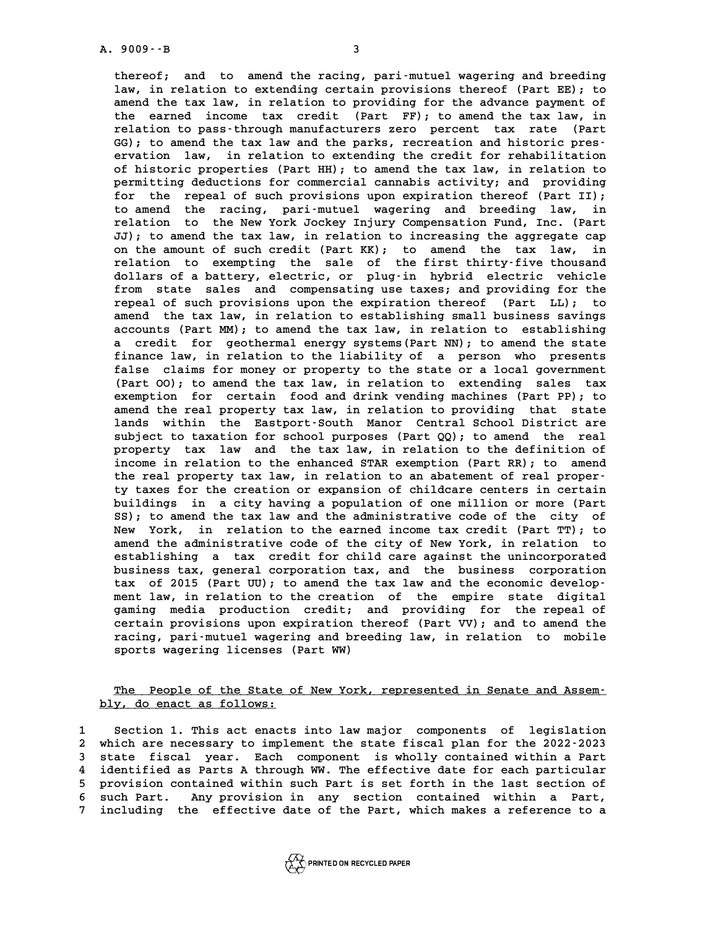**thereof; and to amend the racing, pari-mutuel wagering and breeding** thereof; and to amend the racing, pari-mutuel wagering and breeding<br>law, in relation to extending certain provisions thereof (Part EE); to<br>amend the tax law, in relation to providing for the advance payment of thereof; and to amend the racing, pari-mutuel wagering and breeding<br>law, in relation to extending certain provisions thereof (Part EE); to<br>amend the tax law, in relation to providing for the advance payment of<br>the carped i law, in relation to extending certain provisions thereof (Part EE); to amend the tax law, in relation to providing for the advance payment of the earned income tax credit (Part FF); to amend the tax law, in relation to pag amend the tax law, in relation to providing for the advance payment of<br>the earned income tax credit (Part FF); to amend the tax law, in<br>relation to pass-through manufacturers zero percent tax rate (Part<br>CC): to amend the t the earned income tax credit (Part FF); to amend the tax law, in relation to pass-through manufacturers zero percent tax rate (Part GG); to amend the tax law and the parks, recreation and historic pres-<br>
cryption law in re relation to pass-through manufacturers zero percent tax rate (Part GG); to amend the tax law and the parks, recreation and historic preservation law, in relation to extending the credit for rehabilitation of historic prope GG); to amend the tax law and the parks, recreation and historic pres-<br>ervation law, in relation to extending the credit for rehabilitation<br>of historic properties (Part HH); to amend the tax law, in relation to<br>pormitting ervation law, in relation to extending the credit for rehabilitation<br>of historic properties (Part HH); to amend the tax law, in relation to<br>permitting deductions for commercial cannabis activity; and providing<br>for the repe **for the repeal of such provisions upon expiration thereof (Part II);** permitting deductions for commercial cannabis activity; and providing<br>for the repeal of such provisions upon expiration thereof (Part II);<br>to amend the racing, pari-mutuel wagering and breeding law, in<br>relation to the New for the repeal of such provisions upon expiration thereof (Part II);<br>to amend the racing, pari-mutuel wagering and breeding law, in<br>relation to the New York Jockey Injury Compensation Fund, Inc. (Part<br>JJ): to amend the tax to amend the racing, pari-mutuel wagering and breeding law, in relation to the New York Jockey Injury Compensation Fund, Inc. (Part JJ); to amend the tax law, in relation to increasing the aggregate cap relation to the New York Jockey Injury Compensation Fund, Inc. (Part JJ); to amend the tax law, in relation to increasing the aggregate cap<br>on the amount of such credit (Part KK); to amend the tax law, in<br>relation to exemp *JJ)***; to amend the tax law, in relation to increasing the aggregate cap on the amount of such credit (Part KK); to amend the tax law, in relation to exempting the sale of the first thirty-five thousand<br>relation to exem** on the amount of such credit (Part KK); to amend the tax law, in<br>relation to exempting the sale of the first thirty-five thousand<br>dollars of a battery, electric, or plug-in hybrid electric vehicle<br>from state sales and comp relation to exempting the sale of the first thirty-five thousand<br>dollars of a battery, electric, or plug-in hybrid electric vehicle<br>from state sales and compensating use taxes; and providing for the<br>repeal of such provisio dollars of a battery, electric, or plug-in hybrid electric vehicle<br>from state sales and compensating use taxes; and providing for the<br>repeal of such provisions upon the expiration thereof (Part LL); to<br>aread the tax law in from state sales and compensating use taxes; and providing for the repeal of such provisions upon the expiration thereof (Part LL); to amend the tax law, in relation to establishing small business savings accounts (Part MM repeal of such provisions upon the expiration thereof (Part LL); to amend the tax law, in relation to establishing small business savings accounts (Part MM); to amend the tax law, in relation to establishing a credit for g amend the tax law, in relation to establishing small business savings accounts (Part MM); to amend the tax law, in relation to establishing<br>a credit for geothermal energy systems (Part NN); to amend the state<br>finance law, in relation to the liability of a person who presents<br>false claims for a credit for geothermal energy systems (Part NN); to amend the state<br>finance law, in relation to the liability of a person who presents<br>false claims for money or property to the state or a local government<br>(Part OO); to am finance law, in relation to the liability of a person who presents<br>false claims for money or property to the state or a local government<br>(Part OO); to amend the tax law, in relation to extending sales tax<br>overntion, for ex false claims for money or property to the state or a local government (Part 00); to amend the tax law, in relation to extending sales tax exemption for certain food and drink vending machines (Part PP); to (Part 00); to amend the tax law, in relation to extending sales tax<br>exemption for certain food and drink vending machines (Part PP); to<br>amend the real property tax law, in relation to providing that state<br>lands within the exemption for certain food and drink vending machines (Part PP); to<br>amend the real property tax law, in relation to providing that state<br>lands within the Eastport-South Manor Central School District are<br>subject to terming amend the real property tax law, in relation to providing that state<br>lands within the Eastport-South Manor Central School District are<br>subject to taxation for school purposes (Part QQ); to amend the real<br>proporty tax law a lands within the Eastport-South Manor Central School District are<br>subject to taxation for school purposes (Part QQ); to amend the real<br>property tax law and the tax law, in relation to the definition of **income in relation to the enhanced STAR exemption (Part RR); to amend the real property tax law, in relation to an abatement of real proper**income in relation to the enhanced STAR exemption (Part RR); to amend<br>the real property tax law, in relation to an abatement of real proper-<br>ty taxes for the creation or expansion of childcare centers in certain<br>huildings the real property tax law, in relation to an abatement of real proper-<br>ty taxes for the creation or expansion of childcare centers in certain<br>buildings in a city having a population of one million or more (Part<br>SS), to arr ty taxes for the creation or expansion of childcare centers in certain<br>buildings in a city having a population of one million or more (Part<br>SS); to amend the tax law and the administrative code of the city of<br>November in r **buildings** in a city having a population of one million or more (Part SS); to amend the tax law and the administrative code of the city of New York, in relation to the earned income tax credit (Part TT); to<br>New York, in r SS); to amend the tax law and the administrative code of the city of<br>New York, in relation to the earned income tax credit (Part TT); to<br>amend the administrative code of the city of New York, in relation to<br>catablishing a New York, in relation to the earned income tax credit (Part TT); to<br>amend the administrative code of the city of New York, in relation to<br>establishing a tax credit for child care against the unincorporated<br>hugines tay sepa amend the administrative code of the city of New York, in relation to establishing a tax credit for child care against the unincorporated business tax, general corporation tax, and the business corporation tax of 2015 (Par establishing a tax credit for child care against the unincorporated<br>business tax, general corporation tax, and the business corporation<br>tax of 2015 (Part UU); to amend the tax law and the economic develop-<br>mont lay in rela business tax, general corporation tax, and the business corporation<br>tax of 2015 (Part UU); to amend the tax law and the economic develop-<br>ment law, in relation to the creation of the empire state digital<br>caming media produ **gaming media production credit; and providing for the repeal of** ment law, in relation to the creation of the empire state digital<br>gaming media production credit; and providing for the repeal of<br>certain provisions upon expiration thereof (Part VV); and to amend the<br>racing pari-mutuel wa gaming media production credit; and providing for the repeal of<br>certain provisions upon expiration thereof (Part VV); and to amend the<br>racing, pari-mutuel wagering and breeding law, in relation to mobile<br>sports upsoring li certain provisions upon expiration th<br>racing, pari-mutuel wagering and bree<br>sports wagering licenses (Part WW)

### **The People of the State of New York, represented in Senate and Assem-**<br>The People of the State of New York, represented in Senate and Assem-<u>The People of the State o</u><br>bly, do enact as follows:

**1 Section 1. This act enacts into law major components of legislation 2**<br> **2** which are necessary to implement the state fiscal plan for the 2022-2023<br> **2** state fiscal wear Each component is wholly contained within a Bart Section 1. This act enacts into law major components of legislation<br>2 which are necessary to implement the state fiscal plan for the 2022-2023<br>3 state fiscal year. Each component is wholly contained within a Part<br>1 identif which are necessary to implement the state fiscal plan for the 2022-2023<br>3 state fiscal year. Each component is wholly contained within a Part<br>4 identified as Parts A through WW. The effective date for each particular<br>5 pr 5 state fiscal year. Each component is wholly contained within a Part<br>4 identified as Parts A through WW. The effective date for each particular<br>5 provision contained within such Part is set forth in the last section of<br>5 4 identified as Parts A through WW. The effective date for each particular<br>5 provision contained within such Part is set forth in the last section of<br>6 such Part. Any provision in any section contained within a Part,<br>inclu 5 provision contained within such Part is set forth in the last section of<br>6 such Part. Any provision in any section contained within a Part,<br>7 including the effective date of the Part, which makes a reference to a

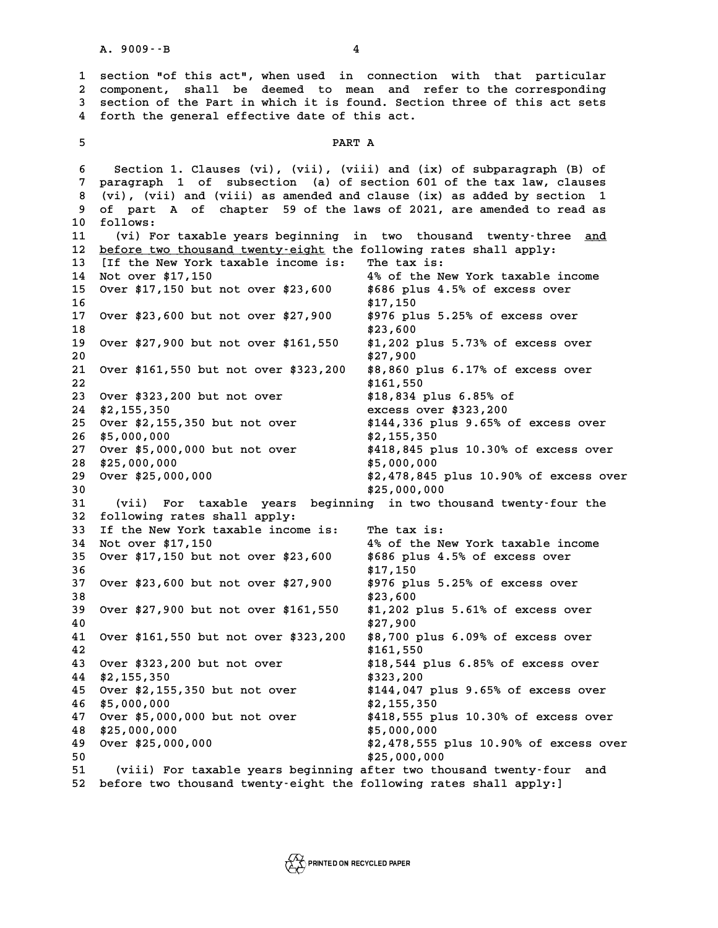**1 section "of this act", when used in connection with that particular 2** section "of this act", when used in connection with that particular<br>2 component, shall be deemed to mean and refer to the corresponding<br>3 section of the Part in which it is found Section three of this act sets **3** section "of this act", when used in connection with that particular<br>2 component, shall be deemed to mean and refer to the corresponding<br>3 section of the Part in which it is found. Section three of this act sets<br>4 forth 2 component, shall be deemed to mean and re<br>3 section of the Part in which it is found. Sectio:<br>4 forth the general effective date of this act. forth the general effective date of this act.<br>5 **PART A** 

**6 Section 1. Clauses (vi), (vii), (viii) and (ix) of subparagraph (B) of 7 paragraph 1 of subsection (a) of section 601 of the tax law, clauses 8 (a)** Section 1. Clauses (vi), (vii), (viii) and (ix) of subparagraph (B) of paragraph 1 of subsection (a) of section 601 of the tax law, clauses (vi), (vii) and (viii) as amended and clause (ix) as added by section 1 **9 paragraph 1 of subsection (a) of section 601 of the tax law, clauses** (vi), (vii) and (viii) as amended and clause (ix) as added by section 1 and part A of chapter 59 of the laws of 2021, are amended to read as 8 (vi), (vii)<br>9 of part A<br>10 follows:<br><sup>11</sup> (vi) For 9 of part A of chapter 59 of the laws of 2021, are amended to read as<br>10 follows:<br>11 (vi) For taxable years beginning in two thousand twenty-three <u>and</u> 10 follows:<br>11 (vi) For taxable years beginning in two thousand twenty-three<br>12 <u>before two thousand twenty-eight</u> the following rates shall apply:<br>13 LIf the Nov York taxable income is: The tax is: 11 (vi) For taxable years beginning in two thousan<br>12 <u>before two thousand twenty-eight</u> the following rates<br>13 [If the New York taxable income is: The tax is:<br><sup>14</sup> Net ever \$17,150 **12 before two thousand twenty-eight the following rates shall apply:**<br> **13** IIf the New York taxable income is: The tax is:<br> **14** Not over \$17,150 4% of the New York taxable income<br> **15** Over \$17,150 but not over \$23,500 **13** If the New York taxable income is: The tax is:<br> **14** Not over \$17,150<br>
Over \$17,150 but not over \$23,600 \$686 plus 4.5% of excess over **14** Not over \$17,150 <br> **15** Over \$17,150 but not over \$23,600 \$686 plus<br> **16** \$17,150 <br> **17** Over \$23,600 but not over \$27,800 \$876 plus **15 Over \$17,150 but not over \$23,600 \$686 plus 4.5% of excess over<br>16 \$17,150 \$976 plus 5.25% of excess over<br>19 \$976 plus 5.25% of excess over 16** \$17,150<br> **17** Over \$23,600 but not over \$27,900 \$976 plus<br> **18** \$23,600<br> **19** Over \$27,900 but not over \$161,550 \$1,202 plu **17 Over \$23,600 but not over \$27,900** \$976 plus 5.25% of excess over<br>18 \$23,600<br>19 Over \$27,900 but not over \$161,550 \$1,202 plus 5.73% of excess over **20** at not over \$27,900 the set of excess over \$27,900 the set of \$27,900 the set of \$27,900 the set of \$27,900 set  $\begin{array}{r} 18 \\ 19 \\ 20 \\ 21 \\ 22 \\ 360 \\ 37 \\ 427,900 \\ 427,900 \\ 500 \\ 500 \\ 600 \\ 600 \\ 71,900 \\ 72,900 \\ 88,860$  plus **21 Over \$27,900 but not over \$161,550** \$1,202 plus 5.73% of excess over<br> **20** \$27,900<br> **21 Over \$161,550 but not over \$323,200** \$8,860 plus 6.17% of excess over 20 \$27,900<br>21 Over \$161,550 but not over \$323,200 \$8,860 plus<br>22 \$161,550<br><sup>22</sup> Cuer \$323,200 but not ever \$323,200 \$19,934 plu **21 Over \$161,550 but not over \$323,200 \$8,860 plus 6.17% of exc**<br> **22** \$161,550 \$8,84 plus 6.85% of<br> **23 Over \$323,200 but not over** \$18,834 plus 6.85% of **22** \$161,550<br> **23** Over \$323,200 but not over \$18,834 plus 6.85% of<br> **24** \$2,155,350 excess over \$323,200<br>
25 Over \$3.155,350 but not over \$144,336 plus 9.65% of **23 Over \$323,200 but not over \$18,834 plus 6.85% of<br>24 \$2,155,350 <b>but not over** \$18,834 plus 6.85% of excess over<br>25 Over \$2,155,350 but not over \$144,336 plus 9.65% of excess over **23** Over \$323,200 but not over \$18,834 plus 6.85% of<br> **24** \$2,155,350<br> **25** Over \$2,155,350 but not over \$144,336 plus 9.65% of excess over<br> **26** \$5,000,000<br> **26** \$5,000,000<br> **26** \$2,155,350 **27 Over \$5,000,000 but not over \$418,845 plus 10.30% of excess over** 27 Over \$5,000,000 but not over<br>28 \$25,000,000<br>29 Over \$25,000,000 **29 Over \$25,000,000 \$2,478,845 plus 10.90% of excess over 28 \$25,000,000 \$5,000,000 \$5,000,000 \$25,000,000 \$25,000,000 \$2,478,845 plu**<br> **29 Over \$25,000,000 \$2,478,845 plu**<br>
30 \$25,000,000 \$25,000,000 \$25,000,000 \$25,000,000 **29 Over \$25,000,000**<br> **30** \$25,000,000 \$25,000,000<br> **31** (vii) For taxable years beginning in two thousand twenty-four the<br> **32** following rates shall apply: **32 following rates shall apply:** 31 (vii) For taxable years beginning in two thou<br>32 following rates shall apply:<br>33 If the New York taxable income is: The tax is:<br><sup>34</sup> Not suar \$17,150 **32 following rates shall apply:**<br> **33 If the New York taxable income is:** The tax is:<br> **34 Not over \$17,150** 4% of the New York taxable income<br> **4% of the New York taxable income**<br> **4% of the New York taxable income**<br> **4% 33 If the New York taxable income is: The tax is:<br>34 Not over \$17,150 <b>but not over \$23,600** \$686 plus 4.5% of excess over<br>35 Over \$17,150 but not over \$23,600 \$686 plus 4.5% of excess over **34** Not over \$17,150<br>
35 Over \$17,150 but not over \$23,600<br>
36<br>
37 Over \$23,600 but not over \$27,900<br>
37 Over \$23,600 but not over \$27,900<br>
3976 plus 5.25% of excess over **35 Over \$17,150 but not over \$23,600 \$686 plus 4.5% of excess over**<br>36 **\$17,150 \$17,150**<br>37 Over \$23,600 but not over \$27,900 \$976 plus 5.25% of excess over 37 Over \$23,600 but not over \$27,900 \$976 plus 5.25% of excess over<br>38 \$23,600<br>39 Over \$27,900 but not over \$161,550 \$1,202 plus 5.61% of excess over **37 Over \$23,600 but not over \$27,900** \$976 plus 5.25% of excess over<br>38 \$23,600<br>39 Over \$27,900 but not over \$161,550 \$1,202 plus 5.61% of excess over 99 Over \$27,900 but not over \$161,550 \$1,202 plus 5.61% of excess over<br>40 \$27,900 \$27,900<br>41 Over \$161,550 but not over \$323,200 \$8,700 plus 6.09% of excess over **41,202 plus 5.61% of excess over \$27,900 but not over \$161,550 \$1,202 plus 5.61% of excess over**<br> **40** \$27,900<br> **41 Over \$161,550 but not over \$323,200 \$8,700 plus 6.09% of excess over 40** \$27,900<br> **41** Over \$161,550 but not over \$323,200 \$8,700 plus<br> **42** \$161,550<br> **413** Puer \$323,200 but not ever \$323,200 \$19,544 plus **41 Over \$161,550 but not over \$323,200 \$8,700 plus 6.09% of excess over**<br> **42** \$161,550 \$8,700 \$8,700 \$8,700 \$8,700 \$161,550 \$164 \$18,544 plus 6.85% of excess over \$161,550<br>
43 Over \$323,200 but not over<br>
44 \$2,155,350<br>
45 Over \$2,155,350 but not over<br>
45 Over \$2,155,350 but not over<br>
\$144,047 plus 9.65% of excess over **43 Over \$323,200 but not over \$18,544 plus 6.85% of excess over \$2,155,350 \$323,200 \$323,200 \$44 \$2,155,350 but not over \$144,047 plus 9.65% of excess over \$2,155,350 but not over \$144,047 plus 9.65% of excess over \$2,000 44** \$2,155,350 \$323,200<br>
45 Over \$2,155,350 but not over \$144,047 plus<br>
46 \$5,000,000 \$2,155,350 \$2,155,350 \$2,155,350 **45** Over \$2,155,350 but not over \$144,047 plus 9.65% of excess over<br> **46** \$5,000,000<br> **47** Over \$5,000,000 but not over \$418,555 plus 10.30% of excess over<br> **48** \$25,000,000 000 \$5,000,000 \$5,000,000 \$5,000,000 \$25,000,00 \$2,155,350<br>
47 Over \$5,000,000 but not over \$418,555 plus 10.30% of excess over<br>
48 \$25,000,000<br>
49 Over \$25,000,000<br>
49 Over \$25,000,000<br>
49 Over \$25,000,000 **49 Over \$25,000,000 \$2,478,555 plus 10.90% of excess over 48** \$25,000,000<br> **49** Over \$25,000,000<br> **50** \$25,000,000<br> **50** \$25,000,000<br> **51** (viii) For taxable years beginning after two thous **51 (viii) For taxable years beginning after two thousand twenty-four and 52 before two thousand twenty-eight the following rates shall apply:]**

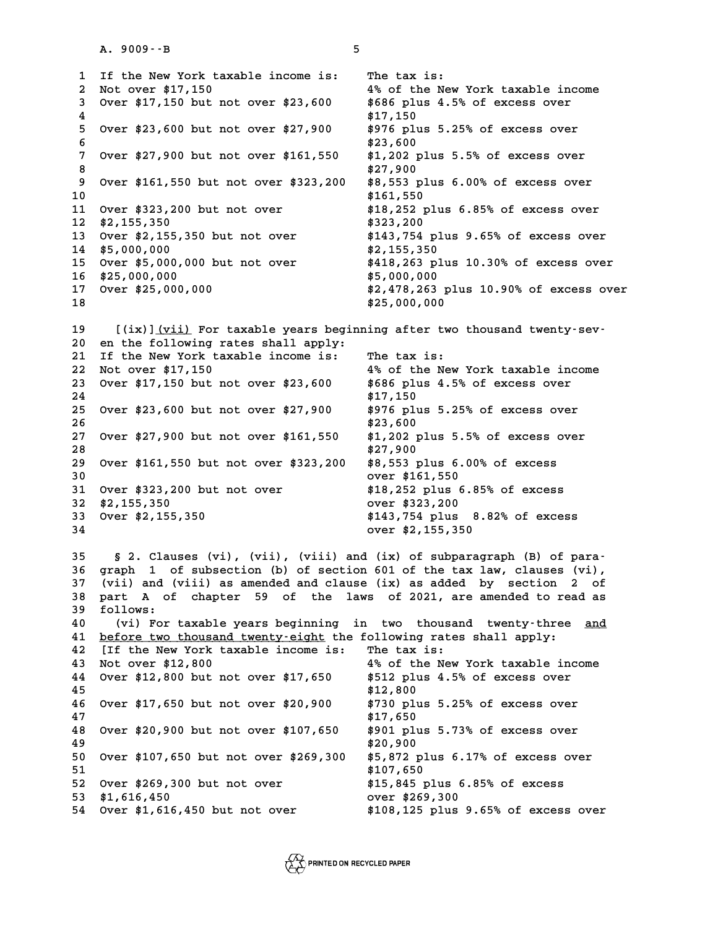**1** If the New York taxable income is: The tax is:<br> **1** If the New York taxable income is: The tax is:<br>
<sup>2</sup> Not ever \$17,150 1 If the New York taxable income is: The tax is:<br>2 Not over \$17,150 <sup>4%</sup> of the New York taxable income<br>3 Over \$17,150 but not over \$23,600 \$686 plus 4.5% of excess over **3** If the New York taxable income is: The tax is:<br>
2 Not over \$17,150 **but not over \$23,600** \$686 plus 4.5% of excess over<br>
4 \$17,150 but not over \$23,600 \$686 plus 4.5% of excess over 2 Not over \$17,150 <br>3 Over \$17,150 but not over \$23,600 \$686 plus<br>4 \$17,150 **4** \$17,150 **4** \$17,150 **4** \$23,600 **4** \$27,150 **4876** plus **5 Over \$17,150 but not over \$23,600 \$686 plus 4.5% of excess over<br>
<b>4** \$17,150<br> **5 Over \$23,600 but not over \$27,900** \$976 plus 5.25% of excess over **6 \$23,600 7** Over \$23,600 but not over \$27,900 \$976 plus 5.25% of excess over<br>6 \$23,600<br>7 Over \$27,900 but not over \$161,550 \$1,202 plus 5.5% of excess over **8** \$23,600<br> **8 8** and **1.202 but not over \$161,550** \$1,202 plu<br> **8** \$27,900 \$8<br> **8** and \$27,900 \$8 \$27,900 \$9 \$27,900 \$8 \$27,900 \$8 \$552 plu **9 Over \$27,900 but not over \$161,550 \$1,202 plus 5.5% of excess over<br>8 \$27,900<br>9 Over \$161,550 but not over \$323,200 \$8,553 plus 6.00% of excess over** 8 \$27,900<br>10 9 0ver \$161,550 but not over \$323,200 \$8,553 plus 6.00% of excess over<br>10 \$161,550 **9 Over \$161,550 but not over \$323,200 \$8,553 plus 6.00% of excess over**<br>10 \$161,550<br>11 Over \$323,200 but not over \$18,252 plus 6.85% of excess over<br><sup>\$2,252</sup> 200 **11** Over \$323,200 but not over \$18,252 plus 6.85% of excess over \$2,155,350<br>12 \$2,155,350 but not over \$323,200<br>13 Over \$2,155,350 but not over \$143,754 plus 9.65% of excess over **11 Over \$323,200 but not over \$18,252 plus 6.85% of excess over \$2,155,350 \$323,200<br>13 Over \$2,155,350 but not over \$143,754 plus 9.65% of excess over \$143,754 plus 9.65% of excess over 13** Over \$2,155,350 but not over \$143,754 p<br>14 \$5,000,000 \$2,155,350 **13 Over \$2,155,350 but not over \$143,754 plus 9.65% of excess over \$5,000,000 but not over \$2,155,350 <br>15 Over \$5,000,000 but not over \$418,263 plus 10.30% of excess over \$2,155,350 <br>16 \$25,000,000 but not over \$418,263 p 15** Over \$5,000,000 but not over \$418,263 plus 10.30% of excess over<br>16 \$25,000,000 \$5,000,000 \$5,000,000<br>17 Over \$25,000,000 \$2,478,263 plus 10.90% of excess over **15 Over \$5,000,000 but not over \$418,263 plus 10.30% of excess over \$25,000,000<br>16 \$25,000,000 \$5,000,000 \$2,478,263 plus 10.90% of excess over<br>19 \$2,478,263 plus 10.90% of excess over 18 \$25,000,000** 18 **18**<br>19 [(ix)]<u>(vii)</u> For taxable years beginning after two thousand twenty-sev-<br>20 en the following rates shall apply: 19 [(ix)]<u>(vii)</u> For taxable years beginning after to<br>20 en the following rates shall apply:<br>21 If the New York taxable income is: The tax is: 19 [(ix)]<u>(vii)</u> For taxable years beginning after two<br>20 en the following rates shall apply:<br>21 If the New York taxable income is: The tax is:<br><sup>22</sup> Not over \$17,150 20 en the following rates shall apply:<br>
21 If the New York taxable income is: The tax is:<br>
22 Not over \$17,150 4% of the New York taxable income<br>
23 Over \$17,150 but not over \$23,500 \$585 plus 4.5% of oversea over 21 If the New York taxable income is: The tax is:<br>22 Not over \$17,150 **but not over \$23,600** \$686 plus 4.5% of excess over<br>24 \$17,150 but not over \$23,600 \$686 plus 4.5% of excess over 22 Not over \$17,150<br>
23 Over \$17,150 but not over \$23,600<br>
24<br>
25 Over \$23,600 but not over \$27,900<br>
276 plus 5.25% of excess over **23 Over \$17,150 but not over \$23,600** \$686 plus 4.5% of excess over<br>24 \$17,150<br>25 Over \$23,600 but not over \$27,900 \$976 plus 5.25% of excess over 25 Over \$23,600 but not over \$27,900 \$976 plus 5.25% of excess over <br>26 \$23,600 \$976 plus 5.5% of excess over \$161,550 \$1,202 plus 5.5% of excess over **25 Over \$23,600 but not over \$27,900** \$976 plus 5.25% of excess over<br>26 \$23,600<br>27 Over \$27,900 but not over \$161,550 \$1,202 plus 5.5% of excess over 26 **\$23,600**<br>27 Over \$27,900 but not over \$161,550 \$1,202 plu<br>28 \$27,900 \$28<br>29 Over \$151,550 but pet over \$333,300 \$8,553 plu **27 Over \$27,900 but not over \$161,550** \$1,202 plus 5.5% of excess ove \$27,900<br> **28** \$27,900<br> **29 Over \$161,550 but not over \$323,200** \$8,553 plus 6.00% of excess **28** \$27,900<br>
29 Over \$161,550 but not over \$323,200 \$8,553 plus 6.00<br>
30 over \$161,550<br>
<sup>31</sup> Over \$323,200 but not over \$200 \$18,252 plus 6.8 **29 Over \$161,550 but not over \$323,200 \$8,553 plus 6.00% of excess**<br>30 **over \$323,200 but not over \$18,252 plus 6.85% of excess**<br>32 \$2,155,350 **but not over** \$18,252 plus 6.85% of excess **29** Over \$161,550 but not over \$323,200 \$8,553 plus 6.00% of excess<br>
30<br> **31** Over \$323,200 but not over \$161,550<br> **32** \$2,155,350<br> **33** Over \$2,155,350<br> **33** Over \$2,155,350<br> **33** Over \$2,155,350<br> **34**  $\begin{array}{r} 323,200 \text$ **33 Over \$2,155,350 \$143,754 plus 8.82% of excess 32** \$2,155,350<br>
33 Over \$2,155,350<br>
34 over \$2,155,350<br>
34 over \$2,155,350 over \$2,155,350<br>35 § 2. Clauses (vi), (vii), (viii) and (ix) of subparagraph (B) of para-<br>36 graph 1 of subsection (b) of section 601 of the tax law, clauses (vi), **35** § 2. Clauses (vi), (vii), (viii) and (ix) of subparagraph (B) of para-<br>36 graph 1 of subsection (b) of section 601 of the tax law, clauses (vi),<br>37 (wii) and (wiii) as amonded and glause (ix) as added by, sestion 3 of **35** § 2. Clauses (vi), (vii), (viii) and (ix) of subparagraph (B) of para-<br>36 graph 1 of subsection (b) of section 601 of the tax law, clauses (vi),<br>37 (vii) and (viii) as amended and clause (ix) as added by section 2 of<br> 36 graph 1 of subsection (b) of section 601 of the tax law, clauses (vi),<br>37 (vii) and (viii) as amended and clause (ix) as added by section 2 of<br>38 part A of chapter 59 of the laws of 2021, are amended to read as<br>50 follo 37 (vii) and (viii) as amended and clause (ix) as added by section 2 of 38 part A of chapter 59 of the laws of 2021, are amended to read as follows:<br>**39 follows:**<br>(vi) For taxable years beginning in two thousand twenty-thr **40 (vi) For taxable years beginning in two thousand twenty-three and \_\_\_** follows:<br>40 (vi) For taxable years beginning in two thousand twenty-three<br>41 <u>before two thousand twenty-eight</u> the following rates shall apply:<br><sup>42</sup> IIf the Now York taxable income is: The tax is: 40 (vi) For taxable years beginning in two thousan<br>41 <u>before two thousand twenty-eight</u> the following rates<br>42 [If the New York taxable income is: The tax is:<br><sup>42</sup> Not cuar \$12,900 41 <u>before two thousand twenty-eight</u> the following rates shall apply:<br>42 [If the New York taxable income is: The tax is:<br>43 Not over \$12,800 4% of the New York taxable income<br>44 Over \$12,800 417,650 \$512 plus 4.5% of over **42** If the New York taxable income is: The tax is:<br> **43** Not over \$12,800 **but not over \$17,650** \$512 plus 4.5% of excess over<br> **45 45 45 45 45 45 45 412,800** 44 Over \$12,800 but not over \$17,650 \$512 plus 4.5% of excess over<br>45 \$12,800<br>46 Over \$17,650 but not over \$20,900 \$730 plus 5.25% of excess over **44 Over \$12,800 but not over \$17,650** \$512 plus 4.5% of excess over<br>**45** \$12,800<br>46 Over \$17,650 but not over \$20,900 \$730 plus 5.25% of excess over 46 Over \$17,650 but not over \$20,900 \$730 plus 5.25% of excess over<br>47 \$17,650<br>48 Over \$20,900 but not over \$107,650 \$901 plus 5.73% of excess over **46 Over \$17,650 but not over \$20,900** \$730 plus 5.25% of excess over<br>47 \$17,650<br>48 Over \$20,900 but not over \$107,650 \$901 plus 5.73% of excess over 47 **\$17,650**<br>48 Over \$20,900 but not over \$107,650 \$901 plus<br>49 \$20,900 \$50 PM t pot over \$268,300 \$5,872 plu **48 Over \$20,900 but not over \$107,650** \$901 plus 5.73% of excess over<br> **49** \$20,900<br> **50 Over \$107,650 but not over \$269,300** \$5,872 plus 6.17% of excess over<br> **51 \$107,650 \$107,650 49** \$20,900<br>
50 Over \$107,650 but not over \$269,300 \$5,872 plus<br>
51 \$107,650<br>
52 Over \$369,300 but not ever \$250 \$15,845 plus **50** Over \$107,650 but not over \$269,300 \$5,872 plus 6.17% of excess ove<br> **51** \$107,650<br> **52** Over \$269,300 but not over \$15,845 plus 6.85% of excess **50** Over \$107,650 but not over \$269,300 \$5,872 plus 6.17% of excess over \$1<br>51 \$107,650<br>52 Over \$269,300 but not over \$15,845 plus 6.85% of excess<br>53 \$1,616,450 but not over \$108,125 plus 9.65% of excess over<br>54 Over \$1,6 \$108,125 plus 9.65% of excess over

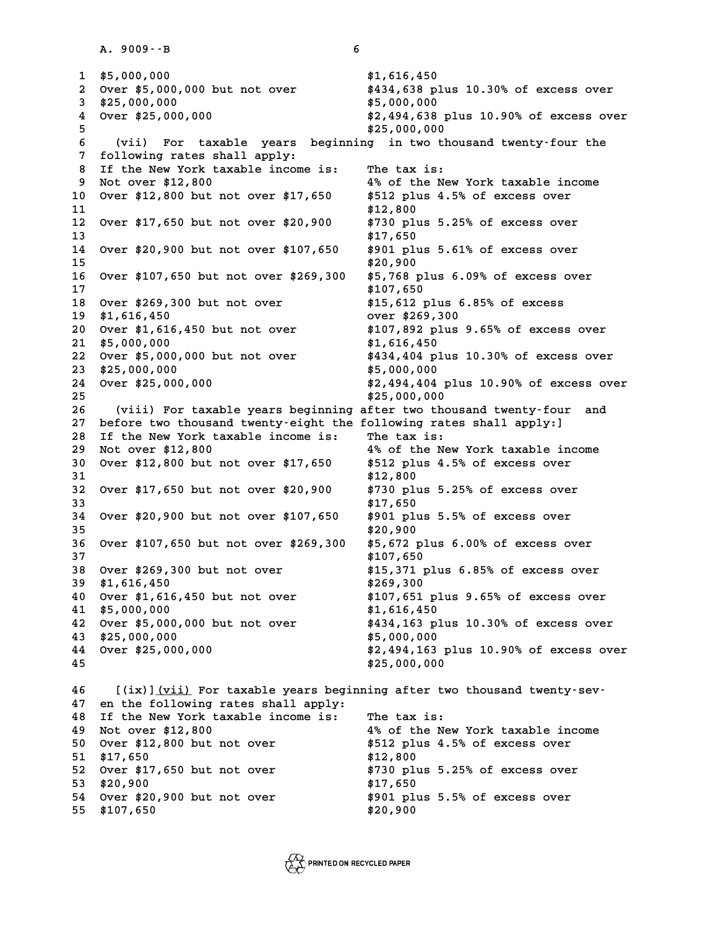**1.** 9009 - - B<br> **1.** \$5,000,000<br> **2.** Arian stress of the ASS of the ASS of the ASS of the ASS of the ASS of the ASS of the ASS of the ASS of the A **2** \$5,000,000<br>2 Over \$5,000,000 but not over \$434,638 plus 10.30% of excess over<br>3 \$35,000,000 \$5,000,000<br>
2 Over \$5,000,000 but not over<br>
3 \$25,000,000<br>
4 Over \$25,000,000<br>
4 Over \$25,000,000<br>
4 Over \$25,000,000<br>
3 \$2,494,638 plus 10.90% of excess over **2 Over \$5,000,000 but not over \$434,638 plus 10.30% of excess over**<br>3 \$25,000,000 \$5,000,000 \$5,000,000<br>4 \$25,000,000 \$2,494,638 plus 10.90% of excess over<br>5 **5 \$25,000,000**<br> **4 Over \$25,000,000**<br> **5** \$25,000,000<br> **5** \$25,000,000<br> **5** \$25,000,000<br> **5** (iii) For toughbourse borinaing in two thou **6 (d)** 4 (a) 10.90% (ver \$25,000,000<br> **6** (vii) For taxable years beginning in two thousand twenty-four the<br> **6** (vii) For taxable years beginning in two thousand twenty-four the **7 following rates shall apply: 8 (vii) For taxable years beginning in two thou<br>
<b>8 If the New York taxable income is:** The tax is:<br> **8 Not over \$12,900**<br> **8 Not over \$12,900 9** 1 **collowing rates shall apply:**<br> **9** Not over \$12,800<br> **9** Not over \$12,800<br> **9** Over \$12,900 but not over \$17.650 \$512 plus 4.5% of overses over **10 Over \$12,800 But Not over \$12,800 But not over \$17,650 \$512 plus 4.5% of excess over**<br> **10 Over \$12,800 but not over \$17,650** \$512 plus 4.5% of excess over<br> **11** \$12,800 \$12,800 \$12,800 9 Not over \$12,800 <br>
10 Over \$12,800 but not over \$17,650 <br>
11 \$12,800<br>
<sup>12</sup> Over \$17.650 but not over \$20,800 \$730 plus **10** Over \$12,800 but not over \$17,650 \$512 plus 4.5% of excess over<br> **11** \$12,800<br> **12** Over \$17,650 but not over \$20,900 \$730 plus 5.25% of excess over<br> **13** \$17,650 **13 \$17,650 12 Over \$17,650 but not over \$20,900** \$730 plus 5.25% of excess over<br>13 \$17,650<br>14 Over \$20,900 but not over \$107,650 \$901 plus 5.61% of excess over **13** \$17,650<br> **14** Over \$20,900 but not over \$107,650 \$901 plus<br> **15** \$20,900 \$50 \$107,650 \$20,900 \$5000 \$5000 \$5000 \$5000 \$5000 \$5000 \$5000 \$5000 \$5000 \$5000 \$5000 \$5000 \$5000 \$5000 \$5000 \$5000 \$5000 \$5000 \$5000 \$5000 \$50 **14 Over \$20,900 but not over \$107,650** \$901 plus 5.61% of excess over<br>15 \$20,900<br>16 Over \$107,650 but not over \$269,300 \$5,768 plus 6.09% of excess over **15** \$20,900<br>16 Over \$107,650 but not over \$269,300 \$5,768 plus<br>17 \$107,650 \$1269,300 but not over \$269,300 \$15,650 **16 Over \$107,650 but not over \$269,300 \$5,768 plus 6.09% of excess ove**<br>**17** \$107,650 \$109% over \$269,300 but not over \$15,612 plus 6.85% of excess<br><sup>\$1,612</sup> \$1,612 plus 6.85% of excess **17** \$107,650<br> **18** Over \$269,300 but not over \$15,612 plus 6.8<br> **19** \$1,616,450 **but not over \$269,300**<br>
20 Over \$1,616,450 but not over \$269,300 **and \$107,882 plus** 8 **20 Over \$269,300 but not over \$15,612 plus 6.85% of excess**<br> **20 \$1,616,450 but not over \$269,300**<br> **20 Over \$1,616,450 but not over** \$107,892 plus 9.65% of excess over<br> **21** \$5,000,000 **21 \$15,612 plus 6.85% of excess \$1,616,450**<br> **20 0 20 31,616,450 but not over \$269,300**<br> **20 0ver \$1,616,450 but not over** \$107,892 plus 9.65% of excess over \$5,000,000<br> **21** \$5,000,000 **20** Over \$1,616,450 but not over \$107,892 plus 9.65% of excess over<br> **21** \$5,000,000<br> **22** Over \$5,000,000 but not over \$434,404 plus 10.30% of excess over<br>
23 \$25,000,000 at a different over the set of the set of the set of the set of the set of the set of the set of the set of th<br>
23 \$25,000,000 \$5,000,000 \$5,000,000 \$2,494,404 plus 10.90% of excess over the set of the set of the set of th **22 Over \$5,000,000 but not over \$434,404 plus 10.30% of excess over \$25,000,000<br>23 \$25,000,000 \$5,000,000 \$2,494,404 plus 10.90% of excess over \$25,000,000 \$2,494,404 plus 10.90% of excess over** 23 \$25,000,000<br>
24 Over \$25,000,000<br>
25 \$25,000,000<br>
25 \$25,000,000<br>
25 **\$25,000,000**<br>
25 **Algebra two these 26 (viii) For taxable years beginning after two thousand twenty-four and** <sup>25</sup> \$25,000,000<br>
26 (viii) For taxable years beginning after two thousand twenty-four<br>
<sup>27</sup> before two thousand twenty-eight the following rates shall apply:<br>
<sup>28</sup> If the New York taxable income is: (viii) For taxable years beginning after two thous<br>27 before two thousand twenty-eight the following rates<br>28 If the New York taxable income is: The tax is:<br><sup>29</sup> Not cuar \$12,900 27 before two thousand twenty-eight the following rates shall apply:]<br>28 If the New York taxable income is: The tax is:<br>29 Not over \$12,800 4% of the New York taxable income<br>20 Over \$12,800 5 550 \$512 plus 4.5% of oversea **30 If the New York taxable income is:** The tax is:<br> **30 Not over \$12,800 but not over \$17,650** \$512 plus 4.5% of excess over<br> **31** \$12,800 \$12,800 Over \$12,800 but not over \$17,650 **\$512 plus 4.5% of excess over**<br>\$12,800 \$12,800 \$12,800 *\$17,650* but not over \$20,900 \$730 plus 5.25% of excess over **30** Over \$12,800 but not over \$17,650 \$512 plus 4.5% of excess over<br>31 \$12,800<br>32 Over \$17,650 but not over \$20,900 \$730 plus 5.25% of excess over **31** <br>**32** Over \$17,650 but not over \$20,900 \$730 plus<br>33 <br><sup>34</sup> Over \$30,900 but pot over \$107.650 \$801 plus **32 Over \$17,650 but not over \$20,900** \$730 plus 5.25% of excess over<br>33 \$17,650<br>34 Over \$20,900 but not over \$107,650 \$901 plus 5.5% of excess over **33** \$17,650<br>
34 Over \$20,900 but not over \$107,650 \$901 plus<br>
35 \$20,900 \$5<br>
26 Over \$107,650 but pet over \$260,300 \$5,672 plu **34 Over \$20,900 but not over \$107,650** \$901 plus 5.5% of excess over<br>35 \$20,900<br>36 Over \$107,650 but not over \$269,300 \$5,672 plus 6.00% of excess over **34** Over \$20,900 but not over \$107,650 \$901 plus 5.5% of excess over \$20,900<br> **36** Over \$107,650 but not over \$269,300 \$5,672 plus 6.00% of excess over \$7<br> **38** Over \$269,300 but not over \$15,371 plus 6.85% of excess over **36 Over \$107,650 but not over \$269,300 \$5,672 plus 6.00% of excess over**<br>37 **\$107,650**<br>38 Over \$269,300 but not over \$15,371 plus 6.85% of excess over<br>39 \$1,616,450 **37** \$107,650<br> **38** Over \$269,300 but not over \$15,371 plu<br> **39** \$1,616,450 \$269,300 \$269,300 \$269,300 \$107.651 **40 Over \$269,300 but not over \$15,371 plus 6.85% of excess over**<br> **40 Over \$1,616,450 but not over** \$107,651 plus 9.65% of excess over<br> **40 Over \$1,616,450 but not over** \$1,616,450 \$1,616,450 \$1,616,450 \$1,616,450 \$1,616, \$269,300<br>
40 Over \$1,616,450 but not over<br>
41 \$5,000,000<br>
42 Over \$5,000,000 but not over<br>
434,163 plus 10.30% of excess over<br>
<sup>\$434,163 plus 10.30% of excess over</sup> **40** Over \$1,616,450 but not over \$107,651 plus 9.65% of excess over<br> **41** \$5,000,000<br> **42** Over \$5,000,000 but not over \$434,163 plus 10.30% of excess over<br> **43** \$25,000,000 **43 \$25,000,000 \$5,000,000 44 Over \$25,000,000 \$2,494,163 plus 10.90% of excess over** 43 \$25,000,000<br>44 Over \$25,000,000<br>45 \$2,494,163 plu<br>45 \$25,000,000 45 **a**<br>46 **[(ix)]<u>(vii)</u> For taxable years beginning after two thousand twenty-sev-<br>47 an the following rates shall apply: 46 [(ix)]<u>(vii)</u> For taxable years beginn<br>47 en the following rates shall apply:<br>48 If the New York taxable ingere is: 46** I(ix)](vii) For taxable years beginning after two<br>47 en the following rates shall apply:<br>48 If the New York taxable income is: The tax is:<br><sup>48</sup> Not over \$12,900 **47** en the following rates shall apply:<br> **48** If the New York taxable income is: The tax is:<br> **49** Not over \$12,800 **4%** of the New York taxable income<br> **4%** of the New York taxable income<br> **4%** of the New York taxable in **50 If the New York taxable income is: The tax is:<br>
49 Not over \$12,800 <br>
50 Over \$12,800 but not over** \$512 plus 4.5% of excess over<br>
51 \$17,650 \$12,900 \$12,900 **49** Not over \$12,800<br>
50 Over \$12,800 but not over<br>
51 \$17,650<br>
52 Over \$17,650 but not over<br>
52 Over \$17,650 but not over<br>
52 Over \$17,650 but not over<br>
52 Over \$17,650 but not over<br>
52 Over \$17,650 but not over<br>
52 Over **50** Over \$12,800 but not over \$512 plus 4.5% of excess over<br> **51** \$17,650 **but not over** \$12,800<br> **52** Over \$17,650 but not over \$730 plus 5.25% of excess over 52 Over \$17,650 but not over \$730 plus 5.25% of excess ove<br>53 \$20,900 **\$17,650**<br>54 Over \$20,900 but not over \$901 plus 5.5% of excess over **52 Over \$17,650 but not over \$730 plus 5.25% of excess over \$20,900 plus 5.25% of excess over \$17,650 plus 5.5% of excess over \$20,900 plus 5.5% of excess over \$20,900 plus 5.5% of excess over \$901 plus 5.5% of excess ove 53** \$20,900<br>54 Over \$20,900 but not over \$901 pl<br>55 \$107,650 \$20,900

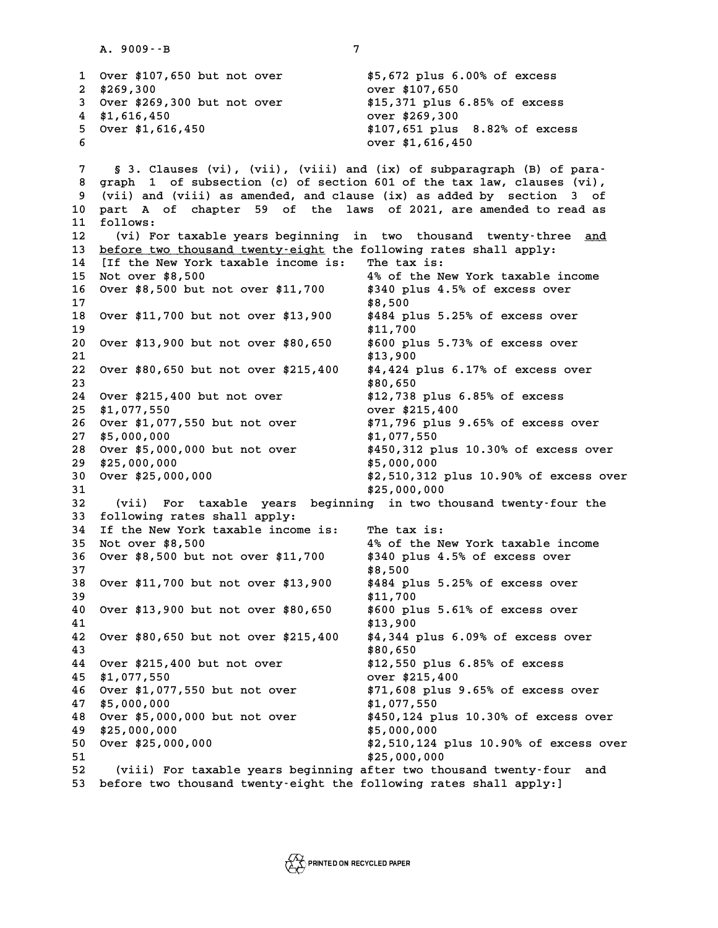**A. 9009--B 7 1** Over \$107,650 but not over **108**<br> **1** Over \$107,650 but not over \$5,672 plus 6.00% of excess **2** \$107,650 but not over \$5,672 plus 6.00% of excess<br> **2** \$269,300 0ver \$107,650 over \$107,650 over \$269,300 but not over \$15,371 plus 6.85% of excess **3** Over \$107,650 but not over \$5,672 plus 6.00% of excess<br> **3** Over \$269,300 but not over \$15,371 plus 6.85% of excess<br> **4** \$1.616,450 **and** \$1.616,450 **and** \$1.616,450 **and** \$1.616,450 **4 \$1,616,450 over \$269,300 but not over \$15,371 plus 6.85% of excess<br>
4 \$1,616,450 over \$269,300<br>
5 Over \$1,616,450 \$107,651 plus 8.82% of excess 5 Over \$269,300 but not over \$15,371 plus 6.85% of excess<br>
\$1,616,450 <b>\$1,616,450 \$107,651 plus 8.82% of excess**<br>  $\frac{1}{6}$  Over \$1,616,450 **\$107,651 plus 8.82% of excess 4** \$1,616,450<br>
5 Over \$1,616,450<br>
6 over \$1,616,450<br>
6 over \$1,616,450 **8**<br> **8 3. Clauses (vi), (vii), (viii) and (ix) of subparagraph (B) of para-<br>
<b>8 graph 1** of subsection (c) of section 601 of the tax law, clauses (vi), **8 graph 1 of subsection (c) of section 601 of the tax law, clauses (vi), 9 (a)** S 3. Clauses (vi), (vii), (vii) and (ix) of subparagraph (B) of para-<br> **9 (vii) and (viii) as amended, and clause (ix) as added by section 3 of**<br> **9 (vii) and (viii) as amended, and clause (ix) as added by section** 8 graph 1 of subsection (c) of section 601 of the tax law, clauses (vi),<br>9 (vii) and (viii) as amended, and clause (ix) as added by section 3 of<br>10 part A of chapter 59 of the laws of 2021, are amended to read as<br><sup>11 follo</sup> 9 (vii) and (<br>10 part A of<br>11 follows:<br><sup>12</sup> (vi) For 10 part A of chapter 59 of the laws of 2021, are amended to read as<br>11 follows:<br>12 (vi) For taxable years beginning in two thousand twenty-three <u>and</u> 11 follows:<br>12 (vi) For taxable years beginning in two thousand twenty-three<br>13 <u>before two thousand twenty-eight</u> the following rates shall apply:<br>14 LIf the Nov York taxable income is: The tax is: 12 (vi) For taxable years beginning in two thousan<br>13 <u>before two thousand twenty-eight</u> the following rates<br>14 [If the New York taxable income is: The tax is:<br><sup>15</sup> Net ever <sup>#9 500</sup> **13 before two thousand twenty-eight the following rates shall apply:**<br> **14** If the New York taxable income is: The tax is:<br> **15 Not over \$8,500** 4% of the New York taxable income<br> **16 Over \$9,500 but not over \$11,700** \$34 **14** If the New York taxable income is: The tax is:<br>
15 Not over \$8,500 600 4% of the New York taxable income<br>
16 Over \$8,500 but not over \$11,700 \$340 plus 4.5% of excess over<br>
17 \$8,500 **16** Over \$8,500 but not over \$11,700 \$340 plus 4.5% of excess over \$17<br>17 \$8,500 \$8,500 \$88,500 \$484 plus 5.25% of excess over **16 Over \$8,500 but not over \$11,700** \$340 plus 4.5% of excess over<br>17 \$8,500<br>18 Over \$11,700 but not over \$13,900 \$484 plus 5.25% of excess over **17** <br> **18** Over \$11,700 but not over \$13,900 <br> **19** <br> **19** <br> **11,700** <br> **11,700** <br> **11,700** <br> **11,700** <br> **11,700** <br> **11,700** <br> **11,800 plus 20 Over \$11,700 but not over \$13,900** \$484 plus 5.25% of excess over<br> **20 Over \$13,900 but not over \$80,650** \$600 plus 5.73% of excess over<br>
21 \$13,900 but not over \$80,650 \$600 plus 5.73% of excess over **20** \$11,700<br> **20** Over \$13,900 but not over \$80,650 \$600 plus<br> **21** \$13,900 \$600 \$13,900 \$4,424 plu **20 Over \$13,900 but not over \$80,650** \$600 plus 5.73% of excess over<br>21 \$13,900<br>22 Over \$80,650 but not over \$215,400 \$4,424 plus 6.17% of excess over 21 **\$13,900**<br>22 Over \$80,650 but not over \$215,400 \$4,424 plu<br>23 \$80,650 \$215,400 put not over \$215,400 \$80,650 **22 Over \$80,650 but not over \$215,400** \$4,424 plus 6.17% of excess ove<br> **23** \$80,650<br> **24 Over \$215,400 but not over** \$12,738 plus 6.85% of excess 22 Over \$80,650 but not over \$215,400 \$4,424 plus 6.17% of excess over<br>
23 \$80,650<br>
24 Over \$215,400 but not over \$12,738 plus 6.85% of excess<br>
25 \$1,077,550<br>
26 Over \$1,077,550 but not over \$71,796 plus 9.65% of excess ov **24 Over \$215,400 but not over \$12,738 plus 6.85% of excess<br>
<b>25 \$1,077,550 but not over \$215,400**<br> **26 Over \$1,077,550 but not over** \$71,796 plus 9.65% of excess over<br> **27 \$5,000,000 26** Over \$1,077,550 but not over \$71,796 plus 9.65% of excess over <br>27 \$5,000,000 \$1,077,550<br>28 Over \$5,000,000 but not over \$450,312 plus 10.30% of excess over **26 Over \$1,077,550 but not over \$71,796 plus 9.65% of excess over \$5,000,000 \$1,077,550<br>28 Over \$5,000,000 but not over \$450,312 plus 10.30% of excess over \$25,000,000 but not over \$450,312 plus 10.30% of excess over 27** \$5,000,000<br> **28 Over \$5,000,000 but not over** \$450,312 plus<br> **29 \$25,000,000**<br> **29 \$25,000,000** \$5,000,000<br> **20** \$2,510,312 pl **29 \$25,000,000**<br>30 Over \$25,000,000 **\$2,510,312** plus 10.90% of excess over<br>31 \$25,000,000 **29** \$25,000,000<br>
30 Over \$25,000,000<br>
31 \$25,000,000<br> **31** \$25,000,000<br> **32** (vii) For taxable vears beginning in two thou **30** Over \$25,000,000<br> **31** \$25,000,000<br> **32** (vii) For taxable years beginning in two thousand twenty-four the<br> **32** following rates shall apply: **33 following rates shall apply: 32** (vii) For taxable years beginning in two thou<br>**33** following rates shall apply:<br>**34** If the New York taxable income is: The tax is:<br><sup>25</sup> Not cuar \$8,500 **33 following rates shall apply:**<br> **34 If the New York taxable income is:** The tax is:<br> **35 Not over \$8,500** 4% of the New York taxable income<br> **4% of the New York taxable income**<br> **4% of the New York taxable income**<br> **4% 34 If the New York taxable income is:** The tax is:<br>
35 Not over \$8,500 000 4% of the New York taxable income<br>
36 Over \$8,500 but not over \$11,700 \$340 plus 4.5% of excess over<br>
37 \$8,500 36 Over \$8,500 but not over \$11,700 \$340 plus 4.5% of excess over<br>37 \$8,500<br>38 Over \$11,700 but not over \$13,900 \$484 plus 5.25% of excess over **36 Over \$8,500 but not over \$11,700** \$340 plus 4.5% of excess over<br>37 \$8,500<br>38 Over \$11,700 but not over \$13,900 \$484 plus 5.25% of excess over 38 Over \$11,700 but not over \$13,900 \$484 plus 5.25% of excess over<br>39 \$11,700 \$11,700<br>40 Over \$13,900 but not over \$80,650 \$600 plus 5.61% of excess over **40 Over \$11,700 but not over \$13,900** \$484 plus 5.25% of excess over<br> **40 Over \$13,900 but not over \$80,650** \$600 plus 5.61% of excess over<br> **41 a12,900** \$600 plus 5.61% of excess over 40 Over \$13,900 but not over \$80,650 \$600 plus 5.61% of excess over<br>41 \$13,900 \$13,900 \$4,344 plus 6.09% of excess over **40** Over \$13,900 but not over \$80,650 \$600 plus 5.61% of excess over<br> **41** \$13,900<br> **42** Over \$80,650 but not over \$215,400 \$4,344 plus 6.09% of excess over<br>
\*80,650 \$80,650 \$80,650 \$80,650 \$80,650 **41 \*13,900**<br> **42** Over \$80,650 but not over \$215,400 **\*4,344 plu**<br> **43 \*80,650 \*315,400 but pot over** \*12,550 pl **42 Over \$80,650 but not over \$215,400** \$4,344 plus 6.09% of excess ove<br> **43** \$80,650<br> **44 Over \$215,400 but not over** \$12,550 plus 6.85% of excess \$80,650<br> **44** Over \$215,400 but not over \$12,550 plus 6.85% of excess<br>
\$1,077,550<br> **46 Over \$1,077,550 but not over** \$71,608 plus 9.65% of excess over **44 Over \$215,400 but not over \$12,550 plus 6.85% of excess<br>
<b>45 \$1,077,550 but not over \$215,400 over \$215,400**<br> **46 Over \$1,077,550 but not over** \$71,608 plus 9.65% of excess over **45** \$1,077,550<br>
46 Over \$1,077,550 but not over \$215,400<br>
47 \$5,000,000 \$1,077,550<br>
48 Over \$5,000,000 but pot over \$1,077,550<br>
48 Over \$5,000,000 but pot over \$450,124 plus **46 Over \$1,077,550 but not over \$71,608 plus 9.65% of excess over \$5,000,000 but not over \$1,077,550<br>48 Over \$5,000,000 but not over \$450,124 plus 10.30% of excess over \$25,000,000 but not over \$5,000 pm \$450,124 plus 10.** \$1,077,550<br>
48 Over \$5,000,000 but not over<br>
49 \$25,000,000<br>
50 Over \$25,000,000<br>
50 Over \$25,000,000<br>
42,510,124 plus 10.90% of excess over **50 Over \$25,000,000 \$2,510,124 plus 10.90% of excess over 49** \$25,000,000<br>
50 Over \$25,000,000<br>
51 \$25,000,000<br> **51** \$25,000,000<br> **52** (viii) For taxable years beginning after two thous **52 (viii) For taxable years beginning after two thousand twenty-four and 53 before two thousand twenty-eight the following rates shall apply:]**

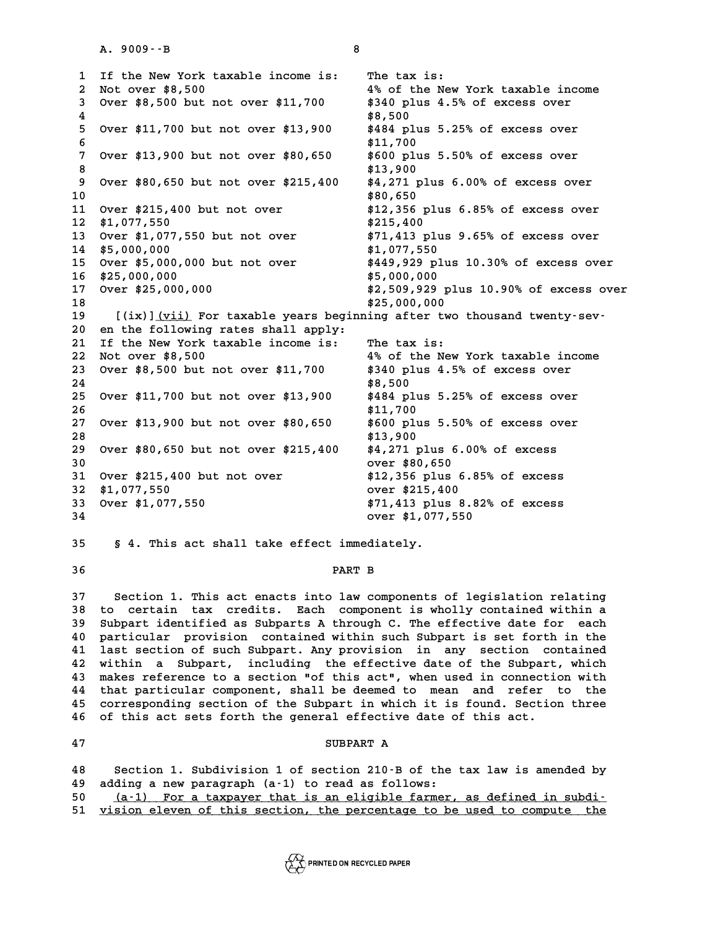**1** If the New York taxable income is: The tax is:<br> **1** If the New York taxable income is: The tax is:<br>
<sup>2</sup> Not ever \$8,500 **2** If the New York taxable income is: The tax is:<br>2 Not over \$8,500 4% of the New York taxable income<br>3 Over \$8,500 but not over \$11,700 \$340 plus 4.5% of excess over **3** If the New York taxable income is: The tax is:<br>
2 Not over \$8,500 but not over \$11,700 \$340 plus 4.5% of excess over<br>
4 \$9,500 but not over \$11,700 \$340 plus 4.5% of excess over 2 Not over \$8,500 4% of the<br>3 Over \$8,500 but not over \$11,700 \$340 plus<br>4 \$8,500 \$484 plus **5 Over \$8,500 but not over \$11,700** \$340 plus 4.5% of excess over<br> **4** \$8,500<br> **5 Over \$11,700 but not over \$13,900** \$484 plus 5.25% of excess over **6 \$11,700 7** Over \$11,700 but not over \$13,900 \$484 plus 5.25% of excess over<br> **6** \$11,700<br>
7 Over \$13,900 but not over \$80,650 \$600 plus 5.50% of excess over **8** \$11,700<br> **8** \$13,900 but not over \$80,650 \$600 plus<br>
8 \$13,900 \$4.271 plu **9 Over \$13,900 but not over \$80,650 \$600 plus 5.50% of excess over<br>8 \$13,900 \$413,900 \$4,271 plus 6.00% of excess over<br>0 \$80,650 but not over \$215,400 \$4,271 plus 6.00% of excess over 10 \$80,650 10** Over \$80,650 but not over \$215,400 \$4,271 plus 6.00% of excess over<br> **10** \$80,650<br> **11** Over \$215,400 but not over \$12,356 plus 6.85% of excess over<br> **12** \$1,077,550 **11** Over \$215,400 but not over \$12,356 plus 6.85% of excess over<br>12 \$1,077,550 but not over \$215,400<br>13 Over \$1,077,550 but not over \$71,413 plus 9.65% of excess over **11 Over \$215,400 but not over \$12,356 plus 6.85% of excess over \$1,077,550 <br>
12 \$1,077,550 <br>
13 Over \$1,077,550 but not over \$71,413 plus 9.65% of excess over<br>
14 \$5,000,000 000 000 \$1,077,550 \$1,077,550 \$1,077,550 \$1,077 13** Over \$1,077,550 but not over \$71,413 plinum \$5,000,000 **\$1,077**,550 **13 Over \$1,077,550 but not over \$71,413 plus 9.65% of excess over \$5,000,000 \$1,077,550 <br>14 \$5,000,000 but not over \$1,077,550 \$449,929 plus 10.30% of excess over \$5,000,000 but not over \$449,929 plus 10.30% of excess ove 15** Over \$5,000,000 but not over \$449,929 plus 10.30% of excess over<br>16 \$25,000,000 \$5,000,000 \$5,000,000<br>17 Over \$25,000,000 \$2,509,929 plus 10.90% of excess over **15 Over \$5,000,000 but not over \$449,929 plus 10.30% of excess over \$25,000,000<br>16 \$25,000,000 \$5,000,000 \$2,509,929 plus 10.90% of excess over<br>19 \$2,509,929 plus 10.90% of excess over 16** \$25,000,000 \$5,000,000<br> **17** Over \$25,000,000 \$2,509,929 plu<br> **18** \$25,000,000 \$25,000,000<br> **19** 5/ivil(vii) For tarable vears bestining after two **17** Over \$25,000,000<br> **18 (ix)**](vii) For taxable years beginning after two thousand twenty-sev-<br> **19 (ix)**](vii) For taxable years beginning after two thousand twenty-sev-<br>
20 **on the following rates shall annly:** 18<br>19 [(ix)]<u>(vii)</u> For taxable years beginn<br>20 en the following rates shall apply:<br>21 If the New York taxable income is: 19 [(ix)]<u>(vii)</u> For taxable years beginning after two<br>20 en the following rates shall apply:<br>21 If the New York taxable income is: The tax is:<br><sup>22</sup> Not over \$8,500, 20 en the following rates shall apply:<br>
21 If the New York taxable income is: The tax is:<br>
22 Not over \$8,500<br>
23 Over \$8,500 but pot over \$11,700 \$340 plus 4.5% of excess over **20** en the following rates shall apply:<br> **21** If the New York taxable income is: The tax is:<br> **22** Not over \$8,500 **but not over** \$11,700 \$340 plus 4.5% of excess over<br> **24** \$8,500 \$8,500 \$8,500 \$8,500 \$8,500 \$8,500 \$8,50 23 Over \$8,500 but not over \$11,700 **\$340 plus 4.5% of excess over \$14,800**<br>24 \$8,500 \$8,500 \$8500 \$484 plus 5.25% of excess over **23 Over \$8,500 but not over \$11,700** \$340 plus 4.5% of excess over<br>24 \$8,500<br>25 Over \$11,700 but not over \$13,900 \$484 plus 5.25% of excess over 25 Over \$11,700 but not over \$13,900 \$484 plus 5.25% of excess over<br>26 \$11,700 \$11,700 \$11,700 \$13,900 but not over \$80,650 \$600 plus 5.50% of excess over **25 Over \$11,700 but not over \$13,900** \$484 plus 5.25% of excess over<br>26 \$11,700<br>27 Over \$13,900 but not over \$80,650 \$600 plus 5.50% of excess over 27 Over \$13,900 but not over \$80,650 \$600 plus 5.50% of excess of<br>28 \$13,900 \$13,900<br>29 Over \$80,650 but not over \$215,400 \$4,271 plus 6.00% of excess **27 Over \$13,900 but not over \$80,650** \$600 plus 5.50% of excess over \$28<br> **28** \$13,900<br>
29 Over \$80,650 but not over \$215,400 \$4,271 plus 6.00% of excess **28** \$13,900<br>
29 Over \$80,650 but not over \$215,400 \$4,271 plus 6.0<br>
30 over \$80,650<br>
31 Over \$315,400 but not over \$80,650 **29 Over \$80,650 but not over \$215,400** \$4,271 plus 6.00% of excess<br>30 over \$215,400 but not over \$12,356 plus 6.85% of excess<br>31 Over \$215,400 but not over \$12,356 plus 6.85% of excess **30** over \$215,400 but not over <br> **31** Over \$215,400 but not over \$12,356 plus 6.85% of excess<br> **32** \$1,077,550 over \$215,400<br> **33** Over \$1,077,550 **671,413** plus 8.82% of excess **31 Over \$215,400 but not over \$12,356 plus 6.85% of excess**<br> **32 \$1,077,550 \$1,077,550 \$71,413 plus 8.82% of excess**<br> **33 Over \$1,077,550 \$71,413 plus 8.82% of excess 32** \$1,077,550<br>
33 Over \$1,077,550<br>
34 over \$1,077,550<br>
34 over \$1,077,550 **35 § 4. This act shall take effect immediately. 36 PART B**

**37 Section 1. This act enacts into law components of legislation relating 38 to certain tax credits. Each component is wholly contained within a 39 Subpart identified as Subparts A through C. The effective date for each 40 particular provision contained within such Subpart is set forth in the 40 Subpart identified as Subparts A through C. The effective date for each**<br> **40 particular provision contained within such Subpart is set forth in the**<br> **41 last section of such Subpart. Any provision in any section cont 40 particular provision contained within such Subpart is set forth in the last section of such Subpart. Any provision in any section contained within a Subpart, including the effective date of the Subpart, which<br>A making 41** last section of such Subpart. Any provision in any section contained<br>42 within a Subpart, including the effective date of the Subpart, which<br>43 makes reference to a section "of this act", when used in connection with<br> 42 within a Subpart, including the effective date of the Subpart, which<br>43 makes reference to a section "of this act", when used in connection with<br>44 that particular component, shall be deemed to mean and refer to the<br>45 43 makes reference to a section "of this act", when used in connection with<br>44 that particular component, shall be deemed to mean and refer to the<br>45 corresponding section of the Subpart in which it is found. Section three 44 that particular component, shall be deemed to mean and refer<br>45 corresponding section of the Subpart in which it is found. Sectio<br>46 of this act sets forth the general effective date of this act. 46 of this act sets forth the general effective date of this act.<br>47 SUBPART A

**48 Section 1. Subdivision 1 of section 210-B of the tax law is amended by 49 adding a new paragraph (a-1) to read as follows: 50** (a-1) For a taxpayer that is an eligible farmer, as defined in subdi-<br>**51** vision eleven of this section, the percentage to be used to compute, the

vision eleven of this section, the percentage to be used to compute the

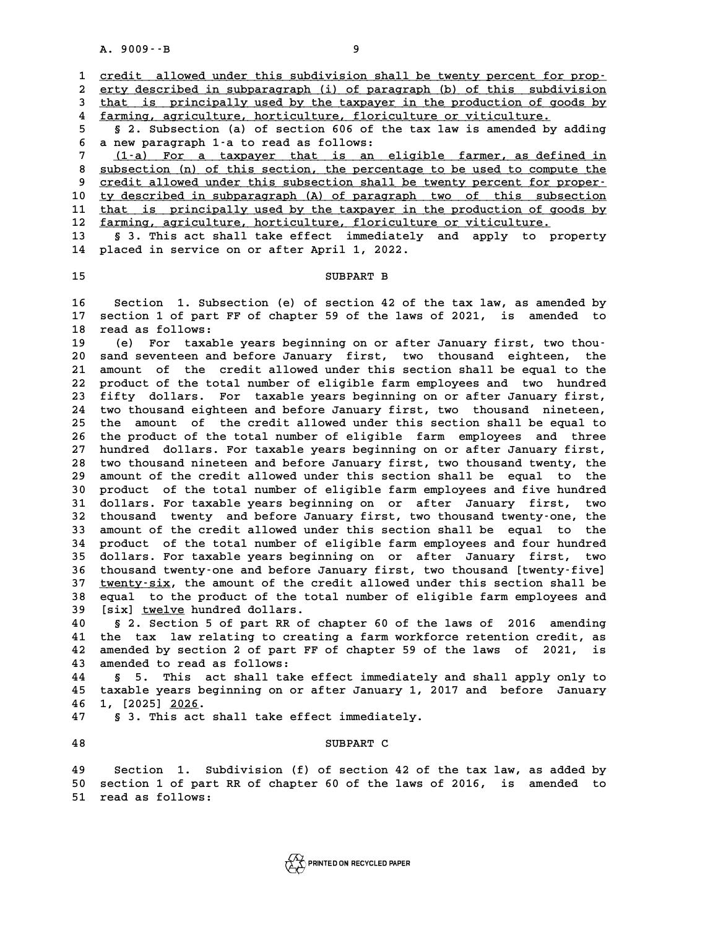A. 9009 · · B<br>1 <u>credit allowed under this subdivision shall be twenty percent for prop-</u><br>2 orty described in subpararanth (i) of pararanth (b) of this subdivision 2 <u>credit allowed under this subdivision shall be twenty percent for prop-</u><br>2 <u>erty described in subparagraph (i) of paragraph (b) of this subdivision</u><br>3 that is principally used by the taxpayer in the production of goods 3 credit allowed under this subdivision shall be twenty percent for prop-<br>2 erty described in subparagraph (i) of paragraph (b) of this subdivision<br>3 that is principally used by the taxpayer in the production of goods by<br>4 erty described in subparagraph (i) of paragraph (b) of this subdiv<br> **4** that is principally used by the taxpayer in the production of good<br>
<u>farming, agriculture, horticulture, floriculture or viticulture.</u><br> **5** 2 Subsecti **5 Example 18 Solution** is principally used by the taxpayer in the production of goods by farming, agriculture, horticulture, floriculture or viticulture.<br>
5 **8** 2. Subsection (a) of section 606 of the tax law is amended

4 <u>farming, agriculture, horticulture, floric</u><br>5 § 2. Subsection (a) of section 606 of th<br>6 a new paragraph 1-a to read as follows:<br><sup>7</sup> (1-a) For a targeture that is an a 5 § 2. Subsection (a) of section 606 of the tax law is amended by adding<br>6 a new paragraph 1-a to read as follows:<br><u>(1-a) For a taxpayer that is an eligible farmer, as defined in</u><br>8 subsection (n) of this section, the perc

8 <u>subsection (n) of this section, the percentage to be used to compute the</u><br>**8** subsection (n) of this section, the percentage to be used to compute the<br>**9** credit allowed under this subsection shall be twenty percent for **9 credit allowed under this subsection shall be twenty percent for proper- \_\_\_\_\_\_\_\_\_\_\_\_\_\_\_\_\_\_\_\_\_\_\_\_\_\_\_\_\_\_\_\_\_\_\_\_\_\_\_\_\_\_\_\_\_\_\_\_\_\_\_\_\_\_\_\_\_\_\_\_\_\_\_\_\_\_\_\_\_\_\_\_** 8 <u>subsection (n) of this section, the percentage to be used to compute the<br>9 credit allowed under this subsection shall be twenty percent for proper-<br>10 <u>ty described in subparagraph (A) of paragraph two of this subsectio</u></u> 9 credit allowed under this subsection shall be twenty percent for proper-<br>
10 ty described in subparagraph (A) of paragraph two of this subsection<br>
11 that is principally used by the taxpayer in the production of goods by 10 ty described in subparagraph (A) of paragraph two of this subse<br>
11 that is principally used by the taxpayer in the production of goo<br>
12 farming, agriculture, horticulture, floriculture or viticulture.<br>
<sup>13</sup> 5<sup>3</sup> This **11 that is principally used by the taxpayer in the production of goods by<br>
12 <u>farming, agriculture, horticulture, floriculture or viticulture.</u><br>
13 § 3. This act shall take effect immediately and apply to property<br>
14 pl** 

12 <u>farming, agriculture, horticulture, floricultur</u><br>13 § 3. This act shall take effect immediately<br>14 placed in service on or after April 1, 2022. 5 3. This act shall take effect immediately and apply to property<br>14 placed in service on or after April 1, 2022.<br>15 SUBPART B

**16 Section 1. Subsection (e) of section 42 of the tax law, as amended by** 16 Section 1. Subsection (e) of section 42 of the tax law, as amended by<br>17 section 1 of part FF of chapter 59 of the laws of 2021, is amended to 16 Section 1. Subse<br>17 section 1 of part F<br>18 read as follows:<br>19 (a) For taxable 17 section 1 of part FF of chapter 59 of the laws of 2021, is amended to<br>18 read as follows:<br>(e) For taxable years beginning on or after January first, two thou-<br>20 sand seventeen and before January first, two thousand eig

<sup>2</sup> 18 read as follows:<br>
20 (e) For taxable years beginning on or after January first, two thou-<br>
20 sand seventeen and before January first, two thousand eighteen, the<br>
21 apount of the gredit allowed under this section s **20** (e) For taxable years beginning on or after January first, two thou-<br>20 sand seventeen and before January first, two thousand eighteen, the<br>21 amount of the credit allowed under this section shall be equal to the<br>22 a 20 sand seventeen and before January first, two thousand eighteen, the<br>21 amount of the credit allowed under this section shall be equal to the<br>22 product of the total number of eligible farm employees and two hundred<br>23 f 21 amount of the credit allowed under this section shall be equal to the 22 product of the total number of eligible farm employees and two hundred 23 fifty dollars. For taxable years beginning on or after January first, 22 product of the total number of eligible farm employees and two hundred<br>23 fifty dollars. For taxable years beginning on or after January first,<br>24 two thousand eighteen and before January first, two thousand nineteen,<br>2 **23 fifty dollars. For taxable years beginning on or after January first,<br>24 two thousand eighteen and before January first, two thousand nineteen,<br>25 the amount of the credit allowed under this section shall be equal to<br>2** 24 two thousand eighteen and before January first, two thousand nineteen,<br>25 the amount of the credit allowed under this section shall be equal to<br>26 the product of the total number of eligible farm employees and three<br>27 25 the amount of the credit allowed under this section shall be equal to<br>26 the product of the total number of eligible farm employees and three<br>27 hundred dollars. For taxable years beginning on or after January first,<br>28 26 the product of the total number of eligible farm employees and three<br>27 hundred dollars. For taxable years beginning on or after January first,<br>28 two thousand nineteen and before January first, two thousand twenty, the 27 hundred dollars. For taxable years beginning on or after January first,<br>28 two thousand nineteen and before January first, two thousand twenty, the<br>29 amount of the credit allowed under this section shall be equal to th 28 two thousand nineteen and before January first, two thousand twenty, the<br>29 amount of the credit allowed under this section shall be equal to the<br>30 product of the total number of eligible farm employees and five hundre 29 amount of the credit allowed under this section shall be equal to the<br>30 product of the total number of eligible farm employees and five hundred<br>31 dollars. For taxable years beginning on or after January first, two<br>tho 30 product of the total number of eligible farm employees and five hundred<br>31 dollars. For taxable years beginning on or after January first, two<br>32 thousand twenty-and before January first, two thousand twenty-one, the<br>33 31 dollars. For taxable years beginning on or after January first, two<br>32 thousand twenty and before January first, two thousand twenty-one, the<br>33 amount of the credit allowed under this section shall be equal to the 32 thousand twenty and before January first, two thousand twenty-one, the<br>33 amount of the credit allowed under this section shall be equal to the<br>34 product of the total number of eligible farm employees and four hundred<br> 33 amount of the credit allowed under this section shall be equal to the<br>34 product of the total number of eligible farm employees and four hundred<br>35 dollars. For taxable years beginning on or after January first, two<br>tho 34 product of the total number of eligible farm employees and four hundred<br>35 dollars. For taxable years beginning on or after January first, two<br>36 thousand twenty-one and before January first, two thousand [twenty-five]<br> **35 dollars. For taxable years beginning on or after January first, two<br>36 thousand twenty-one and before January first, two thousand [twenty-five]<br>37 <u>twenty-six</u>, the amount of the credit allowed under this section shall** 36 thousand twenty-one and before January first, two thousand [twenty-five]<br>37 <u>twenty-six</u>, the amount of the credit allowed under this section shall be<br>38 equal to the product of the total number of eligible farm employe <u>twenty-six</u>, the amount of the credit allowed under this section shall be<br>38 equal to the product of the total number of eligible farm employees and<br>39 [six] <u>twelve</u> hundred dollars.<br>40 § 2. Section 5 of part RR of chapt

**40 § 2. Section 5 of part RR of chapter 60 of the laws of 2016 amending 41 the tax law relating to creating a farm workforce retention credit, as 40** § 2. Section 5 of part RR of chapter 60 of the laws of 2016 amending<br>41 the tax law relating to creating a farm workforce retention credit, as<br>42 amended by section 2 of part FF of chapter 59 of the laws of 2021, is<br>4 41 the tax law relating to crea<br>42 amended by section 2 of part F<br>43 amended to read as follows: **42 amended by section 2 of part FF of chapter 59 of the laws of 2021, is<br>43 amended to read as follows:<br>44 § 5. This act shall take effect immediately and shall apply only to<br>45 taxable wears beginning on or after Innuary** 

**43 amended to read as follows:<br>44 § 5. This act shall take effect immediately and shall apply only to<br>45 taxable years beginning on or after January 1, 2017 and before January<br>46 1 [2025] 2026 44 5** 5. This act<br>**45** taxable years begi:<br>**46** 1, [2025] 2026. 45 taxable years beginning on or after January 1, 20<br>46 1, [2025] <u>2026</u>.<br>47 § 3. This act shall take effect immediately.

**47** § 3. This act shall take effect immediately.<br>**48** SUBPART C

**49 Section 1. Subdivision (f) of section 42 of the tax law, as added by 50 Section 1. Subdivision (f) of section 42 of the tax law, as added by**<br>50 section 1 of part RR of chapter 60 of the laws of 2016, is amended to **51 read as follows:**

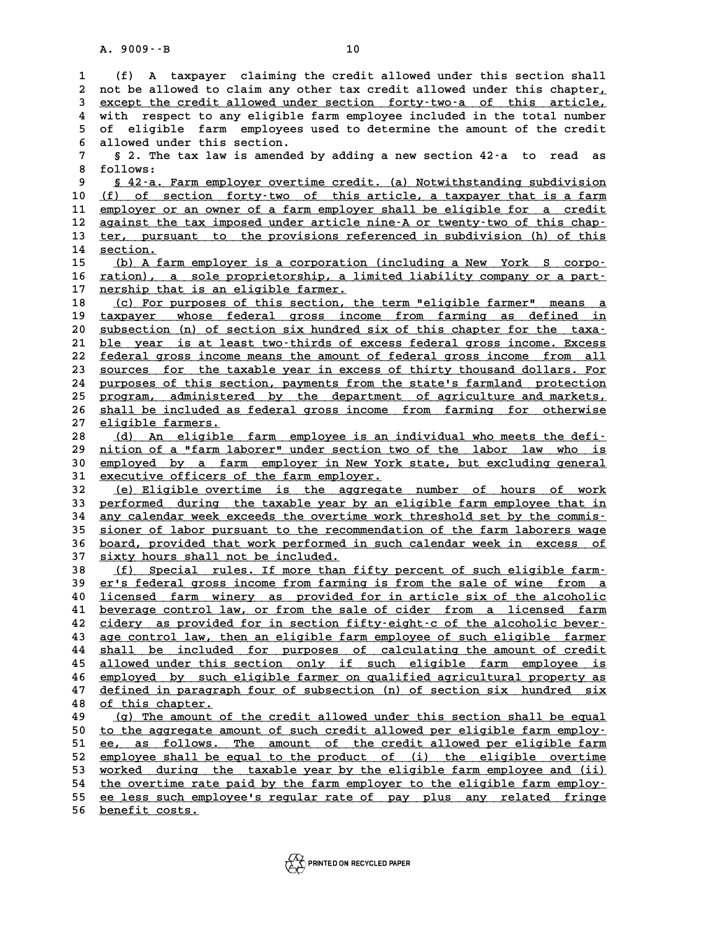A. 9009 - - B<br>1 (f) A taxpayer claiming the credit allowed under this section shall<br>2 not be allowed to glaim any other tax gredit allowed under this shapter. **2** (f) A taxpayer claiming the credit allowed under this section shall<br>2 not be allowed to claim any other tax credit allowed under this chapter,<br>3 except the gredit allowed under section, forty,two,a of this article (f) A taxpayer claiming the credit allowed under this section shall<br>
2 not be allowed to claim any other tax credit allowed under this chapter,<br>
3 <u>except the credit allowed under section</u> forty-two-a of this article,<br>
1 w 2 not be allowed to claim any other tax credit allowed under this chapter,<br>3 <u>except the credit allowed under section</u> forty-two-a of this article,<br>4 with respect to any eligible farm employee included in the total number<br> 3 except the credit allowed under section forty-two-a of this article,<br>4 with respect to any eligible farm employee included in the total number<br>5 of eligible farm employees used to determine the amount of the credit<br>6 all 4 with respect to any eligible farm employee included in the total number<br>5 of eligible farm employees used to determine the amount of the credit<br>6 allowed under this section.<br>7 § 2. The tax law is amended by adding a new **7 6 6 eligible** farm employees used to determine the amount of the credit<br>**6** allowed under this section.<br>**7 8** 2. The tax law is amended by adding a new section 42-a to read as<br>**8** follows: 6 allowed under this section.<br>
7 § 2. The tax law is amend<br>
8 follows:<br>
9 § 42-a. Farm employer ove 8 <u>§ 42-a. Farm employer overtime credit. (a) Notwithstanding subdivision</u><br>10 (f) of section forty-two of this article, a taxpayer that is a farm 10 follows:<br>
10 <u>\$ 42-a. Farm employer overtime credit. (a) Notwithstanding subdivision</u><br>
10 <u>(f) of section forty-two of this article, a taxpayer that is a farm</u><br>
11 employer or an owner of a farm employer shall be eligib **10** <u>\$42-a. Farm employer overtime credit. (a) Notwithstanding subdivision</u><br> **10** <u>(f) of section forty-two of this article, a taxpayer that is a farm</u><br> **11** <u>employer or an owner of a farm employer shall be eligible for </u> 10 <u>(f) of section forty-two of this article, a taxpayer that is a farm</u><br>11 <u>employer or an owner of a farm employer shall be eligible for a credit</u><br>12 <u>against the tax imposed under article nine-A or twenty-two of this ch</u> 11 employer or an owner of a farm employer shall be eligible for a credit<br>12 against the tax imposed under article nine A or twenty two of this chap-<br>13 ter, pursuant to the provisions referenced in subdivision (h) of this 12 <u>against the<br>13 ter, pursu</u><br>14 section. **13 ter, pursuant to the provisions referenced in subdivision (h) of this**<br> **14 section.**<br> **15 (b) A farm employer is a corporation (including a New York S corpo-**<br> **16 ration)** a solo proprietorship a limited lightlity co 14 <u>section.</u><br>15 <u>(b) A farm employer is a corporation (including a New York S corpo-</u><br>16 <u>ration), a sole proprietorship, a limited liability company or a part-</u><br>17 porchip that is an eligible farmer 15 (b) A farm employer is a corporation<br>16 <u>ration), a sole proprietorship, a limership that is an eligible farmer.</u><br>19 (c) For purposes of this section, the **16 <u>ration), a sole proprietorship, a limited liability company or a part-**<br>17 <u>nership that is an eligible farmer.</u><br>18 (c) For purposes of this section, the term "eligible farmer" means a<br>terming and defined in</u> **17** <u>nership that is an eligible farmer.</u><br>
18 (c) For purposes of this section, the term "eligible farmer" means a<br>
19 taxpayer whose federal gross income from farming as defined in<br>
20 subsection (n) of section giv bundr 18 (c) For purposes of this section, the term "eligible farmer" means a<br>19 <u>taxpayer whose federal gross income from farming as defined in</u><br>20 <u>subsection (n) of section six hundred six of this chapter for the taxa-</u><br>21 bl 19 taxpayer whose federal gross income from farming as defined in<br>
20 <u>subsection (n) of section six hundred six of this chapter for the taxa-</u><br>
21 <u>ble year is at least two-thirds of excess federal gross income. Excess</u><br> 22 <u>federal gross income means the amount of federal gross income from all</u><br>23 <u>sources for the taxable year in excess of thirty thousand dollars. For</u> 21 <u>ble year is at least two-thirds of excess federal gross income. Excess</u><br>22 <u>federal gross income means the amount of federal gross income from all</u><br>23 <u>sources for the taxable year in excess of thirty thousand dollars.</u> 22 <u>federal gross income means the amount of federal gross income from all<br>23 sources for the taxable year in excess of thirty thousand dollars. For<br>24 purposes of this section, payments from the state's farmland protectio</u> 23 sources for the taxable year in excess of thirty thousand dollars. For<br>24 purposes of this section, payments from the state's farmland protection<br>25 program, administered by the department of agriculture and markets,<br>26 24 purposes of this section, payments from the state's farmland protection<br>25 <u>program, administered by the department of agriculture and markets,</u><br>26 shall be included as federal gross income from farming for otherwise 25 <u>program, administer</u><br>26 <u>shall be included as</u><br>27 <u>eligible farmers.</u> 26 shall be included as federal gross income from farming for otherwise<br>
27 eligible farmers.<br>
28 (d) An eligible farm employee is an individual who meets the defi-<br>
29 pition of a "farm laborer" under section two of the l **27 eligible farmers.**<br>
28 (d) An eligible farm employee is an individual who meets the defi-<br>
29 nition of a "farm laborer" under section two of the labor law who is<br>
20 numbered by a farm employer in New York state, but **38 (d) An eligible farm employee is an individual who meets the defi-**<br>29 <u>mition of a "farm laborer" under section two of the labor law who is<br>30 employed by a farm employer in New York state, but excluding general<br>31 ex</u> **39 mition of a "farm laborer" under section two employed by a farm employer in New York**<br> **31 executive officers of the farm employer.**<br> **32** (a) Fligible overtime is the aggregate 30 employed by a farm employer in New York state, but excluding general<br>31 <u>executive officers of the farm employer.</u><br>32 (e) Eligible overtime is the aggregate number of hours of work<br>33 performed during the taxable year b 31 <u>executive officers of the farm employer.</u><br>32 (e) Eligible overtime is the aggregate number of hours of work<br>33 performed during the taxable year by an eligible farm employee that in<br>34 apy calordar wook exceeds the eve 32 (e) Eligible overtime is the aggregate number of hours of work<br>33 performed during the taxable year by an eligible farm employee that in<br>34 <u>any calendar week exceeds the overtime work threshold set by the commis-</u><br>35 s 32 <u>(e) Eligible overtime is the aggregate number of hours of work</u><br>33 <u>performed during the taxable year by an eligible farm employee that in</u><br>34 <u>any calendar week exceeds the overtime work threshold set by the commis-</u><br> 34 any calendar week exceeds the overtime work threshold set by the commis-<br>35 <u>sioner of labor pursuant to the recommendation of the farm laborers wage</u><br>36 <u>board, provided that work performed in such calendar week in exc</u> 35 <u>sioner of labor pursuant to the recom</u><br>36 <u>board, provided that work performed i</u><br>37 <u>sixty hours shall not be included.</u><br>(6) Sposial wiles If wave that **36 <u>board</u>, provided that work performed in such calendar week in excess of sixty hours shall not be included.<br>
<u>18 (f) Special rules. If more than fifty percent of such eligible farm-</u><br>
<b>29 er's federal gross income from** <u>f) Special rules. If more than fifty percent of such eligible farmetally cristederal gross income from farming is from the sale of wine from a<br>**40 licensed farm winery as provided** for in article six of the alcoholic</u> 40 <u>licensed farm winery as provided for in article six of the alcoholic</u><br>41 beverage control law, or <u>from the sale of cider from a licensed farm</u> **40** <u>the sale of wine from the sale of wine from a</u> licensed farm winery as provided for in article six of the alcoholic beverage control law, or from the sale of cider from a licensed farm a cidery as provided for in sec **40** licensed farm winery as provided for in article six of the alcoholic beverage control law, or from the sale of cider from a licensed farm cidery as provided for in section fifty-eight-c of the alcoholic bever-<br> **A2** c **41 beverage control law, or from the sale of cider from a licensed farm**<br> **42 cidery as provided for in section fifty-eight-c of the alcoholic bever-**<br> **43 age control law, then an eligible farm employee of such eligible** 42 <u>cidery as provided for in section fifty-eight-c of the alcoholic bever-</u><br>43 <u>age control law, then an eligible farm employee of such eligible farmer</u><br><u>shall be included for purposes of calculating the amount of credit</u> **43** age control law, then an eligible farm employee of such eligible farmer<br> **44** shall be included for purposes of calculating the amount of credit<br> **45** allowed under this section only if such eligible farm employee is<br> 44 shall be included for purposes of calculating the amount of credit<br>45 allowed under this section only if such eligible farm employee is<br>46 employed by such eligible farmer on qualified agricultural property as<br>47 define 45 allowed under this section only if such eligible farm employee is<br>46 <u>employed by such eligible farmer on qualified agricultural property as</u><br>47 <u>defined in paragraph four of subsection (n) of section six hundred six</u><br>4 employed by such eligible farmer on qualified agricultural property as<br>47 defined in paragraph four of subsection (n) of section six hundred six<br>48 of this chapter.<br>49 (g) The amount of the credit allowed under this sectio **47** defined in paragraph four of subsection (n) of section six hundred six<br>48 of this chapter.<br>(g) The amount of the credit allowed under this section shall be equal<br>to the aggregate amount of such gradit allowed per elig **50 to the aggregate amount of the credit allowed under this section shall be equal<br>
<u>to the aggregate amount of such credit allowed per eligible farm employ-</u><br>**  $\frac{1}{2}$  **and**  $\frac{1}{2}$  **and**  $\frac{1}{2}$  **and**  $\frac{1}{2}$  **and \frac{1** 49 (g) The amount of the credit allowed under this section shall be equal<br>50 to the aggregate amount of such credit allowed per eligible farm employ-<br>51 ee, as follows. The amount of the credit allowed per eligible farm<br>52 to the aggregate amount of such credit allowed per eligible farm employ-<br>
<u>ee, as follows. The amount of the credit allowed per eligible farm</u><br>
<u>sa employee shall be equal to the product of (i) the eligible overtime</u><br>
work 51 ee, as follows. The amount of the credit allowed per eligible farm<br>52 employee shall be equal to the product of (i) the eligible overtime<br>53 worked during the taxable year by the eligible farm employee and (ii)<br>54 the e 52 employee shall be equal to the product of (i) the eligible overtime<br>53 <u>worked during the taxable year by the eligible farm employee and (ii)</u><br>the overtime rate paid by the farm employer to the eligible farm employ-<br>55 **53** worked during the taxable year by the eligible farm employee and (ii)<br>
the overtime rate paid by the farm employer to the eligible farm employ-<br>
<u>ee less such employee's regular rate of</u> pay plus any related fringe<br>
s 54 the overtime rate paid by the farm employer to the eligible farm employ-<br>55 ee less such employee's regular rate of pay plus any related fringe<br>56 <u>benefit costs.</u>

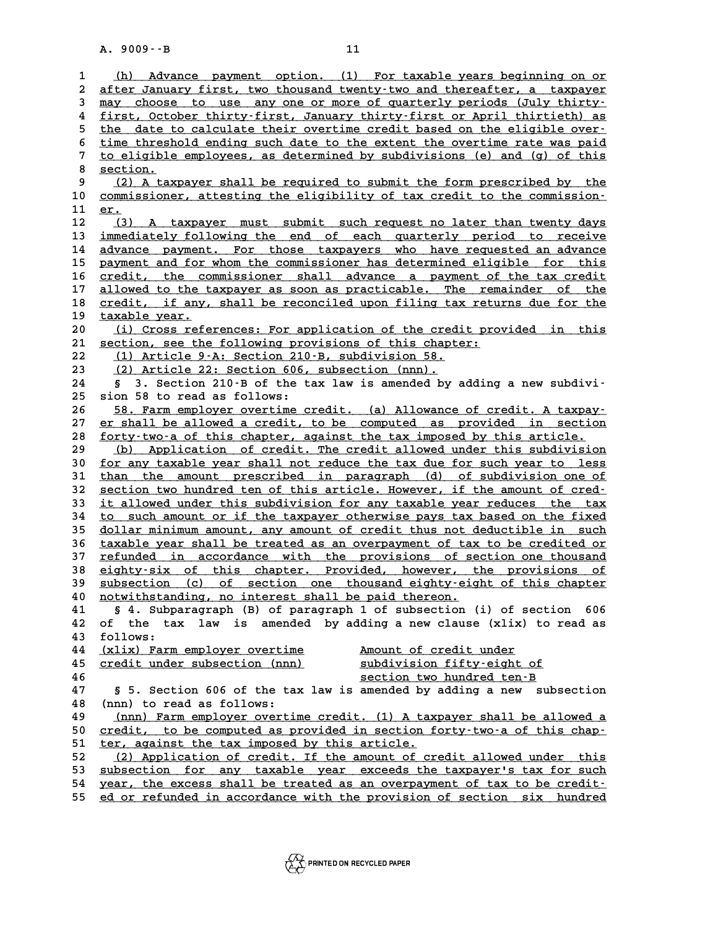A. 9009 · · B<br>
11<br>
<u>(h) Advance payment option. (1) For taxable years beginning on or</u><br>
2 after Ianuary first, two thousand tyonty-tyo and thoroafter a taxoayor <u>(h) Advance payment option. (1) For taxable years beginning on or</u><br>2 <u>after January first, two thousand twenty-two and thereafter, a taxpayer</u><br>3 may ghoose to use any one or more of guarterly periods (July thirty. (h) Advance payment option. (1) For taxable years beginning on or<br>
2 after January first, two thousand twenty-two and thereafter, a taxpayer<br>
3 <u>may choose to use any one or more of quarterly periods (July thirty-</u><br>
4 firs 4 after January first, two thousand twenty-two and thereafter, a taxpayer<br>  $\frac{1}{2}$  may choose to use any one or more of quarterly periods (July thirty-<br>  $\frac{1}{2}$  first, October thirty-first, January thirty-first or Apri **5** may choose to use any one or more of quarterly periods (July thirty-<br> **iinst**, October thirty-first, January thirty-first or April thirtieth) as<br>
<u>the date to calculate their overtime credit based on the eligible over-</u> 4 <u>first, October thirty-first, January thirty-first or April thirtieth) as<br>5 the date to calculate their overtime credit based on the eligible over-<br>6 time threshold ending such date to the extent the overtime rate was pa</u> the date to calculate their overtime credit based on the eligible over-<br>
<u>time threshold ending such date to the extent the overtime rate was paid</u><br>
<u>to eligible employees, as determined by subdivisions (e) and (g) of this</u> 8 <u>time thresh</u><br>
8 <u>section.</u><br>
8 (2) 1 to v to eligible employees, as determined by subdivisions (e) and (g) of this<br>8 <u>section.</u><br>9 (2) A taxpayer shall be required to submit the form prescribed by the<br>2 commissioner attoring the eligibility of tax gradit to the com 8 <u>section.</u><br>
9 (2) A taxpayer shall be required to submit the form prescribed by the<br>
10 <u>commissioner, attesting the eligibility of tax credit to the commission.</u><br>
11 er 10 (2) A taxpayer shall be required to submit the form prescribed by the<br>10 <u>commissioner, attesting the eligibility of tax credit to the commission-</u><br>11 <u>er.</u><br>12 (3) A taxpayer must submit such request no later than twent commissioner, attesting the eligibility of tax credit to the commission-<br>
11 <u>er.</u><br>
(3) A taxpayer must submit such request no later than twenty days<br>
immediately following the end of each guarterly period to receive 11 <u>er.</u><br>12 (3) A taxpayer must submit such request no later than twenty days<br>13 <u>immediately following the end of each quarterly period to receive</u><br>14 advance payment. For these taxpayers who have requested an advance 12 (3) A taxpayer must submit such request no later than twenty days<br>13 <u>immediately following the end of each quarterly period to receive</u><br>14 advance payment. For those taxpayers who have requested an advance<br>215 november 13 <u>immediately following the end of each quarterly period to receive</u><br>14 <u>advance payment. For those taxpayers who have requested an advance</u><br>15 <u>payment and for whom the commissioner has determined eligible for this</u><br>16 16 <u>credit, the commissioner shall advance a payment of the tax credit</u><br>17 allowed to the taxpayer as soon as practicable. The remainder of the **15 payment and for whom the commissioner has determined eligible for this**<br>16 <u>credit, the commissioner shall advance a payment of the tax credit</u><br>17 <u>allowed to the taxpayer as soon as practicable. The remainder of the</u><br> 16 <u>credit, the commissioner shall advance a payment of the tax credit</u><br>17 <u>allowed to the taxpayer as soon as practicable. The remainder of the</u><br>28 <u>credit, if any, shall be reconciled upon filing tax returns due for the</u> 17 allowed to the t.<br>18 <u>credit, if any,</u><br>19 taxable year.<br>20 (i) Cross refe 20 **20 (i)** Cross references: For application of the credit provided in this section, see the following provisions of this chapter: 20 <u>(i) Cross references: For application of the credit provided in this</u><br>21 <u>section, see the following provisions of this chapter:</u><br>22 <u>(1) Article 9–A: Section 210–B, subdivision 58.</u> 21 <u>section, see the following provisions of this chapter:</u><br>
22 <u>(1) Article 9-A: Section 210-B, subdivision 58.</u><br>
23 (2) Article 22: Section 606, subsection (nnn). 21 <u>section, see the following provisions of this chapt</u><br>
22 (1) Article 9-A: Section 210-B, subdivision 58.<br>
23 (2) Article 22: Section 606, subsection (nnn). **24 § 3. Section 210-B of the tax law is amended by adding a new subdivi-23** <u>(2) Article 22: Section 606,</u><br>24 § 3. Section 210-B of the t.<br>25 sion 58 to read as follows: **8 3. Section 210 B of the tax law is amended by adding a new subdivi-**<br> **25 sion 58 to read as follows:**<br>
<u>58. Farm employer overtime credit. (a) Allowance of credit. A taxpay-</u><br> **27** or shall be allowed a gredit to be co <sup>25</sup> sion 58 to read as follows:<br>
26 58. Farm employer overtime credit. (a) Allowance of credit. A taxpay-<br>
27 er shall be allowed a credit, to be computed as provided in section<br>
5 forty type of this shorter, espinat the 58. Farm employer overtime credit. (a) Allowance of credit. A taxpay-<br>27 er shall be allowed a credit, to be computed as provided in section<br>28 forty-two-a of this chapter, against the tax imposed by this article.<br>(b) Appl 27 er shall be allowed a credit, to be computed as provided in section<br>
28 <u>forty-two-a of this chapter, against the tax imposed by this article.</u><br>
29 (b) Application of credit. The credit allowed under this subdivision<br>
3 30 <u>for any taxable year shall not reduce the tax due for such year to less</u><br>31 than the amount prescribed in paragraph (d) of subdivision one of (b) Application of credit. The credit allowed under this subdivision<br>30 <u>for any taxable year shall not reduce the tax due for such year to less</u><br>31 <u>than the amount prescribed in paragraph</u> (d) of subdivision one of<br>32 se **30** <u>for any taxable year shall not reduce the tax due for such year to less</u><br> **31** <u>than the amount prescribed in paragraph</u> (d) of subdivision one of<br>
<u>section two hundred ten of this article. However, if the amount of </u> 31 than the amount prescribed in paragraph (d) of subdivision one of<br>32 <u>section two hundred ten of this article</u>. However, if the amount of cred-<br>33 <u>it allowed under this subdivision for any taxable year reduces the tax</u> 32 <u>section two hundred ten of this article. However, if the amount of cred-<br>33 it allowed under this subdivision for any taxable year reduces the tax<br>34 to such amount or if the taxpayer otherwise pays tax based on the fi</u> 33 it allowed under this subdivision for any taxable year reduces the tax<br>34 <u>to such amount or if the taxpayer otherwise pays tax based on the fixed</u><br>35 <u>dollar minimum amount, any amount of credit thus not deductible in </u> to such amount or if the taxpayer otherwise pays tax based on the fixed<br>
35 dollar minimum amount, any amount of credit thus not deductible in such<br>
36 taxable year shall be treated as an overpayment of tax to be credited 35 dollar minimum amount, any amount of credit thus not deductible in such<br>36 taxable year shall be treated as an overpayment of tax to be credited or<br>37 refunded in accordance with the provisions of section one thousand<br>3 36 taxable year shall be treated as an overpayment of tax to be credited or<br>37 refunded in accordance with the provisions of section one thousand<br>38 eighty-six of this chapter. Provided, however, the provisions of<br>subsecti **37** refunded in accordance with the provisions of section one thousand<br> **38** eighty-six of this chapter. Provided, however, the provisions of<br> **39** subsection (c) of section one thousand eighty-eight of this chapter<br> **10** destandance of this chapter. Provided, however, the provisions of this chapter and subsection (c) of section one thousand eighty-eight of this chapter notwithstanding, no interest shall be paid thereon.<br> **41 8** 4. Subpar **41 § 4. Subparagraph (B) of paragraph 1 of subsection (i) of section 606 40** <u>notwithstanding, no interest shall be paid thereon.</u><br>41 § 4. Subparagraph (B) of paragraph 1 of subsection (i) of section 606<br>42 of the tax law is amended by adding a new clause (xlix) to read as<br><sup>43</sup> follows: **41 5 4. Subp**<br>**42** of the ta:<br>**43** follows: **44 (xlix) Farm employer overtime Amount of credit under \_\_\_\_\_\_\_\_\_\_\_\_\_\_\_\_\_\_\_\_\_\_\_\_\_\_\_\_\_ \_\_\_\_\_\_\_\_\_\_\_\_\_\_\_\_\_\_\_\_\_\_** 43 follows:<br>
44 <u>(xlix) Farm employer overtime</u> <u>Amount of credit under</u><br>
45 <u>credit under subsection (nnn)</u> <u>section two hundred ten–B</u><br>
<u>section two hundred ten–B</u> 44 (xlix) Farm employer overtime<br>
45 <u>credit under subsection (nnn)</u><br>
46 <u>section two hundred ten-B</u><br>
47 5 5 Section 506 of the tax law is amonded by adding a new sub 45 **credit under subsection (nnn)**<br>46 **section 606 of the tax law is amended by adding a new subsection**<br>49 (nnn) to read as follows: **48 (nnn) to read as follows: 47** § 5. Section 606 of the tax law is amended by adding a new subsection<br>48 (nnn) to read as follows:<br><u>(nnn) Farm employer overtime credit. (1) A taxpayer shall be allowed a</u><br>50 sredit to be computed as previded in secti 48 (nnn) to read as follows:<br>49 <u>(nnn) Farm employer overtime credit. (1) A taxpayer shall be allowed a</u><br>50 <u>credit, to be computed as provided in section forty-two-a of this chap-</u><br>51 ter against the tax imposed by this a 49 (nnn) Farm employer overtime credit. (1) A tax<br>50 <u>credit, to be computed as provided in section f</u><br>51 <u>ter, against the tax imposed by this article.</u><br>52 (2) Application of grodit, If the amount of GT 50 <u>credit, to be computed as provided in section forty-two-a of this chap-</u><br>51 <u>ter, against the tax imposed by this article.</u><br>52 (2) Application of credit. If the amount of credit allowed under this<br>53 subsection for any 51 <u>ter, against the tax imposed by this article.</u><br>
52 (2) Application of credit. If the amount of credit allowed under this<br>
53 <u>subsection</u> for any taxable year exceeds the taxpayer's tax for such<br>
54 year, the excess sh 52 (2) Application of credit. If the amount of credit allowed under this<br>53 <u>subsection for any taxable year exceeds the taxpayer's tax for such</u><br>54 year, the excess shall be treated as an overpayment of tax to be credit-<br> 53 <u>subsection for any taxable year exceeds the taxpayer's tax for such</u><br>54 year, the excess shall be treated as an overpayment of tax to be credit-<br>55 <u>ed or refunded in accordance with the provision of section six hundre</u>

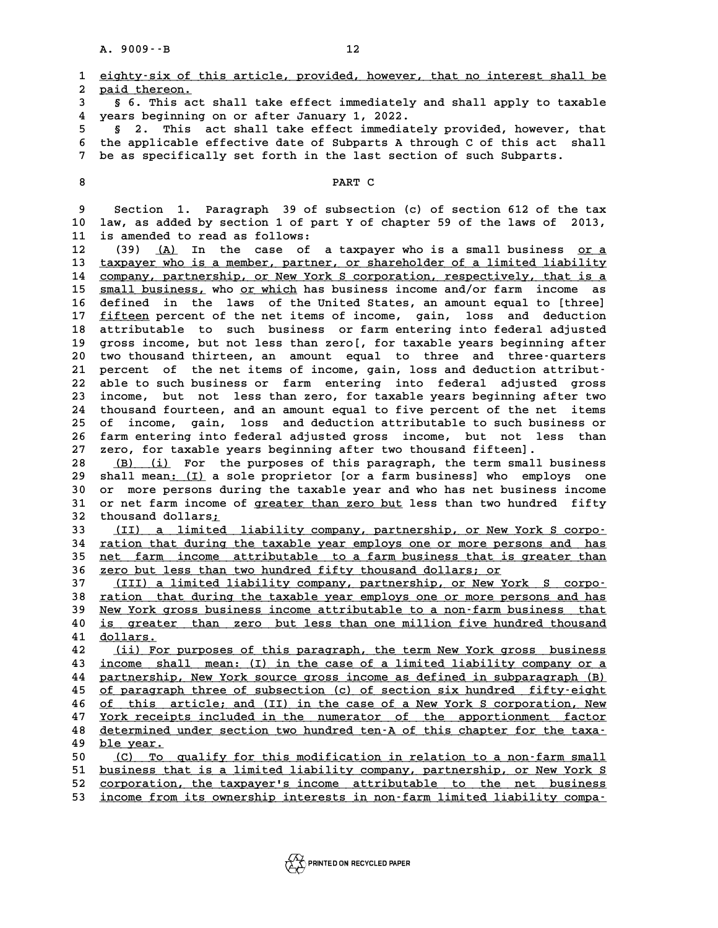|          | $A. 9009 - B$<br>12                                                                                                                                |
|----------|----------------------------------------------------------------------------------------------------------------------------------------------------|
| 1<br>2   | eighty-six of this article, provided, however, that no interest shall be<br>paid thereon.                                                          |
| 3<br>4   | § 6. This act shall take effect immediately and shall apply to taxable<br>years beginning on or after January 1, 2022.                             |
| 5        | This act shall take effect immediately provided, however, that<br>2.<br>Ş.                                                                         |
| 6<br>7   | the applicable effective date of Subparts A through C of this act shall<br>be as specifically set forth in the last section of such Subparts.      |
| 8        | PART C                                                                                                                                             |
| 9        | Section 1. Paragraph 39 of subsection (c) of section 612 of the tax                                                                                |
| 10       | law, as added by section 1 of part Y of chapter 59 of the laws of 2013,                                                                            |
| 11       | is amended to read as follows:                                                                                                                     |
| 12<br>13 | (39)<br>(A)<br>In the case of a taxpayer who is a small business or a<br>taxpayer who is a member, partner, or shareholder of a limited liability  |
| 14       | company, partnership, or New York S corporation, respectively, that is a                                                                           |
| 15       | small business, who or which has business income and/or farm income<br>as                                                                          |
| 16       | in the laws of the United States, an amount equal to [three]<br>defined                                                                            |
| 17       | fifteen percent of the net items of income, gain, loss and deduction                                                                               |
| 18       | attributable to such business or farm entering into federal adjusted                                                                               |
| 19       | gross income, but not less than zero[, for taxable years beginning after                                                                           |
| 20       | two thousand thirteen, an amount equal to three and three-quarters                                                                                 |
| 21<br>22 | percent of the net items of income, gain, loss and deduction attribut-<br>able to such business or farm entering into federal adjusted gross       |
| 23       | less than zero, for taxable years beginning after two<br>income,<br>but not                                                                        |
| 24       | thousand fourteen, and an amount equal to five percent of the net<br>items                                                                         |
| 25       | loss and deduction attributable to such business or<br>of<br>income, gain,                                                                         |
| 26       | farm entering into federal adjusted gross income, but not less than                                                                                |
| 27       | zero, for taxable years beginning after two thousand fifteen].                                                                                     |
| 28       | (B) (i) For the purposes of this paragraph, the term small business                                                                                |
| 29       | shall mean: (I) a sole proprietor [or a farm business] who employs one                                                                             |
| 30<br>31 | or more persons during the taxable year and who has net business income<br>or net farm income of greater than zero but less than two hundred fifty |
| 32       | thousand dollars;                                                                                                                                  |
| 33       | a limited liability company, partnership, or New York S corpo-<br>(II)                                                                             |
| 34       | ration that during the taxable year employs one or more persons and has                                                                            |
| 35       | net farm income attributable to a farm business that is greater than                                                                               |
| 36       | <u>zero but less than two hundred fifty thousand dollars; or</u>                                                                                   |
| 37<br>38 | (III) a limited liability company, partnership, or New York S corpo-<br>ration that during the taxable year employs one or more persons and has    |
| 39       | New York gross business income attributable to a non-farm business that                                                                            |
| 40       | is greater than zero but less than one million five hundred thousand                                                                               |
| 41       | dollars.                                                                                                                                           |
| 42       | (ii) For purposes of this paragraph, the term New York gross business                                                                              |
| 43       | income shall mean: (I) in the case of a limited liability company or a                                                                             |
| 44       | partnership, New York source gross income as defined in subparagraph (B)                                                                           |
| 45       | of paragraph three of subsection (c) of section six hundred fifty-eight<br>of this article; and (II) in the case of a New York S corporation, New  |
| 46<br>47 | York receipts included in the numerator of the apportionment factor                                                                                |
| 48       | determined under section two hundred ten-A of this chapter for the taxa-                                                                           |
| 49       | ble year.                                                                                                                                          |
| 50       | (C) To qualify for this modification in relation to a non-farm small                                                                               |
| 51       | business that is a limited liability company, partnership, or New York S                                                                           |
| 52<br>53 | corporation, the taxpayer's income attributable to the net business<br>income from its ownership interests in non-farm limited liability compa-    |

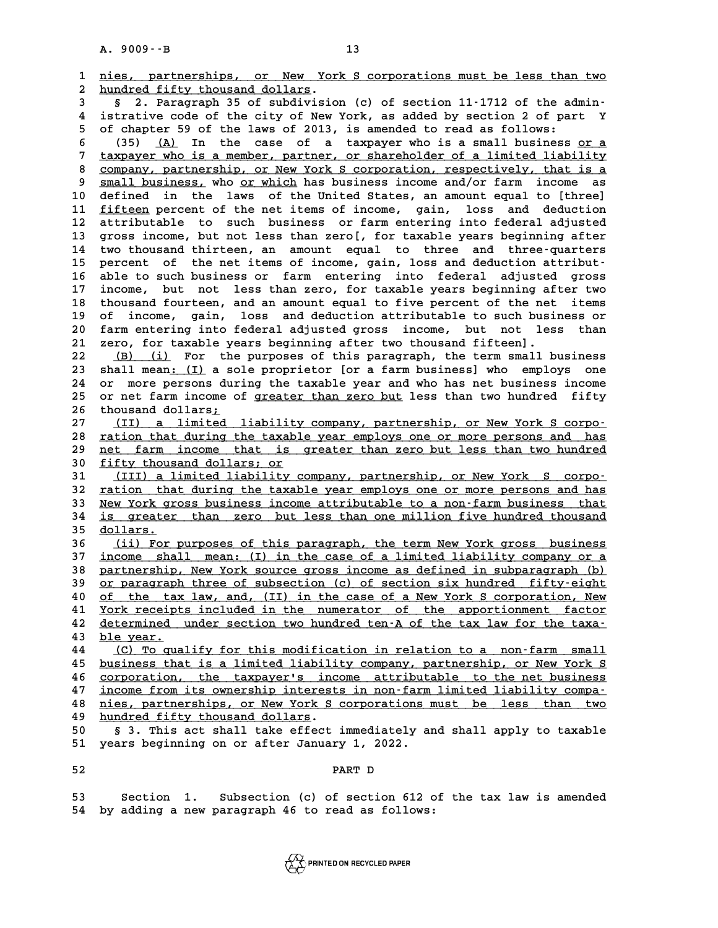|                | $A. 9009 - B$<br>13                                                                                                                            |
|----------------|------------------------------------------------------------------------------------------------------------------------------------------------|
| 1              | nies, partnerships, or New York S corporations must be less than two                                                                           |
| $\overline{a}$ | hundred fifty thousand dollars.                                                                                                                |
| 3              | § 2. Paragraph 35 of subdivision (c) of section 11-1712 of the admin-                                                                          |
| 4              | istrative code of the city of New York, as added by section 2 of part Y                                                                        |
| 5              | of chapter 59 of the laws of 2013, is amended to read as follows:                                                                              |
| 6              | In the case of a taxpayer who is a small business or a<br>(35)<br>(A)                                                                          |
| 7              | taxpayer who is a member, partner, or shareholder of a limited liability                                                                       |
| 8              | company, partnership, or New York S corporation, respectively, that is a                                                                       |
| 9<br>10        | small business, who or which has business income and/or farm income as                                                                         |
| 11             | defined in the laws of the United States, an amount equal to [three]<br>fifteen percent of the net items of income, gain, loss and deduction   |
| 12             | attributable to such business or farm entering into federal adjusted                                                                           |
| 13             | gross income, but not less than zero[, for taxable years beginning after                                                                       |
| 14             | two thousand thirteen, an amount equal to three and three-quarters                                                                             |
| 15             | of the net items of income, gain, loss and deduction attribut-<br>percent                                                                      |
| 16             | able to such business or farm entering<br>into federal<br>adjusted gross                                                                       |
| 17             | income, but not less than zero, for taxable years beginning after two                                                                          |
| 18             | thousand fourteen, and an amount equal to five percent of the net<br>items                                                                     |
| 19             | of income, gain, loss and deduction attributable to such business or                                                                           |
| 20             | farm entering into federal adjusted gross income, but not less than                                                                            |
| 21             | zero, for taxable years beginning after two thousand fifteen].                                                                                 |
| 22             | (B) (i) For the purposes of this paragraph, the term small business                                                                            |
| 23             | shall mean: (I) a sole proprietor [or a farm business] who employs one                                                                         |
| 24             | or more persons during the taxable year and who has net business income                                                                        |
| 25             | or net farm income of greater than zero but less than two hundred fifty                                                                        |
| 26             | thousand dollars;                                                                                                                              |
| 27<br>28       | (II) a limited liability company, partnership, or New York S corpo-<br>ration that during the taxable year employs one or more persons and has |
| 29             | net farm income that is greater than zero but less than two hundred                                                                            |
| 30             | fifty thousand dollars; or                                                                                                                     |
| 31             | (III) a limited liability company, partnership, or New York S corpo-                                                                           |
| 32             | ration that during the taxable year employs one or more persons and has                                                                        |
| 33             | New York gross business income attributable to a non-farm business that                                                                        |
| 34             | is greater than zero but less than one million five hundred thousand                                                                           |
| 35             | dollars.                                                                                                                                       |
| 36             | (ii) For purposes of this paragraph, the term New York gross business                                                                          |
| 37             | income shall mean: (I) in the case of a limited liability company or a                                                                         |
| 38             | partnership, New York source gross income as defined in subparagraph (b)                                                                       |
| 39             | or paragraph three of subsection (c) of section six hundred fifty-eight                                                                        |
| 40             | of the tax law, and, (II) in the case of a New York S corporation, New                                                                         |
| 41<br>42       | York receipts included in the numerator of the apportionment factor                                                                            |
| 43             | determined under section two hundred ten-A of the tax law for the taxa-<br>ble year.                                                           |
| 44             | (C) To qualify for this modification in relation to a non-farm small                                                                           |
| 45             | business that is a limited liability company, partnership, or New York S                                                                       |
| 46             | corporation, the taxpayer's income attributable to the net business                                                                            |
| 47             | income from its ownership interests in non-farm limited liability compa-                                                                       |
| 48             | nies, partnerships, or New York S corporations must be less than two                                                                           |
| 49             | hundred fifty thousand dollars.                                                                                                                |
| 50             | § 3. This act shall take effect immediately and shall apply to taxable                                                                         |
| 51             | years beginning on or after January 1, 2022.                                                                                                   |
| 52             | PART D                                                                                                                                         |
| 53             | Section 1. Subsection (c) of section 612 of the tax law is amended                                                                             |
| $F^{\prime}$   | by adding a now paragraph 16 to read as follows:                                                                                               |

**54 by adding a new paragraph 46 to read as follows:**

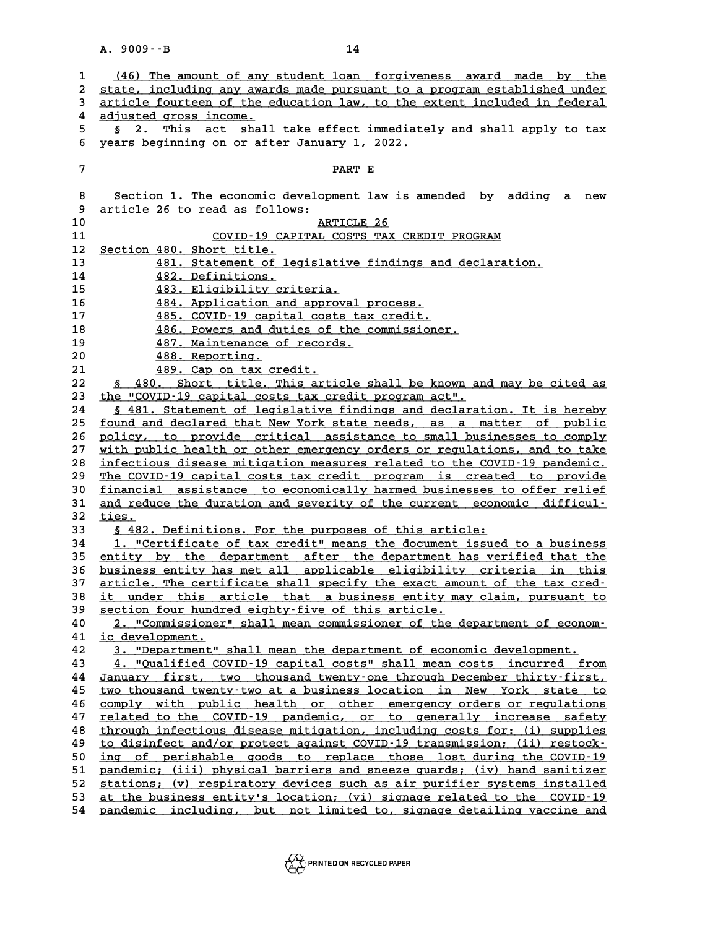|    | $A. 9009 - B$<br>14                                                          |
|----|------------------------------------------------------------------------------|
|    |                                                                              |
| 1  | (46) The amount of any student loan forgiveness award made by the            |
| 2  | state, including any awards made pursuant to a program established under     |
| 3  | article fourteen of the education law, to the extent included in federal     |
| 4  | adjusted gross income.                                                       |
| 5. | This act<br>shall take effect immediately and shall apply to tax<br>2.<br>Ş. |
| 6  | years beginning on or after January 1, 2022.                                 |
|    |                                                                              |
| 7  | PART E                                                                       |
| 8  | Section 1. The economic development law is amended by adding a<br>new        |
| 9  | article 26 to read as follows:                                               |
| 10 | ARTICLE 26                                                                   |
|    |                                                                              |
| 11 | COVID-19 CAPITAL COSTS TAX CREDIT PROGRAM                                    |
| 12 | Section 480. Short title.                                                    |
| 13 | 481. Statement of legislative findings and declaration.                      |
| 14 | 482. Definitions.                                                            |
| 15 | 483. Eligibility criteria.                                                   |
| 16 | 484. Application and approval process.                                       |
| 17 | 485. COVID-19 capital costs tax credit.                                      |
| 18 | 486. Powers and duties of the commissioner.                                  |
| 19 | 487. Maintenance of records.                                                 |
| 20 | 488. Reporting.                                                              |
| 21 | 489. Cap on tax credit.                                                      |
| 22 | § 480. Short title. This article shall be known and may be cited as          |
| 23 | the "COVID-19 capital costs tax credit program act".                         |
| 24 | § 481. Statement of legislative findings and declaration. It is hereby       |
| 25 | found and declared that New York state needs, as a matter of public          |
| 26 | policy, to provide critical assistance to small businesses to comply         |
| 27 | with public health or other emergency orders or regulations, and to take     |
| 28 | infectious disease mitigation measures related to the COVID-19 pandemic.     |
| 29 | The COVID-19 capital costs tax credit program is created to provide          |
| 30 | financial assistance to economically harmed businesses to offer relief       |
| 31 | and reduce the duration and severity of the current economic difficul-       |
| 32 | ties.                                                                        |
| 33 | § 482. Definitions. For the purposes of this article:                        |
| 34 | 1. "Certificate of tax credit" means the document issued to a business       |
| 35 | entity by the department after the department has verified that the          |
| 36 | business entity has met all applicable eligibility criteria in this          |
| 37 | article. The certificate shall specify the exact amount of the tax cred-     |
| 38 | it under this article that a business entity may claim, pursuant to          |
| 39 | section four hundred eighty-five of this article.                            |
| 40 | 2. "Commissioner" shall mean commissioner of the department of econom-       |
| 41 | ic development.                                                              |
| 42 | 3. "Department" shall mean the department of economic development.           |
| 43 | 4. "Qualified COVID-19 capital costs" shall mean costs incurred from         |
| 44 | January first, two thousand twenty-one through December thirty-first,        |
| 45 | two thousand twenty-two at a business location in New York state to          |
| 46 | comply with public health or other emergency orders or regulations           |
| 47 | related to the COVID-19 pandemic, or to generally increase safety            |
| 48 | through infectious disease mitigation, including costs for: (i) supplies     |
| 49 | to disinfect and/or protect against COVID-19 transmission; (ii) restock-     |
| 50 | ing of perishable goods to replace those lost during the COVID-19            |
| 51 | pandemic; (iii) physical barriers and sneeze guards; (iv) hand sanitizer     |
| 52 | stations; (v) respiratory devices such as air purifier systems installed     |
| 53 | at the business entity's location; (vi) signage related to the COVID-19      |
| 54 | pandemic including, but not limited to, signage detailing vaccine and        |
|    |                                                                              |

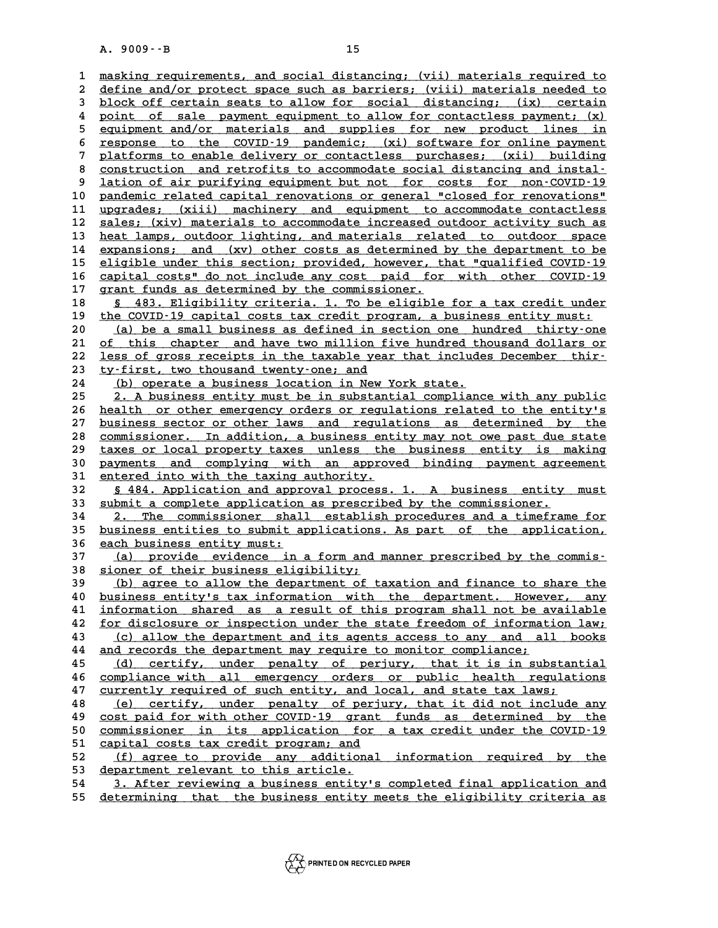A. 9009 · · B<br>15<br>1 <u>masking requirements, and social distancing; (vii) materials required to</u><br>2 define and/or protect space such as barriers; (wiii) materials peodod to 1 <u>masking requirements, and social distancing; (vii) materials required to</u><br>2 <u>define and/or protect space such as barriers; (viii) materials needed to</u><br>3 block off certain seats to allow for social distancing: (ix) certa 1 <u>masking requirements, and social distancing; (vii) materials required to define and/or protect space such as barriers; (viii) materials needed to block off certain seats to allow for social distancing; (ix) certain poin</u> define and/or protect space such as barriers; (viii) materials needed to<br> **4** block off certain seats to allow for social distancing; (ix) certain<br> **4** point of sale payment equipment to allow for contactless payment; (x)<br> block off certain seats to allow for social distancing; (ix) certain<br>4 point of sale payment equipment to allow for contactless payment; (x)<br>5 equipment and/or materials and supplies for new product lines in<br>5 response to 8 point of sale payment equipment to allow for contactless payment; (x)<br>
5 equipment and/or materials and supplies for new product lines in<br>
<u>sesponse to the COVID-19 pandemic; (xi) software for online payment</u><br>
This part 5 equipment and/or materials and supplies for new product lines in<br>
f response to the COVID-19 pandemic; (xi) software for online payment<br>
platforms to enable delivery or contactless purchases; (xii) building<br>
construction 8 response to the COVID-19 pandemic; (xi) software for online payment<br>
7 platforms to enable delivery or contactless purchases; (xii) building<br>
8 <u>construction</u> and retrofits to accommodate social distancing and instal-<br>
9 9 platforms to enable delivery or contactless purchases; (xii) building<br>8 <u>construction and retrofits to accommodate social distancing and instal-</u><br>9 <u>lation of air purifying equipment but not for costs for non-COVID-19</u><br>1 8 construction and retrofits to accommodate social distancing and instal-<br>
9 lation of air purifying equipment but not for costs for non-COVID-19<br> **pandemic related capital renovations or general "closed for renovations"**<br> 9 lation of air purifying equipment but not for costs for non-COVID-19<br>
10 pandemic related capital renovations or general "closed for renovations"<br>
11 upgrades; (xii) machinery and equipment to accommodate contactless<br>
22 **10** pandemic related capital renovations or general "closed for renovations"<br> **11** upgrades; (xii) machinery and equipment to accommodate contactless<br> **22** sales; (xiv) materials to accommodate increased outdoor activity 11 upgrades; (xiii) machinery and equipment to accommodate contactless<br>
12 <u>sales; (xiv)</u> materials to accommodate increased outdoor activity such as<br>
13 heat lamps, outdoor lighting, and materials related to outdoor space 13 <u>heat lamps, outdoor lighting, and materials related to outdoor space</u><br>14 <u>expansions; and (xv) other costs as determined by the department to be</u><br>15 eligible under this section; provided, however, that "qualified COVID **15** eligible under this section; provided, however, that "qualified COVID-19<br>16 capital costs" do not include any cost, paid, for with other COVID-19 **14 expansions; and (xv) other costs as determined by the department to be**<br>15 eligible under this section; provided, however, that "qualified COVID-19<br>20 capital costs" do not include any cost paid for with other COVID-19 **15 eligible under this section; provided, however, t**<br>16 capital costs" do not include any cost paid for<br>17 grant funds as determined by the commissioner.<br>18 fe<sup>192</sup> Fligibility criteria 1 ma be eligible **16 <u>capital costs"</u> do not include any cost paid for with other COVID-19<br>17 grant funds as determined by the commissioner.<br>18 <u>\$ 483. Eligibility criteria. 1. To be eligible for a tax credit under</u><br>the COVID-19 gapital go** qrant funds as determined by the commissioner.<br>
18 <u>\$ 483. Eligibility</u> criteria. 1. To be eligible for a tax credit under<br>
the COVID-19 capital costs tax credit program, a business entity must:<br>
(a) be a small business as **8 483. Eligibility criteria. 1. To be eligible for a tax credit under**<br> **20** (a) be a small business as defined in section one hundred thirty-one<br> **21** of this chapter and baye type million five hundred thousand dollars o the COVID-19 capital costs tax credit program, a business entity must:<br>
20 (a) be a small business as defined in section one hundred thirty-one<br>
21 of this chapter and have two million five hundred thousand dollars or<br>
22 (a) be a small business as defined in section one hundred thirty-one<br>
21 of this chapter and have two million five hundred thousand dollars or<br>
22 <u>less of gross receipts in the taxable year that includes December thir-</u><br> 21 <u>of this chapter and have two million f</u><br>22 <u>less of gross receipts in the taxable yea</u><br>23 <u>ty-first, two thousand twenty-one; and</u><br>24 (b) coerate a business lostion in New i **22 <u>less of gross receipts in the taxable year that include</u><br>
<b>23** <u>ty-first, two thousand twenty-one; and</u><br>
<u>24 (b) operate a business location in New York state.</u><br>
25 2 A business optiture with bein substantial complian **23** <u>ty-first, two thousand twenty-one; and</u><br>
<u>24 (b) operate a business location in New York state.</u><br>
<u>25 2. A business entity must be in substantial compliance with any public</u><br>
boath or sther grappersy: orders ar requi 24 (b) operate a business location in New York state.<br>
25 2. A business entity must be in substantial compliance with any public<br>
26 <u>health or other emergency orders or regulations related to the entity's</u><br>
27 husiness se 25 2. A business entity must be in substantial compliance with any public<br>
26 <u>health or other emergency orders or regulations related to the entity's<br>
27 business sector or other laws and regulations as determined by the<br></u> 26 <u>health or other emergency orders or regulations related to the entity's<br>27 business sector or other laws and regulations as determined by the<br>28 <u>commissioner. In addition, a business entity may not owe past due state</u></u> **27 business sector or other laws and regulations as determined by the commissioner. In addition, a business entity may not owe past due state**<br> **29 taxes or local property taxes unless the business entity is making paymen** 28 commissioner. In addition, a business entity may not owe past due state<br>29 taxes or local property taxes unless the business entity is making<br>30 payments and complying with an approved binding payment agreement<br>31 enter <sup>29</sup> taxes or local property taxes unless the<br>
30 payments and complying with an approv<br>
31 entered into with the taxing authority. pothermal and complying with an approved binding payment agreement<br>
31 <u>entered into with the taxing authority</u>.<br>
32 <u>§ 484. Application and approval process. 1. A business entity must</u><br>
33 submit a complete application as 31 <u>entered into with the taxing authority.</u><br>
32 <u>§ 484. Application and approval process. 1. A business entity</u><br>
33 <u>submit a complete application as prescribed by the commissioner.</u><br>
<sup>24</sup> <sup>2</sup> The commissioner shall estab **32** <u>§ 484. Application and approval process. 1. A business entity must</u><br> **33** <u>submit a complete application as prescribed by the commissioner.</u><br>
<u>2. The commissioner shall establish procedures and a timeframe for</u><br> **bus** 33 <u>submit a complete application as prescribed by the commissioner.</u><br>
<u>2. The commissioner shall establish procedures and a timeframe for<br>
business entities to submit applications. As part of the application,<br>
26 angle bu</u> **34** 2. The commissioner shal<br>35 <u>business entities to submit a</u><br>36 <u>each business entity must:</u><br>27 (a) provide ovidence in **35 business entities to submit applications. As part of the application,**<br> **36 each business entity must:**<br> **37** (a) provide evidence in a form and manner prescribed by the commis-<br> **38 signor of their business eligibilit** 36 each business entity must:<br>37 (a) provide evidence in a form and is<br>38 sioner of their business eligibility;<br><sup>29</sup> (b) agree to allow the department of t **37** (a) provide evidence in a form and manner prescribed by the commis-<br> **38** <u>sioner of their business eligibility;</u><br> **39** (b) agree to allow the department of taxation and finance to share the<br> **10** business entitula ta 38 <u>sioner of their business eligibility;</u><br>(b) agree to allow the department of taxation and finance to share the<br>40 <u>business entity's tax information with the department. However, any</u><br>41 information shared as a result o (b) agree to allow the department of taxation and finance to share the<br>
40 <u>business entity's tax information with the department. However, any<br>
41 <u>information shared</u> as a result of this program shall not be available<br>
f</u> **40** <u>business entity's tax information with the department. However, any information shared as a result of this program shall not be available for disclosure or inspection under the state freedom of information law; (c) a</u> 41 <u>information shared as a result of this program shall not be available</u><br>42 <u>for disclosure or inspection under the state freedom of information law;</u><br>43 <u>(c) allow the department and its agents access to any and all boo</u> **<u>42** for disclosure or inspection under the state freedom of information law;<br>
43 (c) allow the department and its agents access to any and all books<br>
44 and records the department may require to monitor compliance;<br>
45 (</u> 43 (c) allow the department and its agents access to any and all books<br>44 <u>and records the department may require to monitor compliance;</u><br>45 (d) certify, under penalty of perjury, that it is in substantial<br>26 compliance wi and records the department may require to monitor compliance;<br>
(d) certify, under penalty of perjury, that it is in substantial<br>
<u>compliance with all emergency orders or public health regulations</u><br>
(d) certify, under penal 45 (d) certify, under penalty of perjury, that it is in substan<br>46 <u>compliance with all emergency orders or public health regulat</u><br>47 <u>currently required of such entity, and local, and state tax laws;</u><br>(e) contificial prop 46 compliance with all emergency orders or public health regulations<br>47 <u>currently required of such entity, and local, and state tax laws;</u><br><u>(e) certify, under penalty of perjury, that it did not include any</u><br>2001 point of **47** currently required of such entity, and local, and state tax laws;<br> **48** (e) certify, under penalty of perjury, that it did not include any<br>
<u>cost paid for with other COVID-19</u> grant funds as determined by the<br>
commiss **50 (e) certify, under penalty of perjury, that it did not include any<br>
<u>cost paid for with other COVID-19</u> grant funds as determined by the<br>
<u>commissioner in its application for a tax credit under the COVID-19</u><br>
capital c 50** cost paid for with other COVID-19 grant<br>
50 commissioner in its application for<br>
<u>capital costs tax credit program; and</u><br>
52 (f) agree to provide any additional **50** commissioner in its application for a tax credit under the COVID-19<br> **51** capital costs tax credit program; and<br> **52** (f) agree to provide any additional information required by the<br> **63** department relevant to this a 51 <u>capital costs tax credit program; and</u><br>
52 <u>(f) agree to provide any additional information required by the</u><br>
53 <u>department relevant to this article.</u><br>
54 3. After reviewing a business entity's completed final applica 52 <u>(f) agree to provide any additional information required by the</u><br>53 <u>department relevant to this article.</u><br>54 3. After reviewing a business entity's completed final application and<br>55 determining that the business enti

**55 determining that the business entity meets the eligibility criteria as \_\_\_\_\_\_\_\_\_\_\_\_\_\_\_\_\_\_\_\_\_\_\_\_\_\_\_\_\_\_\_\_\_\_\_\_\_\_\_\_\_\_\_\_\_\_\_\_\_\_\_\_\_\_\_\_\_\_\_\_\_\_\_\_\_\_\_\_\_\_\_\_**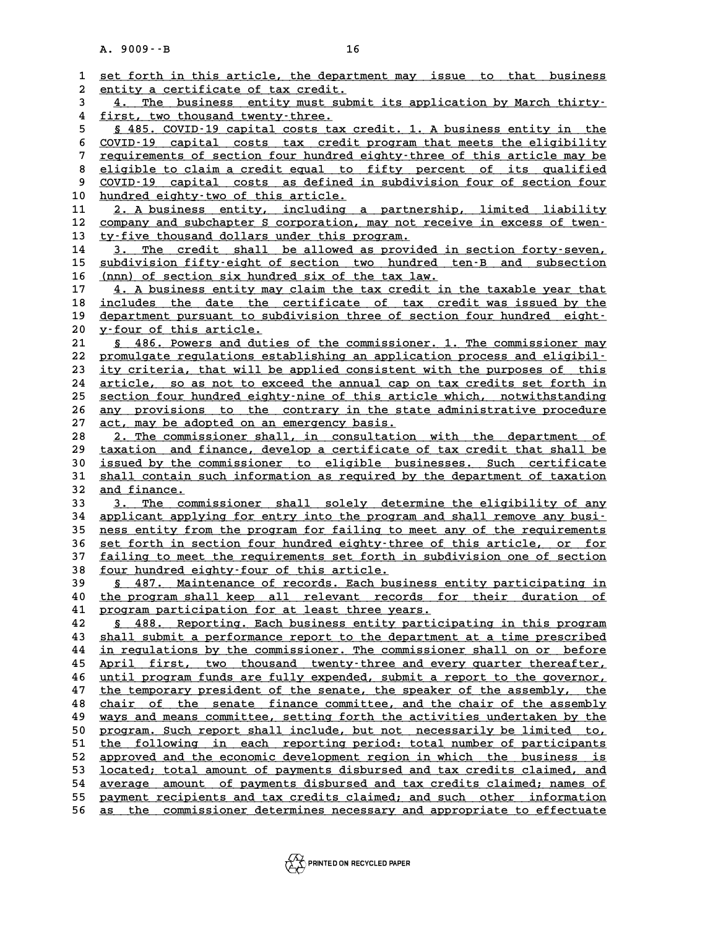|          | $A. 9009 - B$<br>16                                                                                                                              |
|----------|--------------------------------------------------------------------------------------------------------------------------------------------------|
|          |                                                                                                                                                  |
| 1        | set forth in this article, the department may issue to that business                                                                             |
| 2        | entity a certificate of tax credit.                                                                                                              |
| 3<br>4   | 4. The business entity must submit its application by March thirty-<br>first, two thousand twenty-three.                                         |
| 5        | § 485. COVID-19 capital costs tax credit. 1. A business entity in the                                                                            |
| 6        | COVID-19 capital costs tax credit program that meets the eligibility                                                                             |
| 7        | requirements of section four hundred eighty-three of this article may be                                                                         |
| 8        | eligible to claim a credit equal to fifty percent of its qualified                                                                               |
| 9        | COVID-19 capital costs as defined in subdivision four of section four                                                                            |
| 10       | hundred eighty-two of this article.                                                                                                              |
| 11       | 2. A business entity, including a partnership, limited liability                                                                                 |
| 12       | company and subchapter S corporation, may not receive in excess of twen-                                                                         |
| 13       | ty-five thousand dollars under this program.                                                                                                     |
| 14       | The credit shall be allowed as provided in section forty-seven,<br>3.                                                                            |
| 15       | subdivision fifty-eight of section two hundred ten-B and subsection                                                                              |
| 16       | (nnn) of section six hundred six of the tax law.                                                                                                 |
| 17       | 4. A business entity may claim the tax credit in the taxable year that                                                                           |
| 18       | includes the date the certificate of tax credit was issued by the                                                                                |
| 19<br>20 | department pursuant to subdivision three of section four hundred eight-<br>y-four of this article.                                               |
| 21       | § 486. Powers and duties of the commissioner. 1. The commissioner may                                                                            |
| 22       | promulgate regulations establishing an application process and eligibil-                                                                         |
| 23       | ity criteria, that will be applied consistent with the purposes of this                                                                          |
| 24       | article, so as not to exceed the annual cap on tax credits set forth in                                                                          |
| 25       | section four hundred eighty-nine of this article which, notwithstanding                                                                          |
| 26       | any provisions to the contrary in the state administrative procedure                                                                             |
| 27       | act, may be adopted on an emergency basis.                                                                                                       |
| 28       | 2. The commissioner shall, in consultation with the department of                                                                                |
| 29<br>30 | taxation and finance, develop a certificate of tax credit that shall be<br>issued by the commissioner to eligible businesses. Such certificate   |
| 31       | shall contain such information as required by the department of taxation                                                                         |
| 32       | and finance.                                                                                                                                     |
| 33       | 3. The commissioner shall solely determine the eligibility of any                                                                                |
| 34       | applicant applying for entry into the program and shall remove any busi-                                                                         |
| 35       | ness entity from the program for failing to meet any of the requirements                                                                         |
| 36       | set forth in section four hundred eighty-three of this article, or for                                                                           |
| 37       | failing to meet the requirements set forth in subdivision one of section                                                                         |
| 38<br>39 | <u>four hundred eighty-four of this article.</u><br>487. Maintenance of records. Each business entity participating in                           |
| 40       | the program shall keep all relevant records for their duration of                                                                                |
| 41       | program participation for at least three years.                                                                                                  |
| 42       | § 488. Reporting. Each business entity participating in this program                                                                             |
| 43       | shall submit a performance report to the department at a time prescribed                                                                         |
| 44       | in regulations by the commissioner. The commissioner shall on or before                                                                          |
| 45       | April first, two thousand twenty-three and every quarter thereafter,                                                                             |
| 46       | until program funds are fully expended, submit a report to the governor,                                                                         |
| 47       | the temporary president of the senate, the speaker of the assembly, the                                                                          |
| 48<br>49 | chair of the senate finance committee, and the chair of the assembly<br>ways and means committee, setting forth the activities undertaken by the |
| 50       | program. Such report shall include, but not necessarily be limited to,                                                                           |
| 51       | the following in each reporting period: total number of participants                                                                             |
| 52       | approved and the economic development region in which the business is                                                                            |
| 53       | located; total amount of payments disbursed and tax credits claimed, and                                                                         |
| 54       | average amount of payments disbursed and tax credits claimed; names of                                                                           |
| 55       | payment recipients and tax credits claimed; and such other information                                                                           |
| 56       | as the commissioner determines necessary and appropriate to effectuate                                                                           |

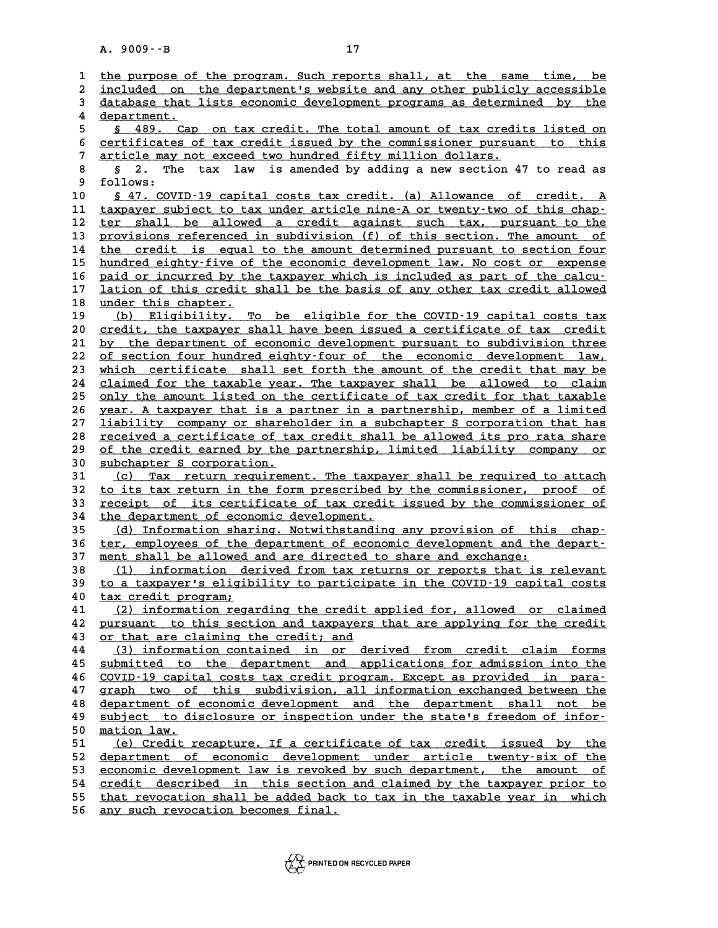|          | $A. 9009 - B$<br>17                                                                                                                                 |
|----------|-----------------------------------------------------------------------------------------------------------------------------------------------------|
|          |                                                                                                                                                     |
| 1        | the purpose of the program. Such reports shall, at the same time, be                                                                                |
| 2        | included on the department's website and any other publicly accessible                                                                              |
| 3        | database that lists economic development programs as determined by the                                                                              |
| 4        | department.                                                                                                                                         |
| 5        | § 489. Cap on tax credit. The total amount of tax credits listed on                                                                                 |
| 6        | certificates of tax credit issued by the commissioner pursuant to this                                                                              |
| 7        | article may not exceed two hundred fifty million dollars.                                                                                           |
| 8        | is amended by adding a new section 47 to read as<br>S.<br>2.<br>The<br>tax<br>law                                                                   |
| 9        | follows:                                                                                                                                            |
| 10<br>11 | § 47. COVID-19 capital costs tax credit. (a) Allowance of credit. A<br>taxpayer subject to tax under article nine-A or twenty-two of this chap-     |
| 12       | ter shall be allowed a credit against such tax, pursuant to the                                                                                     |
| 13       | provisions referenced in subdivision (f) of this section. The amount of                                                                             |
| 14       | the credit is equal to the amount determined pursuant to section four                                                                               |
| 15       | hundred eighty-five of the economic development law. No cost or expense                                                                             |
| 16       | paid or incurred by the taxpayer which is included as part of the calcu-                                                                            |
| 17       | lation of this credit shall be the basis of any other tax credit allowed                                                                            |
| 18       | under this chapter.                                                                                                                                 |
| 19       | (b) Eligibility. To be eligible for the COVID-19 capital costs tax                                                                                  |
| 20       | credit, the taxpayer shall have been issued a certificate of tax credit                                                                             |
| 21       | by the department of economic development pursuant to subdivision three                                                                             |
| 22       | of section four hundred eighty-four of the economic development law,                                                                                |
| 23       | which certificate shall set forth the amount of the credit that may be                                                                              |
| 24       | claimed for the taxable year. The taxpayer shall be allowed to claim                                                                                |
| 25       | only the amount listed on the certificate of tax credit for that taxable                                                                            |
| 26       | year. A taxpayer that is a partner in a partnership, member of a limited                                                                            |
| 27       | liability company or shareholder in a subchapter S corporation that has                                                                             |
| 28       | received a certificate of tax credit shall be allowed its pro rata share                                                                            |
| 29       | of the credit earned by the partnership, limited liability company or                                                                               |
| 30       | subchapter S corporation.                                                                                                                           |
| 31       | Tax return requirement. The taxpayer shall be required to attach<br>(C)                                                                             |
| 32       | to its tax return in the form prescribed by the commissioner, proof of                                                                              |
| 33       | receipt of its certificate of tax credit issued by the commissioner of                                                                              |
| 34       | the department of economic development.                                                                                                             |
| 35       | (d) Information sharing. Notwithstanding any provision of this chap-                                                                                |
| 36       | ter, employees of the department of economic development and the depart-                                                                            |
| 37       | ment shall be allowed and are directed to share and exchange:                                                                                       |
| 38       | (1)<br>information derived from tax returns or reports that is relevant<br>to a taxpayer's eligibility to participate in the COVID-19 capital costs |
| 39<br>40 | tax credit program;                                                                                                                                 |
| 41       | (2) information regarding the credit applied for, allowed or claimed                                                                                |
| 42       | pursuant to this section and taxpayers that are applying for the credit                                                                             |
| 43       | or that are claiming the credit; and                                                                                                                |
| 44       | (3) information contained in or derived from credit claim forms                                                                                     |
| 45       | submitted to the department and applications for admission into the                                                                                 |
| 46       | COVID-19 capital costs tax credit program. Except as provided in para-                                                                              |
| 47       | graph two of this subdivision, all information exchanged between the                                                                                |
| 48       | department of economic development and the department shall not be                                                                                  |
| 49       | subject to disclosure or inspection under the state's freedom of infor-                                                                             |
| 50       | mation law.                                                                                                                                         |
| 51       | (e) Credit recapture. If a certificate of tax credit issued by the                                                                                  |
| 52       | department of economic development under article twenty-six of the                                                                                  |
| 53       | economic development law is revoked by such department, the amount of                                                                               |
| 54       | credit described in this section and claimed by the taxpayer prior to                                                                               |
| 55       | that revocation shall be added back to tax in the taxable year in which                                                                             |
| 56       | any such revocation becomes final.                                                                                                                  |

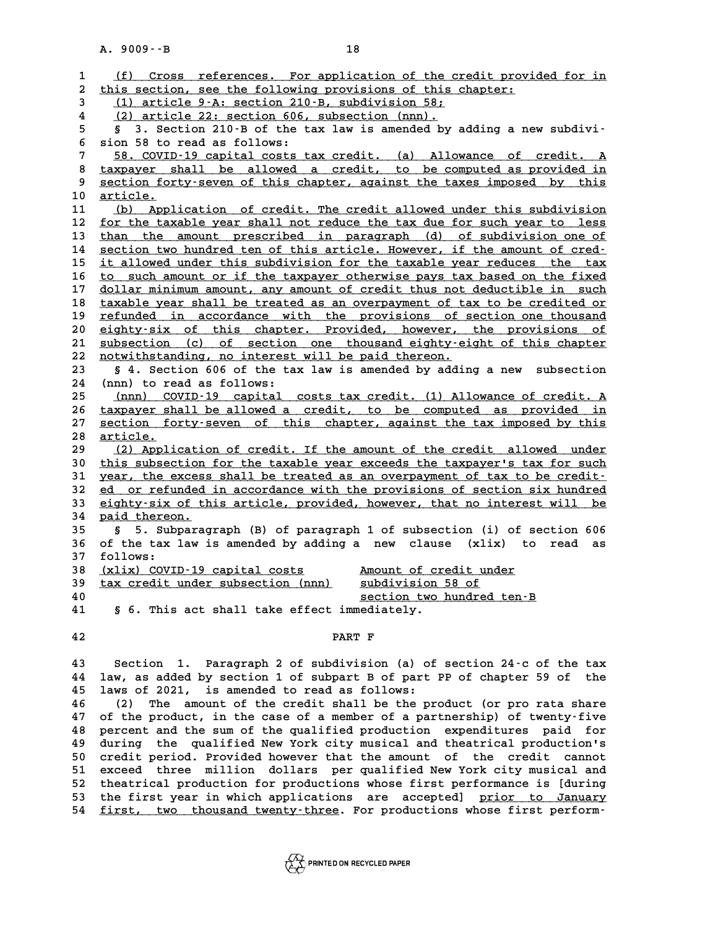|                | 18<br>$A. 9009 - B$                                                                                                                             |
|----------------|-------------------------------------------------------------------------------------------------------------------------------------------------|
| 1              | (f) Cross references. For application of the credit provided for in                                                                             |
| $\overline{a}$ | this section, see the following provisions of this chapter:                                                                                     |
| 3              | (1) article 9-A: section 210-B, subdivision 58;                                                                                                 |
| 4              | (2) article 22: section 606, subsection (nnn).                                                                                                  |
| 5              | 3. Section 210-B of the tax law is amended by adding a new subdivi-<br>S.                                                                       |
| 6              | sion 58 to read as follows:                                                                                                                     |
| 7              | 58. COVID-19 capital costs tax credit. (a) Allowance of credit. A                                                                               |
| 8<br>9         | taxpayer shall be allowed a credit, to be computed as provided in<br>section forty-seven of this chapter, against the taxes imposed by this     |
| 10             | <u>article.</u>                                                                                                                                 |
| 11             | (b) Application of credit. The credit allowed under this subdivision                                                                            |
| 12             | for the taxable year shall not reduce the tax due for such year to less                                                                         |
| 13             | than the amount prescribed in paragraph (d) of subdivision one of                                                                               |
| 14             | section two hundred ten of this article. However, if the amount of cred-                                                                        |
| 15             | it allowed under this subdivision for the taxable year reduces the tax                                                                          |
| 16             | to such amount or if the taxpayer otherwise pays tax based on the fixed                                                                         |
| 17             | dollar minimum amount, any amount of credit thus not deductible in such                                                                         |
| 18<br>19       | taxable year shall be treated as an overpayment of tax to be credited or                                                                        |
| 20             | refunded in accordance with the provisions of section one thousand<br>eighty-six of this chapter. Provided, however, the provisions of          |
| 21             | subsection (c) of section one thousand eighty-eight of this chapter                                                                             |
| 22             | notwithstanding, no interest will be paid thereon.                                                                                              |
| 23             | § 4. Section 606 of the tax law is amended by adding a new subsection                                                                           |
| 24             | (nnn) to read as follows:                                                                                                                       |
| 25             | (nnn) COVID-19 capital costs tax credit. (1) Allowance of credit. A                                                                             |
| 26             | taxpayer shall be allowed a credit, to be computed as provided in                                                                               |
| 27             | section forty-seven of this chapter, against the tax imposed by this                                                                            |
| 28<br>29       | <u>article.</u><br>(2) Application of credit. If the amount of the credit allowed under                                                         |
| 30             | this subsection for the taxable year exceeds the taxpayer's tax for such                                                                        |
| 31             | year, the excess shall be treated as an overpayment of tax to be credit-                                                                        |
| 32             | ed or refunded in accordance with the provisions of section six hundred                                                                         |
| 33             | eighty-six of this article, provided, however, that no interest will be                                                                         |
| 34             | paid thereon.                                                                                                                                   |
| 35             | 5. Subparagraph (B) of paragraph 1 of subsection (i) of section 606<br>S.                                                                       |
| 36             | of the tax law is amended by adding a new clause (xlix) to<br>read<br>as                                                                        |
| 37             | follows:                                                                                                                                        |
| 38<br>39       | (xlix) COVID-19 capital costs<br>Amount of credit under<br>tax credit under subsection (nnn)<br>subdivision 58 of                               |
| 40             | section two hundred ten-B                                                                                                                       |
| 41             | § 6. This act shall take effect immediately.                                                                                                    |
| 42             | PART F                                                                                                                                          |
| 43             | Section 1. Paragraph 2 of subdivision (a) of section 24-c of the tax                                                                            |
| 44             | law, as added by section 1 of subpart B of part PP of chapter 59 of the                                                                         |
| 45             | laws of 2021, is amended to read as follows:                                                                                                    |
| 46             | The amount of the credit shall be the product (or pro rata share<br>(2)                                                                         |
| 47             | of the product, in the case of a member of a partnership) of twenty-five                                                                        |
| 48<br>49       | percent and the sum of the qualified production expenditures paid for<br>during the qualified New York city musical and theatrical production's |
| 50             | credit period. Provided however that the amount of the credit cannot                                                                            |
| 51             | exceed three million dollars per qualified New York city musical and                                                                            |
| 52             | theatrical production for productions whose first performance is [during                                                                        |
| 53             | the first year in which applications are accepted] prior to January                                                                             |
| 54             | first, two thousand twenty-three. For productions whose first perform-                                                                          |

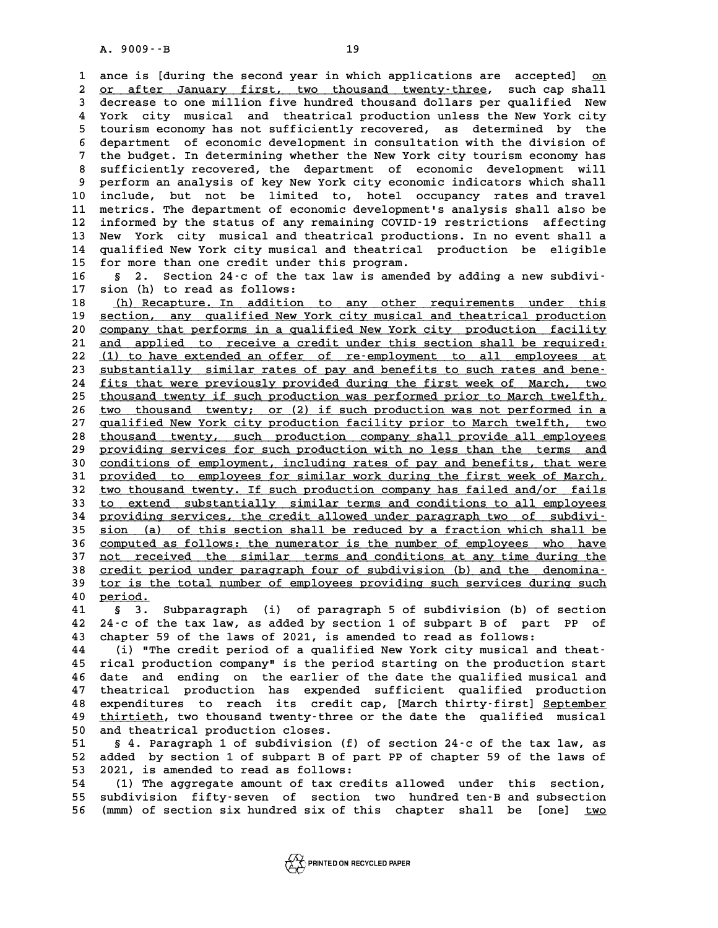**19**<br> **1** ance is [during the second year in which applications are accepted] <u>on</u><br> **2** are after January first, two thousand typety-three such san shall **2** ance is [during the second year in which applications are accepted] <u>on</u><br>2 <u>or after January first, two thousand twenty-three</u>, such cap shall<br>3 decrease to one million five bundred thousand dollars per qualified New **3** and is [during the second year in which applications are accepted] on<br>2 <u>or after January first, two thousand twenty-three</u>, such cap shall<br>3 decrease to one million five hundred thousand dollars per qualified New<br>2 Yo 2 <u>or after January first, two thousand twenty-three</u>, such cap shall<br>3 decrease to one million five hundred thousand dollars per qualified New<br>4 York city musical and theatrical production unless the New York city<br>5 touri **5** decrease to one million five hundred thousand dollars per qualified New<br> **4** York city musical and theatrical production unless the New York city<br> **5** tourism economy has not sufficiently recovered, as determined by th Fork city musical and theatrical production unless the New York city<br>
5 tourism economy has not sufficiently recovered, as determined by the<br>
6 department of economic development in consultation with the division of<br>
<sup>7</sup> t 5 tourism economy has not sufficiently recovered, as determined by the<br>6 department of economic development in consultation with the division of<br>7 the budget. In determining whether the New York city tourism economy has<br>20 **8 department of economic development in consultation with the division of**<br> **8 sufficiently recovered, the department of economic development will**<br> **8 sufficiently recovered, the department of economic development will**<br> 9 the budget. In determining whether the New York city tourism economy has<br>8 sufficiently recovered, the department of economic development will<br>9 perform an analysis of key New York city economic indicators which shall 8 sufficiently recovered, the department of economic development will<br>9 perform an analysis of key New York city economic indicators which shall<br>10 include, but not be limited to, hotel occupancy rates and travel<br><sup>11</sup> metr 9 perform an analysis of key New York city economic indicators which shall<br>10 include, but not be limited to, hotel occupancy rates and travel<br>11 metrics. The department of economic development's analysis shall also be<br><sup>12</sup> 10 include, but not be limited to, hotel occupancy rates and travel<br>11 metrics. The department of economic development's analysis shall also be<br>12 informed by the status of any remaining COVID-19 restrictions affecting<br><sup>13</sup> 11 metrics. The department of economic development's analysis shall also be<br>12 informed by the status of any remaining COVID-19 restrictions affecting<br>13 New York city musical and theatrical productions. In no event shall 12 informed by the status of any remaining COVID-19 restrictions affecting<br>13 New York city musical and theatrical productions. In no event shall a<br>14 qualified New York city musical and theatrical production be eligible<br>1 13 New York city musical and theatrical productions. In no event shall a<br>14 qualified New York city musical and theatrical production be eligible<br>15 for more than one credit under this program.<br>16 s 2. Section 24–c of the 14 qualified New York city musical and theatrical production be eligible<br>15 for more than one credit under this program.<br>16 § 2. Section 24-c of the tax law is amended by adding a new subdivi-<br><sup>17</sup> Sion (b) to road as foll

**15 for more than one credit under**<br>**16 § 2. Section 24-c of the ta:**<br>**17 sion (h) to read as follows:**<br>**19 (h) Deceptive** In addition **16 § 2.** Section 24-c of the tax law is amended by adding a new subdivi-<br>17 sion (h) to read as follows:<br><u>(h) Recapture. In addition to any other requirements under this</u><br>costion any gualified Nov York gity musical and th

**17** sion (h) to read as follows:<br> **18** (h) Recapture. In addition to any other requirements under this<br>
<u>19 section, any qualified New York city musical and theatrical production</u><br>
company that performs in a qualified New 18 (h) Recapture. In addition to any other requirements under this<br>19 <u>section, any qualified New York city musical and theatrical production</u><br>20 <u>company that performs in a qualified New York city production facility</u><br>21 19 <u>section, any qualified New York city musical and theatrical production</u><br>20 <u>company that performs in a qualified New York city production facility</u><br>21 <u>and applied to receive a credit under this section shall be requir</u> company that performs in a qualified New York city production facility<br>
21 and applied to receive a credit under this section shall be required:<br>
22 (1) to have extended an offer of re-employment to all employees at<br>
23 su 21 <u>and applied to receive a credit under this section shall be required:<br>22 (1) to have extended an offer of re-employment to all employees at<br>23 <u>substantially similar rates of pay and benefits to such rates and bene-</u><br>2</u> 22 (1) to have extended an offer of re-employment to all employees at<br>23 <u>substantially similar rates of pay and benefits to such rates and bene</u>-<br>24 <u>fits that were previously provided during the first week of March, two</u> 23 <u>substantially similar rates of pay and benefits to such rates and bene-</u><br>24 fits that were previously provided during the first week of March, two<br>25 thousand twenty if such production was performed prior to March twel 24 <u>fits that were previously provided during the first week of March, two thousand twenty if such production was performed prior to March twelfth, two thousand twenty; or (2) if such production was not performed in a gual</u> <sup>25</sup> thousand twenty if such production was performed prior to March twelfth, two thousand twenty; or (2) if such production was not performed in a qualified New York city production facility prior to March twelfth, two th 26 two thousand twenty; or (2) if such production was not performed in a<br>27 qualified New York city production facility prior to March twelfth, two<br>28 thousand twenty, such production company shall provide all employees<br>pr 27 <u>qualified New York city production facility prior to March twelfth, two</u><br>28 <u>thousand twenty, such production company shall provide all employees</u><br>29 <u>providing services for such production with no less than the terms </u> 28 thousand twenty, such production company shall provide all employees<br>29 providing services for such production with no less than the terms and<br>30 <u>conditions of employment, including rates of pay and benefits, that were</u> providing services for such production with no less than the terms and<br>30 <u>conditions of employment, including rates of pay and benefits, that were</u><br>31 <u>provided to employees for similar work during the first week of March</u> 30 conditions of employment, including rates of pay and benefits, that were<br>31 provided to employees for similar work during the first week of March,<br>32 two thousand twenty. If such production company has failed and/or fai 31 <u>provided to employees for similar work during the first week of March,</u><br>32 <u>two thousand twenty. If such production company has failed and/or fails</u><br>33 <u>to extend substantially similar terms and conditions to all emplo</u> **32 <u>two</u> thousand twenty. If such production company has failed and/or fails<br>
33 to extend substantially similar terms and conditions to all employees<br>
<u>providing services, the credit allowed under paragraph two of subdiv**</u> to extend substantially similar terms and conditions to all employees<br> **providing services**, the credit allowed under paragraph two of subdivi-<br>
<u>sion (a)</u> of this section shall be reduced by a fraction which shall be<br>
ser **34 providing services, the credit allowed under paragraph two of subdivi-**<br>35 <u>sion (a) of this section shall be reduced by a fraction which shall be<br>36 computed as follows: the numerator is the number of employees who ha</u> 35 <u>sion (a) of this section shall be reduced by a fraction which shall be<br>36 computed as follows: the numerator is the number of employees who have<br>37 <u>not received the similar terms and conditions at any time during the</u></u> 36 computed as follows: the numerator is the number of employees who have<br>37 <u>not received the similar terms and conditions at any time during the<br>38 credit period under paragraph four of subdivision (b) and the denomina-<br></u> 37 <u>not received the similar terms and conditions at any time during the credit period under paragraph four of subdivision (b) and the denomina-<br>39 tor is the total number of employees providing such services during such<br>2</u> <u>credit period under paragraph four of subdivision (b) and the denomination tor is the total number of employees providing such services during such<br>
40 period.<br>
41 § 3. Subparagraph (i) of paragraph 5 of subdivision (b) o</u> **40 <u>beriod.</u><br>
<b>41 §** 3. Subparagraph (i) of paragraph 5 of subdivision (b) of section<br> **42** 24 c of the tax law, as added by section 1 of subpart B of part PP of

**40** <u>period.</u><br>41 § 3. Subparagraph (i) of paragraph 5 of subdivision (b) of section<br>42 24-c of the tax law, as added by section 1 of subpart B of part PP of<br>43 chapter 59 of the laws of 2021 is amended to read as follows: 41 § 3. Subparagraph (i) of paragraph 5 of subdivision (b) of 42 24-c of the tax law, as added by section 1 of subpart B of part 43 chapter 59 of the laws of 2021, is amended to read as follows: 42 24 - c of the tax law, as added by section 1 of subpart B of part PP of<br>43 chapter 59 of the laws of 2021, is amended to read as follows:<br>(i) "The credit period of a qualified New York city musical and theat-<br><sup>15</sup> rigal

43 chapter 59 of the laws of 2021, is amended to read as follows:<br>44 (i) "The credit period of a qualified New York city musical and theat-<br>45 rical production company" is the period starting on the production start<br>46 dat (i) "The credit period of a qualified New York city musical and theat-<br>45 rical production company" is the period starting on the production start<br>46 date and ending on the earlier of the date the qualified musical and<br>47 a tical production company" is the period starting on the production start<br>46 date and ending on the earlier of the date the qualified musical and<br>47 theatrical production has expended sufficient qualified production<br>18 cu **46 date and ending on the earlier of the date the qualified musical and<br>47 theatrical production has expended sufficient qualified production<br>48 expenditures to reach its credit cap, [March thirty-first] September<br>thirtic** 47 theatrical production has expended sufficient qualified production<br>48 expenditures to reach its credit cap, [March thirty-first] <u>September</u><br>49 thirtieth, two thousand twenty-three or the date the qualified musical<br>50 a 48 expenditures to reach its credit<br>49 <u>thirtieth</u>, two thousand twenty-three<br>50 and theatrical production closes.<br>51 8 dependent 1 of subdivision (f **50 thirtieth, two thousand twenty-three or the date the qualified musical**<br>50 and theatrical production closes.<br>51 § 4. Paragraph 1 of subdivision (f) of section 24-c of the tax law, as<br>52 added by section 1 of subpart

**50** and theatrical production closes.<br>
51 § 4. Paragraph 1 of subdivision (f) of section 24-c of the tax law, as<br>
52 added by section 1 of subpart B of part PP of chapter 59 of the laws of<br>
53 2021 is amended to read as f 51 § 4. Paragraph 1 of subdivision (f) o<br>52 added by section 1 of subpart B of par<br>53 2021, is amended to read as follows:<br>54 (1) The aggregate amount of tax gradi

**54 (1) The aggregate amount of tax credits allowed under this section, 53 2021, is amended to read as follows:**<br> **54** (1) The aggregate amount of tax credits allowed under this section,<br> **55 subdivision fifty-seven of section two hundred ten-B and subsection**<br> **56** (mm) of aggion six hundred 54 (1) The aggregate amount of tax credits allowed under this section,<br>55 subdivision fifty-seven of section two hundred ten-B and subsection<br>56 (mmm) of section six hundred six of this chapter shall be [one] <u>two</u>

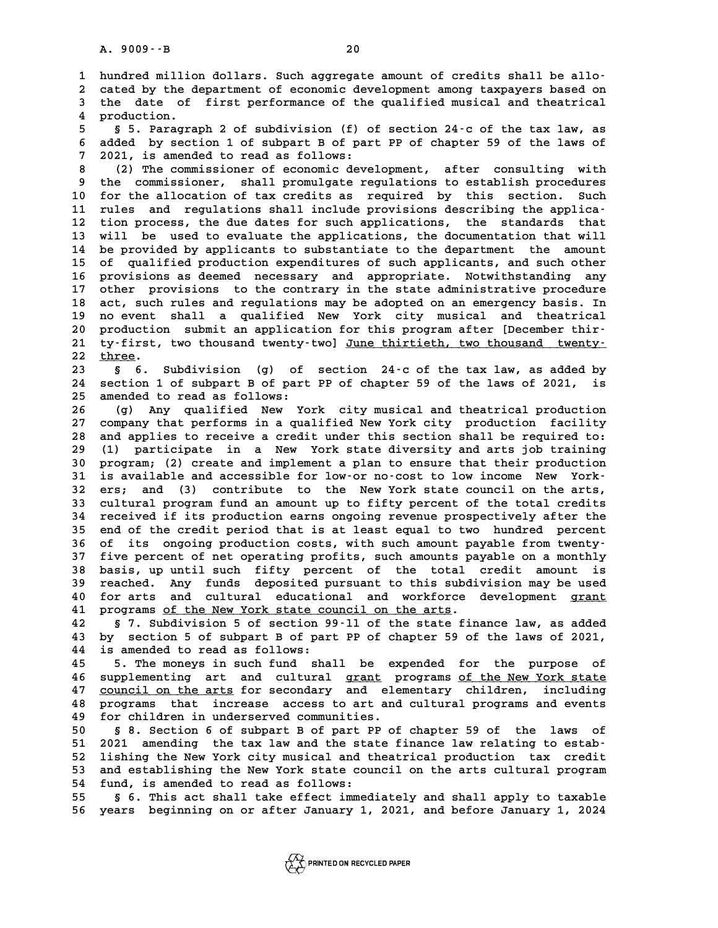A. 9009 - - B<br>1 hundred million dollars. Such aggregate amount of credits shall be allo-<br>2 sated by the department of esepenis development among taunauors based on **2** hundred million dollars. Such aggregate amount of credits shall be allo-<br>2 cated by the department of economic development among taxpayers based on<br>3 the date of first performance of the qualified musical and theatrica 1 hundred million dollars. Such aggregate amount of credits shall be allo-<br>2 cated by the department of economic development among taxpayers based on<br>3 the date of first performance of the qualified musical and theatrical<br> 2 cated by the d<br>3 the date of<br>4 production.<br>5 S Program **5** the date of first performance of the qualified musical and theatrical<br>4 production.<br>5 § 5. Paragraph 2 of subdivision (f) of section 24-c of the tax law, as<br>5 added by section 1 of subpart B of part BB of shapter 50 of **6 added by section.**<br> **6 added by section 1 of subdivision (f) of section 24-c of the tax law, as<br>
<b>6 added by section 1 of subpart B of part PP of chapter 59 of the laws of**<br> **6 added by section 1 of subpart B of part PP** 5 5. Paragraph 2 of subdivision (f) o<br>6 added by section 1 of subpart B of par<br>7 2021, is amended to read as follows: **8 added by section 1 of subpart B of part PP of chapter 59 of the laws of<br>
8 (2) The commissioner of economic development, after consulting with<br>
8 (2) The commissioner of economic development, after consulting with<br>
8 th** 9 1021, is amended to read as follows:<br>
8 (2) The commissioner of economic development, after consulting with<br>
9 the commissioner, shall promulgate regulations to establish procedures<br>
10 for the allocation of tax credits 10 **10 for the commissioner of economic development,** after consulting with<br>
10 the commissioner, shall promulgate regulations to establish procedures<br>
10 for the allocation of tax credits as required by this section. Such 9 the commissioner, shall promulgate regulations to establish procedures<br>
10 for the allocation of tax credits as required by this section. Such<br>
11 rules and regulations shall include provisions describing the applica-<br>
<sup></sup> 10 for the allocation of tax credits as required by this section. Such<br>11 rules and regulations shall include provisions describing the applica-<br>12 tion process, the due dates for such applications, the standards that<br>13 w 11 rules and regulations shall include provisions describing the applica-<br>12 tion process, the due dates for such applications, the standards that<br>13 will be used to evaluate the applications, the documentation that will<br>1 **14 be provided by applicants to substantiate to the department the amount 15 of qualified production expenditures of such applicants, and such other** 14 be provided by applicants to substantiate to the department the amount<br>15 of qualified production expenditures of such applicants, and such other<br>16 provisions as deemed necessary and appropriate. Notwithstanding any<br>17 15 of qualified production expenditures of such applicants, and such other<br>16 provisions as deemed necessary and appropriate. Notwithstanding any<br>17 other provisions to the contrary in the state administrative procedure<br>20 16 provisions as deemed necessary and appropriate. Notwithstanding any<br>17 other provisions to the contrary in the state administrative procedure<br>18 act, such rules and regulations may be adopted on an emergency basis. In<br>1 17 other provisions to the contrary in the state administrative procedure<br>18 act, such rules and regulations may be adopted on an emergency basis. In<br>19 no event shall a qualified New York city musical and theatrical<br>20 no 18 act, such rules and regulations may be adopted on an emergency basis. In<br>
19 no event shall a qualified New York city musical and theatrical<br>
20 production submit an application for this program after [December thir-<br>
<sup></sup> 19 no event shall a qualified New York city musical and theatrical<br>20 production submit an application for this program after [December thir-<br>21 ty-first, two thousand twenty-two] <u>June thirtieth, two thousand twenty-</u><br>22 20 production submit an application for this program after [December thir-<br>21 ty-first, two thousand twenty-two] <u>June thirtieth, two thousand twenty-</u><br>22 <u>three</u>.<br>5 6. Subdivision (g) of section 24-c of the tax law, as ad **21 ty-first, two thousand twenty-two]** June thirtieth, two thousand twenty-<br>
22 three.<br>
23 § 6. Subdivision (g) of section 24-c of the tax law, as added by<br>
24 section 1 of subpart B of part PB of shapter 58 of the laws o 22 <u>three</u>.<br>23 § 6. Subdivision (g) of section 24-c of the tax law, as added by<br>24 section 1 of subpart B of part PP of chapter 59 of the laws of 2021, is<br>25 amonded to read as follows: 23 **a** 6. Subdivision (g) of<br>24 section 1 of subpart B of part<br>25 amended to read as follows: 24 section 1 of subpart B of part PP of chapter 59 of the laws of 2021, is<br>25 amended to read as follows:<br>26 (g) Any qualified New York city musical and theatrical production<br>27 company that performs in a qualified New Yor **27 company that performs in a qualified New York city production facility 28 (g) Any qualified New York city musical and theatrical production**<br>27 company that performs in a qualified New York city production facility<br>28 and applies to receive a credit under this section shall be required to:<br>2 27 company that performs in a qualified New York city production facility<br>28 and applies to receive a credit under this section shall be required to:<br>29 (1) participate in a New York state diversity and arts job training<br>2 **30 program; (2) create and implement a plan to ensure that their production** is available and accessible for low-or no-cost to low income New York-**30 program; (2) create and implement a plan to ensure that their production**<br>**31 is available and accessible for low or no cost to low income New York-**<br>**32 ers; and (3) contribute to the New York state council on the art 31** is available and accessible for low or no cost to low income New York-<br>32 ers; and (3) contribute to the New York state council on the arts,<br>33 cultural program fund an amount up to fifty percent of the total credits<br> **32 ers; and (3) contribute to the New York state council on the arts,<br>
33 cultural program fund an amount up to fifty percent of the total credits<br>
34 received if its production earns ongoing revenue prospectively after t** 33 cultural program fund an amount up to fifty percent of the total credits<br>34 received if its production earns ongoing revenue prospectively after the<br>35 end of the credit period that is at least equal to two hundred perc 33 cultural program fund an amount up to fifty percent of the total credits<br>34 received if its production earns ongoing revenue prospectively after the<br>35 end of the credit period that is at least equal to two hundred perc 35 end of the credit period that is at least equal to two hundred percent<br>36 of its ongoing production costs, with such amount payable from twenty-<br>37 five percent of net operating profits, such amounts payable on a monthl 36 of its ongoing production costs, with such amount payable from twenty-<br>37 five percent of net operating profits, such amounts payable on a monthly<br>38 basis, up until such fifty percent of the total credit amount is<br>29 r 37 five percent of net operating profits, such amounts payable on a monthly<br>38 basis, up until such fifty percent of the total credit amount is<br>39 reached. Any funds deposited pursuant to this subdivision may be used<br>40 fo 38 basis, up until such fifty percent of the total credit amount is<br>39 reached. Any funds deposited pursuant to this subdivision may be used<br>40 for arts and cultural educational and workforce development <u>grant</u><br>41 program 99 reached. Any funds deposited pursuant to this subdivision may be used<br>40 for arts and cultural educational and workforce development <u>grant</u><br>41 programs <u>of the New York state council on the arts</u>.<br>**57.** Subdivision 5 o **42 § 7. Subdivision 5 of section 99-ll of the state finance law, as added** 41 programs <u>of the New York state council on the arts</u>.<br>42 § 7. Subdivision 5 of section 99-11 of the state finance law, as added<br>43 by section 5 of subpart B of part PP of chapter 59 of the laws of 2021, 42 § 7. Subdivision 5 of section 9<br>43 by section 5 of subpart B of par<br>44 is amended to read as follows:<br><sup>45</sup> <sup>mb</sup>e monougin quab fund sha **43 by section 5 of subpart B of part PP of chapter 59 of the laws of 2021,<br>44 is amended to read as follows:**<br>45 5. The moneys in such fund shall be expended for the purpose of<br>46 supplementing and sultural graph programs

44 is amended to read as follows:<br>45 5. The moneys in such fund shall be expended for the purpose of<br>46 supplementing art and cultural <u>grant</u> programs <u>of the New York state</u><br>47 council on the arts for secondary and eleme 47 <u>council on the arts</u> for secondary and elementary children, including<br>48 programs that increase access to art and cultural programs and events 46 supplementing art and cultural <u>grant</u> programs of the New York state<br>47 <u>council on the arts</u> for secondary and elementary children, including<br>48 programs that increase access to art and cultural programs and events<br>49 47 <u>council on the arts</u> for secondary and elements are programs that increase access to art and for children in underserved communities. **50 § 8. Section 6 of subpart B of part PP of chapter 59 of the laws of**

**50 51 2021** amending the tax law and the state finance law relating to estab-<br> **51 2021** amending the tax law and the state finance law relating to estab-<br> **52 lights the New York gity musical and theotrical production** 50 § 8. Section 6 of subpart B of part PP of chapter 59 of the laws of<br>51 2021 amending the tax law and the state finance law relating to estab-<br>52 lishing the New York city musical and theatrical production tax credit<br>53 51 2021 amending the tax law and the state finance law relating to estab-<br>52 lishing the New York city musical and theatrical production tax credit<br>53 and establishing the New York state council on the arts cultural progra 52 lishing the New York city musical and the S<sub>53</sub> and establishing the New York state counties of the S<sub>54</sub> fund, is amended to read as follows: 53 and establishing the New York state council on the arts cultural program<br>54 fund, is amended to read as follows:<br>55 § 6. This act shall take effect immediately and shall apply to taxable<br>56 wears beginning an arafter In

**56 years beginning on or after January 1, 2021, and before January 1, 2024**

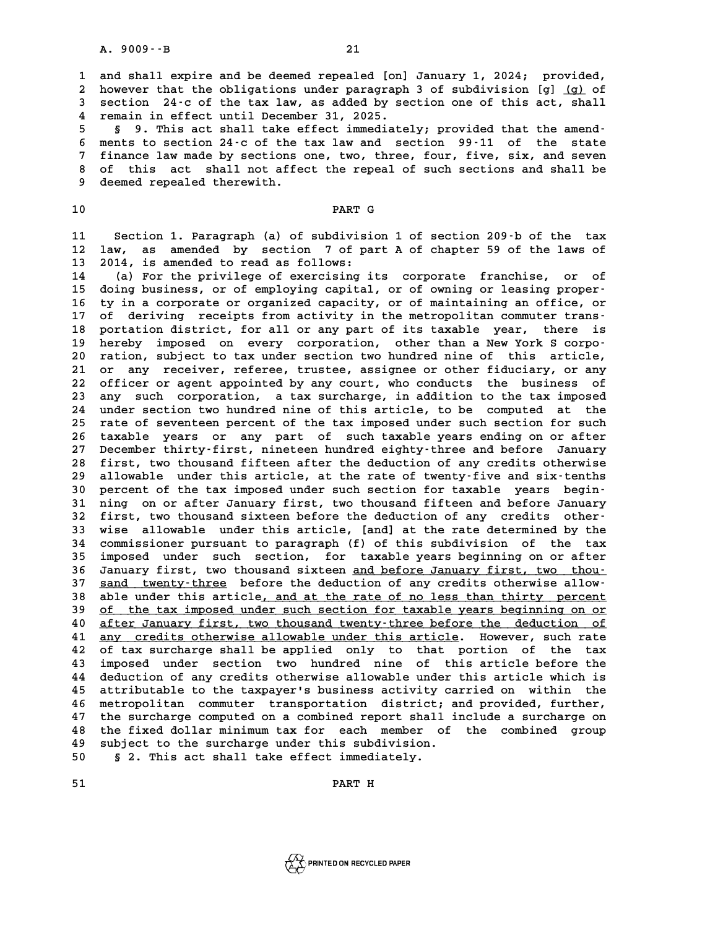**1 and shall expire and be deemed repealed [on] January 1, 2024; provided, 2** and shall expire and be deemed repealed [on] January 1, 2024; provided,<br>2 however that the obligations under paragraph 3 of subdivision [g] <u>(g)</u> of<br>3 section, 24.5 of the tax law, as added by section one of this act, **3 and shall expire and be deemed repealed [on] January 1, 2024; provided,<br>
2 however that the obligations under paragraph 3 of subdivision [g] <u>(g)</u> of<br>
3 section 24-c of the tax law, as added by section one of this act,** 2 however that the obligations under paragraph<br>3 section 24 -c of the tax law, as added by se<br>4 remain in effect until December 31, 2025. 5 **section** 24 c of the tax law, as added by section one of this act, shall<br>4 remain in effect until December 31, 2025.<br>5 **§ 9. This act shall take effect immediately; provided that the amend-**<br>5 month to sostion 24 s of t

**6 4 6 ments to sect in the tax 1.9025.**<br> **6 ments to section 24-c of the tax law and section 99-11 of the state**<br> **6 ments to section 24-c of the tax law and section 99-11 of the state**<br> **7 finance law made by sections 8 9. This act shall take effect immediately; provided that the amend-**<br>**6 ments to section 24.c of the tax law and section 99.11 of the state**<br>**7 finance law made by sections one, two, three, four, five, six, and seven**<br> 8 ments to section 24-c of the tax law and section 99-11 of the state<br>7 finance law made by sections one, two, three, four, five, six, and seven<br>8 of this act shall not affect the repeal of such sections and shall be<br>8 dee 7 finance law made by sections<br>8 of this act shall not affe<br>9 deemed repealed therewith. 9 deemed repealed therewith.<br>10 **PART G** 

**11 Section 1. Paragraph (a) of subdivision 1 of section 209-b of the tax** 11 Section 1. Paragraph (a) of subdivision 1 of section 209<sup>.</sup>b of the tax<br>12 law, as amended by section 7 of part A of chapter 59 of the laws of **11 Section 1. Paragraph (a) of subdivisi**<br> **12 law, as amended by section 7 of pa**<br> **13 2014, is amended to read as follows:**<br> **14** (a) For the privilege of europsistes is 12 law, as amended by section 7 of part A of chapter 59 of the laws of<br>13 2014, is amended to read as follows:<br>14 (a) For the privilege of exercising its corporate franchise, or of<br>15 deige business or of employing appital

13 2014, is amended to read as follows:<br>
14 (a) For the privilege of exercising its corporate franchise, or of<br>
15 doing business, or of employing capital, or of owning or leasing proper-<br>
16 ty in a corporate or organized **14** (a) For the privilege of exercising its corporate franchise, or of doing business, or of employing capital, or of owning or leasing proper-<br>16 ty in a corporate or organized capacity, or of maintaining an office, or<br>1 15 doing business, or of employing capital, or of owning or leasing proper-<br>16 ty in a corporate or organized capacity, or of maintaining an office, or<br>17 of deriving receipts from activity in the metropolitan commuter tra 16 ty in a corporate or organized capacity, or of maintaining an office, or<br>17 of deriving receipts from activity in the metropolitan commuter trans-<br>18 portation district, for all or any part of its taxable year, there is 17 of deriving receipts from activity in the metropolitan commuter trans-<br>18 portation district, for all or any part of its taxable year, there is<br>19 hereby imposed on every corporation, other than a New York S corpo-18 portation district, for all or any part of its taxable year, there is<br>19 hereby imposed on every corporation, other than a New York S corpo-<br>20 ration, subject to tax under section two hundred nine of this article,<br>21 o **20** hereby imposed on every corporation, other than a New York S corporation, subject to tax under section two hundred nine of this article,<br>21 or any receiver, referee, trustee, assignee or other fiduciary, or any<br>22 off 20 ration, subject to tax under section two hundred nine of this article,<br>21 or any receiver, referee, trustee, assignee or other fiduciary, or any<br>22 officer or agent appointed by any court, who conducts the business of<br>2 21 or any receiver, referee, trustee, assignee or other fiduciary, or any<br>22 officer or agent appointed by any court, who conducts the business of<br>23 any such corporation, a tax surcharge, in addition to the tax imposed 22 officer or agent appointed by any court, who conducts the business of<br>23 any such corporation, a tax surcharge, in addition to the tax imposed<br>24 under section two hundred nine of this article, to be computed at the<br>25 23 any such corporation, a tax surcharge, in addition to the tax imposed<br>24 under section two hundred nine of this article, to be computed at the<br>25 rate of seventeen percent of the tax imposed under such section for such<br> 24 under section two hundred nine of this article, to be computed at the<br>25 rate of seventeen percent of the tax imposed under such section for such<br>26 taxable years or any part of such taxable years ending on or after<br>27 25 rate of seventeen percent of the tax imposed under such section for such<br>26 taxable years or any part of such taxable years ending on or after<br>27 December thirty-first, nineteen hundred eighty-three and before January 26 taxable years or any part of such taxable years ending on or after<br>27 December thirty-first, nineteen hundred eighty-three and before January<br>28 first, two thousand fifteen after the deduction of any credits otherwise<br>2 27 December thirty-first, nineteen hundred eighty-three and before January<br>28 first, two thousand fifteen after the deduction of any credits otherwise<br>29 allowable under this article, at the rate of twenty-five and six-ten 28 first, two thousand fifteen after the deduction of any credits otherwise<br>
29 allowable under this article, at the rate of twenty-five and six-tenths<br>
30 percent of the tax imposed under such section for taxable years be 29 allowable under this article, at the rate of twenty-five and six-tenths<br>30 percent of the tax imposed under such section for taxable years begin-<br>31 ning on or after January first, two thousand fifteen and before Januar 30 percent of the tax imposed under such section for taxable years begin-<br>31 ning on or after January first, two thousand fifteen and before January<br>32 first, two thousand sixteen before the deduction of any credits other-31 ning on or after January first, two thousand fifteen and before January<br>32 first, two thousand sixteen before the deduction of any credits other<br>33 wise allowable under this article, [and] at the rate determined by the **32 first, two thousand sixteen before the deduction of any credits other-**<br>**33 wise allowable under this article, [and] at the rate determined by the commissioner pursuant to paragraph (f) of this subdivision of the tax<br><b>** 33 wise allowable under this article, [and] at the rate determined by the<br>34 commissioner pursuant to paragraph (f) of this subdivision of the tax<br>35 imposed under such section, for taxable years beginning on or after<br>36 I 34 commissioner pursuant to paragraph (f) of this subdivision of the tax<br>35 imposed under such section, for taxable years beginning on or after<br>36 January first, two thousand sixteen <u>and before January first, two thou</u>-<br>3 35 imposed under such section, for taxable years beginning on or after<br>36 January first, two thousand sixteen <u>and before January first, two thou-</u><br>37 <u>sand twenty-three</u> before the deduction of any credits otherwise allow 36 January first, two thousand sixteen <u>and before January first, two thou-</u><br>37 <u>sand twenty-three</u> before the deduction of any credits otherwise allow-<br>38 able under this article, and at the rate of no less than thirty pe 39 <u>of the tax imposed under such section for taxable years beginning on or</u><br>40 <u>after January first, two thousand twenty-three before the deduction of</u> able under this article, and at the rate of no less than thirty percent<br>
of the tax imposed under such section for taxable years beginning on or<br>  $\frac{10}{2}$  after January first, two thousand twenty-three before the deducti **41** <u>after January first, two thousand twenty-three before the deduction of</u><br>41 <u>any credits otherwise allowable under this article</u>. However, such rate<br>42 of the surgharge shall be applied only to that perties of the tax **40** after January first, two thousand twenty-three before the deduction of any credits otherwise allowable under this article. However, such rate of tax surcharge shall be applied only to that portion of the tax imposed u 41 any credits otherwise allowable under this article. However, such rate<br>42 of tax surcharge shall be applied only to that portion of the tax<br>43 imposed under section two hundred nine of this article before the<br>44 deducti 42 of tax surcharge shall be applied only to that portion of the tax<br>43 imposed under section two hundred nine of this article before the<br>44 deduction of any credits otherwise allowable under this article which is<br>45 attri 43 imposed under section two hundred nine of this article before the<br>44 deduction of any credits otherwise allowable under this article which is<br>45 attributable to the taxpayer's business activity carried on within the<br>46 deduction of any credits otherwise allowable under this article which is<br>45 attributable to the taxpayer's business activity carried on within the<br>46 metropolitan commuter transportation district; and provided, further,<br>47 46 metropolitan commuter transportation district; and provided, further,<br>47 the surcharge computed on a combined report shall include a surcharge on<br>48 the fixed dollar minimum tax for each member of the combined group 46 metropolitan commuter transportation district; and provided, further,<br>47 the surcharge computed on a combined report shall include a surcharge on<br>48 the fixed dollar minimum tax for each member of the combined group<br>49 47 the surcharge computed on a combined report shall i<br>48 the fixed dollar minimum tax for each member of<br>49 subject to the surcharge under this subdivision.<br>50 s.<sup>2</sup> mhis ast shall take offect immediately. 48 the fixed dollar minimum tax for each member o<br>49 subject to the surcharge under this subdivision.<br>50 \$ 2. This act shall take effect immediately. 50 subject to the surcharge under this subdivision.<br>
50 § 2. This act shall take effect immediately.<br>
51 PART H

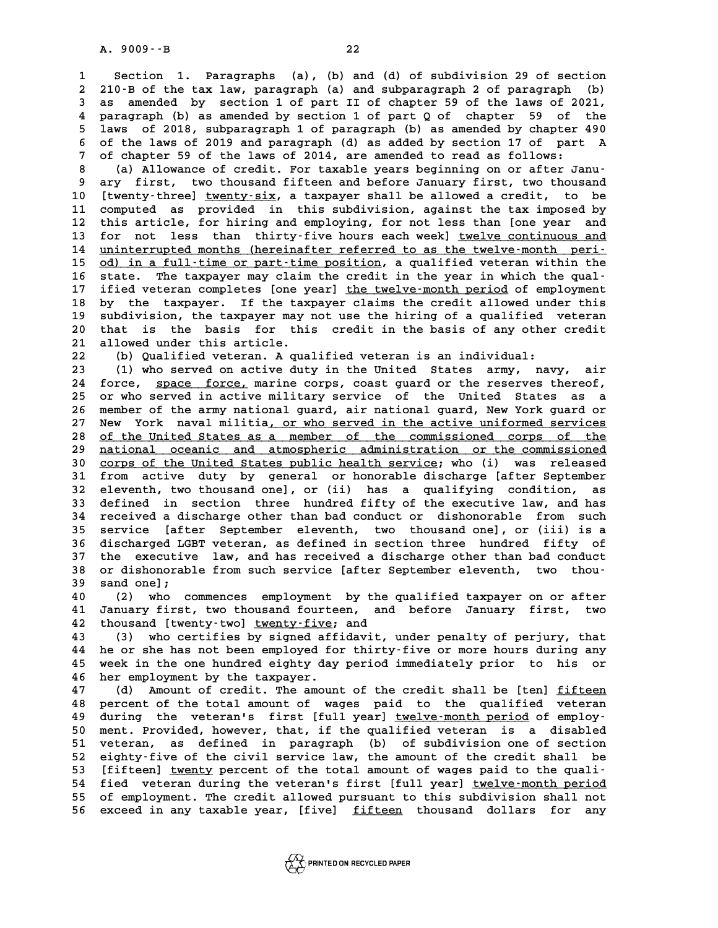**1 Section 1. Paragraphs (a), (b) and (d) of subdivision 29 of section 2** 210-B of the tax law, paragraphs (a), (b) and (d) of subdivision 29 of section<br>2 210-B of the tax law, paragraph (a) and subparagraph 2 of paragraph (b)<br>3 35 amended by section 1 of part II of chanter 59 of the laws of **3 as amended by section 1. Paragraphs (a), (b) and (d) of subdivision 29 of section 2 210 B of the tax law, paragraph (a) and subparagraph 2 of paragraph (b) as amended by section 1 of part II of chapter 59 of the laws of** 2 210 B of the tax law, paragraph (a) and subparagraph 2 of paragraph (b)<br>3 as amended by section 1 of part II of chapter 59 of the laws of 2021,<br>4 paragraph (b) as amended by section 1 of part Q of chapter 59 of the<br>5 law **5 as amended by section 1 of part II of chapter 59 of the laws of 2021,<br>4 paragraph (b) as amended by section 1 of part Q of chapter 59 of the<br>5 laws of 2018, subparagraph 1 of paragraph (b) as amended by chapter 490<br>6 of 6 paragraph (b) as amended by section 1 of part Q of chapter 59 of the laws of 2018, subparagraph 1 of paragraph (b) as amended by chapter 490 of the laws of 2019 and paragraph (d) as added by section 17 of part A<br>
<sup>7</sup> of 7** Jaws of 2018, subparagraph 1 of paragraph (b) as amended by chapter 6 of the laws of 2019 and paragraph (d) as added by section 17 of part of chapter 59 of the laws of 2014, are amended to read as follows: 6 of the laws of 2019 and paragraph (d) as added by section 17 of part A<br>
7 of chapter 59 of the laws of 2014, are amended to read as follows:<br>
(a) Allowance of credit. For taxable years beginning on or after Janu-<br>
<sup>8</sup> ar

9 of chapter 59 of the laws of 2014, are amended to read as follows:<br>8 (a) Allowance of credit. For taxable years beginning on or after Janu-<br>9 ary first, two thousand fifteen and before January first, two thousand<br>10 [twe **10 [twenty-three] twenty-six, a taxpayer shall be allowed a credit, to be \_\_\_\_\_\_\_\_\_\_** 9 ary first, two thousand fifteen and before January first, two thousand<br>10 [twenty-three] <u>twenty-six</u>, a taxpayer shall be allowed a credit, to be<br>11 computed as provided in this subdivision, against the tax imposed by<br>t 10 [twenty-three] <u>twenty-six</u>, a taxpayer shall be allowed a credit, to be<br>11 computed as provided in this subdivision, against the tax imposed by<br>12 this article, for hiring and employing, for not less than [one year and 11 computed as provided in this subdivision, against the tax imposed by<br>12 this article, for hiring and employing, for not less than [one year and<br>13 for not less than thirty-five hours each week] <u>twelve continuous and</u><br>1 12 this article, for hiring and employing, for not less than [one year and<br>13 for not less than thirty-five hours each week] <u>twelve-continuous and</u><br>14 <u>uninterrupted months (hereinafter referred to as the twelve-month per</u> 13 for not less than thirty-five hours each week] <u>twelve continuous and</u><br>14 <u>uninterrupted months (hereinafter referred to as the twelve-month peri-</u><br>15 <u>od) in a full-time or part-time position</u>, a qualified veteran with **16 state. The taxpayer may claim the credit in the year in which the qual-15** <u>od) in a full-time or part-time position</u>, a qualified veteran within the state. The taxpayer may claim the credit in the year in which the qual-<br>17 ified veteran completes [one year] the twelve-month period of emplo 16 state. The taxpayer may claim the credit in the year in which the qual-<br>17 ified veteran completes [one year] <u>the twelve-month period</u> of employment<br>18 by the taxpayer. If the taxpayer claims the credit allowed under t 17 ified veteran completes [one year] <u>the twelve-month period</u> of employment<br>18 by the taxpayer. If the taxpayer claims the credit allowed under this<br>19 subdivision, the taxpayer may not use the hiring of a qualified vete 18 by the taxpayer. If the taxpayer claims the credit allowed under this subdivision, the taxpayer may not use the hiring of a qualified veteran 20 that is the basis for this credit in the basis of any other credit allowed 20 subdivision, the taxpayer may not use the hiring of a qualified veteran<br>
20 that is the basis for this credit in the basis of any other credit<br>
21 allowed under this article.<br>
22 (b) Qualified veteran. A qualified veter 20 that is the basis for this credit in the basis of any other credit<br>
21 allowed under this article.<br>
22 (b) Qualified veteran. A qualified veteran is an individual:<br>
23 (1) who served on active duty in the United States

**23 (1) who served on active duty in the United States army, navy, air 24 force, space force, marine corps, coast guard or the reserves thereof, \_\_\_\_\_\_\_\_\_\_\_\_\_** 23 (1) who served on active duty in the United States army, navy, air<br>24 force, <u>space force,</u> marine corps, coast guard or the reserves thereof,<br>25 or who served in active military service of the United States as a<br>26 mem 24 force, <u>space force,</u> marine corps, coast guard or the reserves thereof,<br>25 or who served in active military service of the United States as a<br>26 member of the army national guard, air national guard, New York guard or<br> 25 or who served in active military service of the United States as a<br>26 member of the army national guard, air national guard, New York guard or<br>27 New York naval militia<u>, or who served in the active uniformed services</u><br> 26 member of the army national guard, air national guard, New York guard or<br>27 New York naval militia, or who served in the active uniformed services<br>28 <u>of the United States as a member of the commissioned corps of the</u><br>2 27 New York naval militia, or who served in the active uniformed services<br>28 <u>of the United States as a member of the commissioned</u> corps of the<br><u>national oceanic and atmospheric administration or the commissioned</u><br>20 geor 38 of the United States as a member of the commissioned corps of the<br>
29 <u>national oceanic and atmospheric administration or the commissioned</u><br>
30 <u>corps of the United States public health service</u>; who (i) was released<br>
3 **30 <u>national oceanic and atmospheric administration or the commissioned</u><br>30 <u>corps of the United States public health service</u>; who (i) was released<br>31 from active duty by general or honorable discharge [after September 30** corps of the United States public health service; who (i) was released<br>31 from active duty by general or honorable discharge [after September<br>32 eleventh, two thousand one], or (ii) has a qualifying condition, as<br>33 d 31 from active duty by general or honorable discharge [after September<br>32 eleventh, two thousand one], or (ii) has a qualifying condition, as<br>33 defined in section three hundred fifty of the executive law, and has<br>24 requi 32 eleventh, two thousand one], or (ii) has a qualifying condition, as<br>33 defined in section three hundred fifty of the executive law, and has<br>34 received a discharge other than bad conduct or dishonorable from such<br>35 ser **33 defined in section three hundred fifty of the executive law, and has**<br>**34 received a discharge other than bad conduct or dishonorable from such**<br>**35 service** [after September eleventh, two thousand one], or (iii) is a<br> **34 received a discharge other than bad conduct or dishonorable from such service [after September eleventh, two thousand one], or (iii) is a<br>36 discharged LGBT veteran, as defined in section three hundred fifty of<br>27 the** 35 service [after September eleventh, two thousand one], or (iii) is a<br>36 discharged LGBT veteran, as defined in section three hundred fifty of<br>37 the executive law, and has received a discharge other than bad conduct<br>28 o 36 discharged LGBT veteran, as defined in section three hundred fifty of<br>37 the executive law, and has received a discharge other than bad conduct<br>38 or dishonorable from such service [after September eleventh, two thou-<br><sup></sup> 37 the executive<br>38 or dishonorab<br>39 sand one];<br><sup>40</sup> (2) who **40 (2) and one);**<br>**40 (2) who commences employment by the qualified taxpayer on or after<br><b>40** (2) who commences employment by the qualified taxpayer on or after<br><sup>41</sup> January first, two thousand fourteen, and before Januar

39 sand one];<br>40 (2) who commences employment by the qualified taxpayer on or after<br>41 January first, two thousand fourteen, and before January first, two<br>42 thousand [twenty-two] <u>twenty-five</u>; and 42 thousand [twenty-two] <u>twenty-five</u>; and<br>43 (3) who certifies by signed affidav

**43 (3) who certifies by signed affidavit, under penalty of perjury, that 42 thousand [twenty-two] <u>twenty-five</u>; and<br>43 (3) who certifies by signed affidavit, under penalty of perjury, that<br>44 he or she has not been employed for thirty-five or more hours during any<br>45 wook in the one hundred e 43** (3) who certifies by signed affidavit, under penalty of perjury, that<br>44 he or she has not been employed for thirty-five or more hours during any<br>45 week in the one hundred eighty day period immediately prior to his o 44 he or she has not been employed fo<br>45 week in the one hundred eighty day<br>46 her employment by the taxpayer. week in the one hundred eighty day period immediately prior to his or<br>46 her employment by the taxpayer.<br>47 (d) Amount of credit. The amount of the credit shall be [ten] <u>fifteen</u><br>48 percent of the total amount of wages pa

**48 percent of the total amount of wages paid to the qualified veteran** 49 during the veteran's first [full year] <u>twelve-month period</u> of employ-<br>50 ment. Provided, however, that, if the qualified veteran is a disabled **50 ment of the total amount of wages paid to the qualified veteran during the veteran's first [full year] <u>twelve-month period</u> of employ-<br>
50 ment. Provided, however, that, if the qualified veteran is a disabled<br>
51 vete 49 during the veteran's first [full year] <u>twelve-month period</u> of employ-<br>50 ment. Provided, however, that, if the qualified veteran is a disabled<br>51 veteran, as defined in paragraph (b) of subdivision one of section<br>52** 50 ment. Provided, however, that, if the qualified veteran is a disabled<br>51 veteran, as defined in paragraph (b) of subdivision one of section<br>52 eighty-five of the civil service law, the amount of the credit shall be<br>53 [ 51 veteran, as defined in paragraph (b) of subdivision one of section<br>52 eighty-five of the civil service law, the amount of the credit shall be<br>53 [fifteen] <u>twenty</u> percent of the total amount of wages paid to the quali-52 eighty-five of the civil service law, the amount of the credit shall be<br>53 [fifteen] <u>twenty</u> percent of the total amount of wages paid to the quali-<br>54 fied veteran during the veteran's first [full year] <u>twelve-month </u> 53 [fifteen] <u>twenty</u> percent of the total amount of wages paid to the quali-<br>54 fied veteran during the veteran's first [full year] <u>twelve-month period</u><br>55 of employment. The credit allowed pursuant to this subdivision s 55 of employment. The credit allowed pursuant to this subdivision shall not<br>56 exceed in any taxable year, [five] <u>fifteen</u> thousand dollars for any

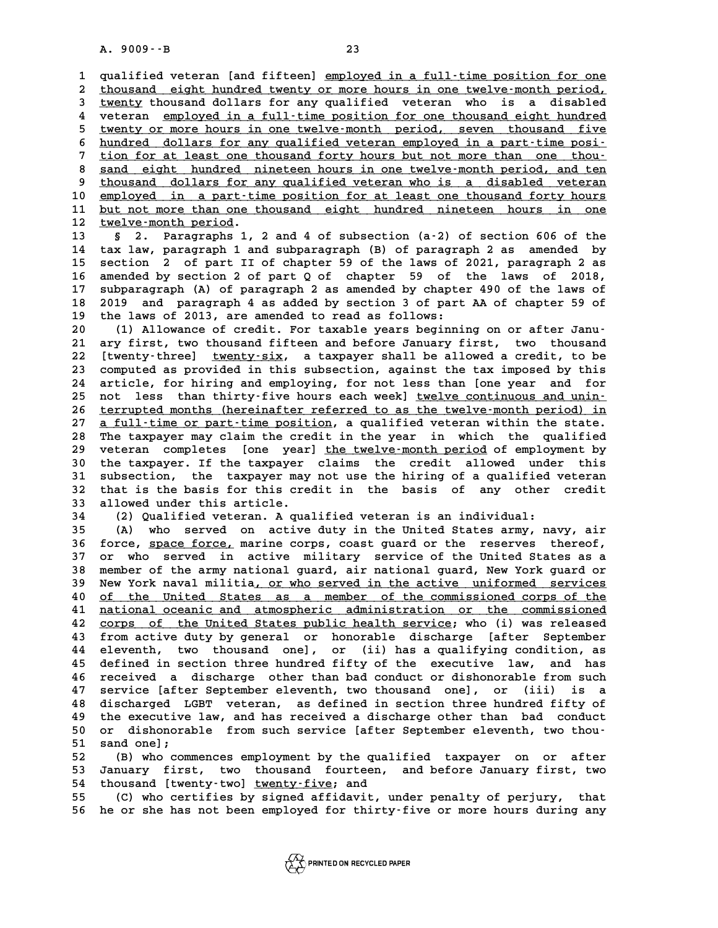A. 9009 · · B<br>1 qualified veteran [and fifteen] <u>employed in a full-time position for one</u><br>2 thousand oight hundred typety or more bours in one typlye-menth poriod qualified veteran [and fifteen] <u>employed in a full–time position for one</u><br>2 <u>thousand eight hundred twenty or more hours in one twelve-month period,</u><br>3 twenty thousand dollars for any qualified, yeteran, who is a disabled qualified veteran [and fifteen] employed in a full-time position for one<br>2 thousand eight hundred twenty or more hours in one twelve-month period,<br>3 <u>twenty</u> thousand dollars for any qualified veteran who is a disabled<br>4 u thousand eight hundred twenty or more hours in one twelve-month period,<br>
<del>twenty</del> thousand dollars for any qualified veteran who is a disabled<br>
veteran <u>employed in a full-time position for one thousand eight hundred</u><br>
twe For any qualified veteran who is a disabled<br>  $\frac{4}{3}$  veteran <u>employed in a full-time position</u> for one thousand eight hundred<br>  $\frac{5}{3}$  twenty or more hours in one twelve-month period, seven thousand five<br>  $\frac{5}{3}$  hu 4 veteran <u>employed in a full-time position for one thousand eight hundred</u><br>
5 <u>twenty or more hours in one twelve-month</u> period, seven thousand five<br>
6 <u>hundred dollars for any qualified veteran employed in a part-time po</u> 5 twenty or more hours in one twelve-month period, seven thousand five<br>6 hundred dollars for any qualified veteran employed in a part-time posi-<br>7 tion for at least one thousand forty hours but not more than one thou-<br>8 sa 8 <u>sand eight hundred nineteen hours in one than one thoudens and eight hundred nineteen hours in one twelve-month period, and ten<br>8 thousand dollars for any qualified veteran who is a disabled veteran</u> From for at least one thousand forty hours but not more than one thousand eight hundred nineteen hours in one twelve-month period, and ten thousand dollars for any qualified veteran who is a disabled veteran employed in a 8 <u>sand eight hundred nineteen hours in one twelve-month period, and ten</u><br>
9 thousand dollars for any qualified veteran who is a disabled veteran<br>
10 employed in a part-time position for at least one thousand forty hours<br> 9 thousand dollars for any qualified veteran who is a disabled veteran<br>10 <u>employed in a part-time position for at least one thousand forty hours</u><br>11 <u>but not more than one thousand eight hundred nineteen hours in one</u><br>12 10 <u>employed in a part-time position for at least one thousand forty hours<br>11 <u>but not more than one thousand eight hundred nineteen hours in one</u><br>12 <u>twelve-month period</u>.<br>13 § 2. Paragraphs 1, 2 and 4 of subsection (a-2)</u> **11 <u>but not more than one thousand eight hundred nineteen hours in one</u><br>
<b>12 <u>twelve-month period</u>.**<br> **13** § 2. Paragraphs 1, 2 and 4 of subsection (a-2) of section 606 of the<br> **14** tax law, paragraph 1 and subparagraph (

**12 <u>twelve-month period</u>.<br>13 § 2. Paragraphs 1, 2 and 4 of subsection (a–2) of section 606 of the<br>14 tax law, paragraph 1 and subparagraph (B) of paragraph 2 as amended by<br>15 section, 2 of part II of shapter 50 of the law** 13 **s** 2. Paragraphs 1, 2 and 4 of subsection (a-2) of section 606 of the<br>14 tax law, paragraph 1 and subparagraph (B) of paragraph 2 as amended by<br>15 section 2 of part II of chapter 59 of the laws of 2021, paragraph 2 as<br> 14 tax law, paragraph 1 and subparagraph (B) of paragraph 2 as amended by<br>15 section 2 of part II of chapter 59 of the laws of 2021, paragraph 2 as<br>16 amended by section 2 of part Q of chapter 59 of the laws of 2018,<br>17 su 15 section 2 of part II of chapter 59 of the laws of 2021, paragraph 2 as<br>16 amended by section 2 of part 0 of chapter 59 of the laws of 2018,<br>17 subparagraph (A) of paragraph 2 as amended by chapter 490 of the laws of<br>18 16 amended by section 2 of part Q of chapter 59 of the laws of 2018,<br>17 subparagraph (A) of paragraph 2 as amended by chapter 490 of the laws of<br>18 2019 and paragraph 4 as added by section 3 of part AA of chapter 59 of<br>the 17 subparagraph (A) of paragraph 2 as amended by chapte<br>18 2019 and paragraph 4 as added by section 3 of part<br>19 the laws of 2013, are amended to read as follows:<br>20 (1) Milovange of grodit, For taxable vears beginni 2019 and paragraph 4 as added by section 3 of part AA of chapter 59 of<br>
19 the laws of 2013, are amended to read as follows:<br>
20 (1) Allowance of credit. For taxable years beginning on or after Janu-<br>
21 ary first, two tho

20 (1) Allowance of credit. For taxable years beginning on or after Janu-<br>21 ary first, two thousand fifteen and before January first, two thousand<br>22 [twenty-three] twenty-six, a taxpayer shall be allowed a credit, to be 22 [twenty-three] <u>twenty-six</u>, a taxpayer shall be allowed a credit, to be<br>23 computed as provided in this subsection, against the tax imposed by this 21 ary first, two thousand fifteen and before January first, two thousand<br>22 [twenty-three] <u>twenty-six</u>, a taxpayer shall be allowed a credit, to be<br>23 computed as provided in this subsection, against the tax imposed by t 22 [twenty-three] <u>twenty-six</u>, a taxpayer shall be allowed a credit, to be<br>23 computed as provided in this subsection, against the tax imposed by this<br>24 article, for hiring and employing, for not less than [one year and 23 computed as provided in this subsection, against the tax imposed by this<br>24 article, for hiring and employing, for not less than [one year and for<br>25 not less than thirty-five hours each week] <u>twelve continuous and uni</u> 24 article, for hiring and employing, for not less than [one year and for<br>25 not less than thirty-five hours each week] <u>twelve-continuous and unin-</u><br>26 <u>terrupted months (hereinafter referred to as the twelve-month period</u> 25 not less than thirty-five hours each week] <u>twelve continuous and unin-</u><br>26 <u>terrupted months (hereinafter referred to as the twelve-month period) in<br>27 <u>a full-time or part-time position</u>, a qualified veteran within th</u> **28 terrupted months (hereinafter referred to as the twelve-month period) in**<br>27 **a full-time or part-time position, a qualified veteran within the state.**<br>28 The taxpayer may claim the credit in the year in which the qual 27 a full-time or part-time position, a qualified veteran within the state.<br>28 The taxpayer may claim the credit in the year in which the qualified<br>29 veteran completes [one year] <u>the twelve-month period</u> of employment by The taxpayer may claim the credit in the year in which the qualified<br>29 veteran completes [one year] <u>the twelve-month period</u> of employment by<br>30 the taxpayer. If the taxpayer claims the credit allowed under this<br>31 subse 29 veteran completes [one year] the twelve-month period of employment by<br>30 the taxpayer. If the taxpayer claims the credit allowed under this<br>31 subsection, the taxpayer may not use the hiring of a qualified veteran<br>22 th 30 the taxpayer. If the taxpayer claims the credit allowed under this subsection, the taxpayer may not use the hiring of a qualified veteran 32 that is the basis for this credit in the basis of any other credit<br>33 allowed 31 subsection, the taxpayer may not use the hiring of a qualified veteran<br>32 that is the basis for this credit in the basis of any other credit<br>33 allowed under this article.<br>34 (2) Qualified veteran. A qualified veteran i 32 that is the basis for this credit in the basis of any other credit<br>33 allowed under this article.<br>34 (2) Qualified veteran. A qualified veteran is an individual:<br>35 (A) who served on active duty in the United States arm

**33 allowed under this article.**<br> **34** (2) Qualified veteran. A qualified veteran is an individual:<br> **35** (A) who served on active duty in the United States army, navy, air<br> **36 force space force marine serve seed guard ar 34** (2) Qualified veteran. A qualified veteran is an individual:<br>35 (A) who served on active duty in the United States army, navy, air<br>36 force, space force, marine corps, coast guard or the reserves thereof,<br>37 or the se **35** (A) who served on active duty in the United States army, navy, air<br>36 force, <u>space force,</u> marine corps, coast guard or the reserves thereof,<br>37 or who served in active military service of the United States as a<br>28 m **36 force, space force, marine corps, coast guard or the reserves thereof,**<br>37 or who served in active military service of the United States as a<br>38 member of the army national guard, air national guard, New York guard or<br> 37 or who served in active military service of the United States as a<br>38 member of the army national guard, air national guard, New York guard or<br>39 New York naval militia<u>, or who served in the active uniformed services</u><br> A member of the army national guard, air national guard, New York guard or<br>
10 New York naval militia<u>, or who served in the active uniformed services</u><br>
10 <u>of the United States as a member of the commissioned corps of the</u> 41 <u>national oceanic and atmospheric administration or the commissioned</u><br>42 <u>corps of the United States public health service</u>; who (i) was released **42** corps of the United States public health service; who (i) was released<br>43 from active duty by general or honorable discharge [after September A factional oceanic and atmospheric administration or the commissioned<br>
42 corps of the United States public health service; who (i) was released<br>
43 from active duty by general or honorable discharge [after September<br>
44 **42** corps of the United States public health service; who (i) was released<br>43 from active duty by general or honorable discharge [after September<br>44 eleventh, two thousand one], or (ii) has a qualifying condition, as<br>45 d **43** from active duty by general or honorable discharge [after September<br>44 eleventh, two thousand one], or (ii) has a qualifying condition, as<br>45 defined in section three hundred fifty of the executive law, and has<br>16 res 44 eleventh, two thousand one], or (ii) has a qualifying condition, as<br>45 defined in section three hundred fifty of the executive law, and has<br>46 received a discharge other than bad conduct or dishonorable from such<br>47 ser **45 defined in section three hundred fifty of the executive law, and has received a discharge other than bad conduct or dishonorable from such 47 service [after September eleventh, two thousand one], or (iii) is a<br>48 disch** Fraceived a discharge other than bad conduct or dishonorable from such<br>47 service [after September eleventh, two thousand one], or (iii) is a<br>48 discharged LGBT veteran, as defined in section three hundred fifty of<br>the exe **47 service [after September eleventh, two thousand one], or (iii) is a**<br>**48 discharged LGBT veteran, as defined in section three hundred fifty of**<br>**49 the executive law, and has received a discharge other than bad conduct** 48 discharged LGBT veteran, as defined in section three hundred fifty of<br>49 the executive law, and has received a discharge other than bad conduct<br>50 or dishonorable from such service [after September eleventh, two thou-<br>5 49 the executive<br>50 or dishonoral<br>51 sand one];<br>52 (B) who come 50 or dishonorable from such service [after September eleventh, two thou-<br>51 sand one];<br>(B) who commences employment by the qualified taxpayer on or after<br>53 January first, two thousand fourteen, and before January first,

51 sand one];<br>52 (B) who commences employment by the qualified taxpayer on or after<br>53 January first, two thousand fourteen, and before January first, two<br>54 thousand [twontwitive] twontwifive, and 52 (B) who commences employment by the qualified taxpayer on or after<br>53 January first, two thousand fourteen, and before January first, two<br>54 thousand [twenty-two] <u>twenty-five</u>; and<br>55 (C) who certifies by signed affida 53 January first, two thousand fourteen, and before January first, two<br>54 thousand [twenty-two] <u>twenty-five</u>; and<br>55 (C) who certifies by signed affidavit, under penalty of perjury, that<br>56 began the began the permutation

**56 he or she has not been employed for thirty-five or more hours during any**

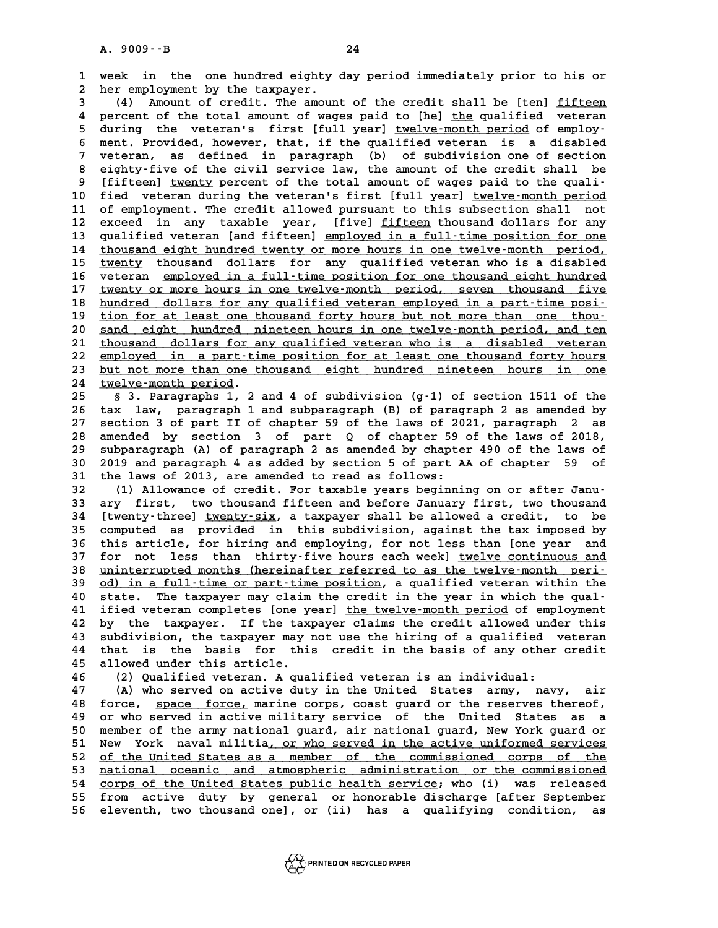**1 week in the one hundred eighty day period immediately prior to his or 2** week in the one-hundred-eighty<br>2 her employment by the taxpayer.<br>3 (4) Amount of credit, The amoun **3** (4) Amount of credit. The amount of the credit shall be [ten] fifteen<br> **3** (4) Amount of credit. The amount of the credit shall be [ten] fifteen<br> **A** persont of the total amount of uses paid to [be] the gualified uptor

**4 per employment by the taxpayer.**<br> **4 percent of the total amount of wages paid to [he] <u>the</u> qualified veteran<br>
<b>4** percent of the total amount of wages paid to [he] <u>the</u> qualified veteran<br> **5** during the uptorals firs 4) Amount of credit. The amount of the credit shall be [ten] <u>fifteen</u><br>4 percent of the total amount of wages paid to [he] <u>the</u> qualified veteran<br>5 during the veteran's first [full year] <u>twelve-month period</u> of employ-<br>5 4 percent of the total amount of wages paid to [he] <u>the</u> qualified veteran<br>5 during the veteran's first [full year] <u>twelve-month period</u> of employ-<br>6 ment. Provided, however, that, if the qualified veteran is a disabled<br> 5 during the veteran's first [full year] <u>twelve-month period</u> of employ-<br>6 ment. Provided, however, that, if the qualified veteran is a disabled<br>7 veteran, as defined in paragraph (b) of subdivision one of section<br>circlif 8 ment. Provided, however, that, if the qualified veteran is a disabled<br>
7 veteran, as defined in paragraph (b) of subdivision one of section<br>
8 eighty-five of the civil service law, the amount of the credit shall be<br>
9 [f 9 **113** weteran, as defined in paragraph (b) of subdivision one of section<br>
9 [fifteen] <u>twenty</u> percent of the total amount of wages paid to the quali-<br>
9 [fifteen] <u>twenty</u> percent of the total amount of wages paid to th 8 eighty-five of the civil service law, the amount of the credit shall be<br>9 [fifteen] <u>twenty</u> percent of the total amount of wages paid to the quali-<br>10 fied veteran during the veteran's first [full year] <u>twelve-month pe</u> 10 [fifteen] <u>twenty</u> percent of the total amount of wages paid to the quali-<br>10 fied veteran during the veteran's first [full year] <u>twelve-month period</u><br>11 of employment. The credit allowed pursuant to this subsection sh 10 fied veteran during the veteran's first [full year] <u>twelve-month period</u><br>11 of employment. The credit allowed pursuant to this subsection shall not<br>12 exceed in any taxable year, [five] <u>fifteen</u> thousand dollars for a 11 of employment. The credit allowed pursuant to this subsection shall not<br>12 exceed in any taxable year, [five] <u>fifteen</u> thousand dollars for any<br>13 qualified veteran [and fifteen] <u>employed in a full-time position for o</u> 12 exceed in any taxable year, [five] <u>fifteen</u> thousand dollars for any<br>13 qualified veteran [and fifteen] <u>employed in a full-time position for one</u><br>14 thousand eight hundred twenty or more hours in one twelve-month peri 12 exceed in any taxable year, [five] <u>fifteen</u> thousand dollars for any qualified veteran [and fifteen] <u>employed in a full-time position for one</u> thousand eight hundred twenty or more hours in one twelve-month period, tw 14 <u>thousand eight hundred twenty or more hours in one twelve-month period,</u><br>15 <u>twenty</u> thousand dollars for any qualified veteran who is a disabled<br>16 veteran <u>employed in a full-time position for one thousand eight hund</u> **15** <u>twenty</u> thousand dollars for any qualified veteran who is a disabled<br>16 veteran <u>employed in a full-time position for one thousand eight hundred</u><br>17 <u>twenty or more hours in one twelve-month period, seven thousand fi</u> **16** veteran <u>employed in a full-time position for one thousand eight hundred</u><br>17 <u>twenty or more hours in one twelve-month period, seven thousand five<br>18 hundred dollars for any qualified veteran employed in a part-time p</u> 17 twenty or more hours in one twelve-month period, seven thousand five<br>18 hundred dollars for any qualified veteran employed in a part-time posi-<br>19 tion for at least one thousand forty hours but not more than one thou-<br>2 18 <u>hundred dollars for any qualified veteran employed in a part-time posi-</u><br>19 <u>tion for at least one thousand forty hours but not more than one thou-</u><br>20 <u>sand eight hundred nineteen hours in one twelve-month period, and</u> 21 tion for at least one thousand forty hours but not more than one thou-<br>20 sand eight hundred nineteen hours in one twelve-month period, and ten<br>21 thousand dollars for any qualified veteran who is a disabled veteran<br>22 22 employed in a part-time position for at least one thousand forty hours<br>23 but not more than one thousand eight hundred nineteen hours in one 21 <u>thousand dollars for any qualified veteran who is a disabled veteran</u><br>22 <u>employed in a part-time position for at least one thousand forty hours</u><br>23 <u>but not more than one thousand eight hundred nineteen hours in one</u> 22 <u>employed in a part-ti</u><br>
23 <u>but not more than one t</u><br>
24 <u>twelve-month period</u>.<br>
25 5 2 Paragraphs 1 **23** <u>but not more than one thousand eight hundred nineteen hours in one</u><br>24 <u>twelve-month period</u>.<br>25 § 3. Paragraphs 1, 2 and 4 of subdivision (g-1) of section 1511 of the<br>26 tour low programs 1 and subpergament (B) of p

**24 twelve-month period.**<br>
25 § 3. Paragraphs 1, 2 and 4 of subdivision (g-1) of section 1511 of the<br>
26 tax law, paragraph 1 and subparagraph (B) of paragraph 2 as amended by<br>
27 section 3 of part II of shapter 58 of the 8 3. Paragraphs 1, 2 and 4 of subdivision (g-1) of section 1511 of the<br>26 tax law, paragraph 1 and subparagraph (B) of paragraph 2 as amended by<br>27 section 3 of part II of chapter 59 of the laws of 2021, paragraph 2 as<br>28 26 tax law, paragraph 1 and subparagraph (B) of paragraph 2 as amended by section 3 of part II of chapter 59 of the laws of 2021, paragraph 2 as amended by section 3 of part Q of chapter 59 of the laws of 2018, subparagrap 27 section 3 of part II of chapter 59 of the laws of 2021, paragraph 2 as<br>28 amended by section 3 of part Q of chapter 59 of the laws of 2018,<br>29 subparagraph (A) of paragraph 2 as amended by chapter 490 of the laws of<br>20 28 amended by section 3 of part Q of chapter 59 of the laws of 2018,<br>29 subparagraph (A) of paragraph 2 as amended by chapter 490 of the laws of<br>30 2019 and paragraph 4 as added by section 5 of part AA of chapter 59 of<br><sup>31</sup> 39 subparagraph (A) of paragraph 2 as amended by chapte<br>30 2019 and paragraph 4 as added by section 5 of part A<br>31 the laws of 2013, are amended to read as follows:<br><sup>22</sup> (1) Allowange of grodit, For tawable wears beginni **30 2019 and paragraph 4 as added by section 5 of part AA of chapter 59 of the laws of 2013, are amended to read as follows:**<br> **32** (1) Allowance of credit. For taxable years beginning on or after Janu-<br> **33** ary first two

**31 the laws of 2013, are amended to read as follows:**<br> **32** (1) Allowance of credit. For taxable years beginning on or after Janu-<br> **33 ary first, two thousand fifteen and before January first, two thousand**<br> **14 Ityorius 32** (1) Allowance of credit. For taxable years beginning on or after Janu-<br>33 ary first, two thousand fifteen and before January first, two thousand<br>34 [twenty-three] <u>twenty-six</u>, a taxpayer shall be allowed a credit, to 32 (1) Allowance of credit. For taxable years beginning on or after Janu-<br>33 ary first, two thousand fifteen and before January first, two thousand<br>34 [twenty-three] <u>twenty-six</u>, a taxpayer shall be allowed a credit, to b **14 [twenty-three] <u>twenty-six</u>, a taxpayer shall be allowed a credit, to be<br>35 computed as provided in this subdivision, against the tax imposed by<br>36 this article, for hiring and employing, for not less than [one year an** 35 computed as provided in this subdivision, against the tax imposed by<br>36 this article, for hiring and employing, for not less than [one year and<br>37 for not less than thirty-five hours each week] <u>twelve continuous and</u><br>2 36 this article, for hiring and employing, for not less than [one year and<br>37 for not less than thirty-five hours each week] <u>twelve-month peri-</u><br>38 <u>uninterrupted months (hereinafter referred to as the twelve-month peri-</u> 37 for not less than thirty-five hours each week] <u>twelve continuous and</u><br>38 <u>uninterrupted months (hereinafter referred to as the twelve-month peri-<br>39 <u>od) in a full-time or part-time position</u>, a qualified veteran withi</u> **40 state. The taxpayer may claim the the twelve-month period in a full-time or part-time position, a qualified veteran within the state. The taxpayer may claim the credit in the year in which the qual-<br>
40 state. The taxp** 39 <u>od) in a full-time or part-time position</u>, a qualified veteran within the<br>40 state. The taxpayer may claim the credit in the year in which the qual-<br>41 ified veteran completes [one year] <u>the twelve-month period</u> of em 40 state. The taxpayer may claim the credit in the year in which the qual-<br>41 if ied veteran completes [one year] <u>the twelve-month period</u> of employment<br>42 by the taxpayer. If the taxpayer claims the credit allowed under 41 ified veteran completes [one year] <u>the twelve-month period</u> of employment<br>42 by the taxpayer. If the taxpayer claims the credit allowed under this<br>43 subdivision, the taxpayer may not use the hiring of a qualified vete 42 by the taxpayer. If the taxpayer claims the credit allowed under this subdivision, the taxpayer may not use the hiring of a qualified veteran 44 that is the basis for this credit in the basis of any other credit allowed 43 subdivision, the taxpayer may not use the hiring of a qualified veteran<br>44 that is the basis for this credit in the basis of any other credit<br>45 allowed under this article.<br>46 (2) Qualified veteran. A qualified veteran 44 that is the basis for this credit in the basis of any other credit<br>
45 allowed under this article.<br>
46 (2) Qualified veteran. A qualified veteran is an individual:<br>
47 (A) who served on active duty in the United States

**47 (A) who served on active duty in the United States army, navy, air 46** (2) Qualified veteran. A qualified veteran is an individual:<br>47 (A) who served on active duty in the United States army, navy, air<br>48 force, <u>space force,</u> marine corps, coast guard or the reserves thereof,<br>49 or the **47** (A) who served on active duty in the United States army, navy, air<br>48 force, <u>space force,</u> marine corps, coast guard or the reserves thereof,<br>49 or who served in active military service of the United States as a<br>50 m **50 member of the army national state army national guard** or the reserves thereof,<br>**50 member of the army national guard, air national guard, New York guard or**<br>**51 New York nawal militia or who served in the active unifo** 49 or who served in active military service of the United States as a<br>50 member of the army national guard, air national guard, New York guard or<br>51 New York naval militia, <u>or who served in the active uniformed services</u><br> 50 member of the army national guard, air national guard, New York guard or<br>51 New York naval militia<u>, or who served in the active uniformed services</u><br>52 <u>of the United States as a member of the commissioned corps of the</u> 51 New York naval militia<u>, or who served in the active uniformed services</u><br>52 <u>of the United States as a member of the commissioned corps of the<br>53 <u>national oceanic and atmospheric administration or the commissioned</u><br>54 </u> 52 <u>of the United States as a member of the commissioned corps of the national oceanic and atmospheric administration or the commissioned<br>54 <u>corps of the United States public health service</u>; who (i) was released<br>55 from </u> **53** <u>mational oceanic and atmospheric administration or the commissioned</u><br>54 corps of the United States public health service; who (i) was released<br>55 from active duty by general or honorable discharge [after September<br>56 54 corps of the United States public health service; who (i) was released<br>55 from active duty by general or honorable discharge [after September<br>56 eleventh, two thousand one], or (ii) has a qualifying condition, as

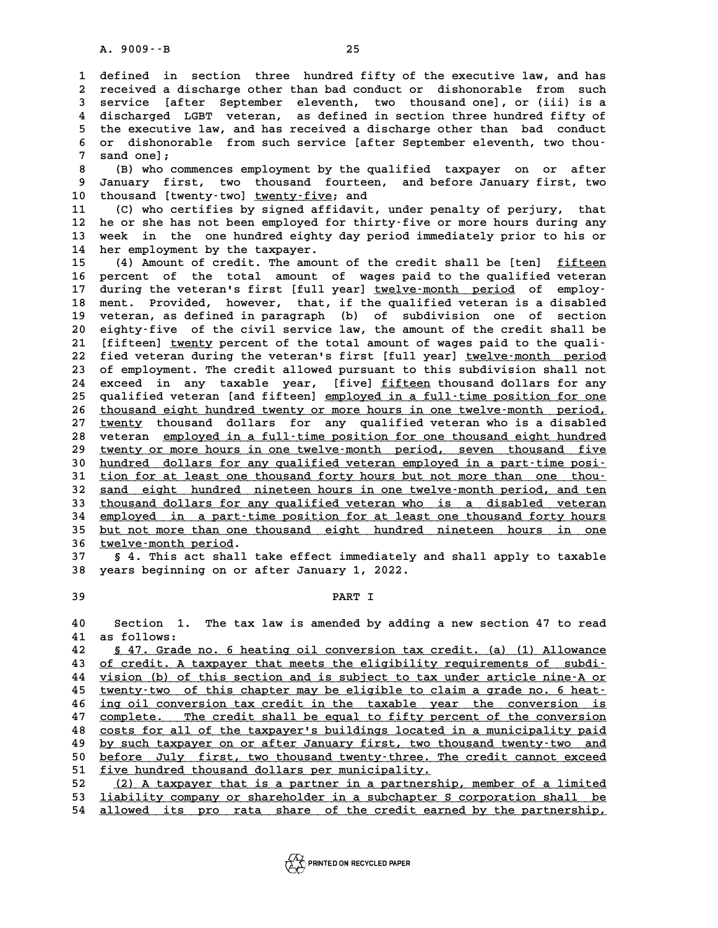**1 defined in section three hundred fifty of the executive law, and has 2** defined in section three hundred fifty of the executive law, and has<br>2 received a discharge other than bad conduct or dishonorable from such<br>3 service [after September eleventh two thousand one] or (iii) is a **3** defined in section three hundred fifty of the executive law, and has<br>2 received a discharge other than bad conduct or dishonorable from such<br>3 service [after September eleventh, two thousand one], or (iii) is a<br>4 disch a discharge other than bad conduct or dishonorable from such<br>3 service [after September eleventh, two thousand one], or (iii) is a<br>4 discharged LGBT veteran, as defined in section three hundred fifty of<br>the executive law a **5** service [after September eleventh, two thousand one], or (iii) is a<br>4 discharged LGBT veteran, as defined in section three hundred fifty of<br>5 the executive law, and has received a discharge other than bad conduct<br>5 and 4 discharged LGBT veteran, as defined in section three hundred fifty of<br>5 the executive law, and has received a discharge other than bad conduct<br>6 or dishonorable from such service [after September eleventh, two thou-<br>7 sa 5 the executive<br>6 or dishonoral<br>7 sand one];<br><sup>8</sup> (B) the serm 8 or dishonorable from such service [after September eleventh, two thou-<br> **8 (B)** who commences employment by the qualified taxpayer on or after<br> **8** Innuary first, type thousand fourteen and before January first, type

**9 January first, two thousand fourteen, and before January first, two** 10 thousand [twenty-two] <u>twenty-five</u>; and<br>11 (C) who certifies by signed affidavit

**11 (C) who certifies by signed affidavit, under penalty of perjury, that 10 thousand [twenty-two] <u>twenty-five</u>; and<br>11 (C) who certifies by signed affidavit, under penalty of perjury, that<br>12 he or she has not been employed for thirty-five or more hours during any<br>13 week, in the one hundred** 11 (C) who certifies by signed affidavit, under penalty of perjury, that<br>12 he or she has not been employed for thirty-five or more hours during any<br>13 week in the one hundred eighty day period immediately prior to his or 12 he or she has not been employed fo<br>13 week in the one hundred eighty<br>14 her employment by the taxpayer. week in the one-hundred-eighty-day-period-immediately-prior-to-his-or-<br>14 her-employment by-the-taxpayer.<br>15 (4) Amount of credit. The amount of the credit shall be [ten] <u>fifteen</u><br>16 percent of the total amount of wages p

**16 percent of the total amount of wages paid to the qualified veteran** 15 (4) Amount of credit. The amount of the credit shall be [ten] <u>fifteen</u><br>16 percent of the total amount of wages paid to the qualified veteran<br>17 during the veteran's first [full year] <u>twelve-month period</u> of employ-<br>20 16 percent of the total amount of wages-paid-to-the-qualified-veteran 17 during the veteran's first [full year] <u>twelve-month period</u> of employ-<br>18 ment. Provided, however, that, if the qualified veteran is a disabled<br>19 u 17 during the veteran's first [full year] <u>twelve-month period</u> of employ-<br>18 ment. Provided, however, that, if the qualified veteran is a disabled<br>19 veteran, as defined in paragraph (b) of subdivision one of section<br>20 c 18 ment. Provided, however, that, if the qualified veteran is a disabled<br>19 veteran, as defined in paragraph (b) of subdivision one of section<br>20 eighty-five of the civil service law, the amount of the credit shall be<br>21 [ veteran, as defined in paragraph (b) of subdivision one of section 20 eighty-five of the civil service law, the amount of the credit shall be<br>21 [fifteen] <u>twenty</u> percent of the total amount of wages paid to the quali-<br>22 fied veteran during the veteran's first [full year] <u>twelve-month </u> 21 [fifteen] <u>twenty</u> percent of the total amount of wages paid to the quali-<br>22 fied veteran during the veteran's first [full year] <u>twelve-month period</u><br>23 of employment. The credit allowed pursuant to this subdivision s 22 fied veteran during the veteran's first [full year] <u>twelve-month period</u><br>23 of employment. The credit allowed pursuant to this subdivision shall not<br>24 exceed in any taxable year, [five] <u>fifteen</u> thousand dollars for 23 of employment. The credit allowed pursuant to this subdivision shall not<br>24 exceed in any taxable year, [five] <u>fifteen</u> thousand dollars for any<br>25 qualified veteran [and fifteen] <u>employed in a full-time position for </u> 24 exceed in any taxable year, [five] <u>fifteen</u> thousand dollars for any<br>25 qualified veteran [and fifteen] <u>employed in a full-time position for one</u><br>26 <u>thousand eight hundred twenty or more hours in one twelve-month per</u> qualified veteran [and fifteen] employed in a full-time position for one<br>26 thousand eight hundred twenty or more hours in one twelve-month period,<br>27 twenty thousand dollars for any qualified veteran who is a disabled<br>28 26 <u>thousand eight hundred twenty or more hours in one twelve-month period,</u><br>27 <u>twenty</u> thousand dollars for any qualified veteran who is a disabled<br>28 veteran <u>employed in a full-time position for one thousand eight hund</u> <u>twenty</u> thousand dollars for any qualified veteran who is a disabled<br>28 veteran <u>employed in a full-time position for one thousand eight hundred</u><br>29 <u>twenty or more hours in one twelve-month period, seven thousand five</u><br>2 veteran <u>employed in a full-time position for one thousand eight hundred</u><br>29 <u>twenty or more hours in one twelve-month period, seven thousand five<br>30 hundred dollars for any qualified veteran employed in a part-time posi-<br></u> twenty or more hours in one twelve-month period, seven thousand five<br>30 <u>hundred dollars for any qualified veteran employed in a part-time posi-</u><br>31 <u>tion for at least one thousand forty hours but not more than one thou-</u><br> 30 <u>hundred dollars for any qualified veteran employed in a part-time posi-</u><br>31 <u>tion for at least one thousand forty hours but not more than one thou-</u><br>32 <u>sand eight hundred nineteen hours in one twelve-month period, and</u> 31 tion for at least one thousand forty hours but not more than one thou-<br>32 <u>sand eight hundred nineteen hours in one twelve-month period, and ten</u><br>33 <u>thousand dollars for any qualified veteran who is a disabled veteran</u> 32 <u>sand eight hundred nineteen-hours in one twelve-month period, and ten</u><br>33 <u>thousand dollars for any qualified veteran who is a disabled veteran</u><br>34 <u>employed in a part-time position for at least one thousand forty hour</u> 33 thousand dollars for any qualified veteran who is a disabled veteran employed in a part-time position for at least one thousand forty hours but not more than one thousand eight hundred nineteen hours in one 34 <u>employed in a part-ti</u><br>35 <u>but not more than one t</u><br>36 <u>twelve-month period</u>.<br>37 54 This ast shall t **35 <u>but not more than one thousand eight hundred nineteen hours in one</u><br>36 <u>twelve-month period</u>.<br>37 § 4. This act shall take effect immediately and shall apply to taxable<br>28 wears beginning on a after Innuany 1, 2022** 

**38 years beginning on or after January 1, 2022. 39 PART I**

**40 Section 1. The tax law is amended by adding a new section 47 to read 40** Section 1.<br>41 as follows:<br>42 5.47 Crade: Section 1. The tax law is amended by adding a new section 47 to read<br> **41** as follows:<br>
<u>§ 47. Grade no. 6 heating oil conversion tax credit. (a) (1) Allowance</u><br> **42** of gradit. A terminary that mosts the eligibility requi

 as follows:<br> **42** <u>§ 47. Grade no. 6 heating oil conversion tax credit. (a) (1) Allowance</u><br>
<u>43 of credit. A taxpayer that meets the eligibility requirements of subdi-</u><br> *14 vision (b)* of this sestion and is subject <u>§ 47. Grade no. 6 heating oil conversion tax credit. (a) (1) Allowance</u><br>43 <u>of credit. A taxpayer that meets the eligibility requirements of subdi-<br>44 vision (b) of this section and is subject to tax under article ni</u> of credit. A taxpayer that meets the eligibility requirements of subdi-<br> **44** vision (b) of this section and is subject to tax under article nine-A or<br> **45** twenty-two of this chapter may be eligible to claim a grade vision (b) of this section and is subject to tax under article nine-A or<br>45 <u>twenty-two of this chapter may be eligible to claim a grade no. 6 heat-</u><br>46 <u>ing oil conversion tax credit in the taxable year the conversio</u> <u>twenty-two of this chapter may be eligible to claim a grade no. 6 heat-</u><br>46 <u>ing oil conversion tax credit in the taxable year the conversion is<br>47 complete. The credit shall be equal to fifty percent of the conversi</u> <u>ing oil conversion tax credit in the taxable year the conversion is<br>47 complete. The credit shall be equal to fifty percent of the conversion<br>48 costs for all of the taxpayer's buildings located in a municipality pai</u> complete. The credit shall be equal to fifty percent of the conversion<br>48 costs for all of the taxpayer's buildings located in a municipality paid<br>by such taxpayer on or after January first, two thousand twenty-two an 80 costs for all of the taxpayer's buildings located in a municipality paid<br>49 <u>by such taxpayer on or after January first, two thousand twenty-two and</u><br>50 <u>before July first, two thousand twenty-three. The credit cannot e</u> by such taxpayer on or after January first, two thousand twenty-two and<br>
50 <u>before July first, two thousand twenty-three. The credit cannot exceed</u><br>
51 <u>five hundred thousand dollars per municipality.</u><br>
52 (2) A taxpayer before July first, two thousand twenty-three. The credit cannot exceed<br> **51** <u>five hundred thousand dollars per municipality.</u><br>
<u>52 (2) A taxpayer that is a partner in a partnership, member of a limited</u><br> **53** lightli

51 <u>five hundred thousand dollars per municipality.</u><br>
52 (2) A taxpayer that is a partner in a partnership, member of a limited<br>
53 <u>liability company or shareholder in a subchapter S corporation shall be</u><br>
54 allowed its 52 (2) A taxpayer that is a partner in a partnership, member of a limited<br>53 <u>liability company or shareholder in a subchapter S corporation shall be</u><br>54 <u>allowed its pro rata share of the credit earned by the partnership,</u>

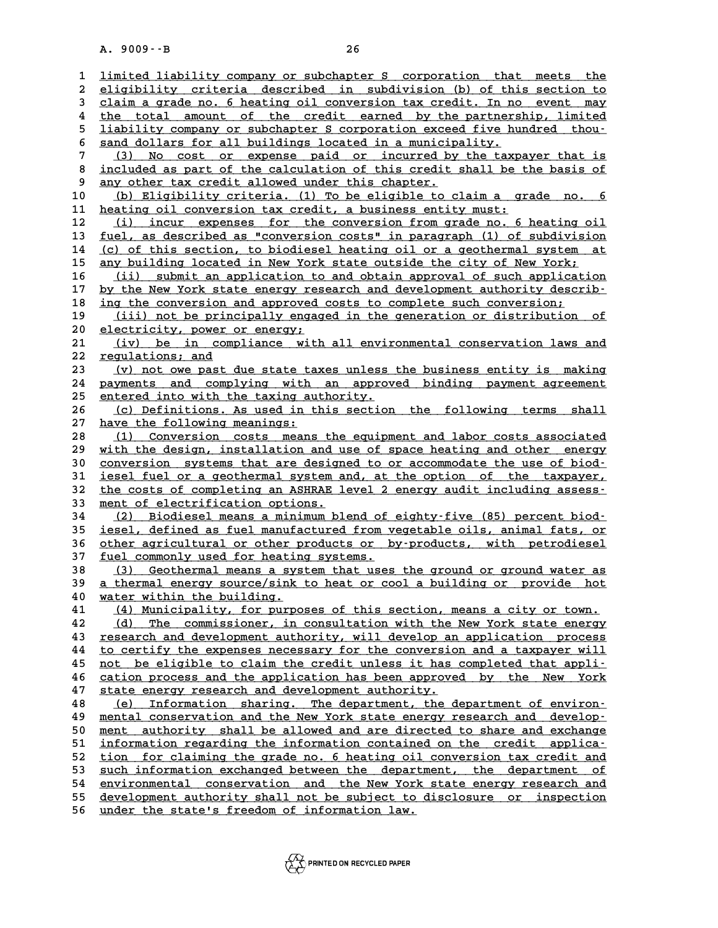|                         | $A. 9009 - B$<br>26                                                                                                                           |
|-------------------------|-----------------------------------------------------------------------------------------------------------------------------------------------|
| $\mathbf{1}$            | limited liability company or subchapter S corporation that meets the                                                                          |
| $\boldsymbol{2}$        | eligibility criteria described in subdivision (b) of this section to                                                                          |
| 3                       | claim a grade no. 6 heating oil conversion tax credit. In no event may                                                                        |
| $\overline{\mathbf{4}}$ | the total amount of the credit earned by the partnership, limited                                                                             |
| 5                       | liability company or subchapter S corporation exceed five hundred thou-                                                                       |
| 6                       | sand dollars for all buildings located in a municipality.                                                                                     |
| $\overline{7}$          | No cost or expense paid or incurred by the taxpayer that is<br>(3)                                                                            |
| 8                       | included as part of the calculation of this credit shall be the basis of                                                                      |
| 9                       | any other tax credit allowed under this chapter.                                                                                              |
| 10                      | (b) Eligibility criteria. (1) To be eligible to claim a grade no. 6                                                                           |
| 11                      | heating oil conversion tax credit, a business entity must:                                                                                    |
| 12                      | (i) incur expenses for the conversion from grade no. 6 heating oil                                                                            |
| 13                      | fuel, as described as "conversion costs" in paragraph (1) of subdivision                                                                      |
| 14                      | (c) of this section, to biodiesel heating oil or a geothermal system at                                                                       |
| 15                      | any building located in New York state outside the city of New York;                                                                          |
| 16                      | submit an application to and obtain approval of such application<br>(ii) (ii                                                                  |
| 17                      | by the New York state energy research and development authority describ-                                                                      |
| 18                      | ing the conversion and approved costs to complete such conversion;                                                                            |
| 19                      | (iii) not be principally engaged in the generation or distribution<br>оf                                                                      |
| 20                      | electricity, power or energy;                                                                                                                 |
| 21                      | (iv) be in compliance with all environmental conservation laws and                                                                            |
| 22                      | regulations; and                                                                                                                              |
| 23<br>24                | (v) not owe past due state taxes unless the business entity is making<br>payments and complying with an approved binding payment agreement    |
| 25                      | entered into with the taxing authority.                                                                                                       |
| 26                      | (c) Definitions. As used in this section the following terms<br>shall                                                                         |
| 27                      | have the following meanings:                                                                                                                  |
| 28                      | Conversion costs means the equipment and labor costs associated<br>(1)                                                                        |
| 29                      | with the design, installation and use of space heating and other energy                                                                       |
| 30                      | conversion systems that are designed to or accommodate the use of biod-                                                                       |
| 31                      | iesel fuel or a geothermal system and, at the option of the taxpayer,                                                                         |
| 32                      | the costs of completing an ASHRAE level 2 energy audit including assess-                                                                      |
| 33                      | ment of electrification options.                                                                                                              |
| 34                      | (2) Biodiesel means a minimum blend of eighty-five (85) percent biod-                                                                         |
| 35                      | iesel, defined as fuel manufactured from vegetable oils, animal fats, or                                                                      |
| 36                      | other agricultural or other products or by-products, with petrodiesel                                                                         |
| 37                      | fuel commonly used for heating systems.                                                                                                       |
| 38                      | (3) Geothermal means a system that uses the ground or ground water as                                                                         |
| 39                      | a thermal energy source/sink to heat or cool a building or provide hot                                                                        |
| 40<br>41                | water within the building.                                                                                                                    |
| 42                      | (4) Municipality, for purposes of this section, means a city or town.<br>(d) The commissioner, in consultation with the New York state energy |
| 43                      | research and development authority, will develop an application process                                                                       |
| 44                      | to certify the expenses necessary for the conversion and a taxpayer will                                                                      |
| 45                      | not be eligible to claim the credit unless it has completed that appli-                                                                       |
| 46                      | cation process and the application has been approved by the New York                                                                          |
| 47                      | state energy research and development authority.                                                                                              |
| 48                      | (e) Information sharing. The department, the department of environ-                                                                           |
| 49                      | mental conservation and the New York state energy research and develop-                                                                       |
| 50                      | ment authority shall be allowed and are directed to share and exchange                                                                        |
| 51                      | information regarding the information contained on the credit applica-                                                                        |
| 52                      | tion for claiming the grade no. 6 heating oil conversion tax credit and                                                                       |
| 53                      | such information exchanged between the department, the department of                                                                          |
| 54                      | environmental conservation and the New York state energy research and                                                                         |
| 55                      | development authority shall not be subject to disclosure or inspection                                                                        |
| 56                      | under the state's freedom of information law.                                                                                                 |

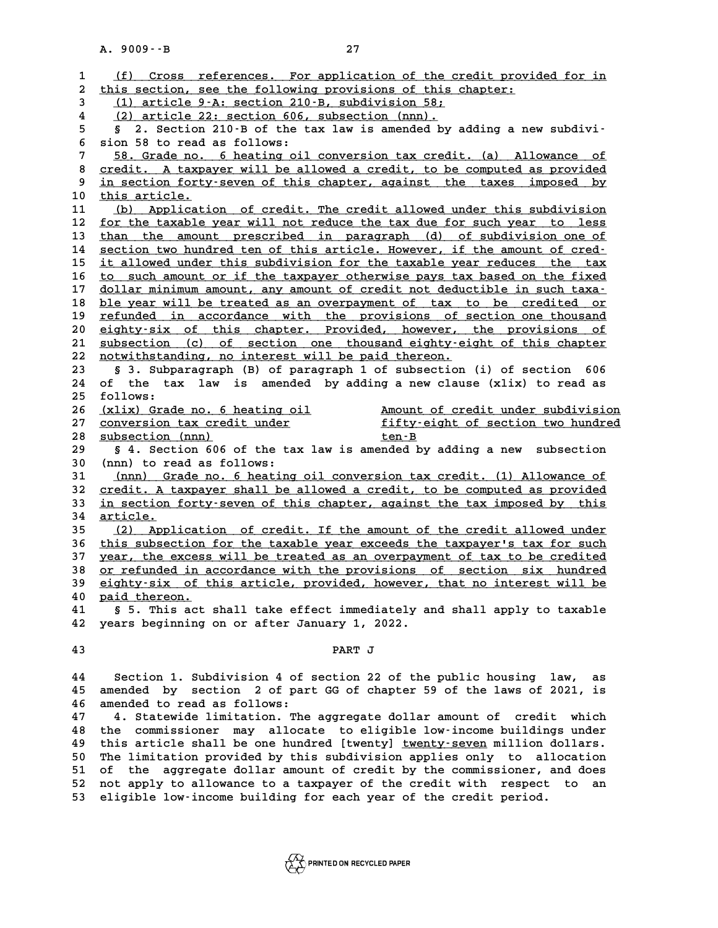|              | 27<br>$A. 9009 - B$                                                                                                                            |
|--------------|------------------------------------------------------------------------------------------------------------------------------------------------|
| $\mathbf{1}$ | (f) Cross references. For application of the credit provided for in                                                                            |
| 2            | this section, see the following provisions of this chapter:                                                                                    |
| 3            | (1) article 9-A: section 210-B, subdivision 58;                                                                                                |
| 4            | (2) article 22: section 606, subsection (nnn).                                                                                                 |
| 5            | 2. Section 210-B of the tax law is amended by adding a new subdivi-<br>S.                                                                      |
| 6            | sion 58 to read as follows:                                                                                                                    |
| 7            | 58. Grade no. 6 heating oil conversion tax credit. (a) Allowance of                                                                            |
| 8            | credit. A taxpayer will be allowed a credit, to be computed as provided                                                                        |
| 9            | in section forty-seven of this chapter, against the taxes imposed by                                                                           |
| 10           | this article.                                                                                                                                  |
| 11<br>12     | (b) Application of credit. The credit allowed under this subdivision<br>for the taxable year will not reduce the tax due for such year to less |
| 13           | than the amount prescribed in paragraph (d) of subdivision one of                                                                              |
| 14           | section two hundred ten of this article. However, if the amount of cred-                                                                       |
| 15           | it allowed under this subdivision for the taxable year reduces the tax                                                                         |
| 16           | to such amount or if the taxpayer otherwise pays tax based on the fixed                                                                        |
| 17           | dollar minimum amount, any amount of credit not deductible in such taxa-                                                                       |
| 18           | ble year will be treated as an overpayment of tax to be credited or                                                                            |
| 19           | refunded in accordance with the provisions of section one thousand                                                                             |
| 20           | eighty-six of this chapter. Provided, however, the provisions of                                                                               |
| 21           | subsection (c) of section one thousand eighty-eight of this chapter                                                                            |
| 22           | notwithstanding, no interest will be paid thereon.                                                                                             |
| 23           | § 3. Subparagraph (B) of paragraph 1 of subsection (i) of section 606                                                                          |
| 24           | of the tax law is amended by adding a new clause (xlix) to read as                                                                             |
| 25           | follows:                                                                                                                                       |
| 26           | (xlix) Grade no. 6 heating oil<br>Amount of credit under subdivision                                                                           |
| 27           | conversion tax credit under<br>fifty-eight of section two hundred                                                                              |
| 28<br>29     | subsection (nnn)<br>ten-B<br>§ 4. Section 606 of the tax law is amended by adding a new subsection                                             |
| 30           | (nnn) to read as follows:                                                                                                                      |
| 31           | (nnn) Grade no. 6 heating oil conversion tax credit. (1) Allowance of                                                                          |
| 32           | credit. A taxpayer shall be allowed a credit, to be computed as provided                                                                       |
| 33           | in section forty-seven of this chapter, against the tax imposed by this                                                                        |
| 34           | <u>article.</u>                                                                                                                                |
| 35           | (2) Application of credit. If the amount of the credit allowed under                                                                           |
| 36           | <u>this subsection for the taxable year exceeds the taxpayer's tax for such</u>                                                                |
| 37           | year, the excess will be treated as an overpayment of tax to be credited                                                                       |
| 38           | or refunded in accordance with the provisions of section six hundred                                                                           |
| 39           | eighty-six of this article, provided, however, that no interest will be                                                                        |
| 40           | paid thereon.                                                                                                                                  |
| 41           | § 5. This act shall take effect immediately and shall apply to taxable                                                                         |
| 42           | years beginning on or after January 1, 2022.                                                                                                   |
| 43           | PART J                                                                                                                                         |
| 44           | Section 1. Subdivision 4 of section 22 of the public housing law,<br>as                                                                        |
| 45           | amended by section 2 of part GG of chapter 59 of the laws of 2021, is                                                                          |
| 46           | amended to read as follows:                                                                                                                    |
| 47           | 4. Statewide limitation. The aggregate dollar amount of credit which                                                                           |
| 48           | the commissioner may allocate to eligible low-income buildings under                                                                           |
| 49           | this article shall be one hundred [twenty] twenty-seven million dollars.                                                                       |
| 50           | The limitation provided by this subdivision applies only to allocation                                                                         |
| 51           | of the aggregate dollar amount of credit by the commissioner, and does                                                                         |
| E O.         | unngo to a taunayow of the gradit with you                                                                                                     |

The limitation provided by this subdivision applies only to allocation<br>
51 of the aggregate dollar amount of credit by the commissioner, and does<br>
52 not apply to allowance to a taxpayer of the credit with respect to an<br>
5 51 of the aggregate dollar amount of credit by the commissioner,<br>52 not apply to allowance to a taxpayer of the credit with respect<br>53 eligible low-income building for each year of the credit period.

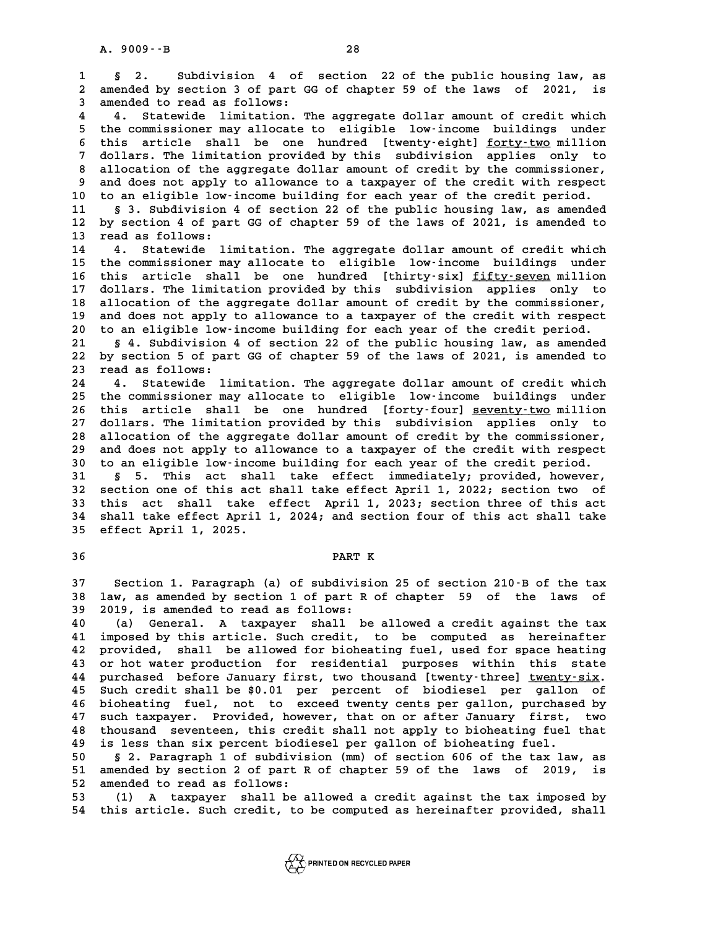**1 § 2. Subdivision 4 of section 22 of the public housing law, as 2.** Subdivision 4 of section 22 of the public housing law, as<br>2 amended by section 3 of part GG of chapter 59 of the laws of 2021, is 1 § 2. Subdivision 4 of<br>2 amended by section 3 of part G<br>3 amended to read as follows:<br><sup>4</sup> Statewide limitation m **4 4. Statewide limitation. The aggregate dollar amount of credit which** 3 amended to read as follows:<br>4 4. Statewide limitation. The aggregate dollar amount of credit which<br>5 the commissioner may allocate to eligible low-income buildings under<br>5 this article shall be ane hundred fructureightl 4 4. Statewide limitation. The aggregate dollar amount of credit which<br>5 the commissioner may allocate to eligible low-income buildings under<br>6 this article shall be one hundred [twenty-eight] <u>forty-two</u> million<br>7 dollars 5 the commissioner may allocate to eligible low-income buildings under<br>6 this article shall be one hundred [twenty-eight] <u>forty-two</u> million<br>7 dollars. The limitation provided by this subdivision applies only to<br>2 allocat 8 this article shall be one hundred [twenty-eight] <u>forty-two</u> million<br>7 dollars. The limitation provided by this subdivision applies only to<br>8 allocation of the aggregate dollar amount of credit by the commissioner,<br>9 and 9 dollars. The limitation provided by this subdivision applies only to<br>8 allocation of the aggregate dollar amount of credit by the commissioner,<br>9 and does not apply to allowance to a taxpayer of the credit with respect<br>1 10 allocation of the aggregate dollar amount of credit by the commissioner,<br>
10 to an eligible low-income building for each year of the credit period.<br>
11 s. 3 subdivision 4 of section 22 of the public bousing law as amend 9 and does not apply to allowance to a taxpayer of the credit with respect<br>10 to an eligible low-income building for each year of the credit period.<br>11 § 3. Subdivision 4 of section 22 of the public housing law, as amended **10** to an eligible low-income building for each year of the credit period.<br>
11 § 3. Subdivision 4 of section 22 of the public housing law, as amended<br>
12 by section 4 of part GG of chapter 59 of the laws of 2021, is amend 11 § 3. Subdivision<br>12 by section 4 of par<br>13 read as follows:<br><sup>14</sup> <sup>4</sup> Statewide 1; 12 by section 4 of part GG of chapter 59 of the laws of 2021, is amended to<br>13 read as follows:<br>14 4. Statewide limitation. The aggregate dollar amount of credit which<br>15 the commissioner may allocate to eligible lovingome 13 read as follows:<br>14 14. Statewide limitation. The aggregate dollar amount of credit which<br>15 the commissioner may allocate to eligible low-income buildings under<br>16 this article shall be one hundred [thirty-six] fifty-s 14 4. Statewide limitation. The aggregate dollar amount of credit which<br>15 the commissioner may allocate to eligible low-income buildings under<br>16 this article shall be one hundred [thirty-six] <u>fifty-seven</u> million<br>2011ar 15 the commissioner may allocate to eligible low-income buildings under<br>16 this article shall be one hundred [thirty-six] <u>fifty-seven</u> million<br>17 dollars. The limitation provided by this subdivision applies only to<br>18 all **16 this article shall be one hundred [thirty-six] fifty-seven million**<br>17 dollars. The limitation provided by this subdivision applies only to<br>18 allocation of the aggregate dollar amount of credit by the commissioner,<br>20 17 dollars. The limitation provided by this subdivision applies only to allocation of the aggregate dollar amount of credit by the commissioner, and does not apply to allowance to a taxpayer of the credit with respect to a allocation of the aggregate dollar amount of credit by the commissioner,<br>19 and does not apply to allowance to a taxpayer of the credit with respect<br>20 to an eligible low-income building for each year of the credit period. 20 and does not apply to allowance to a taxpayer of the credit with respect<br>20 to an eligible low-income building for each year of the credit period.<br>21 § 4. Subdivision 4 of section 22 of the public housing law, as amende **20** to an eligible low-income building for each year of the credit period.<br>21 § 4. Subdivision 4 of section 22 of the public housing law, as amended<br>22 by section 5 of part GG of chapter 59 of the laws of 2021, is amended 21 **5 4. Subdivision**<br>
22 by section 5 of par<br>
23 read as follows:<br>
24 **4** Statewide list 22 by section 5 of part GG of chapter 59 of the laws of 2021, is amended to<br>23 read as follows:<br>24 4. Statewide limitation. The aggregate dollar amount of credit which<br>25 the commissioner may allocate to eligible lovingome 23 read as follows:<br>24 d. Statewide limitation. The aggregate dollar amount of credit which<br>25 this article shall be ane hundred [forty-four] seventy-type million 24 4. Statewide limitation. The aggregate dollar amount of credit which<br>25 the commissioner may allocate to eligible low-income buildings under<br>26 this article shall be one hundred [forty-four] <u>seventy-two</u> million<br>27 dol 25 the commissioner may allocate to eligible low-income buildings under<br>26 this article shall be one hundred [forty-four] <u>seventy-two</u> million<br>27 dollars. The limitation provided by this subdivision applies only to<br>28 all 26 this article shall be one hundred [forty-four] <u>seventy-two</u> million<br>27 dollars. The limitation provided by this subdivision applies only to<br>28 allocation of the aggregate dollar amount of credit by the commissioner,<br>29 27 dollars. The limitation provided by this subdivision applies only to<br>28 allocation of the aggregate dollar amount of credit by the commissioner,<br>29 and does not apply to allowance to a taxpayer of the credit with respec allocation of the aggregate dollar amount of credit by the commissioner,<br>29 and does not apply to allowance to a taxpayer of the credit with respect<br>30 to an eligible low-income building for each year of the credit period. 29 and does not apply to allowance to a taxpayer of the credit with respect 30 to an eligible low-income building for each year of the credit period.<br>31 § 5. This act shall take effect immediately; provided, however, **30** to an eligible low-income building for each year of the credit period.<br> **31** § 5. This act shall take effect immediately; provided, however,<br>
32 section one of this act shall take effect April 1, 2022; section two of **31** § 5. This act shall take effect immediately; provided, however,<br>32 section one of this act shall take effect April 1, 2022; section two of<br>33 this act shall take effect April 1, 2023; section three of this act<br>24 shal 32 section one of this act shall take effect April 1, 2022; section two of<br>33 this act shall take effect April 1, 2023; section three of this act<br>34 shall take effect April 1, 2024; and section four of this act shall take 33 this act shall take effect April 1, 2023; section three of this act<br>34 shall take effect April 1, 2024; and section four of this act shall take

# **36 PART K**

**28**<br>37 Section 1. Paragraph (a) of subdivision 25 of section 210-B of the tax<br>38 Jay 25 arouded by section 1 of part B of chapter, 58 of the Jays of 37 Section 1. Paragraph (a) of subdivision 25 of section 210<sup>.</sup>B of the tax<br>38 law, as amended by section 1 of part R of chapter 59 of the laws of **37** Section 1. Paragraph (a) of subdivisieral as identity as a mended by section 1 of part R 39 2019, is amended to read as follows:

**40 (a) General. A taxpayer shall be allowed a credit against the tax 41 imposed by this article. Such credit, to be computed as hereinafter 40** (a) General. A taxpayer shall be allowed a credit against the tax<br>**41 imposed by this article.** Such credit, to be computed as hereinafter<br>**42 provided, shall be allowed for bioheating fuel, used for space heating<br>23** 41 imposed by this article. Such credit, to be computed as hereinafter<br>42 provided, shall be allowed for bioheating fuel, used for space heating<br>43 or hot water production for residential purposes within this state<br>44 purp **42 provided, shall be allowed for bioheating fuel, used for space heating<br>43 or hot water production for residential purposes within this state<br>44 purchased before January first, two thousand [twenty-three] twenty-six.<br><sup>4**</sup> 43 or hot water production for residential purposes within this state<br>44 purchased before January first, two thousand [twenty-three] <u>twenty-six</u>.<br>45 Such credit shall be \$0.01 per percent of biodiesel per gallon of<br>hickob **44 purchased before January first, two thousand [twenty-three] <u>twenty-six</u>.<br>45 Such credit shall be \$0.01 per percent of biodiesel per gallon of<br>46 bioheating fuel, not to exceed twenty cents per gallon, purchased by<br>47** For a such credit shall be \$0.01 per percent of biodiesel per gallon of<br>46 bioheating fuel, not to exceed twenty cents per gallon, purchased by<br>47 such taxpayer. Provided, however, that on or after January first, two<br>thous 46 bioheating fuel, not to exceed twenty cents per gallon, purchased by<br>47 such taxpayer. Provided, however, that on or after January first, two<br>48 thousand seventeen, this credit shall not apply to bioheating fuel that<br>49 47 such taxpayer. Provided, however, that on or after January first,<br>48 thousand seventeen, this credit shall not apply to bioheating fuel.<br>49 is less than six percent biodiesel per gallon of bioheating fuel.<br>50 5.2 Percen 48 thousand seventeen, this credit shall not apply to bioheating fuel that<br>49 is less than six percent biodiesel per gallon of bioheating fuel.<br>50 § 2. Paragraph 1 of subdivision (mm) of section 606 of the tax law, as<br>51 s

**50 is less than six percent biodiesel per gallon of bioheating fuel.**<br> **50 § 2. Paragraph 1 of subdivision (mm) of section 606 of the tax law, as<br>
51 amended by section 2 of part R of chapter 59 of the laws of 2019, is<br>
5** 50 § 2. Paragraph 1 of subdivis<br>51 amended by section 2 of part R<br>52 amended to read as follows:<br>53 (1) A tarrayor shall be a 50 § 2. Paragraph 1 of subdivision (mm) of section 606 of the tax law, as<br>51 amended by section 2 of part R of chapter 59 of the laws of 2019, is<br>52 amended to read as follows:<br>53 (1) A taxpayer shall be allowed a credit a

**54 this article. Such credit, to be computed as hereinafter provided, shall**

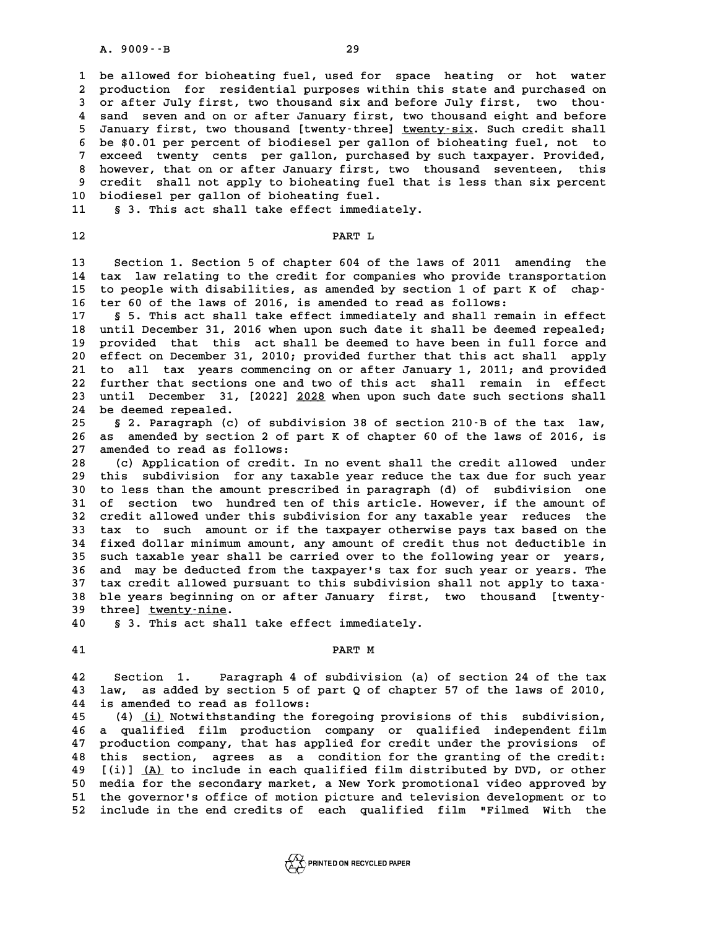**1 be allowed for bioheating fuel, used for space heating or hot water 2** be allowed for bioheating fuel, used for space heating or hot water<br>2 production for residential purposes within this state and purchased on<br>3 or after July first, two thousand six and before July first, two thou. 1 be allowed for bioheating fuel, used for space heating or hot water<br>
2 production for residential purposes within this state and purchased on<br>
3 or after July first, two thousand six and before July first, two thou-<br>
<sup>4</sup> 2 production for residential purposes within this state and purchased on<br>3 or after July first, two thousand six and before July first, two thou-<br>4 sand seven and on or after January first, two thousand eight and before<br>5 3 or after July first, two thousand six and before July first, two thou-<br>4 sand seven and on or after January first, two thousand eight and before<br>5 January first, two thousand [twenty-three] <u>twenty-six</u>. Such credit shal 8 sand seven and on or after January first, two thousand eight and before<br>5 January first, two thousand [twenty-three] <u>twenty-six</u>. Such credit shall<br>6 be \$0.01 per percent of biodiesel per gallon of bioheating fuel, not January first, two thousand [twenty-three] <u>twenty-six</u>. Such credit shall<br>6 be \$0.01 per percent of biodiesel per gallon of bioheating fuel, not to<br>7 exceed twenty cents per gallon, purchased by such taxpayer. Provided,<br>8 **8 be \$0.01 per percent of biodiesel per gallon of bioheating fuel, not to<br>
7 exceed twenty cents per gallon, purchased by such taxpayer. Provided,<br>
8 however, that on or after January first, two thousand seventeen, this<br>** exceed twenty cents per gallon, purchased by such taxpayer. Provided, **10 biodiesel per gallon of bioheating fuel.** credit shall not apply to bioheating fuel that is less than six percent

**11** § 3. This act shall take effect immediately.<br>**12** PART L

**13 Section 1. Section 5 of chapter 604 of the laws of 2011 amending the** 13 Section 1. Section 5 of chapter 604 of the laws of 2011 amending the<br>14 tax law relating to the credit for companies who provide transportation<br>15 to peeple with disabilities, as amended by section 1 of part K of shap. **13** Section 1. Section 5 of chapter 604 of the laws of 2011 amending the<br> **14** tax law relating to the credit for companies who provide transportation<br>
15 to people with disabilities, as amended by section 1 of part K of 14 tax law relating to the credit for companies who provide tra:<br>15 to people with disabilities, as amended by section 1 of part<br>16 ter 60 of the laws of 2016, is amended to read as follows:<br><sup>17</sup> 5.5 This 20t shall take of 15 to people with disabilities, as amended by section 1 of part K of chap-<br>16 ter 60 of the laws of 2016, is amended to read as follows:<br>17 § 5. This act shall take effect immediately and shall remain in effect<br>18 until De

**16 ter 60 of the laws of 2016, is amended to read as follows:**<br>17 § 5. This act shall take effect immediately and shall remain in effect<br>18 until December 31, 2016 when upon such date it shall be deemed repealed;<br>provided **17** § 5. This act shall take effect immediately and shall remain in effect<br>18 until December 31, 2016 when upon such date it shall be deemed repealed;<br>19 provided that this act shall be deemed to have been in full force a **20 effect on December 31, 2010; provided further that this act shall apply 21 provided that this act shall be deemed to have been in full force and apply to all tax years commencing on or after January 1, 2011; and provided**<br>21 to all tax years commencing on or after January 1, 2011; and provide 20 effect on December 31, 2010; provided further that this act shall apply<br>21 to all tax years commencing on or after January 1, 2011; and provided<br>22 further that sections one and two of this act shall remain in effect<br>23 21 to all tax years commencing on or after January 1, 2011; and provided<br>22 further that sections one and two of this act shall remain in effect<br>23 until December 31, [2022] 2028 when upon such date such sections shall<br>24 22 further that sections one and two of this act shall remain in effect<br>23 until December 31, [2022] <u>2028</u> when upon such date such sections shall<br>24 be deemed repealed.<br>25 § 2. Paragraph (c) of subdivision 38 of section

23 until December 31, [2022] 2028 when upon such date such sections shall<br>24 be deemed repealed.<br>25 § 2. Paragraph (c) of subdivision 38 of section 210-B of the tax law,<br>26 as amended by section 2 of part K of chapter 60 o 24 be deemed repealed.<br>25 § 2. Paragraph (c) of subdivision 38 of section 210 B of the tax law,<br>26 as amended by section 2 of part K of chapter 60 of the laws of 2016, is<br>27 amended to read as follows: 25 § 2. Paragraph (c) of subdiv<br>26 as amended by section 2 of pa<br>27 amended to read as follows:<br>28 (c) Application of gradit 26 as amended by section 2 of part K of chapter 60 of the laws of 2016, is<br>27 amended to read as follows:<br>28 (c) Application of credit. In no event shall the credit allowed under<br>29 this subdivision for any taxable year re

27 amended to read as follows:<br>28 (c) Application of credit. In no event shall the credit allowed under<br>29 this subdivision for any taxable year reduce the tax due for such year<br>20 to loss than the amount proscribed in par **38 (c) Application of credit. In no event shall the credit allowed under**<br>**29 this subdivision for any taxable year reduce the tax due for such year**<br>**30 to less than the amount prescribed in paragraph (d) of subdivision** 29 this subdivision for any taxable year reduce the tax due for such year<br>30 to less than the amount prescribed in paragraph (d) of subdivision one<br>31 of section two hundred ten of this article. However, if the amount of<br>3 30 to less than the amount prescribed in paragraph (d) of subdivision one<br>31 of section two hundred ten of this article. However, if the amount of<br>32 credit allowed under this subdivision for any taxable year reduces the **33 tax to such amount or if the taxpayer otherwise pays tax based on the** 32 credit allowed under this subdivision for any taxable year reduces the<br>33 tax to such amount or if the taxpayer otherwise pays tax based on the<br>34 fixed dollar minimum amount, any amount of credit thus not deductible in 33 tax to such amount or if the taxpayer otherwise pays tax based on the<br>34 fixed dollar minimum amount, any amount of credit thus not deductible in<br>35 such taxable year shall be carried over to the following year or years **34 fixed dollar minimum amount, any amount of credit thus not deductible in**<br>35 such taxable year shall be carried over to the following year or years,<br>36 and may be deducted from the taxpayer's tax for such year or years 35 such taxable year shall be carried over to the following year or years,<br>36 and may be deducted from the taxpayer's tax for such year or years. The<br>37 tax credit allowed pursuant to this subdivision shall not apply to ta 36 and may be deducted from the taxpayer's tax for such year or years. The tax credit allowed pursuant to this subdivision shall not apply to taxa-<br>38 ble years beginning on or after January first, two thousand [twenty-<br><sup>3</sup> **37 tax credit allowed pur<br>38 ble years beginning on<br>39 three] <u>twenty-nine</u>.<br>40 53 This 25t shall</u>** 38 ble years beginning on or after January first,<br>39 three] <u>twenty-nine</u>.<br>40 § 3. This act shall take effect immediately.

39 three] <u>twenty-nine</u>.<br>40 § 3. This act shall take effect immediately.<br>41 **PART M** 

**42 Section 1. Paragraph 4 of subdivision (a) of section 24 of the tax 43 law, as added by section 5 of part Q of chapter 57 of the laws of 2010,** 42 Section 1. Paragraph 4 of s:<br>43 law, as added by section 5 of pa<br>44 is amended to read as follows:<br><sup>45</sup> (4) (i) Notwithstanding the for **43 law, as added by section 5 of part Q of chapter 57 of the laws of 2010,<br>44 is amended to read as follows:<br>(4) <u>(i)</u> Notwithstanding the foregoing provisions of this subdivision,<br>** $\frac{16}{2}$ **, subdivisied film production** 

**44 is amended to read as follows:**<br> **45 (4) <u>(i)</u> Notwithstanding the foregoing provisions of this subdivision,<br>
<b>46 a qualified film production company or qualified independent film**<br> **17 production company, that has app 47 (4) (i) Notwithstanding the foregoing provisions of this subdivision,<br>46 a qualified film production company or qualified independent film**<br>47 production company, that has applied for credit under the provisions of<br>thi **46 a qualified film production company or qualified independent film**<br>47 production company, that has applied for credit under the provisions of<br>48 this section, agrees as a condition for the granting of the credit:<br><sup>49</sup> 47 production company, that has applied for credit under the provisions of<br>48 this section, agrees as a condition for the granting of the credit:<br>49 [(i)] <u>(A)</u> to include in each qualified film distributed by DVD, or othe **50 media for the section, agrees as a condition for the granting of the credit:**<br>**49 [(i)]** <u>(A)</u> to include in each qualified film distributed by DVD, or other<br>50 media for the secondary market, a New York promotional vi **50 [(i)] <u>(A)</u> to include in each qualified film distributed by DVD, or other<br>50 media for the secondary market, a New York promotional video approved by<br>51 the governor's office of motion picture and television developme 52 include in the end credits of each qualified film "Filmed With the**

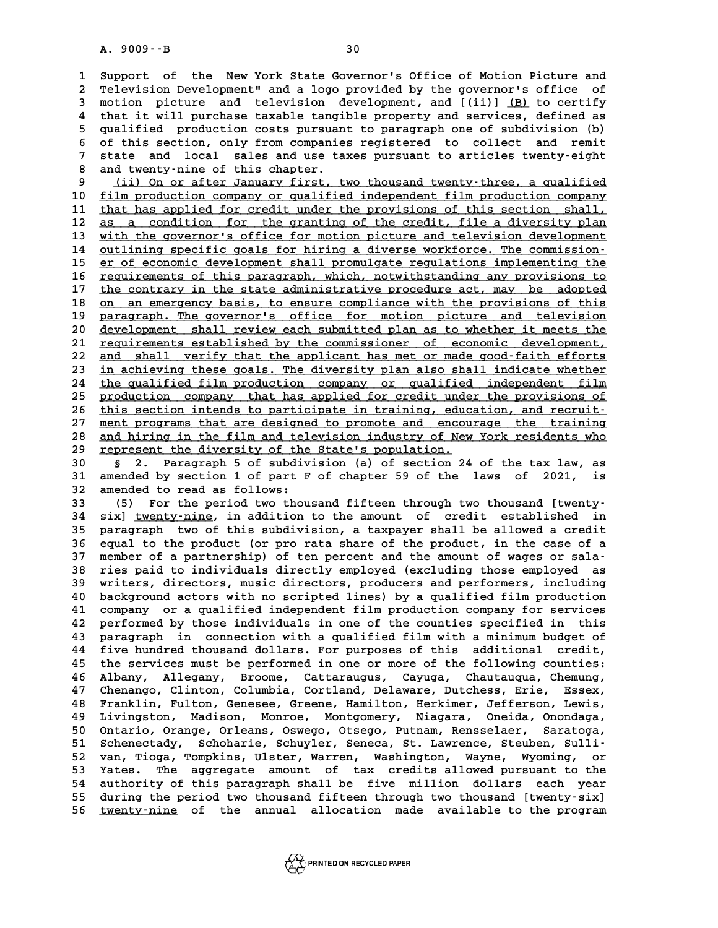**1 Support of the New York State Governor's Office of Motion Picture and 2 Television Development" and a logo provided by the governor's office of 3 Support of the New York State Governor's Office of Motion Picture and<br>
<b>2 Television Development"** and a logo provided by the governor's office of<br> **3 motion picture and television development, and [(ii)]** <u>(B)</u> to cert **4** Television Development" and a logo provided by the governor's office of<br> **4** that it will purchase taxable tangible property and services, defined as<br> **4** that it will purchase taxable tangible property and services, d 3 motion picture and television development, and [(ii)] <u>(B)</u> to certify<br>4 that it will purchase taxable tangible property and services, defined as<br>5 qualified production costs pursuant to paragraph one of subdivision (b)<br> 4 that it will purchase taxable tangible property and services, defined as<br>5 qualified production costs pursuant to paragraph one of subdivision (b)<br>6 of this section, only from companies registered to collect and remit<br>7 5 qualified production costs pursuant to paragraph one of subdivision (b)<br>6 of this section, only from companies registered to collect and remit<br>7 state and local sales and use taxes pursuant to articles twenty-eight<br>2 and 6 of this section, only from companie<br>
7 state and local sales and use ta:<br>
8 and twenty-nine of this chapter.<br>
<sup>8</sup> (i) On or after Innuary first 9 state and local sales and use taxes pursuant to articles twenty-eight<br>
8 and twenty-nine of this chapter.<br>
9 (ii) On or after January first, two thousand twenty-three, a qualified<br>
6 film production company or gualified

8 and twenty-nine of this chapter.<br>
9 (ii) On or after January first, two thousand twenty-three, a qualified<br>
10 <u>film production company or qualified independent film production company</u><br>
11 that has applied for gredit un 9 (ii) On or after January first, two thousand twenty-three, a qualified<br>10 <u>film production company or qualified independent film production company</u><br>11 that has applied for credit under the provisions of this section sha 10 <u>film production company or qualified independent film production company</u><br>
11 that has applied for credit under the provisions of this section shall,<br>
12 as a condition for the granting of the credit, file a diversity that has applied for credit under the provisions of this section shall,<br>
12 as a condition for the granting of the credit, file a diversity plan<br>
13 with the governor's office for motion picture and television development<br> **12 as a condition for the granting of the credit, file a diversity plan**<br> **13 with the governor's office for motion picture and television development**<br> **14 outlining specific goals for hiring a diverse workforce. The com** with the governor's office for motion picture and television development<br>14 <u>outlining specific goals for hiring a diverse workforce. The commission-</u><br>15 <u>er of economic development shall promulgate regulations implementin</u> outlining specific goals for hiring a diverse workforce. The commission-<br>
is <u>er of economic development shall promulgate regulations implementing the</u><br>
<u>requirements of this paragraph, which, notwithstanding any provision</u> **15 er** of economic development shall promulgate regulations implementing the requirements of this paragraph, which, notwithstanding any provisions to the contrary in the state administrative procedure act, may be adopte **16** <u>requirements of this paragraph, which, notwithstanding any provisions to</u><br>17 <u>the contrary in the state administrative procedure act, may be adopted</u><br>20 <u>on an emergency basis, to ensure compliance with the provision</u> the contrary in the state administrative procedure act, may be adopted<br>
18 <u>on an emergency basis, to ensure compliance with the provisions of this</u><br>
<u>paragraph.</u> The governor's office for motion picture and television<br>
do 20 development shall review each submitted plan as to whether it meets the<br>
20 development shall review each submitted plan as to whether it meets the<br>
21 requirements established by the commissioner of economic developmen 20 <u>development shall review each submitted plan as to whether it meets the requirements established by the commissioner of economic development,<br>
22 and shall verify that the applicant has met or made good-faith efforts</u> development shall review each submitted plan as to whether it meets the<br>
<u>requirements</u> established by the commissioner of economic development,<br>
22 and shall verify that the applicant has met or made good-faith efforts<br>
i 21 <u>requirements established by the commissioner of economic development,</u><br>22 <u>and shall verify that the applicant has met or made good-faith efforts</u><br>23 <u>in achieving these goals. The diversity plan also shall indicate wh</u> 22 <u>and shall verify that the applicant has met or made good-faith efforts<br>23 in achieving these goals. The diversity plan also shall indicate whether<br>24 the qualified film production company or qualified independent film<br></u> in achieving these goals. The diversity plan also shall indicate whether<br>
24 the qualified film production company or qualified independent film<br>
25 production company that has applied for credit under the provisions of<br>
t 24 the qualified film production company or qualified independent film<br>25 <u>production company</u> that has applied for credit under the provisions of<br>26 this section intends to participate in training, education, and recruitproduction company that has applied for credit under the provisions of<br>26 this section intends to participate in training, education, and recruit-<br>27 ment programs that are designed to promote and encourage the training<br>28 26 this section intends to participate in training, education, and recruit-<br>27 ment programs that are designed to promote and encourage the training<br>28 and hiring in the film and television industry of New York residents w 28 <u>and hiring in the film and television industry of New York residents who</u><br>29 <u>represent the diversity of the State's population.</u><br>30 § 2. Paragraph 5 of subdivision (a) of section 24 of the tax law, as **30 and hiring in the film and television industry of New York residents who**<br> **30 s** 2. Paragraph 5 of subdivision (a) of section 24 of the tax law, as<br> **31** appended by section 1 of part F of chapter 59 of the laws of

**131 29 american Exercise 1 of the State's population.**<br> **30 5** 2. Paragraph 5 of subdivision (a) of section 24 of the tax law, as<br> **31 amended by section 1 of part F of chapter 59 of the laws of 2021, is<br>
<b>32** amended t **30 §** 2. Paragraph 5 of subdiv<br>
31 amended by section 1 of part F<br>
32 amended to read as follows:<br>
<sup>33</sup> (5) For the period two thou 31 amended by section 1 of part F of chapter 59 of the laws of 2021, is<br>32 amended to read as follows:<br>33 (5) For the period two thousand fifteen through two thousand [twenty-<br><sup>34</sup> six] typety-pine in addition to the amoun

32 amended to read as follows:<br>33 (5) For the period two thousand fifteen through two thousand [twenty-<br>34 six] <u>twenty-nine</u>, in addition to the amount of credit established in<br>35 paragraph two of this subdivision, a taxp **33** (5) For the period two thousand fifteen through two thousand [twenty-<br>34 six] <u>twenty-nine</u>, in addition to the amount of credit established in<br>35 paragraph two of this subdivision, a taxpayer shall be allowed a credi 34 six] <u>twenty-nine</u>, in addition to the amount of credit established in<br>35 paragraph two of this subdivision, a taxpayer shall be allowed a credit<br>36 equal to the product (or pro rata share of the product, in the case of 35 paragraph two of this subdivision, a taxpayer shall be allowed a credit<br>36 equal to the product (or pro rata share of the product, in the case of a<br>37 member of a partnership) of ten percent and the amount of wages or s **36 equal to the product (or pro rata share of the product, in the case of a**<br>37 member of a partnership) of ten percent and the amount of wages or sala-<br>38 ries paid to individuals directly employed (excluding those emplo 37 member of a partnership) of ten percent and the amount of wages or sala-<br>38 ries paid to individuals directly employed (excluding those employed as<br>39 writers, directors, music directors, producers and performers, inclu **40 background actors with an interproped as writers, directors, music directors, producers and performers, including**<br>**40 background actors with no scripted lines) by a qualified film production**<br>**41 company or a qualifie** 39 writers, directors, music directors, producers and performers, including<br>40 background actors with no scripted lines) by a qualified film production<br>41 company or a qualified independent film production company for serv **40 background actors with no scripted lines) by a qualified film production**<br>**41 company or a qualified independent film production company for services**<br>**42 performed by those individuals in one of the counties specified** 41 company or a qualified independent film production company for services<br>42 performed by those individuals in one of the counties specified in this<br>43 paragraph in connection with a qualified film with a minimum budget o 42 performed by those individuals in one of the counties specified in this<br>43 paragraph in connection with a qualified film with a minimum budget of<br>44 five hundred thousand dollars. For purposes of this additional credit, **43 paragraph in connection with a qualified film with a minimum budget of<br>44 five hundred thousand dollars. For purposes of this additional credit,<br>45 the services must be performed in one or more of the following countie** five hundred thousand dollars. For purposes of this additional credit,<br>45 the services must be performed in one or more of the following counties:<br>46 Albany, Allegany, Broome, Cattaraugus, Cayuga, Chautauqua, Chemung,<br>47 C 45 the services must be performed in one or more of the following counties:<br>46 Albany, Allegany, Broome, Cattaraugus, Cayuga, Chautauqua, Chemung,<br>47 Chenango, Clinton, Columbia, Cortland, Delaware, Dutchess, Erie, Essex,<br> As Albany, Allegany, Broome, Cattaraugus, Cayuga, Chautauqua, Chemung, Chemango, Clinton, Columbia, Cortland, Delaware, Dutchess, Erie, Essex, Tranklin, Fulton, Genesee, Greene, Hamilton, Herkimer, Jefferson, Lewis, Timing 47 Chenango, Clinton, Columbia, Cortland, Delaware, Dutchess, Erie, Essex,<br>48 Franklin, Fulton, Genesee, Greene, Hamilton, Herkimer, Jefferson, Lewis,<br>49 Livingston, Madison, Monroe, Montgomery, Niagara, Oneida, Onondaga,<br> Franklin, Fulton, Genesee, Greene, Hamilton, Herkimer, Jefferson, Lewis, Livingston, Madison, Monroe, Montgomery, Niagara, Oneida, Onondaga, Ontario, Orange, Orleans, Oswego, Otsego, Putnam, Rensselaer, Saratoga, Schenecta Expedition and Monroe, Montgomery, Niagara, Oneida, Onondaga, Ontario, Orange, Orleans, Oswego, Otsego, Putnam, Rensselaer, Saratoga, Schenectady, Schoharie, Schuyler, Seneca, St. Lawrence, Steuben, Sulli-50 Ontario, Orange, Orleans, Oswego, Otsego, Putnam, Rensselaer, Saratoga,<br>51 Schenectady, Schoharie, Schuyler, Seneca, St. Lawrence, Steuben, Sulli-<br>52 van, Tioga, Tompkins, Ulster, Warren, Washington, Wayne, Wyoming, or<br> 52 van, Tioga, Tompkins, Ulster, Warren, Washington, Wayne, Wyoming, or<br>53 Yates. The aggregate amount of tax credits allowed pursuant to the<br>54 authority of this paragraph shall be five million dollars each year 52 van, Tioga, Tompkins, Ulster, Warren, Washington, Wayne, Wyoming, or<br>53 Yates. The aggregate amount of tax credits allowed pursuant to the<br>54 authority of this paragraph shall be five million dollars each year<br>55 duries Follow the period two the series allowed pursuant to the authority of this paragraph shall be five million dollars each year<br>
55 during the period two thousand fifteen through two thousand [twenty-six]<br>
56 turntu-nine of t 54 authority of this paragraph shall be five million dollars each year<br>55 during the period two thousand fifteen through two thousand [twenty-six]<br>56 <u>twenty-nine</u> of the annual allocation made available to the program

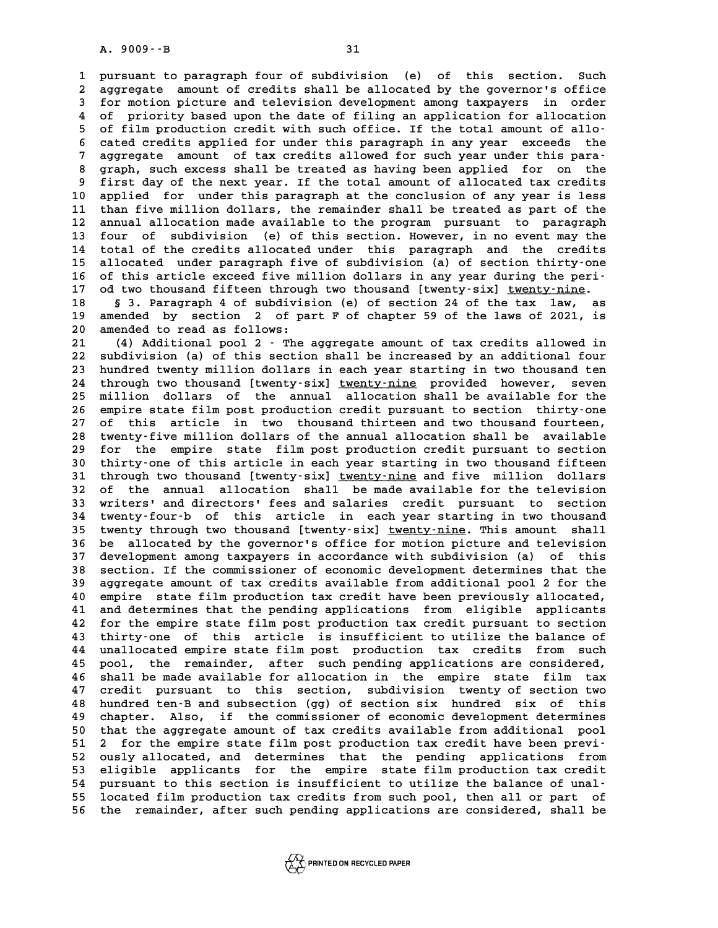**1 pursuant to paragraph four of subdivision (e) of this section. Such** 1 pursuant to paragraph four of subdivision (e) of this section. Such<br>2 aggregate amount of credits shall be allocated by the governor's office<br>3 for motion picture and television development among taxpayers in order 1 pursuant to paragraph four of subdivision (e) of this section. Such<br>2 aggregate amount of credits shall be allocated by the governor's office<br>3 for motion picture and television development among taxpayers in order<br>4 of aggregate amount of credits shall be allocated by the governor's office<br>
for motion picture and television development among taxpayers in order<br>
4 of priority based upon the date of filing an application for allocation<br>
5 5 for motion picture and television development among taxpayers in order<br>
4 of priority based upon the date of filing an application for allocation<br>
5 of film production credit with such office. If the total amount of allo **6 cated credits applies and the date of filing an application for allocation**<br> **6 cated credits applied for under this paragraph in any year exceeds the**<br> **6 cated credits applied for under this paragraph in any year exce** 5 of film production credit with such office. If the total amount of allo-<br>6 cated credits applied for under this paragraph in any year exceeds the<br>7 aggregate amount of tax credits allowed for such year under this para-<br><sup></sup> 6 cated credits applied for under this paragraph in any year exceeds the<br>7 aggregate amount of tax credits allowed for such year under this para-<br>8 graph, such excess shall be treated as having been applied for on the<br>firs 9 aggregate amount of tax credits allowed for such year under this para-<br>8 graph, such excess shall be treated as having been applied for on the<br>9 first day of the next year. If the total amount of allocated tax credits<br>10 8 graph, such excess shall be treated as having been applied for on the<br>9 first day of the next year. If the total amount of allocated tax credits<br>10 applied for under this paragraph at the conclusion of any year is less<br><sup></sup> <sup>9</sup> first day of the next year. If the total amount of allocated tax credits<br>10 applied for under this paragraph at the conclusion of any year is less<br>11 than five million dollars, the remainder shall be treated as part of 10 applied for under this paragraph at the conclusion of any year is less<br>11 than five million dollars, the remainder shall be treated as part of the<br>12 annual allocation made available to the program pursuant to paragraph 11 than five million dollars, the remainder shall be treated as part of the<br>12 annual allocation made available to the program pursuant to paragraph<br>13 four of subdivision (e) of this section. However, in no event may the<br> 12 annual allocation made available to the program pursuant to paragraph<br>13 four of subdivision (e) of this section. However, in no event may the<br>14 total of the credits allocated under this paragraph and the credits<br>15 al 13 four of subdivision (e) of this section. However, in no event may the<br>14 total of the credits allocated under this paragraph and the credits<br>15 allocated under paragraph five of subdivision (a) of section thirty-one<br>16 14 total of the credits allocated under this paragraph and the credits<br>
15 allocated under paragraph five of subdivision (a) of section thirty-one<br>
16 of this article exceed five million dollars in any year during the peri **15 allocated under paragraph five of subdivision (a) of section thirty-one of this article exceed five million dollars in any year during the peri-<br>17 od two thousand fifteen through two thousand [twenty-six] <u>twenty-nine**</u> **16 of this article exceed five million dollars in any year during the peri-**<br>17 od two thousand fifteen through two thousand [twenty-six] <u>twenty-nine</u>.<br>18 § 3. Paragraph 4 of subdivision (e) of section 24 of the tax law,

17 od two thousand fifteen through two thousand [twenty-six] <u>twenty-nine</u>.<br>18 § 3. Paragraph 4 of subdivision (e) of section 24 of the tax law, as<br>19 amended by section 2 of part F of chapter 59 of the laws of 2021, is<br>20 18 § 3. Paragraph 4 of subdivis<br>19 amended by section 2 of pa<br>20 amended to read as follows:<br>21 (4) Additional pool 2. The **20 amended by section 2 of part F of chapter 59 of the laws of 2021, is<br>
20 amended to read as follows:**<br>
21 (4) Additional pool 2 - The aggregate amount of tax credits allowed in<br>
22 subdivision (a) of this sostion shall

**20 amended to read as follows:**<br> **21** (4) Additional pool 2 - The aggregate amount of tax credits allowed in<br> **22 subdivision (a) of this section shall be increased by an additional four**<br> **23 hundred twenty million dolla 21 (4) Additional pool 2 - The aggregate amount of tax credits allowed in 22 subdivision (a) of this section shall be increased by an additional four 23 hundred twenty million dollars in each year starting in two thousand** 22 subdivision (a) of this section shall be increased by an additional four<br>23 hundred twenty million dollars in each year starting in two thousand ten<br>24 through two thousand [twenty-six] <u>twenty-nine</u> provided however, s 23 hundred twenty million dollars in each year starting in two thousand ten<br>24 through two thousand [twenty-six] <u>twenty-nine</u> provided however, seven<br>25 million dollars of the annual allocation shall be available for the<br> 24 through two thousand [twenty-six] <u>twenty-nine</u> provided however, seven<br>25 million dollars of the annual allocation shall be available for the<br>26 empire state film post production credit pursuant to section thirty-one<br>2 25 million dollars of the annual allocation shall be available for the<br>26 empire state film post production credit pursuant to section thirty-one<br>27 of this article in two thousand thirteen and two thousand fourteen,<br>28 tw 26 empire state film post production credit pursuant to section thirty-one<br>27 of this article in two thousand thirteen and two thousand fourteen,<br>28 twenty-five million dollars of the annual allocation shall be available<br>2 27 of this article in two thousand thirteen and two thousand fourteen,<br>28 twenty-five million dollars of the annual allocation shall be available<br>29 for the empire state film post production credit pursuant to section<br>20 t 28 twenty-five million dollars of the annual allocation shall be available<br>29 for the empire state film post production credit pursuant to section<br>30 thirty-one of this article in each year starting in two thousand fifteen 29 for the empire state film post production credit pursuant to section<br>30 thirty-one of this article in each year starting in two thousand fifteen<br>31 through two thousand [twenty-six] <u>twenty-nine</u> and five million dollar 30 thirty-one of this article in each year starting in two thousand fifteen<br>31 through two thousand [twenty-six] <u>twenty-nine</u> and five million dollars<br>32 of the annual allocation shall be made available for the television 31 through two thousand [twenty-six] <u>twenty-nine</u> and five million dollars<br>32 of the annual allocation shall be made available for the television<br>33 writers' and directors' fees and salaries credit pursuant to section<br>34 32 of the annual allocation shall be made available for the television<br>33 writers' and directors' fees and salaries credit pursuant to section<br>34 twenty-four-b of this article in each year starting in two thousand<br>35 twent 33 writers' and directors' fees and salaries credit pursuant to section<br>34 twenty-four-b of this article in each year starting in two thousand<br>35 twenty through two thousand [twenty-six] <u>twenty-nine</u>. This amount shall<br>26 **34 twenty-four-b of this article in each year starting in two thousand**<br>**35 twenty through two thousand [twenty-six] <u>twenty-nine</u>. This amount shall<br>36 be allocated by the governor's office for motion picture and televis** 35 twenty through two thousand [twenty-six] <u>twenty-nine</u>. This amount shall<br>36 be allocated by the governor's office for motion picture and television<br>37 development among taxpayers in accordance with subdivision (a) of t **36 be allocated by the governor's office for motion picture and television**<br>37 development among taxpayers in accordance with subdivision (a) of this<br>38 section. If the commissioner of economic development determines that **37 development among taxpayers in accordance with subdivision (a) of this**<br>38 section. If the commissioner of economic development determines that the<br>39 aggregate amount of tax credits available from additional pool 2 fo 38 section. If the commissioner of economic development determines that the<br>39 aggregate amount of tax credits available from additional pool 2 for the<br>40 empire state film production tax credit have been previously alloca 39 aggregate amount of tax credits available from additional pool 2 for the 40 empire state film production tax credit have been previously allocated, 41 and determines that the pending applications from eligible applicant 40 empire state film production tax credit have been previously allocated,<br>41 and determines that the pending applications from eligible applicants<br>42 for the empire state film post production tax credit pursuant to sectio 41 and determines that the pending applications from eligible applicants<br>42 for the empire state film post production tax credit pursuant to section<br>43 thirty-one of this article is insufficient to utilize the balance of<br>4 42 for the empire state film post production tax credit pursuant to section<br>43 thirty-one of this article is insufficient to utilize the balance of<br>44 unallocated empire state film post production tax credits from such<br>15 43 thirty-one of this article is insufficient to utilize the balance of<br>44 unallocated empire state film post production tax credits from such<br>45 pool, the remainder, after such pending applications are considered,<br>46 shal 44 unallocated empire state film post production tax credits from such<br>45 pool, the remainder, after such pending applications are considered,<br>46 shall be made available for allocation in the empire state film tax<br>47 sredi 45 pool, the remainder, after such pending applications are considered,<br>46 shall be made available for allocation in the empire state film tax<br>47 credit pursuant to this section, subdivision twenty of section two 46 shall be made available for allocation in the empire state film tax<br>47 credit pursuant to this section, subdivision twenty of section two<br>48 hundred ten-B and subsection (gg) of section six hundred six of this<br>49 sharte 47 credit pursuant to this section, subdivision twenty of section two<br>48 hundred ten-B and subsection (gg) of section six hundred six of this<br>49 chapter. Also, if the commissioner of economic development determines<br>50 that As hundred ten-B and subsection (gg) of section six hundred six of this<br>
49 chapter. Also, if the commissioner of economic development determines<br>
50 that the aggregate amount of tax credits available from additional pool<br> 49 chapter. Also, if the commissioner of economic development determines<br>
50 that the aggregate amount of tax credits available from additional pool<br>
51 2 for the empire state film post production tax credit have been prev 50 that the aggregate amount of tax credits available from additional pool<br>51 2 for the empire state film post production tax credit have been previ-<br>52 ously allocated, and determines that the pending applications from<br>53 51 2 for the empire state film post production tax credit have been previ-<br>52 ously allocated, and determines that the pending applications from<br>53 eligible applicants for the empire state film production tax credit<br>54 pur 52 ously allocated, and determines that the pending applications from<br>
53 eligible applicants for the empire state film production tax credit<br>
54 pursuant to this section is insufficient to utilize the balance of unal-<br>
55 53 eligible applicants for the empire state film production tax credit<br>54 pursuant to this section is insufficient to utilize the balance of unal-<br>55 located film production tax credits from such pool, then all or part of<br> **56 the remainder, after such pending applications are considered, shall be**

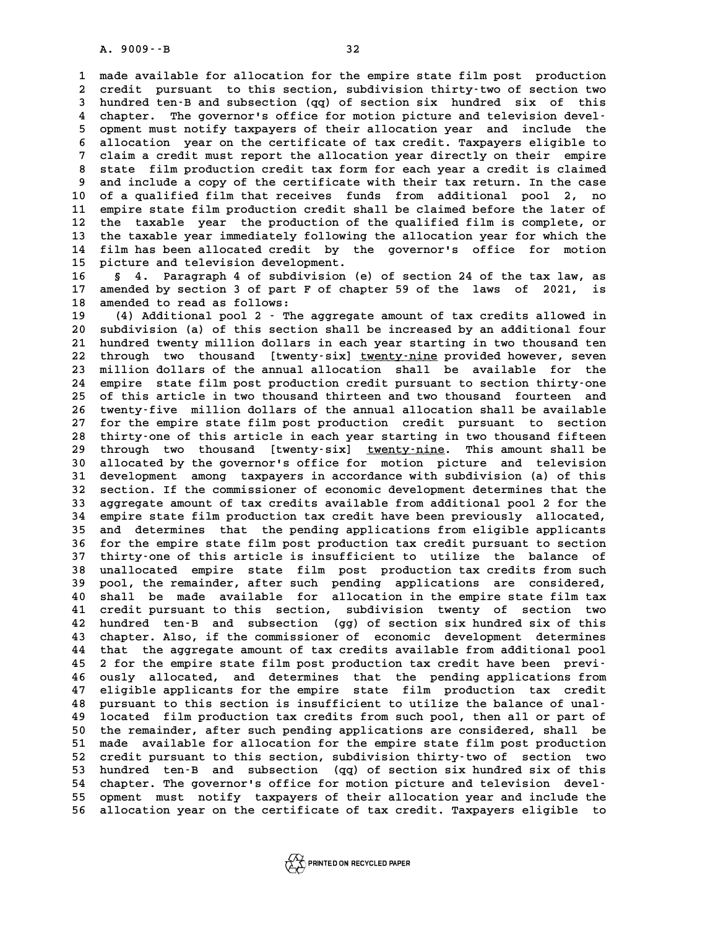**1 made available for allocation for the empire state film post production** 1 made available for allocation for the empire state film post production<br>2 credit pursuant to this section, subdivision thirty-two of section two<br>3 bundred ten.B and subsection (co) of section six, bundred, six, of this 1 made available for allocation for the empire state film post production<br>2 credit pursuant to this section, subdivision thirty-two of section two<br>3 hundred ten-B and subsection (qq) of section six hundred six of this<br>2 sh 2 credit pursuant to this section, subdivision thirty-two of section two<br>3 hundred ten-B and subsection (qq) of section six hundred six of this<br>4 chapter. The governor's office for motion picture and television devel-<br>5 op 3 hundred ten-B and subsection (qq) of section six hundred six of this<br>4 chapter. The governor's office for motion picture and television devel-<br>5 opment must notify taxpayers of their allocation year and include the<br>5 all 4 chapter. The governor's office for motion picture and television devel-<br>5 opment must notify taxpayers of their allocation year and include the<br>6 allocation year on the certificate of tax credit. Taxpayers eligible to<br>7 5 opment must notify taxpayers of their allocation year and include the<br>6 allocation year on the certificate of tax credit. Taxpayers eligible to<br>7 claim a credit must report the allocation year directly on their empire<br>8 8 allocation year on the certificate of tax credit. Taxpayers eligible to<br>
8 state film production credit tax form for each year a credit is claimed<br>
9 and include a copy of the certificate with their tax return. In the ca 9 claim a credit must report the allocation year directly on their empire<br>8 state film production credit tax form for each year a credit is claimed<br>9 and include a copy of the certificate with their tax return. In the case 8 state film production credit tax form for each year a credit is claimed<br>
9 and include a copy of the certificate with their tax return. In the case<br>
10 of a qualified film that receives funds from additional pool 2, no<br> 9 and include a copy of the certificate with their tax return. In the case<br>10 of a qualified film that receives funds from additional pool 2, no<br>11 empire state film production credit shall be claimed before the later of<br><sup></sup> 10 of a qualified film that receives funds from additional pool 2, no<br>11 empire state film production credit shall be claimed before the later of<br>12 the taxable year the production of the qualified film is complete, or<br>13 11 empire state film production credit shall be claimed before the later of<br>12 the taxable year the production of the qualified film is complete, or<br>13 the taxable year immediately following the allocation year for which t 12 the taxable year the production of the qualified film is complete, or<br>13 the taxable year immediately following the allocation year for which the<br>14 film has been allocated credit by the governor's office for motion<br>15 13 the taxable year immediately following the allocation year for which the<br>14 film has been allocated credit by the governor's office for motion<br>15 picture and television development.<br>16 \$ 4. Paragraph 4 of subdivision (e

**16 § 4. Paragraph 4 of subdivision (e) of section 24 of the tax law, as 15 picture and television development.**<br>16 § 4. Paragraph 4 of subdivision (e) of section 24 of the tax law, as<br>17 amended by section 3 of part F of chapter 59 of the laws of 2021, is<br>18 amended to read as follows: 16 § 4. Paragraph 4 of subdiv<br>17 amended by section 3 of part F<br>18 amended to read as follows:<br><sup>19</sup> (4) Additional pool 2. The 17 amended by section 3 of part F of chapter 59 of the laws of 2021, is<br>18 amended to read as follows:<br>19 (4) Additional pool 2 - The aggregate amount of tax credits allowed in<br>20 subdivision (a) of this section shall be i

**20 subdivision (a) of this section shall be increased by an additional four 21 (4) Additional pool 2 - The aggregate amount of tax credits allowed in**<br> **20 subdivision (a) of this section shall be increased by an additional four**<br> **21 hundred twenty million dollars in each year starting in two th** 20 subdivision (a) of this section shall be increased by an additional four<br>21 hundred twenty million dollars in each year starting in two thousand ten<br>22 through two thousand [twenty-six] <u>twenty-nine</u> provided however, s 21 hundred twenty million dollars in each year starting in two thousand ten<br>22 through two thousand [twenty-six] <u>twenty-nine</u> provided however, seven<br>23 million dollars of the annual allocation shall be available for the<br> 22 through two thousand [twenty-six] <u>twenty-nine</u> provided however, seven<br>23 million dollars of the annual allocation shall be available for the<br>24 empire state film post production credit pursuant to section thirty-one<br>2 23 million dollars of the annual allocation shall be available for the<br>24 empire state film post production credit pursuant to section thirty-one<br>25 of this article in two thousand thirteen and two thousand fourteen and<br>26 24 empire state film post production credit pursuant to section thirty-one<br>25 of this article in two thousand thirteen and two thousand fourteen and<br>26 twenty-five million dollars of the annual allocation shall be availabl 25 of this article in two thousand thirteen and two thousand fourteen and<br>26 twenty-five million dollars of the annual allocation shall be available<br>27 for the empire state film post production credit pursuant to section<br>1 26 twenty-five million dollars of the annual allocation shall be available<br>27 for the empire state film post production credit pursuant to section<br>28 thirty-one of this article in each year starting in two thousand fifteen 29 through two thousand [twenty-six] <u>twenty-nine</u>. This amount shall be<br>30 allocated by the governor's office for motion picture and television **30 allocated by the governor's office for motion picture and television** 29 through two thousand [twenty-six] <u>twenty-nine</u>. This amount shall be<br>30 allocated by the governor's office for motion picture and television<br>31 development among taxpayers in accordance with subdivision (a) of this<br>32 **30 allocated by the governor's office for motion picture and television**<br>31 development among taxpayers in accordance with subdivision (a) of this<br>32 section. If the commissioner of economic development determines that th 31 development among taxpayers in accordance with subdivision (a) of this<br>32 section. If the commissioner of economic development determines that the<br>33 aggregate amount of tax credits available from additional pool 2 for 32 section. If the commissioner of economic development determines that the aggregate amount of tax credits available from additional pool 2 for the empire state film production tax credit have been previously allocated, a **33 aggregate amount of tax credits available from additional pool 2 for the empire state film production tax credit have been previously allocated, and determines that the pending applications from eligible applicants**<br>**3** 34 empire state film production tax credit have been previously allocated,<br>35 and determines that the pending applications from eligible applicants<br>36 for the empire state film post production tax credit pursuant to sectio 35 and determines that the pending applications from eligible applicants<br>36 for the empire state film post production tax credit pursuant to section<br>37 thirty-one of this article is insufficient to utilize the balance of<br>2 36 for the empire state film post production tax credit pursuant to section<br>37 thirty-one of this article is insufficient to utilize the balance of<br>38 unallocated empire state film post production tax credits from such<br>29 37 thirty-one of this article is insufficient to utilize the balance of<br>38 unallocated empire state film post production tax credits from such<br>39 pool, the remainder, after such pending applications are considered,<br>40 shal 38 unallocated empire state film post production tax credits from such<br>39 pool, the remainder, after such pending applications are considered,<br>40 shall be made available for allocation in the empire state film tax<br>41 sredi 39 pool, the remainder, after such pending applications are considered, 40 shall be made available for allocation in the empire state film tax 41 credit pursuant to this section, subdivision twenty of section two 42 hundre **40** shall be made available for allocation in the empire state film tax<br>41 credit pursuant to this section, subdivision twenty of section two<br>42 hundred ten-B and subsection (gg) of section six hundred six of this<br>43 chap 41 credit pursuant to this section, subdivision twenty of section two<br>42 hundred ten-B and subsection (gg) of section six hundred six of this<br>43 chapter. Also, if the commissioner of economic development determines<br>44 that 42 hundred ten-B and subsection (gg) of section six hundred six of this<br>43 chapter. Also, if the commissioner of economic development determines<br>44 that the aggregate amount of tax credits available from additional pool<br>45 43 chapter. Also, if the commissioner of economic development determines<br>44 that the aggregate amount of tax credits available from additional pool<br>45 2 for the empire state film post production tax credit have been previ-44 that the aggregate amount of tax credits available from additional pool<br>45 2 for the empire state film post production tax credit have been previ-<br>46 ously allocated, and determines that the pending applications from<br>47 45 2 for the empire state film post production tax credit have been previ-<br>46 ously allocated, and determines that the pending applications from<br>47 eligible applicants for the empire state film production tax credit<br>48 pur 46 ously allocated, and determines that the pending applications from<br>47 eligible applicants for the empire state film production tax credit<br>48 pursuant to this section is insufficient to utilize the balance of unal-<br>19 lo **47 eligible applicants for the empire state film production tax credit<br>48 pursuant to this section is insufficient to utilize the balance of unal-<br>49 located film production tax credits from such pool, then all or part of** 48 pursuant to this section is insufficient to utilize the balance of unal-<br>49 located film production tax credits from such pool, then all or part of<br>50 the remainder, after such pending applications are considered, shall **19** located film production tax credits from such pool, then all or part of<br>50 the remainder, after such pending applications are considered, shall be<br>51 made available for allocation for the empire state film post produc 50 the remainder, after such pending applications are considered, shall be<br>51 made available for allocation for the empire state film post production<br>52 credit pursuant to this section, subdivision thirty-two of section tw 51 made available for allocation for the empire state film post production<br>52 credit pursuant to this section, subdivision thirty-two of section two<br>53 hundred ten-B and subsection (qq) of section six hundred six of this<br>5 52 credit pursuant to this section, subdivision thirty-two of section two<br>
53 hundred ten-B and subsection (qq) of section six hundred six of this<br>
54 chapter. The governor's office for motion picture and television devel-**55 opment must notify taxpayers of their allocation year and include the 56 allocation year on the certificate of tax credit. Taxpayers eligible to**

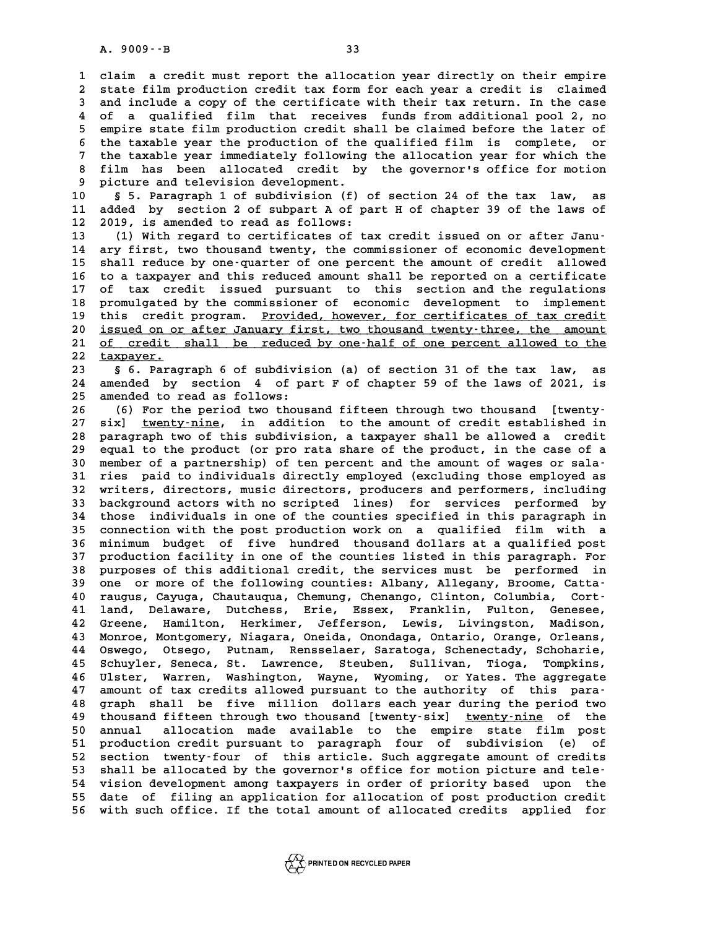**1 claim a credit must report the allocation year directly on their empire 2** claim a credit must report the allocation year directly on their empire<br>2 state film production credit tax form for each year a credit is claimed<br>3 and include a copy of the certificate with their tax return. In the ca 2 claim a credit must report the allocation year directly on their empire<br>2 state film production credit tax form for each year a credit is claimed<br>3 and include a copy of the certificate with their tax return. In the case 2 state film production credit tax form for each year a credit is claimed<br>3 and include a copy of the certificate with their tax return. In the case<br>4 of a qualified film that receives funds from additional pool 2, no<br>5 cm 3 and include a copy of the certificate with their tax return. In the case<br>4 of a qualified film that receives funds from additional pool 2, no<br>5 empire state film production credit shall be claimed before the later of<br>the 4 of a qualified film that receives funds from additional pool 2, no<br>5 empire state film production credit shall be claimed before the later of<br>6 the taxable year the production of the qualified film is complete, or<br><sup>7</sup> th 5 empire state film production credit shall be claimed before the later of<br>6 the taxable year the production of the qualified film is complete, or<br>7 the taxable year immediately following the allocation year for which the<br> 6 the taxable year the production of the qualified film is complete, or<br>7 the taxable year immediately following the allocation year for which the<br>8 film has been allocated credit by the governor's office for motion<br>8 nigh 7 the taxable year immediately following<br>8 film has been allocated credit by<br>9 picture and television development.<br>0 5 Personanh 1 of subdivision (f) 8 film has been allocated credit by the governor's office for motion<br>9 picture and television development.<br>10 § 5. Paragraph 1 of subdivision (f) of section 24 of the tax law, as<br>11 added by section 2 of subpart 4 of part

9 picture and television development.<br>10 § 5. Paragraph 1 of subdivision (f) of section 24 of the tax law, as<br>11 added by section 2 of subpart A of part H of chapter 39 of the laws of<br>12 2019 is arranded to read as follows 10 § 5. Paragraph 1 of subdivision (f) o<br>11 added by section 2 of subpart A of pa<br>12 2019, is amended to read as follows:<br><sup>13</sup> (1) With regard to certificates of ta: 10 § 5. Paragraph 1 of subdivision (f) of section 24 of the tax law, as<br>
11 added by section 2 of subpart A of part H of chapter 39 of the laws of<br>
12 2019, is amended to read as follows:<br>
13 (1) With regard to certificate

**14 ary first, two thousand twenty, the commissioner of economic development 15 shall reduce by one-quarter of one percent the amount of credit allowed** 14 ary first, two thousand twenty, the commissioner of economic development<br>15 shall reduce by one-quarter of one percent the amount of credit allowed<br>16 to a taxpayer and this reduced amount shall be reported on a certifi 15 shall reduce by one-quarter of one percent the amount of credit allowed<br>16 to a taxpayer and this reduced amount shall be reported on a certificate<br>17 of tax credit issued pursuant to this section and the regulations<br>18 16 to a taxpayer and this reduced amount shall be reported on a certificate<br>17 of tax credit issued pursuant to this section and the regulations<br>18 promulgated by the commissioner of economic development to implement<br>this 17 of tax credit issued pursuant to this section and the regulations<br>18 promulgated by the commissioner of economic development to implement<br>19 this credit program. <u>Provided, however, for certificates of tax credit</u><br>20 <u>i</u> 18 promulgated by the commissioner of economic development to implement<br>19 this credit program. <u>Provided, however, for certificates of tax credit</u><br>20 <u>issued on or after January first, two thousand twenty-three, the amoun</u> this credit program. <u>Provided, however, for certificates of tax credit</u><br>20 <u>issued on or after January first, two thousand twenty-three, the amount<br>21 of credit shall be reduced by one-half of one percent allowed to the<br>2</u> 20 <u>issued on or<br>21 of credit<br>22 taxpayer.</u><br>23 5 5 Paraq **21** <u>of credit shall be reduced by one-half of one percent allowed to the taxpayer.<br> **22** <u>\$66. Paragraph 6 of subdivision</u> (a) of section 31 of the tax law, as<br>
24 appended by section 4 of part E of shapter 59 of the law</u>

**22 <u>taxpayer.</u><br>23 § 6. Paragraph 6 of subdivision (a) of section 31 of the tax law, as<br>24 amended by section 4 of part F of chapter 59 of the laws of 2021, is<br>25 amended to read as follows:** 22 **taxpayer.**<br> **23 5** 6. Paragraph 6 of subdivision (a) of section 31 of the tax law, as<br>
24 amended by section 4 of part F of chapter 59 of the laws of 2021, is<br>
25 amended to read as follows:<br>
26 (6) For the period tw 24 amended by section 4 of part F of chapter 59 of the laws of 2021, is<br>
25 amended to read as follows:<br>
26 (6) For the period two thousand fifteen through two thousand [twenty-<br>
27 given type: in addition to the amount of

27 six] <u>twenty-nine</u>, in addition to the amount of credit established in<br>28 paragraph two of this subdivision, a taxpayer shall be allowed a credit **28 (6) For the period two thousand fifteen through two thousand [twenty-**<br>27 six] <u>twenty-nine</u>, in addition to the amount of credit established in<br>28 paragraph two of this subdivision, a taxpayer shall be allowed a credi 27 six] <u>twenty-nine</u>, in addition to the amount of credit established in<br>28 paragraph two of this subdivision, a taxpayer shall be allowed a credit<br>29 equal to the product (or pro rata share of the product, in the case of 28 paragraph two of this subdivision, a taxpayer shall be allowed a credit<br>
29 equal to the product (or pro rata share of the product, in the case of a<br>
30 member of a partnership) of ten percent and the amount of wages or 29 equal to the product (or pro rata share of the product, in the case of a<br>30 member of a partnership) of ten percent and the amount of wages or sala-<br>31 ries paid to individuals directly employed (excluding those employe 30 member of a partnership) of ten percent and the amount of wages or sala-<br>31 ries paid to individuals directly employed (excluding those employed as<br>32 writers, directors, music directors, producers and performers, inclu 31 ries paid to individuals directly employed (excluding those employed as<br>32 writers, directors, music directors, producers and performers, including<br>33 background actors with no scripted lines) for services performed by<br> 32 writers, directors, music directors, producers and performers, including<br>33 background actors with no scripted lines) for services performed by<br>34 those individuals in one of the counties specified in this paragraph in<br> 33 background actors with no scripted lines) for services performed by<br>34 those individuals in one of the counties specified in this paragraph in<br>35 connection with the post production work on a qualified film with a<br>36 mi **34 those individuals in one of the counties specified in this paragraph in<br>35 connection with the post production work on a qualified film with a<br>36 minimum budget of five hundred thousand dollars at a qualified post<br>37 p** 35 connection with the post production work on a qualified film with a<br>36 minimum budget of five hundred thousand dollars at a qualified post<br>37 production facility in one of the counties listed in this paragraph. For<br>38 p 36 minimum budget of five hundred thousand dollars at a qualified post<br>37 production facility in one of the counties listed in this paragraph. For<br>38 purposes of this additional credit, the services must be performed in<br>29 37 production facility in one of the counties listed in this paragraph. For<br>38 purposes of this additional credit, the services must be performed in<br>39 one or more of the following counties: Albany, Allegany, Broome, Catta purposes of this additional credit, the services must be performed in<br>
39 one or more of the following counties: Albany, Allegany, Broome, Catta-<br>
40 raugus, Cayuga, Chautauqua, Chemung, Chenango, Clinton, Columbia, Cort-<br> 39 one or more of the following counties: Albany, Allegany, Broome, Catta-<br>40 raugus, Cayuga, Chautauqua, Chemung, Chenango, Clinton, Columbia, Cort-<br>41 land, Delaware, Dutchess, Erie, Essex, Franklin, Fulton, Genesee,<br>42 40 raugus, Cayuga, Chautauqua, Chemung, Chenango, Clinton, Columbia, Cort-<br>41 land, Delaware, Dutchess, Erie, Essex, Franklin, Fulton, Genesee,<br>42 Greene, Hamilton, Herkimer, Jefferson, Lewis, Livingston, Madison,<br><sup>43 Monr</sup> 41 land, Delaware, Dutchess, Erie, Essex, Franklin, Fulton, Genesee,<br>42 Greene, Hamilton, Herkimer, Jefferson, Lewis, Livingston, Madison,<br>43 Monroe, Montgomery, Niagara, Oneida, Onondaga, Ontario, Orange, Orleans,<br>44 Osyc 42 Greene, Hamilton, Herkimer, Jefferson, Lewis, Livingston, Madison,<br>43 Monroe, Montgomery, Niagara, Oneida, Onondaga, Ontario, Orange, Orleans,<br>44 Oswego, Otsego, Putnam, Rensselaer, Saratoga, Schenectady, Schoharie,<br>45 A3 Monroe, Montgomery, Niagara, Oneida, Onondaga, Ontario, Orange, Orleans, 24 Oswego, Otsego, Putnam, Rensselaer, Saratoga, Schenectady, Schoharie, 25 Schuyler, Seneca, St. Lawrence, Steuben, Sullivan, Tioga, Tompkins, **44 Oswego, Otsego, Putnam, Rensselaer, Saratoga, Schenectady, Schoharie, <br>45 Schuyler, Seneca, St. Lawrence, Steuben, Sullivan, Tioga, Tompkins,<br>46 Ulster, Warren, Washington, Wayne, Wyoming, or Yates. The aggregate**<br>47 N 45 Schuyler, Seneca, St. Lawrence, Steuben, Sullivan, Tioga, Tompkins, 46 Ulster, Warren, Washington, Wayne, Wyoming, or Yates. The aggregate amount of tax credits allowed pursuant to the authority of this para-<br>48 graph s **46 Ulster, Warren, Washington, Wayne, Wyoming, or Yates. The aggregate**<br>47 amount of tax credits allowed pursuant to the authority of this para-<br>48 graph shall be five million dollars each year during the period two<br>thous 47 amount of tax credits allowed pursuant to the authority of this para-<br>48 graph shall be five million dollars each year during the period two<br>49 thousand fifteen through two thousand [twenty-six] <u>twenty-nine</u> of the<br>50 **50 annual allocation made available to the empire state film post** 49 thousand fifteen through two thousand [twenty-six] <u>twenty-nine</u> of the<br>50 annual allocation made available to the empire state film post<br>51 production credit pursuant to paragraph four of subdivision (e) of<br>52 section 50 annual allocation made available to the empire state film post<br>51 production credit pursuant to paragraph four of subdivision (e) of<br>52 section twenty-four of this article. Such aggregate amount of credits<br>53 shall be a 51 production credit pursuant to paragraph four of subdivision (e) of<br>
52 section twenty-four of this article. Such aggregate amount of credits<br>
53 shall be allocated by the governor's office for motion picture and tele-<br> 52 section twenty-four of this article. Such aggregate amount of credits<br>53 shall be allocated by the governor's office for motion picture and tele-<br>54 vision development among taxpayers in order of priority based upon the 53 shall be allocated by the governor's office for motion picture and tele-<br>54 vision development among taxpayers in order of priority based upon the<br>55 date of filing an application for allocation of post production credi 53 shall be allocated by the governor's office for motion picture and tele-<br>54 vision development among taxpayers in order of priority based upon the<br>55 date of filing an application for allocation of post production credi

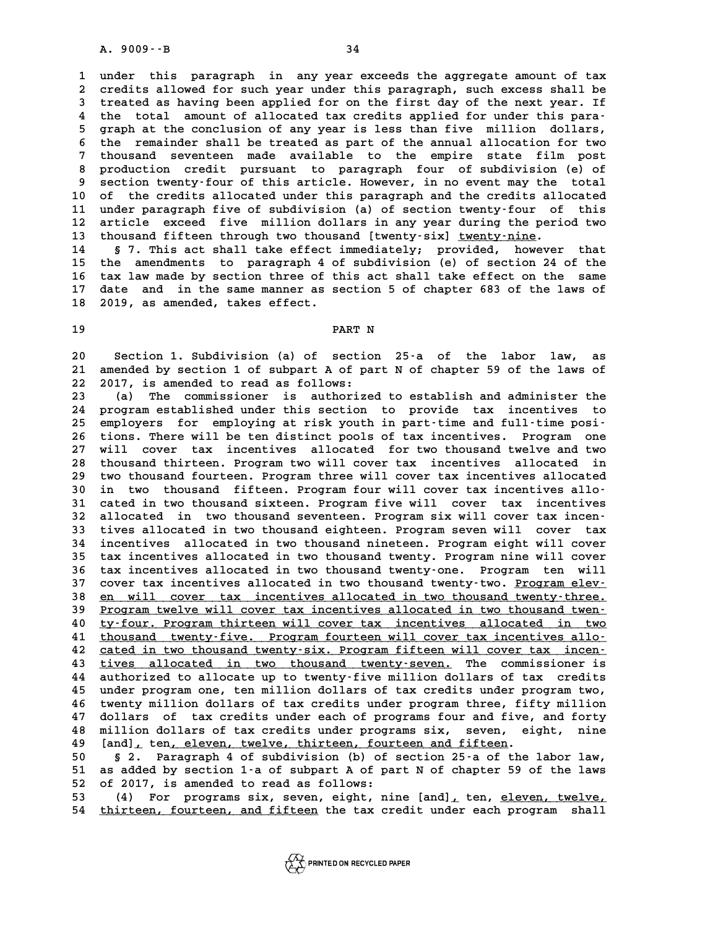**1 under this paragraph in any year exceeds the aggregate amount of tax 2** under this paragraph in any year exceeds the aggregate amount of tax<br>2 credits allowed for such year under this paragraph, such excess shall be<br>3 treated as baying been applied for on the first day of the pext year. If 1 under this paragraph in any year exceeds the aggregate amount of tax<br>2 credits allowed for such year under this paragraph, such excess shall be<br>3 treated as having been applied for on the first day of the next year. If<br>t 2 credits allowed for such year under this paragraph, such excess shall be<br>3 treated as having been applied for on the first day of the next year. If<br>4 the total amount of allocated tax credits applied for under this para-I treated as having been applied for on the first day of the next year. If<br>
4 the total amount of allocated tax credits applied for under this para-<br>
5 graph at the conclusion of any year is less than five million dollars, 4 the total amount of allocated tax credits applied for under this para-<br>5 graph at the conclusion of any year is less than five million dollars,<br>6 the remainder shall be treated as part of the annual allocation for two<br>7 5 graph at the conclusion of any year is less than five million dollars,<br>6 the remainder shall be treated as part of the annual allocation for two<br>7 thousand seventeen made available to the empire state film post<br>productio **8** the remainder shall be treated as part of the annual allocation for two<br> **8** production credit pursuant to paragraph four of subdivision (e) of<br> **8** section two-ty-four of this article Heyeuer in no event may the total 9 thousand seventeen made available to the empire state film post<br>8 production credit pursuant to paragraph four of subdivision (e) of<br>9 section twenty-four of this article. However, in no event may the total 8 production credit pursuant to paragraph four of subdivision (e) of<br>9 section twenty-four of this article. However, in no event may the total<br>10 of the credits allocated under this paragraph and the credits allocated<br><sup>11</sup> 9 section twenty-four of this article. However, in no event may the total<br>10 of the credits allocated under this paragraph and the credits allocated<br>11 under paragraph five of subdivision (a) of section twenty-four of this 10 of the credits allocated under this paragraph and the credits allocated<br>11 under paragraph five of subdivision (a) of section twenty-four of this<br>12 article exceed five million dollars in any year during the period two<br> 11 under paragraph five of subdivision (a) of section twenty-four of this<br>12 article exceed five million dollars in any year during the period two<br>13 thousand fifteen through two thousand [twenty-six] <u>twenty-nine</u>.<br>14 \$ 7 12 article exceed five million dollars in any year during the period two<br>13 thousand fifteen through two thousand [twenty-six] <u>twenty-nine</u>.<br>14 § 7. This act shall take effect immediately; provided, however that<br>15 the ap

**13 thousand fifteen through two thousand [twenty-six] <u>twenty-nine</u>.<br>14 S 7. This act shall take effect immediately; provided, however that<br>15 the amendments to paragraph 4 of subdivision (e) of section 24 of the<br>16 there** 14 § 7. This act shall take effect immediately; provided, however that<br>15 the amendments to paragraph 4 of subdivision (e) of section 24 of the<br>16 tax law made by section three of this act shall take effect on the same<br>17 15 the amendments to paragraph 4 of subdivision (e) of section 24 of the<br>16 tax law made by section three of this act shall take effect on the same<br>17 date and in the same manner as section 5 of chapter 683 of the laws of<br> 16 tax law made by section three of t<br>17 date and in the same manner as s<br>18 2019, as amended, takes effect. 18 2019, as amended, takes effect.<br>19 **PART N** 

**20 20 Section 1. Subdivision (a) of section 25-a of the labor law, as<br>20 Section 1. Subdivision (a) of section 25-a of the labor law, as<br>21 amended by section 1 of subpart A of part N of chapter 59 of the laws of** 20 Section 1. Subdivision (a) of section 25<sup>-</sup>a of the labor law, as<br>21 amended by section 1 of subpart A of part N of chapter 59 of the laws of 20 Section 1. Subdivision (a) of section<br>21 amended by section 1 of subpart A of pa<br>22 2017, is amended to read as follows:<br>23 (a) The commissioner is authorized 21 amended by section 1 of subpart A of part N of chapter 59 of the laws of<br>22 2017, is amended to read as follows:<br>23 (a) The commissioner is authorized to establish and administer the<br>24 program established under this se

22 2017, is amended to read as follows:<br>
23 (a) The commissioner is authorized to establish and administer the<br>
24 program established under this section to provide tax incentives to<br>
25 employers for employing at rigk you 23 (a) The commissioner is authorized to establish and administer the<br>
24 program established under this section to provide tax incentives to<br>
25 employers for employing at risk youth in part-time and full-time posi-<br>
26 t 24 program established under this section to provide tax incentives to<br>25 employers for employing at risk youth in part-time and full-time posi-<br>26 tions. There will be ten distinct pools of tax incentives. Program one<br>27 **25 employers for employing at risk youth in part-time and full-time posi-**<br>26 tions. There will be ten distinct pools of tax incentives. Program one<br>27 will cover tax incentives allocated for two thousand twelve and two<br>2 26 tions. There will be ten distinct pools of tax incentives. Program one<br>27 will cover tax incentives allocated for two thousand twelve and two<br>28 thousand thirteen. Program two will cover tax incentives allocated in<br>29 t 27 will cover tax incentives allocated for two thousand twelve and two 28 thousand thirteen. Program two will cover tax incentives allocated in two thousand fourteen. Program three will cover tax incentives allocated in tw 28 thousand thirteen. Program two will cover tax incentives allocated in<br>
29 two thousand fourteen. Program three will cover tax incentives allocated<br>
30 in two thousand fifteen. Program four will cover tax incentives allo 29 two thousand fourteen. Program three will cover tax incentives allocated<br>30 in two thousand fifteen. Program four will cover tax incentives allo-<br>31 cated in two thousand sixteen. Program five will cover tax incentives<br> 31 cated in two thousand sixteen. Program five will cover tax incentives<br>32 allocated in two thousand seventeen. Program six will cover tax incen-<br>33 tives allocated in two thousand eighteen. Program seven will cover tax **33 tives allocated in two thousand eighteen. Program seven will cover tax 32 allocated in two thousand seventeen. Program six will cover tax incen-**<br>**33 tives allocated in two thousand eighteen. Program seven will cover tax<br><b>34 incentives allocated in two thousand nineteen. Program eight will c 33 tives allocated in two thousand eighteen. Program seven will cover tax<br>34 incentives allocated in two thousand nineteen. Program eight will cover<br>35 tax incentives allocated in two thousand twenty. Program nine will co** 34 incentives allocated in two thousand nineteen. Program eight will cover<br>35 tax incentives allocated in two thousand twenty. Program nine will cover<br>36 tax incentives allocated in two thousand twenty-one. Program ten wil 35 tax incentives allocated in two thousand twenty. Program nine will cover<br>36 tax incentives allocated in two thousand twenty-one. Program ten will<br>37 cover tax incentives allocated in two thousand twenty-three.<br>38 en wil **38 <u>en will cover tax incentives allocated in two thousand twenty-three.**<br>39 Program twelve will cover tax incentives allocated in two thousand twen-</u> 39 <u>Program twelve will cover tax incentives allocated in two thousand twen-</u><br>40 <u>ty-four. Program thirteen will cover tax incentives allocated in two</u> **40 ty-four. Program thirteen will cover tax incentives allocated in two \_\_\_\_\_\_\_\_\_\_\_\_\_\_\_\_\_\_\_\_\_\_\_\_\_\_\_\_\_\_\_\_\_\_\_\_\_\_\_\_\_\_\_\_\_\_\_\_\_\_\_\_\_\_\_\_\_\_\_\_\_\_\_\_\_\_\_\_\_\_\_\_** Program twelve will cover tax incentives allocated in two thousand twenty-<br>40 ty-four. Program thirteen will cover tax incentives allocated in two<br>41 thousand twenty-five. Program fourteen will cover tax incentives allo-<br>8 **40** <u>ty-four. Program thirteen will cover tax incentives allocated in two thousand twenty-five. Program fourteen will cover tax incentives allo-<br> **22** cated in two thousand twenty-six. Program fifteen will cover tax incen</u> 41 thousand twenty-five. Program fourteen will cover tax incentives allo-<br>42 cated in two thousand twenty-six. Program fifteen will cover tax incen-<br>43 tives allocated in two thousand twenty-seven. The commissioner is<br>auth 42 <u>cated in two thousand twenty-six. Program fifteen will cover tax incen-</u><br>43 <u>tives allocated in two thousand twenty-seven.</u> The commissioner is<br>44 authorized to allocate up to twenty-five million dollars of tax credits 43 <u>tives allocated in two thousand twenty-seven.</u> The commissioner is<br>44 authorized to allocate up to twenty-five million dollars of tax credits<br>45 under program one, ten million dollars of tax credits under program two,<br> **44 authorized to allocate up to twenty-five million dollars of tax credits**<br>45 under program one, ten million dollars of tax credits under program two,<br>46 twenty million dollars of tax credits under program three, fifty m 45 under program one, ten million dollars of tax credits under program two,<br>46 twenty million dollars of tax credits under program three, fifty million<br>47 dollars of tax credits under each of programs four and five, and fo 46 twenty million dollars of tax credits under program three, fifty million<br>47 dollars of tax credits under each of programs four and five, and forty<br>48 million dollars of tax credits under programs six, seven, eight, nine 47 dollars of tax credits under each of programs four and five,<br>48 million dollars of tax credits under programs six, seven, ei<br>49 [and], ten, eleven, twelve, thirteen, fourteen and fifteen.<br>50 metas. Personal of subdivisi **50 § 2. Paragraph 4 of subdivision (b) of section 25-a of the labor law,**

**50** [and], ten, eleven, twelve, thirteen, fourteen and fifteen.<br>
50 § 2. Paragraph 4 of subdivision (b) of section 25-a of the labor law,<br>
51 as added by section 1-a of subpart A of part N of chapter 59 of the laws<br>
52 of 50 § 2. Paragraph 4 of subdivision (b) of<br>51 as added by section 1-a of subpart A of pa<br>52 of 2017, is amended to read as follows:<br>53 (4) For programs six soven eight pi 50 § 2. Paragraph 4 of subdivision (b) of section 25-a of the labor law,<br>51 as added by section 1-a of subpart A of part N of chapter 59 of the laws<br>52 of 2017, is amended to read as follows:<br>(4) For programs six, seven, e

**54 thirteen, fourteen, and fifteen the tax credit under each program shall \_\_\_\_\_\_\_\_\_\_\_\_\_\_\_\_\_\_\_\_\_\_\_\_\_\_\_\_\_\_\_**

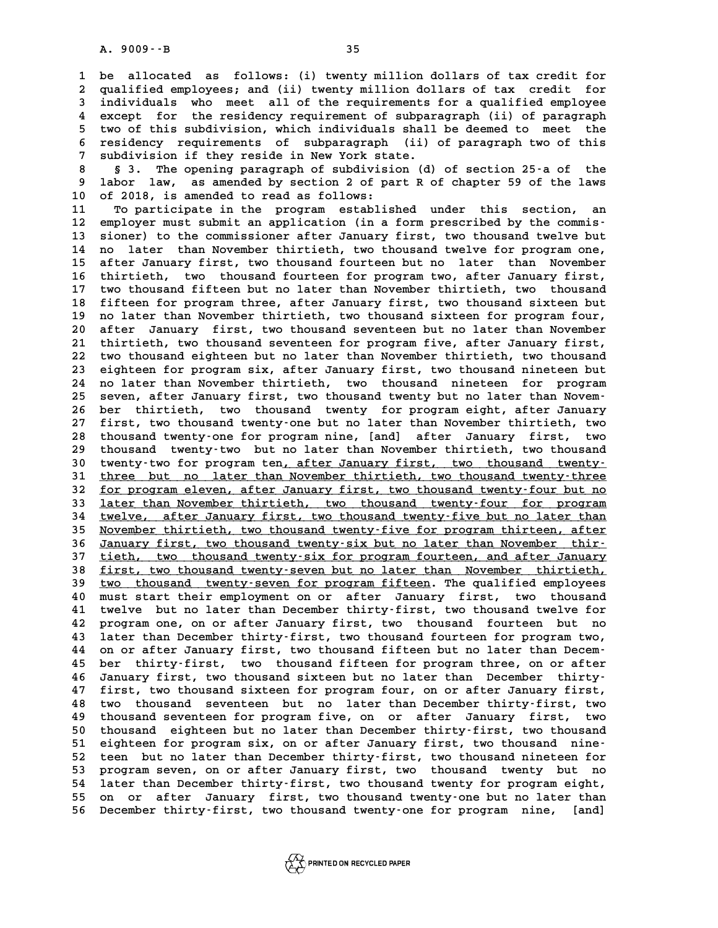**1 be allocated as follows: (i) twenty million dollars of tax credit for 2** be allocated as follows: (i) twenty million dollars of tax credit for<br>2 qualified employees; and (ii) twenty million dollars of tax credit for<br>3 individuals, who meet all of the requirements for a qualified employee 1 be allocated as follows: (i) twenty million dollars of tax credit for<br>2 qualified employees; and (ii) twenty million dollars of tax credit for<br>3 individuals who meet all of the requirements for a qualified employee<br>2 avo qualified employees; and (ii) twenty million dollars of tax credit for<br>
individuals who meet all of the requirements for a qualified employee<br>
4 except for the residency requirement of subparagraph (ii) of paragraph<br>
two o Individuals who meet all of the requirements for a qualified employee<br>4 except for the residency requirement of subparagraph (ii) of paragraph<br>5 two of this subdivision, which individuals shall be deemed to meet the<br>5 regi 4 except for the residency requirement of subparagraph (ii) of paragraph<br>5 two of this subdivision, which individuals shall be deemed to meet the<br>6 residency requirements of subparagraph (ii) of paragraph two of this<br>7 sub 5 two of this subdivision, which individuals shall be deemed to meet the<br>6 residency requirements of subparagraph (ii) of paragraph two of this<br>7 subdivision if they reside in New York state.<br>8 \$ 3. The opening paragraph o

**8 § 3. The opening paragraph of subdivision (d) of section 25-a of the 9 labor law, as amended by section 2 of part R of chapter 59 of the laws 10 of 2018, is amended to read as follows:** 9 labor law, as amended by section 2 of part R of chapter 59 of the laws<br>10 of 2018, is amended to read as follows:<br>11 To participate in the program established under this section, an<br><sup>12</sup> employer must submit an applicati

10 of 2018, is amended to read as follows:<br>
11 To participate in the program established under this section, an<br>
12 employer must submit an application (in a form prescribed by the commis-<br>
<sup>13</sup> Sioner) to the commissioner To participate in the program established under this section, an<br>
12 employer must submit an application (in a form prescribed by the commis-<br>
13 sioner) to the commissioner after January first, two thousand twelve but<br>
14 12 employer must submit an application (in a form prescribed by the commis-<br>13 sioner) to the commissioner after January first, two thousand twelve but<br>14 no later than November thirtieth, two thousand twelve for program o 13 sioner) to the commissioner after January first, two thousand twelve but<br>14 no later than November thirtieth, two thousand twelve for program one,<br>15 after January first, two thousand fourteen but no later than November 13 sioner) to the commissioner after January first, two thousand twelve but<br>14 no later than November thirtieth, two thousand twelve for program one,<br>15 after January first, two thousand fourteen but no later than November **17 two thousand fifteen but no later than November thirtieth, two thousand** 16 thirtieth, two thousand fourteen for program two, after January first,<br>17 two thousand fifteen but no later than November thirtieth, two thousand<br>18 fifteen for program three, after January first, two thousand sixteen b 17 two thousand fifteen but no later than November thirtieth, two thousand<br>18 fifteen for program three, after January first, two thousand sixteen but<br>19 no later than November thirtieth, two thousand sixteen for program f 18 fifteen for program three, after January first, two thousand sixteen but<br>19 no later than November thirtieth, two thousand sixteen for program four,<br>20 after January first, two thousand seventeen but no later than Novem 19 no later than November thirtieth, two thousand sixteen for program four,<br>20 after January first, two thousand seventeen but no later than November<br>21 thirtieth, two thousand seventeen for program five, after January fir 20 after January first, two thousand seventeen but no later than November<br>21 thirtieth, two thousand seventeen for program five, after January first,<br>22 two thousand eighteen but no later than November thirtieth, two thous 21 thirtieth, two thousand seventeen for program five, after January first,<br>22 two thousand eighteen but no later than November thirtieth, two thousand<br>23 eighteen for program six, after January first, two thousand ninetee 22 two thousand eighteen but no later than November thirtieth, two thousand<br>23 eighteen for program six, after January first, two thousand nineteen but<br>24 no later than November thirtieth, two thousand nineteen for program 23 eighteen for program six, after January first, two thousand nineteen but<br>
24 no later than November thirtieth, two thousand nineteen for program<br>
25 seven, after January first, two thousand twenty but no later than Nove 24 no later than November thirtieth, two thousand nineteen for program<br>25 seven, after January first, two thousand twenty but no later than Novem-<br>26 ber thirtieth, two thousand twenty for program eight, after January<br>27 f **27 first, two thousand twenty-one but no later than November thirtieth, two 26 ber thirtieth, two thousand twenty for program eight, after January first, two thousand twenty-one but no later than November thirtieth, two thousand twenty-one for program nine, [and] after January first, two thousand** 27 first, two thousand twenty-one but no later than November thirtieth, two thousand twenty-one for program nine, [and] after January first, two thousand twenty-two but no later than November thirtieth, two thousand<br>20 two 28 thousand twenty-one for program nine, [and] after January first, two<br>29 thousand twenty-two but no later than November thirtieth, two thousand<br>30 twenty-two for program ten, after January first, two thousand twenty-<br>31 thousand twenty-two but no later than November thirtieth, two thousand<br>30 twenty-two for program ten, after January first, two thousand twenty-<br>31 three but no later than November thirtieth, two thousand twenty-three<br>50 fo 30 twenty-two for program ten<u>, after January first, two thousand twenty-</u><br>31 <u>three but no later than November thirtieth, two thousand twenty-three</u><br>32 <u>for program eleven, after January first, two thousand twenty-four bu</u> 31 three but no later than November thirtieth, two thousand twenty-three<br>32 <u>for program eleven, after January first, two thousand twenty-four but no<br>33 later than November thirtieth, two thousand twenty-four for program<br>2</u> **32** <u>for program eleven, after January first, two thousand twenty-four but no</u><br> **133** <u>later than November thirtieth, two thousand twenty-four for program</u><br> **14** <u>twelve, after January first, two thousand twenty-five but </u> 33 <u>later than November thirtieth, two thousand twenty-four for program</u><br>34 <u>twelve, after January first, two thousand twenty-five but no later than</u><br>35 November thirtieth, two thousand twenty-five for program thirteen, af **34 <u>twelve,</u> after January first, two thousand twenty-five but no later than November thirtieth, two thousand twenty-five for program thirteen, after January first, two thousand twenty-six but no later than November thir-**November thirtieth, two thousand twenty-five for program thirteen, after<br> **January first, two thousand twenty-six but no later than November thir-**<br> **direct** the thousand twenty-six for program fourteen, and after January<br> **36 January first, two thousand twenty-six but no later than November thir-**<br>37 <u>tieth, two thousand twenty-six for program fourteen, and after January</u><br>38 <u>first, two thousand twenty-seven but no later than November thirt</u> 37 tieth, two thousand twenty-six for program fourteen, and after January<br>38 first, two thousand twenty-seven but no later than November thirtieth,<br>39 two thousand twenty-seven for program fifteen. The qualified employees<br> **40 must start their employment on or after January first, two thousand 41 twelve but no later than December thirty-first, two thousand twelve for** A program one, on or after January first, two thousand<br>
41 twelve but no later than December thirty-first, two thousand twelve for<br>
42 program one, on or after January first, two thousand fourteen but no<br>
43 later than Dec 41 twelve but no later than December thirty-first, two thousand twelve for<br>42 program one, on or after January first, two thousand fourteen but no<br>43 later than December thirty-first, two thousand fourteen for program two, 42 program one, on or after January first, two thousand fourteen but no<br>43 later than December thirty-first, two thousand fourteen for program two,<br>44 on or after January first, two thousand fifteen but no later than Decem **43 later than December thirty-first, two thousand fourteen for program two,<br>44 on or after January first, two thousand fifteen but no later than Decem-<br>45 ber thirty-first, two thousand fifteen for program three, on or af** 44 on or after January first, two thousand fifteen but no later than Decem-<br>45 ber thirty-first, two thousand fifteen for program three, on or after<br>46 January first, two thousand sixteen but no later than December thirty-45 ber thirty-first, two thousand fifteen for program three, on or after<br>46 January first, two thousand sixteen but no later than December thirty-<br>47 first, two thousand sixteen for program four, on or after January first, 47 first, two thousand sixteen for program four, on or after January first,<br>48 two thousand seventeen but no later than December thirty-first, two<br>49 thousand seventeen for program five, on or after January first, two **47 first, two thousand sixteen for program four, on or after January first,<br>48 two thousand seventeen but no later than December thirty-first, two<br>49 thousand seventeen for program five, on or after January first, two<br>50 50 two thousand seventeen but no later than December thirty-first, two<br>
49 thousand seventeen for program five, on or after January first, two<br>
50 thousand eighteen but no later than December thirty-first, two thousand<br>
5** 49 thousand seventeen for program five, on or after January first, two<br>50 thousand eighteen but no later than December thirty-first, two thousand<br>51 eighteen for program six, on or after January first, two thousand nine-<br>5 50 thousand eighteen but no later than December thirty-first, two thousand<br>51 eighteen for program six, on or after January first, two thousand nine-<br>52 teen but no later than December thirty-first, two thousand nineteen f 51 eighteen for program six, on or after January first, two thousand nine-<br>52 teen but no later than December thirty-first, two thousand nineteen for<br>53 program seven, on or after January first, two thousand twenty but no<br> **54 later than December thirty-first, two thousand twenty for program eight,** 53 program seven, on or after January first, two thousand twenty but no<br>54 later than December thirty-first, two thousand twenty for program eight,<br>55 on or after January first, two thousand twenty-one but no later than<br>56 54 later than December thirty-first, two thousand twenty for program eight,<br>55 on or after January first, two thousand twenty-one but no later than<br>56 December thirty-first, two thousand twenty-one for program nine, [and]

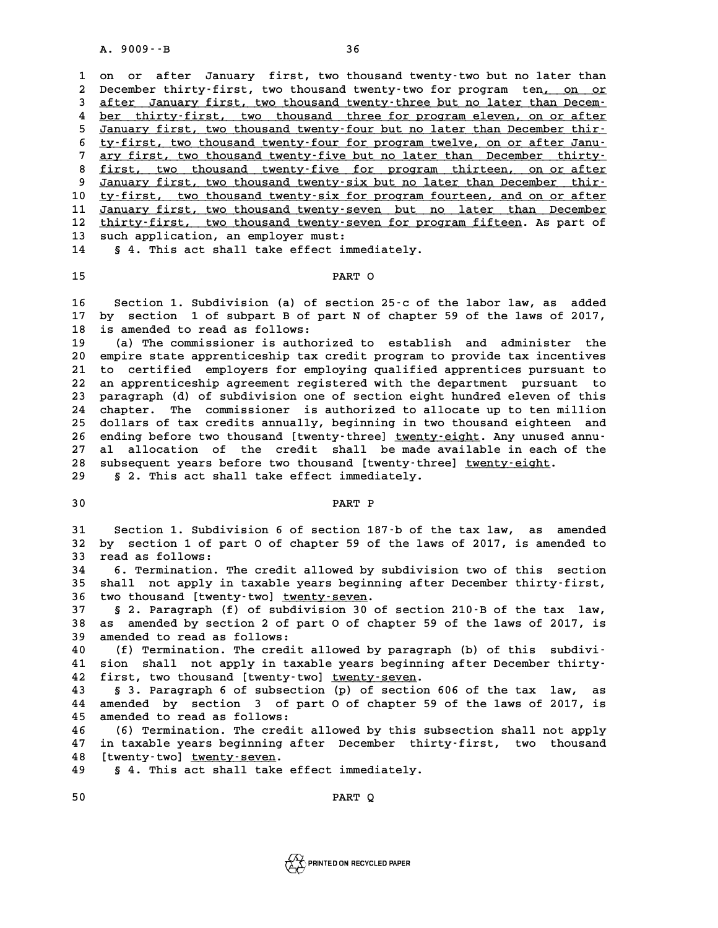**1 on or after January first, two thousand twenty-two but no later than 2** On or after January first, two thousand twenty-two but no later than<br>2 December thirty-first, two thousand twenty-two for program ten<u>, on or</u><br>3 after January first, two thousand twenty-three but no later than Decem. 3 on or after January first, two thousand twenty-two but no later than 2 December thirty-first, two thousand twenty-two for program ten, on or after 3 after January first, two thousand twenty-three but no later than Decem-Pecember thirty-first, two thousand twenty-two for program ten<u>, on or</u><br>
after January first, two thousand twenty-three but no later than Decem-<br>
<u>ber thirty-first, two thousand three for program eleven, on or after</u><br>
Innu 3 <u>after January first, two thousand twenty-three but no later than Decem-<br>4 ber thirty-first, two thousand three for program eleven, on or after<br>5 January first, two thousand twenty-four but no later than December thir-<br>5</u> 4 ber thirty-first, two thousand three for program eleven, on or after<br>
5 January first, two thousand twenty-four but no later than December thir-<br>
<u>ty-first, two thousand twenty-four for program twelve, on or after Janu-</u> *January first, two thousand twenty-four but no later than December thirty-*<br> *ty-first, two thousand twenty-four for program twelve, on or after Janu-*<br> *ary first, two thousand twenty-five but no later than December thir* 8 ty-first, two thousand twenty-four for program twelve, on or after Janu-<br>
<sup>7</sup> ary first, two thousand twenty-five but no later than December thirty-<br>
<sup>8</sup> first, two thousand twenty-five for program thirteen, on or after<br> **ary first, two thousand twenty-five but no later than December thirty-**<br> **8 first, two thousand twenty-five for program thirteen, on or after**<br> **9 January first, two thousand twenty-six but no later than December thir-**<br> 8 <u>first, two thousand twenty-five for program thirteen, on or after</u><br>10 <u>January first, two thousand twenty-six but no later than December thir-</u><br>10 <u>ty-first, two thousand twenty-six for program fourteen, and on or after</u> January first, two thousand twenty-six but no later than December thir-<br>10 <u>ty-first, two thousand twenty-seven but no later than December</u><br>11 January first, two thousand twenty-seven but no later than December<br>12 thirty-f **10** ty-first, two thousand twenty-six for program fourteen, and on or after<br> **11** January first, two thousand twenty-seven but no later than December<br> **12** thirty-first, two thousand twenty-seven for program fifteen. As p 11 January first, two thousand twenty-sev<br>12 thirty-first, two thousand twenty-sev<br>13 such application, an employer must:<br>14 s.d. mbis 20t shall take offect imme 12 <u>thirty-first, two thousand twenty-seven for prog</u><br>13 such application, an employer must:<br>14 § 4. This act shall take effect immediately. 13 such application, an employer must:<br>14 § 4. This act shall take effect immediately.<br>15 **PART O** 

**16 Section 1. Subdivision (a) of section 25-c of the labor law, as added** 16 Section 1. Subdivision (a) of section 25–c of the labor law, as added<br>17 by section 1 of subpart B of part N of chapter 59 of the laws of 2017,<br>18 is amended to read as follows. 16 Section 1. Subdivision (a) of s<br>17 by section 1 of subpart B of pa<br>18 is amended to read as follows:<br><sup>19</sup> (a) The commissioner is authori **17 by section 1 of subpart B of part N of chapter 59 of the laws of 2017,<br>18 is amended to read as follows:**<br>(a) The commissioner is authorized to establish and administer the<br>20 empire state appropriately the gradit prog

<sup>2</sup> 18 is amended to read as follows:<br>
20 empire state apprenticeship tax credit program to provide tax incentives<br>
21 to certified employers for employing qualified apprentices pursuant to **20** (a) The commissioner is authorized to establish and administer the<br>20 empire state apprenticeship tax credit program to provide tax incentives<br>21 to certified employers for employing qualified apprentices pursuant to<br> 20 empire state apprenticeship tax credit program to provide tax incentives<br>21 to certified employers for employing qualified apprentices pursuant to<br>22 an apprenticeship agreement registered with the department pursuant t 21 to certified employers for employing qualified apprentices pursuant to<br>22 an apprenticeship agreement registered with the department pursuant to<br>23 paragraph (d) of subdivision one of section eight hundred eleven of thi **24 chapter. The commissioner is authorized to allocate up to ten million 25 dollars of tax credits annually, beginning in two thousand eighteen and** chapter. The commissioner is authorized to allocate up to ten million<br>25 dollars of tax credits annually, beginning in two thousand eighteen and<br>26 ending before two thousand [twenty-three] <u>twenty-eight</u>. Any unused annu-25 dollars of tax credits annually, beginning in two thousand eighteen and<br>26 ending before two thousand [twenty-three] <u>twenty-eight</u>. Any unused annu-<br>27 al allocation of the credit shall be made available in each of the 26 ending before two thousand [twenty-three] <u>twenty-eight</u>. Any unused a<br>27 al allocation of the credit shall be made available in each of<br>28 subsequent years before two thousand [twenty-three] <u>twenty-eight</u>.<br>29 s.2 This 27 al allocation of the credit shall be made a<br>28 subsequent years before two thousand [twenty-thre<br>29 \$ 2. This act shall take effect immediately. % and subsequent years before two thousand [twenty-three] <u>twenty-eight</u>.<br>
29 \$ 2. This act shall take effect immediately.<br>
30 **PART P** 

**21 Section 1. Subdivision 6 of section 187-b of the tax law, as amended**<br> **31** Section 1. Subdivision 6 of section 187-b of the tax law, as amended 31 Section 1. Subdivision 6 of section 187<sup>.</sup>b of the tax law, as amended<br>32 by section 1 of part O of chapter 59 of the laws of 2017, is amended to 31 Section 1. Subdivision 6 of section 187-b of the tax law, as amended<br>32 by section 1 of part 0 of chapter 59 of the laws of 2017, is amended to<br>33 read as follows:<br>6. Termination. The credit allowed by subdivision two o **32 by section 1 of part 0 of chapter 59 of the laws of 2017, is amended to read as follows:**<br>**34 6. Termination. The credit allowed by subdivision two of this section**<br>**35 shall not analy in tarable years beginning after** 

**33 read as follows:**<br>**34 6. Termination. The credit allowed by subdivision two of this section<br>35 shall not apply in taxable years beginning after December thirty-first,<br>36 two thouseed [tworty-two] tworty-gover 34** 6. Termination. The credit allowed by sum<br> **35 shall not apply in taxable years beginnin**<br> **36 two thousand [twenty-two]** <u>twenty-seven</u>.<br> **37** 8.2 Baragraph (f) of subdivision 30 of

**35 shall not apply in taxable years beginning after December thirty-first,**<br>36 two thousand [twenty-two] <u>twenty-seven</u>.<br>37 § 2. Paragraph (f) of subdivision 30 of section 210-B of the tax law,<br>38 as amended by section 2 **36 two thousand [twenty-two] <u>twenty-seven</u>.<br>37 § 2. Paragraph (f) of subdivision 30 of section 210-B of the tax law,<br>38 as amended by section 2 of part O of chapter 59 of the laws of 2017, is<br>39 amended to read as follow** 37 **§ 2. Paragraph (f) of subdiv**<br>38 as amended by section 2 of pa<br>39 amended to read as follows:<br>40 (f) mormination mbo gradit **40 (a)**  $\frac{1}{2}$  and  $\frac{1}{2}$  of part  $\frac{1}{2}$  of chapter 59 of the laws of 2017, is<br> **40** (f) Termination. The credit allowed by paragraph (b) of this subdivi-<br> **41 (i)**  $\frac{1}{2}$  and  $\frac{1}{2}$  and  $\frac{1}{2}$  and  $\frac{1$ 

39 amended to read as follows:<br>40 (f) Termination. The credit allowed by paragraph (b) of this subdivi-<br>41 sion shall not apply in taxable years beginning after December thirty-<br>42 first the thousand [trenty-tre] trenty-ga 40 (f) Termination. The credit allowed by paragrap<sup>1</sup><br>41 sion shall not apply in taxable years beginning<br>42 first, two thousand [twenty-two] <u>twenty-seven</u>. 41 sion shall not apply in taxable years beginning after December thirty-<br>42 first, two thousand [twenty-two] <u>twenty-seven</u>.<br>43 § 3. Paragraph 6 of subsection (p) of section 606 of the tax law, as<br>44 amended by section 3

42 first, two thousand [twenty-two] twenty-seven.<br>43 § 3. Paragraph 6 of subsection (p) of section 606 of the tax law, as<br>44 amended by section 3 of part 0 of chapter 59 of the laws of 2017, is<br>45 amended to read as follow 43 § 3. Paragraph 6 of subsecti44 amended by section 3 of pa<br>45 amended to read as follows:<br>46 (6) mormination mbo gradit **44 amended by section 3 of part 0 of chapter 59 of the laws of 2017, is<br>45 amended to read as follows:**<br>46 (6) Termination. The credit allowed by this subsection shall not apply<br><sup>47</sup> in taxable years beginning after Decem

45 amended to read as follows:<br>46 (6) Termination. The credit allowed by this subsection shall not apply<br>47 in taxable years beginning after December thirty-first, two thousand<br>48 [treaty.typ] typety.goven. **46 (6) Termination. The credit<br>47 in taxable years beginning af<br>48 [twenty-two] <u>twenty-seven</u>.<br>49 5 4 This 35t Shall take of** 47 in taxable years beginning after December thirt<br>48 [twenty–two] <u>twenty–seven</u>.<br>49 § 4. This act shall take effect immediately. 48 [twenty-two] <u>twenty-seven</u>.<br>49 § 4. This act shall take effect immediately.<br>50 **PART Q** 

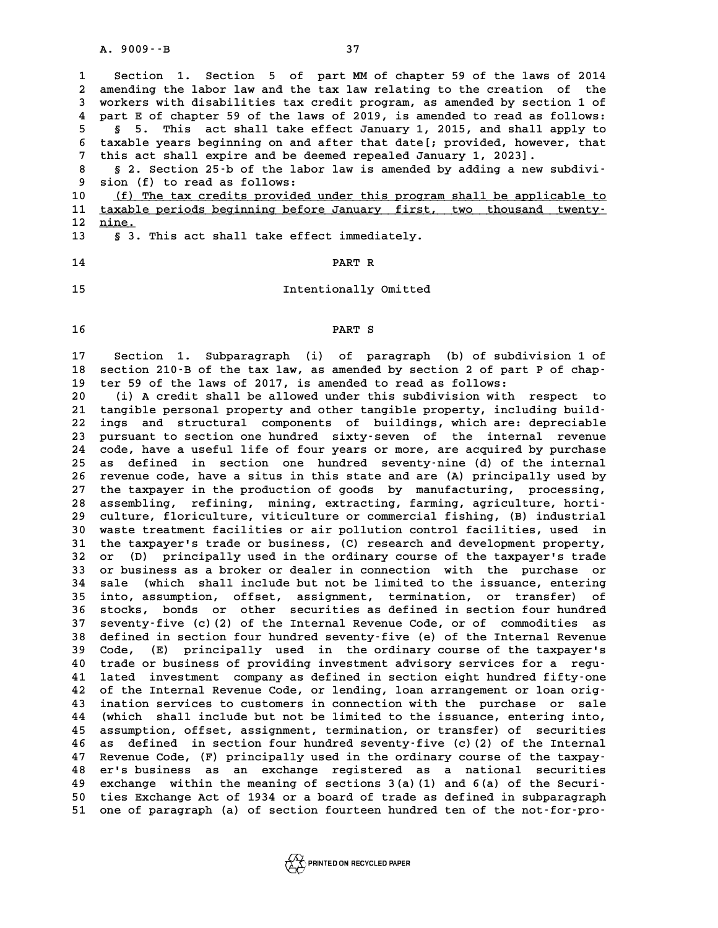| $A. 9009 - B$<br>37                                                                                                                                                                                                                                                                                                                                                                                                                                                                                                                                                                                                                                                                                                                                                                                                                                                                                                                                                                                                                                                                                                                                                                                                                                                                                                                                                                                                                                                                                                                                                                                                                                                                                                                                                                                                                                                                                                                                                                                                                                                                                                                                                                                                                                                                                                                |
|------------------------------------------------------------------------------------------------------------------------------------------------------------------------------------------------------------------------------------------------------------------------------------------------------------------------------------------------------------------------------------------------------------------------------------------------------------------------------------------------------------------------------------------------------------------------------------------------------------------------------------------------------------------------------------------------------------------------------------------------------------------------------------------------------------------------------------------------------------------------------------------------------------------------------------------------------------------------------------------------------------------------------------------------------------------------------------------------------------------------------------------------------------------------------------------------------------------------------------------------------------------------------------------------------------------------------------------------------------------------------------------------------------------------------------------------------------------------------------------------------------------------------------------------------------------------------------------------------------------------------------------------------------------------------------------------------------------------------------------------------------------------------------------------------------------------------------------------------------------------------------------------------------------------------------------------------------------------------------------------------------------------------------------------------------------------------------------------------------------------------------------------------------------------------------------------------------------------------------------------------------------------------------------------------------------------------------|
| Section 1. Section 5 of part MM of chapter 59 of the laws of 2014<br>amending the labor law and the tax law relating to the creation of the<br>workers with disabilities tax credit program, as amended by section 1 of<br>part E of chapter 59 of the laws of 2019, is amended to read as follows:<br>This act shall take effect January 1, 2015, and shall apply to<br>Ş.<br>5.<br>taxable years beginning on and after that date[; provided, however, that<br>this act shall expire and be deemed repealed January 1, 2023].<br>§ 2. Section 25 -b of the labor law is amended by adding a new subdivi-<br>sion (f) to read as follows:<br>(f) The tax credits provided under this program shall be applicable to<br>taxable periods beginning before January first, two thousand twenty-<br>nine.<br>§ 3. This act shall take effect immediately.                                                                                                                                                                                                                                                                                                                                                                                                                                                                                                                                                                                                                                                                                                                                                                                                                                                                                                                                                                                                                                                                                                                                                                                                                                                                                                                                                                                                                                                                              |
| PART R                                                                                                                                                                                                                                                                                                                                                                                                                                                                                                                                                                                                                                                                                                                                                                                                                                                                                                                                                                                                                                                                                                                                                                                                                                                                                                                                                                                                                                                                                                                                                                                                                                                                                                                                                                                                                                                                                                                                                                                                                                                                                                                                                                                                                                                                                                                             |
| Intentionally Omitted                                                                                                                                                                                                                                                                                                                                                                                                                                                                                                                                                                                                                                                                                                                                                                                                                                                                                                                                                                                                                                                                                                                                                                                                                                                                                                                                                                                                                                                                                                                                                                                                                                                                                                                                                                                                                                                                                                                                                                                                                                                                                                                                                                                                                                                                                                              |
| PART S                                                                                                                                                                                                                                                                                                                                                                                                                                                                                                                                                                                                                                                                                                                                                                                                                                                                                                                                                                                                                                                                                                                                                                                                                                                                                                                                                                                                                                                                                                                                                                                                                                                                                                                                                                                                                                                                                                                                                                                                                                                                                                                                                                                                                                                                                                                             |
| Section 1. Subparagraph (i) of paragraph (b) of subdivision 1 of<br>section 210-B of the tax law, as amended by section 2 of part P of chap-<br>ter 59 of the laws of 2017, is amended to read as follows:<br>(i) A credit shall be allowed under this subdivision with<br>respect<br>to<br>tangible personal property and other tangible property, including build-<br>ings and structural components of buildings, which are: depreciable<br>pursuant to section one hundred sixty-seven of the<br>internal<br>revenue<br>code, have a useful life of four years or more, are acquired by purchase<br>defined in section one hundred seventy-nine (d) of the internal<br>as<br>revenue code, have a situs in this state and are (A) principally used by<br>the taxpayer in the production of goods by manufacturing, processing,<br>assembling, refining, mining, extracting, farming, agriculture, horti-<br>culture, floriculture, viticulture or commercial fishing, (B) industrial<br>waste treatment facilities or air pollution control facilities, used in<br>the taxpayer's trade or business, (C) research and development property,<br>(D) principally used in the ordinary course of the taxpayer's trade<br>or<br>or business as a broker or dealer in connection with the purchase<br>or<br>(which shall include but not be limited to the issuance, entering<br>sale<br>into, assumption, offset, assignment, termination, or transfer)<br>оf<br>bonds or other securities as defined in section four hundred<br>stocks,<br>seventy-five (c)(2) of the Internal Revenue Code, or of commodities<br>as<br>defined in section four hundred seventy-five (e) of the Internal Revenue<br>principally used in the ordinary course of the taxpayer's<br>Code, (E)<br>trade or business of providing investment advisory services for a<br>requ-<br>investment company as defined in section eight hundred fifty-one<br>lated<br>of the Internal Revenue Code, or lending, loan arrangement or loan orig-<br>ination services to customers in connection with the purchase or<br>sale<br>shall include but not be limited to the issuance, entering into,<br>(which<br>assumption, offset, assignment, termination, or transfer) of securities<br>as defined in section four hundred seventy-five (c) (2) of the Internal |
| Revenue Code, (F) principally used in the ordinary course of the taxpay-<br>er's business as an exchange registered as a national<br>securities<br>exchange within the meaning of sections 3(a)(1) and 6(a) of the Securi-<br>ties Exchange Act of 1934 or a board of trade as defined in subparagraph<br>one of paragraph (a) of section fourteen hundred ten of the not-for-pro-                                                                                                                                                                                                                                                                                                                                                                                                                                                                                                                                                                                                                                                                                                                                                                                                                                                                                                                                                                                                                                                                                                                                                                                                                                                                                                                                                                                                                                                                                                                                                                                                                                                                                                                                                                                                                                                                                                                                                 |
|                                                                                                                                                                                                                                                                                                                                                                                                                                                                                                                                                                                                                                                                                                                                                                                                                                                                                                                                                                                                                                                                                                                                                                                                                                                                                                                                                                                                                                                                                                                                                                                                                                                                                                                                                                                                                                                                                                                                                                                                                                                                                                                                                                                                                                                                                                                                    |

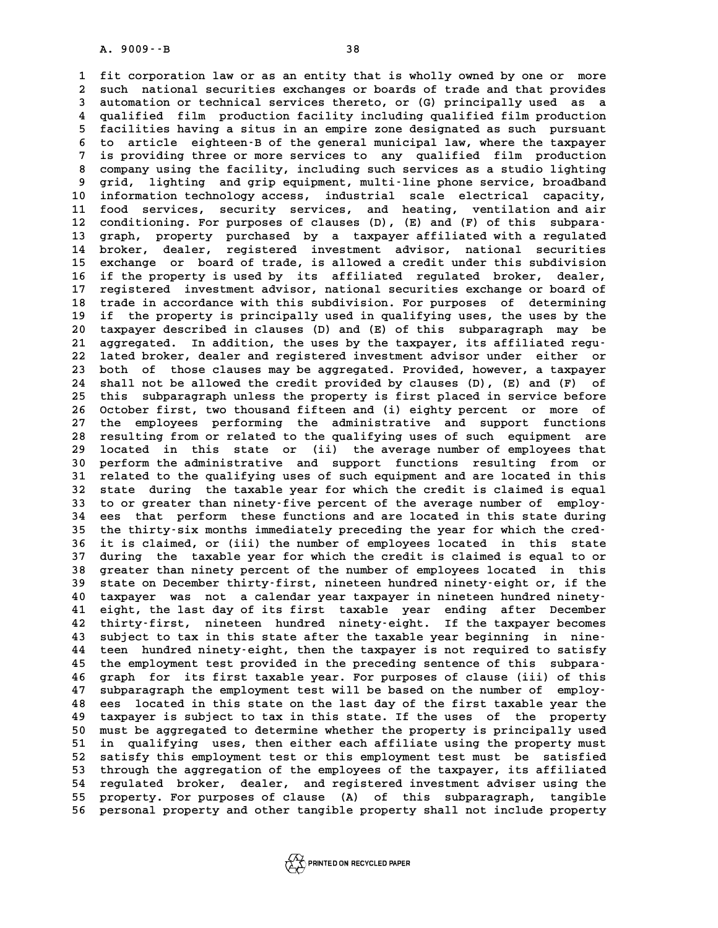A. 9009 - - B<br>1 fit corporation law or as an entity that is wholly owned by one or more<br>2 gugh pational comunities exchanges or beards of trade and that provides 1 fit corporation law or as an entity that is wholly owned by one or more<br>2 such national securities exchanges or boards of trade and that provides<br>3 automation or technical services thereto, or (C) principally used as 1 fit corporation law or as an entity that is wholly owned by one or more<br>2 such national securities exchanges or boards of trade and that provides<br>3 automation or technical services thereto, or (G) principally used as a<br>4 2 such national securities exchanges or boards of trade and that provides<br>3 automation or technical services thereto, or (G) principally used as a<br>4 qualified film production facility including qualified film production<br>5 3 automation or technical services thereto, or (G) principally used as a<br>4 qualified film production facility including qualified film production<br>5 facilities having a situs in an empire zone designated as such pursuant<br>5 4 qualified film production facility including qualified film production<br>5 facilities having a situs in an empire zone designated as such pursuant<br>6 to article eighteen-B of the general municipal law, where the taxpayer<br>7 **Facilities having a situs in an empire zone designated as such pursuant**<br> **6** to article eighteen B of the general municipal law, where the taxpayer<br> **7** is providing three or more services to any qualified film productio **8 to article eighteen-B of the general municipal law, where the taxpayer**<br>7 is providing three or more services to any qualified film production<br>8 company using the facility, including such services as a studio lighting<br>2 It is providing three or more services to any qualified film production<br>
8 company using the facility, including such services as a studio lighting<br>
9 grid, lighting and grip equipment, multi-line phone service, broadband<br> 8 company using the facility, including such services as a studio lighting<br>9 grid, lighting and grip equipment, multi-line phone service, broadband<br>10 information technology access, industrial scale electrical capacity,<br>11 9 grid, lighting and grip equipment, multi-line phone service, broadband<br>10 information technology access, industrial scale electrical capacity,<br>11 food services, security services, and heating, ventilation and air<br>22 cond 10 information technology access, industrial scale electrical capacity,<br>
11 food services, security services, and heating, ventilation and air<br>
12 conditioning. For purposes of clauses (D), (E) and (F) of this subpara-<br>
<sup>1</sup> 11 food services, security services, and heating, ventilation and air<br>12 conditioning. For purposes of clauses (D), (E) and (F) of this subpara-<br>13 graph, property purchased by a taxpayer affiliated with a regulated<br>14 bro 12 conditioning. For purposes of clauses (D), (E) and (F) of this subpara-<br>13 graph, property purchased by a taxpayer affiliated with a regulated<br>14 broker, dealer, registered investment advisor, national securities<br>25 exc 13 graph, property purchased by a taxpayer affiliated with a regulated<br>14 broker, dealer, registered investment advisor, national securities<br>15 exchange or board of trade, is allowed a credit under this subdivision<br>16 if t 14 broker, dealer, registered investment advisor, national securities<br>15 exchange or board of trade, is allowed a credit under this subdivision<br>16 if the property is used by its affiliated regulated broker, dealer,<br>17 regi 15 exchange or board of trade, is allowed a credit under this subdivision<br>16 if the property is used by its affiliated regulated broker, dealer,<br>17 registered investment advisor, national securities exchange or board of<br>18 16 if the property is used by its affiliated regulated broker, dealer,<br>17 registered investment advisor, national securities exchange or board of<br>18 trade in accordance with this subdivision. For purposes of determining<br>if 17 registered investment advisor, national securities exchange or board of<br>18 trade in accordance with this subdivision. For purposes of determining<br>19 if the property is principally used in qualifying uses, the uses by th 18 trade in accordance with this subdivision. For purposes of determining<br>19 if the property is principally used in qualifying uses, the uses by the<br>20 taxpayer described in clauses (D) and (E) of this subparagraph may be<br> 19 if the property is principally used in qualifying uses, the uses by the 20 taxpayer described in clauses (D) and (E) of this subparagraph may be aggregated. In addition, the uses by the taxpayer, its affiliated regu-<br>
2 20 taxpayer described in clauses (D) and (E) of this subparagraph may be<br>21 aggregated. In addition, the uses by the taxpayer, its affiliated regu-<br>22 lated broker, dealer and registered investment advisor under either or<br> 21 aggregated. In addition, the uses by the taxpayer, its affiliated regu-<br>22 lated broker, dealer and registered investment advisor under either or<br>23 both of those clauses may be aggregated. Provided, however, a taxpayer 22 lated broker, dealer and registered investment advisor under either or<br>23 both of those clauses may be aggregated. Provided, however, a taxpayer<br>24 shall not be allowed the credit provided by clauses (D), (E) and (F) of 23 both of those clauses may be aggregated. Provided, however, a taxpayer<br>24 shall not be allowed the credit provided by clauses (D), (E) and (F) of<br>25 this subparagraph unless the property is first placed in service befor 24 shall not be allowed the credit provided by clauses (D), (E) and (F) of<br>25 this subparagraph unless the property is first placed in service before<br>26 October first, two thousand fifteen and (i) eighty percent or more of 25 this subparagraph unless the property is first placed in service before<br>26 October first, two thousand fifteen and (i) eighty percent or more of<br>27 the employees performing the administrative and support functions<br>28 no 26 October first, two thousand fifteen and (i) eighty percent or more of<br>27 the employees performing the administrative and support functions<br>28 resulting from or related to the qualifying uses of such equipment are<br>29 log 27 the employees performing the administrative and support functions<br>28 resulting from or related to the qualifying uses of such equipment are<br>29 located in this state or (ii) the average number of employees that<br>20 perfor 28 resulting from or related to the qualifying uses of such equipment are<br>29 located in this state or (ii) the average number of employees that<br>30 perform the administrative and support functions resulting from or<br><sup>31</sup> rel 29 located in this state or (ii) the average number of employees that<br>30 perform the administrative and support functions resulting from or<br>31 related to the qualifying uses of such equipment and are located in this<br>32 sta 30 perform the administrative and support functions resulting from or<br>31 related to the qualifying uses of such equipment and are located in this<br>32 state during the taxable year for which the credit is claimed is equal<br>33 31 related to the qualifying uses of such equipment and are located in this<br>32 state during the taxable year for which the credit is claimed is equal<br>33 to or greater than ninety-five percent of the average number of emplo 32 state during the taxable year for which the credit is claimed is equal<br>33 to or greater than ninety-five percent of the average number of employ-<br>34 ees that perform these functions and are located in this state during<br> 33 to or greater than ninety-five percent of the average number of employ-<br>34 ees that perform these functions and are located in this state during<br>35 the thirty-six months immediately preceding the year for which the cred 34 ees that perform these functions and are located in this state during<br>35 the thirty-six months immediately preceding the year for which the cred-<br>36 it is claimed, or (iii) the number of employees located in this state<br> 35 the thirty-six months immediately preceding the year for which the cred-<br>36 it is claimed, or (iii) the number of employees located in this state<br>37 during the taxable year for which the credit is claimed is equal to or 36 it is claimed, or (iii) the number of employees located in this state<br>37 during the taxable year for which the credit is claimed is equal to or<br>38 greater than ninety percent of the number of employees located in this<br>3 37 during the taxable year for which the credit is claimed is equal to or<br>38 greater than ninety percent of the number of employees located in this<br>39 state on December thirty-first, nineteen hundred ninety-eight or, if th 38 greater than ninety percent of the number of employees located in this<br>39 state on December thirty-first, nineteen hundred ninety-eight or, if the<br>40 taxpayer was not a calendar year taxpayer in nineteen hundred ninety-39 state on December thirty-first, nineteen hundred ninety-eight or, if the<br>40 taxpayer was not a calendar year taxpayer in nineteen hundred ninety-<br>41 eight, the last day of its first taxable year ending after December<br>42 **40 taxpayer was not a calendar year taxpayer in nineteen hundred ninety-**<br>**41 eight, the last day of its first taxable year ending after December**<br>**42 thirty-first, nineteen hundred ninety-eight. If the taxpayer becomes**<br> 41 eight, the last day of its first taxable year ending after December<br>42 thirty-first, nineteen hundred ninety-eight. If the taxpayer becomes<br>43 subject to tax in this state after the taxable year beginning in nine-<br>44 to **44 teen hundred ninety-eight, then the taxpayer is not required to satisfy** 43 subject to tax in this state after the taxable year beginning in nine-<br>44 teen hundred ninety-eight, then the taxpayer is not required to satisfy<br>45 the employment test provided in the preceding sentence of this subpara **44 teen hundred ninety-eight, then the taxpayer is not required to satisfy**<br>**45 the employment test provided in the preceding sentence of this subpara-**<br>**46 graph for its first taxable year. For purposes of clause (iii) o** 45 the employment test provided in the preceding sentence of this subpara<sup>-</sup><br>46 graph for its first taxable year. For purposes of clause (iii) of this<br>47 subparagraph the employment test will be based on the number of empl 46 graph for its first taxable year. For purposes of clause (iii) of this<br>47 subparagraph the employment test will be based on the number of employ-<br>48 ees located in this state on the last day of the first taxable year th 47 subparagraph the employment test will be based on the number of employ-<br>48 ees located in this state on the last day of the first taxable year the<br>49 taxpayer is subject to tax in this state. If the uses of the property **48 ees located in this state on the last day of the first taxable year the taxpayer is subject to tax in this state. If the uses of the property must be aggregated to determine whether the property is principally used**<br>in **49 taxpayer is subject to tax in this state. If the uses of the property**<br>50 must be aggregated to determine whether the property is principally used<br>51 in qualifying uses, then either each affiliate using the property mu 50 must be aggregated to determine whether the property is principally used<br>51 in qualifying uses, then either each affiliate using the property must<br>52 satisfy this employment test or this employment test must be satisfie 51 in qualifying uses, then either each affiliate using the property must<br>52 satisfy this employment test or this employment test must be satisfied<br>53 through the aggregation of the employees of the taxpayer, its affiliate 52 satisfy this employment test or this employment test must be satisfied<br>53 through the aggregation of the employees of the taxpayer, its affiliated<br>54 regulated broker, dealer, and registered investment adviser using the 53 through the aggregation of the employees of the taxpayer, its affiliated<br>54 regulated broker, dealer, and registered investment adviser using the<br>55 property. For purposes of clause (A) of this subparagraph, tangible<br>56 55 property. For purposes of clause (A) of this subparagraph, tangible<br>56 personal property and other tangible property shall not include property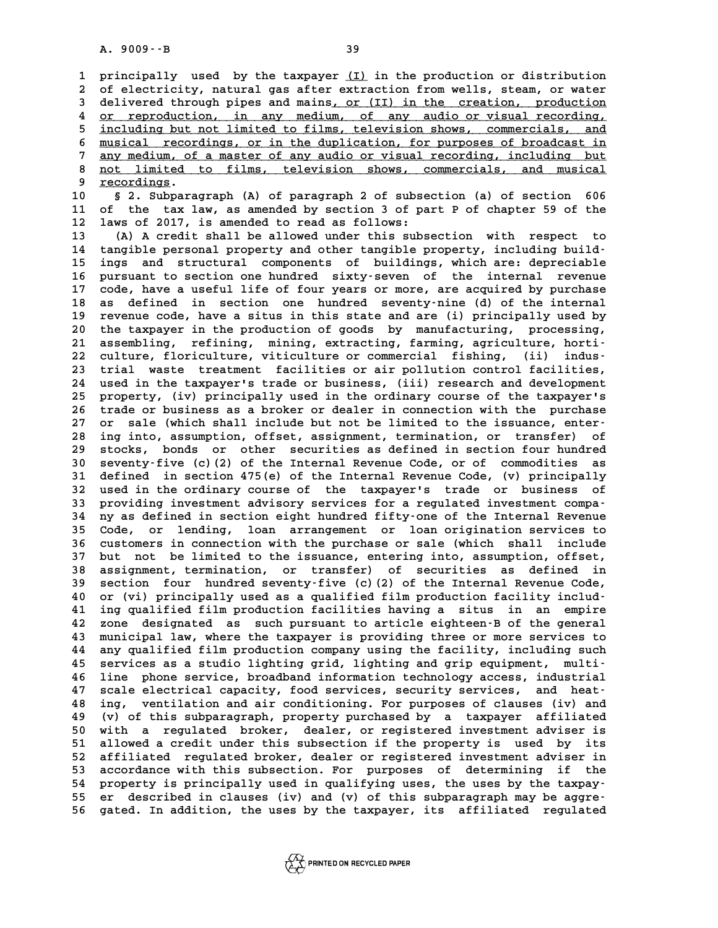**1 principally used by the taxpayer (I) in the production or distribution \_\_\_ 2** principally used by the taxpayer <u>(I)</u> in the production or distribution<br>2 of electricity, natural gas after extraction from wells, steam, or water<br>3 delivered through pipes and mains, or (II) in the greation, producti 3 of electricity, natural gas after extraction from wells, steam, or water<br>3 delivered through pipes and mains<u>, or (II) in the creation, production</u><br>4 or reproduction, in any medium, of any audio or visual recording. 4 <u>or reproduction, in any medium, of any audio or visual recording,</u><br>5 including but not limited to films, television shows, commercials, and delivered through pipes and mains, or (II) in the creation, production<br>4 <u>or reproduction, in any medium, of any audio or visual recording,</u><br>5 <u>including but not limited to films, television shows, commercials, and</u><br>5 musi 4 <u>or reproduction, in any medium, of any audio or visual recording,</u><br>5 <u>including but not limited to films, television shows, commercials, and<br>6 musical recordings, or in the duplication, for purposes of broadcast in<br>7 an</u> including but not limited to films, television shows, commercials, and<br>  $\frac{1}{2}$  musical recordings, or in the duplication, for purposes of broadcast in<br>  $\frac{1}{2}$  any medium, of a master of any audio or visual recording, 8 <u>musical recordings, or in the duplication, for purposes of broadcast in<br>any medium, of a master of any audio or visual recording, including but<br>a not limited to films, television shows, commercials, and musical<br>condings</u> 9 any medium, of<br>
8 <u>not limited</u><br>
9 <u>recordings</u>. **10 8 and 10 starting 10 starting 10 starting 10 starting 10 starting 10 starting 10 starting 10 starting 10 starting 10 starting 10 starting 10 starting 10 starting 10 starting 10 starting 10 starting 10 starting 10 start 11 of the tax law, as amended by section 3 of part P of chapter 59 of the 10 5** 2. Subparagraph (A) of paragraph 2 of subse<br>11 of the tax law, as amended by section 3 of pa<br>12 laws of 2017, is amended to read as follows:<br>13 (A) A gredit shall be allowed under this subs 11 of the tax law, as amended by section 3 of part P of chapter 59 of the<br>12 laws of 2017, is amended to read as follows:<br>13 (A) A credit shall be allowed under this subsection with respect to<br>14 tangible personal property 12 laws of 2017, is amended to read as follows:<br>
13 (A) A credit shall be allowed under this subsection with respect to<br>
14 tangible personal property and other tangible property, including build-<br>
<sup>15</sup> ings and structural **13** (A) A credit shall be allowed under this subsection with respect to tangible personal property and other tangible property, including build-<br>15 ings and structural components of buildings, which are: depreciable<br>16 nu 14 tangible personal property and other tangible property, including build-<br>15 ings and structural components of buildings, which are: depreciable<br>16 pursuant to section one hundred sixty-seven of the internal revenue<br>17 c 15 ings and structural components of buildings, which are: depreciable<br>16 pursuant to section one hundred sixty-seven of the internal revenue<br>17 code, have a useful life of four years or more, are acquired by purchase<br>28 d 16 pursuant to section one hundred sixty-seven of the internal revenue<br>17 code, have a useful life of four years or more, are acquired by purchase<br>18 as defined in section one hundred seventy-nine (d) of the internal<br>19 re 17 code, have a useful life of four years or more, are acquired by purchase as defined in section one hundred seventy-nine (d) of the internal 19 revenue code, have a situs in this state and are (i) principally used by the 18 as defined in section one hundred seventy-nine (d) of the internal<br>19 revenue code, have a situs in this state and are (i) principally used by<br>20 the taxpayer in the production of goods by manufacturing, processing,<br>21 19 revenue code, have a situs in this state and are (i) principally used by<br>
20 the taxpayer in the production of goods by manufacturing, processing,<br>
21 assembling, refining, mining, extracting, farming, agriculture, hort 20 the taxpayer in the production of goods by manufacturing, processing,<br>
21 assembling, refining, mining, extracting, farming, agriculture, horti-<br>
22 culture, floriculture, viticulture or commercial fishing, (ii) indus-<br> 21 assembling, refining, mining, extracting, farming, agriculture, horti-<br>22 culture, floriculture, viticulture or commercial fishing, (ii) indus-<br>23 trial waste treatment facilities or air pollution control facilities, 22 culture, floriculture, viticulture or commercial fishing, (ii) indus-<br>23 trial waste treatment facilities or air pollution control facilities,<br>24 used in the taxpayer's trade or business, (iii) research and development<br> 23 trial waste treatment facilities or air pollution control facilities,<br>24 used in the taxpayer's trade or business, (iii) research and development<br>25 property, (iv) principally used in the ordinary course of the taxpayer 24 used in the taxpayer's trade or business, (iii) research and development<br>25 property, (iv) principally used in the ordinary course of the taxpayer's<br>26 trade or business as a broker or dealer in connection with the purc 25 property, (iv) principally used in the ordinary course of the taxpayer's<br>26 trade or business as a broker or dealer in connection with the purchase<br>27 or sale (which shall include but not be limited to the issuance, ent **28 ing into, assumption, offset, assignment, termination, or transfer) of** 27 or sale (which shall include but not be limited to the issuance, enter-<br>28 ing into, assumption, offset, assignment, termination, or transfer) of<br>29 stocks, bonds or other securities as defined in section four hundred<br>2 **30 ing into, assumption, offset, assignment, termination, or transfer) of stocks, bonds or other securities as defined in section four hundred**<br>**30 seventy-five (c)(2) of the Internal Revenue Code, or of commodities as**<br> **39 stocks, bonds or other securities as defined in section four hundred**<br>30 seventy-five (c)(2) of the Internal Revenue Code, or of commodities as<br>31 defined in section 475(e) of the Internal Revenue Code, (v) principally **30 seventy-five (c)(2) of the Internal Revenue Code, or of commodities as<br>31 defined in section 475(e) of the Internal Revenue Code, (v) principally<br>32 used in the ordinary course of the taxpayer's trade or business of<br>pr** 31 defined in section 475(e) of the Internal Revenue Code, (v) principally<br>32 used in the ordinary course of the taxpayer's trade or business of<br>33 providing investment advisory services for a regulated investment compa-<br><sup></sup> 32 used in the ordinary course of the taxpayer's trade or business of<br>33 providing investment advisory services for a regulated investment compa-<br>34 ny as defined in section eight hundred fifty-one of the Internal Revenue<br> 33 providing investment advisory services for a regulated investment compa-<br>34 ny as defined in section eight hundred fifty-one of the Internal Revenue<br>35 Code, or lending, loan arrangement or loan origination services to<br> **34 ny as defined in section eight hundred fifty-one of the Internal Revenue**<br>35 Code, or lending, loan arrangement or loan origination services to<br>36 customers in connection with the purchase or sale (which shall include<br> 35 Code, or lending, loan arrangement or loan origination services to<br>36 customers in connection with the purchase or sale (which shall include<br>37 but not be limited to the issuance, entering into, assumption, offset,<br>28 c 36 customers in connection with the purchase or sale (which shall include<br>37 but not be limited to the issuance, entering into, assumption, offset,<br>38 assignment, termination, or transfer) of securities as defined in<br>39 as 37 but not be limited to the issuance, entering into, assumption, offset,<br>38 assignment, termination, or transfer) of securities as defined in<br>39 section four hundred seventy-five (c)(2) of the Internal Revenue Code,<br>40 or 38 assignment, termination, or transfer) of securities as defined in<br>
39 section four hundred seventy-five (c)(2) of the Internal Revenue Code,<br>
40 or (vi) principally used as a qualified film production facility includ-<br> 39 section four hundred seventy-five (c) (2) of the Internal Revenue Code, 40 or (vi) principally used as a qualified film production facility includ-<br>41 ing qualified film production facilities having a situs in an empire **42 zone designated as such pursuant to article eighteen-B of the general 43 municipal law, where the taxpayer is providing three or more services to 42 zone designated as such pursuant to article eighteen B of the general**<br>**43 municipal law, where the taxpayer is providing three or more services to any qualified film production company using the facility, including su** 43 municipal law, where the taxpayer is providing three or more services to<br>44 any qualified film production company using the facility, including such<br>45 services as a studio lighting grid, lighting and grip equipment, mu **44 any qualified film production company using the facility, including such services as a studio lighting grid, lighting and grip equipment, multi-**<br>**46 line phone service, broadband information technology access, industr** 45 services as a studio lighting grid, lighting and grip equipment, multi-<br>46 line phone service, broadband information technology access, industrial<br>47 scale electrical capacity, food services, security services, and heat **46 line phone service, broadband information technology access, industrial**<br>**47 scale electrical capacity, food services, security services, and heat-**<br>**48 ing, ventilation and air conditioning. For purposes of clauses (i** 47 scale electrical capacity, food services, security services, and heat-<br>48 ing, ventilation and air conditioning. For purposes of clauses (iv) and<br>49 (v) of this subparagraph, property purchased by a taxpayer affiliated<br> **50 km and a regulation and air conditioning. For purposes of clauses (iv) and (v) of this subparagraph, property purchased by a taxpayer affiliated 50 with a regulated broker, dealer, or registered investment adviser is<br> 49 (v) of this subparagraph, property purchased by a taxpayer affiliated**<br>50 with a regulated broker, dealer, or registered investment adviser is<br>51 allowed a credit under this subsection if the property is used by its<br>52 50 with a regulated broker, dealer, or registered investment adviser is<br>51 allowed a credit under this subsection if the property is used by its<br>52 affiliated regulated broker, dealer or registered investment adviser in<br>53 51 allowed a credit under this subsection if the property is used by its<br>52 affiliated regulated broker, dealer or registered investment adviser in<br>53 accordance with this subsection. For purposes of determining if the<br>54 52 affiliated regulated broker, dealer or registered investment adviser in<br>53 accordance with this subsection. For purposes of determining if the<br>54 property is principally used in qualifying uses, the uses by the taxpay-<br> 53 accordance with this subsection. For purposes of determining if the<br>
54 property is principally used in qualifying uses, the uses by the taxpay-<br>
55 er described in clauses (iv) and (v) of this subparagraph may be aggre **56 gated. In addition, the uses by the taxpayer, its affiliated regulated**

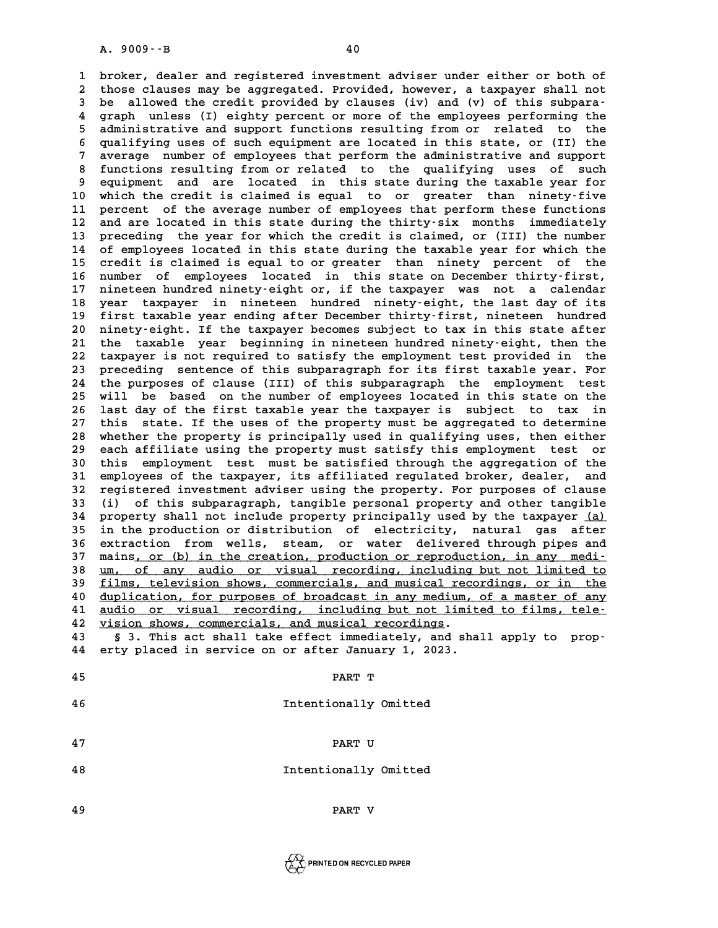**1 broker, dealer and registered investment adviser under either or both of 2** broker, dealer and registered investment adviser under either or both of<br>2 those clauses may be aggregated. Provided, however, a taxpayer shall not<br>3 be allowed the credit provided by clauses (iv) and (v) of this subpa 1 broker, dealer and registered investment adviser under either or both of<br>2 those clauses may be aggregated. Provided, however, a taxpayer shall not<br>3 be allowed the credit provided by clauses (iv) and (v) of this subpara those clauses may be aggregated. Provided, however, a taxpayer shall not<br>3 be allowed the credit provided by clauses (iv) and (v) of this subpara-<br>4 graph unless (I) eighty percent or more of the employees performing the<br>5 **5 be allowed the credit provided by clauses (iv) and (v) of this subpara-**<br>**4 graph unless (I) eighty percent or more of the employees performing the**<br>**5 administrative and support functions resulting from or related to t** 4 graph unless (I) eighty percent or more of the employees performing the<br>5 administrative and support functions resulting from or related to the<br>6 qualifying uses of such equipment are located in this state, or (II) the<br>3 5 administrative and support functions resulting from or related to the<br>6 qualifying uses of such equipment are located in this state, or (II) the<br>7 average number of employees that perform the administrative and support<br>8 8 qualifying uses of such equipment are located in this state, or (II) the<br>
8 average number of employees that perform the administrative and support<br>
8 functions resulting from or related to the qualifying uses of such<br>
9 average number of employees that perform the administrative and support 8 functions resulting from or related to the qualifying uses of such<br>9 equipment and are located in this state during the taxable year for<br>10 which the credit is claimed is equal to or greater than ninety-five<br>11 percent o 9 equipment and are located in this state during the taxable year for<br>10 which the credit is claimed is equal to or greater than ninety-five<br>11 percent of the average number of employees that perform these functions<br><sup>12</sup> a 10 which the credit is claimed is equal to or greater than ninety-five<br>11 percent of the average number of employees that perform these functions<br>12 and are located in this state during the thirty-six months immediately<br>13 11 percent of the average number of employees that perform these functions<br>12 and are located in this state during the thirty-six months immediately<br>13 preceding the year for which the credit is claimed, or (III) the numbe 12 and are located in this state during the thirty-six months immediately<br>13 preceding the year for which the credit is claimed, or (III) the number<br>14 of employees located in this state during the taxable year for which t 13 preceding the year for which the credit is claimed, or (III) the number<br>14 of employees located in this state during the taxable year for which the<br>15 credit is claimed is equal to or greater than ninety percent of the<br> 14 of employees located in this state during the taxable year for which the<br>15 credit is claimed is equal to or greater than ninety percent of the<br>16 number of employees located in this state on December thirty-first,<br>17 n 15 credit is claimed is equal to or greater than ninety percent of the<br>16 number of employees located in this state on December thirty-first,<br>17 nineteen hundred ninety-eight or, if the taxpayer was not a calendar<br>18 1001 16 number of employees located in this state on December thirty-first,<br>17 nineteen hundred ninety-eight or, if the taxpayer was not a calendar<br>18 year taxpayer in nineteen hundred ninety-eight, the last day of its<br>first ta 17 nineteen hundred ninety-eight or, if the taxpayer was not a calendar<br>18 year taxpayer in nineteen hundred ninety-eight, the last day of its<br>19 first taxable year ending after December thirty-first, nineteen hundred<br>20 n 18 year taxpayer in nineteen hundred ninety-eight, the last day of its<br>19 first taxable year ending after December thirty-first, nineteen hundred<br>20 ninety-eight. If the taxpayer becomes subject to tax in this state after<br> <sup>2</sup> first taxable year ending after December thirty-first, nineteen hundred<br>20 ninety-eight. If the taxpayer becomes subject to tax in this state after<br>21 the taxable year beginning in nineteen hundred ninety-eight, then t 20 ninety-eight. If the taxpayer becomes subject to tax in this state after<br>21 the taxable year beginning in nineteen hundred ninety-eight, then the<br>22 taxpayer is not required to satisfy the employment test provided in th 21 the taxable year beginning in nineteen hundred ninety-eight, then the<br>22 taxpayer is not required to satisfy the employment test provided in the<br>23 preceding sentence of this subparagraph for its first taxable year. For 22 taxpayer is not required to satisfy the employment test provided in the<br>23 preceding sentence of this subparagraph for its first taxable year. For<br>24 the purposes of clause (III) of this subparagraph the employment test 23 preceding sentence of this subparagraph for its first taxable year. For<br>24 the purposes of clause (III) of this subparagraph the employment test<br>25 will be based on the number of employees located in this state on the<br>2 <sup>24</sup> the purposes of clause (III) of this subparagraph the employment test<br>25 will be based on the number of employees located in this state on the<br>26 last day of the first taxable year the taxpayer is subject to tax in<br>27 25 will be based on the number of employees located in this state on the 126 last day of the first taxable year the taxpayer is subject to tax in this state. If the uses of the property must be aggregated to determine<br>22 w 26 last day of the first taxable year the taxpayer is subject to tax in<br>27 this state. If the uses of the property must be aggregated to determine<br>28 whether the property is principally used in qualifying uses, then either 27 this state. If the uses of the property must be aggregated to determine<br>28 whether the property is principally used in qualifying uses, then either<br>29 each affiliate using the property must satisfy this employment test **30 whether the property is principally used in qualifying uses, then either**<br>29 each affiliate using the property must satisfy this employment test or<br>30 this employment test must be satisfied through the aggregation of t 29 each affiliate using the property must satisfy this employment test or<br>30 this employment test must be satisfied through the aggregation of the<br>31 employees of the taxpayer, its affiliated regulated broker, dealer, and<br> 30 this employment test must be satisfied through the aggregation of the<br>31 employees of the taxpayer, its affiliated regulated broker, dealer, and<br>32 registered investment adviser using the property. For purposes of claus 31 employees of the taxpayer, its affiliated regulated broker, dealer, and<br>32 registered investment adviser using the property. For purposes of clause<br>33 (i) of this subparagraph, tangible personal property and other tangi **32 registered investment adviser using the property. For purposes of clause**<br> **33 (i) of this subparagraph, tangible personal property and other tangible**<br> **34 property shall not include property principally used by the t 33 (i) of this subparagraph, tangible personal property and other tangible**<br>**34 property shall not include property principally used by the taxpayer <u>(a)</u><br><b>35 in the production or distribution of electricity, natural gas** 34 property shall not include property principally used by the taxpayer <u>(a)</u><br>35 in the production or distribution of electricity, natural gas after<br>36 extraction from wells, steam, or water delivered through pipes and<br><sup>37</sup> 35 in the production or distribution of electricity, natural gas after<br>36 extraction from wells, steam, or water delivered through pipes and<br>37 mains, or (b) in the creation, production or reproduction, in any medi-<br><sup>38</sup> u 36 extraction from wells, steam, or water delivered through pipes and<br>37 mains<u>, or (b) in the creation, production or reproduction, in any medi-</u><br>38 <u>um, of any audio or visual recording, including but not limited to</u><br>51 37 mains, or (b) in the creation, production or reproduction, in any medi-<br>38 <u>um, of any audio or visual recording, including but not limited to</u><br><u>**films, television shows, commercials, and musical recordings, or in the**<br></u> **40 duplication in and any duply of any audio or visual recording, including but not limited to**<br> **40 duplication, for purposes of broadcast in any medium, of a master of any**<br> **41 audio or wisual recording including but n** 40 <u>films, television shows, commercials, and musical recordings, or in the duplication, for purposes of broadcast in any medium, of a master of any audio or visual recording, including but not limited to films, tele-<br>
41 </u> **40** duplication, for purposes of broadcast in any medium,<br> **41** audio or visual recording, including but not limi<br> **42** vision shows, commercials, and musical recordings.<br> **43** 8 3 This act shall take effect immediately a **41 <u>audio or visual recording, including but not limited to films, tele-**<br> **42 yision shows, commercials, and musical recordings.**<br> **43** § 3. This act shall take effect immediately, and shall apply to prop-<br> **44** orty pla</u>

42 <u>vision shows, commercials, and musical recordings</u>.<br>43 § 3. This act shall take effect immediately, and sha<br>44 erty placed in service on or after January 1, 2023. **44** erty placed in service on or after January 1, 2023.<br>45 **PART T** 

**45** PART T<br> **46** Intentionally Omitted **47 PART U 47** PART U<br> **48** Intentionally Omitted **49 PART V**

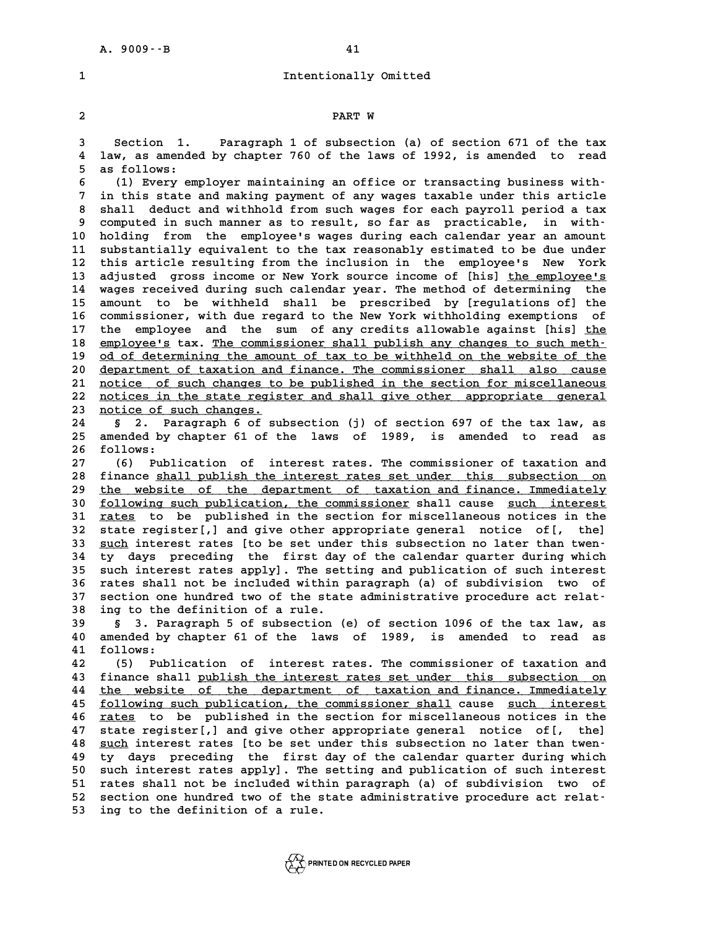# A. 9009 - -B<br>1 Intentionally Omitted

# **2 PART W**

**2**<br>3 Section 1. Paragraph 1 of subsection (a) of section 671 of the tax<br>4 law, as amended by chapter 760 of the laws of 1992, is amended to read **4 law, as amended by chapter 760 of the laws of 1992, is amended to read** 3 Section 1.<br>4 law, as amende<br>5 as follows:<br><sup>6</sup> (1) Frory of 4 law, as amended by chapter 760 of the laws of 1992, is amended to read<br>
5 as follows:<br>
(1) Every employer maintaining an office or transacting business with-<br>
<sup>7</sup> in this state and making payment of any wage taxable unde

**7** as follows:<br>
(1) Every employer maintaining an office or transacting business with-<br>
7 in this state and making payment of any wages taxable under this article<br>
8 shall deduct and withhold from such wages for each payr **8 (1) Every employer maintaining an office or transacting business with-**<br> **8 shall deduct and withhold from such wages for each payroll period a tax**<br> **8 south deduct and withhold from such wages for each payroll period** 9 in this state and making payment of any wages taxable under this article<br>
8 shall deduct and withhold from such wages for each payroll period a tax<br>
9 computed in such manner as to result, so far as practicable, in with-8 shall deduct and withhold from such wages for each payroll period a tax<br>9 computed in such manner as to result, so far as practicable, in with-<br>10 holding from the employee's wages during each calendar year an amount<br><sup>11</sup> 9 computed in such manner as to result, so far as practicable, in with-<br>10 holding from the employee's wages during each calendar year an amount<br>11 substantially equivalent to the tax reasonably estimated to be due under<br><sup></sup> 10 holding from the employee's wages during each calendar year an amount<br>11 substantially equivalent to the tax reasonably estimated to be due under<br>12 this article resulting from the inclusion in the employee's New York<br>1 11 substantially equivalent to the tax reasonably estimated to be due under<br>12 this article resulting from the inclusion in the employee's New York<br>13 adjusted gross income or New York source income of [his] <u>the employee'</u> 12 this article resulting from the inclusion in the employee's New York<br>13 adjusted gross income or New York source income of [his] <u>the employee's</u><br>14 wages received during such calendar year. The method of determining th 13 adjusted gross income or New York source income of [his] the employee's<br>14 wages received during such calendar year. The method of determining the<br>15 amount to be withheld shall be prescribed by [regulations of] the<br>20 14 wages received during such calendar year. The method of determining the<br>15 amount to be withheld shall be prescribed by [regulations of] the<br>16 commissioner, with due regard to the New York withholding exemptions of<br>17 15 amount to be withheld shall be prescribed by [regulations of] the commissioner, with due regard to the New York withholding exemptions of 17 the employee and the sum of any credits allowable against [his] <u>the</u> employee 16 commissioner, with due regard to the New York withholding exemptions of<br>17 the employee and the sum of any credits allowable against [his] <u>the<br>18 employee's</u> tax. <u>The commissioner shall publish any changes to such met</u> 19 <u>od of determining the amount of tax to be withheld on the website of the</u><br>20 department of taxation and finance. The commissioner shall also cause 20 department of taxation and finance shall publish any changes to such meth-<br>
20 <u>department of taxation and finance</u>. The commissioner shall also cause<br>
21 potise of such shapes to be published in the section for missell 21 od of determining the amount of tax to be withheld on the website of the<br>20 department of taxation and finance. The commissioner shall also cause<br>21 notice of such changes to be published in the section for miscellaneou department of taxation and finance. The commissioner shall also cause<br>
<u>notice</u> of such changes to be published in the section for miscellaneous<br>
22 notice in the state register and shall give other appropriate general<br>
23 21 <u>notice of such changes to be published in the section for miscellaneous<br>
22 notices in the state register and shall give other appropriate general<br>
23 notice of such changes.<br>
24 § 2. Paragraph 6 of subsection (j) of s</u> **22 <u>notices in the state register and shall give other appropriate general**<br> **23 <u>notice of such changes.</u><br>
24 § 2. Paragraph 6 of subsection (j) of section 697 of the tax law, as<br>
25 amended by chapter 61 of the laws of** </u>

**23** <u>notice of such changes.</u><br>24 § 2. Paragraph 6 of subsection (j) of section 697 of the tax law, as<br>25 amended by chapter 61 of the laws of 1989, is amended to read as 24 § 2. Pa<br>
25 amended by<br>
26 follows:<br>
27 (6) Publ

**27 (6) Publication of interest rates. The commissioner of taxation and** 26 follows:<br>27 (6) Publication of interest rates. The commissioner of taxation and<br>28 finance <u>shall publish the interest rates set under this subsection on</u><br>29 the vehsite of the department of taxation and finance Immedia 27 (6) Publication of interest rates. The commissioner of taxation and<br>28 finance shall publish the interest rates set under this subsection on<br>29 <u>the website of the department of taxation and finance. Immediately</u><br>30 fol finance shall publish the interest rates set under this subsection on<br>
29 the website of the department of taxation and finance. Immediately<br>
30 following such publication, the commissioner shall cause such interest<br>
21 ra 29 <u>the website of the department of taxation and finance. Immediately</u><br>30 <u>following such publication, the commissioner</u> shall cause <u>such interest</u><br>31 rates to be published in the section for miscellaneous notices in the **<u>following such publication, the commissioner</u> shall cause <u>such interest</u><br>31 <u>rates</u> to be published in the section for miscellaneous notices in the<br>32 state register[,] and give other appropriate general notice of[, the** 31 <u>rates</u> to be published in the section for miscellaneous notices in the<br>32 state register[,] and give other appropriate general notice of[, the]<br>33 <u>such</u> interest rates [to be set under this subsection no later than tw 32 state register[,] and give other appropriate general notice of[, the]<br>33 <u>such</u> interest rates [to be set under this subsection no later than twen-<br>34 ty days preceding the first day of the calendar quarter during which 33 <u>such</u> interest rates [to be set under this subsection no later than twen-<br>34 ty days preceding the first day of the calendar quarter during which<br>35 such interest rates apply]. The setting and publication of such inter **14 ty days preceding the first day of the calendar quarter during which**<br>
35 such interest rates apply]. The setting and publication of such interest<br>
36 rates shall not be included within paragraph (a) of subdivision two 35 such interest rates apply]. The setting and publication of such interest<br>36 rates shall not be included within paragraph (a) of subdivision two of<br>37 section one hundred two of the state administrative procedure act rel 36 rates shall not be included within paragraph (a) of subdivision two of section one hundred two of the state administrative procedure act relat-<br>38 ing to the definition of a rule.<br>39 \$ 3. Paragraph 5 of subsection (e) o

**39 § 3. Paragraph 5 of subsection (e) of section 1096 of the tax law, as 40 amous 10 and 10 amous 10 amous 10 amous 100 among 100 among 100 among 100 among 100 among 100 among 100 among 100 among 100 among 100 among 100 among 100 among 100 among 100 among 100 among 100 among 100 among 100 amon 40 6 3. Par.**<br>**40 amended by**<br>**41 follows: 40 amended by chapter 61 of the laws of 1989, is amended to read as<br>41 follows:**<br>42 (5) Publication of interest rates. The commissioner of taxation and<br>43 finance shall publish the interest rates set under this subsection

41 follows:<br>
42 (5) Publication of interest rates. The commissioner of taxation and<br>
43 finance shall <u>publish the interest rates set under this subsection on</u><br>
44 the website of the department of taxation and finance. Imm 42 (5) Publication of interest rates. The commissioner of taxation and<br>43 finance shall <u>publish the interest rates set under this subsection on</u><br>44 <u>the website of the department of taxation and finance. Immediately</u><br>50 f 43 finance shall <u>publish the interest rates set under this subsection on</u><br>44 <u>the website of the department of taxation and finance. Immediately</u><br><u>following such publication, the commissioner shall</u> cause <u>such interest</u><br> **44** the website of the department of taxation and finance. Immediately<br> **45** <u>following such publication</u>, the commissioner shall cause such interest<br> **46** rates to be published in the section for miscellaneous notices in 45 <u>following such publication, the commissioner shall</u> cause <u>such interest</u><br>46 <u>rates</u> to be published in the section for miscellaneous notices in the<br>47 state register[,] and give other appropriate general notice of[, t **46** <u>rates</u> to be published in the section for miscellaneous notices in the state register[,] and give other appropriate general notice of[, the]  $\frac{\text{such}}{\text{such}}$  interest rates [to be set under this subsection no later tha 47 state register[,] and give other appropriate general notice of[, the]<br>48 <u>such</u> interest rates [to be set under this subsection no later than twen-<br>49 ty days preceding the first day of the calendar quarter during which **50 such interest rates [to be set under this subsection no later than twen**<br>**49 ty days preceding the first day of the calendar quarter during which**<br>50 such interest rates apply]. The setting and publication of such inte **50 ty days preceding the first day of the calendar quarter during which**<br>
50 such interest rates apply]. The setting and publication of such interest<br>
51 rates shall not be included within paragraph (a) of subdivision two 50 such interest rates apply]. The setting and publication of such interest<br>
51 rates shall not be included within paragraph (a) of subdivision two of<br>
52 section one hundred two of the state administrative procedure act r 51 rates shall not be included within paragraph (a) of subdivision two of section one hundred two of the state administrative procedure act relat-<br>53 ing to the definition of a rule.

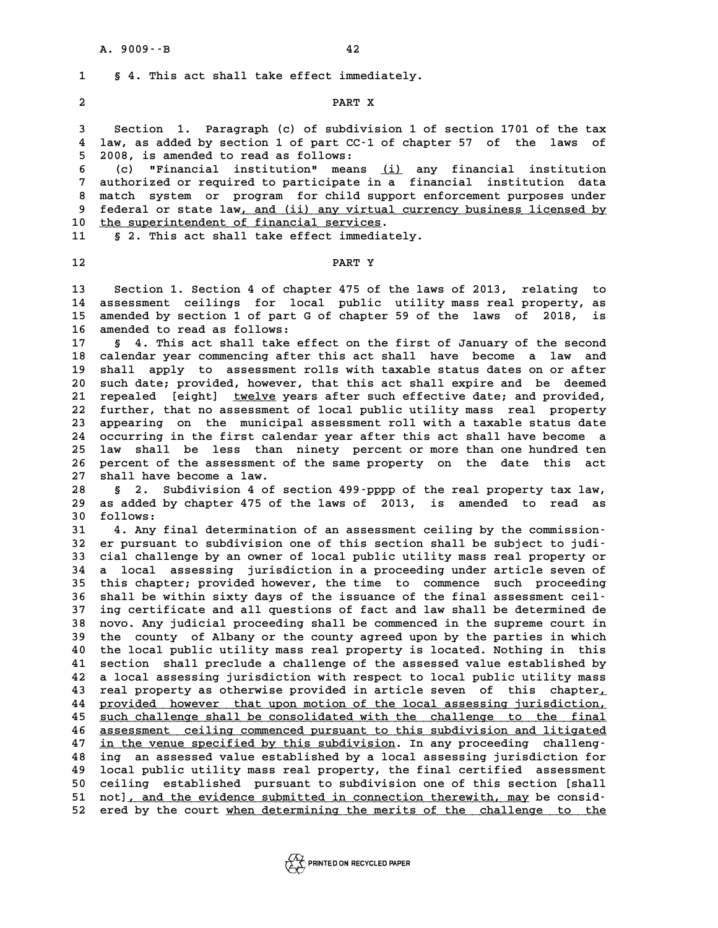**1 § 4. This act shall take effect immediately.** 1 § 4. This act shall take effect immediat<br>2 PART X

**2**<br>3 Section 1. Paragraph (c) of subdivision 1 of section 1701 of the tax<br>4 law, as added by section 1 of part CC-1 of chapter 57 of the laws of **5 1** Section 1. Paragraph (c) of subdivision 1 of section 1701 of the tax<br>4 law, as added by section 1 of part CC-1 of chapter 57 of the laws of **5 2008, is an added by section 1 of part CC-1**<br>**5 2008, is amended to read as follows:**<br>**6** (c) **WEinangial** institution means **6** (4) Iaw, as added by section 1 of part CC-1 of chapter 57 of the laws of<br>
5 2008, is amended to read as follows:<br> **6** (c) "Financial institution" means <u>(i)</u> any financial institution<br>
7 authorized ar required to parti

**7** 2008, is amended to read as follows:<br> **6** (c) "Financial institution" means <u>(i)</u> any financial institution<br> **7** authorized or required to participate in a financial institution data<br> **8** match system or program for ch **8 (c)** "Financial institution" means <u>(i)</u> any financial institution<br>7 authorized or required to participate in a financial institution data<br>8 match system or program for child support enforcement purposes under<br>8 federal 9 authorized or required to participate in a financial institution data<br>
8 match system or program for child support enforcement purposes under<br>
9 federal or state law, and (ii) any virtual currency business licensed by<br>
<sup></sup> 8 match system or program for child suppor<br>9 federal or state law, <u>and (ii) any virtual c</u><br>10 <u>the superintendent of financial services</u>.<br>11 5 2 This act shall take effect immediatel 9 federal or state law<u>, and (ii) any virtual currency business licensed by</u><br>10 <u>the superintendent of financial services</u>.<br>11 § 2. This act shall take effect immediately.

11 § 2. This act shall take effect immediately.<br>12 **PART Y** 

**13 Section 1. Section 4 of chapter 475 of the laws of 2013, relating to 13** Section 1. Section 4 of chapter 475 of the laws of 2013, relating to<br>14 assessment ceilings for local public utility mass real property, as<br>15 arouged by section 1 of part C of ghanter 59 of the laws of 2019, is **13** Section 1. Section 4 of chapter 475 of the laws of 2013, relating to<br>14 assessment ceilings for local public utility mass real property, as<br>15 amended by section 1 of part G of chapter 59 of the laws of 2018, is 14 assessment ceilings for loc.<br>15 amended by section 1 of part G<br>16 amended to read as follows:<br><sup>17</sup> 6 4 This ast shall take of 15 amended by section 1 of part G of chapter 59 of the laws of 2018, is<br>16 amended to read as follows:<br>17 § 4. This act shall take effect on the first of January of the second<br>18 calendar year commencing after this act sha

**16 amended to read as follows:**<br>
17 § 4. This act shall take effect on the first of January of the second<br>
18 calendar year commencing after this act shall have become a law and<br>
19 shall annly to assessment rolls with ta 17 s 4. This act shall take effect on the first of January of the second<br>18 calendar year commencing after this act shall have become a law and<br>19 shall apply to assessment rolls with taxable status dates on or after<br>20 su 20 such date; promotion after this act shall have become a law and<br>19 shall apply to assessment rolls with taxable status dates on or after<br>20 such date; provided, however, that this act shall expire and be deemed<br>21 repea 21 shall apply to assessment rolls with taxable status dates on or after<br>20 such date; provided, however, that this act shall expire and be deemed<br>21 repealed [eight] <u>twelve</u> years after such effective date; and provided, 20 such date; provided, however, that this act shall expire and be deemed<br>21 repealed [eight] <u>twelve</u> years after such effective date; and provided,<br>22 further, that no assessment of local public utility mass real propert 21 repealed [eight] <u>twelve</u> years after such effective date; and provided,<br>22 further, that no assessment of local public utility mass real property<br>23 appearing on the municipal assessment roll with a taxable status date 22 further, that no assessment of local public utility mass real property<br>23 appearing on the municipal assessment roll with a taxable status date<br>24 occurring in the first calendar year after this act shall have become a<br> 23 appearing on the municipal assessment roll with a taxable status date<br>24 occurring in the first calendar year after this act shall have become a<br>25 law shall be less than ninety percent or more than one hundred ten<br>26 p 24 occurring in the first calendar year after this act shall have become a<br>25 law shall be less than ninety percent or more than one hundred ten<br>26 percent of the assessment of the same property on the date this act<br>27 sha 25 law shall be less than ninety percent or more than one hundred ten<br>26 percent of the assessment of the same property on the date this act<br>27 shall have become a law.<br>28 § 2. Subdivision 4 of section 499-pppp of the real

26 percent of the assessment of the same property on the date this act<br>27 shall have become a law.<br>28 § 2. Subdivision 4 of section 499-pppp of the real property tax law,<br>29 as added by chapter 475 of the laws of 2013, is **29 as added by chapter 475 of the laws of 2013, is amended to read as** 29 as added by chapter 475 of the laws of 2013, is amended to read as<br>30 follows:<br>31 4. Any final determination of an assessment ceiling by the commission<sup>.</sup> **39** as added by chapter 475 of the laws of 2013, is amended to read as<br>
30 follows:<br>
31 4. Any final determination of an assessment ceiling by the commission-<br>
<sup>22</sup> expressed to subdivision one of this section shall be su

**30 follows:**<br> **31 4. Any final determination of an assessment ceiling by the commission**<br> **32 er pursuant to subdivision one of this section shall be subject to judi-**<br> **33 gial shallong by an evror of logal public utilit 31 4. Any final determination of an assessment ceiling by the commission-**<br>**32 er pursuant to subdivision one of this section shall be subject to judi-**<br>**33 cial challenge by an owner of local public utility mass real pro** 32 er pursuant to subdivision one of this section shall be subject to judi-<br>33 cial challenge by an owner of local public utility mass real property or<br>34 a local assessing jurisdiction in a proceeding under article seven 33 cial challenge by an owner of local public utility mass real property or<br>34 a local assessing jurisdiction in a proceeding under article seven of<br>35 this chapter; provided however, the time to commence such proceeding<br>3 **34 a local assessing jurisdiction in a proceeding under article seven of<br>
35 this chapter; provided however, the time to commence such proceeding<br>
36 shall be within sixty days of the issuance of the final assessment ceil** 35 this chapter; provided however, the time to commence such proceeding<br>36 shall be within sixty days of the issuance of the final assessment ceil-<br>37 ing certificate and all questions of fact and law shall be determined d **36 shall be within sixty days of the issuance of the final assessment ceil-**<br>**37 ing certificate and all questions of fact and law shall be determined de**<br>**38 novo. Any judicial proceeding shall be commenced in the suprem 37 ing certificate and all questions of fact and law shall be determined de**<br>**38 novo. Any judicial proceeding shall be commenced in the supreme court in**<br>**39 the county of Albany or the county agreed upon by the parties** a the commenced in the supreme court in<br>
40 the county of Albany or the county agreed upon by the parties in which<br>
40 the local public utility mass real property is located. Nothing in this<br>
41 section shall proglude a sh the county of Albany or the county agreed upon by the parties in which<br>40 the local public utility mass real property is located. Nothing in this<br>41 section shall preclude a challenge of the assessed value established by<br>4 40 the local public utility mass real property is located. Nothing in this<br>41 section shall preclude a challenge of the assessed value established by<br>42 a local assessing jurisdiction with respect to local public utility m 41 section shall preclude a challenge of the assessed value established by<br>42 a local assessing jurisdiction with respect to local public utility mass<br>43 real property as otherwise provided in article seven of this chapter **42** a local assessing jurisdiction with respect to local public utility mass<br> **43** real property as otherwise provided in article seven of this chapter,<br>
<u>provided however that upon motion of the local assessing jurisdict</u> real property as otherwise provided in article seven of this chapter,<br>44 <u>provided however that upon motion of the local assessing jurisdiction,</u><br><u>5 such challenge shall be consolidated with the challenge to the final</u><br>25 **44 provided however that upon motion of the local assessing jurisdiction,<br>45 <u>such challenge shall be consolidated with the challenge to the final<br>46 assessment ceiling commenced pursuant to this subdivision and litigated**</u> 45 <u>such challenge shall be consolidated with the challenge to the final</u><br>46 <u>assessment ceiling commenced pursuant to this subdivision and litigated</u><br>47 <u>in the venue specified by this subdivision</u>. In any proceeding chal 46 assessment ceiling commenced pursuant to this subdivision and litigated in the venue specified by this subdivision. In any proceeding challeng-<br>48 ing an assessed value established by a local assessing jurisdiction for<br> 47 in the venue specified by this subdivision. In any proceeding challeng-<br>48 ing an assessed value established by a local assessing jurisdiction for<br>49 local public utility mass real property, the final certified assessme **50 central in the stablished by a local assessing jurisdiction for**<br>**50 ceiling established pursuant to subdivision one of this section [shall**<br>**50 ceiling established pursuant to subdivision one of this section [shall**<br> **50** local public utility mass real property, the final certified assessment<br>50 ceiling established pursuant to subdivision one of this section [shall<br>51 not], and the evidence submitted in connection therewith, may be con 51 not], and the evidence submitted in connection therewith, may be consid-<br>52 ered by the court when determining the merits of the challenge to the

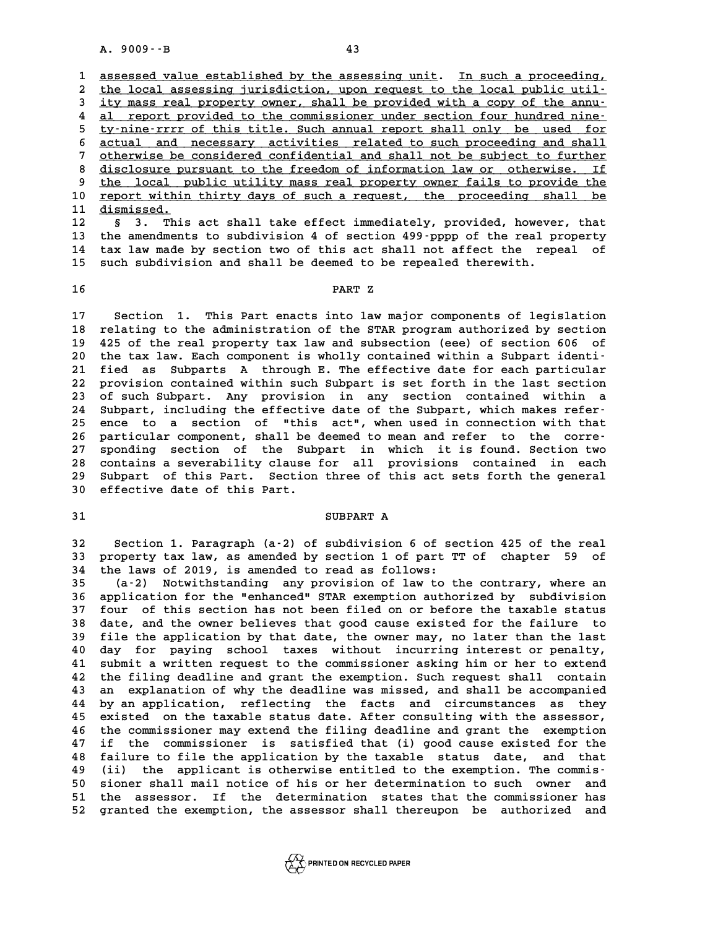A. 9009 $\cdot$ -B<br>1 <u>assessed value established by the assessing unit</u>. In such a proceeding, 2 the local assessing jurisdiction, upon request to the local public util-3 assessed value established by the assessing unit. In such a proceeding,<br>
2 the local assessing jurisdiction, upon request to the local public util-<br>
3 ity mass real property owner, shall be provided with a copy of the an the local assessing jurisdiction, upon request to the local public util-<br>
ity mass real property owner, shall be provided with a copy of the annu-<br>
<u>al report provided to the commissioner under section four hundred nine-</u><br> **5** ity mass real property owner, shall be provided with a copy of the annu-<br> **4** al report provided to the commissioner under section four hundred nine-<br>
<u>ty-nine-rrrr of this title. Such annual report shall only be used </u> 4 al report provided to the commissioner under section four hundred nine-<br>
<u>ty-nine-rrrr of this title. Such annual report shall only be used for</u><br>
6 <u>actual and necessary activities related to such proceeding and shall</u><br> 5 ty-nine-rrrr of this title. Such annual report shall only be used for<br>6 <u>actual and necessary activities related to such proceeding and shall</u><br>7 otherwise be considered confidential and shall not be subject to further<br>8 8 actual and necessary activities related to such proceeding and shall<br>
<sup>7</sup> otherwise be considered confidential and shall not be subject to further<br>
<sup>8</sup> disclosure pursuant to the freedom of information law or otherwise. by the local purisuant to the freedom of information law or otherwise. If the local public utility mass real property owner fails to provide the propert within thirty days of such a request the proceeding shall be 8 disclosure pursuant to the freedom of information law or otherwise. If<br>
9 the local public utility mass real property owner fails to provide the<br> **10** report within thirty days of such a request, the proceeding shall be<br> 9 <u>the local p</u><br>10 <u>report within</u><br>11 <u>dismissed.</u><br>22 mbig **10 report within thirty days of such a request, the proceeding shall be**<br>11 dismissed. S 3. This act shall take effect immediately, provided, however, that<br>13 the amendments to subdivision 4 of section 499,pppp of the r

11 dismissed.<br>12 § 3. This act shall take effect immediately, provided, however, that<br>13 the amendments to subdivision 4 of section 499-pppp of the real property<br>14 the law made by section two of this act shall not affect 12 § 3. This act shall take effect immediately, provided, however, that<br>13 the amendments to subdivision 4 of section 499-pppp of the real property<br>14 tax law made by section two of this act shall not affect the repeal of<br> 13 the amendments to subdivision 4 of section 499 pppp of the real p<br>14 tax law made by section two of this act shall not affect the rep<br>15 such subdivision and shall be deemed to be repealed therewith. 14 tax law made by section two of this act shall not affect the repeal of such subdivision and shall be deemed to be repealed therewith.<br>16

**17 Section 1. This Part enacts into law major components of legislation** 17 Section 1. This Part enacts into law major components of legislation<br>18 relating to the administration of the STAR program authorized by section<br>19 125 of the real property tax law and subsection (eee) of section 606 of **17** Section 1. This Part enacts into law major components of legislation<br>18 relating to the administration of the STAR program authorized by section<br>19 425 of the real property tax law and subsection (eee) of section 606 18 relating to the administration of the STAR program authorized by section<br>19 425 of the real property tax law and subsection (eee) of section 606 of<br>20 the tax law. Each component is wholly contained within a Subpart ide **22 and 125 of the real property tax law and subsection (eee) of section 606 of the tax law. Each component is wholly contained within a Subpart identi-**<br>**21 fied as Subparts A through E. The effective date for each partic** 20 the tax law. Each component is wholly contained within a Subpart identi-<br>21 fied as Subparts A through E. The effective date for each particular<br>22 provision contained within such Subpart is set forth in the last sectio 21 fied as Subparts A through E. The effective date for each particular<br>22 provision contained within such Subpart is set forth in the last section<br>23 of such Subpart. Any provision in any section contained within a<br>24 Sub 22 provision contained within such Subpart is set forth in the last section<br>23 of such Subpart. Any provision in any section contained within a<br>24 Subpart, including the effective date of the Subpart, which makes refer-<br>25 23 of such Subpart. Any provision in any section contained within a<br>24 Subpart, including the effective date of the Subpart, which makes refer-<br>25 ence to a section of "this act", when used in connection with that<br>26 parti 24 Subpart, including the effective date of the Subpart, which makes refer-<br>25 ence to a section of "this act", when used in connection with that<br>26 particular component, shall be deemed to mean and refer to the corre-<br>27 **27 sponding section of the Subpart in which it is found. Section two** 26 particular component, shall be deemed to mean and refer to the corre-<br>27 sponding section of the Subpart in which it is found. Section two<br>28 contains a severability clause for all provisions contained in each<br>29 Subpar 27 sponding section of the Subpart in which it is found. Section two<br>28 contains a severability clause for all provisions contained in each<br>29 Subpart of this Part. Section three of this act sets forth the general<br>20 offec 28 contains a severability clause<br>29 Subpart of this Part. Section<br>30 effective date of this Part. Subpart of this Part. Section three of this act sets forth the general<br>30 effective date of this Part.<br>31 SUBPART A

**32 Section 1. Paragraph (a-2) of subdivision 6 of section 425 of the real 32** Section 1. Paragraph (a-2) of subdivision 6 of section 425 of the real<br>33 property tax law, as amended by section 1 of part TT of chapter 59 of **34 the laws of 2019, is amended to read as follows:** 33 property tax law, as amended by section 1 of part TT of chapter 59 of<br>34 the laws of 2019, is amended to read as follows:<br>35 (a-2) Notwithstanding any provision of law to the contrary, where an<br>36 application for the "o

**36 application for the "enhanced" STAR exemption authorized by subdivision 37 four of this section has not been filed on or before the taxable status 36 application for the "enhanced" STAR exemption authorized by subdivision**<br>37 four of this section has not been filed on or before the taxable status<br>38 date, and the owner believes that good cause existed for the failur **37 four of this section has not been filed on or before the taxable status**<br>**38 date, and the owner believes that good cause existed for the failure to**<br>**39 file the application by that date, the owner may, no later than 40 date, and the owner believes that good cause existed for the failure to**<br>**40 file the application by that date, the owner may, no later than the last**<br>**40 day for paying school taxes without incurring interest or penal** file the application by that date, the owner may, no later than the last<br>40 day for paying school taxes without incurring interest or penalty,<br>41 submit a written request to the commissioner asking him or her to extend<br>the do day for paying school taxes without incurring interest or penalty,<br>41 submit a written request to the commissioner asking him or her to extend<br>42 the filing deadline and grant the exemption. Such request shall contain<br>4 41 submit a written request to the commissioner asking him or her to extend<br>42 the filing deadline and grant the exemption. Such request shall contain<br>43 an explanation of why the deadline was missed, and shall be accompan 42 the filing deadline and grant the exemption. Such request shall contain<br>43 an explanation of why the deadline was missed, and shall be accompanied<br>44 by an application, reflecting the facts and circumstances as they<br><sup>45</sup> 43 an explanation of why the deadline was missed, and shall be accompanied<br>44 by an application, reflecting the facts and circumstances as they<br>45 existed on the taxable status date. After consulting with the assessor,<br>46 45 existed on the taxable status date. After consulting with the assessor,<br>46 the commissioner may extend the filing deadline and grant the exemption<br>47 if the commissioner is satisfied that (i) good cause existed for the **45 existed on the taxable status date. After consulting with the assessor,**<br>46 the commissioner may extend the filing deadline and grant the exemption<br>47 if the commissioner is satisfied that (i) good cause existed for th 46 the commissioner may extend the filing deadline and grant the exemption<br>47 if the commissioner is satisfied that (i) good cause existed for the<br>48 failure to file the application by the taxable status date, and that<br>(ii 47 if the commissioner is satisfied that (i) good cause existed for the<br>48 failure to file the application by the taxable status date, and that<br>49 (ii) the applicant is otherwise entitled to the exemption. The commis-<br>50 s **50 failure to file the application by the taxable status date, and that**<br> **49 (ii) the applicant is otherwise entitled to the exemption. The commis-**<br> **50 sioner shall mail notice of his or her determination to such owner** 49 (ii) the applicant is otherwise entitled to the exemption. The commis-<br>50 sioner shall mail notice of his or her determination to such owner and<br>51 the assessor. If the determination states that the commissioner has<br>52 50 sioner shall mail notice of his or her determination to such owner and<br>51 the assessor. If the determination states that the commissioner has<br>52 granted the exemption, the assessor shall thereupon be authorized and

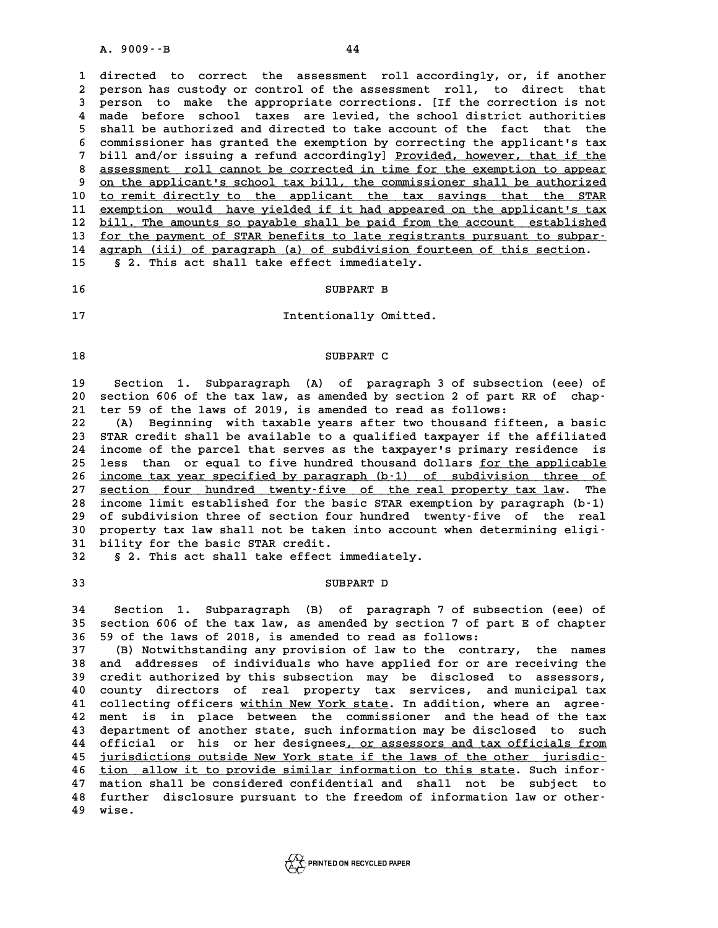**1 directed to correct the assessment roll accordingly, or, if another** 1 directed to correct the assessment roll accordingly, or, if another<br>2 person has custody or control of the assessment roll, to direct that<br>3 person to make the appropriate corrections. Itf the correction is not 1 directed to correct the assessment roll accordingly, or, if another<br>2 person has custody or control of the assessment roll, to direct that<br>3 person to make the appropriate corrections. [If the correction is not<br>4 made be 2 person has custody or control of the assessment roll, to direct that<br>3 person to make the appropriate corrections. [If the correction is not<br>4 made before school taxes are levied, the school district authorities<br>5 shall **5** shall be appropriate corrections. [If the correction is not<br> **4** made before school taxes are levied, the school district authorities<br> **5** shall be authorized and directed to take account of the fact that the<br> **6** serm 4 made before school taxes are levied, the school district authorities<br>5 shall be authorized and directed to take account of the fact that the<br>6 commissioner has granted the exemption by correcting the applicant's tax<br>bill 5 shall be authorized and directed to take account of the fact that the<br>6 commissioner has granted the exemption by correcting the applicant's tax<br>7 bill and/or issuing a refund accordingly] <u>Provided, however, that if the</u> 6 commissioner has granted the exemption by correcting the applicant's tax<br>7 bill and/or issuing a refund accordingly] <u>Provided, however, that if the</u><br>8 <u>assessment roll cannot be corrected in time for the exemption to ap</u> bill and/or issuing a refund accordingly] Provided, however, that if the 10 to remit directly to the applicant the tax savings that the STAR<br>11 exemption would have yielded if it had appeared on the applicant's tax 9 on the applicant's school tax bill, the commissioner shall be authorized<br>
10 to remit directly to the applicant the tax savings that the STAR<br>
11 <u>exemption would</u> have yielded if it had appeared on the applicant's tax<br> to remit directly to the applicant the tax savings that the STAR<br>
11 <u>exemption would have yielded if it had appeared on the applicant's tax</u><br>
12 <u>bill. The amounts so payable shall be paid from the account established</u><br>
f 11 <u>exemption would have yielded if it had appeared on the applicant's tax</u><br>12 <u>bill. The amounts so payable shall be paid from the account established</u><br>13 <u>for the payment of STAR benefits to late registrants pursuant to </u> **12** <u>bill. The amounts so payable shall be paid from the account established</u><br> **13** <u>for the payment of STAR benefits to late registrants pursuant to subpar-</u><br> **14** <u>agraph (iii) of paragraph (a) of subdivision fourteen o</u> **13** <u>for the payment of STAR benefits to late registra</u><br>14 <u>agraph (iii) of paragraph (a) of subdivision four</u><br>15 § 2. This act shall take effect immediately. 14 agraph (iii) of paragraph (a) of subdivision fourteen of this section.<br>15 § 2. This act shall take effect immediately.<br>16 SUBPART B

- 
- 16 SUBPART B<br>17 17 17 Intentionally Omitted.
	-

# **18** SUBPART C

**19 Section 1. Subparagraph (A) of paragraph 3 of subsection (eee) of** 19 Section 1. Subparagraph (A) of paragraph 3 of subsection (eee) of<br>20 section 606 of the tax law, as amended by section 2 of part RR of chap-**20** Section 1. Subparagraph (A) of paragraph 3 of subsection 2019 section 606 of the tax law, as amended by section 2 of part R<br>21 ter 59 of the laws of 2019, is amended to read as follows:<br>22 (A) Boginning with taxable w 20 section 606 of the tax law, as amended by section 2 of part RR of chap-<br>21 ter 59 of the laws of 2019, is amended to read as follows:<br>22 (A) Beginning with taxable years after two thousand fifteen, a basic<br><sup>22</sup> SUAR and

21 ter 59 of the laws of 2019, is amended to read as follows:<br>22 (A) Beginning with taxable years after two thousand fifteen, a basic<br>23 STAR credit shall be available to a qualified taxpayer if the affiliated<br>24 income of **22 (A) Beginning with taxable years after two thousand fifteen, a basic<br>23 STAR credit shall be available to a qualified taxpayer if the affiliated<br>24 income of the parcel that serves as the taxpayer's primary residence i** 23 STAR credit shall be available to a qualified taxpayer if the affiliated<br>24 income of the parcel that serves as the taxpayer's primary residence is<br>25 less than or equal to five hundred thousand dollars <u>for the applica</u> 24 income of the parcel that serves as the taxpayer's primary residence is<br>25 less than or equal to five hundred thousand dollars <u>for the applicable</u><br>26 <u>income tax year specified by paragraph</u> (b-1) of subdivision three 15 less than or equal to five hundred thousand dollars <u>for the applicable</u><br>26 <u>income tax year specified by paragraph</u> (b-1) of subdivision three of<br>27 <u>section four hundred twenty-five of the real property tax law</u>. The<br> 26 <u>income tax year specified by paragraph (b-1) of subdivision three of</u><br>27 <u>section four hundred twenty-five of the real property tax law</u>. The<br>28 income limit established for the basic STAR exemption by paragraph (b-1)<br> **27 section four hundred twenty-five of the real property tax law.** The income limit established for the basic STAR exemption by paragraph (b-1) of subdivision three of section four hundred twenty-five of the real<br>20 prope income limit established for the basic STAR exemption by paragraph (b-1)<br>
30 of subdivision three of section four hundred twenty-five of the real<br>
30 property tax law shall not be taken into account when determining eligi-39 of subdivision three of section four<br>30 property tax law shall not be taken<br>31 bility for the basic STAR credit.<br><sup>32</sup> 52 This 25t shall take offect in 30 property tax law shall not be taken into account<br>31 bility for the basic STAR credit.<br>32 § 2. This act shall take effect immediately. 31 bility for the basic STAR credit.<br>32 § 2. This act shall take effect immediately.<br>33 SUBPART D

**34 Section 1. Subparagraph (B) of paragraph 7 of subsection (eee) of** 34 Section 1. Subparagraph (B) of paragraph 7 of subsection (eee) of<br>35 section 606 of the tax law, as amended by section 7 of part E of chapter<br>36 59 of the laws of 2018, is amended to read as follows: **34 Section 1. Subparagraph (B) of paragraph 7 of subs<br>35 section 606 of the tax law, as amended by section 7 of pa<br>36 59 of the laws of 2018, is amended to read as follows:<br><sup>27</sup> (B) Notwithstanding any provision of law to** 35 section 606 of the tax law, as amended by section 7 of part E of chapter<br>36 59 of the laws of 2018, is amended to read as follows:<br>37 (B) Notwithstanding any provision of law to the contrary, the names<br>38 and addresses

**36 59 of the laws of 2018, is amended to read as follows:**<br> **37** (B) Notwithstanding any provision of law to the contrary, the names<br> **38 and addresses of individuals who have applied for or are receiving the**<br> **30 are in 37** (B) Notwithstanding any provision of law to the contrary, the names<br>38 and addresses of individuals who have applied for or are receiving the<br>39 credit authorized by this subsection may be disclosed to assessors,<br>40 c 40 (B) Notwithstanding any provision of law to the contrary, the names<br>38 and addresses of individuals who have applied for or are receiving the<br>39 credit authorized by this subsection may be disclosed to assessors,<br>40 cou 39 credit authorized by this subsection may be disclosed to assessors,<br>40 county directors of real property tax services, and municipal tax<br>41 collecting officers within New York state. In addition, where an agree-<br><sup>42</sup> mo 40 county directors of real property tax services, and municipal tax<br>41 collecting officers within New York state. In addition, where an agree-<br>42 ment is in place between the commissioner and the head of the tax<br>43 depart 41 collecting officers within New York state. In addition, where an agree-<br>42 ment is in place between the commissioner and the head of the tax<br>43 department of another state, such information may be disclosed to such<br>44 o 42 ment is in place between the commissioner and the head of the tax<br>43 department of another state, such information may be disclosed to such<br>44 official or his or her designees<u>, or assessors and tax officials from</u><br>invi 43 department of another state, such information may be disclosed to such<br>44 official or his or her designees<u>, or assessors and tax officials from</u><br>45 jurisdictions outside New York state if the laws of the other jurisdic 44 official or his or her designees<u>, or assessors and tax officials from</u><br>45 <u>jurisdictions outside New York state if the laws of the other jurisdic-</u><br>46 <u>tion allow it to provide similar information to this state</u>. Such 45 <u>jurisdictions outside New York state if the laws of the other jurisdic-</u><br>46 <u>tion allow it to provide similar information to this state</u>. Such infor-<br>47 mation shall be considered confidential and shall not be subject 46 tion allow it to provide similar information to this state. Such information shall be considered confidential and shall not be subject to further disclosure pursuant to the freedom of information law or other-**49 wise.**

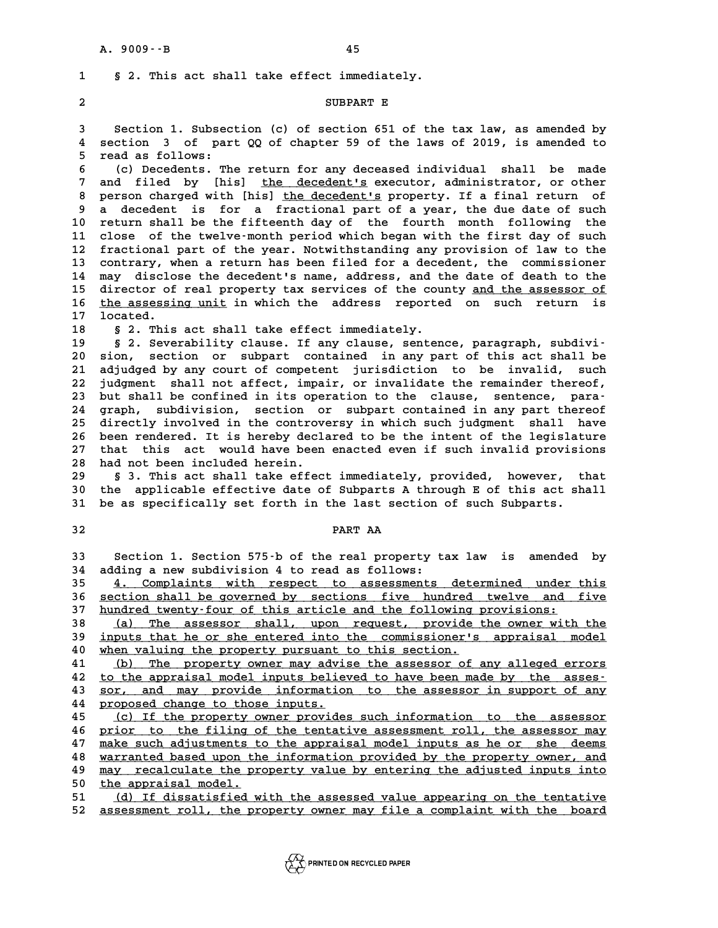**1 § 2. This act shall take effect immediately. 2** S 2. This act shall take effect immediately<br>2<br>SUBPART E

**3 SUBPART E**<br>3 Section 1. Subsection (c) of section 651 of the tax law, as amended by<br>4 section 3 of part 00 of chapter 59 of the laws of 2019, is amended to **5 Section 1. Subsection (c) of section 651 of the tax law, as amended by<br>4 section 3 of part QQ of chapter 59 of the laws of 2019, is amended to** 3 Section 1. Subsec<br>4 section 3 of par<br>5 read as follows:<br><sup>6</sup> (c) Decedents The **6** (c) Decedents. The return for any deceased individual shall be made<br> **6** (c) Decedents. The return for any deceased individual shall be made<br> **6** (c) Decedents. The return for any deceased individual shall be made

7 read as follows:<br>
6 (c) Decedents. The return for any deceased individual shall be made<br>
7 and filed by [his] <u>the decedent's</u> executor, administrator, or other<br>
8 person charged with [his] the decedent's property. If a **8 (c) Decedents. The return for any deceased individual shall be made<br>
<b>8 and filed by** [his] <u>the decedent's</u> executor, administrator, or other<br> **8 person charged with [his] <u>the decedent's</u> property. If a final return o** 7 and filed by [his] <u>the decedent's</u> executor, administrator, or other<br>8 person charged with [his] <u>the decedent's</u> property. If a final return of<br>9 a decedent is for a fractional part of a year, the due date of such<br>8 ro 8 person charged with [his] <u>the decedent's</u> property. If a final return of<br>9 a decedent is for a fractional part of a year, the due date of such<br>10 return shall be the fifteenth day of the fourth month following the<br>11 cl 9 a decedent is for a fractional part of a year, the due date of such<br>10 return shall be the fifteenth day of the fourth month following the<br>11 close of the twelve-month period which began with the first day of such<br>12 fra 10 return shall be the fifteenth day of the fourth month following the<br>11 close of the twelve-month period which began with the first day of such<br>12 fractional part of the year. Notwithstanding any provision of law to the<br> 11 close of the twelve-month period which began with the first day of such<br>12 fractional part of the year. Notwithstanding any provision of law to the<br>13 contrary, when a return has been filed for a decedent, the commissio 12 fractional part of the year. Notwithstanding any provision of law to the<br>13 contrary, when a return has been filed for a decedent, the commissioner<br>14 may disclose the decedent's name, address, and the date of death to 13 contrary, when a return has been filed for a decedent, the commissioner<br>14 may disclose the decedent's name, address, and the date of death to the<br>15 director of real property tax services of the county <u>and the assesso</u> 14 may disclose the decedent's name, address, and the date of death to the<br>15 director of real property tax services of the county <u>and the assessor of</u><br>16 <u>the assessing unit</u> in which the address reported on such return 15 director of<br>16 <u>the assessi</u><br>17 located.<br>19 s 3 mbig **16** the assessing unit in which the address reported on such return is located.<br>**18** § 2. This act shall take effect immediately.<br>**19** § 2. Severability clause. If any clause, sentence, paragraph, subdivi-

**19 § 2. Severability clause. If any clause, sentence, paragraph, subdivi-20 Solution 18 Solution Section Section Section Section Section**<br>19 Solution Section or subpart contained in any part of this act shall be<br>21 adjudged by any court of competent jurisdiction, to be invalided with 19 § 2. Severability clause. If any clause, sentence, paragraph, subdivi-<br>20 sion, section or subpart contained in any part of this act shall be<br>21 adjudged by any court of competent jurisdiction to be invalid, such<br>22 iud 20 sion, section or subpart contained in any part of this act shall be<br>21 adjudged by any court of competent jurisdiction to be invalid, such<br>22 judgment shall not affect, impair, or invalidate the remainder thereof,<br>23 bu 21 adjudged by any court of competent jurisdiction to be invalid, such<br>
22 judgment shall not affect, impair, or invalidate the remainder thereof,<br>
23 but shall be confined in its operation to the clause, sentence, para-<br> 22 judgment shall not affect, impair, or invalidate the remainder thereof,<br>23 but shall be confined in its operation to the clause, sentence, para-<br>24 graph, subdivision, section or subpart contained in any part thereof<br>25 23 but shall be confined in its operation to the clause, sentence, para-<br>24 graph, subdivision, section or subpart contained in any part thereof<br>25 directly involved in the controversy in which such judgment shall have<br>26 24 graph, subdivision, section or subpart contained in any part thereof<br>25 directly involved in the controversy in which such judgment shall have<br>26 been rendered. It is hereby declared to be the intent of the legislature<br> 25 directly involved in the controversy in which such judgment shall have<br>26 been rendered. It is hereby declared to be the intent of the legislature<br>27 that this act would have been enacted even if such invalid provisions 26 been rendered. It is hereby decl.<br>27 that this act would have been<br>28 had not been included herein.<br>29 5.3 This act shall take effect 27 that this act would have been enacted even if such invalid provisions<br>28 had not been included herein.<br>29 § 3. This act shall take effect immediately, provided, however, that<br>20 the applicable effective date of Subparts

<sup>28</sup> had not been included herein.<br>
29 § 3. This act shall take effect immediately, provided, however, that<br>
30 the applicable effective date of Subparts A through E of this act shall<br>
31 be as specifically set forth in th 8 3. This act shall take effect immediately, provided, however, t<br>30 the applicable effective date of Subparts A through E of this act sh<br>31 be as specifically set forth in the last section of such Subparts. 30 the applicable effective date of Subparts A through E of this act shall<br>31 be as specifically set forth in the last section of such Subparts.<br>32 **PART AA** 

| I<br>۰.<br>M. |  |
|---------------|--|

**33 Section 1. Section 575-b of the real property tax law is amended by 34 adding a new subdivision 4 to read as follows:**

**35** 4. Complaints with respect to assessments determined under this<br>36 section shall be governed by sections five hundred twelve and five 36 <u>section shall be governed by sections five hundred twelve and five</u><br>37 hundred twenty-four of this article and the following provisions: 37 <u>hundred twenty-four of this article and the following provisions:</u><br>38 (a) The assessor shall, upon request, provide the owner w: 36 <u>section shall be governed by sections five hundred twelve and five<br>37 <u>hundred twenty-four of this article and the following provisions:</u><br>38 (a) The assessor shall, upon request, provide the owner with the<br>39 inputs th</u>

37 <u>hundred twenty-four of this article and the following provisions:</u><br>
38 (a) The assessor shall, upon request, provide the owner with the<br>
39 <u>inputs that he or she entered into the commissioner's appraisal model</u><br>
40 wh **40 when valuing the property pursuant to this section. \_\_\_\_\_\_\_\_\_\_\_\_\_\_\_\_\_\_\_\_\_\_\_\_\_\_\_\_\_\_\_\_\_\_\_\_\_\_\_\_\_\_\_\_\_\_\_\_\_\_\_** ded in the property pursuant to this section.<br>
<u>41 (b) The property owner may advise the assessor of any alleged errors</u><br>
<u>42 to the appraisal model inputs believed to have been made by the asses</u>-

**41** (b) The property owner may advise the assessor of any alleged errors<br>42 to the appraisal model inputs believed to have been made by the asses-<br>43 sor, and may provide information to the assessor in support of any 41 (b) The property owner may advise the assessor of any alleged errors<br>42 to the appraisal model inputs believed to have been made by the asses-<br>50r, and may provide information to the assessor in support of any<br>44 propos 42 <u>to the appraisal model inputs belie</u><br>43 <u>sor, and may provide informatio</u><br>44 <u>proposed change to those inputs.</u><br>45 (a) If the proporty sympresside **43** <u>sor, and may provide information to the assessor in support of any</u><br> **44** <u>proposed change to those inputs.</u><br> **45** (c) If the property owner provides such information to the assessor<br> **46** prior to the filing of the

**44** proposed change to those inputs.<br>
45 (c) If the property owner provides such information to the assessor<br> **46** prior to the filing of the tentative assessment roll, the assessor may<br>
<sup>47</sup> make such adjustments to the 45 (c) If the property owner provides such information to the assessor<br>46 prior to the filing of the tentative assessment roll, the assessor may<br>**make such adjustments to the appraisal model inputs as he or she deems**<br>warr 46 <u>prior to the filing of the tentative assessment roll, the assessor may</u><br>47 <u>make such adjustments to the appraisal model inputs as he or she deems</u><br>48 <u>warranted based upon the information provided by the property owne</u> 47 make such adjustments to the appraisal model inputs as he or she deems<br>48 warranted based upon the information provided by the property owner, and<br>49 may recalculate the property value by entering the adjusted inputs in 48 <u>warranted based upon the may recalculate the present of the appraisal model.</u><br>50 <u>the appraisal model.</u> **50** <u>may recalculate the property value by entering the adjusted inputs into</u><br>51 (d) If dissatisfied with the assessed value appearing on the tentative<br>52 assessment vall the preperty sympathy iile a serplaint with the be

51 (d) If dissatisfied with the assessed value appearing on the tentative<br>52 assessment roll, the property owner may file a complaint with the board

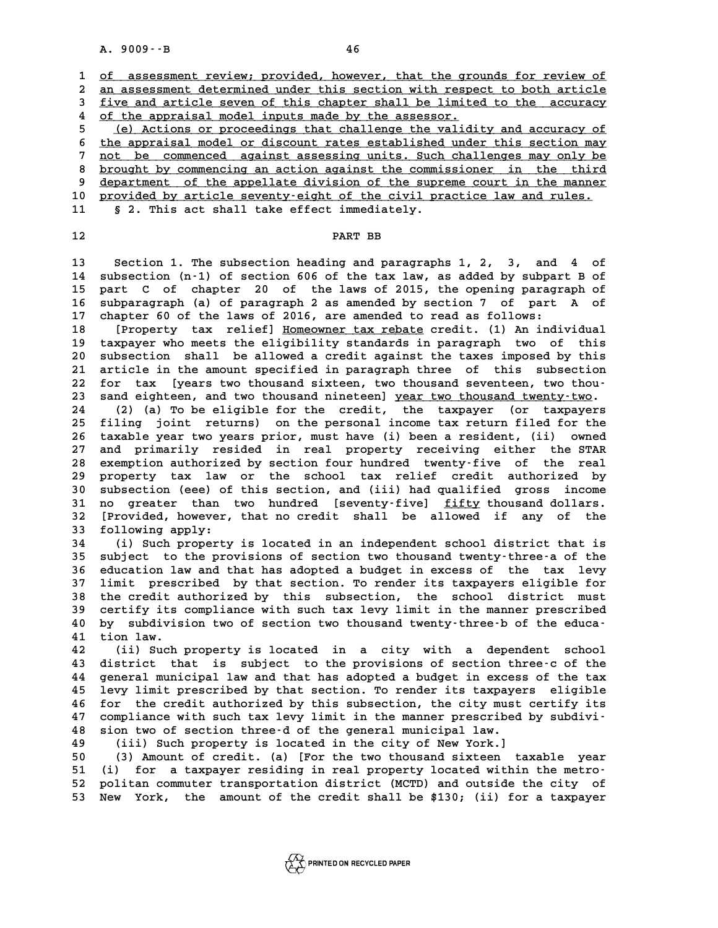A. 9009 · · B<br> **1** <u>of assessment review; provided, however, that the grounds for review of<br>
2 an assessment determined under this section with respect to beth article</u> **2** of assessment review; provided, however, that the grounds for review of an assessment determined under this section with respect to both article<br>**2** an assessment determined under this section with respect to both arcu **3** of assessment review; provided, however, that the grounds for review of an assessment determined under this section with respect to both article five and article seven of this chapter shall be limited to the accuracy 2 <u>an assessment determined under this section with respe</u><br>3 <u>five and article seven of this chapter shall be limite</u><br>4 <u>of the appraisal model inputs made by the assessor.</u><br>5 (c) Astions or preseedings that shallonge the Five and article seven of this chapter shall be limited to the accuracy of the appraisal model inputs made by the assessor.<br>
<u>(e) Actions or proceedings that challenge the validity and accuracy of</u><br>
the approximal model or 4 of the appraisal model inputs made by the assessor.<br>
5 (e) Actions or proceedings that challenge the validity and accuracy of<br>
the appraisal model or discount rates established under this section may<br>
7 not be commonoed

**7** (e) Actions or proceedings that challenge the validity and accuracy of the appraisal model or discount rates established under this section may not be commenced against assessing units. Such challenges may only be have 6 the appraisal model or discount rates established under this section may<br>
<sup>7</sup> not be commenced against assessing units. Such challenges may only be<br> **B** brought by commencing an action against the commissioner in the thi 9 <u>brought by commenced against assessing units. Such challenges may only be<br>8 <u>brought by commencing an action against the commissioner in the third</u><br>9 <u>department of the appellate division of the supreme court in the man</u></u> 8 <u>brought by commencing an action against the commissioner in the third</u><br>9 <u>department of the appellate division of the supreme court in the manner</u><br>10 <u>provided by article seventy-eight of the civil practice law and rule</u>

9 department of the appellate division of the supr<br>10 provided by article seventy-eight of the civil provided by article seventy-eight of the civil pro

11 § 2. This act shall take effect immediately.<br>12 **PART BB** 

**13 Section 1. The subsection heading and paragraphs 1, 2, 3, and 4 of 13** Section 1. The subsection heading and paragraphs 1, 2, 3, and 4 of<br>14 subsection (n-1) of section 606 of the tax law, as added by subpart B of<br>15 part G of chapter 20 of the laws of 2015 the epening paragraph of **13** Section 1. The subsection heading and paragraphs 1, 2, 3, and 4 of<br>14 subsection (n-1) of section 606 of the tax law, as added by subpart B of<br>15 part C of chapter 20 of the laws of 2015, the opening paragraph of<br>16 s 14 subsection (n-1) of section 606 of the tax law, as added by subpart B of<br>15 part C of chapter 20 of the laws of 2015, the opening paragraph of<br>16 subparagraph (a) of paragraph 2 as amended by section 7 of part A of<br>17 s 15 part C of chapter 20 of the laws of 2015, the opening paragraph of 16 subparagraph (a) of paragraph 2 as amended by section 7 of part A of 17 chapter 60 of the laws of 2016, are amended to read as follows:<br>18 [Property 16 subparagraph (a) of paragraph 2 as amended by section 7 of part A of chapter 60 of the laws of 2016, are amended to read as follows:<br>18 [Property tax relief] <u>Homeowner tax rebate</u> credit. (1) An individual<br>19 taxpayer

18 [Property tax relief] <u>Homeowner tax rebate</u> credit. (1) An individual<br>19 taxpayer who meets the eligibility standards in paragraph two of this<br>20 subsection shall be allowed a credit against the taxes imposed by this 18 [Property tax relief] <u>Homeowner tax rebate</u> credit. (1) An individual<br>19 taxpayer who meets the eligibility standards in paragraph two of this<br>20 subsection shall be allowed a credit against the taxes imposed by this<br>2 19 taxpayer who meets the eligibility standards in paragraph two of this<br>20 subsection shall be allowed a credit against the taxes imposed by this<br>21 article in the amount specified in paragraph three of this subsection<br>22 20 subsection shall be allowed a credit against the taxes imposed by this<br>21 article in the amount specified in paragraph three of this subsection<br>22 for tax [years two thousand sixteen, two thousand seventeen, two thou-<br>2 21 article in the amount specified in paragraph three of this subsection<br>22 for tax [years two thousand sixteen, two thousand seventeen, two thou-<br>23 sand eighteen, and two thousand nineteen] <u>year two thousand twenty-two</u> 22 for tax [years two thousand sixteen, two thousand seventeen, two thou-<br>23 sand eighteen, and two thousand nineteen] <u>year two thousand twenty-two</u>.<br>24 (2) (a) To be eligible for the credit, the taxpayer (or taxpayers<br><sup>2</sup>

23 sand eighteen, and two thousand nineteen] <u>year two thousand twenty-two</u>.<br>24 (2) (a) To be eligible for the credit, the taxpayer (or taxpayers<br>25 filing joint returns) on the personal income tax return filed for the<br>26 **24** (2) (a) To be eligible for the credit, the taxpayer (or taxpayers<br>25 filing joint returns) on the personal income tax return filed for the<br>26 taxable year two years prior, must have (i) been a resident, (ii) owned<br>27 25 filing joint returns) on the personal income tax return filed for the<br>26 taxable year two years prior, must have (i) been a resident, (ii) owned<br>27 and primarily resided in real property receiving either the STAR<br>28 exe 26 taxable year two years prior, must have (i) been a resident, (ii) owned<br>27 and primarily resided in real property receiving either the STAR<br>28 exemption authorized by section four hundred twenty-five of the real<br>29 prop 27 and primarily resided in real property receiving either the STAR<br>28 exemption authorized by section four hundred twenty-five of the real<br>29 property tax law or the school tax relief credit authorized by<br>20 subsection (0 28 exemption authorized by section four hundred twenty-five of the real<br>29 property tax law or the school tax relief credit authorized by<br>30 subsection (eee) of this section, and (iii) had qualified gross income<br>31 no grea property tax law or the school tax relief credit authorized by<br>30 subsection (eee) of this section, and (iii) had qualified gross income<br>31 no greater than two hundred [seventy-five] <u>fifty</u> thousand dollars.<br><sup>32</sup> Provided 30 subsection (eee) of this section, and (iii) had qualified gross income<br>31 no greater than two hundred [seventy-five] <u>fifty</u> thousand dollars.<br>32 [Provided, however, that no credit shall be allowed if any of the<br>33 foll 31 no greater than two hundred [seventy-five] <u>fifty</u> thousand dollars.<br>32 [Provided, however, that no credit shall be allowed if any of the<br>33 following apply:<br>(i) Such property is located in an independent school distric 12 (Provided, however, that no credit shall be allowed if any of the<br>
33 following apply:<br>
34 (i) Such property is located in an independent school district that is<br>
35 subject to the provisions of section two thousand twe

**35 subject to the provisions of section two thousand twenty-three-a of the 34** (i) Such property is located in an independent school district that is<br>35 subject to the provisions of section two thousand twenty-three-a of the<br>36 education law and that has adopted a budget in excess of the tax lev 35 subject to the provisions of section two thousand twenty-three-a of the<br>36 education law and that has adopted a budget in excess of the tax levy<br>37 limit prescribed by that section. To render its taxpayers eligible for<br> 36 education law and that has adopted a budget in excess of the tax levy<br>37 limit prescribed by that section. To render its taxpayers eligible for<br>38 the credit authorized by this subsection, the school district must<br>39 ce 37 limit prescribed by that section. To render its taxpayers eligible for<br>38 the credit authorized by this subsection, the school district must<br>39 certify its compliance with such tax levy limit in the manner prescribed<br>40 38 the credit authorized by this subsection, the school district must<br>39 certify its compliance with such tax levy limit in the manner prescribed<br>40 by subdivision two of section two thousand twenty-three-b of the educa-<br><sup></sup> **40** by subdivis<br> **40** by subdivis<br> **41** tion law.<br> **42** (ii) Such **40 by subdivision two of section two thousand twenty-three-b of the educa-**<br>**41 tion law.**<br>**42** (ii) Such property is located in a city with a dependent school<br>**43** district that is subject to the provisions of section th

**41 tion law.**<br>42 (ii) Such property is located in a city with a dependent school<br>43 district that is subject to the provisions of section three-c of the<br>44 concreate winding and that has adopted a hideot in awages of the **42** (ii) Such property is located in a city with a dependent school<br>**43** district that is subject to the provisions of section three-c of the<br>**44** general municipal law and that has adopted a budget in excess of the tax<br><sup></sup> 43 district that is subject to the provisions of section three-c of the general municipal law and that has adopted a budget in excess of the tax<br>45 levy limit prescribed by that section. To render its taxpayers eligible<br>46 44 general municipal law and that has adopted a budget in excess of the tax<br>45 levy limit prescribed by that section. To render its taxpayers eligible<br>46 for the credit authorized by this subsection, the city must certify **45 levy limit prescribed by that section. To render its taxpayers eligible**<br>**46 for the credit authorized by this subsection, the city must certify its**<br>**47 compliance with such tax levy limit in the manner prescribed by 46 for the credit authorized by this subsection, the city must<br>47 compliance with such tax levy limit in the manner prescribed<br>48 sion two of section three-d of the general municipal law.**<br>(iii) Such property is located i **47 compliance with such tax levy limit in the manner prescribed 148 sion two of section three-d of the general municipal law.**<br>**49** (iii) Such property is located in the city of New York.]<br>**50** (3) Amount of gradit (a) [E **50 (3) Amount of section three-d of the general municipal law.**<br> **49 (iii) Such property is located in the city of New York.**<br> **50** (3) Amount of credit. (a) [For the two thousand sixteen taxable year<br> **51** (i) for a taxp

**51 (i) for a taxpayer residing in real property located within the metro-**50 (3) Amount of credit. (a) [For the two thousand sixteen taxable year<br>51 (i) for a taxpayer residing in real property located within the metro-<br>52 politan commuter transportation district (MCTD) and outside the city of<br>5 51 (i) for a taxpayer residing in real property located within the metro-<br>52 politan commuter transportation district (MCTD) and outside the city of<br>53 New York, the amount of the credit shall be \$130; (ii) for a taxpayer

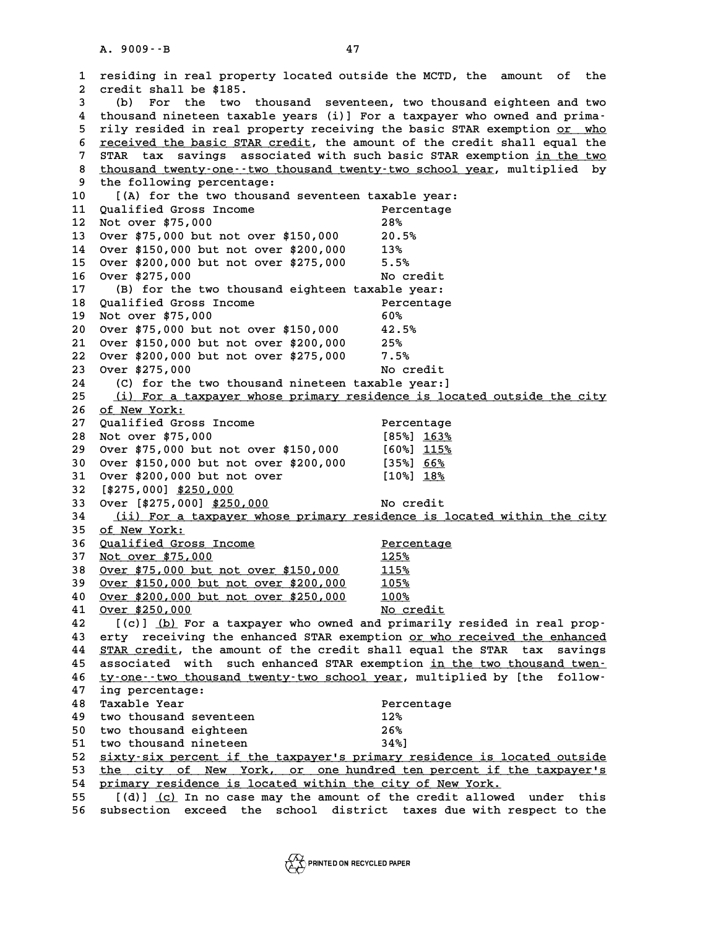**1 residing in real property located outside the MCTD, the amount of the 2** residing in real propert<br>2 credit shall be \$185.<br>3 (b) For the two th **3** (b) residing in real property located outside the MCTD, the amount of the credit shall be \$185.<br>
3 (b) For the two thousand seventeen, two thousand eighteen and two thousand increases the two thousand eighteen and two 2 credit shall be \$185.<br>
4 thousand nineteen taxable years (i)] For a taxpayer who owned and prima-<br>
<sup>4</sup> thousand nineteen taxable years (i)] For a taxpayer who owned and prima-(b) For the two thousand seventeen, two thousand eighteen and two<br>4 thousand nineteen taxable years (i)] For a taxpayer who owned and prima-<br>5 rily resided in real property receiving the basic STAR exemption <u>or who</u><br>5 req 4 thousand nineteen taxable years (i)] For a taxpayer who owned and prima-<br>5 rily resided in real property receiving the basic STAR exemption <u>or who</u><br>6 <u>received the basic STAR credit</u>, the amount of the credit shall equa Fily resided in real property receiving the basic STAR exemption <u>or who</u><br>6 <u>received the basic STAR credit</u>, the amount of the credit shall equal the<br>7 STAR tax savings associated with such basic STAR exemption <u>in the tw</u> **8** <u>received the basic STAR credit</u>, the amount of the credit shall equal the STAR tax savings associated with such basic STAR exemption in the two thousand twenty-one--two thousand twenty-two school year, multiplied by t 9 STAR tax savings associated with such basic STAR exemption <u>in the two</u><br>8 <u>thousand twenty-one--two thousand twenty-two school year</u>, multiplied by<br>9 the following percentage:<br>10 [(A) for the two thousand seventeen taxab 8 <u>thousand twenty-one--two thousand twenty-two school year</u>, multiplied by<br>
9 the following percentage:<br>
10 [(A) for the two thousand seventeen taxable year:<br>
11 Qualified Gross Income<br>
Percentage <sup>9</sup> the following percentage:<br>
10 [(A) for the two thousand seventeen taxable year:<br>
11 Qualified Gross Income<br>
Percentage<br>
<sup>202</sup> 10 [(A) for the two thousand seventeen taxable :<br>11 Qualified Gross Income Percen<br>12 Not over \$75,000 28% 28% **12 Not over \$75,000** 28%<br> **13 Over \$75,000 but not over \$150,000 20.5%**<br> **14 Over \$150.000 but not over \$200.000** 13% **14 Over \$150,000 but not over \$200,000 13% 13 Over \$75,000 but not over \$150,000 20.5%**<br>**14 Over \$150,000 but not over \$200,000 13%**<br>**15 Over \$200,000 but not over \$275,000 5.5% 14** Over \$150,000 but not over \$200,000 13%<br>
15 Over \$200,000 but not over \$275,000 5.5%<br>
16 Over \$275,000 No credit<br>
17 (B) for the two theysand eighteen taxable year. **15 Over \$200,000 but not over \$275,000** 5.5%<br> **16 Over \$275,000** No credit<br> **17** (B) for the two thousand eighteen taxable year:<br> **18 Oualified Cross Ingers 16 Over \$275,000** No credit<br> **17** (B) for the two thousand eighteen taxable year:<br> **18 Qualified Gross Income** Percentage<br>
Percentage<br>
Percentage 17 (B) for the two thousand eighteen taxable ye<br>18 Qualified Gross Income Percen<br>19 Not over \$75,000<br>20 Over \$75,000 but pot over \$150,000 60% **20 Qualified Gross Income** Percentage<br> **20** Not over \$75,000<br> **20** Over \$75,000 but not over \$150,000<br> **20** Over \$150,000 but not over \$200,000<br> **25% 21 Over \$150,000 but not over \$200,000 25% 20** Over \$75,000 but not over \$150,000 42.5%<br>
21 Over \$150,000 but not over \$200,000 25%<br>
22 Over \$200,000 but not over \$275,000 7.5%<br>
23 Over \$275,000 **21 Over \$150,000 but not over \$200,000 25%<br>
<b>22 Over \$200,000 but not over \$275,000 7.5%**<br> **23 Over \$275,000 No credit**<br> **24** (C) for the typ thousand pinoteen taxable years) **24 (C) for the two thousand nineteen taxable year:] 23 Over \$275,000**<br> **24** (C) for the two thousand nineteen taxable year:]<br> **25** (i) For a taxpayer whose primary residence is located outside the city<br> **26** 25 Nov York: 26 <u>of New York:</u><br>27 Qualified Gross Income 25 (i) For a taxpayer whose primary residence is locate<br>26 <u>of New York:</u><br>27 Qualified Gross Income Percentage<br>28 Not aver \$75,000 26 <u>of New York:</u><br>
27 Qualified Gross Income<br>
28 Not over \$75,000 [85%] 163%<br>
28 Quar<sup>\$75,000</sup> but not over \$150,000 [60%] 115% **27 Qualified Gross Income** Percentage<br> **28 Not over \$75,000** [85%] <u>163%</u><br> **29 Over \$75,000 but not over \$150,000** [60%] <u>115%</u><br> **30 Over \$150,000 but not over \$200,000** [35%] <u>66%</u> **28 Not over \$75,000** [85%]  $\frac{163\%}{115\%}$ <br>
29 Over \$75,000 but not over \$150,000 [60%]  $\frac{115\%}{115\%}$ <br>
30 Over \$150,000 but not over \$200,000 [35%]  $\frac{66\%}{19\%}$ **29 Over \$75,000 but not over \$150,000** [60%]  $\frac{115\%}{115\%}$ <br>30 Over \$150,000 but not over \$200,000 [35%]  $\frac{66\%}{16\%}$ <br>31 Over \$200,000 but not over [10%]  $\frac{18\%}{18\%}$ **30** Over \$150,000 but not<br>31 Over \$200,000 but not<br>32 [\$275,000] <u>\$250,000</u><br>33 Over [\$275,000] \$250,0 **31 Over \$200,000 but not over** [10%] <u>18%</u><br> **32 [\$275,000] <u>\$250,000</u> No credit<br>
34 (ii) For a taxpayer whose primary residence is 34 (ii) For a taxpayer whose primary residence is located within the city \_\_\_\_\_\_\_\_\_\_\_\_\_\_\_\_\_\_\_\_\_\_\_\_\_\_\_\_\_\_\_\_\_\_\_\_\_\_\_\_\_\_\_\_\_\_\_\_\_\_\_\_\_\_\_\_\_\_\_\_\_\_\_\_\_\_\_\_\_\_** 33 Over [\$275,000] <u>\$250,000</u><br>34 <u>(ii) For a taxpayer who</u><br>35 <u>of New York:</u><br>36 <u>Qualified Gross Income</u> **36 Qualified Gross Income Percentage \_\_\_\_\_\_\_\_\_\_\_\_\_\_\_\_\_\_\_\_\_\_ \_\_\_\_\_\_\_\_\_\_** 35 of New York:<br>
36 <u>Qualified Gross Income</u> Percent<br>
37 Not over \$75,000 125% 115%<br>
28 Create<sup>175</sup> 000 but not ever \$150,000 115% **36** <u>Qualified Gross Income</u> Percent<br>
37 <u>Not over \$75,000</u> 125%<br>
38 <u>Over \$75,000 but not over \$150,000</u> 115%<br>
29 Over \$150,000 but not over \$300,000 105% **37** Not over \$75,000<br> **38** Over \$75,000 but not over \$150,000<br> **39** Over \$150,000 but not over \$200,000<br> **105%**<br> **2000** 000 but not over \$350,000<br> **100% 40 Over \$75,000 but not over \$150,000 115%<br>
<u>0ver \$150,000 but not over \$200,000</u> 105%<br>
<u>200 Over \$200,000 but not over \$250,000</u> 100%<br>
200 Over \$250,000 92000 39**<br>
<u>Over \$200,000 but not over \$250,000</u><br>
<u>Over \$250,000</u><br>
<u>Over \$250,000</u><br>
<u>No credit</u><br>
<u>A2</u><br>
((a) (b) For a tarrawor who overd and primarily r <u>Over \$150,000 but not over \$200,000</u> 105%<br>
40 <u>Over \$200,000 but not over \$250,000</u> 100%<br>
41 <u>Over \$250,000</u> No credit<br>
42 [(c)] (b) For a taxpayer who owned and primarily resided in real prop-<br>
43 erty receiving the enha **43 erty receiving the enhanced STAR exemption <u>or who received the enhanced</u> <b>44** STAR credit, the amount of the credit shall equal the STAR tax savings I(c)] (b) For a taxpayer who owned and primarily resided in real prop-<br>43 erty receiving the enhanced STAR exemption <u>or who received the enhanced</u><br>44 <u>STAR credit</u>, the amount of the credit shall equal the STAR tax saving exty receiving the enhanced STAR exemption <u>or who received the enhanced</u><br>44 <u>STAR credit</u>, the amount of the credit shall equal the STAR tax savings<br>45 associated with such enhanced STAR exemption in the two thousand twen 44 <u>STAR credit</u>, the amount of the credit shall equal the STAR tax savings<br>45 associated with such enhanced STAR exemption <u>in the two thousand twen</u>-<br>46 ty-one--two thousand twenty-two school year, multiplied by [the fol 45 associated with such enhanced STAR exemption <u>in the two thousand twen-</u><br>46 <u>ty-one--two thousand twenty-two school year</u>, multiplied by [the follow-<br>47 ing percentage:<br>48 Taxable Year **Percentage** % 46 ty-one--two thousand twenty-two school year, multiplied by [the follow-<br>
47 ing percentage:<br>
48 Taxable Year<br>
49 two thousand seventeen<br>
49 two thousand seventeen<br>
49 two thousand seventeen<br>
49 two thousand seventeen **47** ing percentage:<br> **48** Taxable Year Percen<br> **49** two thousand seventeen 12%<br> **50** two thousand eightson 25% **50 Taxable Year**<br> **50 two thousand seventeen**<br> **50 two thousand eighteen**<br> **51 two thousand pipeteen**<br> **51 two thousand pipeteen**<br> **51 two thousand pipeteen**<br> **51 1/21** 49 two thousand seventeen 12%<br>
50 two thousand eighteen 26%<br>
51 two thousand nineteen 34%]<br>
52 dirty-gir persont if the terreworls primary res 50 two thousand eighteen 126%<br>
51 two thousand nineteen 34%]<br>
52 <u>sixty-six percent if the taxpayer's primary residence is located outside</u><br>
53 the city of New York, or one hundred ten percent if the taxpayer's 51 two thousand nineteen 52<br>
52 <u>sixty-six percent if the taxpayer's primary residence is located outside</u><br>
53 <u>the city of New York, or one hundred ten percent if the taxpayer's</u><br>
54 primary residence is located within th 52 <u>sixty-six percent if the taxpayer's primary residence is loc</u><br>53 <u>the city of New York, or one hundred ten percent if the primary residence is located within the city of New York.<br>55 [(d)] (g) In no see may the amount </u> **53** <u>the city of New York, or one hundred ten percent if the taxpayer's</u><br>54 <u>primary residence is located within the city of New York.</u><br>55 [(d)] <u>(c)</u> In no case may the amount of the credit allowed under this<br>56 subsecti **54 primary residence is located within the city of New York.**<br>55 [(d)] <u>(c)</u> In no case may the amount of the credit allowed under this<br>56 subsection exceed the school district taxes due with respect to the

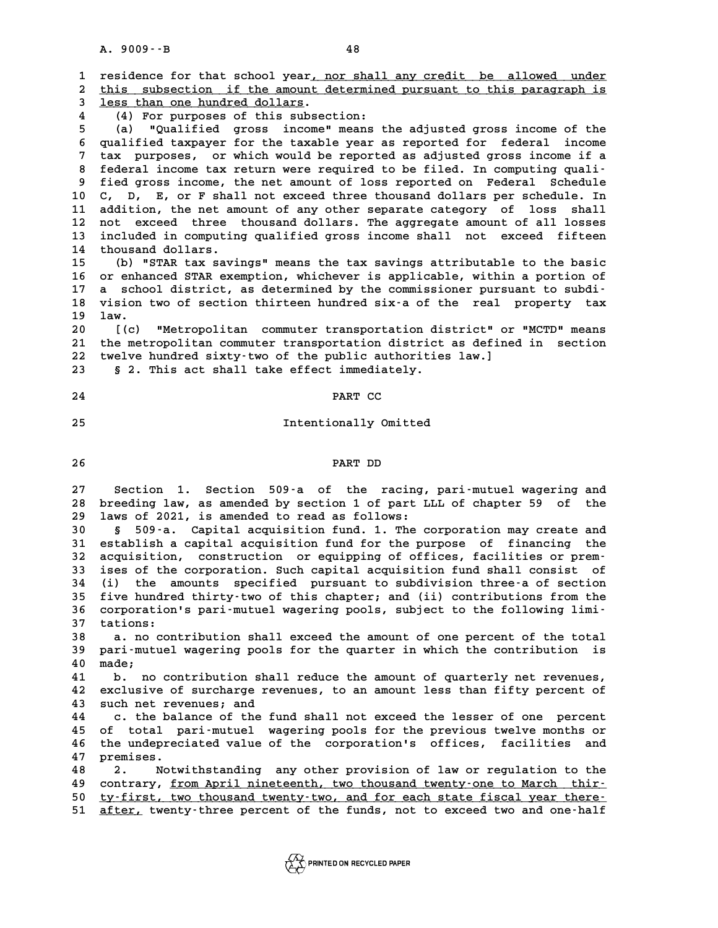**A. 9009--B 48** A. 9009 · - B<br>1 residence for that school year<u>, nor shall any credit be allowed under</u><br>2 this subsection if the amount determined pursuant to this paragraph is 1 residence for that school year<u>, nor shall any credit be allowed under</u><br>2 <u>this subsection if the amount determined pursuant to this paragraph is</u><br>3 less than one bundred dollars 1 residence for that school year<u>, not</u><br>2 this subsection if the amount d<br>3 <u>less than one hundred dollars</u>. % 1 this subsection if the amount determined pursuant to this paragraph is<br>
4 (4) For purposes of this subsection:<br>
4 (a) "Qualified gross income" means the adjusted gross income of the **5 (a) "Qualified gross income" means the adjusted gross income of the 6 qualified taxpayer for the taxable year as reported for federal income 7** (a) "Qualified gross income" means the adjusted gross income of the qualified taxpayer for the taxable year as reported for federal income tax purposes, or which would be reported as adjusted gross income if a<br>**particu** 6 qualified taxpayer for the taxable year as reported for federal income<br>
<sup>7</sup> tax purposes, or which would be reported as adjusted gross income if a<br>
8 federal income tax return were required to be filed. In computing qual **1** tax purposes, or which would be reported as adjusted gross income if a<br>8 federal income tax return were required to be filed. In computing quali-<br>9 fied gross income, the net amount of loss reported on Federal Schedule 10 **10 C, D, E, or F shall not exceed three thousand dollars per schedule**<br>10 C, D, E, or F shall not exceed three thousand dollars per schedule. In<br>11 addition, the net amount of any other separate gategory of loss shall 9 fied gross income, the net amount of loss reported on Federal Schedule<br>10 C, D, E, or F shall not exceed three thousand dollars per schedule. In<br>11 addition, the net amount of any other separate category of loss shall<br>12 10 C, D, E, or F shall not exceed three thousand dollars per schedule. In<br>11 addition, the net amount of any other separate category of loss shall<br>12 not exceed three thousand dollars. The aggregate amount of all losses<br>in 11 addition, the net amount of any other separate category of loss shall<br>12 not exceed three thousand dollars. The aggregate amount of all losses<br>13 included in computing qualified gross income shall not exceed fifteen<br>14 12 not exceed three<br>13 included in computin<br>14 thousand dollars.<br>15 (b) **"STAP tay cavis 13 included in computing qualified gross income shall not exceed fifteen**<br>**14 thousand dollars.**<br>(b) "STAR tax savings" means the tax savings attributable to the basic<br>16 or orbanged STAR cuernion, whichever is applicable **14 thousand dollars.**<br> **15 (b) "STAR tax savings" means the tax savings attributable to the basic<br>
16 or enhanced STAR exemption, whichever is applicable, within a portion of<br>
17 a school district, as determined by the co** (b) "STAR tax savings" means the tax savings attributable to the basic<br>
16 or enhanced STAR exemption, whichever is applicable, within a portion of<br>
17 a school district, as determined by the commissioner pursuant to subdi 16 or enhanced STAR exemption, whichever is applicable, within a portion of<br>17 a school district, as determined by the commissioner pursuant to subdi-<br>18 vision two of section thirteen hundred six-a of the real property ta 17 a school district, as determined by the commissioner pursuant to subdi-<br>18 vision two of section thirteen hundred six-a of the real property tax<br>19 law.<br>20 [(c) "Metropolitan commuter transportation district" or "MCTD" 18 vision two of section thirteen hundred six-a of the real property tax<br>19 law.<br>20 [(c) "Metropolitan commuter transportation district" or "MCTD" means<br>21 the metropolitan commuter transportation district as defined in se **20 Iaw.**<br>20 [(c) "Metropolitan commuter transportation district" or "MCTD" means<br>21 the metropolitan commuter transportation district as defined in section<br>22 twolve burdred sixturive of the public authorities law l 20 [(c) "Metropolitan commuter transportation district" or<br>21 the metropolitan commuter transportation district as define<br>22 twelve hundred sixty-two of the public authorities law.]<br><sup>23</sup> 5.2 This act shall take effect imme 21 the metropolitan commuter transportation district<br>22 twelve hundred sixty-two of the public authoritie<br>23 § 2. This act shall take effect immediately. 22 twelve hundred sixty-two of the public authorities law.]<br>23 § 2. This act shall take effect immediately.<br>24 **PART CC 24** PART CC<br>25 Intentionally Omitted **26 PART DD** PART DD<br>27 Section 1. Section 509-a of the racing, pari-mutuel wagering and<br>28 breeding law, as amended by section 1 of part LLL of chapter 59 of the 27 Section 1. Section 509<sup>-</sup>a of the racing, pari-mutuel wagering and<br>28 breeding law, as amended by section 1 of part LLL of chapter 59 of the 27 Section 1. Section 509-a of the racing,<br>28 breeding law, as amended by section 1 of part L<sub>2</sub><br>29 laws of 2021, is amended to read as follows:<br><sup>20</sup> 5 508-2 Capital agguisition fund 1 mbo 2 **38 breeding law, as amended by section 1 of part LLL of chapter 59 of the 129 laws of 2021, is amended to read as follows:**<br>**30** § 509-a. Capital acquisition fund. 1. The corporation may create and<br>**31 Sotialish a somital** 19 laws of 2021, is amended to read as follows:<br>
30 § 509-a. Capital acquisition fund. 1. The corporation may create and<br>
31 establish a capital acquisition fund for the purpose of financing the<br>
32 acquisition constructio **30 5** 509-a. Capital acquisition fund. 1. The corporation may create and<br>
31 establish a capital acquisition fund for the purpose of financing the<br>
32 acquisition, construction or equipping of offices, facilities or pre 31 establish a capital acquisition fund for the purpose of financing the<br>32 acquisition, construction or equipping of offices, facilities or prem-<br>33 ises of the corporation. Such capital acquisition fund shall consist of<br> **32 acquisition, construction or equipping of offices, facilities or prem-**<br>**33 ises of the corporation. Such capital acquisition fund shall consist of**<br>**34 (i)** the amounts specified pursuant to subdivision three-a of sec 33 ises of the corporation. Such capital acquisition fund shall consist of<br>34 (i) the amounts specified pursuant to subdivision three-a of section<br>35 five hundred thirty-two of this chapter; and (ii) contributions from the

34 (i) the amounts specified pursuant to subdivision three-a of section<br>35 five hundred thirty-two of this chapter; and (ii) contributions from the<br>36 corporation's pari-mutuel wagering pools, subject to the following limi 35 five hundre<br>36 corporation<br>37 tations: 36 corporation's pari-mutuel wagering pools, subject to the following limi-<br>37 tations:<br>38 a. no contribution shall exceed the amount of one percent of the total<br>39 pari-mutuel wagering pools for the quarter in which the c

**37 tations:**<br>**38 a. no contribution shall exceed the amount of one percent of the total<br><b>39 pari-mutuel wagering pools for the quarter in which the contribution is**<br><sup>40</sup> made: **40 made;**<br>**40 made;**<br>**41 h** med **40 pari-mutuel wagering pools for the quarter in which the contribution is<br>
40 made;**<br> **41 b. no contribution shall reduce the amount of quarterly net revenues,**<br> **42 ovelugive of gurshare revenues** to an amount loss than

**40** made;<br>41 b. no contribution shall reduce the amount of quarterly net revenues,<br>42 exclusive of surcharge revenues, to an amount less than fifty percent of 41 b. no contribution sha<br>42 exclusive of surcharge re<br>43 such net revenues; and<br>44 a the balance of the fi 42 exclusive of surcharge revenues, to an amount less than fifty percent of<br>43 such net revenues; and<br>44 c. the balance of the fund shall not exceed the lesser of one percent<br>45 of total parismutuel upcoring poels for the

43 such net revenues; and<br>44 c. the balance of the fund shall not exceed the lesser of one percent<br>45 of total pari-mutuel wagering pools for the previous twelve months or<br>46 the undepreciated value of the corporation's of 44 c. the balance of the fund shall not exceed the lesser of one percent<br>45 of total pari-mutuel wagering pools for the previous twelve months or<br>46 the undepreciated value of the corporation's offices, facilities and<br>47 p 45 of total p.<br>46 the undeprec<br>47 premises.<br>48 2 Notw **46 the undepreciated value of the corporation's offices, facilities and<br>47 premises.**<br>48 2. Notwithstanding any other provision of law or regulation to the<br>49 contrary from April pinctoonth, typ thousand typety.one to Mar

**47 premises.**<br>48 2. Notwithstanding any other provision of law or regulation to the<br>49 contrary, <u>from April nineteenth, two thousand twenty–one to March thir–</u> 50 ty-first, two thousand twenty-two, and for each state fiscal year there-51 after, twenty-three percent of the funds, not to exceed two and one-half

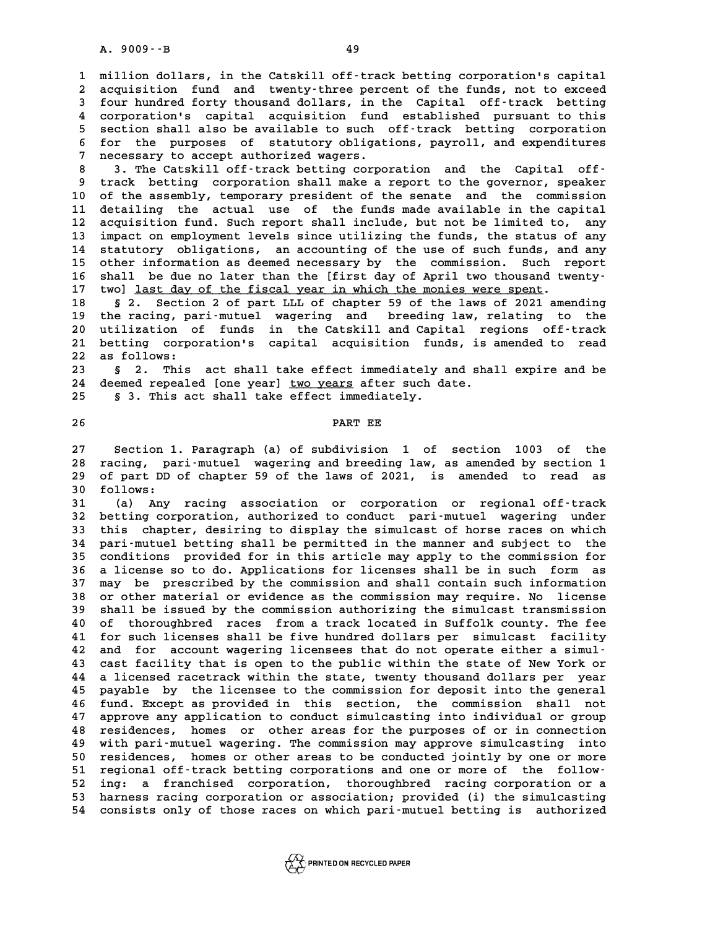**1 million dollars, in the Catskill off-track betting corporation's capital** 1 million dollars, in the Catskill off-track betting corporation's capital<br>2 acquisition fund and twenty-three percent of the funds, not to exceed<br>3 four bundred forty thousand dollars, in the Capital off-track betting 2 acquisition fund and twenty-three percent of the funds, not to exceed<br>3 four hundred forty thousand dollars, in the Capital off-track betting<br>4 corporation's capital acquisition fund established pursuant to this acquisition fund and twenty-three percent of the funds, not to exceed<br>3 four hundred forty thousand dollars, in the Capital off-track betting<br>4 corporation's capital acquisition fund established pursuant to this<br>5 section **5 four hundred forty thousand dollars, in the Capital off-track betting<br>
4 corporation's capital acquisition fund established pursuant to this<br>
5 section shall also be available to such off-track betting corporation<br>
for** 4 corporation's capital acquisition fund established pursuant to this<br>5 section shall also be available to such off-track betting corporation<br>6 for the purposes of statutory obligations, payroll, and expenditures<br>7 necessa 5 section shall also be available to such off-track betting corporation<br>6 for the purposes of statutory obligations, payroll, and expenditures<br>7 necessary to accept authorized wagers.<br>3 3. The Catskill off-track betting co 6 for the purposes of statutory obligations, payroll, and expenditures<br>
7 necessary to accept authorized wagers.<br>
8 3. The Catskill off-track betting corporation and the Capital off-<br>
9 track betting corporation shall make

**9 track betting corporation shall make a report to the governor, speaker** 10 3. The Catskill off-track betting corporation and the Capital off-<br>
10 of the assembly, temporary president of the senate and the commission<br>
11 detailing the astual use of the funds made available in the capital 9 track betting corporation shall make a report to the governor, speaker<br>10 of the assembly, temporary president of the senate and the commission<br>11 detailing the actual use of the funds made available in the capital<br>22 ac 10 of the assembly, temporary president of the senate and the commission<br>11 detailing the actual use of the funds made available in the capital<br>12 acquisition fund. Such report shall include, but not be limited to, any<br><sup>13</sup> 11 detailing the actual use of the funds made available in the capital<br>12 acquisition fund. Such report shall include, but not be limited to, any<br>13 impact on employment levels since utilizing the funds, the status of any<br> 12 acquisition fund. Such report shall include, but not be limited to, any<br>13 impact on employment levels since utilizing the funds, the status of any<br>14 statutory obligations, an accounting of the use of such funds, and a 13 impact on employment levels since utilizing the funds, the status of any<br>14 statutory obligations, an accounting of the use of such funds, and any<br>15 other information as deemed necessary by the commission. Such report<br> 14 statutory obligations, an accounting of the use of such funds, and any<br>
15 other information as deemed necessary by the commission. Such report<br>
16 shall be due no later than the [first day of April two thousand twentyother information as deemed necessary by the commission. Such r<br>16 shall be due no later than the [first day of April two thousand tw<br>17 two] <u>last day of the fiscal year in which the monies were spent</u>.<br>18 solution 2 of p 16 shall be due no later than the [first day of April two thousand twenty-<br>17 two] <u>last day of the fiscal year in which the monies were spent</u>.<br>18 § 2. Section 2 of part LLL of chapter 59 of the laws of 2021 amending<br>the

**17 twol <u>last day of the fiscal year in which the monies were spent</u>.<br>18 § 2. Section 2 of part LLL of chapter 59 of the laws of 2021 amending<br>19 the racing, pari-mutuel wagering and breeding law, relating to the<br>20 utili** 18 § 2. Section 2 of part LLL of chapter 59 of the laws of 2021 amending<br>19 the racing, pari-mutuel wagering and breeding law, relating to the<br>20 utilization of funds in the Catskill and Capital regions off-track<br>21 bettin 19 the racing, pari-mutuel wagering and breeding law, relating to the<br>20 utilization of funds in the Catskill and Capital regions off-track<br>21 betting corporation's capital acquisition funds, is amended to read<br>22 as follo 20 utilization o<br>21 betting corpo<br>22 as follows:<br><sup>23</sup> 5 <sup>2</sup> This 21 betting corporation's capital acquisition funds, is amended to read<br>22 as follows:<br>23 § 2. This act shall take effect immediately and shall expire and be<br>24 deemed repealed [one year] two years after such date.

22 as follows:<br>23 § 2. This act shall take effect immediately and sha<br>24 deemed repealed [one year] <u>two years</u> after such date.<br>25 § 3 This 25t Shall take effect immediately. **25 § 3. This act shall take effect immediately.**

**26 PART EE**

**27 Section 1. Paragraph (a) of subdivision 1 of section 1003 of the** 27 Section 1. Paragraph (a) of subdivision 1 of section 1003 of the<br>28 racing, pari-mutuel wagering and breeding law, as amended by section 1<br>29 of part PP of chapter 59 of the laws of 2021, is amended to read as 27 Section 1. Paragraph (a) of subdivision 1 of section 1003 of the<br>28 racing, pari-mutuel wagering and breeding law, as amended by section 1<br>29 of part DD of chapter 59 of the laws of 2021, is amended to read as 28 racing, pa<br>29 of part DD<br>30 follows:<br><sup>31</sup> (a) Apy 29 of part DD of chapter 59 of the laws of 2021, is amended to read as<br>30 follows:<br>31 (a) Any racing association or corporation or regional off-track<br><sup>32</sup> botting corporation authorized to conduct pari-wutuel upsering unde

29 of part DD of chapter 59 of the laws of 2021, is amended to read as<br>30 follows:<br>31 (a) Any racing association or corporation or regional off-track<br>32 betting corporation, authorized to conduct pari-mutuel wagering under **31** (a) Any racing association or corporation or regional off-track<br>32 betting corporation, authorized to conduct pari-mutuel wagering under<br>33 this chapter, desiring to display the simulcast of horse races on which<br>24 pe 32 betting corporation, authorized to conduct pari-mutuel wagering under<br>33 this chapter, desiring to display the simulcast of horse races on which<br>34 pari-mutuel betting shall be permitted in the manner and subject to the 33 this chapter, desiring to display the simulcast of horse races on which<br>34 pari-mutuel betting shall be permitted in the manner and subject to the<br>35 conditions provided for in this article may apply to the commission f **34 pari-mutuel betting shall be permitted in the manner and subject to the conditions provided for in this article may apply to the commission for a license so to do. Applications for licenses shall be in such form as**<br>**3** 35 conditions provided for in this article may apply to the commission for<br>36 a license so to do. Applications for licenses shall be in such form as<br>37 may be prescribed by the commission and shall contain such information **36 a license so to do. Applications for licenses shall be in such form as<br>37 may be prescribed by the commission and shall contain such information<br>38 or other material or evidence as the commission may require. No licens** 37 may be prescribed by the commission and shall contain such information<br>38 or other material or evidence as the commission may require. No license<br>39 shall be issued by the commission authorizing the simulcast transmissi 38 or other material or evidence as the commission may require. No license<br>39 shall be issued by the commission authorizing the simulcast transmission<br>40 of thoroughbred races from a track located in Suffolk county. The fe **41 shall be issued by the commission authorizing the simulcast transmission**<br>40 of thoroughbred races from a track located in Suffolk county. The fee<br>41 for such licenses shall be five hundred dollars per simulcast facili 40 of thoroughbred races from a track located in Suffolk county. The fee<br>
41 for such licenses shall be five hundred dollars per simulcast facility<br>
42 and for account wagering licensees that do not operate either a simul-41 for such licenses shall be five hundred dollars per simulcast facility<br>42 and for account wagering licensees that do not operate either a simul-<br>43 cast facility that is open to the public within the state of New York o 42 and for account wagering licensees that do not operate either a simul-<br>43 cast facility that is open to the public within the state of New York or<br>44 a licensed racetrack within the state, twenty thousand dollars per ye 43 cast facility that is open to the public within the state of New York or<br>44 a licensed racetrack within the state, twenty thousand dollars per year<br>45 payable by the licensee to the commission for deposit into the gener **44 a licensed racetrack within the state, twenty thousand dollars per year**<br>**45 payable by the licensee to the commission for deposit into the general**<br>**46 fund. Except as provided in this section, the commission shall no** 45 payable by the licensee to the commission for deposit into the general<br>46 fund. Except as provided in this section, the commission shall not<br>47 approve any application to conduct simulcasting into individual or group<br>28 **46 fund. Except as provided in this section, the commission shall not<br>47 approve any application to conduct simulcasting into individual or group<br>48 residences, homes or other areas for the purposes of or in connection<br>19 47 approve any application to conduct simulcasting into individual or group**<br>**48 residences, homes or other areas for the purposes of or in connection**<br>**49 with pari-mutuel wagering. The commission may approve simulcastin 48 residences, homes or other areas for the purposes of or in connection**<br>**49 with pari-mutuel wagering. The commission may approve simulcasting into**<br>50 residences, homes or other areas to be conducted jointly by one or 48 residences, homes or other areas for the purposes of or in connection<br>49 with pari-mutuel wagering. The commission may approve simulcasting into<br>50 residences, homes or other areas to be conducted jointly by one or more **52 ing: a franchised corporation, thoroughbred racing corporation or a** 51 regional off-track betting corporations and one or more of the follow-<br>52 ing: a franchised corporation, thoroughbred racing corporation or a<br>53 harness racing corporation or association; provided (i) the simulcasting<br>5 52 ing: a franchised corporation, thoroughbred racing corporation or a<br>53 harness racing corporation or association; provided (i) the simulcasting<br>54 consists only of those races on which pari-mutuel betting is authorized

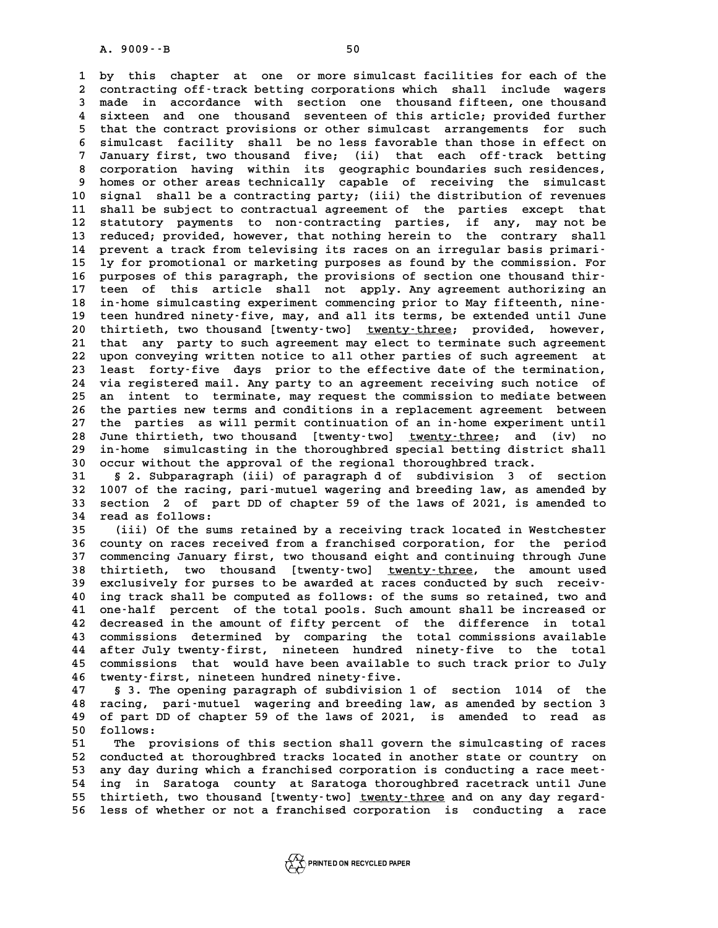**1 by this chapter at one or more simulcast facilities for each of the** 1 by this chapter at one or more simulcast facilities for each of the<br>2 contracting off-track betting corporations which shall include wagers<br>3 made in accordance with section one thousand fifteen one thousand 1 by this chapter at one or more simulcast facilities for each of the<br>2 contracting off-track betting corporations which shall include wagers<br>3 made in accordance with section one thousand fifteen, one thousand<br>4 sixteen a 2 contracting off-track betting corporations which shall include wagers<br>3 made in accordance with section one thousand fifteen, one thousand<br>4 sixteen and one thousand seventeen of this article; provided further<br>that the c **5** made in accordance with section one thousand fifteen, one thousand<br>4 sixteen and one thousand seventeen of this article; provided further<br>5 that the contract provisions or other simulcast arrangements for such<br>5 simula **6 sixteen and one thousand seventeen of this article; provided further**<br> **6 simulcast facility shall be no less favorable than those in effect on**<br> **6 simulcast facility shall be no less favorable than those in effect on** 5 that the contract provisions or other simulcast arrangements for such<br>6 simulcast facility shall be no less favorable than those in effect on<br>7 January first, two thousand five; (ii) that each off-track betting<br>correctio 6 simulcast facility shall be no less favorable than those in effect on<br>7 January first, two thousand five; (ii) that each off-track betting<br>8 corporation having within its geographic boundaries such residences,<br>bomes ar o **9** January first, two thousand five; (ii) that each off-track betting<br>8 corporation having within its geographic boundaries such residences,<br>9 homes or other areas technically capable of receiving the simulcast<br>0 signal s 8 corporation having within its geographic boundaries such residences,<br>9 homes or other areas technically capable of receiving the simulcast<br>10 signal shall be a contracting party; (iii) the distribution of revenues<br>11 sha 9 homes or other areas technically capable of receiving the simulcast<br>10 signal shall be a contracting party; (iii) the distribution of revenues<br>11 shall be subject to contractual agreement of the parties except that<br>12 st 10 signal shall be a contracting party; (ii) the distribution of revenues<br>11 shall be subject to contractual agreement of the parties except that<br>12 statutory payments to non-contracting parties, if any, may not be<br>reduced 11 shall be subject to contractual agreement of the parties except that<br>12 statutory payments to non-contracting parties, if any, may not be<br>13 reduced; provided, however, that nothing herein to the contrary shall<br>14 prove 12 statutory payments to non-contracting parties, if any, may not be<br>
13 reduced; provided, however, that nothing herein to the contrary shall<br>
14 prevent a track from televising its races on an irregular basis primari-<br>
<sup></sup> 13 reduced; provided, however, that nothing herein to the contrary shall<br>14 prevent a track from televising its races on an irregular basis primari-<br>15 ly for promotional or marketing purposes as found by the commission. F **16 purposes of this paragraph, the provisions of section one thousand thir-**15 ly for promotional or marketing purposes as found by the commission. For<br>16 purposes of this paragraph, the provisions of section one thousand thir-<br>17 teen of this article shall not apply. Any agreement authorizing an<br> 16 purposes of this paragraph, the provisions of section one thousand thir-<br>17 teen of this article shall not apply. Any agreement authorizing an<br>18 in-home simulcasting experiment commencing prior to May fifteenth, nine-<br> **17** teen of this article shall not apply. Any agreement authorizing an<br>18 in-home simulcasting experiment commencing prior to May fifteenth, nine-<br>19 teen hundred ninety-five, may, and all its terms, be extended until Jun 18 in-home simulcasting experiment commencing prior to May fifteenth, nine-<br>19 teen hundred ninety-five, may, and all its terms, be extended until June<br>20 thirtieth, two thousand [twenty-two] <u>twenty-three</u>; provided, howe 19 teen hundred ninety-five, may, and all its terms, be extended until June<br>20 thirtieth, two thousand [twenty-two] <u>twenty-three</u>; provided, however,<br>21 that any party to such agreement may elect to terminate such agreeme 20 thirtieth, two thousand [twenty-two] <u>twenty-three</u>; provided, however,<br>21 that any party to such agreement may elect to terminate such agreement<br>22 upon conveying written notice to all other parties of such agreement a 21 that any party to such agreement may elect to terminate such agreement<br>22 upon conveying written notice to all other parties of such agreement at<br>23 least forty-five days prior to the effective date of the termination,<br> 22 upon conveying written notice to all other parties of such agreement at<br>23 least forty-five days prior to the effective date of the termination,<br>24 via registered mail. Any party to an agreement receiving such notice of 23 least forty-five days prior to the effective date of the termination,<br>24 via registered mail. Any party to an agreement receiving such notice of<br>25 an intent to terminate, may request the commission to mediate between<br>2 <sup>24</sup> via registered mail. Any party to an agreement receiving such notice of<br>25 an intent to terminate, may request the commission to mediate between<br>26 the parties new terms and conditions in a replacement agreement betwe 25 an intent to terminate, may request the commission to mediate between<br>26 the parties new terms and conditions in a replacement agreement between<br>27 the parties as will permit continuation of an in-home experiment until<br> the parties new terms and conditions in a replacement agreement between<br>27 the parties as will permit continuation of an in-home experiment until<br>28 June thirtieth, two thousand [twenty-two] <u>twenty-three</u>; and (iv) no<br>in-27 the parties as will permit continuation of an in-home experiment until<br>28 June thirtieth, two thousand [twenty-two] <u>twenty-three</u>; and (iv) no<br>29 in-home simulcasting in the thoroughbred special betting district shall<br> 30 June thirtieth, two thousand [twenty-two] <u>twenty-three</u>; and (<br>30 in-home simulcasting in the thoroughbred special betting distric<br>30 occur without the approval of the regional thoroughbred track. **39 in-home simulcasting in the thoroughbred special betting district shall**<br> **30 occur without the approval of the regional thoroughbred track.**<br> **31 § 2. Subparagraph (iii) of paragraph d of subdivision 3 of section**<br> **3** 

**30 occur without the approval of the regional thoroughbred track.**<br> **31 § 2. Subparagraph (iii) of paragraph d of subdivision 3 of section**<br> **32 1007 of the racing, pari-mutuel wagering and breeding law, as amended by**<br> **52. Subparagraph (iii) of paragraph d of subdivision 3 of section**<br>32 1007 of the racing, pari-mutuel wagering and breeding law, as amended by<br>33 section 2 of part DD of chapter 59 of the laws of 2021, is amended to 32 1007 of the racing, pari-mutuel wagering and breeding law, as amended by section 2 of part DD of chapter 59 of the laws of 2021, is amended to read as follows:<br>35 (iii) Of the sums retained by a receiving track located 33 section 2 of part DD of chapter 59 of the laws of 2021, is amended to<br>34 read as follows:<br>(iii) Of the sums retained by a receiving track located in Westchester<br>26 septime process resoined from a franchised corporation

**34 read as follows:**<br>35 (iii) Of the sums retained by a receiving track located in Westchester<br>36 county on races received from a franchised corporation, for the period<br>37 commonging January first, typ thousand eight and **35 (ii) Of the sums retained by a receiving track located in Westchester**<br>36 county on races received from a franchised corporation, for the period<br>37 commencing January first, two thousand eight and continuing through Ju 36 county on races received from a franchised corporation, for the period<br>37 commencing January first, two thousand eight and continuing through June<br>38 thirtieth, two thousand [twenty-two] <u>twenty-three</u>, the amount used<br> 37 commencing January first, two thousand eight and continuing through June<br>38 thirtieth, two thousand [twenty-two] <u>twenty-three</u>, the amount used<br>39 exclusively for purses to be awarded at races conducted by such receiv-**40 instruction and the computed as follows:** of the sum is the amount used<br>
40 ing track shall be computed as follows: of the sums so retained, two and<br>
41 ope-balf percent of the total pools Such amount shall be increase 39 exclusively for purses to be awarded at races conducted by such receiv-<br>40 ing track shall be computed as follows: of the sums so retained, two and<br>41 one-half percent of the total pools. Such amount shall be increased **42 decreased in the amount of fifty percent of the difference in total** 41 one-half percent of the total pools. Such amount shall be increased or<br>42 decreased in the amount of fifty percent of the difference in total<br>43 commissions determined by comparing the total commissions available<br>44 aft **42 decreased in the amount of fifty percent of the difference in total**<br>**43 commissions determined by comparing the total commissions available**<br>**44 after July twenty-first, nineteen hundred ninety-five to the total**<br>25 c 43 commissions determined by comparing the total commissions available<br>44 after July twenty-first, nineteen hundred ninety-five to the total<br>45 commissions that would have been available to such track prior to July<br>46 type 44 after July twenty-first, nineteen hundred ninety-five to the total<br>45 commissions that would have been available to such track prior to July<br>46 twenty-first, nineteen hundred ninety-five.<br>47 § 3. The opening paragraph o 45 commissions that would have been available to such track prior to July<br>46 twenty-first, nineteen hundred ninety-five.<br>47 § 3. The opening paragraph of subdivision 1 of section 1014 of the<br>48 racing, pari-mutuel wagering

**46 twenty-first, nineteen hundred ninety-five.**<br>47 § 3. The opening paragraph of subdivision 1 of section 1014 of the<br>48 racing, pari-mutuel wagering and breeding law, as amended by section 3<br>49 of part PD of shapter 59 o 47 § 3. The opening paragraph of subdivision 1 of section 1014 of the<br>48 racing, pari-mutuel wagering and breeding law, as amended by section 3<br>49 of part DD of chapter 59 of the laws of 2021, is amended to read as<br>50 foll 48 racing, pari-mutuel wagering and breeding law, as amended by section 3<br>49 of part DD of chapter 59 of the laws of 2021, is amended to read as<br>50 follows:<br>The provisions of this section shall govern the simulcasting of r **51 121 13 13 13 13 141 141 141 141 141 141 141 141 141 141 141 141 141 141 141 141 141 141 141 141 141 141 141 141 141 141 141 141 141 141 141 141** 

**52 conducted at thoroughbred tracks located in another state or country on 53 any day during which a franchised corporation is conducting a race meet-**52 conducted at thoroughbred tracks located in another state or country on<br>53 any day during which a franchised corporation is conducting a race meet-<br>54 ing in Saratoga county at Saratoga thoroughbred racetrack until June 53 any day during which a franchised corporation is conducting a race meet-<br>54 ing in Saratoga county at Saratoga thoroughbred racetrack until June<br>55 thirtieth, two thousand [twenty-two] <u>twenty-three</u> and on any day rega 55 thirtieth, two thousand [twenty-two] <u>twenty-three</u> and on any day regard-<br>56 less of whether or not a franchised corporation is conducting a race

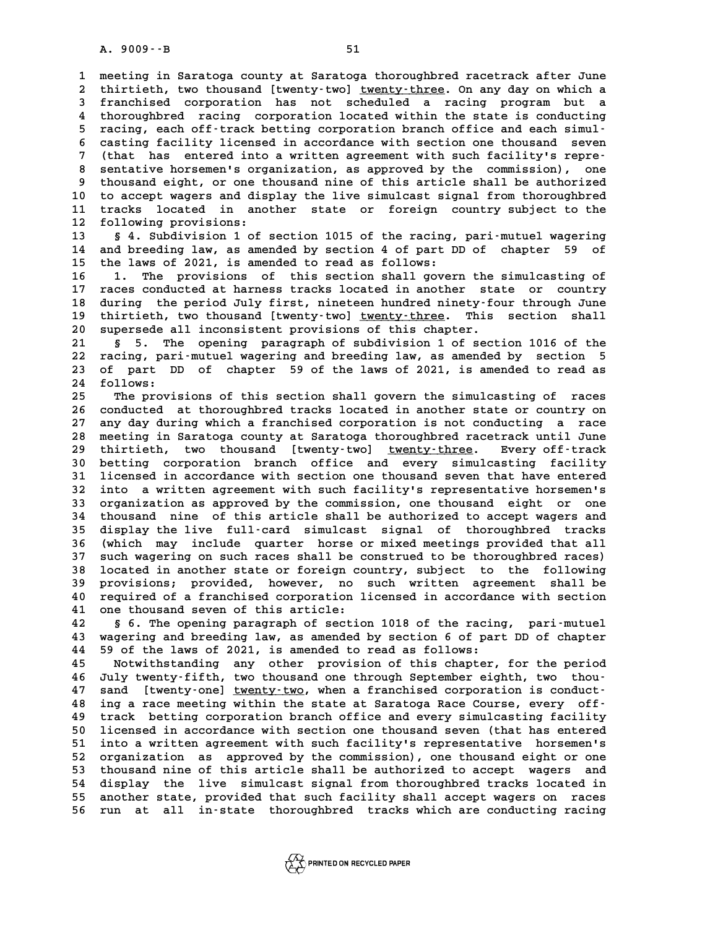**1 meeting in Saratoga county at Saratoga thoroughbred racetrack after June** 1 meeting in Saratoga county at Saratoga thoroughbred racetrack after June<br>2 thirtieth, two thousand [twenty-two] <u>twenty-three</u>. On any day on which a<br>3 franchised, corporation, has not, scheduled a raging program, but, a **3** meeting in Saratoga county at Saratoga thoroughbred racetrack after June<br>2 thirtieth, two thousand [twenty-two] <u>twenty-three</u>. On any day on which a<br>3 franchised corporation has not scheduled a racing program but a<br>4 2 thirtieth, two thousand [twenty-two] <u>twenty-three</u>. On any day on which a<br>3 franchised corporation has not scheduled a racing program but a<br>4 thoroughbred racing corporation located within the state is conducting<br>5 raci 3 franchised corporation has not scheduled a racing program but a<br>4 thoroughbred racing corporation located within the state is conducting<br>5 racing, each off-track betting corporation branch office and each simul-<br>5 castin 4 thoroughbred racing corporation located within the state is conducting<br>5 racing, each off-track betting corporation branch office and each simul-<br>6 casting facility licensed in accordance with section one thousand seven<br> <sup>5</sup> racing, each off-track betting corporation branch office and each simul-<br>
<sup>6</sup> casting facility licensed in accordance with section one thousand seven<br>
<sup>7</sup> (that has entered into a written agreement with such facility's **8 casting facility licensed in accordance with section one thousand seven<br>
7 (that has entered into a written agreement with such facility's repre-<br>
8 sentative horsemen's organization, as approved by the commission), one** 9 (that has entered into a written agreement with such facility's repre-<br>8 sentative horsemen's organization, as approved by the commission), one<br>9 thousand eight, or one thousand nine of this article shall be authorized<br>1 **10 to accept wagers and display the live simulcast signal from thoroughbred** 9 thousand eight, or one thousand nine of this article shall be authorized<br>10 to accept wagers and display the live simulcast signal from thoroughbred<br>11 tracks located in another state or foreign country subject to the<br><sup>1</sup> 10 to accept wagers and dis:<br>11 tracks located in ano<br>12 following provisions:<br><sup>13</sup> 5<sup>4</sup> Subdivision 1 of 11 tracks located in another state or foreign country subject to the<br>12 following provisions:<br>13 § 4. Subdivision 1 of section 1015 of the racing, pari-mutuel wagering<br>14 and brooding law as amondod by section 4 of part PP

12 following provisions:<br>13 § 4. Subdivision 1 of section 1015 of the racing, pari-mutuel wagering<br>14 and breeding law, as amended by section 4 of part DD of chapter 59 of<br>15 the laws of 2021, is amended to read as follows 13 § 4. Subdivision 1 of section 1015 of the racing,<br>14 and breeding law, as amended by section 4 of part D.<br>15 the laws of 2021, is amended to read as follows:<br>16 1 mbs previsions of this section shall sever 14 and breeding law, as amended by section 4 of part DD of chapter 59 of<br>15 the laws of 2021, is amended to read as follows:<br>16 1. The provisions of this section shall govern the simulcasting of<br>17 races conducted at harne

**17 races conducted at harness tracks located in another state or country** 16 1. The provisions of this section shall govern the simulcasting of<br>17 races conducted at harness tracks located in another state or country<br>18 during the period July first, nineteen hundred ninety-four through June<br>thir 17 races conducted at harness tracks located in another state or country<br>18 during the period July first, nineteen hundred ninety-four through June<br>19 thirtieth, two thousand [twenty-two] <u>twenty-three</u>. This section shall 18 during the period July first, nineteen hundred ninety-formation of this chapter.<br>20 supersede all inconsistent provisions of this chapter.<br>21 s. 5 s. The opening paragraph of subdivision 1 of sect. **21 but 102 supersede all inconsistent provisions of this chapter.**<br> **21 § 5. The opening paragraph of subdivision 1 of section 1016 of the**<br> **22 racing, pari-mutuel wagering and breeding law, as amended by section 5** 

**20 supersede all inconsistent provisions of this chapter.**<br> **21** § 5. The opening paragraph of subdivision 1 of section 1016 of the<br> **22 racing, pari-mutuel wagering and breeding law, as amended by section 5**<br> **23 of part** 21 § 5. The opening paragraph of subdivision 1 of section 1016 of the<br>22 racing, pari-mutuel wagering and breeding law, as amended by section 5<br>23 of part DD of chapter 59 of the laws of 2021, is amended to read as 22 racing, par<br>23 of part D.<br>24 follows:<br><sup>25 mb</sup>o provi 23 of part DD of chapter 59 of the laws of 2021, is amended to read as<br>24 follows:<br>25 The provisions of this section shall govern the simulcasting of races<br>26 separated at the provisional trains legated in another state or

24 follows:<br>25 The provisions of this section shall govern the simulcasting of races<br>26 conducted at thoroughbred tracks located in another state or country on<br>27 apu day during which a franchised corporation is not conduc The provisions of this section shall govern the simulcasting of races<br>26 conducted at thoroughbred tracks located in another state or country on<br>27 any day during which a franchised corporation is not conducting a race<br>28 26 conducted at thoroughbred tracks located in another state or country on<br>27 any day during which a franchised corporation is not conducting a race<br>28 meeting in Saratoga county at Saratoga thoroughbred racetrack until Ju 27 any day during which a franchised corporation is not conducting a race<br>28 meeting in Saratoga county at Saratoga thoroughbred racetrack until June<br>29 thirtieth, two thousand [twenty-two] <u>twenty-three</u>. Every off-track<br> meeting in Saratoga county at Saratoga thoroughbred racetrack until June<br>
29 thirtieth, two thousand [twenty-two] <u>twenty-three</u>. Every off-track<br>
30 betting corporation branch office and every simulcasting facility<br>
31 li 29 thirtieth, two thousand [twenty-two] <u>twenty-three</u>. Every off-track<br>30 betting corporation branch office and every simulcasting facility<br>31 licensed in accordance with section one thousand seven that have entered<br><sup>32</sup> 30 betting corporation branch office and every simulcasting facility<br>31 licensed in accordance with section one thousand seven that have entered<br>32 into a written agreement with such facility's representative horsemen's<br>33 31 licensed in accordance with section one thousand seven that have entered<br>32 into a written agreement with such facility's representative horsemen's<br>33 organization as approved by the commission, one thousand eight or on 32 into a written agreement with such facility's representative horsemen's<br>33 organization as approved by the commission, one thousand eight or one<br>34 thousand nine of this article shall be authorized to accept wagers and<br> 33 organization as approved by the commission, one thousand eight or one<br>34 thousand nine of this article shall be authorized to accept wagers and<br>35 display the live full-card simulcast signal of thoroughbred tracks<br>26 (w **34 thousand nine of this article shall be authorized to accept wagers and<br>35 display the live full-card simulcast signal of thoroughbred tracks<br>36 (which may include quarter horse or mixed meetings provided that all<br>37 qu 35 display the live full-card simulcast signal of thoroughbred tracks**<br>36 (which may include quarter horse or mixed meetings provided that all<br>37 such wagering on such races shall be construed to be thoroughbred races)<br>19 **36 (which may include quarter horse or mixed meetings provided that all such wagering on such races shall be construed to be thoroughbred races)<br>38 located in another state or foreign country, subject to the following<br>pro** 37 such wagering on such races shall be construed to be thoroughbred races)<br>38 located in another state or foreign country, subject to the following<br>39 provisions; provided, however, no such written agreement shall be<br>20 r **40 located in another state or foreign country, subject to the following<br>
<b>40 required of a franchised corporation licensed in accordance with section**<br> **40 required of a franchised corporation licensed in accordance with** 91 provisions; provided, however, no such written agreement shall be<br>
40 required of a franchised corporation licensed in accordance with section<br>
41 one thousand seven of this article:<br>
42 § 6. The opening paragraph of se

**42 § 6. The opening paragraph of section 1018 of the racing, pari-mutuel** 41 one thousand seven of this article:<br>42 § 6. The opening paragraph of section 1018 of the racing, pari-mutuel<br>43 wagering and breeding law, as amended by section 6 of part DD of chapter<br><sup>44 59 of the laws of 2021 is amen</sup> **44 59 of the laws of 2021, is amended to read as follows: 43 wagering and breeding law, as amended by section 6 of part DD of chapter**<br>44 59 of the laws of 2021, is amended to read as follows:<br>Notwithstanding any other provision of this chapter, for the period<br>16 Tuly type this

45 Notwithstanding any other provision of this chapter, for the period<br>46 July twenty-fifth, two thousand one through September eighth, two thou-<br>47 sand [twenty-one] twenty-two, when a franchised corporation is **45 Notwithstanding any other provision of this chapter, for the period<br>46 July twenty-fifth, two thousand one through September eighth, two thou-<br>47 sand [twenty-one] <u>twenty-two</u>, when a franchised corporation is conduct 46 July twenty-fifth, two thousand one through September eighth, two thou-**<br> **47 sand [twenty-one]** <u>twenty-two</u>, when a franchised corporation is conduct-<br> **48 ing a race meeting within the state at Saratoga Race Course,** 47 sand [twenty-one] <u>twenty-two</u>, when a franchised corporation is conduct-<br>48 ing a race meeting within the state at Saratoga Race Course, every off-<br>49 track betting corporation branch office and every simulcasting faci 48 ing a race meeting within the state at Saratoga Race Course, every off<sup>1</sup><br>49 track betting corporation branch office and every simulcasting facility<br>50 licensed in accordance with section one thousand seven (that has en **50 track betting corporation branch office and every simulcasting facility**<br>
50 licensed in accordance with section one thousand seven (that has entered<br>
51 into a written agreement with such facility's representative hor 50 licensed in accordance with section one thousand seven (that has entered<br>51 into a written agreement with such facility's representative horsemen's<br>52 organization as approved by the commission), one thousand eight or o 51 into a written agreement with such facility's representative horsemen's<br>52 organization as approved by the commission), one thousand eight or one<br>53 thousand nine of this article shall be authorized to accept wagers and 52 organization as approved by the commission), one thousand eight or one<br>53 thousand nine of this article shall be authorized to accept wagers and<br>54 display the live simulcast signal from thoroughbred tracks located in<br>5 53 thousand nine of this article shall be authorized to accept wagers and<br>54 display the live simulcast signal from thoroughbred tracks located in<br>55 another state, provided that such facility shall accept wagers on races<br> 54 display the live simulcast signal from thoroughbred tracks located in<br>55 another state, provided that such facility shall accept wagers on races<br>56 run at all in-state thoroughbred tracks which are conducting racing

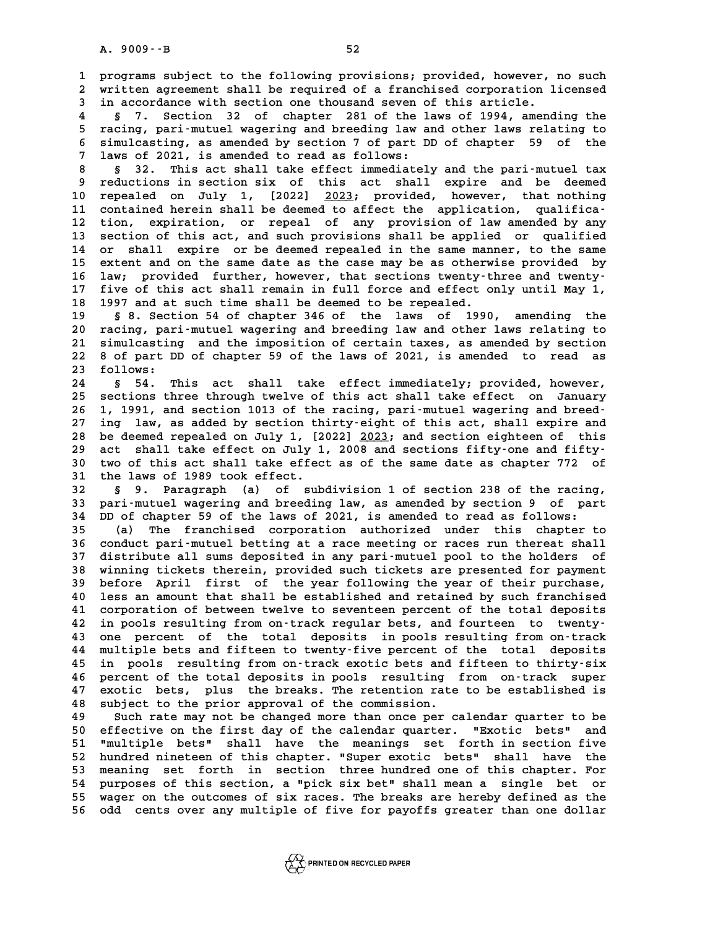**1 programs subject to the following provisions; provided, however, no such 2** programs subject to the following provisions; provided, however, no such<br>2 written agreement shall be required of a franchised corporation licensed<br>3 in aggordance with section one thousand seven of this article **3** programs subject to the following provisions; provided, however, 1<br>2 written agreement shall be required of a franchised corporation 1<br>3 in accordance with section one thousand seven of this article.

%20 written agreement shall be required of a franchised corporation licensed<br>3 in accordance with section one thousand seven of this article.<br>4 § 7. Section 32 of chapter 281 of the laws of 1994, amending the<br>5 racing, par **5 racing, pari-mutuel wagering and breeding law and other laws relating to 6 6 6** s 7. Section 32 of chapter 281 of the laws of 1994, amending the<br> **6 simulcasting, as amended by section 7 of part DD of chapter 59 of the**<br> **6 simulcasting, as amended by section 7 of part DD of chapter 59 of** 5 racing, pari-mutuel wagering and breeding law as<br>6 simulcasting, as amended by section 7 of part D.<br>7 laws of 2021, is amended to read as follows:<br>8 522 mbig act shall take offect impediately 8 simulcasting, as amended by section 7 of part DD of chapter 59 of the<br>
7 laws of 2021, is amended to read as follows:<br>
8 32. This act shall take effect immediately and the pari-mutuel tax<br>
8 reductions in section six of

9 1 aws of 2021, is amended to read as follows:<br>
8 § 32. This act shall take effect immediately and the pari-mutuel tax<br>
9 reductions in section six of this act shall expire and be deemed<br>
10 repealed on July 1, [2022] 202 8 § 32. This act shall take effect immediately and the pari-mutuel tax<br>9 reductions in section six of this act shall expire and be deemed<br>10 repealed on July 1, [2022] 2023; provided, however, that nothing<br>11 contained ber 9 reductions in section six of this act shall expire and be deemed<br>
10 repealed on July 1, [2022] <u>2023</u>; provided, however, that nothing<br>
11 contained herein shall be deemed to affect the application, qualifica-<br>
<sup>12</sup> tio 10 repealed on July 1, [2022] 2023; provided, however, that nothing<br>11 contained herein shall be deemed to affect the application, qualifica-<br>12 tion, expiration, or repeal of any provision of law amended by any<br>13 section 11 contained herein shall be deemed to affect the application, qualifica-<br>12 tion, expiration, or repeal of any provision of law amended by any<br>13 section of this act, and such provisions shall be applied or qualified<br>14 o 12 tion, expiration, or repeal of any provision of law amended by any<br>13 section of this act, and such provisions shall be applied or qualified<br>14 or shall expire or be deemed repealed in the same manner, to the same<br>15 or 13 section of this act, and such provisions shall be applied or qualified<br>14 or shall expire or be deemed repealed in the same manner, to the same<br>15 extent and on the same date as the case may be as otherwise provided by<br> 14 or shall expire or be deemed repealed in the same manner, to the same<br>
15 extent and on the same date as the case may be as otherwise provided by<br>
16 law; provided further, however, that sections twenty-three and twenty 15 extent and on the same date as the case may be as otherwise provided by<br>16 law; provided further, however, that sections twenty-three and twenty-<br>17 five of this act shall remain in full force and effect only until May 16 law; provided further, however, that sections twenty-t<br>17 five of this act shall remain in full force and effect of<br>18 1997 and at such time shall be deemed to be repealed.<br>19 5 8 Soction 54 of chapter 346 of the laws o

17 five of this act shall remain in full force and effect only until May 1,<br>18 1997 and at such time shall be deemed to be repealed.<br>19 \$ 8. Section 54 of chapter 346 of the laws of 1990, amending the<br>20 racing, pari-mutue 18 1997 and at such time shall be deemed to be repealed.<br>
19 § 8. Section 54 of chapter 346 of the laws of 1990, amending the<br>
20 racing, pari-mutuel wagering and breeding law and other laws relating to<br>
21 simulasting and **20 s 8. Section 54 of chapter 346 of the laws of 1990, amending the racing, pari-mutuel wagering and breeding law and other laws relating to simulcasting and the imposition of certain taxes, as amended by section**<br>22 s of 20 racing, pari-mutuel wagering and breeding law and other laws relating to<br>21 simulcasting and the imposition of certain taxes, as amended by section<br>22 8 of part DD of chapter 59 of the laws of 2021, is amended to read a 21 simulcastin<br>22 8 of part D.<br>23 follows:<br>24 8 54 m. 22 8 of part DD of chapter 59 of the laws of 2021, is amended to read as<br>23 follows:<br>8 54. This act shall take effect immediately; provided, however,<br>25 sections three through typing of this ast shall take effect on Januar

23 follows:<br>24 § 54. This act shall take effect immediately; provided, however,<br>25 sections three through twelve of this act shall take effect on January<br>26 1 1991 and Section 1913 of the racing pari mutuel westing and bro 8 54. This act shall take effect immediately; provided, however,<br>25 sections three through twelve of this act shall take effect on January<br>26 1, 1991, and section 1013 of the racing, pari-mutuel wagering and breed-<br><sup>27</sup> in 25 sections three through twelve of this act shall take effect on January<br>26 1, 1991, and section 1013 of the racing, pari-mutuel wagering and breed-<br>27 ing law, as added by section thirty-eight of this act, shall expire a 1, 1991, and section 1013 of the racing, pari-mutuel wagering and breed-<br>27 ing law, as added by section thirty-eight of this act, shall expire and<br>28 be deemed repealed on July 1, [2022] 2023; and section eighteen of this 27 ing law, as added by section thirty-eight of this act, shall expire and<br>
28 be deemed repealed on July 1, [2022] <u>2023</u>; and section eighteen of this<br>
29 act shall take effect on July 1, 2008 and sections fifty-one and 28 be deemed repealed on July 1, [2022] <u>2023</u>; and section eighteen of this<br>29 act shall take effect on July 1, 2008 and sections fifty-one and fifty-<br>30 two of this act shall take effect as of the same date as chapter 77 29 act shall take effect on July 1<br>30 two of this act shall take effec<br>31 the laws of 1989 took effect. **30 two of this act shall take effect as of the same date as chapter 772 of<br>31 the laws of 1989 took effect.<br>32 § 9. Paragraph (a) of subdivision 1 of section 238 of the racing,<br>33 pari-mutuel wagering and breeding law, as** 

31 the laws of 1989 took effect.<br>32 § 9. Paragraph (a) of subdivision 1 of section 238 of the racing,<br>33 pari-mutuel wagering and breeding law, as amended by section 9 of part<br>34 PD of ghaptor 59 of the laws of 2021, is am **32** § 9. Paragraph (a) of subdivision 1 of section 238 of the racing<br>33 pari-mutuel wagering and breeding law, as amended by section 9 of par<br>34 DD of chapter 59 of the laws of 2021, is amended to read as follows:<br>25 (a) **33 pari-mutuel wagering and breeding law, as amended by section 9 of part**<br>**34 DD of chapter 59 of the laws of 2021, is amended to read as follows:**<br>**35** (a) The franchised corporation authorized under this chapter to<br>**36** 

**34 DD of chapter 59 of the laws of 2021, is amended to read as follows:**<br>35 (a) The franchised corporation authorized under this chapter to<br>36 conduct pari-mutuel betting at a race meeting or races run thereat shall<br>27 di **35** (a) The franchised corporation authorized under this chapter to conduct pari-mutuel betting at a race meeting or races run thereat shall<br>37 distribute all sums deposited in any pari-mutuel pool to the holders of<br>18 wi 36 conduct pari-mutuel betting at a race meeting or races run thereat shall<br>37 distribute all sums deposited in any pari-mutuel pool to the holders of<br>38 winning tickets therein, provided such tickets are presented for pay **37 distribute all sums deposited in any pari-mutuel pool to the holders of<br>38 winning tickets therein, provided such tickets are presented for payment<br>39 before April first of the year following the year of their purchase 40 less an amount that shall be established and retained by such franchised 40 before April first of the year following the year of their purchase,**<br>40 less an amount that shall be established and retained by such franchised<br>41 corporation of between twelve to seventeen percent of the total depos 40 less an amount that shall be established and retained by such franchised<br>41 corporation of between twelve to seventeen percent of the total deposits<br>42 in pools resulting from on-track regular bets, and fourteen to twen 41 corporation of between twelve to seventeen percent of the total deposits<br>42 in pools resulting from on-track regular bets, and fourteen to twenty-<br>43 one percent of the total deposits in pools resulting from on-track<br>44 42 in pools resulting from on-track regular bets, and fourteen to twenty-<br>43 one percent of the total deposits in pools resulting from on-track<br>44 multiple bets and fifteen to twenty-five percent of the total deposits<br>in p 43 one percent of the total deposits in pools resulting from on-track<br>44 multiple bets and fifteen to twenty-five percent of the total deposits<br>45 in pools resulting from on-track exotic bets and fifteen to thirty-six<br>46 p 44 multiple bets and fifteen to twenty-five percent of the total deposits<br>45 in pools resulting from on-track exotic bets and fifteen to thirty-six<br>46 percent of the total deposits in pools resulting from on-track super<br>47 45 in pools resulting from on-track exotic bets and fifteen to thirty-six<br>46 percent of the total deposits in pools resulting from on-track super<br>47 exotic bets, plus the breaks. The retention rate to be established is<br>48 46 percent of the total deposits in pools resulting<br>47 exotic bets, plus the breaks. The retention rate<br>48 subject to the prior approval of the commission.<br><sup>49</sup> such rate may not be changed may than ange por G **47 exotic bets, plus the breaks. The retention rate to be established is**<br>48 subject to the prior approval of the commission.<br>49 Such rate may not be changed more than once per calendar quarter to be<br>50 offective on the f

**50 effect to the prior approval of the commission.**<br> **50 effective on the first day of the calendar quarter. "Exotic bets" and<br>
<b>Exotic bets"** and<br> **Exotic bets"** shall have the meanings set forth in section five Such rate may not be changed more than once per calendar quarter to be<br>50 effective on the first day of the calendar quarter. "Exotic bets" and<br>51 "multiple bets" shall have the meanings set forth in section five<br>bundred p 50 effective on the first day of the calendar quarter. "Exotic bets" and<br>51 "multiple bets" shall have the meanings set forth in section five<br>52 hundred nineteen of this chapter. "Super exotic bets" shall have the<br>53 meani 51 "multiple bets" shall have the meanings set forth in section five<br>52 hundred nineteen of this chapter. "Super exotic bets" shall have the<br>53 meaning set forth in section three hundred one of this chapter. For<br>54 purpose 52 hundred nineteen of this chapter. "Super exotic bets" shall have the<br>53 meaning set forth in section three hundred one of this chapter. For<br>54 purposes of this section, a "pick six bet" shall mean a single bet or<br>55 wea 53 meaning set forth in section three hundred one of this chapter. For<br>54 purposes of this section, a "pick six bet" shall mean a single bet or<br>55 wager on the outcomes of six races. The breaks are hereby defined as the<br>56 55 wager on the outcomes of six races. The breaks are hereby defined as the<br>56 odd cents over any multiple of five for payoffs greater than one dollar

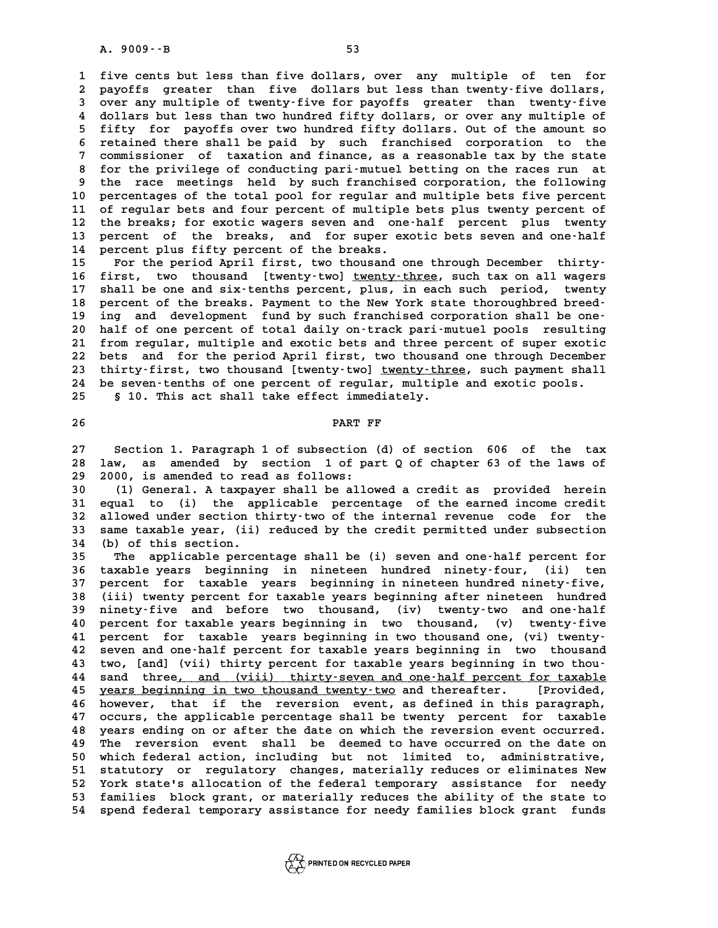**1 five cents but less than five dollars, over any multiple of ten for** 1 five cents but less than five dollars, over any multiple of ten for<br>2 payoffs greater than five dollars but less than twenty-five dollars,<br>3 over any multiple of twenty-five for payoffs, greater, than twenty-five 1 five cents but less than five dollars, over any multiple of ten for<br>2 payoffs greater than five dollars but less than twenty-five dollars,<br>3 over any multiple of twenty-five for payoffs greater than twenty-five<br>4 dollars 2 payoffs greater than five dollars but less than twenty-five dollars,<br>3 over any multiple of twenty-five for payoffs greater than twenty-five<br>4 dollars but less than two hundred fifty dollars, or over any multiple of<br>5 fi Figure 1 for payoffs over any multiple of twenty-five for payoffs greater than twenty-five<br>4 dollars but less than two hundred fifty dollars, or over any multiple of<br>5 fifty for payoffs over two hundred fifty dollars. Out 4 dollars but less than two hundred fifty dollars, or over any multiple of<br>5 fifty for payoffs over two hundred fifty dollars. Out of the amount so<br>6 retained there shall be paid by such franchised corporation to the<br>7 com 5 fifty for payoffs over two hundred fifty dollars. Out of the amount so<br>6 retained there shall be paid by such franchised corporation to the<br>7 commissioner of taxation and finance, as a reasonable tax by the state<br>for the **8 retained there shall be paid by such franchised corporation to the commissioner of taxation and finance, as a reasonable tax by the state for the privilege of conducting pari-mutuel betting on the races run at**<br>the race 9 commissioner of taxation and finance, as a reasonable tax by the state<br>8 for the privilege of conducting pari-mutuel betting on the races run at<br>9 the race meetings held by such franchised corporation, the following<br>10 p 8 for the privilege of conducting pari-mutuel betting on the races run at<br>9 the race meetings held by such franchised corporation, the following<br>10 percentages of the total pool for regular and multiple bets five percent<br>1 9 the race meetings held by such franchised corporation, the following<br>10 percentages of the total pool for regular and multiple bets five percent<br>11 of regular bets and four percent of multiple bets plus twenty percent of 10 percentages of the total pool for regular and multiple bets five percent<br>11 of regular bets and four percent of multiple bets plus twenty percent of<br>12 the breaks; for exotic wagers seven and one-half percent plus twent 11 of regular bets and four percent of multiple bets plus twenty percent of<br>12 the breaks; for exotic wagers seven and one-half percent plus twenty<br>13 percent of the breaks, and for super exotic bets seven and one-half<br>14 **14 percent plus fifty percent of the breaks.** 13 percent of the breaks, and for super exotic bets seven and one-half<br>
14 percent plus fifty percent of the breaks.<br>
15 For the period April first, two thousand one through December thirty-<br>
16 first, two thousand [twenty

**16 first, two thousand [twenty-two] <u>twenty-three</u>, such tax on all wagers<br>17 shall be one and six-tenths percent, plus, in each such period, twenty** For the period April first, two thousand one through December thirty-<br>16 first, two thousand [twenty-two] <u>twenty-three</u>, such tax on all wagers<br>17 shall be one and six-tenths percent, plus, in each such period, twenty<br>18 16 first, two thousand [twenty-two] <u>twenty-three</u>, such tax on all wagers<br>17 shall be one and six-tenths percent, plus, in each such period, twenty<br>18 percent of the breaks. Payment to the New York state thoroughbred bree 17 shall be one and six-tenths percent, plus, in each such period, twenty<br>
18 percent of the breaks. Payment to the New York state thoroughbred breed-<br>
19 ing and development fund by such franchised corporation shall be on 18 percent of the breaks. Payment to the New York state thoroughbred breed-<br>19 ing and development fund by such franchised corporation shall be one-<br>20 half of one percent of total daily on-track pari-mutuel pools resultin <sup>21</sup> ing and development fund by such franchised corporation shall be one-<br>
20 half of one percent of total daily on-track pari-mutuel pools resulting<br>
21 from regular, multiple and exotic bets and three percent of super e 20 half of one percent of total daily on-track pari-mutuel pools resulting<br>21 from regular, multiple and exotic bets and three percent of super exotic<br>22 bets and for the period April first, two thousand one through Decemb 21 from regular, multiple and exotic bets and three percent of super exotic<br>22 bets and for the period April first, two thousand one through December<br>23 thirty-first, two thousand [twenty-two] <u>twenty-three</u>, such payment 22 bets and for the period April first, two thousand one through December<br>23 thirty-first, two thousand [twenty-two] <u>twenty-three</u>, such payment shall<br>24 be seven-tenths of one percent of regular, multiple and exotic pool 23 thirty-first, two thousand [twenty-two] <u>twenty-three</u>, such payment shall<br>24 be seven-tenths of one percent of regular, multiple and exotic pools.<br>25 \$ 10. This act shall take effect immediately.

8 10. This act shall take effect immediately.<br>26 **PART FF** 

**27 Section 1. Paragraph 1 of subsection (d) of section 606 of the tax** 27 Section 1. Paragraph 1 of subsection (d) of section 606 of the tax<br>28 law, as amended by section 1 of part Q of chapter 63 of the laws of 27 Section 1. Paragraph 1 of subsection<br>28 law, as amended by section 1 of pa<br>29 2000, is amended to read as follows:<br><sup>20</sup> (1) Conoral A taunaucr shall be allow 18 law, as amended by section 1 of part Q of chapter 63 of the laws of<br>
29 2000, is amended to read as follows:<br>
30 (1) General. A taxpayer shall be allowed a credit as provided herein<br>
31 equal to (i) the applicable perce

29 2000, is amended to read as follows:<br>
30 (1) General. A taxpayer shall be allowed a credit as provided herein<br>
31 equal to (i) the applicable percentage of the earned income credit<br>
32 allowed under section thirty-two o **30** (1) General. A taxpayer shall be allowed a credit as provided herein<br>31 equal to (i) the applicable percentage of the earned income credit<br>32 allowed under section thirty-two of the internal revenue code for the<br>33 sa 31 equal to (i) the applicable percentage of the earned income credit<br>32 allowed under section thirty-two of the internal revenue code for the<br>33 same taxable year, (ii) reduced by the credit permitted under subsection 32 allowed under section the same taxable year, (ii)<br>33 same taxable year, (ii)<br>34 (b) of this section. **33 same taxable year, (ii) reduced by the credit permitted under subsection**<br>**34 (b) of this section.**<br>**35** The applicable percentage shall be (i) seven and one-half percent for<br>**36 taxable years** beginning in nineteen hu

**34 (b) of this section.**<br>
35 The applicable percentage shall be (i) seven and one-half percent for<br>
36 taxable years beginning in nineteen hundred ninety-four, (ii) ten<br>
37 persont for taxable years beginning in nineteen The applicable percentage shall be (i) seven and one-half percent for<br>36 taxable years beginning in nineteen hundred ninety-four, (ii) ten<br>37 percent for taxable years beginning in nineteen hundred ninety-five,<br>38 (ii) typ **36 taxable years beginning in nineteen hundred ninety-four, (ii) ten**<br>37 percent for taxable years beginning in nineteen hundred ninety-five,<br>38 (iii) twenty percent for taxable years beginning after nineteen hundred<br>39 p 37 percent for taxable years beginning in nineteen hundred ninety-five,<br>38 (iii) twenty percent for taxable years beginning after nineteen hundred<br>39 ninety-five and before two thousand, (iv) twenty-two and one-half<br>40 per **40 (ii) twenty percent for taxable years beginning after nineteen hundred**<br> **40 percent for taxable years beginning in two thousand, (v) twenty-five**<br> **40 percent for taxable years beginning in two thousand, (v) twenty-fi** 19 ninety-five and before two thousand, (iv) twenty-two and one-half<br>
40 percent for taxable years beginning in two thousand, (v) twenty-five<br>
41 percent for taxable years beginning in two thousand one, (vi) twenty-<br>
<sup>42</sup> 41 percent for taxable years beginning in two thousand one, (vi) twenty-<br>42 seven and one-half percent for taxable years beginning in two thousand<br>43 two, [and] (vii) thirty percent for taxable years beginning in two thou-**41 percent for taxable years beginning in two thousand one, (vi) twenty-**<br>42 seven and one-half percent for taxable years beginning in two thousand<br>43 two, [and] (vii) thirty percent for taxable years beginning in two tho 42 seven and one-half percent for taxable years beginning in two thousand<br>43 two, [and] (vii) thirty percent for taxable years beginning in two thou-<br>44 sand three<u>, and (viii) thirty-seven and one-half percent for taxable</u> **43 two, [and] (vii) thirty percent for taxable years beginning in two thou-<br>44 sand three<u>, and (viii) thirty-seven and one-half percent for taxable<br><u>years beginning in two thousand twenty-two</u> and thereafter. [Provided,<br>**</u> 44 sand three<u>, and (viii) thirty-seven and one-half percent for taxable<br>45 years beginning in two thousand twenty-two and thereafter. [Provided,<br>46 however, that if the reversion event, as defined in this paragraph,<br>27 eq</u> **45 years beginning in two thousand twenty-two and thereafter.** [Provided, however, that if the reversion event, as defined in this paragraph, occurs, the applicable percentage shall be twenty percent for taxable As however, that if the reversion event, as defined in this paragraph,<br>47 occurs, the applicable percentage shall be twenty percent for taxable<br>48 years ending on or after the date on which the reversion event occurred.<br><sup>4</sup> 47 occurs, the applicable percentage shall be twenty percent for taxable<br>48 years ending on or after the date on which the reversion event occurred.<br>49 The reversion event shall be deemed to have occurred on the date on<br>50 For the search of the same of the date on which the reversion event occurred.<br> **49** The reversion event shall be deemed to have occurred on the date on<br> **50** which federal action, including but not limited to, administrati The reversion event shall be deemed to have occurred on the date on<br>50 which federal action, including but not limited to, administrative,<br>51 statutory or regulatory changes, materially reduces or eliminates New<br>52 York st 50 which federal action, including but not limited to, administrative,<br>51 statutory or regulatory changes, materially reduces or eliminates New<br>52 York state's allocation of the federal temporary assistance for needy<br>53 fa 51 statutory or regulatory changes, materially reduces or eliminates New<br>52 York state's allocation of the federal temporary assistance for needy<br>53 families block grant, or materially reduces the ability of the state to<br>5 51 statutory or regulatory changes, materially reduces or eliminates New<br>52 York state's allocation of the federal temporary assistance for needy<br>53 families block grant, or materially reduces the ability of the state to<br>5



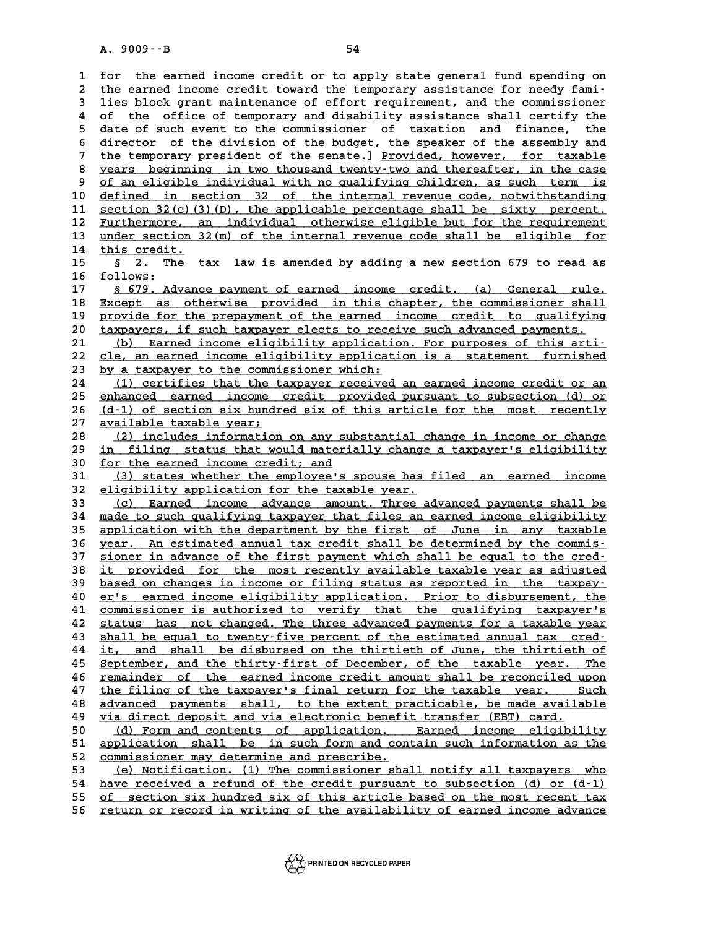**1 for the earned income credit or to apply state general fund spending on** 1 for the earned income credit or to apply state general fund spending on<br>2 the earned income credit toward the temporary assistance for needy fami-<br>3 lies block grapt maintenance of effort requirement, and the commissione 1 for the earned income credit or to apply state general fund spending on<br>2 the earned income credit toward the temporary assistance for needy fami-<br>3 lies block grant maintenance of effort requirement, and the commissione the earned income credit toward the temporary assistance for needy fami-<br>
ies block grant maintenance of effort requirement, and the commissioner<br>
4 of the office of temporary and disability assistance shall certify the<br>
5 3 lies block grant maintenance of effort requirement, and the commissioner<br>4 of the office of temporary and disability assistance shall certify the<br>5 date of such event to the commissioner of taxation and finance, the<br>dire 4 of the office of temporary and disability assistance shall certify the<br>5 date of such event to the commissioner of taxation and finance, the<br>6 director of the division of the budget, the speaker of the assembly and<br><sup>7</sup> t 5 date of such event to the commissioner of taxation and finance, the<br>6 director of the division of the budget, the speaker of the assembly and<br>7 the temporary president of the senate.] <u>Provided, however, for taxable</u><br>8 y 8 director of the division of the budget, the speaker of the assembly and<br>
7 the temporary president of the senate.] <u>Provided, however, for taxable</u><br>
8 years beginning in two thousand twenty-two and thereafter, in the cas 7 the temporary president of the senate.] <u>Provided, however, for taxable</u><br>8 years beginning in two thousand twenty-two and thereafter, in the case<br>9 of an eligible individual with no qualifying children, as such term is<br>1 8 years beginning in two thousand twenty-two and thereafter, in the case<br>
9 <u>of an eligible individual with no qualifying children, as such term is</u><br>
10 <u>defined in section 32 of the internal revenue code, notwithstanding</u> of an eligible individual with no qualifying children, as such term is<br>
10 <u>defined in section 32 of the internal revenue code</u>, notwithstanding<br>
11 <u>section 32(c)(3)(D), the applicable percentage shall be sixty percent.</u><br> defined in section 32 of the internal revenue code, notwithstanding<br>
11 <u>section 32(c)(3)(D), the applicable percentage shall be sixty percent.</u><br>
12 Furthermore, an individual otherwise eligible but for the requirement<br>
13 11 <u>section 32(c)(3)(D), the applicable percentage shall be sixty percent.</u><br>12 <u>Furthermore, an individual otherwise eligible but for the requirement</u><br>13 <u>under section 32(m) of the internal revenue code shall be eligible </u> 11 <u>section 32(c)(3)(D), the applicable percentage shall be sixty percent.<br>
12 Furthermore, an individual otherwise eligible but for the requirement<br>
13 <u>under section 32(m)</u> of the internal revenue code shall be eligible </u> **13** <u>under section 32(m) of the internal revenue code shall be eligible for</u><br>14 <u>this credit.</u><br>5 3 2. The tax law is amended by adding a new section 679 to read as<br>16 follows. 14 <u>this credit.</u><br>15 § 2. The<br>16 follows:<br>17 § 679. Adva 17 § 679. Advance payment of earned income credit. (a) General rule.<br>18 Except as otherwise provided in this chapter, the commissioner shall **16** follows:<br>17 <u>§ 679. Advance payment of earned income credit. (a) General rule.<br>18 Except as otherwise provided in this chapter, the commissioner shall<br>provide for the properment of the eerned income gredit to gualifyi</u> **17** § 679. Advance payment of earned income credit. (a) General rule.<br> **B** Except as otherwise provided in this chapter, the commissioner shall<br> **provide for the prepayment of the earned income credit to qualifying<br>
the p** Except as otherwise provided in this chapter, the commissioner shall<br>
19 provide for the prepayment of the earned income credit to qualifying<br>
20 taxpayers, if such taxpayer elects to receive such advanced payments.<br>
(b) F 20 <u>taxpayers, if such taxpayer elects to receive such advanced payments.<br>
21 (b) Earned income eligibility application. For purposes of this arti-<br>
22 cle, an earned income eligibility application is a statement furnished</u> 20 taxpayers, if such taxpayer elects to receive such advanced payments.<br>
21 (b) Earned income eligibility application. For purposes of this arti-<br>
22 cle, an earned income eligibility application is a statement furnished<br> 21 (b) Earned income eligibility application<br>
22 <u>cle, an earned income eligibility application</u><br>
23 by a taxpayer to the commissioner which:<br>
24 (1) cortifies that the taxpayer required <u>by a taxpayer to the commissioner which:</u><br>24 <u>(1) certifies that the taxpayer received an earned income credit or an</u><br>25 enhanced earned income credit provided pursuant to subsection (d) or by a taxpayer to the commissioner which:<br>
24 (1) certifies that the taxpayer received an earned income credit or an<br>
25 enhanced earned income credit provided pursuant to subsection (d) or<br>
26 (d.1) of costion six hurdred 24 (1) certifies that the taxpayer received an earned income credit or an<br>25 enhanced earned income credit provided pursuant to subsection (d) or<br>26 (d-1) of section six hundred six of this article for the most recently 25 <u>enhanced earned income</u><br>26 <u>(d-1) of section six hundr</u><br>27 <u>available taxable year;</u><br>28 (2) includes information <u>(d-1) of section six hundred six of this article for the most recently</u><br>27 <u>available taxable year;</u><br>28 (2) includes information on any substantial change in income or change<br>29 in filing status that would materially chan **27** <u>available taxable year;</u><br>
28 (2) includes information on any substantial change in income or change<br>
29 in filing status that would materially change a taxpayer's eligibility<br>
20 for the expred income gredit, and **38 (2) includes information on any sum 29 in filing status that would materially for the earned income credit; and**<br> **30 for the earned income credit; and**<br> **31 (3) states whether the employee! 39** <u>in filing status that would materially change a taxpayer's eligibility</u><br> **30** <u>for the earned income credit; and</u><br> **31** (3) states whether the employee's spouse has filed an earned income<br> **22** eligibility analizatio **30** <u>for the earned income credit; and</u><br> **31** (3) states whether the employee's spouse has f<br>
<u>eligibility application for the taxable year.</u><br> **33** (c) Farned income advance amount Three ad: 31 (3) states whether the employee's spouse has filed an earned income<br>32 eligibility application for the taxable year.<br>33 (c) Earned income advance amount. Three advanced payments shall be<br><sup>34</sup> made to such gualifying tax 32 eligibility application for the taxable year.<br>
33 (c) Earned income advance amount. Three advanced payments shall be<br>
34 made to such qualifying taxpayer that files an earned income eligibility<br>
35 application with the 33 (c) Earned income advance amount. Three advanced payments shall be<br>34 <u>made to such qualifying taxpayer that files an earned income eligibility</u><br>35 application with the department by the first of June in any taxable<br>36 34 <u>made to such qualifying taxpayer that files an earned income eligibility</u><br>35 <u>application with the department by the first of June in any taxable</u><br>36 year. An estimated annual tax credit shall be determined by the comm 35 application with the department by the first of June in any taxable<br>36 year. An estimated annual tax credit shall be determined by the commis-<br>37 sioner in advance of the first payment which shall be equal to the cred-<br> **36 year. An estimated annual tax credit shall be determined by the commis-**<br> **37 sioner in advance of the first payment which shall be equal to the cred-**<br> **38 it provided for the most recently available taxable year as a** 37 <u>sioner in advance of the first payment which shall be equal to the cred-</u><br>38 <u>it provided for the most recently available taxable year as adjusted</u><br>based on changes in income or filing status as reported in the taxpay-**40 it provided for the most recently available taxable year as adjusted**<br> **40 er's earned income eligibility application.** Prior to disbursement, the<br> **20 er's earned income eligibility application.** Prior to disbursement based on changes in income or filing status as reported in the taxpay-<br>
40 er's earned income eligibility application. Prior to disbursement, the<br>
41 commissioner is authorized to verify that the qualifying taxpayer's<br>
42 **40** er's earned income eligibility application. Prior to disbursement, the commissioner is authorized to verify that the qualifying taxpayer's status has not changed. The three advanced payments for a taxable year shall b 41 <u>commissioner is authorized to verify that the qualifying taxpayer's</u><br>42 <u>status has not changed. The three advanced payments for a taxable year</u><br><u>shall be equal to twenty-five percent of the estimated annual tax cred-</u> 42 <u>status has not changed. The three advanced payments for a taxable year</u><br>43 <u>shall be equal to twenty-five percent of the estimated annual tax cred-</u><br>44 <u>it, and shall be disbursed on the thirtieth of June, the thirtiet</u> **43** shall be equal to twenty-five percent of the estimated annual tax cred-<br> **44** it, and shall be disbursed on the thirtieth of June, the thirtieth of<br> **Explember, and the thirty-first of December, of the taxable year. T 44** it, and shall be disbursed on the thirtieth of June, the thirtieth of<br>45 September, and the thirty-first of December, of the taxable year. The<br>46 <u>remainder of the earned income credit amount shall be reconciled upon</u> **45 September, and the thirty-first of December, of the taxable year.** The remainder of the earned income credit amount shall be reconciled upon the filing of the taxpayer's final return for the taxable year. Such advanc **46** <u>remainder of the earned income credit amount shall be reconciled upon</u><br>47 <u>the filing of the taxpayer's final return for the taxable year. Such</u><br>advanced payments shall, to the extent practicable, be made available<br>w the filing of the taxpayer's final return for the taxable year. S<br> **48** advanced payments shall, to the extent practicable, be made availa<br> **49** via direct deposit and via electronic benefit transfer (EBT) card.<br>
(d) Form **50 advanced payments shall, to the extent practicable, be made available**<br> **50** (d) Form and contents of application. Earned income eligibility<br> **Examplication** shall be in such form and contain such information as the **Form and contents of application.** Earned income eligibility<br> **51** <u>application shall be in such form and contain such information as the</u><br> **Examplication shall be in such form and contain such information as the**<br> **Examp** 50 (d) Form and contents of application.<br>
51 application shall be in such form and con<br>
<u>commissioner may determine and prescribe.</u><br>
53 (e) Notification (1) The commissioner sha 51 <u>application shall be in such form and contain such information as the commissioner may determine and prescribe.<br>
53 (e) Notification. (1) The commissioner shall notify all taxpayers who<br>
54 have received a refund of th</u> 52 <u>commissioner may determine and prescribe.</u><br>53 (e) Notification. (1) The commissioner shall notify all taxpayers who<br>54 have received a refund of the credit pursuant to subsection (d) or (d-1)<br>55 of section six bundred 53 (e) Notification. (1) The commissioner shall notify all taxpayers who<br>54 have received a refund of the credit pursuant to subsection (d) or (d-1)<br>55 <u>of section six hundred six of this article based on the most recent t</u> 55 <u>of section six hundred six of this article based on the most recent tax</u><br>56 <u>return or record in writing of the availability of earned income advance</u>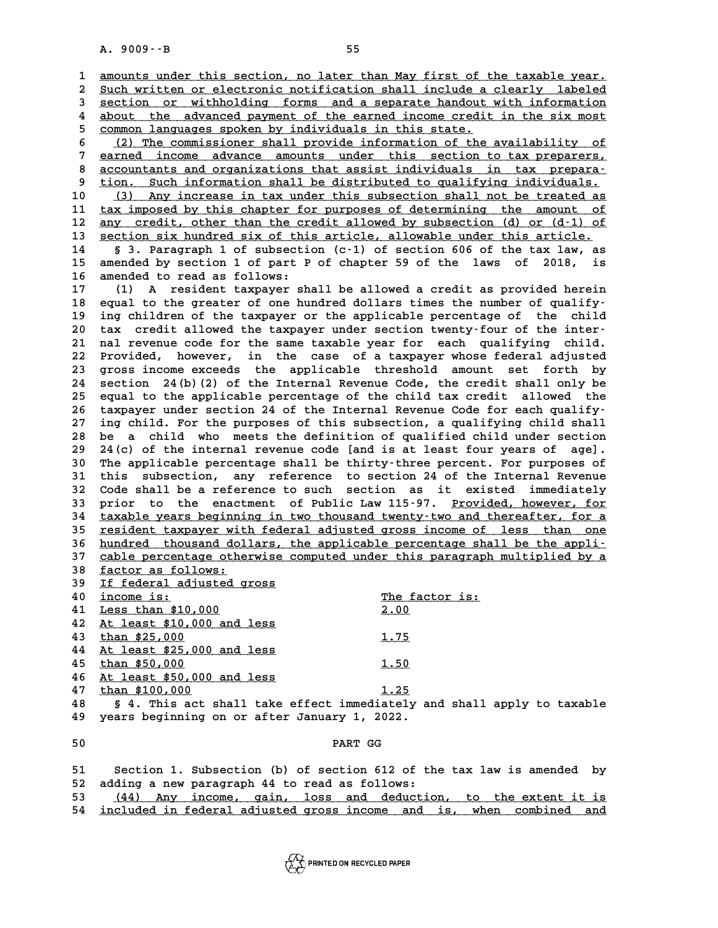A. 9009 $\cdot$ -B<br>1 <u>amounts under this section, no later than May first of the taxable year.</u> **2 Such written or electronic notification shall include a clearly labeled \_\_\_\_\_\_\_\_\_\_\_\_\_\_\_\_\_\_\_\_\_\_\_\_\_\_\_\_\_\_\_\_\_\_\_\_\_\_\_\_\_\_\_\_\_\_\_\_\_\_\_\_\_\_\_\_\_\_\_\_\_\_\_\_\_\_\_\_\_\_\_\_** 3 <u>section or withholding forms and a separate handout with information</u><br>4 about the advanced payment of the earned income credit in the six most 2 Such written or electronic notification shall include a clearly labeled<br>
3 section or withholding forms and a separate handout with information<br>
4 about the advanced payment of the earned income credit in the six most<br>
5 **5 section or withholding forms and a separate handout**<br>4 about the advanced payment of the earned income credit<br>5 common languages spoken by individuals in this state.<br>(2) The commissioner shall provide information of the 4 about the advanced payment of the earned income credit in the six most<br>
5 <u>common languages spoken by individuals in this state.</u><br>
6 (2) The commissioner shall provide information of the availability of<br>
2 carred income 5 common languages spoken by individuals in this state.<br>
(2) The commissioner shall provide information of the availability of<br>
<u>earned income</u> advance amounts under this section to tax preparers,<br>
consultants and exercist 8 (2) The commissioner shall provide information of the availability of<br> **earned** income advance amounts under this section to tax preparers,<br>
<u>accountants and organizations that assist individuals in tax prepara-</u><br>
tion S **9** earned income advance amounts under this section to tax preparers,<br> **accountants and organizations that assist individuals in tax prepara-**<br> **p** tion. Such information shall be distributed to qualifying individuals.<br>
( 8 accountants and organizations that assist individuals in tax prepara-<br>
9 tion. Such information shall be distributed to qualifying individuals.<br>
10 (3) Any increase in tax under this subsection shall not be treated as<br>
<sup></sup> <sup>9</sup> tion. Such information shall be distributed to qualifying individuals.<br>
10 (3) Any increase in tax under this subsection shall not be treated as<br>
11 tax imposed by this chapter for purposes of determining the amount of 10 (3) Any increase in tax under this subsection shall not be treated as<br>
11 tax imposed by this chapter for purposes of determining the amount of<br>
12 any credit, other than the credit allowed by subsection (d) or (d-1) of 11 <u>tax imposed by this chapter for purposes of determining the amount of</u><br>12 <u>any credit, other than the credit allowed by subsection (d) or (d-1) of<br>13 section six hundred six of this article, allowable under this articl</u> **12 any credit, other than the credit allowed by subsection (d) or (d-1) of section six hundred six of this article, allowable under this article.**<br>14 § 3. Paragraph 1 of subsection (c-1) of section 606 of the tax law, as<br> **13 section six hundred six of this article, allowable under this article.**<br> **14** § 3. Paragraph 1 of subsection (c-1) of section 606 of the tax law, as<br> **15** amended by section 1 of part P of chapter 59 of the laws of 2 14 § 3. Paragraph 1 of subsecti<br>15 amended by section 1 of part P<br>16 amended to read as follows:<br><sup>17</sup> (1) a regident termsuce ch **15 amended by section 1 of part P of chapter 59 of the laws of 2018, is<br>16 amended to read as follows:**<br>17 (1) A resident taxpayer shall be allowed a credit as provided herein<br>18 acrea in the grapher of ano hundred dollar 16 amended to read as follows:<br>
17 (1) A resident taxpayer shall be allowed a credit as provided herein<br>
18 equal to the greater of one hundred dollars times the number of qualify-<br>
19 ing children of the taxpayer or the a **17** (1) A resident taxpayer shall be allowed a credit as provided herein<br>18 equal to the greater of one hundred dollars times the number of qualify-<br>19 ing children of the taxpayer or the applicable percentage of the chil 18 equal to the greater of one hundred dollars times the number of qualify-<br>
19 ing children of the taxpayer or the applicable percentage of the child<br>
20 tax credit allowed the taxpayer under section twenty-four of the in <sup>19</sup> ing children of the taxpayer or the applicable percentage of the child<br>20 tax credit allowed the taxpayer under section twenty-four of the inter-<br>21 nal revenue code for the same taxable year for each qualifying child 20 tax credit allowed the taxpayer under section twenty-four of the inter-<br>21 nal revenue code for the same taxable year for each qualifying child.<br>22 Provided, however, in the case of a taxpayer whose federal adjusted<br>23 21 nal revenue code for the same taxable year for each qualifying child.<br>22 Provided, however, in the case of a taxpayer whose federal adjusted<br>23 gross income exceeds the applicable threshold amount set forth by<br>24 sectio 22 Provided, however, in the case of a taxpayer whose federal adjusted<br>23 gross income exceeds the applicable threshold amount set forth by<br>24 section 24(b)(2) of the Internal Revenue Code, the credit shall only be<br>25 equa 23 gross income exceeds the applicable threshold amount set forth by<br>24 section 24(b)(2) of the Internal Revenue Code, the credit shall only be<br>25 equal to the applicable percentage of the child tax credit allowed the<br>26 t **26 taxpayer under section 24 of the Internal Revenue Code for each qualify-27 ing child. For the purposes of this subsection, a qualifying child shall** 26 taxpayer under section 24 of the Internal Revenue Code for each qualify-<br>27 ing child. For the purposes of this subsection, a qualifying child shall<br>28 be a child who meets the definition of qualified child under sectio 27 ing child. For the purposes of this subsection, a qualifying child shall<br>28 be a child who meets the definition of qualified child under section<br>29 24(c) of the internal revenue code [and is at least four years of age]. **30 be a child who meets the definition of qualified child under section**<br> **30 24(c) of the internal revenue code [and is at least four years of age].**<br> **30 The applicable percentage shall be thirty-three percent. For purp** 29 24(c) of the internal revenue code [and is at least four years of age].<br>30 The applicable percentage shall be thirty-three percent. For purposes of<br>31 this subsection, any reference to section 24 of the Internal Revenue The applicable percentage shall be thirty-three percent. For purposes of<br>31 this subsection, any reference to section 24 of the Internal Revenue<br>32 Code shall be a reference to such section as it existed immediately<br>33 pri 31 this subsection, any reference to section 24 of the Internal Revenue<br>32 Code shall be a reference to such section as it existed immediately<br>33 prior to the enactment of Public Law 115-97. <u>Provided, however, for</u><br>24 tax 32 Code shall be a reference to such section as it existed immediately<br>33 prior to the enactment of Public Law 115-97. <u>Provided, however, for</u><br>34 <u>taxable years beginning in two thousand twenty-two and thereafter, for a</u> 33 prior to the enactment of Public Law 115-97. <u>Provided, however, for</u><br>34 <u>taxable years beginning in two thousand twenty-two and thereafter, for a</u><br>35 <u>resident taxpayer with federal adjusted gross income of less than o</u> <sup>1</sup> taxable years beginning in two thousand twenty-two and thereafter, for a<br>
35 <u>resident taxpayer with federal adjusted gross income of less than one</u><br>
36 <u>hundred thousand dollars, the applicable percentage shall be the</u> **15** resident taxpayer with federal adjusted gross income of less than one<br>36 hundred thousand dollars, the applicable percentage shall be the appli-<br>37 cable percentage otherwise computed under this paragraph multiplied b 36 <u>hundred thousand dollars, the applicable percentage shall be the applicable percentage otherwise computed under this paragraph multiplied by a<br>38 <u>factor as follows:</u><br>39 If federal adjusted gross</u> 37 cable percentage otherwise computed under this paragraph multiplied by a<br>
<u>18 factor as follows:</u><br>
39 <u>If federal adjusted gross</u><br>
40 income is:<br>
<sup>The factor is:</sup> 38 <u>factor as follows:</u><br>
<u>16 federal adjusted gross</u><br>
40 <u>income is:</u><br>  $\frac{16}{1000}$  The factor is:<br>  $\frac{10000}{200}$ **19** If federal adjusted gross<br> **40** <u>income is:</u><br> **41** <u>Less than \$10,000</u> **2.00**<br> **42** At least \$10,000 and less **40** <u>income is:</u><br> **41** <u>Less than \$10,000</u><br> **42** <u>At least \$10,000 and less</u><br> **43** than \$25,000 **41** <u>Less than \$10,000</u><br> **42** <u>At least \$10,000</u> and less <br> **43** <u>than \$25,000</u> <br> **1.75**<br> **1.75**<br> **1.75 42 At least \$10,000 and less<br>43 <u>than \$25,000</u><br>44 At least \$25,000 and less<br>45 than \$50,000** 43 **than \$25,000** 1.75<br>44 <u>At least \$25,000 and less</u> 1.75<br>45 **than \$50,000** 1.50<br>1.50 **44** At least \$25,000 and less<br>45 <u>than \$50,000</u><br>46 At least \$50,000 and less<br>47 than \$100,000 45 **than \$50,000** 1.50<br>46 <u>At least \$50,000 and less</u> 1.50<br>47 **than \$100,000** 1.25<br>48 **5.4 This ast shall take offest immediately** as **48 § 4. This act shall take effect immediately and shall apply to taxable** 47 **than \$100,000** 1.25<br>48 § 4. This act shall take effect immediately a<br>49 years beginning on or after January 1, 2022. 9 years beginning on or after January 1, 2022.<br>50 **PART GG 51 Section 1. Subsection (b) of section 612 of the tax law is amended by 52 adding a new paragraph 44 to read as follows:** 51 Section 1. Subsection (b) of section 612 of the tax law is amended by<br>52 adding a new paragraph 44 to read as follows:<br>53 (44) Any income, gain, loss and deduction, to the extent it is<br>54 included in foderal adjusted gr 52 adding a new paragraph 44 to read as follows:<br>53 <u>(44) Any income, gain, loss and deduction, to the extent it is</u><br>54 <u>included in federal adjusted gross income and is, when combined and</u>

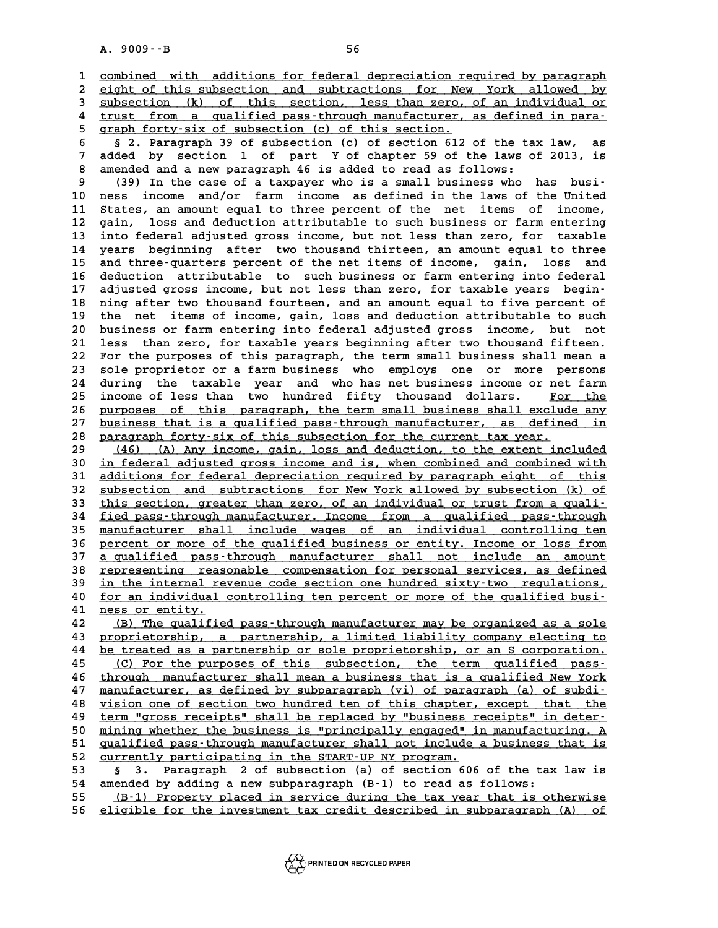A. 9009 · -B<br>1 <u>combined with additions for federal depreciation required by paragraph</u><br>2 cight of this subsection, and subtractions for New York alloyed by 2 <u>combined with additions for federal depreciation required by paragraph</u><br>2 <u>eight of this subsection and subtractions for New York allowed by</u><br>3 subsection (k) of this section, less than zero of an individual or 3 <u>combined with additions for federal depreciation required by paragraph</u><br>2 <u>eight of this subsection and subtractions for New York allowed by<br>3 subsection (k) of this section, less than zero, of an individual or<br>4 trust </u> 4 eight of this subsection and subtractions for New York allowed by<br>
4 subsection (k) of this section, less than zero, of an individual or<br>
4 trust from a qualified pass-through manufacturer, as defined in para-<br> **A** symph 5 **subsection** (k) of this section, less than zero,<br>
4 <u>trust from a qualified pass-through manufacturer,</u><br>
5 **graph forty-six of subsection** (c) of this section. **6 § 2. Paragraph 39 of subsection (c) of section 612 of the tax law, as**

**9 and 5 and 1 of subsection 1 of this section.**<br> **7 added by section 1 of part Y of chapter 59 of the laws of 2013, is**<br> **7 added by section 1 of part Y of chapter 59 of the laws of 2013, is**<br> **8 arough a november of the 8 2. Paragraph 39 of subsection (c) of section 612 of the tail added by section 1 of part Y of chapter 59 of the laws of anended and a new paragraph 46 is added to read as follows:<br>(20) In the gase of a targeter who is a** added by section 1 of part Y of chapter 59 of the laws of 2013, is<br>8 amended and a new paragraph 46 is added to read as follows:<br>9 (39) In the case of a taxpayer who is a small business who has busi-<br>2 acts income and/or f

8 amended and a new paragraph 46 is added to read as follows:<br>
9 (39) In the case of a taxpayer who is a small business who has busi-<br>
10 ness income and/or farm income as defined in the laws of the United<br>
11 states are a 11 (39) In the case of a taxpayer who is a small business who has busi-<br>10 ness income and/or farm income as defined in the laws of the United<br>11 States, an amount equal to three percent of the net items of income,<br>12 gain 10 ness income and/or farm income as defined in the laws of the United<br>11 States, an amount equal to three percent of the net items of income,<br>12 gain, loss and deduction attributable to such business or farm entering<br>into 11 States, an amount equal to three percent of the net items of income,<br>12 gain, loss and deduction attributable to such business or farm entering<br>13 into federal adjusted gross income, but not less than zero, for taxable<br> **14 years beginning after two thousand thirteen, an amount equal to three 15 and three-quarters percent of the net items of income, gain, loss and 16 deduction attributable to such business or farm entering into federal** 15 and three-quarters percent of the net items of income, gain, loss and<br>16 deduction attributable to such business or farm entering into federal<br>17 adjusted gross income, but not less than zero, for taxable years begin-<br>1 16 deduction attributable to such business or farm entering into federal<br>17 adjusted gross income, but not less than zero, for taxable years begin-<br>18 ning after two thousand fourteen, and an amount equal to five percent o 17 adjusted gross income, but not less than zero, for taxable years begin-<br>18 ning after two thousand fourteen, and an amount equal to five percent of<br>19 the net items of income, gain, loss and deduction attributable to su 18 ning after two thousand fourteen, and an amount equal to five percent of<br>19 the net items of income, gain, loss and deduction attributable to such<br>20 business or farm entering into federal adjusted gross income, but not 19 the net items of income, gain, loss and deduction attributable to such<br>20 business or farm entering into federal adjusted gross income, but not<br>21 less than zero, for taxable years beginning after two thousand fifteen.<br> 20 business or farm entering into federal adjusted gross income, but not<br>21 less than zero, for taxable years beginning after two thousand fifteen.<br>22 For the purposes of this paragraph, the term small business shall mean 21 less than zero, for taxable years beginning after two thousand fifteen.<br>22 For the purposes of this paragraph, the term small business shall mean a<br>23 sole proprietor or a farm business who employs one or more persons<br><sup></sup> 22 For the purposes of this paragraph, the term small business shall mean a<br>23 sole proprietor or a farm business who employs one or more persons<br>24 during the taxable year and who has net business income or net farm<br>25 in 23 sole proprietor or a farm business who employs one or more persons<br>24 during the taxable year and who has net business income or net farm<br>25 income of less than two hundred fifty thousand dollars. <u>For the</u><br>26 purposes 24 during the taxable year and who has net business income or net farm<br>25 income of less than two hundred fifty thousand dollars. <u>For the<br>26 purposes of this paragraph, the term small business shall exclude any<br>27 busines</u> 25 income of less than two hundred fifty thousand dollars. <u>For the</u><br>26 <u>purposes of this paragraph, the term small business shall exclude any</u><br>27 <u>business that is a qualified pass-through manufacturer, as defined in</u><br>28 27 <u>business that is a qualified pass-through manufacturer, as defined in</u><br>28 <u>paragraph forty-six of this subsection for the current tax year.</u><br>29 (46) (A) Any income, gain, loss and deduction, to the extent included **27 business that is a qualified pass-through manufacturer, as defined in paragraph forty-six of this subsection for the current tax year.**<br> **29** (46) (A) Any income, gain, loss and deduction, to the extent included in fod

**38 paragraph forty-six of this subsection for the current tax year.**<br> **30** (46) (A) Any income, gain, loss and deduction, to the extent included<br> **30** in federal adjusted gross income and is, when combined and combined wi (46) (A) Any income, gain, loss and deduction, to the extent included<br>
30 <u>in federal adjusted gross income and is, when combined and combined with</u><br>
31 <u>additions for federal depreciation required by paragraph eight of th</u> 30 <u>in federal adjusted gross income and is, when combined and combined with<br>31 <u>additions for federal depreciation required by paragraph eight of this<br>32 subsection and subtractions for New York allowed by subsection (k) </u></u> 31 <u>additions for federal depreciation required by paragraph eight of this<br>32 subsection and subtractions for New York allowed by subsection (k) of<br><sup>21</sup> tied page,through manufacturer, Income from a qualified page,through</u> 32 <u>subsection and subtractions for New York allowed by subsection (k) of this section, greater than zero, of an individual or trust from a quali-<br>34 fied pass-through manufacturer. Income from a qualified pass-through<br>35 </u> 33 this section, greater than zero, of an individual or trust from a quali-<br>34 fied pass-through manufacturer. Income from a qualified pass-through<br>35 manufacturer shall include wages of an individual controlling ten<br>26 ma **34** <u>fied pass-through manufacturer. Income</u> from a qualified pass-through<br>35 <u>manufacturer shall include wages of an individual controlling ten</u><br>36 percent or more of the qualified business or entity. Income or loss from 35 <u>manufacturer shall include wages of an individual controlling ten</u><br>36 <u>percent or more of the qualified business or entity. Income or loss from</u><br>37 <u>a qualified pass-through manufacturer shall not include an amount</u><br>28 36 percent or more of the qualified business or entity. Income or loss from<br>37 <u>a qualified</u> pass-through manufacturer shall not include an amount<br>38 representing reasonable compensation for personal services, as defined<br>3 37 <u>a qualified pass-through manufacturer shall not include an amount</u><br>38 <u>representing reasonable compensation for personal services, as defined</u><br>39 <u>in the internal revenue code section one hundred sixty-two regulations,</u> 38 <u>representing reasonable compensation for personal services, as defined</u><br>39 <u>in the internal revenue code section one hundred sixty-two regulations,</u><br>40 <u>for an individual controlling ten percent or more of the qualifie</u> **41 ness or entity. \_\_\_\_\_\_\_\_\_\_\_\_\_\_\_ 40** <u>for an individual controlling ten percent or more of the qualified busi-</u><br> **42** (B) The qualified pass-through manufacturer may be organized as a sole<br> **43** proprietorship a partnership a limited liability company el

**41** <u>ness or entity.</u><br>42 (B) The qualified pass-through manufacturer may be organized as a sole<br>43 proprietorship, a partnership, a limited liability company electing to<br>44 be treated as a partnership or sole proprietorsh **42** (B) The qualified pass-through manufacturer may be organized as a sole<br>43 proprietorship, a partnership, a limited liability company electing to<br>44 be treated as a partnership or sole proprietorship, or an S corporati **43 proprietorship, a partnership, a limited liability company electing to**<br>**44 be treated as a partnership or sole proprietorship, or an S corporation.**<br><u>(C) For the purposes of this subsection, the term qualified pass-</u><br> **66 11 44 be treated as a partnership or sole proprietorship, or an S corporation.**<br> **45** (C) For the purposes of this subsection, the term qualified pass-<br> **46** through manufacturer shall mean a business that is a qualifi 45 (C) For the purposes of this subsection, the term qualified pass-<br>46 through manufacturer shall mean a business that is a qualified New York<br>47 manufacturer, as defined by subparagraph (vi) of paragraph (a) of subdi-<br>wi through manufacturer shall mean a business that is a qualified New York<br>47 manufacturer, as defined by subparagraph (vi) of paragraph (a) of subdi-<br>48 vision one of section two hundred ten of this chapter, except that the<br> **47** <u>manufacturer, as defined by subparagraph (vi) of paragraph (a) of subdi-<br>48 vision one of section two hundred ten of this chapter, except that the<br><u>term "gross receipts" shall be replaced by "business receipts" in de</u></u> **50 mining whether the business is "principally engaged" in manufacturing.** A  $\frac{1}{2}$  mining whether the business is "principally engaged" in manufacturing. A  $\frac{1}{2}$  muslified pass-through manufacturer shall not inclu **50** term "gross receipts" shall be replaced by "business receipts" in deter-<br>50 mining whether the business is "principally engaged" in manufacturing. A<br>51 qualified pass-through manufacturer shall not include a business 50 mining whether the business is "principally engaged" in manufacturing. A<br>51 qualified pass-through manufacturer shall not include a business that is<br>52 currently participating in the START-UP NY program.<br>53 § 3. Paragra 51 <u>qualified pass-through manufacturer shall not include a business that is<br>52 <u>currently participating in the START-UP NY program.</u><br>53 § 3. Paragraph 2 of subsection (a) of section 606 of the tax law is<br>54 amended by add</u>

**54 amended by adding a new subparagraph (B-1) to read as follows:**

**55** (B-1) Property placed in service during the tax year that is otherwise<br>**56** eligible for the investment tax credit described in subparagraph (A) of **56 eligible for the investment tax credit described in subparagraph (A) of \_\_\_\_\_\_\_\_\_\_\_\_\_\_\_\_\_\_\_\_\_\_\_\_\_\_\_\_\_\_\_\_\_\_\_\_\_\_\_\_\_\_\_\_\_\_\_\_\_\_\_\_\_\_\_\_\_\_\_\_\_\_\_\_\_\_\_\_\_\_\_\_**

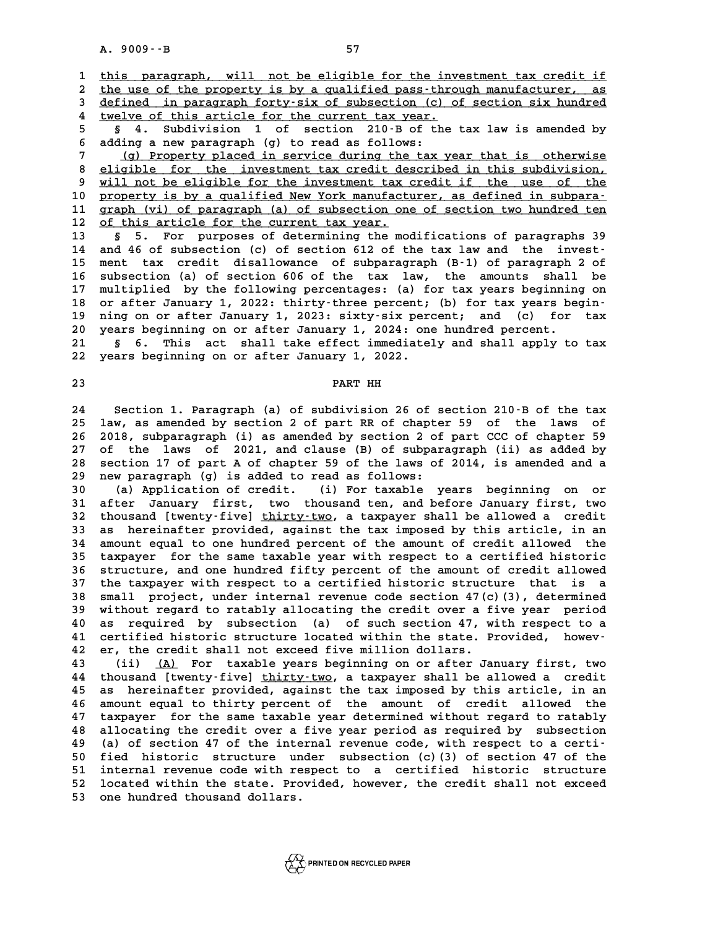A. 9009 · · B<br>1 <u>this paragraph, will not be eligible for the investment tax credit if</u><br>2 the use of the proporty is by a sualified pass through papufacturer as 2 this paragraph, will not be eligible for the investment tax credit if<br>2 <u>the use of the property is by a qualified pass-through manufacturer, as</u><br>3 defined in paragraph forty-six of subsection (c) of section six hundred this paragraph, will not be eligible for the investment tax credit if<br>
2 the use of the property is by a qualified pass-through manufacturer, as<br>
3 defined in paragraph forty-six of subsection (c) of section six hundred<br>
4 the use of the property is by a qualified pass-thro<br> **4** defined in paragraph forty-six of subsection (c) o<br>
<u>twelve of this article for the current tax year.</u><br> **5** 4 Subdivision 1 of soction 210-B of the **<u>defined in paragraph forty-six of subsection (c) of section six hundred</u><br>4 <u>twelve of this article for the current tax year.</u><br>5 4. Subdivision 1 of section 210-B of the tax law is amended by<br>6 adding a pour paragraph (c)** 

**6 adding a new paragraph (g) to read as follows:** 5 § 4. Subdivision 1 of section 210 B of the tax law is amended by<br>6 adding a new paragraph (g) to read as follows:<br><u>(g) Property placed in service during the tax year that is otherwise</u><br>8 eligible for the investment tax c

8 <u>eligible for the investment tax credit described in this subdivision,</u><br>8 <u>eligible for the investment tax credit described in this subdivision,</u><br>9 will not be eligible for the investment tax credit if the use of the **9 Property placed in service during the tax year that is otherwise**<br> **9 eligible for the investment tax credit described in this subdivision,**<br> **9 will not be eligible for the investment tax credit if the use of the**<br> **pr** 8 eligible for the investment tax credit described in this subdivision,<br>
9 will not be eligible for the investment tax credit if the use of the<br>
10 property is by a qualified New York manufacturer, as defined in subpara-<br> 9 will not be eligible for the investment tax credit if the use of the property is by a qualified New York manufacturer, as defined in subpara-<br>11 graph (vi) of paragraph (a) of subsection one of section two hundred ten<br>12 10 <u>property is by a qualified New York manufacturer, as defined in subpara-</u><br>11 <u>graph (vi) of paragraph (a) of subsection one of section two hundred ten</u><br>12 <u>of this article for the current tax year.</u><br>13 § 5. For purpose

**13 § 5. For purposes of determining the modifications of paragraphs 39 14 and 46 of subsection (c) of section 612 of the tax law and the invest-15 ment tax credit disallowance of subparagraph (B-1) of paragraph 2 of** 14 and 46 of subsection (c) of section 612 of the tax law and the invest-<br>15 ment tax credit disallowance of subparagraph (B-1) of paragraph 2 of<br>16 subsection (a) of section 606 of the tax law, the amounts shall be<br>17 mul **15 ment tax credit disallowance of subparagraph (B-1) of paragraph 2 of subsection (a) of section 606 of the tax law, the amounts shall be multiplied by the following percentages: (a) for tax years beginning on<br>18 an afte** 16 subsection (a) of section 606 of the tax law, the amounts shall be<br>17 multiplied by the following percentages: (a) for tax years beginning on<br>18 or after January 1, 2022: thirty-three percent; (b) for tax years begin-<br>1 17 multiplied by the following percentages: (a) for tax years beginning on<br>18 or after January 1, 2022: thirty-three percent; (b) for tax years begin-<br>19 ning on or after January 1, 2023: sixty-six percent; and (c) for tax 18 or after January 1, 2022: thirty-three percent; (b) for tax years be<br>19 ning on or after January 1, 2023: sixty-six percent; and (c) for<br>20 years beginning on or after January 1, 2024: one hundred percent. 19 ning on or after January 1, 2023: sixty-six percent; and (c) for tax<br>20 years beginning on or after January 1, 2024: one hundred percent.<br>21 § 6. This act shall take effect immediately and shall apply to tax<br>22 years be

20 years beginning on or after January 1, 2024: one hundred percent.<br>21 § 6. This act shall take effect immediately and shall apply to tax<br>22 years beginning on or after January 1, 2022. 22 years beginning on or after January 1, 2022.<br>23 **PART HH** 

PART HH<br>24 Section 1. Paragraph (a) of subdivision 26 of section 210-B of the tax<br>25 Jay 25 Jaw 26 Section 2 of part BB of shaptor 58 of the Jays of 24 Section 1. Paragraph (a) of subdivision 26 of section 210<sup>.</sup>B of the tax<br>25 law, as amended by section 2 of part RR of chapter 59 of the laws of 24 Section 1. Paragraph (a) of subdivision 26 of section 210 B of the tax<br>25 law, as amended by section 2 of part RR of chapter 59 of the laws of<br>26 2018, subparagraph (i) as amended by section 2 of part CCC of chapter 59<br> **25 law, as amended by section 2 of part RR of chapter 59 of the laws of 2018, subparagraph (i) as amended by section 2 of part CCC of chapter 59 of the laws of 2021, and clause (B) of subparagraph (ii) as added by**<br>27 of 26 2018, subparagraph (i) as amended by section 2 of part CCC of chapter 59<br>27 of the laws of 2021, and clause (B) of subparagraph (ii) as added by<br>28 section 17 of part A of chapter 59 of the laws of 2014, is amended and 27 of the laws of 2021, and clause (B) of subpar<br>28 section 17 of part A of chapter 59 of the laws of<br>29 new paragraph (g) is added to read as follows:<br><sup>20</sup> (a) Application of gradit (i) For taughle U 30 section 17 of part A of chapter 59 of the laws of 2014, is amended and a<br> **29 new paragraph** (g) is added to read as follows:<br>
(a) Application of credit. (i) For taxable years beginning on or<br> **31 after January first, t** 

**31 after January first, two thousand ten, and before January first, two 30** (a) Application of credit. (i) For taxable years beginning on or after January first, two thousand ten, and before January first, two thousand [twenty-five] thirty-two, a taxpayer shall be allowed a credit<br> **32** as be 31 after January first, two thousand ten, and before January first, two<br>32 thousand [twenty-five] <u>thirty-two</u>, a taxpayer shall be allowed a credit<br>33 as hereinafter provided, against the tax imposed by this article, in a 32 thousand [twenty-five] <u>thirty-two</u>, a taxpayer shall be allowed a credit<br>33 as hereinafter provided, against the tax imposed by this article, in an<br>34 amount equal to one hundred percent of the amount of credit allowed **33 as hereinafter provided, against the tax imposed by this article, in an amount equal to one hundred percent of the amount of credit allowed the taxpayer for the same taxable year with respect to a certified historic** 34 amount equal to one hundred percent of the amount of credit allowed the<br>35 taxpayer for the same taxable year with respect to a certified historic<br>36 structure, and one hundred fifty percent of the amount of credit allo 35 taxpayer for the same taxable year with respect to a certified historic<br>36 structure, and one hundred fifty percent of the amount of credit allowed<br>37 the taxpayer with respect to a certified historic structure that is 36 structure, and one hundred fifty percent of the amount of credit allowed<br>37 the taxpayer with respect to a certified historic structure that is a<br>38 small project, under internal revenue code section 47(c)(3), determine 37 the taxpayer with respect to a certified historic structure that is a<br>38 small project, under internal revenue code section 47(c)(3), determined<br>39 without regard to ratably allocating the credit over a five year period 38 small project, under internal revenue code section 47(c)(3), determined<br>39 without regard to ratably allocating the credit over a five year period<br>40 as required by subsection (a) of such section 47, with respect to a<br>4 39 without regard to ratably allocating the credit over a five year period<br>40 as required by subsection (a) of such section 47, with respect to a<br>41 certified historic structure located within the state. Provided, howev-<br>4 40 as required by subsection (a) of such section 47, w<br>41 certified historic structure located within the state. P<br>42 er, the credit shall not exceed five million dollars. 41 certified historic structure located within the state. Provided, howev-<br>42 er, the credit shall not exceed five million dollars.<br>43 (ii) <u>(A)</u> For taxable years beginning on or after January first, two<br>44 thousand [twen

**44** thousand [twenty-five] <u>thirty-two</u>, a taxpayer shall be allowed a credit<br>45 as hereinafter provided, against the tax imposed by this article, in an **43** (ii) <u>(A)</u> For taxable years beginning on or after January first, two<br>44 thousand [twenty-five] thirty-two, a taxpayer shall be allowed a credit<br>45 as hereinafter provided, against the tax imposed by this article, in 44 thousand [twenty-five] <u>thirty-two</u>, a taxpayer shall be allowed a credit<br>45 as hereinafter provided, against the tax imposed by this article, in an<br>46 amount equal to thirty percent of the amount of credit allowed the<br> 45 as hereinafter provided, against the tax imposed by this article, in an<br>46 amount equal to thirty percent of the amount of credit allowed the<br>47 taxpayer for the same taxable year determined without regard to ratably<br><sup>4</sup> 46 amount equal to thirty percent of the amount of credit allowed the<br>47 taxpayer for the same taxable year determined without regard to ratably<br>48 allocating the credit over a five year period as required by subsection<br>49 47 taxpayer for the same taxable year determined without regard to ratably<br>48 allocating the credit over a five year period as required by subsection<br>49 (a) of section 47 of the internal revenue code, with respect to a cer **48 allocating the credit over a five year period as required by subsection**<br>**49 (a) of section 47 of the internal revenue code, with respect to a certi-**<br>50 fied historic structure under subsection (c)(3) of section 47 of 49 (a) of section 47 of the internal revenue code, with respect to a certi-<br>50 fied historic structure under subsection (c) (3) of section 47 of the<br>51 internal revenue code with respect to a certified historic structure<br>5 50 fied historic structure under subsection (c)(3) of section 47 of the<br>51 internal revenue code with respect to a certified historic structure<br>52 located within the state. Provided, however, the credit shall not exceed<br>53 51 internal revenue code with re<br>52 located within the state. Pro<br>53 one hundred thousand dollars.

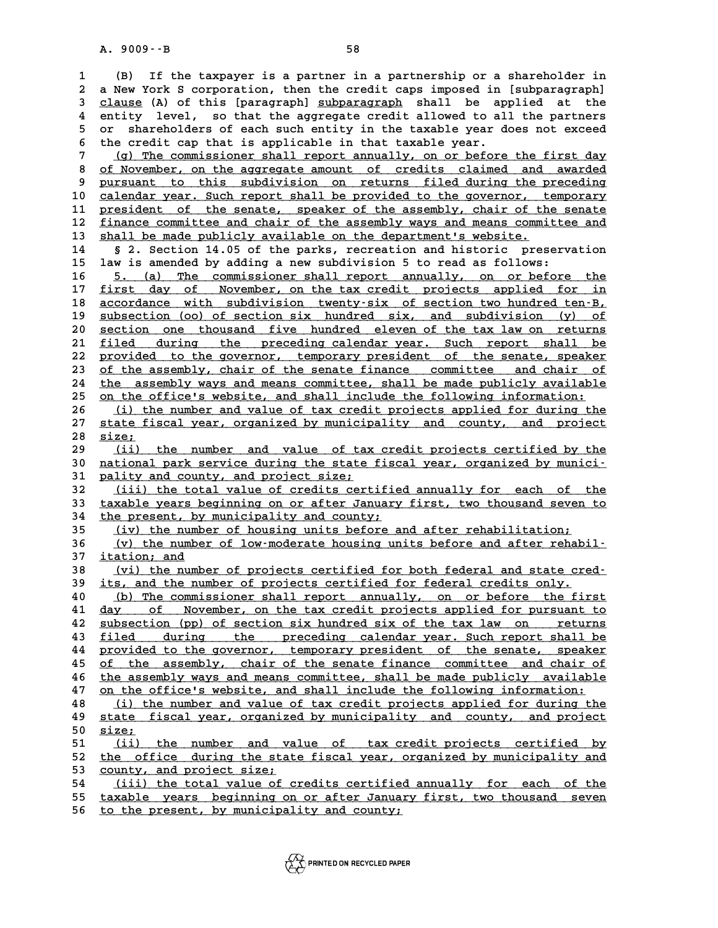**1 (B) If the taxpayer is a partner in a partnership or a shareholder in 2 a New York S corporation, then the credit caps imposed in [subparagraph]** (B) If the taxpayer is a partner in a partnership or a shareholder in<br>
2 a New York S corporation, then the credit caps imposed in [subparagraph]<br>
3 <u>clause</u> (A) of this [paragraph] subparagraph shall be applied at the<br>
2 a New York S corporation, then the credit caps imposed in [subparagraph]<br>
3 clause (A) of this [paragraph] subparagraph shall be applied at the<br>
4 entity level, so that the aggregate credit allowed to all the partners<br>
5 a 3 clause (A) of this [paragraph] subparagraph shall be applied at the<br>4 entity level, so that the aggregate credit allowed to all the partners<br>5 or shareholders of each such entity in the taxable year does not exceed<br>5 the 6 the credit allowed to all the partners<br>
6 or shareholders of each such entity in the taxable year does not exceed<br>
6 the credit cap that is applicable in that taxable year.<br>
7 (a) The commissioner shall report annually, 5 or shareholders of each such entity in the taxable year does not exceed<br>6 the credit cap that is applicable in that taxable year.<br><u>(g) The commissioner shall report annually, on or before the first day</u><br>8 of November, on

8 <u>of November, on the aggregate amount of credits claimed and awarded</u><br>8 <u>of November, on the aggregate amount of credits claimed and awarded</u><br>8 pursuant to this subdivision on returns filed during the preceding 9 <u>pursuant to this subdivision on returns filed during the preceding</u><br>10 calendar year. Such report shall be provided to the governor, temporary 8 of November, on the aggregate amount of credits claimed and awarded<br>
9 pursuant to this subdivision on returns filed during the preceding<br>
10 calendar year. Such report shall be provided to the governor, temporary<br>
11 pr 9 pursuant to this subdivision on returns filed during the preceding<br>10 <u>calendar year. Such report shall be provided to the governor, temporary</u><br>11 <u>president of the senate</u>, speaker of the assembly, chair of the senate<br>5 calendar year. Such report shall be provided to the governor, temporary<br>
11 president of the senate, speaker of the assembly, chair of the senate<br>
12 finance committee and chair of the assembly ways and means committee and 11 <u>president of the senate, speaker of the assembly, chair of the senate</u><br>12 <u>finance committee and chair of the assembly ways and means committee and</u><br>13 shall be made publicly available on the department's website.<br>14 §

12 <u>finance committee and chair of the assembly ways and means committee and</u><br>13 <u>shall be made publicly available on the department's website.</u><br>14 § 2. Section 14.05 of the parks, recreation and historic preservation<br>15 l **15 law is amended by adding a new subdivision 5 to read as follows:**

16 5. (a) The commissioner shall report annually, on or before the<br>17 first day of November, on the tax credit projects applied for in **15 law is amended by adding a new subdivision 5 to read as follows:**<br> **16** 5. (a) The commissioner shall report annually, on or before the<br> **17** first day of November, on the tax credit projects applied for in<br> **18** accor **16 5. (a) The commissioner shall report annually, on or before the**<br> **17 first day of November, on the tax credit projects applied for in**<br> **18 accordance with subdivision twenty-six of section two hundred ten-B,**<br>
author 17 <u>first day of November, on the tax credit projects applied for in</u><br>18 <u>accordance with subdivision twenty-six of section two hundred ten-B,<br>subsection (oo) of section six hundred six, and subdivision (y) of<br>20 section o</u> accordance with subdivision twenty-six of section two hundred ten-B,<br> **20** <u>section one thousand five hundred eleven of the tax law on returns</u><br> **21** filed during the preceding calendar wear Such report shall be <sup>21</sup> **subsection** (oo) of section six hundred six, and subdivision (y) of section one thousand five hundred eleven of the tax law on returns <br>
<sup>21</sup> filed during the preceding calendar year. Such report shall be<br>
<sup>22</sup> provi **20** <u>section one thousand five hundred eleven of the tax law on returns</u><br>
21 <u>filed during the preceding calendar year. Such report shall be<br>
provided to the governor, temporary president of the senate, speaker<br>
23 of the</u> 21 <u>filed during the preceding calendar year. Such report shall be<br>22 provided to the governor, temporary president of the senate, speaker<br>23 <u>of the assembly, chair of the senate finance</u> committee and chair of<br>24 the ass</u> 22 provided to the governor, temporary president of the senate, speaker<br>
23 of the assembly, chair of the senate finance committee and chair of<br>
24 the assembly ways and means committee, shall be made publicly available<br>
2 of the assembly, chair of the senate finance committee and chair of<br>
<sup>24</sup> the assembly ways and means committee, shall be made publicly available<br>
<sup>25</sup> on the office's website, and shall include the following information:<br> 24 the assembly ways and means committee, shall be made publicly available<br>
25 on the office's website, and shall include the following information:<br>
26 (i) the number and value of tax credit projects applied for during th

25 on the office's website, and shall include the following information:<br>
26 (i) the number and value of tax credit projects applied for during the<br>
27 state fiscal year, organized by municipality and county, and project<br> <u>(i) the number and value of tax credit projects applied for during the<br>27 <u>state fiscal year, organized by municipality and county, and project</u><br>28 <u>size;</u><br>(ii) the number and value of tax credit projects certified by the</u>

29 <u>(ii) the number and value of tax credit projects certified by the</u><br>30 national park service during the state fiscal year, organized by munici-**38 <u>size;</u><br>29 (ii) the number and value of tax credit projects certified by the<br>30 national park service during the state fiscal year, organized by munici-<br>31 pality and county, and project size;** 29 (ii) the number and value of tax<br>30 <u>national park service during the state</u><br>31 <u>pality and county, and project size;</u><br>22 (iii) the total value of gredits gort 30 <u>national park service during the state fiscal year, organized by munici-</u><br>31 <u>pality and county, and project size;</u><br>32 (iii) the total value of credits certified annually for each of the<br>33 taxable years beginning on o

**31 pality and county, and project size;<br>32 (iii) the total value of credits certified annually for each of the<br>33 taxable years beginning on or after January first, two thousand seven to<br>24 the present by municipality and** 32 (iii) the total value of credits certifie<br>33 taxable years beginning on or after January<br>34 the present, by municipality and county;<br><sup>25</sup> (iv) the number of beuging units before 23 132 (iii) the total value of credits certified annually for each of the<br>
33 taxable years beginning on or after January first, two thousand seven to<br>
34 <u>the present, by municipality and county;</u><br>
<u>(iv) the number of housi</u>

34 the present, by municipality and county;<br>
35 (iv) the number of housing units before and after rehabilitation;<br>
36 (v) the number of low-moderate housing units before and after rehabil-<br>
37 itation: and <u>(iv) the number of housing units before and after rehabilitation;<br>36 (v) the number of low-moderate housing units before and after rehabilitation; and<br>37 <u>itation; and</u> (vi) the number of projects certified for both feder</u> (v) the number of low-moderate housing units before and after rehabil-<br> **37** <u>itation; and</u><br>
<u>(vi) the number of projects certified for both federal and state cred-</u><br>
its and the number of projects certified for federal gr

**37 itation; and<br>
38 (vi) the number of projects certified for both federal and state cre<br>
39 its, and the number of projects certified for federal credits only.**<br>
40 (b) The commissioner shall repert annually, on or befor **40 (vi) the number of projects certified for both federal and state cred-**<br> **40** (b) The commissioner shall report annually, on or before the first<br> **41** day of November on the tax credit projects applied for pursuant to

**40** its, and the number of projects certified for federal credits only.<br> **40** (b) The commissioner shall report annually, on or before the first<br> **41** day of November, on the tax credit projects applied for pursuant to<br>
d 40 (b) The commissioner shall report annually, on or before the first<br>41 <u>day of November, on the tax credit projects applied for pursuant to</u><br>42 <u>subsection (pp) of section six hundred six of the tax law on returns</u><br>511ed **41 day of November, on the tax credit projects applied for pursuant to**<br>42 <u>subsection (pp) of section six hundred six of the tax law on returns</u><br>43 <u>filed during the preceding calendar year. Such report shall be</u><br>24 prov 42 <u>subsection (pp) of section six hundred six of the tax law on returns<br>43 <u>filed during the preceding calendar year. Such report shall be<br>provided to the governor, temporary president of the senate, speaker<br>25 the assemb</u></u> 43 <u>filed during the preceding calendar year. Such report shall be<br>44 provided to the governor, temporary president of the senate, speaker<br>45 <u>of the assembly, chair of the senate finance committee and chair of</u><br>the assemb</u> 44 provided to the governor, temporary president of the senate, speaker<br>45 of the assembly, chair of the senate finance committee and chair of<br>46 the assembly ways and means committee, shall be made publicly available<br>47 o of the assembly, chair of the senate finance committee and chair of<br>46 <u>the assembly ways and means committee, shall be made publicly available</u><br><u>20 on the office's website, and shall include the following information:</u><br>(i

the assembly ways and means committee, shall be made publicly available<br> **47** <u>on the office's website, and shall include the following information:</u><br> **48** (i) the number and value of tax credit projects applied for during 47 <u>on the office's website, and shall include the following information:</u><br>48 (i) the number and value of tax credit projects applied for during the<br><u>state fiscal year, organized by municipality</u> and county, and project<br>50 <u>(i) the number and value of tax credit projects applied for during the<br>49 <u>state fiscal year, organized by municipality and county, and project</u><br>50 <u>size;</u><br>(ii) the number and value of tax credit projects certified by</u>

51 <u>(ii) the number and value of tax-credit-projects certified by</u><br>52 the office during the state-fiscal-year, organized-by-municipality-and 50 <u>size;<br>51 (ii) the number and value of tax credit projects certified by<br>52 the office during the state fiscal year, organized by municipality and<br>53 county and project size;</u> 51 <u>(ii) the number and va</u><br>52 <u>the office during the stat</u><br>53 <u>county, and project size;</u><br>54 (iii) the total value of G 52 <u>the office during the state fiscal year, organized by municipality and<br>53 <u>county, and project size:</u><br>54 (iii) the total value of credits certified annually for each of the<br>55 taxable wears beginning on ar after Januar</u>

53 county, and project size;<br>54 (iii) the total value of credits certified annually for each of the<br>55 taxable years beginning on or after January first, two thousand seven<br>56 to the present by municipality and seurty. 53 county, and project size;<br>54 (iii) the total value of credits certified annually for each of the<br>55 taxable years beginning on or after January first, two thousand seven<br>56 to the present, by municipality and county;

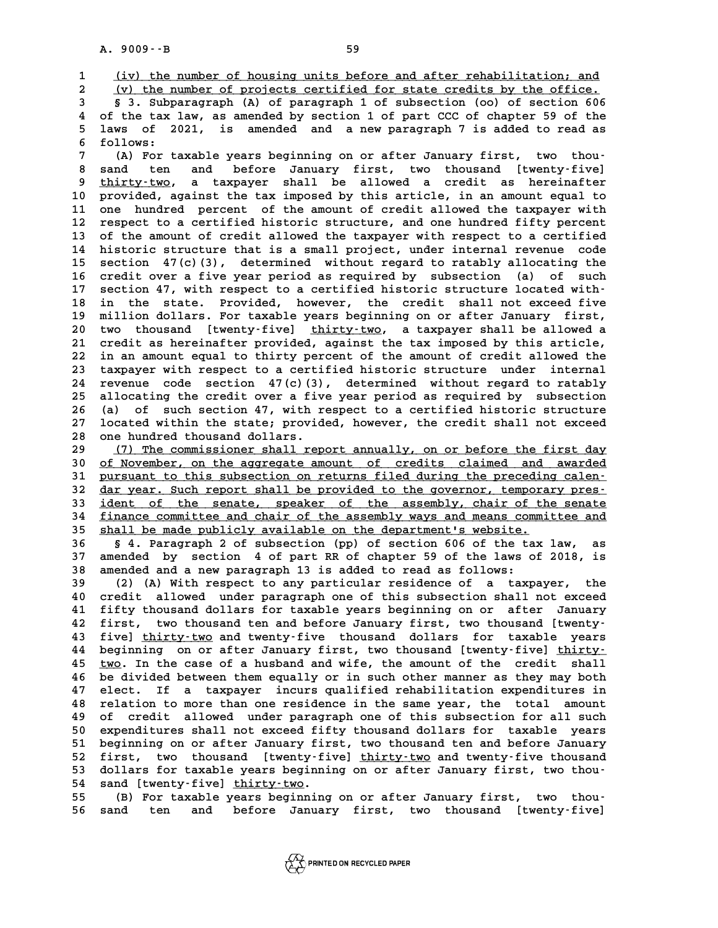A. 9009 – -B<br> **1** (iv) the number of housing units before and after rehabilitation; and<br> **2** (v) the number of projects certified for state credits by the office

(iv) the number of housing units before and after rehabilitation; and<br>2 (v) the number of projects certified for state credits by the office.<br>3 Subparagraph (A) of paragraph 1 of subsection (oo) of section 606 **3 (iv) the number of housing units before and after rehabilitation; and (v) the number of projects certified for state credits by the office.**<br> **3 3. Subparagraph (A) of paragraph 1 of subsection (oo) of section 606**<br> **4 4 (v) the number of projects certified for state credits by the office.**<br> **4 of the tax law, as amended by section 1 of part CCC of chapter 59 of the**<br> **4 of the tax law, as amended by section 1 of part CCC of chapter 59** 5 3. Subparagraph (A) of paragraph 1 of subsection (oo) of section 606<br>4 of the tax law, as amended by section 1 of part CCC of chapter 59 of the<br>5 laws of 2021, is amended and a new paragraph 7 is added to read as 4 of the tax<br>5 laws of 2<br>6 follows:<br>7 (A) For t **7** laws of 2021, is amended and a new paragraph 7 is added to read as<br> **6** follows:<br>
(A) For taxable years beginning on or after January first, two thou-<br>  $\frac{1}{2}$  and to and before Innuary first, two thousand [two-tw-fi

**8 follows:**<br> **8 sand ten and before January first, two thousand ten and before January first, two thousand [twenty-five]<br>
<b>8 thirty-two a targety shall be allowed a gradit as bereignifier (A) For taxable years beginning on or after January first, two thou-<br>8 sand ten and before January first, two thousand [twenty-five]<br>9 thirty-two, a taxpayer shall be allowed a credit as hereinafter<br>provided against the t** 8 sand ten and before January first, two thousand [twenty-five]<br>
9 <u>thirty-two</u>, a taxpayer shall be allowed a credit as hereinafter<br>
10 provided, against the tax imposed by this article, in an amount equal to<br>
11 one hund 9 thirty-two, a taxpayer shall be allowed a credit as hereinafter<br>10 provided, against the tax imposed by this article, in an amount equal to<br>11 one hundred percent of the amount of credit allowed the taxpayer with<br>12 regn provided, against the tax imposed by this article, in an amount equal to<br>11 one hundred percent of the amount of credit allowed the taxpayer with<br>12 respect to a certified historic structure, and one hundred fifty percent<br> 11 one hundred percent of the amount of credit allowed the taxpayer with<br>12 respect to a certified historic structure, and one hundred fifty percent<br>13 of the amount of credit allowed the taxpayer with respect to a certifi 12 respect to a certified historic structure, and one hundred fifty percent<br>13 of the amount of credit allowed the taxpayer with respect to a certified<br>14 historic structure that is a small project, under internal revenue 13 of the amount of credit allowed the taxpayer with respect to a certified<br>14 historic structure that is a small project, under internal revenue code<br>15 section 47(c)(3), determined without regard to ratably allocating th 14 historic structure that is a small project, under internal revenue code<br>15 section 47(c)(3), determined without regard to ratably allocating the<br>16 credit over a five year period as required by subsection (a) of such<br>17 15 section 47(c)(3), determined without regard to ratably allocating the<br>
16 credit over a five year period as required by subsection (a) of such<br>
17 section 47, with respect to a certified historic structure located with-16 credit over a five year period as required by subsection (a) of such<br>17 section 47, with respect to a certified historic structure located with-<br>18 in the state. Provided, however, the credit shall not exceed five<br>milli 17 section 47, with respect to a certified historic structure located with-<br>18 in the state. Provided, however, the credit shall not exceed five<br>19 million dollars. For taxable years beginning on or after January first,<br>20 18 in the state. Provided, however, the credit shall not exceed five<br>19 million dollars. For taxable years beginning on or after January first,<br>20 two thousand [twenty-five] <u>thirty-two</u>, a taxpayer shall be allowed a<br>21 c 19 million dollars. For taxable years beginning on or after January first,<br>20 two thousand [twenty-five] <u>thirty-two</u>, a taxpayer shall be allowed a<br>21 credit as hereinafter provided, against the tax imposed by this articl 20 two thousand [twenty-five] thirty-two, a taxpayer shall be allowed a<br>21 credit as hereinafter provided, against the tax imposed by this article,<br>22 in an amount equal to thirty percent of the amount of credit allowed th 21 credit as hereinafter provided, against the tax imposed by this article,<br>22 in an amount equal to thirty percent of the amount of credit allowed the<br>23 taxpayer with respect to a certified historic structure under inter 22 in an amount equal to thirty percent of the amount of credit allowed the<br>23 taxpayer with respect to a certified historic structure under internal<br>24 revenue code section 47(c)(3), determined without regard to ratably<br>2 23 taxpayer with respect to a certified historic structure under internal<br>24 revenue code section 47(c)(3), determined without regard to ratably<br>25 allocating the credit over a five year period as required by subsection<br>26 24 revenue code section 47(c)(3), determined without regard to ratably<br>25 allocating the credit over a five year period as required by subsection<br>26 (a) of such section 47, with respect to a certified historic structure<br>27 25 allocating the credit over a five year period as required by subsection<br>26 (a) of such section 47, with respect to a certified historic structure<br>27 located within the state; provided, however, the credit shall not exce (a) of such section 47, with respect to a certified historic structure<br>27 located within the state; provided, however, the credit shall not exceed<br>28 one hundred thousand dollars.<br>29 (7) The commissioner shall report annua

29 (7) The commissioner shall report annually, on or before the first day<br>30 of November, on the aggregate amount of credits claimed and awarded 38 one hundred thousand dollars.<br>
29 (7) The commissioner shall report annually, on or before the first day<br>
30 <u>of November, on the aggregate amount of credits claimed and awarded</u><br>
31 nurguant to this subsection on retur **39 (7) The commissioner shall report annually, on or before the first day**<br> **30 of November, on the aggregate amount of credits claimed and awarded**<br> **pursuant to this subsection on returns filed during the preceding cale** 30 <u>of November, on the aggregate amount of credits claimed and awarded</u><br>31 <u>pursuant to this subsection on returns filed during the preceding calen-</u><br>32 <u>dar year. Such report shall be provided to the governor, temporary </u> 31 <u>pursuant to this subsection on returns filed during the preceding calen-</u><br>32 <u>dar year. Such report shall be provided to the governor, temporary pres-</u><br>33 <u>ident of the senate, speaker of the assembly, chair of the sen</u> 32 dar year. Such report shall be provided to the governor, temporary pres-<br>33 <u>ident of the senate, speaker of the assembly, chair of the senate</u><br>34 finance committee and chair of the assembly ways and means committee and 33 ident of the senate, speaker of the assembly, chair of the finance committee and chair of the assembly ways and means commit<br>35 shall be made publicly available on the department's website.<br>26 shall be made publicly ava **<u>Sinance committee and chair of the assembly ways and means committee and</u><br>
35 <u>shall be made publicly available on the department's website.</u><br>
36 § 4. Paragraph 2 of subsection (pp) of section 606 of the tax law, as<br>
37** 

**35** shall be made publicly available on the department's website.<br>36 § 4. Paragraph 2 of subsection (pp) of section 606 of the tax law, as<br>37 amended by section 4 of part RR of chapter 59 of the laws of 2018, is<br>38 amende **38 shall be made publicly available on the department's website.**<br>**36 § 4. Paragraph 2 of subsection (pp) of section 606 of the tax law,**<br>**37 amended by section 4 of part RR of chapter 59 of the laws of 2018,**<br>**38 amended** 37 amended by section 4 of part RR of chapter 59 of the laws of 2018, is<br>38 amended and a new paragraph 13 is added to read as follows:<br>(2) (A) With respect to any particular residence of a taxpayer, the<br>40 special played

**40 credit allowed under paragraph one of this subsection shall not exceed 41 (2) (A) With respect to any particular residence of a taxpayer, the credit allowed under paragraph one of this subsection shall not exceed fifty thousand dollars for taxable years beginning on or after January**<br>**41 fir** 40 credit allowed under paragraph one of this subsection shall not exceed<br>41 fifty thousand dollars for taxable years beginning on or after January<br>42 first, two thousand ten and before January first, two thousand [twenty-**41 fifty thousand dollars for taxable years beginning on or after January<br>42 first, two thousand ten and before January first, two thousand [twenty-<br>43 five] thirty-two and twenty-five thousand dollars for taxable years<br>2** 42 first, two thousand ten and before January first, two thousand [twenty-<br>43 five] <u>thirty-two</u> and twenty-five thousand dollars for taxable years<br>44 beginning on or after January first, two thousand [twenty-five] <u>thirty</u> fivel thirty-two and twenty-five thousand dollars for taxable years<br>44 beginning on or after January first, two thousand [twenty-five] thirty-<br>45 <u>two</u>. In the case of a husband and wife, the amount of the credit shall<br>16 **44 beginning on or after January first, two thousand [twenty-five] thirty-<br>45 two. In the case of a husband and wife, the amount of the credit shall**<br>46 be divided between them equally or in such other manner as they may 45 <u>two</u>. In the case of a husband and wife, the amount of the credit shall<br>46 be divided between them equally or in such other manner as they may both<br>47 elect. If a taxpayer incurs qualified rehabilitation expenditures i **46 be divided between them equally or in such other manner as they may both**<br>**47 elect. If a taxpayer incurs qualified rehabilitation expenditures in**<br>**48 relation to more than one residence in the same year, the total am 47 elect. If a taxpayer incurs qualified rehabilitation expenditures in relation to more than one residence in the same year, the total amount of credit allowed under paragraph one of this subsection for all such cynomitu 50 experience in the same year, the total amount that is used to the set of credit allowed under paragraph one of this subsection for all such expenditures shall not exceed fifty thousand dollars for taxable years<br>
<b>10 ex 50** of credit allowed under paragraph one of this subsection for all such<br>50 expenditures shall not exceed fifty thousand dollars for taxable years<br>51 beginning on or after January first, two thousand ten and before Janua 50 expenditures shall not exceed fifty thousand dollars for taxable years<br>51 beginning on or after January first, two thousand ten and before January<br>52 first, two thousand [twenty-five] thirty-two and twenty-five thousand 51 beginning on or after January first, two thousand ten and before January<br>52 first, two thousand [twenty-five] <u>thirty-two</u> and twenty-five thousand<br>53 dollars for taxable years beginning on or after January first, two t 52 first, two thousand [twenty-fi-<br>53 dollars for taxable years beginni:<br>54 sand [twenty-five] thirty-two. 53 dollars for taxable years beginning on or after January first, two thou-<br>54 sand [twenty-five] <u>thirty-two</u>.<br>55 (B) For taxable years beginning on or after January first, two thou-<br>56 sand the and before January first,

54 sand [twenty-five] <u>thirty-two</u>.<br>55 (B) For taxable years beginning on or after January first, two thou-<br>56 sand ten and before January first, two thousand [twenty-five]

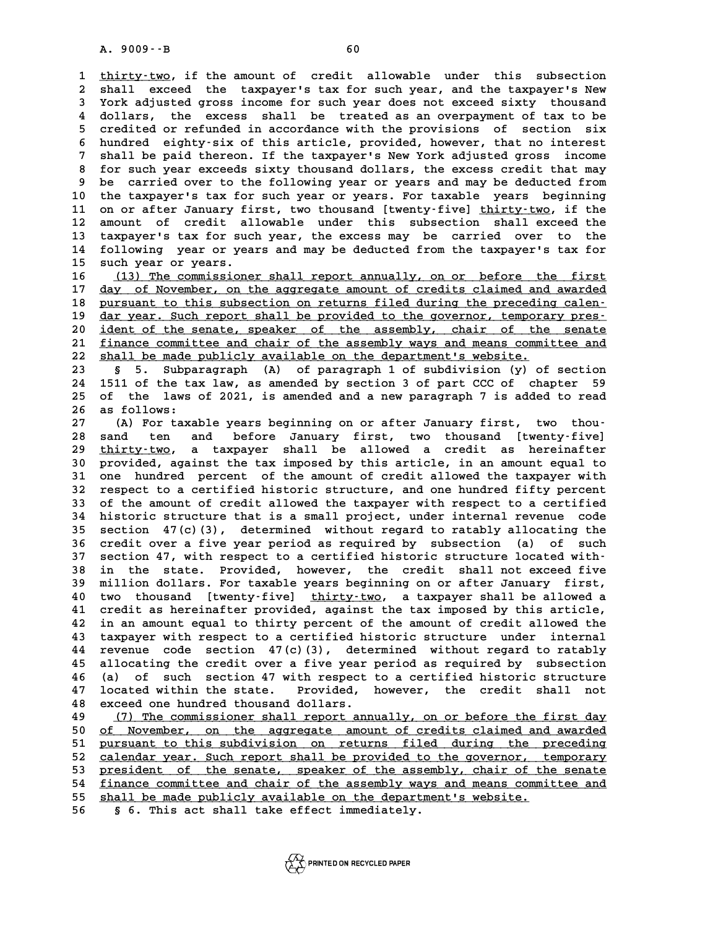**1 1** thirty-two, if the amount of credit allowable under this subsection<br> **1 thirty-two**, if the amount of credit allowable under this subsection<br> **1 chall oxgood** the taxonucris tax for such year, and the taxonucri 1 <u>thirty-two</u>, if the amount of credit allowable under this subsection<br>2 shall exceed the taxpayer's tax for such year, and the taxpayer's New<br>3 York adjusted gross income for such year does not exceed sixty, thousand 1 <u>thirty-two</u>, if the amount of credit allowable under this subsection<br>2 shall exceed the taxpayer's tax for such year, and the taxpayer's New<br>3 York adjusted gross income for such year does not exceed sixty thousand<br>4 do 2 shall exceed the taxpayer's tax for such year, and the taxpayer's New<br>3 York adjusted gross income for such year does not exceed sixty thousand<br>4 dollars, the excess shall be treated as an overpayment of tax to be<br>5 grad Fig. 2018 or adjusted gross income for such year does not exceed sixty thousand<br>4 dollars, the excess shall be treated as an overpayment of tax to be<br>5 credited or refunded in accordance with the provisions of section six<br> 4 dollars, the excess shall be treated as an overpayment of tax to be<br>5 credited or refunded in accordance with the provisions of section six<br>6 hundred eighty-six of this article, provided, however, that no interest<br>7 shal 5 credited or refunded in accordance with the provisions of section six<br>6 hundred eighty-six of this article, provided, however, that no interest<br>7 shall be paid thereon. If the taxpayer's New York adjusted gross income<br>8 8 hundred eighty-six of this article, provided, however, that no interest<br>
8 for such year exceeds sixty thousand dollars, the excess credit that may<br>
9 be carried over to the following year or years and may be deducted fr **9 be carried over to the following year or years and may be deducted from** 10 for such year exceeds sixty thousand dollars, the excess credit that may<br>
10 the taxpayer's tax for such year or years. For taxable years beginning<br>
11 on or after January first, two thousand [tyenty-five] thirty-two if 9 be carried over to the following year or years and may be deducted from<br>10 the taxpayer's tax for such year or years. For taxable years beginning<br>11 on or after January first, two thousand [twenty-five] <u>thirty-two</u>, if 11 on or after January first, two thousand [twenty-five] <u>thirty-two</u>, if the<br>12 amount of credit allowable under this subsection shall exceed the<br>13 taxpayer's tax for such year, the excess may be carried over to the 11 on or after January first, two thousand [twenty-five] thirty-two, if the<br>12 amount of credit allowable under this subsection shall exceed the<br>13 taxpayer's tax for such year, the excess may be carried over to the<br>14 fol 12 amount of credit allowable under this subsection shall exceed the<br>13 taxpayer's tax for such year, the excess may be carried over to the<br>14 following year or years and may be deducted from the taxpayer's tax for<br>15 such 13 taxpayer's tax for such<br>14 following year or year<br>15 such year or years.<br>16 (13) The commissions 14 following year or years and may be deducted from the taxpayer's tax for<br>15 such year or years.<br>16 <u>(13) The commissioner shall report annually, on or before the first</u><br>17 day of November, on the aggregate amount of cred

**15** such year or years.<br> **16** (13) The commissioner shall report annually, on or before the first<br> **17** day of November, on the aggregate amount of credits claimed and awarded<br> **18** nursus the this subsection on returns f **16 (13) The commissioner shall report annually, on or before the first**<br>17 <u>day of November, on the aggregate amount of credits claimed and awarded</u><br>18 <u>pursuant to this subsection on returns filed during the preceding ca</u> 17 <u>day of November, on the aggregate amount of credits claimed and awarded</u><br>18 <u>pursuant to this subsection on returns filed during the preceding calen-</u><br>19 <u>dar year. Such report shall be provided to the governor, tempor</u> 20 ident of this subsection on returns filed during the preceding calen-<br>
20 <u>ident of the senate</u>, speaker of the assembly, chair of the senate<br>
21 finance committee and chair of the assembly ways and means committee and 19 <u>dar year. Such report shall be provided to the governor, temporary pres-</u><br>20 <u>ident of the senate, speaker of the assembly, chair of the senate</u><br>21 <u>finance committee and chair of the assembly ways and means committee </u> **22** shall be made publicly available on the department's website.<br> **23** § 5. Subparagraph (A) of paragraph 1 of subdivision (y) 21 <u>finance committee and chair of the assembly ways and means committee and</u><br>22 <u>shall be made publicly available on the department's website.</u><br>23 § 5. Subparagraph (A) of paragraph 1 of subdivision (y) of section<br>24 1511

**24 1511 of the tax law, as amended by section 3 of part CCC of chapter 59 23 5** 5. Subparagraph (A) of paragraph 1 of subdivision (y) of section 1511 of the tax law, as amended by section 3 of part CCC of chapter 59 of the laws of 2021, is amended and a new paragraph 7 is added to read **24 1511 of the ta:**<br>**25 of the laws**<br>**26 as follows:**<br>**27** (2) For taxa) 25 of the laws of 2021, is amended and a new paragraph 7 is added to read<br>26 as follows:<br>27 (A) For taxable years beginning on or after January first, two thou-<br>28 and the and before January first, two thousand liventy-fiv

26 as follows:<br>
27 (A) For taxable years beginning on or after January first, two thou-<br>
28 sand ten and before January first, two thousand [twenty-five]<br>
29 thirty-two, a taxpayer shall be allowed a credit as hereinafter 29 thirty-two, a taxpayer shall be allowed a credit as hereinafter<br>30 provided, against the tax imposed by this article, in an amount equal to **30 sand ten and before January first, two thousand [twenty-five]**<br> **29 <u>thirty-two</u>, a taxpayer shall be allowed a credit as hereinafter<br>
30 provided, against the tax imposed by this article, in an amount equal to<br>
31 one** 29 <u>thirty-two</u>, a taxpayer shall be allowed a credit as hereinafter<br>30 provided, against the tax imposed by this article, in an amount equal to<br>31 one hundred percent of the amount of credit allowed the taxpayer with<br>32 r 30 provided, against the tax imposed by this article, in an amount equal to<br>31 one hundred percent of the amount of credit allowed the taxpayer with<br>32 respect to a certified historic structure, and one hundred fifty perce 31 one hundred percent of the amount of credit allowed the taxpayer with<br>32 respect to a certified historic structure, and one hundred fifty percent<br>33 of the amount of credit allowed the taxpayer with respect to a certifi **32 respect to a certified historic structure, and one hundred fifty percent**<br>**33 of the amount of credit allowed the taxpayer with respect to a certified**<br>**34 historic structure that is a small project, under internal rev** 33 of the amount of credit allowed the taxpayer with respect to a certified<br>34 historic structure that is a small project, under internal revenue code<br>35 section 47(c)(3), determined without regard to ratably allocating th **34 historic structure that is a small project, under internal revenue code**<br>**35 section 47(c)(3), determined without regard to ratably allocating the**<br>**36 credit over a five year period as required by subsection (a) of su** 35 section 47(c)(3), determined without regard to ratably allocating the<br>36 credit over a five year period as required by subsection (a) of such<br>37 section 47, with respect to a certified historic structure located with-<br><sup></sup> 36 credit over a five year period as required by subsection (a) of such<br>37 section 47, with respect to a certified historic structure located with-<br>38 in the state. Provided, however, the credit shall not exceed five<br><sup>39</sup> 37 section 47, with respect to a certified historic structure located with-<br>38 in the state. Provided, however, the credit shall not exceed five<br>39 million dollars. For taxable years beginning on or after January first,<br>10 38 in the state. Provided, however, the credit shall not exceed five<br>39 million dollars. For taxable years beginning on or after January first,<br>40 two thousand [twenty-five] <u>thirty-two</u>, a taxpayer shall be allowed a<br>41 c 39 million dollars. For taxable years beginning on or after January first,<br>40 two thousand [twenty-five] <u>thirty-two</u>, a taxpayer shall be allowed a<br>41 credit as hereinafter provided, against the tax imposed by this articl **40 two thousand [twenty-five] thirty-two, a taxpayer shall be allowed a**<br>**41 credit as hereinafter provided, against the tax imposed by this article,**<br>**42 in an amount equal to thirty percent of the amount of credit allow** 41 credit as hereinafter provided, against the tax imposed by this article,<br>42 in an amount equal to thirty percent of the amount of credit allowed the<br>43 taxpayer with respect to a certified historic structure under inter **44 revenue code section 47(c)(3), determined without regard to ratably** 43 taxpayer with respect to a certified historic structure under internal<br>44 revenue code section 47(c)(3), determined without regard to ratably<br>45 allocating the credit over a five year period as required by subsection<br>46 **44 revenue code section 47(c)(3), determined without regard to ratably allocating the credit over a five year period as required by subsection 46 (a) of such section 47 with respect to a certified historic structure**<br><sup>47</sup> 45 allocating the credit over a five year period as required by subsection<br>46 (a) of such section 47 with respect to a certified historic structure<br>47 located within the state. Provided, however, the credit shall not<br>48 cu 46 (a) of such section 47 with respect to a certified historic structure<br>47 located within the state. Provided, however, the credit shall not<br>48 exceed one hundred thousand dollars.<br>49 (7) The commissioner shall report ann

49 (7) The commissioner shall report annually, on or before the first day<br>50 of November, on the aggregate amount of credits claimed and awarded **50 exceed one hundred thousand dollars.**<br> **50 (7) The commissioner shall report annually, on or before the first day**<br> **60 of November, on the aggregate amount of credits claimed and awarded**<br> **purguant to this subdivisio 51 (7) The commissioner shall report annually, on or before the first day**<br> **51 <u>pursuant to this subdivision on</u> returns filed during the preceding<br>
<b>pursuant to this subdivision on returns filed during the preceding**<br> 50 <u>of November, on the aggregate amount of credits claimed and awarded</u><br>51 <u>pursuant to this subdivision on returns filed during the preceding</u><br>52 <u>calendar year. Such report shall be provided to the governor, temporary</u><br> 51 <u>pursuant to this subdivision on returns filed during the preceding</u><br>52 <u>calendar year. Such report shall be provided to the governor, temporary</u><br>53 <u>president of the senate, speaker of the assembly, chair of the senate</u> 52 calendar year. Such report shall be provided to the governor, temporary<br>53 president of the senate, speaker of the assembly, chair of the senate<br>54 finance committee and chair of the assembly ways and means committee an 53 president of the senate, speaker of the assembly, chair of the finance committee and chair of the assembly ways and means committee shall be made publicly available on the department's website. 54 **finance committee and chair of the assembly wa**<br>55 **shall be made publicly available on the depart**<br>56 **§ 6.** This act shall take effect immediately.

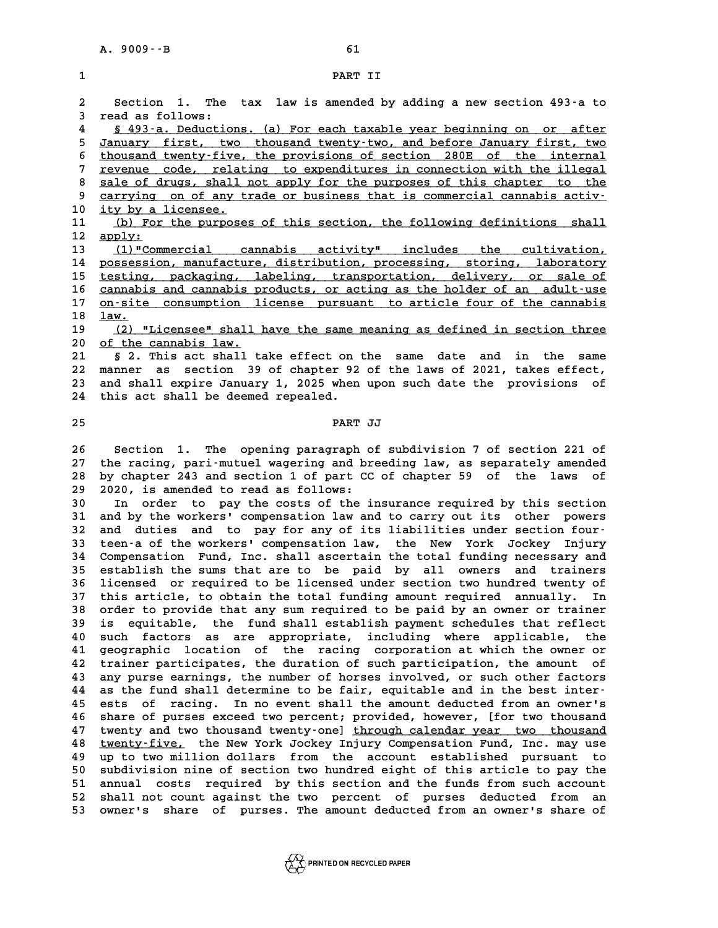**2 Section 1. The tax law is amended by adding a new section 493-a to 2** Section 1. The<br>3 read as follows:<br><sup>4</sup> 5 483.2 Poduation Section 1. The tax law is amended by adding a new section 493-a to<br>3 read as follows:<br><u>5 493-a. Deductions. (a) For each taxable year beginning on or after</u><br>5 Ionians: first this thousand treatments the and before January 5 read as follows:<br>
<u>5 493-a. Deductions. (a) For each taxable year beginning on or after</u><br>
5 <u>January first, two thousand twenty-two, and before January first, two</u><br>
6 thousand twenty-five, the provisions of section 280E **6** 493-a. Deductions. (a) For each taxable year beginning on or after<br> **5** January first, two thousand twenty-two, and before January first, two<br>
thousand twenty-five, the provisions of section 280E of the internal<br>
repre *January first, two thousand twenty-two, and before January first, two*<br>6 thousand twenty-five, the provisions of section 280E of the internal<br>7 revenue code, relating to expenditures in connection with the illegal<br>32lo of 8 thousand twenty-five, the provisions of section 280E of the internal<br> **8** sale of drugs, shall not apply for the purposes of this chapter to the<br> **EXECUTE:**<br> **8** sarrwing on of any trade or business that is commonsial ca For the same of the same of the same of the commeters of the same of drugs, shall not apply for the purposes of this chapter to the carrying on of any trade or business that is commercial cannabis activity in the process o 8 <u>sale of drugs, shall</u><br>9 <u>carrying on of any t</u><br>10 <u>ity by a licensee.</u><br>11 (b) For the purpose 9 carrying on of any trade or business that is commercial cannabis activ-<br>
10 <u>ity by a licensee.</u><br>
11 (b) For the purposes of this section, the following definitions shall<br>
2 apply: 10 <u>ity by a licensee.</u><br>11 <u>(b) For the purport</u><br>12 <u>apply:</u><br>13 (1) "Commercial 11 <u>(b) For the purposes of this section, the following definitions shall</u><br>12 <u>apply:</u><br>13 (1)"Commercial cannabis activity" includes the cultivation,<br>14 possession, manufacture, distribution, processing, storing, laborator 14 <u>possession, manufacture, distribution, processing, storing, laboratory</u><br>15 testing, packaging, labeling, transportation, delivery, or sale of 13 (1)"Commercial cannabis activity" includes the cultivation,<br>14 <u>possession, manufacture, distribution, processing, storing, laboratory</u><br>15 testing, packaging, labeling, transportation, delivery, or sale of<br>2011 cannabis 14 possession, manufacture, distribution, processing, storing, laboratory<br>15 <u>testing, packaging, labeling, transportation, delivery, or sale of</u><br>16 <u>cannabis and cannabis products, or acting as the holder of an adult-use</u> **15** <u>testing, packaging, labeling, transportation, delivery, or sale of cannabis and cannabis products, or acting as the holder of an adult-use<br>17 <u>on-site consumption license pursuant to article four of the cannabis<br>18 l</u></u> cannabis and cannabis products, or acting as the holder of an adult-use<br>17 <u>on-site consumption license pursuant to article four of the cannabis<br>18 <u>law.</u><br>(2) "Licensee" shall have the same meaning as defined in section th</u> 17 <u>on-site consumption license pursuant to article four of the cannabis<br>
18 <u>law.</u><br>
<u>(2) "Licensee" shall have the same meaning as defined in section three</u><br>
20 <u>of the cannabis law.</u></u> 18 <u>law.<br>19 (2) "Licensee" shall:</u><br>20 <u>of the cannabis law.</u><br>21 5.2 This 29t shall t **21 (2) "Licensee" shall have the same meaning as defined in section three**<br>20 <u>of the cannabis law.</u><br>21 § 2. This act shall take effect on the same date and in the same<br>22 manner as section 39 of chapter 92 of the laws of **20** of the cannabis law.<br> **21** § 2. This act shall take effect on the same date and in the same<br> **22** manner as section 39 of chapter 92 of the laws of 2021, takes effect,<br>
23 and shall evening January 1, 2025 when upon s 8 2. This act shall take effect on the same date and in the same<br>22 manner as section 39 of chapter 92 of the laws of 2021, takes effect,<br>23 and shall expire January 1, 2025 when upon such date the provisions of<br><sup>24</sup> this 22 manner as section 39 of chapter 92 of the laws of 2021, takes effect,<br>23 and shall expire January 1, 2025 when upon such date the provisions of<br>24 this act shall be deemed repealed. 24 this act shall be deemed repealed.<br>25 **PART JJ 26 Section 1. The opening paragraph of subdivision 7 of section 221 of 27 the racing, pari-mutuel wagering and breeding law, as separately amended 26 Section 1. The opening paragraph of subdivision 7 of section 221 of the racing, pari-mutuel wagering and breeding law, as separately amended**<br>**28 by chapter 243 and section 1 of part CC of chapter 59 of the laws of** 20 27 the racing, pari-mutuel wagering and br<br>28 by chapter 243 and section 1 of part CC<br>29 2020, is amended to read as follows:<br><sup>30</sup> In exder to pay the costs of the i **28 by chapter 243 and section 1 of part CC of chapter 59 of the laws of 29 2020, is amended to read as follows:**<br> **30** In order to pay the costs of the insurance required by this section<br> **31** and by the verkers! componen 29 2020, is amended to read as follows:<br>30 In order to pay the costs of the insurance required by this section<br>31 and by the workers' compensation law and to carry out its other powers<br>32 and duties and to pay for any of i In order to pay the costs of the insurance required by this section<br>
31 and by the workers' compensation law and to carry out its other powers<br>
32 and duties and to pay for any of its liabilities under section four-<br>
<sup>22</sup> 31 and by the workers' compensation law and to carry out its other powers<br>32 and duties and to pay for any of its liabilities under section four-<br>33 teen-a of the workers' compensation law, the New York Jockey Injury<br>24 Co 32 and duties and to pay for any of its liabilities under section four-<br>33 teen-a of the workers' compensation law, the New York Jockey Injury<br>34 Compensation Fund, Inc. shall ascertain the total funding necessary and<br>35 e 33 teen-a of the workers' compensation law, the New York Jockey Injury<br>34 Compensation Fund, Inc. shall ascertain the total funding necessary and<br>35 establish the sums that are to be paid by all owners and trainers<br>36 liga **34 Compensation Fund, Inc. shall ascertain the total funding necessary and establish the sums that are to be paid by all owners and trainers**<br>36 licensed or required to be licensed under section two hundred twenty of<br>27 t 35 establish the sums that are to be paid by all owners and trainers<br>36 licensed or required to be licensed under section two hundred twenty of<br>37 this article, to obtain the total funding amount required annually. In<br>38 o 36 licensed or required to be licensed under section two hundred twenty of this article, to obtain the total funding amount required annually. In order to provide that any sum required to be paid by an owner or trainer is **39 is equitable, the fund shall establish payment schedules that reflect** 38 order to provide that any sum required to be paid by an owner or trainer<br>39 is equitable, the fund shall establish payment schedules that reflect<br>40 such factors as are appropriate, including where applicable, the<br>41 se **40 is equitable, the fund shall establish payment schedules that reflect**<br> **40 such factors as are appropriate, including where applicable, the**<br> **41 geographic location of the racing corporation at which the owner or**<br> 40 such factors as are appropriate, including where applicable, the<br>41 geographic location of the racing corporation at which the owner or<br>42 trainer participates, the duration of such participation, the amount of<br>42 appro 41 geographic location of the racing corporation at which the owner or<br>42 trainer participates, the duration of such participation, the amount of<br>43 any purse earnings, the number of horses involved, or such other factors<br> 42 trainer participates, the duration of such participation, the amount of<br>43 any purse earnings, the number of horses involved, or such other factors<br>44 as the fund shall determine to be fair, equitable and in the best in 43 any purse earnings, the number of horses involved, or such other factors<br>44 as the fund shall determine to be fair, equitable and in the best inter-<br>45 ests of racing. In no event shall the amount deducted from an owner **44 as the fund shall determine to be fair, equitable and in the best inter-**<br>**45 ests of racing. In no event shall the amount deducted from an owner's**<br>**46 share of purses exceed two percent; provided, however, [for two t** 45 ests of racing. In no event shall the amount deducted from an owner's<br>46 share of purses exceed two percent; provided, however, [for two thousand<br>47 twenty-and two thousand twenty-one] <u>through calendar year two thousan</u> 46 share of purses exceed two percent; provided, however, [for two thousand<br>47 twenty and two thousand twenty-one] <u>through calendar year two thousand</u><br>48 <u>twenty-five,</u> the New York Jockey Injury Compensation Fund, Inc. m 47 twenty and two thousand twenty-one] <u>through calendar year two thousand</u><br>48 <u>twenty-five,</u> the New York Jockey Injury Compensation Fund, Inc. may use<br>49 up to two million dollars from the account established pursuant to 48 <u>twenty-five,</u> the New York Jockey Injury Compensation Fund, Inc. may use<br>49 up to two million dollars from the account established pursuant to<br>50 subdivision nine of section two hundred eight of this article to pay the **51 annual costs required by this section and the funds from such account** 50 subdivision nine of section two hundred eight of this article to pay the<br>51 annual costs required by this section and the funds from such account<br>52 shall not count against the two percent of purses deducted from an<br>53 51 annual costs required by this section and the funds from such account<br>52 shall not count against the two percent of purses deducted from an<br>53 owner's share of purses. The amount deducted from an owner's share of

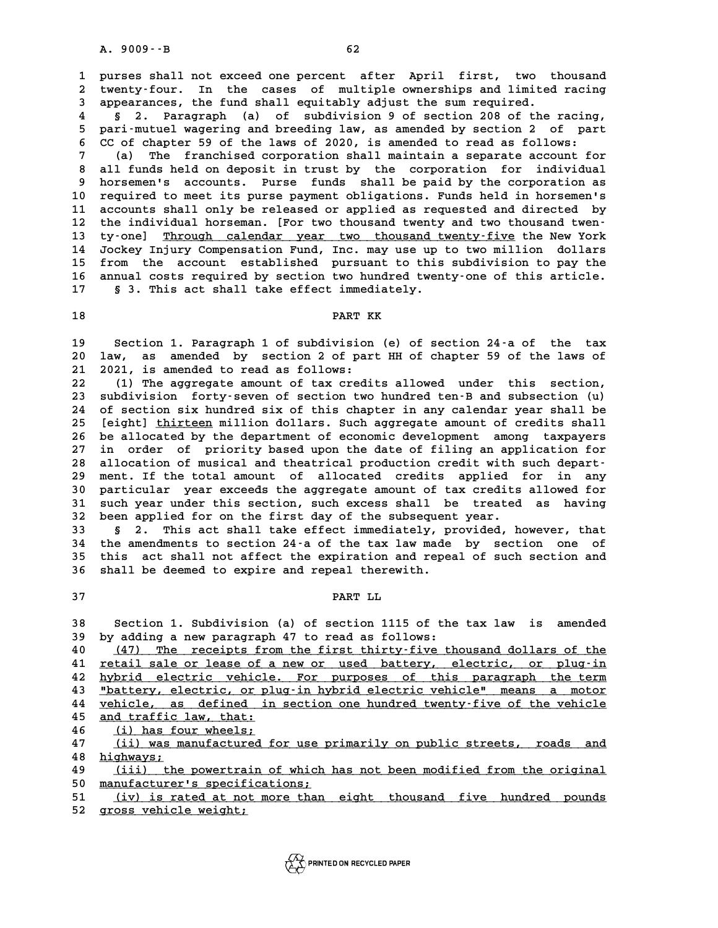**1 purses shall not exceed one percent after April first, two thousand** 1 purses shall not exceed one percent after April first, two thousand<br>2 twenty-four. In the cases of multiple ownerships and limited racing<br>3 appearances, the fund shall equitably adjust the sum required 1 purses shall not exceed one percent after April first, two the twenty-four. In the cases of multiple ownerships and limited<br>3 appearances, the fund shall equitably adjust the sum required.<br><sup>4</sup> 5 3 Percentable 10 of subdi Extenty-four. In the cases of multiple ownerships and limited racing<br>
3 appearances, the fund shall equitably adjust the sum required.<br>
4 § 2. Paragraph (a) of subdivision 9 of section 208 of the racing,<br>
5 parismutuel was

3 appearances, the fund shall equitably adjust the sum required.<br>4 § 2. Paragraph (a) of subdivision 9 of section 208 of the racing,<br>5 pari-mutuel wagering and breeding law, as amended by section 2 of part<br>6 CC of shaptor **6 6** 2. Paragraph (a) of subdivision 9 of section 208 of the racing<br> **6 pari-mutuel wagering and breeding law, as amended by section 2 of par<br>
<b>6 CC of chapter 59 of the laws of 2020, is amended to read as follows:<br>
<b>6** 

5 pari-mutuel wagering and breeding law, as amended by section 2 of part<br>6 CC of chapter 59 of the laws of 2020, is amended to read as follows:<br>7 (a) The franchised corporation shall maintain a separate account for<br>8 all f **8 all funds held on deposit in trust by the corporation for individually horsemen's accounts. Purse funds shall be paid by the corporation for individual horsemen's accounts. Purse funds shall be paid by the corporation f 9 horsemen's accounts. Purse funds shall be paid by the corporation as** 10 all funds held on deposit in trust by the corporation for individual<br>
9 horsemen's accounts. Purse funds shall be paid by the corporation as<br>
10 required to meet its purse payment obligations. Funds held in horsemen's<br> 9 horsemen's accounts. Purse funds shall be paid by the corporation as<br>10 required to meet its purse payment obligations. Funds held in horsemen's<br>11 accounts shall only be released or applied as requested and directed by<br> 10 required to meet its purse payment obligations. Funds held in horsemen's<br>11 accounts shall only be released or applied as requested and directed by<br>12 the individual horseman. [For two thousand twenty and two thousand t 11 accounts shall only be released or applied as requested and directed by<br>12 the individual horseman. [For two thousand twenty and two thousand twen-<br>13 ty-one] <u>Through calendar year two thousand twenty-five</u> the New Yor 12 the individual horseman. [For two thousand twenty and two thousand twen-<br>13 ty-one] <u>Through calendar year two thousand twenty-five</u> the New York<br>14 Jockey Injury Compensation Fund, Inc. may use up to two million dollar 13 ty-one] <u>Through calendar year two thousand twenty-five</u> the New York<br>14 Jockey Injury Compensation Fund, Inc. may use up to two million dollars<br>15 from the account established pursuant to this subdivision to pay the<br>16 14 Jockey Injury Compensation Fund, Inc. may use up to two million dollars<br>15 from the account established pursuant to this subdivision to pay the<br>16 annual costs required by section two hundred twenty-one of this article. annual costs required by section two hundred twenty-one of this article. 17 § 3. This act shall take effect immediately.<br>18 PART KK

**19 Section 1. Paragraph 1 of subdivision (e) of section 24-a of the tax** 19 Section 1. Paragraph 1 of subdivision (e) of section 24–a of the tax<br>20 law, as amended by section 2 of part HH of chapter 59 of the laws of **21 2021, is amended to read as follows:** 20 law, as amended by section 2 of part HH of chapter 59 of the laws of<br>21 2021, is amended to read as follows:<br>22 (1) The aggregate amount of tax credits allowed under this section,<br><sup>23</sup> subdivision, forty-seven of sectio

21 2021, is amended to read as follows:<br>
22 (1) The aggregate amount of tax credits allowed under this section,<br>
23 subdivision forty-seven of section two hundred ten-B and subsection (u)<br>
24 of section six hundred six of 22 (1) The aggregate amount of tax credits allowed under this section,<br>23 subdivision forty-seven of section two hundred ten-B and subsection (u)<br>24 of section six hundred six of this chapter in any calendar year shall be<br> 23 subdivision forty-seven of section two hundred ten-B and subsection (u)<br>24 of section six hundred six of this chapter in any calendar year shall be<br>25 [eight] thirteen million dollars. Such aggregate amount of credits s 24 of section six hundred six of this chapter in any calendar year shall be [eight] <u>thirteen</u> million dollars. Such aggregate amount of credits shall 26 be allocated by the department of economic development among taxpaye 25 [eight] <u>thirteen</u> million dollars. Such aggregate amount of credits shall<br>26 be allocated by the department of economic development among taxpayers<br>27 in order of priority based upon the date of filing an application f 26 be allocated by the department of economic development among taxpayers<br>
27 in order of priority based upon the date of filing an application for<br>
28 allocation of musical and theatrical production credit with such depar 27 in order of priority based upon the date of filing an application for<br>28 allocation of musical and theatrical production credit with such depart-<br>29 ment. If the total amount of allocated credits applied for in any allocation of musical and theatrical production credit with such depart-<br>29 ment. If the total amount of allocated credits applied for in any<br>30 particular year exceeds the aggregate amount of tax credits allowed for<br>31 su 29 ment. If the total amount of allocated credits applied for in any<br>30 particular year exceeds the aggregate amount of tax credits allowed for<br>31 such year under this section, such excess shall be treated as having<br>22 bee 30 particular year exceeds the aggregate amount of tax credits<br>31 such year under this section, such excess shall be treated<br>32 been applied for on the first day of the subsequent year.<br><sup>33</sup> and solutional the effect inmed 31 such year under this section, such excess shall be treated as having<br>32 been applied for on the first day of the subsequent year.<br>33 § 2. This act shall take effect immediately, provided, however, that<br><sup>34</sup> the appearan

32 been applied for on the first day of the subsequent year.<br>33 § 2. This act shall take effect immediately, provided, however, that<br>34 the amendments to section 24-a of the tax law made by section one of<br><sup>35</sup> this act sha **33 5 2.** This act shall take effect immediately, provided, however, that<br>34 the amendments to section 24-a of the tax law made by section one of<br>35 this act shall not affect the expiration and repeal of such section a 34 the amendments to section 24-a of the tax law made by section one of this act shall not affect the expiration and repeal of such section and shall be deemed to expire and repeal therewith. 36 shall be deemed to expire and repeal therewith.<br>37 PART LL

**PART LL<br>38 Section 1. Subdivision (a) of section 1115 of the tax law is amended**<br>39 by adding a new paragraph 47 to read as follows: **38** Section 1. Subdivision (a) of section 1115 of the<br>39 by adding a new paragraph 47 to read as follows:<br>40 (47) The regeints from the first thirty-five th **40 10 38 Section 1. Subdivision (a) of section 1115 of the tax law is amended**<br> **40** by adding a new paragraph 47 to read as follows:<br> **40** (47) The receipts from the first thirty-five thousand dollars of the<br> **41** retail

by adding a new paragraph 47 to read as follows:<br>
40 (47) The receipts from the first thirty-five thousand dollars of the<br>
<u>11 retail sale or lease of a new or used battery, electric, or plug-in</u><br>
by the paragraph the term **40** (47) The receipts from the first thirty-five thousand dollars of the<br> **41** retail sale or lease of a new or used battery, electric, or plug-in<br> **42** hybrid electric vehicle. For purposes of this paragraph the term<br> **4** 41 <u>retail sale or lease of a new or used battery, electric, or plug-in</u><br>42 hybrid electric vehicle. For purposes of this paragraph the term<br>43 <u>"battery, electric, or plug-in hybrid electric vehicle" means a motor</u><br>14 uph A vehicle. For purposes of this paragraph the term<br>
43 <u>"battery, electric, or plug-in hybrid electric vehicle" means a motor</u><br>
<u>vehicle, as defined in section one hundred twenty-five of the vehicle</u><br>
25 and traffic law, t 43 **Thattery, electric, or pl**<br>44 <u>vehicle, as defined in</u><br>45 <u>and traffic law, that:</u><br>(i) has four wheels: <u>vehicle, as defined in section one hundred twenty–five of the vehicle</u><br>45 <u>and traffic law, that:</u><br>46 (i) has four wheels;<br>47 (ii) was manufactured for use primarily on public streets, roads and **45** and traffic law, that:<br>46 (i) has four wheels;<br>47 (ii) was manufactured for use primarily on public streets, roads and<br>bigbrows:

46 <u>(i) has four wheels;</u><br>47 <u>(ii) was manufacture</u><br>48 <u>highways;</u><br>49 (iii) the powertrain **47** (ii) was manufactured for use primarily on public streets, roads and<br> **48** highways:<br> **49** (iii) the powertrain of which has not been modified from the original<br> **50** manufacturer's specifications:

49 <u>(iii) the powertrain of which has not been modified from the original<br>50 <u>manufacturer's specifications;</u><br>51 (iv) is rated at not more than eight thousand five hundred pounds</u>

**51 (iv) is rated at not more than eight thousand five hundred pounds \_\_\_\_\_\_\_\_\_\_\_\_\_\_\_\_\_\_\_\_\_\_\_\_\_\_\_\_\_\_\_\_\_\_\_\_\_\_\_\_\_\_\_\_\_\_\_\_\_\_\_\_\_\_\_\_\_\_\_\_\_\_\_\_\_\_\_\_\_\_**

**52 gross vehicle weight; \_\_\_\_\_\_\_\_\_\_\_\_\_\_\_\_\_\_\_\_\_**

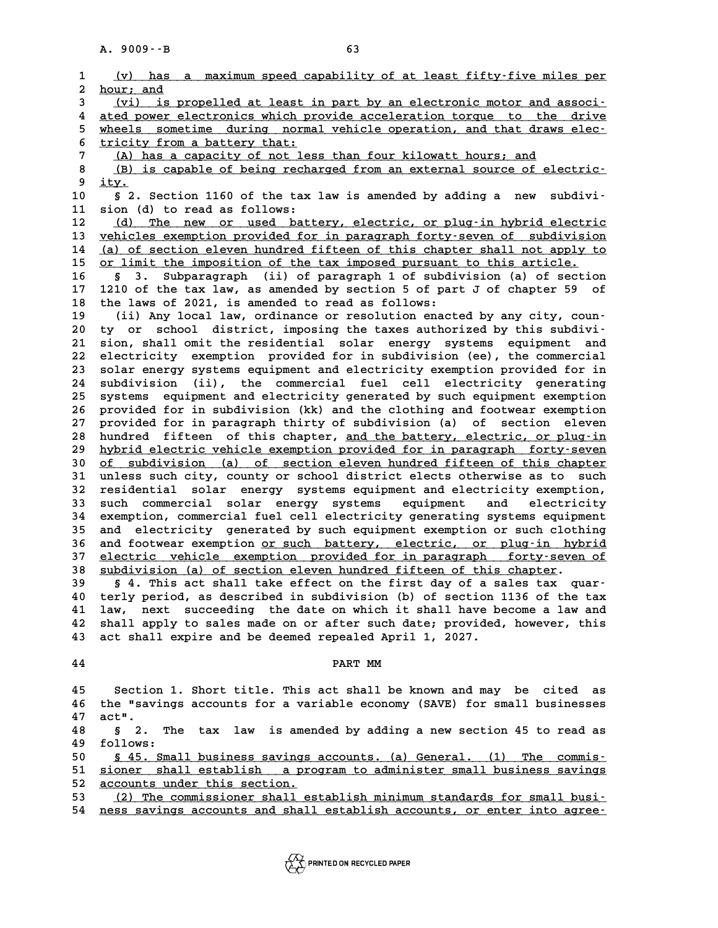|                             | A. 9009 -- B | 63                                                                                                                                              |
|-----------------------------|--------------|-------------------------------------------------------------------------------------------------------------------------------------------------|
|                             |              | (v) has a maximum speed capability of at least fifty-five miles per                                                                             |
| $\mathbf{1}$<br>$\mathbf 2$ | hour; and    |                                                                                                                                                 |
| 3                           |              | (vi) is propelled at least in part by an electronic motor and associ-                                                                           |
| 4                           |              | ated power electronics which provide acceleration torque to the drive                                                                           |
| 5                           |              | wheels sometime during normal vehicle operation, and that draws elec-                                                                           |
| 6                           |              | tricity from a battery that:                                                                                                                    |
| 7                           |              | (A) has a capacity of not less than four kilowatt hours; and                                                                                    |
| 8                           |              | (B) is capable of being recharged from an external source of electric-                                                                          |
| 9                           | ity.         |                                                                                                                                                 |
| 10                          |              | § 2. Section 1160 of the tax law is amended by adding a new<br>subdivi-                                                                         |
| 11                          |              | sion (d) to read as follows:                                                                                                                    |
| 12                          |              | (d) The new or used battery, electric, or plug-in hybrid electric                                                                               |
| 13                          |              | vehicles exemption provided for in paragraph forty-seven of subdivision                                                                         |
| 14                          |              | (a) of section eleven hundred fifteen of this chapter shall not apply to                                                                        |
| 15                          |              | or limit the imposition of the tax imposed pursuant to this article.                                                                            |
| 16                          | 3.<br>Ş.     | Subparagraph (ii) of paragraph 1 of subdivision (a) of section                                                                                  |
| 17<br>18                    |              | 1210 of the tax law, as amended by section 5 of part J of chapter 59 of<br>the laws of 2021, is amended to read as follows:                     |
| 19                          |              | (ii) Any local law, ordinance or resolution enacted by any city, coun-                                                                          |
| 20                          |              | ty or school district, imposing the taxes authorized by this subdivi-                                                                           |
| 21                          |              | sion, shall omit the residential solar energy systems equipment and                                                                             |
| 22                          |              | electricity exemption provided for in subdivision (ee), the commercial                                                                          |
| 23                          |              | solar energy systems equipment and electricity exemption provided for in                                                                        |
| 24                          |              | subdivision (ii), the commercial fuel cell electricity generating                                                                               |
| 25                          | systems      | equipment and electricity generated by such equipment exemption                                                                                 |
| 26                          |              | provided for in subdivision (kk) and the clothing and footwear exemption                                                                        |
| 27                          |              | provided for in paragraph thirty of subdivision (a) of section eleven                                                                           |
| 28                          |              | hundred fifteen of this chapter, and the battery, electric, or plug-in                                                                          |
| 29                          |              | hybrid electric vehicle exemption provided for in paragraph forty-seven                                                                         |
| 30<br>31                    |              | of subdivision (a) of section eleven hundred fifteen of this chapter<br>unless such city, county or school district elects otherwise as to such |
| 32                          |              | residential solar energy systems equipment and electricity exemption,                                                                           |
| 33                          |              | such commercial solar energy systems equipment and<br>electricity                                                                               |
| 34                          |              | exemption, commercial fuel cell electricity generating systems equipment                                                                        |
| 35                          |              | and electricity generated by such equipment exemption or such clothing                                                                          |
| 36                          |              | and footwear exemption or such battery, electric, or plug-in hybrid                                                                             |
| 37                          |              | electric vehicle exemption provided for in paragraph forty-seven of                                                                             |
| 38                          |              | subdivision (a) of section eleven hundred fifteen of this chapter.                                                                              |
| 39                          |              | § 4. This act shall take effect on the first day of a sales tax quar-                                                                           |
| 40                          |              | terly period, as described in subdivision (b) of section 1136 of the tax                                                                        |
| 41                          | law,         | next succeeding the date on which it shall have become a law and                                                                                |
| 42                          |              | shall apply to sales made on or after such date; provided, however, this                                                                        |
| 43                          |              | act shall expire and be deemed repealed April 1, 2027.                                                                                          |
| 44                          |              | PART MM                                                                                                                                         |
|                             |              |                                                                                                                                                 |
| 45                          |              | Section 1. Short title. This act shall be known and may be cited as                                                                             |
| 46                          |              | the "savings accounts for a variable economy (SAVE) for small businesses                                                                        |
| 47                          | act".        |                                                                                                                                                 |
| 48                          | Ś.<br>2.     | The tax law is amended by adding a new section 45 to read as                                                                                    |
| 49                          | follows:     |                                                                                                                                                 |
| 50                          |              | \$ 45. Small business savings accounts. (a) General. (1) The commis-                                                                            |
| 51                          |              | sioner shall establish a program to administer small business savings                                                                           |
| 52                          |              | accounts under this section.                                                                                                                    |
| 53                          |              | (2) The commissioner shall establish minimum standards for small busi-                                                                          |
| 54                          |              | ness savings accounts and shall establish accounts, or enter into agree-                                                                        |

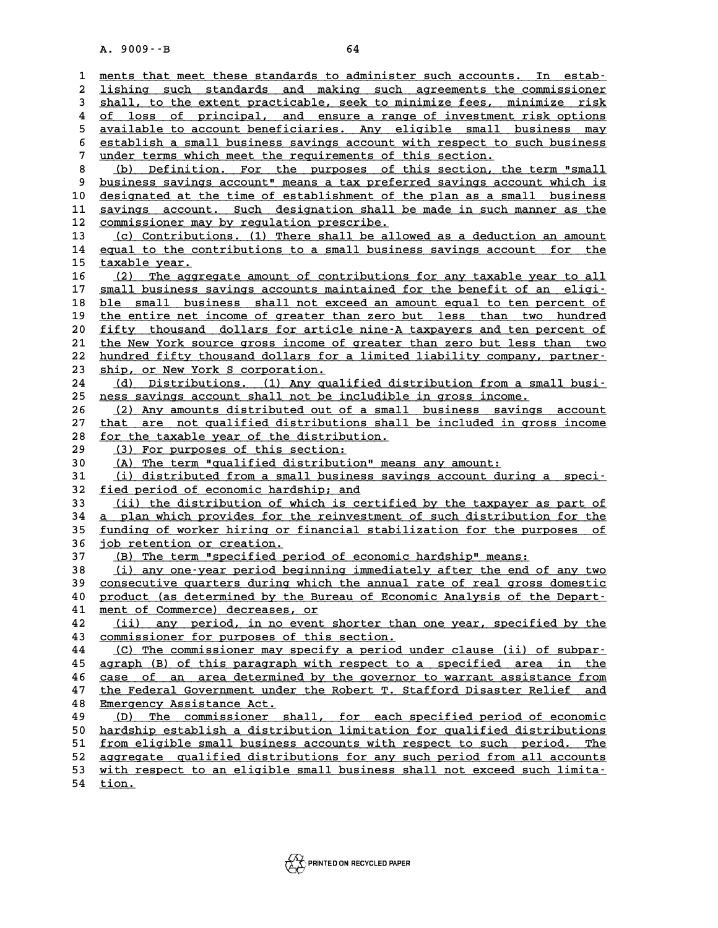A. 9009 --B<br>
1 <u>ments that meet these standards to administer such accounts. In estab-</u><br>
2 lishing such standards and making such agreements the commissioner 2 <u>lishing such standards and making such agreements the commissioner</u><br>3 shall, to the extent practicable, seek to minimize fees, minimize risk 3 <u>ments that meet these standards to administer such accounts. In estab-</u><br>2 <u>lishing such standards and making such agreements the commissioner</u><br>3 shall, to the extent practicable, seek to minimize fees, minimize risk<br>2 o 4 <u>lishing such standards and making such agreements the commissioner</u><br>
4 <u>of loss of principal, and ensure a range of investment risk options</u><br>
<sup>4</sup> original to aggount bonoficianies, Any oligible small business may 5 **shall, to the extent practicable, seek to minimize fees, minimize risk**<br> **5** <u>available to account beneficiaries</u>. Any eligible small business may<br> **Example to account beneficiaries.** Any eligible small business may<br>
ac 6 <u>establish a small business and ensure a range of investment risk options<br>
5 available to account beneficiaries. Any eligible small business may<br>
6 establish a small business savings account with respect to such business</u> 5 <u>available to account beneficiaries. Any eligible small business may</u><br>6 <u>establish a small business savings account with respect to such business</u><br>7 <u>under terms which meet the requirements of this section.</u><br>8 (b) Defini 8 <u>establish a small business savings account with respect to such business</u><br>
8 (b) Definition. For the purposes of this section, the term "small<br>
9 business savings account" means a tax preferred savings account which is 9 <u>business savings account" means a tax preferred savings account which is</u><br>10 designated at the time of establishment of the plan as a small business **10 designated at the time of establishment of the plan as a small business \_\_\_\_\_\_\_\_\_\_\_\_\_\_\_\_\_\_\_\_\_\_\_\_\_\_\_\_\_\_\_\_\_\_\_\_\_\_\_\_\_\_\_\_\_\_\_\_\_\_\_\_\_\_\_\_\_\_\_\_\_\_\_\_\_\_\_\_\_\_\_\_** 9 business savings account" means a tax preferred savings account which is<br>10 <u>designated at the time of establishment of the plan as a small business</u><br>11 savings account. Such designation shall be made in such manner as t 10 designated at the time of establishment of the savings account. Such designation shall b<br>
12 <u>commissioner may by regulation prescribe.</u><br>
13 (a) Contributions (1) There shall be allow 11 <u>savings account. Such designation shall be made in such manner as the commissioner may by regulation prescribe.<br>
13 (c) Contributions. (1) There shall be allowed as a deduction an amount<br>
14 equal to the contributions </u> 12 <u>commissioner may by regulation prescribe.</u><br>13 (c) Contributions. (1) There shall be allowed as a deduction an amount<br>14 equal to the contributions to a small business savings account for the<br>15 tarable wear 13 <u>(c) Contributi</u><br>14 <u>equal to the con</u><br>15 taxable year. 15 <u>taxable year.</u><br>16 <u>(2) The aggregate amount of contributions for any taxable year to all</u><br>17 small business savings accounts maintained for the benefit of an eligi– 15 **taxable year.**<br>
16 (2) The aggregate amount of contributions for any taxable year to all<br>
17 <u>small business savings accounts maintained for the benefit of an eligi-</u><br>
ble small business shall not exaced an amount essa 16 (2) The aggregate amount of contributions for any taxable year to all<br>17 <u>small business savings accounts maintained for the benefit of an eligi-</u><br>18 ble small business shall not exceed an amount equal to ten percent of **17** small business savings accounts maintained for the benefit of an eligi-<br> **ble small business shall not exceed an amount equal to ten percent of**<br> **the entire net income of greater than zero but less than two hundred**<br> 18 <u>ble small business shall not exceed an amount equal to ten percent of</u><br>19 <u>the entire net income of greater than zero but less than two hundred</u><br>20 <u>fifty thousand dollars for article nine-A taxpayers and ten percent o</u> 20 the entire net income of greater than zero but less than two hundred<br>20 fifty thousand dollars for article nine-A taxpayers and ten percent of<br>21 the New York source gross income of greater than zero but less than two<br>2 20 <u>fifty thousand dollars for article nine-A taxpayers and ten percent of the New York source gross income of greater than zero but less than two hundred fifty thousand dollars for a limited liability company, partner-<br><sup>2</u></sup> 21 the New York source gross income of<br>
22 hundred fifty thousand dollars for<br>
23 ship, or New York S corporation.<br>
24 (d) Distributions (1) Apy gual 22 <u>hundred fifty thousand dollars for a limited liability company, partner-</u><br>23 <u>ship, or New York S corporation.</u><br>24 (d) Distributions. (1) Any qualified distribution from a small busi-<br>25 nose swings account shall not b **23** ship, or New York S corporation.<br> **24** (d) Distributions. (1) Any qualified distribution from a sma<br>
<u>ness savings account shall not be includible in gross income.</u><br>
26 (2) Any amounts distributed out of a small busin (d) Distributions. (1) Any qualified distribution from a small busi-<br>
25 <u>ness savings account shall not be includible in gross income.</u><br>
26 (2) Any amounts distributed out of a small business savings account<br>
27 that are 25 <u>ness savings account shall not be includible in gross income.</u><br>
26 (2) Any amounts distributed out of a small business savings account<br>
27 that are not qualified distributions shall be included in gross income<br>
28 for 26 (2) Any amounts distributed out of a small<br>27 that are not qualified distributions shall<br>28 for the taxable year of the distribution. 27 that are not qualified distributions<br>
28 <u>for the taxable year of the distribution:</u><br>
29 (3) For purposes of this section:<br>
20 (3) The term "cualified distribution **30 <u>for the taxable year of the distribution</u>.<br>
<b>30** (A) The term "qualified distribution" means any amount:<br> **30** (A) The term "qualified distribution" means any amount:<br> **31** (i) distributed from a small business saving **31** (3) For purposes of this section:<br> **30** (A) The term "qualified distribution" means any amount:<br> **31** (i) distributed from a small business savings account during a speci-<br> **32** fied period of economic bardship, and 30 **(A)** The term "qualified distribution" i<br>31 **(i)** distributed from a small business<br>32 <u>fied period of economic hardship; and</u><br>33 (ii) the distribution of which is gert (i) distributed from a small business savings account during a speci-<br>32 <u>fied period of economic hardship; and</u><br>33 (ii) the distribution of which is certified by the taxpayer as part of<br>34 a plan which provided for the po <u>fied period of economic hardship; and</u><br>
33 (ii) the distribution of which is certified by the taxpayer as part of<br>
34 <u>a plan which provides for the reinvestment of such distribution for the</u><br>
35 funding of worker hiring **33** (ii) the distribution of which is certified by the taxpayer as part of a plan which provides for the reinvestment of such distribution for the funding of worker hiring or financial stabilization for the purposes of ic **34** <u>**a** plan which provides for the funding of worker hiring or f<br>36 job retention or creation.<br>27 (B) The term laposified per</u> **<u>funding of worker hiring or financial stabilization for the purp</u><br>36 <u>job retention or creation.</u><br>37 (B) The term "specified period of economic hardship" means:<br>(i) any one way period beginning impediately after the and** 36 <u>job retention or creation.</u><br>37 (B) The term "specified period of economic hardship" means:<br>38 (i) any one-year period beginning immediately after the end of any two<br>29 consequiive guarters during which the annual rate **37** (B) The term "specified period of economic hardship" means:<br>38 (i) any one-year period beginning immediately after the end of any two<br>39 consecutive quarters during which the annual rate of real gross domestic<br>40 prod 48 (i) any one-year period beginning immediately after the end of any two<br>
40 <u>consecutive quarters during which the annual rate of real gross domestic</u><br>
40 product (as determined by the Bureau of Economic Analysis of the 39 <u>consecutive quarters during which</u><br>40 <u>product (as determined by the Bure</u><br>41 <u>ment of Commerce) decreases, or</u><br>42 (ii) any period in pequent of product (as determined by the Bureau of Economic Analysis of the Depart-<br>  $\frac{1}{2}$  <u>(ii) any period, in no event shorter than one year, specified by the</u><br>  $\frac{1}{2}$  commissioner for purposes of this section 41 <u>ment of Commerce) decreases, or</u><br>42 (ii) any period, in no event shorter than<br>43 <u>commissioner for purposes of this section.</u><br>44 (C) The commissioner may specify a period w **42** (ii) any period, in no event shorter than one year, specified by the<br> **43** <u>commissioner for purposes of this section.</u><br> **44** (C) The commissioner may specify a period under clause (ii) of subpar-<br> **45** agraph (B) of **43** <u>commissioner for purposes of this section.</u><br> **44** (C) The commissioner may specify a period under clause (ii) of subpar-<br>
<u>agraph (B) of this paragraph with respect to a specified area in the</u><br> **46** aggraph (B) or ar **44 (C) The commissioner may specify a period under clause (ii) of subpar-**<br>**45 agraph (B) of this paragraph with respect to a specified area in the case of an area determined by the governor to warrant assistance from**<br>**4 45** agraph (B) of this paragraph with respect to a specified area in the case of an area determined by the governor to warrant assistance from the Federal Government under the Robert T. Stafford Disaster Relief and 46 case of an area determine<br>47 the Federal Government under<br>48 Emergency Assistance Act.<br>49 (D) The commissioner sh **47** the Federal Government under the Robert T. Stafford Disaster Relief and<br>48 <u>Emergency Assistance Act.</u><br>(D) The commissioner shall, for each specified period of economic<br>bardship ostablish a distribution limitation for **50 <u>Emergency Assistance Act.</u><br>
<b>50** (D) The commissioner shall, for each specified period of economic<br> **hardship establish a distribution limitation for qualified distributions**<br> **property form aligible small business as** 49 (D) The commissioner shall, for each specified period of economic<br>50 hardship establish a distribution limitation for qualified distributions<br>51 <u>from eligible small business accounts with respect to such period. The</u><br>5 50 hardship establish a distribution limitation for qualified distributions<br>51 <u>from eligible small business accounts</u> with respect to such period. The<br>52 aggregate qualified distributions for any such period from all acco from eligible small business accounts with respect to such period. The

**54 tion. \_\_\_\_\_**

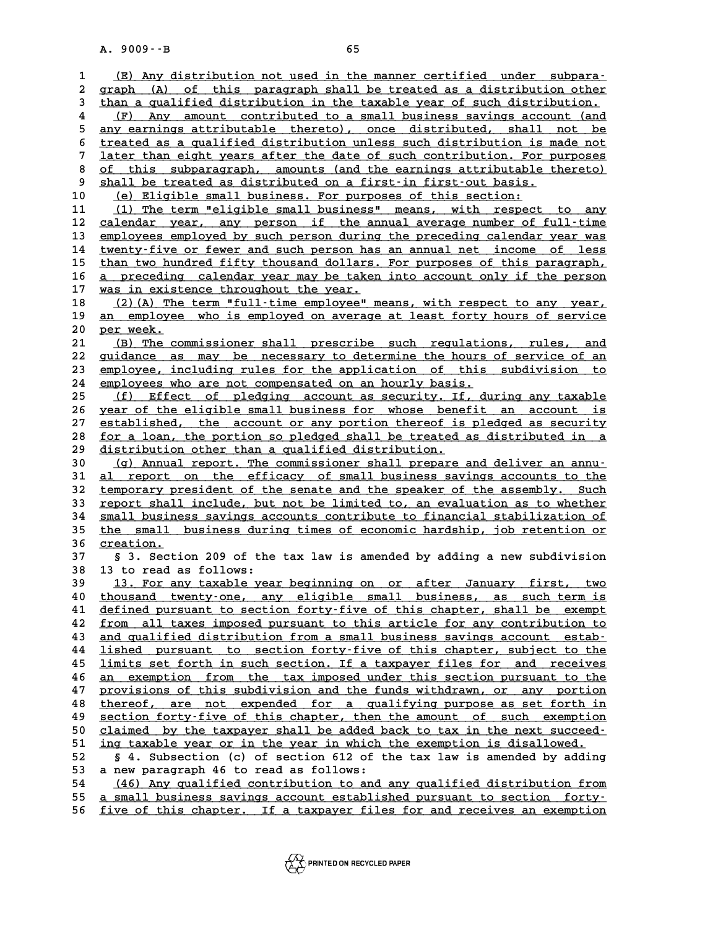A. 9009 --B<br>
1 <u>(E) Any distribution not used in the manner certified under subpara-</u><br>
2 graph (A) of this paragraph shall be treated as a distribution other <u>(E) Any distribution not used in the manner certified under subpara-</u><br>2 graph (A) of this paragraph shall be treated as a distribution other<br>3 than a qualified distribution in the taxable year of such distribution.</u> **3 (E)** Any distribution not used in the manner certified under subpara-<br> **2 graph** (A) of this paragraph shall be treated as a distribution other<br> **3** than a qualified distribution in the taxable year of such distribution **4** (F) Any amount contributed to a small business savings account (and<br>5 any earnings attributable thereto), once distributed, shall not be than a qualified distribution in the taxable year of such distribution.<br>
(F) Any amount contributed to a small business savings account (and<br>  $\frac{1}{2}$  any earnings attributable thereto), once distributed, shall not be<br>  $\$ **6 (F)** Any amount contributed to a small business savings account (and<br>
s any earnings attributable thereto), once distributed, shall not be<br>
treated as a qualified distribution unless such distribution is made not<br>
liter 5 any earnings attributable thereto), once distributed, shall not be<br>
treated as a qualified distribution unless such distribution is made not<br>
There than eight years after the date of such contribution. For purposes<br>
of t 6 <u>treated as a qualified distribution unless such distribution is made not<br>
7 later than eight years after the date of such contribution. For purposes<br>
8 of this subparagraph, amounts (and the earnings attributable theret</u> **1 distribution.** For p<br> **9** <u>of this subparagraph</u>, amounts (and the earnings attributable the<br> **9** shall be treated as distributed on a first-in first-out basis.<br>
(a) Fligible small business For purposes of this sectio 10 8 8 8 8 6 6 this subparagraph, amounts (and the earnings attributable thereto)<br>
10 <u>5 khall be treated as distributed on a first-in first-out basis.</u><br>
10 <u>(e) Eligible small business. For purposes of this section:</u><br>
11 9 shall be treated as distributed on a first-in first-out basis.<br>
10 (e) Eligible small business. For purposes of this section:<br>
11 (1) The term "eligible small business" means, with respect to any<br>
22 salerdar wear any pe 10 (e) Eligible small business. For purposes of this section:<br>
11 (1) The term "eligible small business" means, with respect to any<br>
2 calendar year, any person if the annual average number of full-time<br>
213 employees empl 11 (1) The term "eligible small business" means, with respect to any<br>
12 <u>calendar year, any person if the annual average number of full-time</u><br>
13 employees employed by such person during the preceding calendar year was<br>
1 12 calendar year, any person if the annual average number of full-time<br>13 <u>employees employed by such person during the preceding calendar year was</u><br>14 <u>twenty-five or fewer and such person has an annual net income of less</u> 15 than two hundred fifty thousand dollars. For purposes of this paragraph,<br>16 a preceding calendar year may be taken into account only if the person 14 <u>twenty-five or fewer and such person has an annual net income of less<br>15 than two hundred fifty thousand dollars. For purposes of this paragraph,<br>16 <u>a preceding calendar year may be taken into account only if the pers</u></u> than two hundred fifty thousand dollars.<br> **16** <u>was in existence throughout the year.</u><br> **19** (2)(3) The term "full-time employee" **16** <u>a preceding calendar year may be taken into account only if the person</u><br>17 <u>was in existence throughout the year.</u><br>18 (2)(A) The term "full-time employee" means, with respect to any year. **17** was in existence throughout the year.<br> **18** (2)(A) The term "full-time employee" means, with respect to any year,<br>
<u>an employee who is employed on average at least forty hours of service</u><br> **por weak 20 per week. \_\_\_\_\_\_\_\_\_ 20** <u>an employee who is employed on average at least forty hours of service</u><br> **20** <u>per week.</u><br> **21** (B) The commissioner shall prescribe such regulations, rules, and<br> **22** quidance 25 may be recognary to determine the be 20 <u>per week.</u><br>
21 <u>(B) The commissioner shall prescribe such regulations, rules, and</u><br>
22 <u>guidance as may be necessary to determine the hours of service of an</u><br>
23 <u>employee, including rules for the application</u> of this (B) The commissioner shall prescribe such regulations, rules, and<br>22 guidance as may be necessary to determine the hours of service of an<br>23 employee, including rules for the application of this subdivision to<br>24 employees 22 guidance as may be necessary to determine the hours<br>
23 employee, including rules for the application of this<br>
24 employees who are not compensated on an hourly basis.<br>
25 (f) Fffort of plodging account as sequrity If d 23 employee, including rules for the application of this subdivision to<br>24 employees who are not compensated on an hourly basis.<br>25 (f) Effect of pledging account as security. If, during any taxable<br>26 year of the cligible 24 employees who are not compensated on an hourly basis.<br>
25 (f) Effect of pledging account as security. If, during any taxable<br>
26 year of the eligible small business for whose benefit an account is<br>
27 established the ac 25 (f) Effect of pledging account as security. If, during any taxable<br>26 year of the eligible small business for whose benefit an account is<br>27 established, the account or any portion thereof is pledged as security<br>28 for **26 year of the eligible small business for whose benefit an account is<br>
27 established, the account or any portion thereof is pledged as security<br>
28 for a loan, the portion so pledged shall be treated as distributed in a** 27 established, the account or any portion thereof is<br>
28 <u>for a loan, the portion so pledged shall be treated</u><br>
<u>distribution other than a qualified distribution.</u><br>
20 (c) Annual report The commissioner shall preated **30 (g) Annual report. The commissioner shall prepare and deliver an annu- \_\_\_\_\_\_\_\_\_\_\_\_\_\_\_\_\_\_\_\_\_\_\_\_\_\_\_\_\_\_\_\_\_\_\_\_\_\_\_\_\_\_\_\_\_\_\_\_\_\_\_\_\_\_\_\_\_\_\_\_\_\_\_\_\_\_\_\_\_\_** distribution other than a qualified distribution.<br>
30 (g) Annual report. The commissioner shall prepare and deliver an annu-<br>
31 <u>al report on the efficacy of small business savings accounts to the</u><br>
to the context present **30** (g) Annual report. The commissioner shall prepare and deliver an annu-<br> **all report on the efficacy of small business savings accounts to the**<br> **temporary president of the senate and the speaker of the assembly.** Such **31 al report on the efficacy of small business savings accounts to the temporary president of the senate and the speaker of the assembly. Such report shall include, but not be limited to, an evaluation as to whether**  $\frac{$ 32 <u>temporary president of the senate and the speaker of the assembly. Such</u><br>33 <u>report shall include, but not be limited to, an evaluation as to whether</u><br>34 <u>small business savings accounts contribute to financial stabili</u> **33 report shall include, but not be limited to, an evaluation as to whether**<br>34 <u>small business savings accounts contribute to financial stabilization of</u><br>35 the small business during times of economic hardship, job ret 34 <u>small busine</u><br>35 <u>the small</u><br>36 <u>creation.</u><br>37 53 Sorti **35 <u>the small business during times of economic hardship, job retention or creation.</u><br>37 § 3. Section 209 of the tax law is amended by adding a new subdivision<br>38 13 to read as follows. 36** <u>creation.</u><br> **37 5** 3. Section 209 of the<br> **38** 13 to read as follows:<br> **39 12** For any tarable year **37 5** 3. Section 209 of the tax law is amended by adding a new subdivision<br> **38** 13 to read as follows:<br>
<u>13. For any taxable year beginning on or after January first, two</u><br>
thousand typety.org, any cligible small busin 10 to read as follows:<br>
10 thousand twenty-one, any eligible small business, as such term is<br>
10 <u>thousand twenty-one, any eligible small business, as such term is</u><br>
11 defined pursuant to section forty-five of this chapte 13. For any taxable year beginning on or after January first, two<br>40 <u>thousand twenty-one, any eligible small business, as such term is</u><br>41 defined pursuant to section forty-five of this chapter, shall be exempt<br>42 from al 40 <u>thousand twenty-one, any eligible small business, as such term is<br>41 defined pursuant to section forty-five of this chapter, shall be exempt<br>42 from all taxes imposed pursuant to this article for any contribution to<br>an</u> **41** defined pursuant to section forty-five of this chapter, shall be exempt<br>42 from all taxes imposed pursuant to this article for any contribution to<br>and qualified distribution from a small business savings account estab 42 <u>from all taxes imposed pursuant to this article for any contribution to</u><br>43 <u>and qualified distribution from a small business savings account estab-</u><br><u>14 lished pursuant to section forty-five of this chapter, subject t</u> and qualified distribution from a small business savings account estab-<br> **144** lished pursuant to section forty-five of this chapter, subject to the<br> **15** limits set forth in such section. If a taxpayer files for and recei **44** lished pursuant to section forty-five of this chapter, subject to the<br>45 limits set forth in such section. If a taxpayer files for and receives<br>46 an exemption from the tax imposed under this section pursuant to the<br>p **45** <u>limits set forth in such section. If a taxpayer files for and receives</u><br>46 <u>an exemption from the tax imposed under this section pursuant to the</u><br>provisions of this subdivision and the funds withdrawn, or any portion **46** <u>an exemption from the tax imposed under this section pursuant to the</u><br>47 provisions of this subdivision and the funds withdrawn, or any portion<br>48 thereof, are not expended for a qualifying purpose as set forth in<br>5 provisions of this subdivision and the funds withdrawn, or any portion<br>48 <u>thereof, are not expended for a qualifying purpose as set forth in</u><br>50 section forty-five of this chapter, then the amount of such exemption<br>50 sla the the taxpent of this chapter, then the amount of such exemption<br>49 <u>section forty-five of this chapter, then the amount of such exemption</u><br>50 <u>claimed by the taxpayer shall be added back to tax in the next succeed-</u><br>51 **50** <u>section forty-five of this chapter</u>, then the amount of such exemption claimed by the taxpayer shall be added back to tax in the next succeed-<br> **ing taxable year or in the year in which the exemption is disallowed.**<br> **12. Subsection 12. Subsection (c)** of section 612 of the tax law is amended by adding<br>
52 § 4. Subsection (c) of section 612 of the tax law is amended by adding<br>
53. A new parameter 46 to read as follows. 51 ing taxable year or in the year in which the exemption is disallowed.<br>52 § 4. Subsection (c) of section 612 of the tax law is amended by adding<br>53 a new paragraph 46 to read as follows:<br>54 (46) Any qualified contributio 54 (46) Any qualified contribution to and any qualified distribution from<br>55 a small business savings account established pursuant to section forty. **55** a small business savings account established pursuant to section forty-<br>56 five of this chapter. If a taxpayer files for and receives an exemption five of this chapter. If a taxpayer files for and receives an exemption

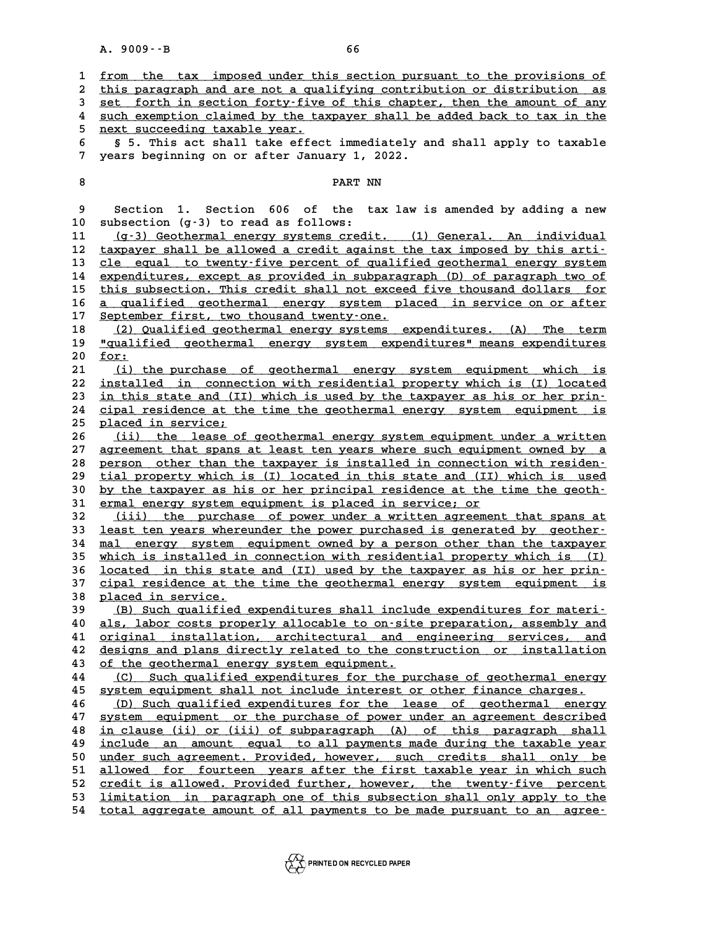|                  | $A. 9009 - B$                 | 66                                                                                                                                                 |
|------------------|-------------------------------|----------------------------------------------------------------------------------------------------------------------------------------------------|
| 1                |                               | from the tax imposed under this section pursuant to the provisions of                                                                              |
| $\boldsymbol{2}$ |                               | this paragraph and are not a qualifying contribution or distribution as                                                                            |
| 3                |                               | set forth in section forty-five of this chapter, then the amount of any                                                                            |
| 4                |                               | such exemption claimed by the taxpayer shall be added back to tax in the                                                                           |
| 5                | next succeeding taxable year. |                                                                                                                                                    |
| 6                |                               | § 5. This act shall take effect immediately and shall apply to taxable                                                                             |
| 7                |                               | years beginning on or after January 1, 2022.                                                                                                       |
|                  |                               |                                                                                                                                                    |
| 8                |                               | PART NN                                                                                                                                            |
| 9                | Section                       | 1. Section 606 of the tax law is amended by adding a new                                                                                           |
| 10               |                               | subsection (g-3) to read as follows:                                                                                                               |
| 11               |                               | (g-3) Geothermal energy systems credit. (1) General. An individual                                                                                 |
| 12               |                               | taxpayer shall be allowed a credit against the tax imposed by this arti-                                                                           |
| 13               |                               | cle equal to twenty-five percent of qualified geothermal energy system                                                                             |
| 14               |                               | expenditures, except as provided in subparagraph (D) of paragraph two of                                                                           |
| 15               |                               | this subsection. This credit shall not exceed five thousand dollars for                                                                            |
| 16               |                               | a qualified geothermal energy system placed in service on or after                                                                                 |
| 17               |                               | September first, two thousand twenty-one.                                                                                                          |
| 18<br>19         |                               | (2) Qualified geothermal energy systems expenditures. (A) The term<br>"qualified geothermal energy system expenditures" means expenditures         |
| 20               | for:                          |                                                                                                                                                    |
| 21               |                               | (i) the purchase of geothermal energy system equipment which is                                                                                    |
| 22               |                               | installed in connection with residential property which is (I) located                                                                             |
| 23               |                               | in this state and (II) which is used by the taxpayer as his or her prin-                                                                           |
| 24               |                               | cipal residence at the time the geothermal energy system equipment is                                                                              |
| 25               | placed in service;            |                                                                                                                                                    |
| 26               |                               | (ii) the lease of geothermal energy system equipment under a written                                                                               |
| 27               |                               | agreement that spans at least ten years where such equipment owned by a                                                                            |
| 28<br>29         |                               | person other than the taxpayer is installed in connection with residen-<br>tial property which is (I) located in this state and (II) which is used |
| 30               |                               | by the taxpayer as his or her principal residence at the time the geoth-                                                                           |
| 31               |                               | ermal energy system equipment is placed in service; or                                                                                             |
| 32               |                               | (iii) the purchase of power under a written agreement that spans at                                                                                |
| 33               |                               | least ten years whereunder the power purchased is generated by geother-                                                                            |
| 34               | mal                           | energy system equipment owned by a person other than the taxpayer                                                                                  |
| 35               |                               | which is installed in connection with residential property which is (I)                                                                            |
| 36               |                               | located in this state and (II) used by the taxpayer as his or her prin-                                                                            |
| 37               |                               | cipal residence at the time the geothermal energy system equipment is                                                                              |
| 38<br>39         | placed in service.            | (B) Such qualified expenditures shall include expenditures for materi-                                                                             |
| 40               |                               | als, labor costs properly allocable to on-site preparation, assembly and                                                                           |
| 41               |                               | original installation, architectural and engineering services, and                                                                                 |
| 42               |                               | designs and plans directly related to the construction or installation                                                                             |
| 43               |                               | of the geothermal energy system equipment.                                                                                                         |
| 44               |                               | (C) Such qualified expenditures for the purchase of geothermal energy                                                                              |
| 45               |                               | system equipment shall not include interest or other finance charges.                                                                              |
| 46               |                               | (D) Such qualified expenditures for the lease of geothermal<br>energy                                                                              |
| 47               |                               | system equipment or the purchase of power under an agreement described                                                                             |
| 48<br>49         |                               | in clause (ii) or (iii) of subparagraph (A) of this paragraph shall<br>include an amount equal to all payments made during the taxable year        |
| 50               |                               | under such agreement. Provided, however, such credits shall only be                                                                                |
| 51               |                               | allowed for fourteen years after the first taxable year in which such                                                                              |
| 52               |                               | credit is allowed. Provided further, however, the twenty-five percent                                                                              |
| 53               |                               | limitation in paragraph one of this subsection shall only apply to the                                                                             |
| 54               |                               | total aggregate amount of all payments to be made pursuant to an agree-                                                                            |
|                  |                               |                                                                                                                                                    |

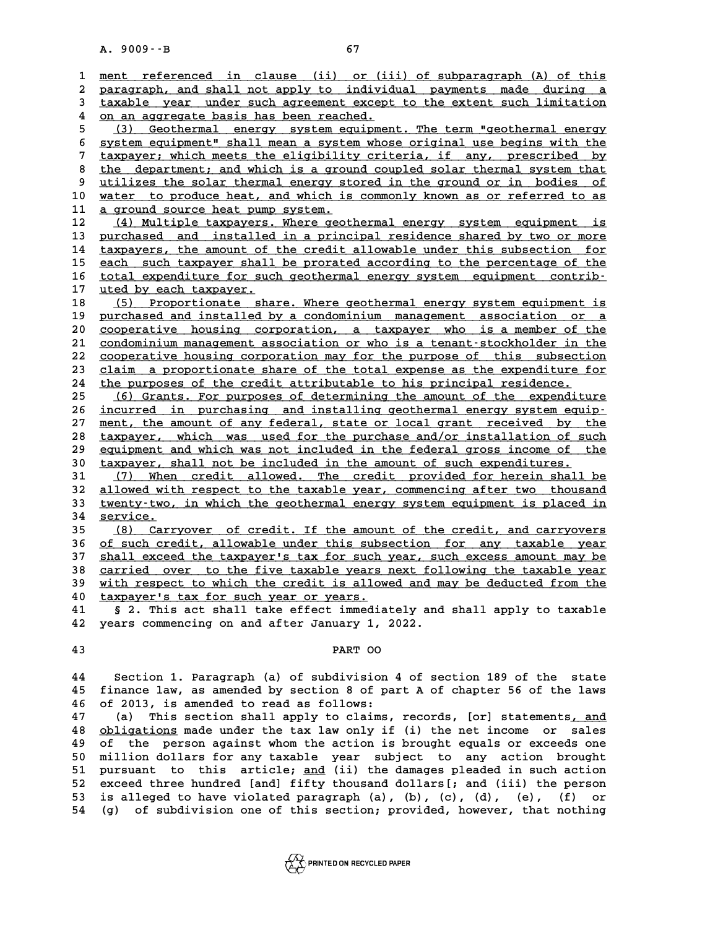A. 9009 · - B<br>
1 <u>ment referenced in clause (ii) or (iii) of subparagraph (A) of this</u><br>
2 paragraph and shall not apply to individual payments made during a 2 <u>ment referenced in clause (ii) or (iii) of subparagraph (A) of this<br>2 <u>paragraph, and shall not apply to individual payments made during a</u><br>3 taxable year under such agreement except to the extent such limitation</u> **3** <u>ment referenced in clause (ii) or (iii) of subparagraph (A) of this paragraph, and shall not apply to individual payments made during a taxable year under such agreement except to the extent such limitation</u> paragraph, and shall not apply to individ<br>  $\frac{1}{2}$  taxable year under such agreement except<br>  $\frac{1}{2}$  on an aggregate basis has been reached.<br>  $\frac{1}{2}$  (2) Coothermal energy system equipment 5 (3) Geothermal energy system equipment. The term "geothermal energy<br>
5 (3) Geothermal energy system equipment. The term "geothermal energy<br>
5 (3) Geothermal energy system equipment. The term "geothermal energy **6 4 on an aggregate basis has been reached.**<br> **6 (3) Geothermal energy system equipment. The term "geothermal energy**<br> **6 system equipment" shall mean a system whose original use begins with the**<br> **1** tarraway, which meat <sup>5</sup> (3) Geothermal energy system equipment. The term "geothermal energy system equipment" shall mean a system whose original use begins with the taxpayer; which meets the eligibility criteria, if any, prescribed by the dep 8 system equipment" shall mean a system whose original use begins with the<br>
<sup>7</sup> taxpayer; which meets the eligibility criteria, if any, prescribed by<br>
<sup>8</sup> the department; and which is a ground coupled solar thermal system **expayer; which meets the eligibility criteria, if any, prescribed by**<br> **9 the department; and which is a ground coupled solar thermal system that**<br> **9 utilizes the solar thermal energy stored in the ground or in bodies of** 8 the department; and which is a ground coupled solar thermal system that<br>9 utilizes the solar thermal energy stored in the ground or in bodies of<br>10 water to produce heat, and which is commonly known as or referred to as<br> 9 <u>utilizes the solar thermal energy stored in the ground or in bodies of</u><br>10 <u>water to produce heat, and which is commonly known as or referred to as</u><br>11 <u>a ground source heat pump system.</u><br>12 (4) Multiple taxpayers. Wher which is commonly known as or referred to as<br>
11 <u>a ground source heat pump system.</u><br>
12 (4) Multiple taxpayers. Where geothermal energy system equipment is<br>
13 purchased and installed in a principal residence shared by tw **11 a ground source heat pump system.**<br> **12** (4) Multiple taxpayers. Where geothermal energy system equipment is<br> **13** purchased and installed in a principal residence shared by two or more<br> **14** taxpayers, the amount of t 12 (4) Multiple taxpayers. Where geothermal energy system equipment is<br>13 <u>purchased and installed in a principal residence shared by two or more</u><br>14 taxpayers, the amount of the credit allowable under this subsection for<br> 13 <u>purchased and installed in a principal residence shared by two or more</u><br>14 <u>taxpayers, the amount of the credit allowable under this subsection for</u><br>15 <u>each such taxpayer shall be prorated according to the percentage </u> 14 taxpayers, the amount of the credit allowable under this subsection for<br>15 each such taxpayer shall be prorated according to the percentage of the<br>16 total expenditure for such geothermal energy system equipment contrib 15 each such taxpayer shall<br>16 <u>total expenditure for suc.</u><br>17 <u>uted by each taxpayer.</u> **16** total expenditure for such geothermal energy system equipment contrib-<br>17 <u>uted by each taxpayer.</u><br>18 (5) Proportionate share. Where geothermal energy system equipment is<br>nurshared and installed by a condeminium manag 17 uted by each taxpayer.<br>
18 (5) Proportionate share. Where geothermal energy system equipment is<br>
<u>purchased and installed by a condominium management</u> association or a<br>
conceptive housing corporation a taxpayer who is a 18 (5) Proportionate share. Where geothermal energy system equipment is<br>19 <u>purchased and installed by a condominium management association or a</u><br>20 <u>cooperative housing corporation, a taxpayer who is a member of the</u><br>21 c purchased and installed by a condominium management association or a<br>
20 <u>cooperative housing corporation</u>, a taxpayer who is a member of the<br>
21 condominium management association or who is a tenant-stockholder in the<br>
22 **20** cooperative housing corporation, a taxpayer who is a member of the condominium management association or who is a tenant-stockholder in the cooperative housing corporation may for the purpose of this subsection claim 21 <u>condominium management association or who is a tenant-stockholder in the cooperative housing corporation may for the purpose of this subsection  $\frac{1}{2}$ <br>
23 claim a proportionate share of the total expense as the expe</u> 22 cooperative housing corporation may for the purpose of this subsection<br>
23 claim a proportionate share of the total expense as the expenditure f<br>
24 the purposes of the credit attributable to his principal residence.<br>
( 22 <u>cooperative housing corporation may for the purpose of this subsection</u><br>23 <u>claim a proportionate share of the total expense as the expenditure for</u><br>25 <u>(6) Grants. For purposes of determining the amount of the expendi</u> 24 the purposes of the credit attributable to his principal residence.<br>
25 (6) Grants. For purposes of determining the amount of the expenditure<br>
26 <u>incurred in purchasing and installing geothermal energy system equip-</u><br> 25 (6) Grants. For purposes of determining the amount of the expenditure<br>26 <u>incurred in purchasing and installing geothermal energy system equip-</u><br>27 ment, the amount of any federal, state or local grant received by the<br>2 27 <u>ment, the amount of any federal, state or local grant received by the</u><br>28 <u>taxpayer, which was used for the purchase and/or installation of such</u><br>29 equipment and which was not included in the federal gross income of t 27 ment, the amount of any federal, state or local grant received by the<br>
28 taxpayer, which was used for the purchase and/or installation of such<br>
<u>equipment and which was not included in the federal gross income of the</u><br> taxpayer, which was used for the purchase and/or installation of su<br>
29 equipment and which was not included in the federal gross income of the<br>
30 taxpayer, shall not be included in the amount of such expenditures.<br>
<sup>21</sup> equipment and which was not included in the federal gross income of the<br>30 taxpayer, shall not be included in the amount of such expenditures.<br>31 (7) When credit allowed. The credit provided for herein shall be<br>32 allowed 30 **taxpayer, shall not be included in the amount of such expenditures.**<br>31 (7) When credit allowed. The credit provided for herein shall be<br>32 allowed with respect to the taxable year, commencing after two thousand<br>33 twe 31 (7) When credit allowed. The credit provided for herein shall be<br>32 allowed with respect to the taxable year, commencing after two thousand<br>33 <u>twenty-two, in which the geothermal energy system equipment is placed in</u><br>3 allowed with respect to the taxable year, commencing after two thousand<br>33 <u>twenty-two, in which the geothermal energy system equipment is placed in<br>34 <u>service.</u><br>(8) Carryover of credit. If the amount of the credit, and c</u> 35 <u>(8) Carryover of credit. If the amount of the credit, and carryovers</u><br>36 of such credit, allowable under this subsection for any taxable year **34 <u>service.</u><br>
<b>35** (8) Carryover of credit. If the amount of the credit, and carryovers<br> **36** <u>of such credit, allowable under this subsection for any taxable year</u><br> **27** shall exaced the taxnaveris tax for such year, su **35 (8) Carryover of credit. If the amount of the credit, and carryovers**<br>36 <u>of such credit, allowable under this subsection for any taxable year</u><br>37 <u>shall exceed the taxpayer's tax for such year, such excess amount may </u> 36 <u>of such credit, allowable under this subsection for any taxable year</u><br>37 <u>shall exceed the taxpayer's tax for such year, such excess amount may be<br>28 carried over to the five taxable years next following the taxable ye</u> 37 <u>shall exceed the taxpayer's tax for such year, such excess amount may be carried over to the five taxable years next following the taxable year 39 with respect to which the credit is allowed and may be deducted from th</u> 38 carried over to the five taxable years next following the taxable year<br>39 <u>with respect to which the credit is allowed and may be deducted from the</u><br>40 taxpayer's tax for such year or years.<br>41 § 2. This act shall take with respect to which the credit is allowed and may be deducted from the<br>40 taxpayer's tax for such year or years.<br>41 § 2. This act shall take effect immediately and shall apply to taxable<br><sup>42</sup> years commonging on and afte 40 **Laxpayer's tax for such year or years.**<br>41 § 2. This act shall take effect immediately and<br>42 years commencing on and after January 1, 2022. **42 years commencing on and after January 1, 2022.<br><b>43** PART OO **44 Section 1. Paragraph (a) of subdivision 4 of section 189 of the state 44** Section 1. Paragraph (a) of subdivision 4 of section 189 of the state<br>45 finance law, as amended by section 8 of part A of chapter 56 of the laws **44** Section 1. Paragraph (a) of subdivision<br>**45 finance law, as amended by section 8 of pa**<br>**46 of 2013, is amended to read as follows:**<br><sup>47</sup> (a) This section shall apply to glaims 45 finance law, as amended by section 8 of part A of chapter 56 of the laws<br>46 of 2013, is amended to read as follows:<br>47 (a) This section shall apply to claims, records, [or] statements<u>, and</u><br>28 obligations made under th of 2013, is amended to read as follows:<br>
47 (a) This section shall apply to claims, records, [or] statements<u>, and</u><br>
48 <u>obligations</u> made under the tax law only if (i) the net income or sales<br>
9 of the person against whom **47** (a) This section shall apply to claims, records, [or] statements<u>, and</u><br>48 <u>obligations</u> made under the tax law only if (i) the net income or sales<br>49 of the person against whom the action is brought equals or exceeds **50 millions and the star and the set of the person against whom the action is brought equals or exceeds one**<br> **49 of the person against whom the action is brought equals or exceeds one**<br> **50 million dollars for any taxabl 51** pursuant to the person against whom the action is brought equals or exceeds one<br> **51** pursuant to this article; <u>and</u> (ii) the damages pleaded in such action<br> **52** exceed three bundred [and] fifty thousand dollars[1, 50 million dollars for any taxable year subject to any action brought<br>51 pursuant to this article; <u>and</u> (ii) the damages pleaded in such action<br>52 exceed three hundred [and] fifty thousand dollars[; and (iii) the person<br>5

51 pursuant to this article; <u>and</u> (ii) the damages pleaded in such action<br>52 exceed three hundred [and] fifty thousand dollars [; and (iii) the person<br>53 is alleged to have violated paragraph (a), (b), (c), (d), (e), (f) 52 exceed three hundred [and] fifty thousand dollars[; and (iii) the person<br>53 is alleged to have violated paragraph (a), (b), (c), (d), (e), (f) or<br>54 (g) of subdivision one of this section; provided, however, that nothin

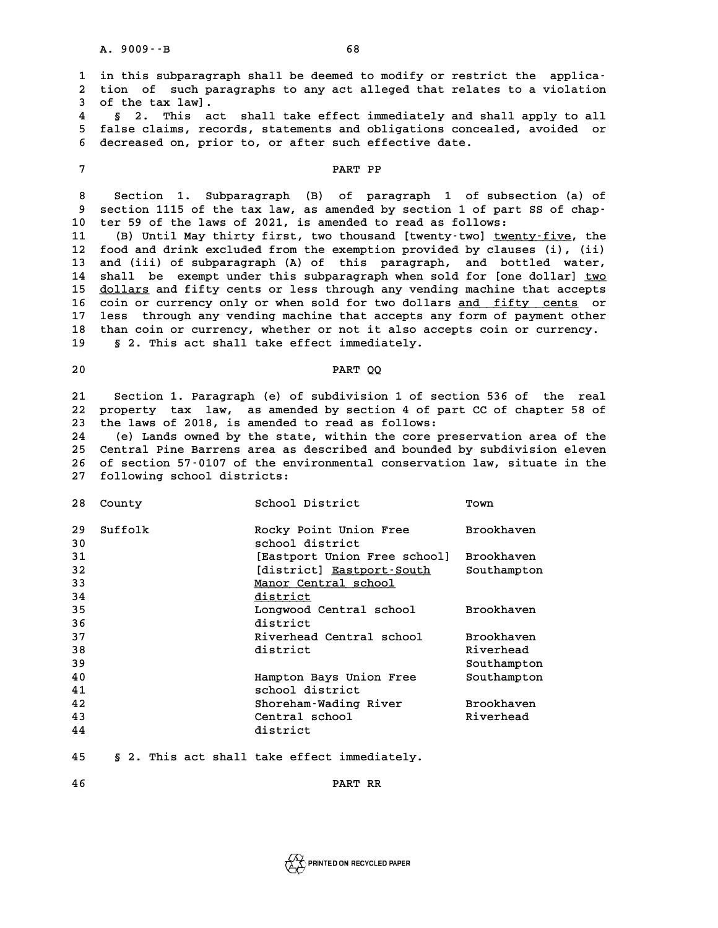A. 9009 - - B<br>1 in this subparagraph shall be deemed to modify or restrict the applica-<br><sup>2</sup> tion of such paragraphs to any ast alloged that relates to a violation 1 in this subparagraph shall be deemed to modify or restrict the applica<sup>.</sup><br>2 tion of such paragraphs to any act alleged that relates to a violation 1 in this subparagrap<sup>1</sup><br>2 tion of such para<br>3 of the tax law]. % at tion of such paragraphs to any act alleged that relates to a violation<br>
4 § 2. This act shall take effect immediately and shall apply to all<br>
5 false claims, records, statements and obligations concealed, avoided or 5 of the tax law].<br>4 § 2. This act shall take effect immediately and shall apply to all<br>5 false claims, records, statements and obligations concealed, avoided or<br>6 decreesed on prior to ar after such effective data § 2. This act shall take effect immediately and sh<br>5 false claims, records, statements and obligations concea<br>6 decreased on, prior to, or after such effective date. 6 decreased on, prior to, or after such effective date.<br> **7** PART PP **8 Section 1. Subparagraph (B) of paragraph 1 of subsection (a) of** 8 Section 1. Subparagraph (B) of paragraph 1 of subsection (a) of<br>9 section 1115 of the tax law, as amended by section 1 of part SS of chap-**10 ter 59 of the laws of 2021, is amended to read as follows:** 9 section 1115 of the tax law, as amended by section 1 of part SS of chap-<br>10 ter 59 of the laws of 2021, is amended to read as follows:<br>11 (B) Until May thirty first, two thousand [twenty-two] <u>twenty-five</u>, the<br>12 food a **10 ter 59 of the laws of 2021, is amended to read as follows:**<br> **11 (B) Until May thirty first, two thousand [twenty-two] <u>twenty-five</u>, the<br>
<b>12 food and drink excluded from the exemption provided by clauses (i), (ii)**<br> 11 (B) Until May thirty first, two thousand [twenty-two] <u>twenty-five</u>, the<br>12 food and drink excluded from the exemption provided by clauses (i), (ii)<br>13 and (iii) of subparagraph (A) of this paragraph, and bottled water, 12 food and drink excluded from the exemption provided by clauses (i), (ii)<br>13 and (iii) of subparagraph (A) of this paragraph, and bottled water,<br>14 shall be exempt under this subparagraph when sold for [one dollar] <u>two</u> and (iii) of subparagraph (A) of this paragraph, and bottled water,<br>
14 shall be exempt under this subparagraph when sold for [one dollar] <u>two</u><br>
15 <u>dollars</u> and fifty cents or less through any vending machine that accept 14 shall be exempt under this subparagraph when sold for [one dollar] <u>two</u><br>15 <u>dollars</u> and fifty cents or less through any vending machine that accepts<br>16 coin or currency only or when sold for two dollars <u>and fifty cen</u> 15 dollars and fifty cents or less through any vending machine that accepts<br>16 coin or currency only or when sold for two dollars <u>and fifty cents</u> or<br>17 less through any vending machine that accepts any form of payment ot 16 coin or currency only or when sold for two dollars <u>and fifty cents</u> or<br>17 less through any vending machine that accepts any form of payment other<br>18 than coin or currency, whether or not it also accepts coin or currenc less through any vending machine that accepts any form of payment other

19 § 2. This act shall take effect immediately.<br>20 **PART QQ** 

**20**<br>**21** Section 1. Paragraph (e) of subdivision 1 of section 536 of the real<br>22 DECAMING 10 25 SECTION 1 of Dati Content 58 of 21 Section 1. Paragraph (e) of subdivision 1 of section 536 of the real<br>22 property tax law, as amended by section 4 of part CC of chapter 58 of 21 Section 1. Paragraph (e) of subdivision 1 of sect<br>22 property tax law, as amended by section 4 of par<br>23 the laws of 2018, is amended to read as follows:<br>24 (e) Ianda suped by the state within the same pre-22 property tax law, as amended by section 4 of part CC of chapter 58 of<br>
23 the laws of 2018, is amended to read as follows:<br>
24 (e) Lands owned by the state, within the core preservation area of the<br>
25 Central Pine Barr **23 the laws of 2018, is amended to read as follows:**<br> **24** (e) Lands owned by the state, within the core preservation area of the<br> **25 Central Pine Barrens area as described and bounded by subdivision eleven**<br>
26 of secti

**24** (e) Lands owned by the state, within the core preservation area of the<br>25 Central Pine Barrens area as described and bounded by subdivision eleven<br>26 of section 57-0107 of the environmental conservation law, situate i 25 Central Pine Barrens area as d<br>26 of section 57-0107 of the envi<br>27 following school districts: **28 County School District Town**

| 28       | County  |  |  | School District                              | Town        |
|----------|---------|--|--|----------------------------------------------|-------------|
| 29<br>30 | Suffolk |  |  | Rocky Point Union Free<br>school district    | Brookhaven  |
| 31       |         |  |  | [Eastport Union Free school]                 | Brookhaven  |
| 32       |         |  |  | [district] Eastport-South                    | Southampton |
| 33       |         |  |  | Manor Central school                         |             |
| 34       |         |  |  | district                                     |             |
| 35       |         |  |  | Longwood Central school                      | Brookhaven  |
| 36       |         |  |  | district                                     |             |
| 37       |         |  |  | Riverhead Central school                     | Brookhaven  |
| 38       |         |  |  | district                                     | Riverhead   |
| 39       |         |  |  |                                              | Southampton |
| 40       |         |  |  | Hampton Bays Union Free                      | Southampton |
| 41       |         |  |  | school district                              |             |
| 42       |         |  |  | Shoreham-Wading River                        | Brookhaven  |
| 43       |         |  |  | Central school                               | Riverhead   |
| 44       |         |  |  | district                                     |             |
| 45       |         |  |  | § 2. This act shall take effect immediately. |             |

**46 PART RR**

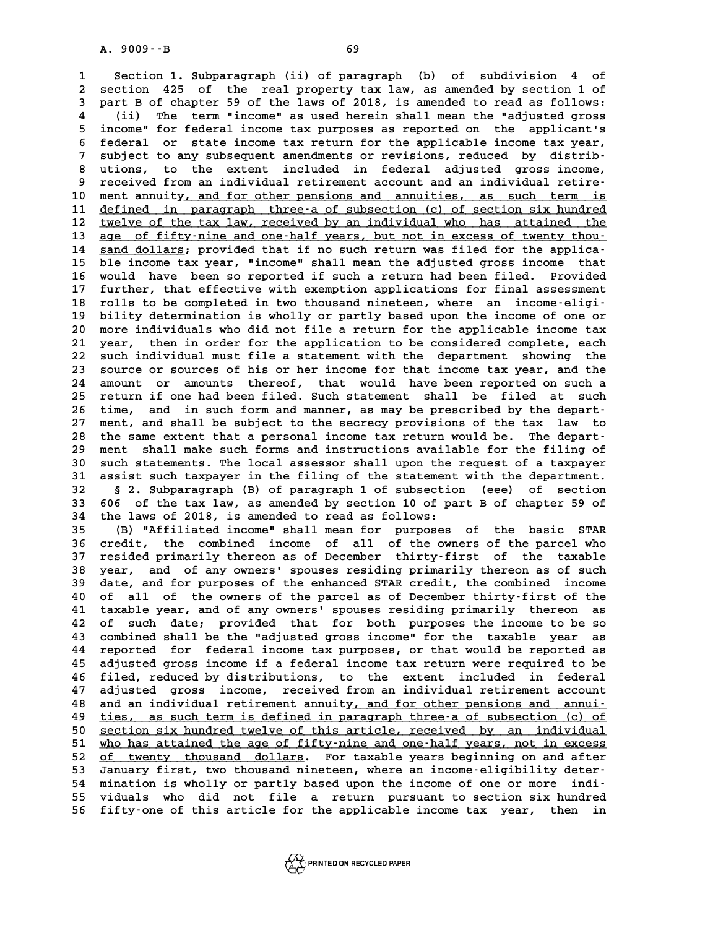**1 Section 1. Subparagraph (ii) of paragraph (b) of subdivision 4 of 2** Section 1. Subparagraph (ii) of paragraph (b) of subdivision 4 of<br>2 section 425 of the real property tax law, as amended by section 1 of<br>3 part B of chapter 59 of the laws of 2018 is amended to read as follows: **3 part B of chapter 59 of the laws of 2018, is amended to read as follows:** 2 section 425 of the real property tax law, as amended by section 1 of<br>3 part B of chapter 59 of the laws of 2018, is amended to read as follows:<br>4 (ii) The term "income" as used herein shall mean the "adjusted gross<br>5 inc **5** part B of chapter 59 of the laws of 2018, is amended to read as follows:<br>
4 (ii) The term "income" as used herein shall mean the "adjusted gross<br>
5 income" for federal income tax purposes as reported on the applicant's 4 (ii) The term "income" as used herein shall mean the "adjusted gross<br>5 income" for federal income tax purposes as reported on the applicant's<br>6 federal or state income tax return for the applicable income tax year,<br>7 sub 5 income" for federal income tax purposes as reported on the applicant's<br>
6 federal or state income tax return for the applicable income tax year,<br>
7 subject to any subsequent amendments or revisions, reduced by distrib-<br> 6 federal or state income tax return for the applicable income tax year,<br>7 subject to any subsequent amendments or revisions, reduced by distrib-<br>8 utions, to the extent included in federal adjusted gross income,<br>processin 9 subject to any subsequent amendments or revisions, reduced by distrib-<br>
8 utions, to the extent included in federal adjusted gross income,<br>
9 received from an individual retirement account and an individual retire-<br>
0 mo 8 utions, to the extent included in federal adjusted gross income,<br>9 received from an individual retirement account and an individual retire<br>10 ment annuity, and for other pensions and annuities, as such term is<br>11 defined 9 received from an individual retirement account and an individual retire-<br>10 ment annuity, and for other pensions and annuities, as such term is<br>11 defined in paragraph three-a of subsection (c) of section six hundred<br>two 10 ment annuity, and for other pensions and annuities, as such term is<br>11 defined in paragraph three a of subsection (c) of section six hundred<br>12 twelve of the tax law, received by an individual who has attained the<br>330 o 11 <u>defined in paragraph three-a of subsection (c) of section six hundred</u><br>12 <u>twelve of the tax law, received by an individual who has attained the</u><br>13 <u>age of fifty-nine and one-half years, but not in excess of twenty th</u> 12 <u>twelve of the tax law, received by an individual who has attained the</u><br>13 <u>age of fifty-nine and one-half years, but not in excess of twenty thou-</u><br>14 <u>sand dollars</u>; provided that if no such return was filed for the a **13 age of fifty-nine and one-half years, but not in excess of twenty thou-**<br> **14 sand dollars; provided that if no such return was filed for the applica-**<br> **15 ble income tax year, "income" shall mean the adjusted gross i 14 sand dollars; provided that if no such return was filed for the applica-**<br> **15 ble income tax year, "income" shall mean the adjusted gross income that**<br> **16 would have been so reported if such a return had been filed. 15 ble income tax year, "income" shall mean the adjusted gross income that**<br>16 would have been so reported if such a return had been filed. Provided<br>17 further, that effective with exemption applications for final assessm 16 would have been so reported if such a return had been filed. Provided<br>17 further, that effective with exemption applications for final assessment<br>18 rolls to be completed in two thousand nineteen, where an income-eligi-17 further, that effective with exemption applications for final assessment<br>18 rolls to be completed in two thousand nineteen, where an income eligi-<br>19 bility determination is wholly or partly based upon the income of one **20 more individuals who did not file a return for the applicable income eligi-**<br>**20 more individuals who did not file a return for the applicable income tax**<br>**21 year** then in order for the application to be considered co **20 bility determination is wholly or partly based upon the income of one or** 20 more individuals who did not file a return for the applicable income tax year, then in order for the application to be considered complete, e 20 more individuals who did not file a return for the applicable income tax<br>21 year, then in order for the application to be considered complete, each<br>22 such individual must file a statement with the department showing th 21 year, then in order for the application to be considered complete, each<br>22 such individual must file a statement with the department showing the<br>23 source or sources of his or her income for that income tax year, and th 22 such individual must file a statement with the department showing the<br>23 source or sources of his or her income for that income tax year, and the<br>24 amount or amounts thereof, that would have been reported on such a<br>25 23 source or sources of his or her income for that income tax year, and the<br>24 amount or amounts thereof, that would have been reported on such a<br>25 return if one had been filed. Such statement shall be filed at such<br>16 ti 24 amount or amounts thereof, that would have been reported on such a<br>
25 return if one had been filed. Such statement shall be filed at such<br>
26 time, and in such form and manner, as may be prescribed by the depart-<br>
27 m 25 return if one had been filed. Such statement shall be filed at such 26 time, and in such form and manner, as may be prescribed by the depart-<br>27 ment, and shall be subject to the secrecy provisions of the tax law to<br>28 **28 the same extent that a personal income tax return would be. The depart-29 ment shall make such forms and instructions available for the filing of** 28 the same extent that a personal income tax return would be. The depart-<br>29 ment shall make such forms and instructions available for the filing of<br>30 such statements. The local assessor shall upon the request of a taxpa **39 ment shall make such forms and instructions available for the filing of such statements. The local assessor shall upon the request of a taxpayer assist such taxpayer in the filing of the statement with the department. 30** such statements. The local assessor shall upon the request of a taxpayer<br>31 assist such taxpayer in the filing of the statement with the department.<br>32 § 2. Subparagraph (B) of paragraph 1 of subsection (eee) of secti **31** assist such taxpayer in the filing of the statement with the department.<br> **32** § 2. Subparagraph (B) of paragraph 1 of subsection (eee) of section<br> **33** 606 of the tax law, as amended by section 10 of part B of chapte **34 the laws of 2018, is amended to read as follows:** 33 606 of the tax law, as amended by section 10 of part B of chapter 59 of<br>34 the laws of 2018, is amended to read as follows:<br>35 (B) "Affiliated income" shall mean for purposes of the basic STAR<br>36 credit, the combined in **36 credit, the combined income of all of the owners of the parcel who 37 resided primarily thereon as of December thirty-first of the taxable** 36 credit, the combined income of all of the owners of the parcel who<br>37 resided primarily thereon as of December thirty-first of the taxable<br>38 year, and of any owners' spouses residing primarily thereon as of such<br>39 dat **37 resided primarily thereon as of December thirty-first of the taxable**<br>**38 year, and of any owners' spouses residing primarily thereon as of such date, and for purposes of the enhanced STAR credit, the combined income<br> 40 of any owners' spouses residing primarily thereon as of such date, and for purposes of the enhanced STAR credit, the combined income 40 of all of the owners of the parcel as of December thirty-first of the theory and o** 39 date, and for purposes of the enhanced STAR credit, the combined income<br>40 of all of the owners of the parcel as of December thirty-first of the<br>41 taxable year, and of any owners' spouses residing primarily thereon as<br> 40 of all of the owners of the parcel as of December thirty-first of the<br>41 taxable year, and of any owners' spouses residing primarily thereon as<br>42 of such date; provided that for both purposes the income to be so<br>43 com 41 taxable year, and of any owners' spouses residing primarily thereon as<br>42 of such date; provided that for both purposes the income to be so<br>43 combined shall be the "adjusted gross income" for the taxable year as<br>44 rep 42 of such date; provided that for both purposes the income to be so<br>43 combined shall be the "adjusted gross income" for the taxable year as<br>44 reported for federal income tax purposes, or that would be reported as<br>45 adj 43 combined shall be the "adjusted gross income" for the taxable year as<br>44 reported for federal income tax purposes, or that would be reported as<br>45 adjusted gross income if a federal income tax return were required to be **44 reported for federal income tax purposes, or that would be reported as<br>45 adjusted gross income if a federal income tax return were required to be<br>46 filed, reduced by distributions, to the extent included in federal<br>4** 45 adjusted gross income if a federal income tax return were required to be<br>46 filed, reduced by distributions, to the extent included in federal<br>47 adjusted gross income, received from an individual retirement account<br>48 46 filed, reduced by distributions, to the extent included in federal<br>47 adjusted gross income, received from an individual retirement account<br>48 and an individual retirement annuity, and for other pensions and annui-<br>tion **47** adjusted gross income, received from an individual retirement account<br>48 and an individual retirement annuity, and for other pensions and annui-<br><u>ties, as such term is defined in paragraph three-a of subsection (c) of</u>

ties, as such term is defined in paragraph three-a of subsection (c) of an individual<br>
50 <u>section six hundred twelve of this article, received by an individual</u><br>
51 who has attained the age of fifty-nine and one-half vear ties, as such term is defined in paragraph three-a of subsection (c) of<br>50 <u>section six hundred twelve of this article, received by an individual</u><br>51 who has attained the age of fifty-nine and one-half years, not in excess 50 section six hundred twelve of this article, received by an individual<br>51 who has attained the age of fifty-nine and one-half years, not in excess<br>52 <u>of twenty thousand dollars</u>. For taxable years beginning on and after 51 who has attained the age of fifty-nine and one-half years, not in excess<br>
52 <u>of twenty thousand dollars</u>. For taxable years beginning on and after<br>
53 January first, two thousand nineteen, where an income-eligibility d 52 <u>of twenty thousand dollars</u>. For taxable years beginning on and after<br>
53 January first, two thousand nineteen, where an income eligibility deter-<br>
54 mination is wholly or partly based upon the income of one or more i **55 viduals who did not file a return pursuant to section six hundred 56 fifty-one of this article for the applicable income tax year, then in**

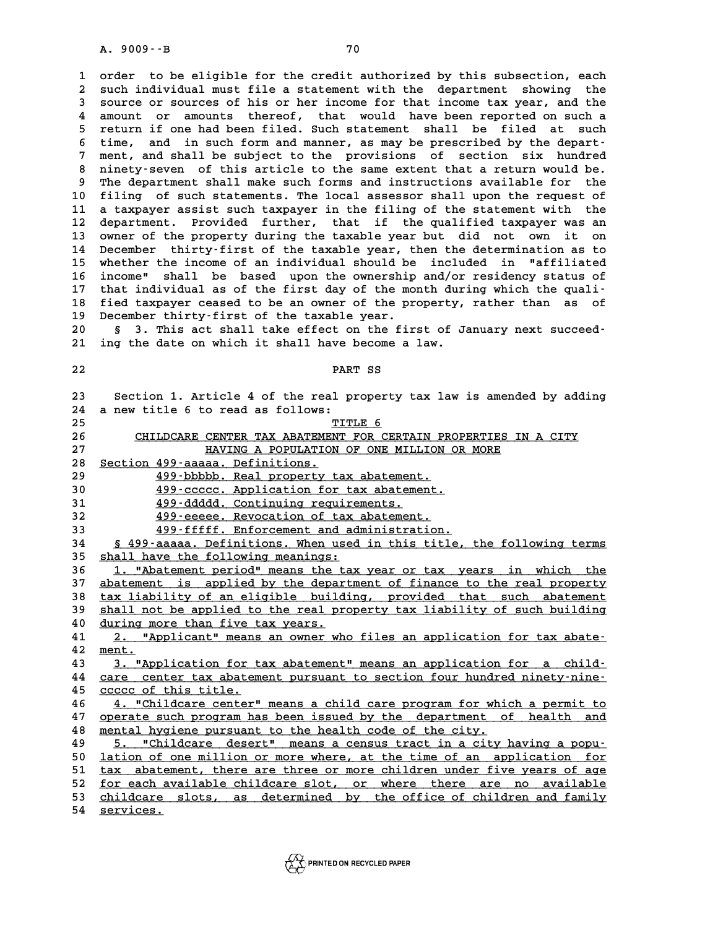**1 order to be eligible for the credit authorized by this subsection, each 2** order to be eligible for the credit authorized by this subsection, each<br>2 such individual must file a statement with the department showing the<br>3 source or sources of his or ber income for that income tax year, and the 3 such individual must file a statement with the department showing the<br>3 source or sources of his or her income for that income tax year, and the<br>3 source or sources of his or her income for that income tax year, and the 2 such individual must file a statement with the department showing the<br>3 source or sources of his or her income for that income tax year, and the<br>4 amount or amounts thereof, that would have been reported on such a<br>5 retu 5 source or sources of his or her income for that income tax year, and the<br>4 amount or amounts thereof, that would have been reported on such a<br>5 return if one had been filed. Such statement shall be filed at such<br>5 time a 4 amount or amounts thereof, that would have been reported on such a<br>
5 return if one had been filed. Such statement shall be filed at such<br>
6 time, and in such form and manner, as may be prescribed by the depart-<br>
<sup>7</sup> mon 5 return if one had been filed. Such statement shall be filed at such<br>6 time, and in such form and manner, as may be prescribed by the depart-<br>7 ment, and shall be subject to the provisions of section six hundred<br>principle 8 time, and in such form and manner, as may be prescribed by the depart-<br>7 ment, and shall be subject to the provisions of section six hundred<br>8 ninety-seven of this article to the same extent that a return would be.<br>9 The ment, and shall be subject to the provisions of section six hundred 10 **8** filing of such satisfactions and instructions available for the filing of such statements. The local assessor shall upon the request of<br>10 filing of such statements. The local assessor shall upon the request of<br>11 a 9 The department shall make such forms and instructions available for the<br>10 filing of such statements. The local assessor shall upon the request of<br>11 a taxpayer assist such taxpayer in the filing of the statement with th 10 filing of such statements. The local assessor shall upon the request of<br>11 a taxpayer assist such taxpayer in the filing of the statement with the<br>12 department. Provided further, that if the qualified taxpayer was an<br>1 11 a taxpayer assist such taxpayer in the filing of the statement with the<br>12 department. Provided further, that if the qualified taxpayer was an<br>13 owner of the property during the taxable year but did not own it on<br>14 De 12 department. Provided further, that if the qualified taxpayer was an<br>13 owner of the property during the taxable year but did not own it on<br>14 December thirty-first of the taxable year, then the determination as to<br>15 wh 13 owner of the property during the taxable year but did not own it on<br>14 December thirty-first of the taxable year, then the determination as to<br>15 whether the income of an individual should be included in "affiliated<br>16 14 December thirty-first of the taxable year, then the determination as to<br>15 whether the income of an individual should be included in "affiliated<br>16 income" shall be based upon the ownership and/or residency status of<br>17 **15 whether the income of an individual should be included in "affiliated income" shall be based upon the ownership and/or residency status of that individual as of the first day of the month during which the quali-<br>
<b>12 16 income" shall be based upon the ownership and/or residency status of**<br>17 that individual as of the first day of the month during which the quali-<br>18 fied taxpayer ceased to be an owner of the property, rather than as o 17 that individual as of the first day of the month during which the quali-<br>18 fied taxpayer ceased to be an owner of the property, rather than as of<br>19 December thirty-first of the taxable year.<br>20 § 3. This act shall tak fied taxpayer ceased to be an owner of the property, rather than as of

§ 3. This act shall take effect on the first of January next succeed-21 ing the date on which it shall have become a law.<br>22 **PART SS** 

| 22 | PART SS                                                                  |
|----|--------------------------------------------------------------------------|
| 23 | Section 1. Article 4 of the real property tax law is amended by adding   |
| 24 | a new title 6 to read as follows:                                        |
| 25 | TITLE 6                                                                  |
| 26 | CHILDCARE CENTER TAX ABATEMENT FOR CERTAIN PROPERTIES IN A CITY          |
| 27 | HAVING A POPULATION OF ONE MILLION OR MORE                               |
| 28 | Section 499-aaaaa. Definitions.                                          |
| 29 | 499-bbbbb. Real property tax abatement.                                  |
| 30 | 499-ccccc. Application for tax abatement.                                |
| 31 | 499-ddddd. Continuing requirements.                                      |
| 32 | 499-eeeee. Revocation of tax abatement.                                  |
| 33 | 499-fffff. Enforcement and administration.                               |
| 34 | § 499-aaaaa. Definitions. When used in this title, the following terms   |
| 35 | shall have the following meanings:                                       |
| 36 | 1. "Abatement period" means the tax year or tax years in which the       |
| 37 | abatement is applied by the department of finance to the real property   |
| 38 | tax liability of an eligible building, provided that such abatement      |
| 39 | shall not be applied to the real property tax liability of such building |
| 40 | during more than five tax years.                                         |
| 41 | 2. "Applicant" means an owner who files an application for tax abate-    |
| 42 | ment.                                                                    |
| 43 | 3. "Application for tax abatement" means an application for a child-     |
| 44 | care center tax abatement pursuant to section four hundred ninety-nine-  |
| 45 | ccccc of this title.                                                     |
| 46 | 4. "Childcare center" means a child care program for which a permit to   |
| 47 | operate such program has been issued by the department of health and     |
| 48 | mental hygiene pursuant to the health code of the city.                  |
| 49 | 5. "Childcare desert" means a census tract in a city having a popu-      |
| 50 | lation of one million or more where, at the time of an application for   |
| 51 | tax abatement, there are three or more children under five years of age  |
| 52 | for each available childcare slot, or where there are no available       |
| 53 | childcare slots, as determined by the office of children and family      |
| 54 | services.                                                                |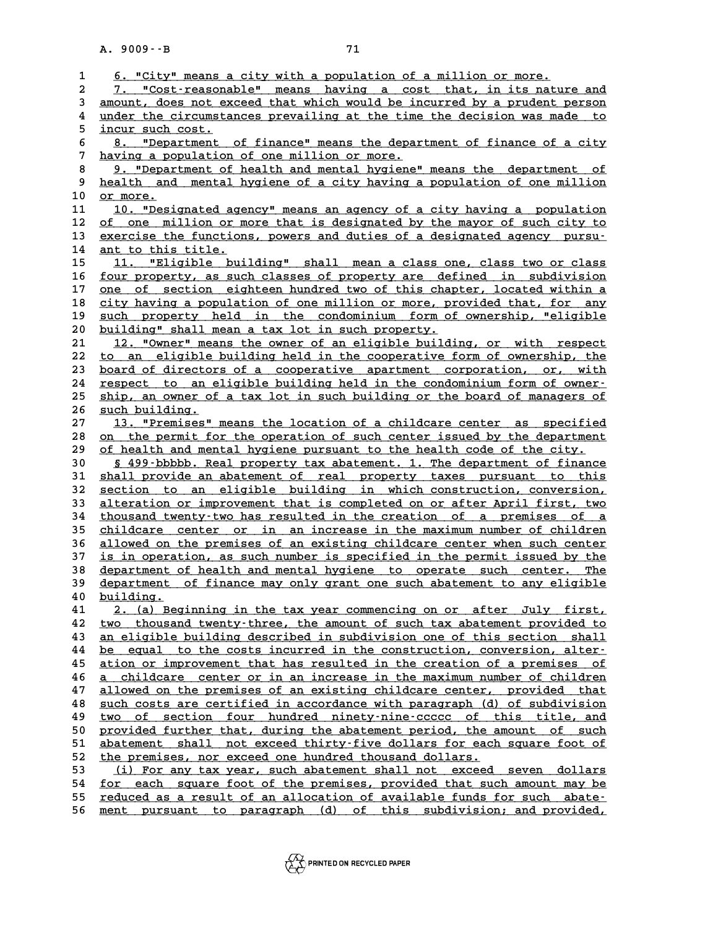|              | $A. 9009 - B$<br>71                                                                                                                                   |
|--------------|-------------------------------------------------------------------------------------------------------------------------------------------------------|
| $\mathbf{1}$ | 6. "City" means a city with a population of a million or more.                                                                                        |
| 2            | 7. "Cost-reasonable" means having a cost that, in its nature and                                                                                      |
| 3            | amount, does not exceed that which would be incurred by a prudent person                                                                              |
| 4            | under the circumstances prevailing at the time the decision was made to                                                                               |
| 5            | incur such cost.                                                                                                                                      |
| 6            | 8. "Department of finance" means the department of finance of a city                                                                                  |
| 7            | having a population of one million or more.                                                                                                           |
| 8            | 9. "Department of health and mental hygiene" means the department of                                                                                  |
| 9            | health and mental hygiene of a city having a population of one million                                                                                |
| 10           | or more.                                                                                                                                              |
| 11           | 10. "Designated agency" means an agency of a city having a population                                                                                 |
| 12           | of one million or more that is designated by the mayor of such city to                                                                                |
| 13           | exercise the functions, powers and duties of a designated agency pursu-                                                                               |
| 14           | ant to this title.                                                                                                                                    |
| 15           | 11. "Eligible building" shall mean a class one, class two or class                                                                                    |
| 16           | four property, as such classes of property are defined in subdivision                                                                                 |
| 17           | one of section eighteen hundred two of this chapter, located within a                                                                                 |
| 18<br>19     | city having a population of one million or more, provided that, for any                                                                               |
| 20           | such property held in the condominium form of ownership, "eligible<br>building" shall mean a tax lot in such property.                                |
| 21           | 12. "Owner" means the owner of an eligible building, or with respect                                                                                  |
| 22           | to an eligible building held in the cooperative form of ownership, the                                                                                |
| 23           | board of directors of a cooperative apartment corporation, or, with                                                                                   |
| 24           | respect to an eligible building held in the condominium form of owner-                                                                                |
| 25           | ship, an owner of a tax lot in such building or the board of managers of                                                                              |
| 26           | such building.                                                                                                                                        |
| 27           | 13. "Premises" means the location of a childcare center as specified                                                                                  |
| 28           | on the permit for the operation of such center issued by the department                                                                               |
| 29           | of health and mental hygiene pursuant to the health code of the city.                                                                                 |
| 30           | § 499-bbbbb. Real property tax abatement. 1. The department of finance                                                                                |
| 31           | shall provide an abatement of real property taxes pursuant to this                                                                                    |
| 32           | section to an eligible building in which construction, conversion,                                                                                    |
| 33           | alteration or improvement that is completed on or after April first, two                                                                              |
| 34           | thousand twenty-two has resulted in the creation of a premises of a                                                                                   |
| 35           | childcare center or in an increase in the maximum number of children                                                                                  |
| 36<br>37     | allowed on the premises of an existing childcare center when such center                                                                              |
| 38           | is in operation, as such number is specified in the permit issued by the                                                                              |
| 39           | <u>department of health and mental hygiene to operate such center. The</u><br>department of finance may only grant one such abatement to any eligible |
| 40           | building.                                                                                                                                             |
| 41           | 2. (a) Beginning in the tax year commencing on or after July first,                                                                                   |
| 42           | two thousand twenty-three, the amount of such tax abatement provided to                                                                               |
| 43           | an eligible building described in subdivision one of this section shall                                                                               |
| 44           | be equal to the costs incurred in the construction, conversion, alter-                                                                                |
| 45           | ation or improvement that has resulted in the creation of a premises of                                                                               |
| 46           | childcare center or in an increase in the maximum number of children<br>a -                                                                           |
| 47           | allowed on the premises of an existing childcare center, provided that                                                                                |
| 48           | such costs are certified in accordance with paragraph (d) of subdivision                                                                              |
| 49           | two of section four hundred ninety-nine-ccccc of this title, and                                                                                      |
| 50           | provided further that, during the abatement period, the amount of such                                                                                |
| 51           | abatement shall not exceed thirty-five dollars for each square foot of                                                                                |
| 52           | the premises, nor exceed one hundred thousand dollars.                                                                                                |
| 53           | (i) For any tax year, such abatement shall not exceed seven dollars                                                                                   |
| 54<br>55     | for each square foot of the premises, provided that such amount may be<br>reduced as a result of an allocation of available funds for such abate-     |
| 56           | ment pursuant to paragraph (d) of this subdivision; and provided,                                                                                     |
|              |                                                                                                                                                       |

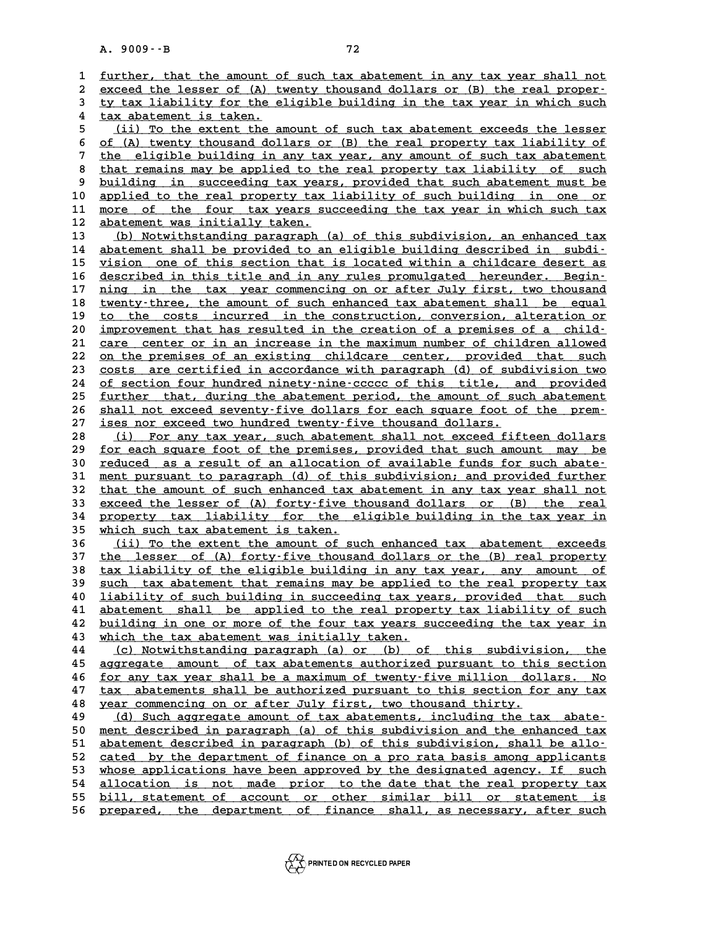A. 9009 --B<br> **1** <u>further, that the amount of such tax abatement in any tax year shall not</u><br>
2 overed the lesser of (A) typety thousand dellars or (B) the real prepar. 1 <u>further, that the amount of such tax abatement in any tax year shall not</u><br>2 <u>exceed the lesser of (A) twenty thousand dollars or (B) the real proper-</u><br>3 ty tax liability for the eligible building in the tax year in whic 1 <u>further, that the amount of such tax abatement in any tax year shall not<br>2 exceed the lesser of (A) twenty thousand dollars or (B) the real proper-<br>3 ty tax liability for the eligible building in the tax year in which s</u> 2 exceed the lesser of (A) the tax liability for the e<br>
4 tax abatement is taken.<br> **4** (ii) me the extent the existence **5** (i) the eligible building in the tax year in which such<br> **5** (ii) To the extent the amount of such tax abatement exceeds the lesser<br> **6** (A) tunntu thousand dollars or (B) the roal proportu tau lightlitu of 4 <u>tax abatement is taken.</u><br>
5 (ii) To the extent the amount of such tax abatement exceeds the lesser<br>
6 <u>of (A) twenty thousand dollars or (B) the real property tax liability of</u><br>
the eligible building in any tay wear, an <sup>5</sup> (ii) To the extent the amount of such tax abatement exceeds the lesser<br>
of (A) twenty thousand dollars or (B) the real property tax liability of<br>
<sup>7</sup> the eligible building in any tax year, any amount of such tax abatem 8 of (A) twenty thousand dollars or (B) the real property tax liability of<br>
<sup>7</sup> the eligible building in any tax year, any amount of such tax abatement<br>
<sup>8</sup> that remains may be applied to the real property tax liability of 9 that remains may be applied to the real property tax liability of such<br>9 <u>building in succeeding tax years, provided that such abatement must be</u><br>9 applied to the real property tax liability of such building in one or 8 that remains may be applied to the real property tax liability of such<br>9 <u>building in succeeding tax years, provided that such abatement must be<br>10 applied to the real property tax liability of such building in one or<br>11</u> 9 <u>building in succeeding tax years, provided that such abatement must be applied to the real property tax liability of such building in one or more of the four tax years succeeding the tax year in which such tax abatement</u> 10 applied to the real property tax<br>11 <u>more of the four tax years su</u><br>12 <u>abatement was initially taken.</u><br>13 (b) Notwithstanding paragraph ( 11 <u>more of the four tax years succeeding the tax year in which such tax</u><br>12 <u>abatement was initially taken.</u><br>13 (b) Notwithstanding paragraph (a) of this subdivision, an enhanced tax<br>14 abatement shall be provided to an e 14 <u>abatement shall be provided to an eligible building described in subdi-</u><br>15 vision one of this section that is located within a childcare desert as 15 <u>vision one of this section that is located within a childcare desert as</u><br>16 described in this title and in any rules promulgated hereunder. Beginabatement shall be provided to an eligible building described in subdi-<br>
<u>vision one of this section that is located within a childcare desert as</u><br>
16 <u>described in this title and in any rules promulgated hereunder. Begin-</u> vision one of this section that is located within a childcare desert as<br>16 described in this title and in any rules promulgated hereunder. Begin-<br><u>ning in the tax year commencing on or after July first, two thousand</u><br>turnt described in this title and in any rules promulgated hereunder. Begin-<br>17 <u>ning in the tax year commencing on or after July first, two thousand</u><br>18 <u>twenty-three, the amount of such enhanced tax abatement shall be equal</u><br>1 17 <u>ning in the tax year commencing on or after July first, two thousand</u><br>18 <u>twenty-three, the amount of such enhanced tax abatement shall be equal</u><br>19 <u>to the costs incurred in the construction, conversion, alteration or</u> 18 <u>twenty-three, the amount of such enhanced tax abatement shall be equal</u><br>
20 <u>improvement that has resulted in the creation of a premises of a child-</u><br>
21 gare center or in an increase in the maximum number of children to the costs incurred in the construction, conversion, alteration or<br>
20 <u>improvement that has resulted in the creation of a premises of a child-</u><br>
21 <u>care center or in an increase in the maximum number of children allowe</u> In that has resulted in the creation of a premises of a child-<br> **21** <u>care</u> center or in an increase in the maximum number of children allowed<br> **22** <u>on the premises of an existing childcare</u> center, provided that such<br>
23 21 <u>care center or in an increase in the maximum number of children allowed</u><br>22 <u>on the premises of an existing childcare center</u>, provided that such<br>23 costs are certified in accordance with paragraph (d) of subdivision t 22 <u>on the premises of an existing childcare center, provided that such</u><br>23 <u>costs are certified in accordance with paragraph</u> (d) of subdivision two<br>24 <u>of section four hundred ninety-nine-ccccc of this title, and provide</u> <sup>23</sup> costs are certified in accordance with paragraph (d) of subdivision two of section four hundred ninety-nine-ccccc of this title, and provided further that, during the abatement period, the amount of such abatement aba 24 of section four hundred ninety-nine-ccccc of this title, and provided<br>25 <u>further that, during the abatement period</u>, the amount of such abatement<br>26 shall not exceed seventy-five dollars for each square foot of the pre 25 <u>further that, during the abatement period, the amount of such abatement<br>26 shall not exceed seventy-five dollars for each square foot of the prem-<br>27 <u>ises nor exceed two hundred twenty-five thousand dollars.</u><br>28 (i) F</u> 28 (i) For any tax year, such abatement shall not exceed fifteen dollars<br>29 for each square foot of the premises, provided that such amount may be ises nor exceed two hundred twenty-five thousand dollars.<br>
28 (i) For any tax year, such abatement shall not exceed fifteen dollars<br>
29 <u>for each square foot of the premises, provided that such amount may be</u><br>
20 reduced a (i) For any tax year, such abatement shall not exceed fifteen dollars<br> **29** <u>for each square foot of the premises</u>, provided that such amount may be<br> **reduced** as a result of an allocation of available funds for such abate for each square foot of the premises, provided that such amount may be<br>30 <u>reduced as a result of an allocation of available funds for such abate-</u><br>31 ment pursuant to paragraph (d) of this subdivision; and provided furthe reduced as a result of an allocation of available funds for such abate-<br>
31 ment pursuant to paragraph (d) of this subdivision; and provided further<br>
32 that the amount of such enhanced tax abatement in any tax year shall 31 <u>ment pursuant to paragraph (d) of this subdivision; and provided further</u><br>32 <u>that the amount of such enhanced tax abatement in any tax year shall not<br>33 exceed the lesser of (A) forty-five thousand dollars or (B) the </u> 32 <u>that the amount of such enhanced tax abatement in any tax year shall not<br>33 exceed the lesser of (A) forty-five thousand dollars or (B) the real<br>34 property tax liability for the eligible building in the tax year in<br>25</u> 32 that the amount of such enhanced tax abatement in any tax year shall not<br>33 exceed the lesser of (A) forty-five thousand dollars or (B) the real<br>34 property tax liability for the eligible building in the tax year in<br>35 **34 property tax liability for the eligible building in the tax year in**<br>35 which such tax abatement is taken.<br>36 (ii) To the extent the amount of such enhanced tax abatement exceeds<br>37 the legger of (a) fortu-five thousan **35** which such tax abatement is taken.<br>36 (ii) To the extent the amount of such enhanced tax abatement exceeds<br>37 the lesser of (A) forty-five thousand dollars or the (B) real property<br>tor lightlity of the eligible buildi **36** (ii) To the extent the amount of such enhanced tax abatement exceeds<br> **37** the lesser of (A) forty-five thousand dollars or the (B) real property<br>
<u>tax liability of the eligible building in any tax year, any amount of</u> 37 <u>the lesser of (A) forty-five thousand dollars or the (B) real property</u><br>38 <u>tax liability of the eligible building in any tax year, any amount of</u><br>39 <u>such tax abatement that remains may be applied to the real property</u> **40** <u>liability of such building in succeeding tax years, provided that such</u><br>41 abatement shall be applied to the real property tax liability of such 39 <u>such tax abatement that remains may be applied to the real property tax</u><br>40 <u>liability of such building in succeeding tax years, provided that such</u><br>41 abatement shall be applied to the real property tax liability of s **40** liability of such building in succeeding tax years, provided that such<br>41 abatement shall be applied to the real property tax liability of such<br>42 building in one or more of the four tax years succeeding the tax year 42 <u>building in one or more of the four tax years succeeding the tax year in</u><br>43 <u>which the tax abatement was initially taken.</u><br>44 (c) Notwithstanding paragraph (a) or (b) of this subdivision, the **42 building in one or more of the four tax years succeeding the tax year in**<br> **43** which the tax abatement was initially taken.<br>
<u>(c) Notwithstanding paragraph (a) or (b) of this subdivision, the</u><br> **A5** accression amount which the tax abatement was initially taken.<br>
(c) Notwithstanding paragraph (a) or (b) of this subdivision, the<br>
<u>aggregate amount of tax abatements authorized pursuant to this section</u><br>
for any tax upor shall be a maximum 44 (c) Notwithstanding paragraph (a) or (b) of this subdivision, the<br>45 <u>aggregate amount of tax abatements authorized pursuant to this section</u><br>46 <u>for any tax year shall be a maximum of twenty-five million dollars. No</u><br>4 45 <u>aggregate amount of tax abatements authorized pursuant to this section</u><br>46 <u>for any tax year shall be a maximum of twenty-five million dollars. No</u><br>47 <u>tax abatements shall be authorized pursuant to this section for an</u> **48** year commencing on or after July first, two thousand thirty.<br>**49 (d)** Such aggregate amount of tax abatements, including the tax abated. The such and the summents shall be authorized pursuant to this section for any tax<br>
48 year commencing on or after July first, two thousand thirty.<br>
49 (d) Such aggregate amount of tax abatements, including the tax abat year commencing on or after July first, two thousand thirty.<br>
49 (d) Such aggregate amount of tax abatements, including the tax abate-<br>
50 <u>ment described in paragraph</u> (a) of this subdivision shall be allo.<br>
51 abatement **50** (d) Such aggregate amount of tax abatements, including the tax abate-<br>50 <u>ment described in paragraph</u> (a) of this subdivision, shall be allo-<br><u>abatement described in paragraph</u> (b) of this subdivision, shall be allo-50 <u>ment described in paragraph (a) of this subdivision and the enhanced tax</u><br>51 <u>abatement described in paragraph (b) of this subdivision, shall be allo-</u><br><u>cated by the department of finance on a pro rata basis among appl</u> 51 <u>abatement described in paragraph (b) of this subdivision, shall be allo-</u><br>52 <u>cated by the department of finance on a pro rata basis among applicants</u><br>53 whose applications have been approved by the designated agency. 52 <u>cated by the department of finance on a pro rata basis among applicants</u><br>53 <u>whose applications have been approved by the designated agency. If such<br>54 allocation is not made prior to the date that the real property ta</u> whose applications have been approved by the designated agency. If such<br>allocation is not made prior to the date that the real property tax<br>bill, statement of account or other similar bill or statement is<br>proposed the depa 54 allocation is not made prior to the date that the real property tax<br>55 <u>bill, statement of account or other similar bill or statement is</u><br>56 <u>prepared, the department of finance shall, as necessary, after such</u>

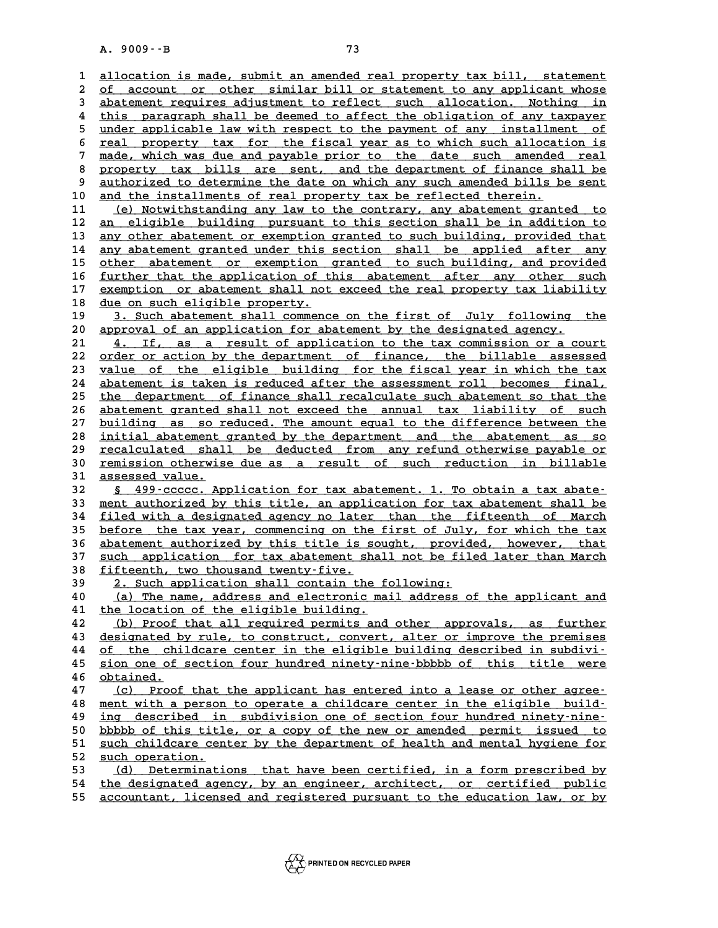A. 9009 · · B<br>1 <u>allocation is made, submit an amended real property tax bill, statement</u><br>2 of aggount or other similar bill or statement to any applicant whose **2** allocation is made, submit an amended real property tax bill, statement<br>2 <u>of account or other similar bill or statement to any applicant whose</u><br>3 abatement requires adjustment to reflect, such allocation. Nothing in 3 allocation is made, submit an amended real property tax bill, statement<br>
2 of account or other similar bill or statement to any applicant whose<br>
3 abatement requires adjustment to reflect such allocation. Nothing in<br>
<sup>1</sup> of account or other similar bill or statement to any applicant whose<br> **abatement requires adjustment to reflect such allocation.** Nothing in<br>
this paragraph shall be deemed to affect the obligation of any taxpayer<br>
index a 3 abatement requires adjustment to reflect such allocation. Nothing in<br>
<sup>4</sup> this paragraph shall be deemed to affect the obligation of any taxpayer<br>
<u>under applicable law with respect to the payment of any installment of</u><br> 4 this paragraph shall be deemed to affect the obligation of any taxpayer<br>
5 <u>under applicable law with respect to the payment of any installment of<br>
feal property tax for the fiscal year as to which such allocation is<br>
7 </u> 5 under applicable law with respect to the payment of any installment of real property tax for the fiscal year as to which such allocation is made, which was due and payable prior to the date such amended real proportion t **8 real property tax for the fiscal year as to which such allocation is<br>
<b>a** made, which was due and payable prior to the date such amended real<br> **a** property tax bills are sent, and the department of finance shall be<br>
aut 9 <u>made, which was due and payable prior to the date such amended real</u><br>8 <u>property tax bills are sent, and the department of finance shall be</u><br>9 <u>authorized to determine the date on which any such amended bills be sent</u><br>1 10 <u>and the installments of real property tax be reflected therein.</u><br>11 <u>(e) Notwithstanding any law to the contrary, any abatement granted to</u> 9 <u>authorized to determine the date on which any such amended bills be sent</u><br>10 <u>and the installments of real property tax be reflected therein.</u><br>11 (e) Notwithstanding any law to the contrary, any abatement granted to<br>12 **12** an eligible building pursuant to this section shall be in addition to 13 any other abatement or exemption granted to such building, provided that 11 (e) Notwithstanding any law to the contrary, any abatement granted to an eligible building pursuant to this section shall be in addition to any other abatement or exemption granted to such building, provided that any ob 12 <u>an eligible building pursuant to this section shall be in addition to</u><br>13 <u>any other abatement or exemption granted to such building, provided that</u><br>14 <u>any abatement granted under this section shall be applied after a</u> any other abatement or exemption granted to such building, provided that<br>
14 any abatement granted under this section shall be applied after any<br>
15 other abatement or exemption granted to such building, and provided<br>
16 f **14 any abatement granted under this section shall be applied after any other abatement or exemption granted to such building, and provided further that the application of this abatement after any other such exercise any o** other abatement or exemption granted to such building, and provided<br>16 <u>further that the application of this abatement after any other such<br>217 exemption or abatement shall not exceed the real property tax liability<br>218 du</u> 16 <u>further that the application of this abatement after any other such</u><br>17 <u>exemption or abatement shall not exceed the real property tax liability</u><br>18 <u>due on such eligible property.</u><br>19 3. Such abatement shall commence 17 <u>exemption or abatement shall not exceed the real property tax liability</u><br>18 <u>due on such eligible property.</u><br>19 3. Such abatement shall commence on the first of July following the<br>20 approval of an application for abat **20 approval of an application for abatement by the designated agency. \_\_\_\_\_\_\_\_\_\_\_\_\_\_\_\_\_\_\_\_\_\_\_\_\_\_\_\_\_\_\_\_\_\_\_\_\_\_\_\_\_\_\_\_\_\_\_\_\_\_\_\_\_\_\_\_\_\_\_\_\_\_\_\_\_\_** 3. Such abatement shall commence on the first of July following the<br>
20 approval of an application for abatement by the designated agency.<br>
21 4. If, as a result of application to the tax commission or a court<br>
22 order or 21 <u>4. If, as a result of application to the tax commission or a court</u><br>22 <u>order or action by the department of finance, the billable assessed</u><br>23 <u>value of the eligible building for the fiscal year in which the tax</u> 21 4. If, as a result of application to the tax commission or a court<br>22 <u>order or action by the department of finance</u>, the billable assessed<br>23 <u>value of the eligible building for the fiscal year in which the tax</u><br>24 aba 22 <u>order or action by the department of finance, the billable assessed<br>23 <u>value of the eligible building for the fiscal year in which the tax</u><br>24 <u>abatement is taken is reduced after the assessment roll becomes final,</u><br>2</u> value of the eligible building for the fiscal year in which the tax<br>
24 abatement is taken is reduced after the assessment roll becomes final,<br>
25 the department of finance shall recalculate such abatement so that the<br>
26 24 <u>abatement is taken is reduced after the assessment roll becomes final,</u><br>25 <u>the department of finance shall recalculate such abatement so that the</u><br>26 <u>abatement granted shall not exceed the annual tax liability of suc</u> the department of finance shall recalculate such abatement so that the<br>
26 <u>abatement granted shall not exceed the annual tax liability of such<br>
27 building as so reduced. The amount equal to the difference between the<br>  $\$ 26 <u>abatement granted shall not exceed the annual tax liability of such</u><br>27 <u>building as so reduced. The amount equal to the difference between the<br>28 initial abatement granted by the department and the abatement as so<br>29 </u> <u>building as so reduced. The amount equal to the difference between the<br>
28 initial abatement granted by the department and the abatement as so<br>
<u>recalculated shall be deducted from any refund otherwise payable or</u><br>  $\frac{11$ **38** initial abatement granted by the department and the abatement as so<br>29 recalculated shall be deducted from any refund otherwise payable or<br>30 remission otherwise due as a result of such reduction in billable<br>33 assess 29 **recalculated shal**<br>30 <u>remission otherwis</u><br>31 <u>assessed value.</u><br>22 5 499.00000 AP **Example 30**<br> **32** <u>§ 499-ccccc. Application for tax abatement. 1. To obtain a tax abate-<br> **32** § 499-ccccc. Application for tax abatement. 1. To obtain a tax abate-<br> **33** ment authorized by this title, an application for</u> **31** assessed value.<br> **32** § 499–ccccc. Application for tax abatement. 1. To obtain a tax abate-<br> **33** ment authorized by this title, an application for tax abatement shall be<br> **34** filed with a docignated agongy no lator, **32** § 499-ccccc. Application for tax abatement. 1. To obtain a tax abate-<br>33 ment authorized by this title, an application for tax abatement shall be<br><u>filed with a designated agency no later than the fifteenth of March</u><br>b 33 <u>ment authorized by this title, an application for tax abatement shall be<br>34 filed with a designated agency no later than the fifteenth of March<br>35 before the tax year, commencing on the first of July, for which the tax</u> 34 <u>filed with a designated agency no later than the fifteenth of March</u><br>35 <u>before the tax year, commencing on the first of July, for which the tax</u><br>36 <u>abatement authorized by this title is sought, provided, however, tha</u> **35** before the tax year, commencing on the first of July, for which the tax<br> **36** abatement authorized by this title is sought, provided, however, that<br> **37** such application for tax abatement shall not be filed later tha 36 abatement authorized by this title is sought, provided, however, that<br>37 <u>such application</u> for tax abatement shall not be filed later than March<br>38 fifteenth, two thousand twenty-five.<br><u>2. Such application shall contai</u> 37 <u>such application for tax abatement shall not be filed later than March<br>38 fifteenth, two thousand twenty-five.<br>2. Such application shall contain the following:<br>40 (a) The name, address and electronic mail address of th</u> **40 (a)** fifteenth, two thousand twenty-five.<br> **40** (a) The name, address and electronic mail address of the applicant and<br> **40** (a) The name, address and electronic mail address of the applicant and<br> **41** the location of 39 2. Such application shall contain the f<br>40 (a) The name, address and electronic ma<br>41 the location of the eligible building.<br><sup>42</sup> (b) Proof that all required permits and **40** (a) The name, address and electronic mail address of the applicant and<br> **41** the location of the eligible building.<br> **42** (b) Proof that all required permits and other approvals, as further<br> **43** designated by rule to **41 the location of the eligible building.**<br> **42** (b) Proof that all required permits and other approvals, as further<br> **43** designated by rule, to construct, convert, alter or improve the premises<br> **44** of the childers con **42** (b) Proof that all required permits and other approvals, as further<br>43 designated by rule, to construct, convert, alter or improve the premises<br><u>of the childcare center in the eligible building described in subdivi-</u><br> designated by rule, to construct, convert, alter or improve the premises<br>of the childcare center in the eligible building described in subdivi-<br><u>sion one of section four hundred ninety-nine-bbbbb of this title were</u><br>abinat 44 <u>of the chi</u><br>45 <u>sion one of</u><br>46 <u>obtained.</u><br>47 (c) Proof 45 sion one of section four hundred ninety-nine-bbbbb of this title were<br>46 <u>obtained.</u><br>47 (c) Proof that the applicant has entered into a lease or other agree-<br>48 montivith a person to eperate a childerse sentor in the el **46** <u>obtained.</u><br>47 (c) Proof that the applicant has entered into a lease or other agree-<br><u>ment with a person to operate a childcare center in the eligible build-</u><br>ing described in subdivision one of section four bundred p 47 (c) Proof that the applicant has entered into a lease or other agree-<br>48 <u>ment with a person to operate a childcare center in the eligible build-<br>49 ing described in subdivision one of section four hundred ninety-nine-<br></u> A smear with a person to operate a childcare center in the eligible build-<br> **19** <u>ing described in subdivision one of section four hundred ninety-nine-</u><br> **bbbbb** of this title, or a copy of the new or amended permit issued ing described in subdivision one of section four hundred ninety-nine-<br>50 <u>bbbbb of this title, or a copy of the new or amended permit issued to</u><br>51 <u>such childcare center by the department of health and mental hygiene for</u> 50 bbbbb of this titl<br>51 <u>such childcare cen</u><br>52 <u>such operation.</u><br>53 (d) Determination 51 <u>such childcare center by the department of health and mental hygiene for</u><br>52 <u>such operation.</u><br>53 (d) Determinations that have been certified, in a form prescribed by<br>54 the designated agency, by an engineer, architect 52 <u>such operation.</u><br>
53 (d) Determinations that have been certified, in a form prescribed by<br>
54 the designated agency, by an engineer, architect, or certified public<br>
55 aggestion ligenced and registered pursuant to the (d) Determinations that have been certified, in a form prescribed by<br>54 the designated agency, by an engineer, architect, or certified public<br>55 accountant, licensed and registered pursuant to the education law, or by

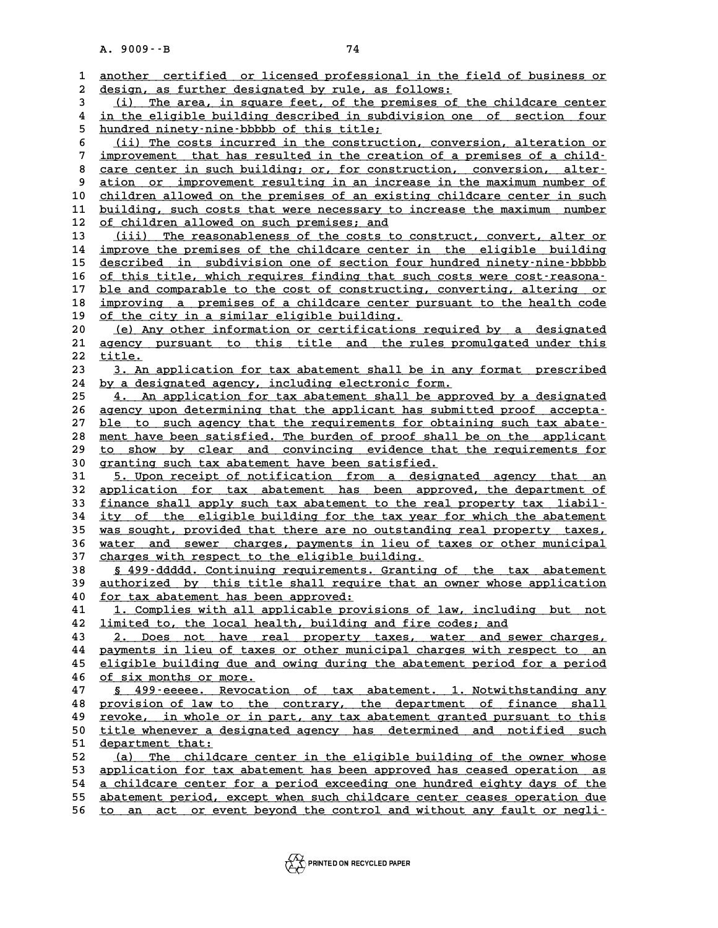|          | $A. 9009 - B$<br>74                                                                                                                               |
|----------|---------------------------------------------------------------------------------------------------------------------------------------------------|
|          |                                                                                                                                                   |
| 1        | another certified or licensed professional in the field of business or                                                                            |
| 2        | design, as further designated by rule, as follows:                                                                                                |
| 3        | The area, in square feet, of the premises of the childcare center<br>(i)                                                                          |
| 4        | in the eligible building described in subdivision one of section four                                                                             |
| 5        | hundred ninety-nine-bbbbb of this title;                                                                                                          |
| 6<br>7   | (ii) The costs incurred in the construction, conversion, alteration or                                                                            |
| 8        | improvement that has resulted in the creation of a premises of a child-<br>care center in such building; or, for construction, conversion, alter- |
| 9        | ation or improvement resulting in an increase in the maximum number of                                                                            |
| 10       | children allowed on the premises of an existing childcare center in such                                                                          |
| 11       | building, such costs that were necessary to increase the maximum number                                                                           |
| 12       | of children allowed on such premises; and                                                                                                         |
| 13       | (iii) The reasonableness of the costs to construct, convert, alter or                                                                             |
| 14       | improve the premises of the childcare center in the eligible building                                                                             |
| 15       | described in subdivision one of section four hundred ninety-nine-bbbbb                                                                            |
| 16       | of this title, which requires finding that such costs were cost-reasona-                                                                          |
| 17       | ble and comparable to the cost of constructing, converting, altering or                                                                           |
| 18       | improving a premises of a childcare center pursuant to the health code                                                                            |
| 19       | of the city in a similar eligible building.                                                                                                       |
| 20       | (e) Any other information or certifications required by a designated                                                                              |
| 21       | agency pursuant to this title and the rules promulgated under this                                                                                |
| 22       | title.                                                                                                                                            |
| 23       | 3. An application for tax abatement shall be in any format prescribed                                                                             |
| 24       | by a designated agency, including electronic form.                                                                                                |
| 25       | 4. An application for tax abatement shall be approved by a designated                                                                             |
| 26       | agency upon determining that the applicant has submitted proof accepta-                                                                           |
| 27       | ble to such agency that the requirements for obtaining such tax abate-<br>ment have been satisfied. The burden of proof shall be on the applicant |
| 28<br>29 | to show by clear and convincing evidence that the requirements for                                                                                |
| 30       | granting such tax abatement have been satisfied.                                                                                                  |
| 31       | 5. Upon receipt of notification from a designated agency that an                                                                                  |
| 32       | application for tax abatement has been approved, the department of                                                                                |
| 33       | finance shall apply such tax abatement to the real property tax liabil-                                                                           |
| 34       | ity of the eligible building for the tax year for which the abatement                                                                             |
| 35       | was sought, provided that there are no outstanding real property taxes,                                                                           |
| 36       | water and sewer charges, payments in lieu of taxes or other municipal                                                                             |
| 37       | charges with respect to the eligible building.                                                                                                    |
| 38       | § 499-ddddd. Continuing requirements. Granting of the tax abatement                                                                               |
| 39       | authorized by this title shall require that an owner whose application                                                                            |
| 40       | for tax abatement has been approved:                                                                                                              |
| 41       | 1. Complies with all applicable provisions of law, including but not                                                                              |
| 42       | limited to, the local health, building and fire codes; and                                                                                        |
| 43       | 2. Does not have real property taxes, water and sewer charges,                                                                                    |
| 44       | payments in lieu of taxes or other municipal charges with respect to an                                                                           |
| 45       | eligible building due and owing during the abatement period for a period<br>of six months or more.                                                |
| 46<br>47 | § 499-eeeee. Revocation of tax abatement. 1. Notwithstanding any                                                                                  |
| 48       | provision of law to the contrary, the department of finance shall                                                                                 |
| 49       | revoke, in whole or in part, any tax abatement granted pursuant to this                                                                           |
| 50       | title whenever a designated agency has determined and notified such                                                                               |
| 51       | department that:                                                                                                                                  |
| 52       | (a) The childcare center in the eligible building of the owner whose                                                                              |
| 53       | application for tax abatement has been approved has ceased operation as                                                                           |
| 54       | a childcare center for a period exceeding one hundred eighty days of the                                                                          |
| 55       | abatement period, except when such childcare center ceases operation due                                                                          |
| 56       | to an act or event beyond the control and without any fault or negli-                                                                             |
|          |                                                                                                                                                   |

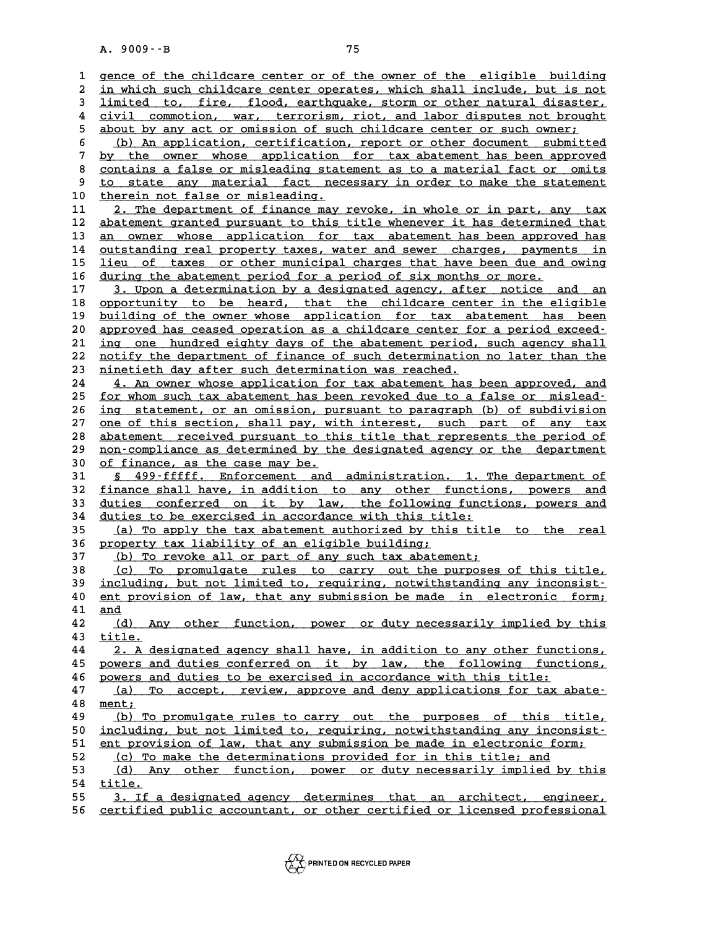|          | $A. 9009 - B$<br>75                                                                                                                         |
|----------|---------------------------------------------------------------------------------------------------------------------------------------------|
|          |                                                                                                                                             |
| 1        | gence of the childcare center or of the owner of the eligible building                                                                      |
| 2        | in which such childcare center operates, which shall include, but is not                                                                    |
| 3        | limited to, fire, flood, earthquake, storm or other natural disaster,                                                                       |
| 4        | civil commotion, war, terrorism, riot, and labor disputes not brought                                                                       |
| 5        | about by any act or omission of such childcare center or such owner;                                                                        |
| 6        | (b) An application, certification, report or other document submitted                                                                       |
| 7        | by the owner whose application for tax abatement has been approved                                                                          |
| 8        | contains a false or misleading statement as to a material fact or omits                                                                     |
| 9        | to state any material fact necessary in order to make the statement                                                                         |
| 10       | therein not false or misleading.                                                                                                            |
| 11       | 2. The department of finance may revoke, in whole or in part, any tax                                                                       |
| 12<br>13 | abatement granted pursuant to this title whenever it has determined that                                                                    |
| 14       | an owner whose application for tax abatement has been approved has<br>outstanding real property taxes, water and sewer charges, payments in |
| 15       | lieu of taxes or other municipal charges that have been due and owing                                                                       |
| 16       | during the abatement period for a period of six months or more.                                                                             |
| 17       | 3. Upon a determination by a designated agency, after notice and<br>an                                                                      |
| 18       | opportunity to be heard, that the childcare center in the eligible                                                                          |
| 19       | building of the owner whose application for tax abatement has been                                                                          |
| 20       | approved has ceased operation as a childcare center for a period exceed-                                                                    |
| 21       | ing one hundred eighty days of the abatement period, such agency shall                                                                      |
| 22       | notify the department of finance of such determination no later than the                                                                    |
| 23       | <u>ninetieth day after such determination was reached.</u>                                                                                  |
| 24       | 4. An owner whose application for tax abatement has been approved, and                                                                      |
| 25       | for whom such tax abatement has been revoked due to a false or mislead-                                                                     |
| 26       | ing statement, or an omission, pursuant to paragraph (b) of subdivision                                                                     |
| 27       | one of this section, shall pay, with interest, such part of any tax                                                                         |
| 28       | abatement received pursuant to this title that represents the period of                                                                     |
| 29       | non-compliance as determined by the designated agency or the department                                                                     |
| 30       | of finance, as the case may be.                                                                                                             |
| 31       | § 499-fffff. Enforcement and administration. 1. The department of                                                                           |
| 32       | finance shall have, in addition to any other functions, powers and                                                                          |
| 33       | duties conferred on it by law, the following functions, powers and                                                                          |
| 34       | duties to be exercised in accordance with this title:                                                                                       |
| 35       | (a) To apply the tax abatement authorized by this title to the real                                                                         |
| 36<br>37 | property tax liability of an eligible building;<br>(b) To revoke all or part of any such tax abatement;                                     |
|          | (c) To promulgate rules to carry out the purposes of this title,                                                                            |
| 38<br>39 | including, but not limited to, requiring, notwithstanding any inconsist-                                                                    |
| 40       | ent provision of law, that any submission be made in electronic form;                                                                       |
| 41       | and                                                                                                                                         |
| 42       | (d) Any other function, power or duty necessarily implied by this                                                                           |
| 43       | title.                                                                                                                                      |
| 44       | 2. A designated agency shall have, in addition to any other functions,                                                                      |
| 45       | powers and duties conferred on it by law, the following functions,                                                                          |
| 46       | powers and duties to be exercised in accordance with this title:                                                                            |
| 47       | (a) To accept, review, approve and deny applications for tax abate-                                                                         |
| 48       | ment;                                                                                                                                       |
| 49       | (b) To promulgate rules to carry out the purposes of this title,                                                                            |
| 50       | including, but not limited to, requiring, notwithstanding any inconsist-                                                                    |
| 51       | ent provision of law, that any submission be made in electronic form;                                                                       |
| 52       | (c) To make the determinations provided for in this title; and                                                                              |
| 53       | (d) Any other function, power or duty necessarily implied by this                                                                           |
| 54<br>55 | title.<br>3. If a designated agency determines that an architect, engineer,                                                                 |
| 56       | certified public accountant, or other certified or licensed professional                                                                    |
|          |                                                                                                                                             |

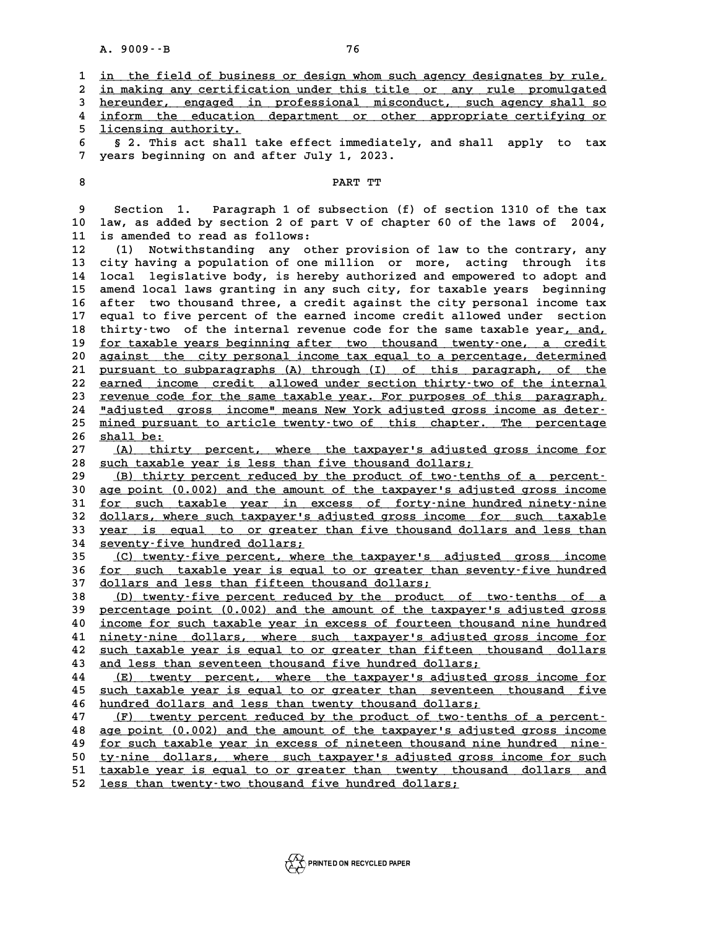|                                        | $A. 9009 - B$<br>76                                                                                                                                                                                                                                                                                                                                                                                                                                                                           |
|----------------------------------------|-----------------------------------------------------------------------------------------------------------------------------------------------------------------------------------------------------------------------------------------------------------------------------------------------------------------------------------------------------------------------------------------------------------------------------------------------------------------------------------------------|
| 1<br>2<br>3<br>4<br>5.                 | in the field of business or design whom such agency designates by rule,<br>in making any certification under this title or any rule promulgated<br>hereunder, engaged in professional misconduct, such agency shall so<br>inform the education department or other appropriate certifying or                                                                                                                                                                                                  |
| 6<br>7                                 | licensing authority.<br>§ 2. This act shall take effect immediately, and shall apply<br>to<br>tax<br>years beginning on and after July 1, 2023.                                                                                                                                                                                                                                                                                                                                               |
| 8                                      | PART TT                                                                                                                                                                                                                                                                                                                                                                                                                                                                                       |
| 9<br>10<br>11<br>12<br>13<br>14<br>15  | 1. Paragraph 1 of subsection (f) of section 1310 of the tax<br>Section<br>law, as added by section 2 of part V of chapter 60 of the laws of 2004,<br>is amended to read as follows:<br>Notwithstanding any other provision of law to the contrary, any<br>(1)<br>city having a population of one million or more, acting through its<br>legislative body, is hereby authorized and empowered to adopt and<br>local<br>amend local laws granting in any such city, for taxable years beginning |
| 16<br>17<br>18<br>19<br>20             | two thousand three, a credit against the city personal income tax<br>after<br>equal to five percent of the earned income credit allowed under<br>section<br>thirty-two of the internal revenue code for the same taxable year, and,<br>for taxable years beginning after two thousand twenty-one, a credit<br>against the city personal income tax equal to a percentage, determined                                                                                                          |
| 21<br>22<br>23<br>24<br>25             | pursuant to subparagraphs (A) through (I) of this paragraph, of the<br>earned income credit allowed under section thirty-two of the internal<br>revenue code for the same taxable year. For purposes of this paragraph,<br>"adjusted gross income" means New York adjusted gross income as deter-<br>mined pursuant to article twenty-two of this chapter. The percentage                                                                                                                     |
| 26<br>27<br>28<br>29<br>30<br>31<br>32 | shall be:<br>thirty percent, where the taxpayer's adjusted gross income for<br>(A)<br>such taxable year is less than five thousand dollars;<br>(B) thirty percent reduced by the product of two-tenths of a percent-<br>age point (0.002) and the amount of the taxpayer's adjusted gross income<br>for such taxable year in excess of forty-nine hundred ninety-nine<br>dollars, where such taxpayer's adjusted gross income for such taxable                                                |
| 33<br>34<br>35                         | year is equal to or greater than five thousand dollars and less than<br>seventy-five hundred dollars;<br>(C) twenty-five percent, where the taxpayer's adjusted gross income                                                                                                                                                                                                                                                                                                                  |
| 36<br>37<br>38<br>39                   | <u>for such taxable year is equal to or greater than seventy-five hundred</u><br>dollars and less than fifteen thousand dollars;<br>(D) twenty-five percent reduced by the product of two-tenths of a<br>percentage point (0.002) and the amount of the taxpayer's adjusted gross                                                                                                                                                                                                             |
| 40<br>41<br>42                         | income for such taxable year in excess of fourteen thousand nine hundred<br>ninety-nine dollars, where such taxpayer's adjusted gross income for<br>such taxable year is equal to or greater than fifteen thousand dollars                                                                                                                                                                                                                                                                    |
| 43<br>44<br>45<br>46<br>47             | and less than seventeen thousand five hundred dollars;<br>twenty percent, where the taxpayer's adjusted gross income for<br>(E)<br>such taxable year is equal to or greater than seventeen thousand five<br>hundred dollars and less than twenty thousand dollars;<br>twenty percent reduced by the product of two-tenths of a percent-<br>(F)                                                                                                                                                |
| 48<br>49<br>50<br>51<br>52             | age point (0.002) and the amount of the taxpayer's adjusted gross income<br>for such taxable year in excess of nineteen thousand nine hundred nine-<br>ty-nine dollars, where such taxpayer's adjusted gross income for such<br>taxable year is equal to or greater than twenty thousand dollars and<br>less than twenty-two thousand five hundred dollars;                                                                                                                                   |

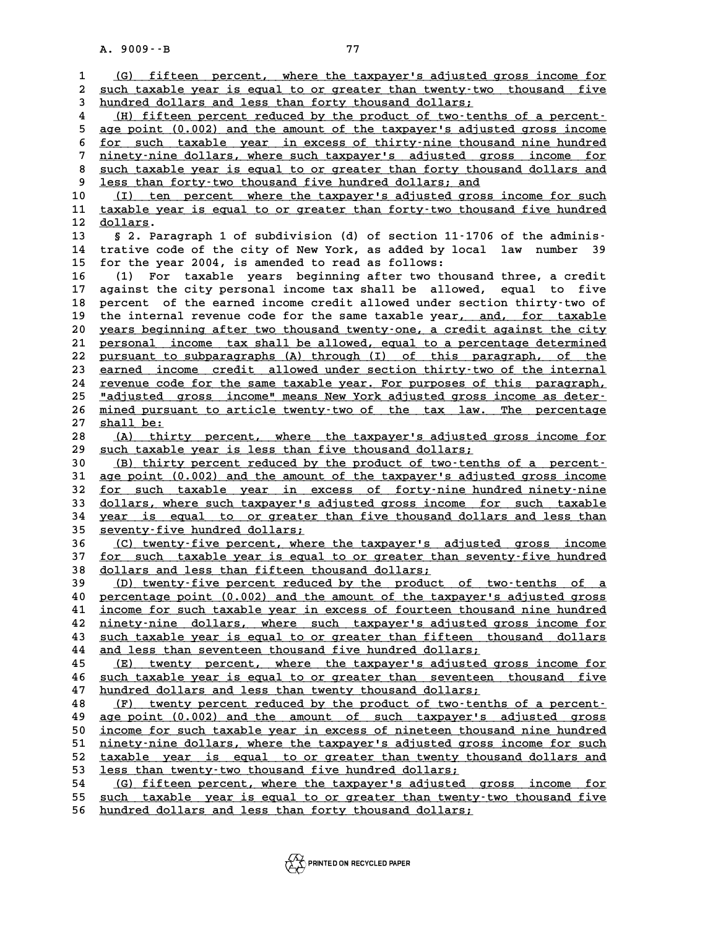|              | A. 9009 -- B<br>77                                                                                                            |
|--------------|-------------------------------------------------------------------------------------------------------------------------------|
|              |                                                                                                                               |
| $\mathbf{1}$ | (G) fifteen percent, where the taxpayer's adjusted gross income for                                                           |
| 2            | such taxable year is equal to or greater than twenty-two thousand five                                                        |
| 3            | hundred dollars and less than forty thousand dollars;                                                                         |
| 4            | (H) fifteen percent reduced by the product of two-tenths of a percent-                                                        |
| 5            | age point (0.002) and the amount of the taxpayer's adjusted gross income                                                      |
| 6            | for such taxable year in excess of thirty-nine thousand nine hundred                                                          |
| 7            | ninety-nine dollars, where such taxpayer's adjusted gross income for                                                          |
| 8<br>9       | such taxable year is equal to or greater than forty thousand dollars and                                                      |
| 10           | less than forty-two thousand five hundred dollars; and<br>(I) ten percent where the taxpayer's adjusted gross income for such |
| 11           | taxable year is equal to or greater than forty-two thousand five hundred                                                      |
| 12           | dollars.                                                                                                                      |
| 13           | § 2. Paragraph 1 of subdivision (d) of section 11-1706 of the adminis-                                                        |
| 14           | trative code of the city of New York, as added by local law number<br>39                                                      |
| 15           | for the year 2004, is amended to read as follows:                                                                             |
| 16           | For taxable years beginning after two thousand three, a credit<br>(1)                                                         |
| 17           | against the city personal income tax shall be allowed, equal to five                                                          |
| 18           | percent of the earned income credit allowed under section thirty-two of                                                       |
| 19           | the internal revenue code for the same taxable year, and, for taxable                                                         |
| 20           | years beginning after two thousand twenty-one, a credit against the city                                                      |
| 21           | personal income tax shall be allowed, equal to a percentage determined                                                        |
| 22           | pursuant to subparagraphs (A) through (I) of this paragraph, of the                                                           |
| 23           | earned income credit allowed under section thirty-two of the internal                                                         |
| 24           | revenue code for the same taxable year. For purposes of this paragraph,                                                       |
| 25           | "adjusted gross income" means New York adjusted gross income as deter-                                                        |
| 26           | mined pursuant to article twenty-two of the tax law. The percentage                                                           |
| 27           | shall be:                                                                                                                     |
| 28           | thirty percent, where the taxpayer's adjusted gross income for<br>(A)                                                         |
| 29           | such taxable year is less than five thousand dollars;                                                                         |
| 30           | (B) thirty percent reduced by the product of two-tenths of a percent-                                                         |
| 31           | age point (0.002) and the amount of the taxpayer's adjusted gross income                                                      |
| 32           | for such taxable year in excess of forty-nine hundred ninety-nine                                                             |
| 33           | dollars, where such taxpayer's adjusted gross income for such taxable                                                         |
| 34<br>35     | year is equal to or greater than five thousand dollars and less than<br>seventy-five hundred dollars;                         |
| 36           | (C) twenty-five percent, where the taxpayer's adjusted gross income                                                           |
| 37           | for such taxable year is equal to or greater than seventy-five hundred                                                        |
| 38           | dollars and less than fifteen thousand dollars;                                                                               |
| 39           | (D) twenty-five percent reduced by the product of two-tenths of a                                                             |
| 40           | percentage point (0.002) and the amount of the taxpayer's adjusted gross                                                      |
| 41           | income for such taxable year in excess of fourteen thousand nine hundred                                                      |
| 42           | ninety-nine dollars, where such taxpayer's adjusted gross income for                                                          |
| 43           | such taxable year is equal to or greater than fifteen thousand dollars                                                        |
| 44           | and less than seventeen thousand five hundred dollars;                                                                        |
| 45           | twenty percent, where the taxpayer's adjusted gross income for<br>(E)                                                         |
| 46           | such taxable year is equal to or greater than seventeen thousand five                                                         |
| 47           | hundred dollars and less than twenty thousand dollars;                                                                        |
| 48           | twenty percent reduced by the product of two-tenths of a percent-<br>(F)                                                      |
| 49           | age point (0.002) and the amount of such taxpayer's adjusted gross                                                            |
| 50           | income for such taxable year in excess of nineteen thousand nine hundred                                                      |
| 51           | ninety-nine dollars, where the taxpayer's adjusted gross income for such                                                      |
| 52           | taxable year is equal to or greater than twenty thousand dollars and                                                          |
| 53           | less than twenty-two thousand five hundred dollars;                                                                           |
| 54           | (G) fifteen percent, where the taxpayer's adjusted gross income for                                                           |
| 55           | such taxable year is equal to or greater than twenty-two thousand five                                                        |
| 56           | hundred dollars and less than forty thousand dollars;                                                                         |

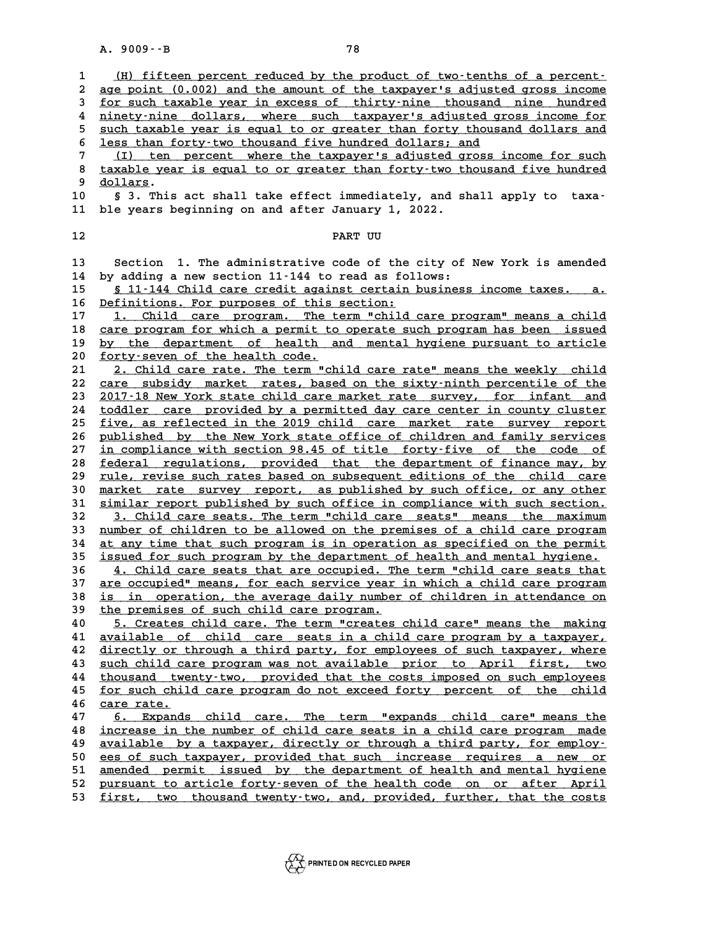|                   | $A. 9009 - B$<br>78                                                                                                                                |
|-------------------|----------------------------------------------------------------------------------------------------------------------------------------------------|
|                   |                                                                                                                                                    |
| $\mathbf{1}$<br>2 | (H) fifteen percent reduced by the product of two-tenths of a percent-<br>age point (0.002) and the amount of the taxpayer's adjusted gross income |
| 3                 | for such taxable year in excess of thirty-nine thousand nine hundred                                                                               |
| 4                 | ninety-nine dollars, where such taxpayer's adjusted gross income for                                                                               |
| 5                 | such taxable year is equal to or greater than forty thousand dollars and                                                                           |
| 6                 | less than forty-two thousand five hundred dollars; and                                                                                             |
| 7                 | (I) ten percent where the taxpayer's adjusted gross income for such                                                                                |
| 8                 | taxable year is equal to or greater than forty-two thousand five hundred                                                                           |
| 9                 | <u>dollars</u> .                                                                                                                                   |
| 10                | § 3. This act shall take effect immediately, and shall apply to taxa-                                                                              |
| 11                | ble years beginning on and after January 1, 2022.                                                                                                  |
| 12                | PART UU                                                                                                                                            |
|                   |                                                                                                                                                    |
| 13<br>14          | Section 1. The administrative code of the city of New York is amended<br>by adding a new section 11-144 to read as follows:                        |
| 15                | § 11-144 Child care credit against certain business income taxes. a.                                                                               |
| 16                | Definitions. For purposes of this section:                                                                                                         |
| 17                | 1. Child care program. The term "child care program" means a child                                                                                 |
| 18                | care program for which a permit to operate such program has been issued                                                                            |
| 19                | by the department of health and mental hygiene pursuant to article                                                                                 |
| 20                | forty-seven of the health code.                                                                                                                    |
| 21                | 2. Child care rate. The term "child care rate" means the weekly child                                                                              |
| 22                | care subsidy market rates, based on the sixty-ninth percentile of the                                                                              |
| 23                | 2017-18 New York state child care market rate survey, for infant and                                                                               |
| 24<br>25          | toddler care provided by a permitted day care center in county cluster<br>five, as reflected in the 2019 child care market rate survey report      |
| 26                | published by the New York state office of children and family services                                                                             |
| 27                | in compliance with section 98.45 of title forty-five of the code of                                                                                |
| 28                | federal regulations, provided that the department of finance may, by                                                                               |
| 29                | rule, revise such rates based on subsequent editions of the child care                                                                             |
| 30                | market rate survey report, as published by such office, or any other                                                                               |
| 31                | similar report published by such office in compliance with such section.                                                                           |
| 32<br>33          | 3. Child care seats. The term "child care seats" means the maximum<br>number of children to be allowed on the premises of a child care program     |
| 34                | at any time that such program is in operation as specified on the permit                                                                           |
| 35                | issued for such program by the department of health and mental hygiene.                                                                            |
| 36                | <u>4. Child care seats that are occupied. The term "child care seats that</u>                                                                      |
| 37                | are occupied" means, for each service year in which a child care program                                                                           |
| 38                | is in operation, the average daily number of children in attendance on                                                                             |
| 39                | the premises of such child care program.                                                                                                           |
| 40                | 5. Creates child care. The term "creates child care" means the making                                                                              |
| 41                | available of child care seats in a child care program by a taxpayer,                                                                               |
| 42<br>43          | directly or through a third party, for employees of such taxpayer, where<br>such child care program was not available prior to April first, two    |
| 44                | thousand twenty-two, provided that the costs imposed on such employees                                                                             |
| 45                | for such child care program do not exceed forty percent of the child                                                                               |
| 46                | care rate.                                                                                                                                         |
| 47                | 6. Expands child care. The term "expands child care" means the                                                                                     |
| 48                | increase in the number of child care seats in a child care program made                                                                            |
| 49                | available by a taxpayer, directly or through a third party, for employ-                                                                            |
| 50                | ees of such taxpayer, provided that such increase requires a new or                                                                                |
| 51                | amended permit issued by the department of health and mental hygiene<br>pursuant to article forty-seven of the health code on or after April       |
| 52<br>53          | first, two thousand twenty-two, and, provided, further, that the costs                                                                             |
|                   |                                                                                                                                                    |

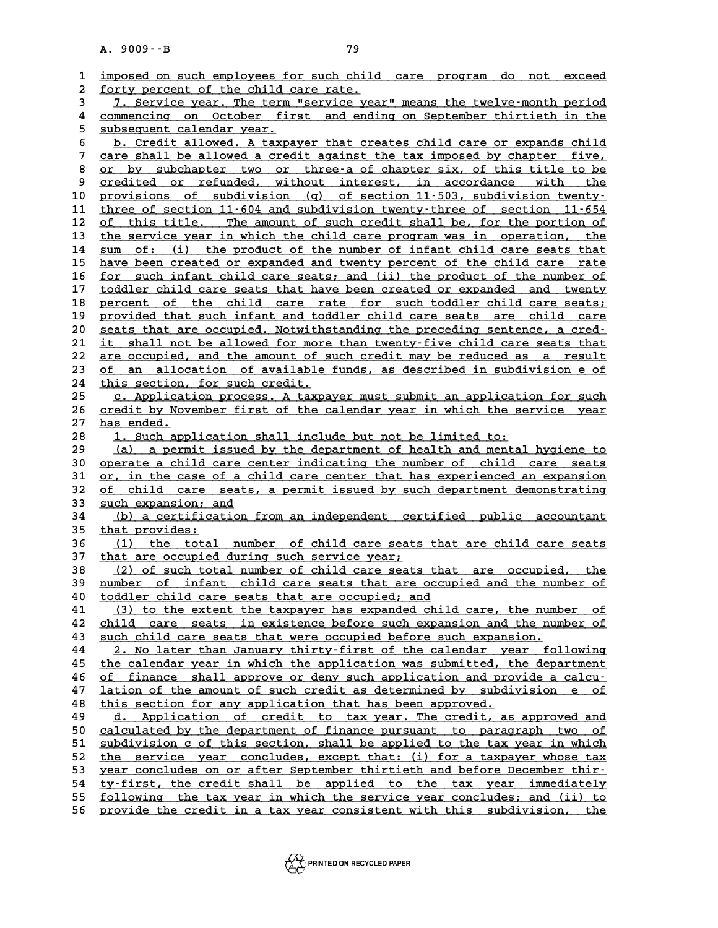|          | A. 9009 -- B<br>79                                                                                                                                |
|----------|---------------------------------------------------------------------------------------------------------------------------------------------------|
|          |                                                                                                                                                   |
| 1        | imposed on such employees for such child care program<br>do not<br>exceed                                                                         |
| 2        | forty percent of the child care rate.                                                                                                             |
| 3        | 7. Service year. The term "service year" means the twelve-month period                                                                            |
| 4        | commencing on October first and ending on September thirtieth in the                                                                              |
| 5        | subsequent calendar year.                                                                                                                         |
| 6<br>7   | b. Credit allowed. A taxpayer that creates child care or expands child<br>care shall be allowed a credit against the tax imposed by chapter five, |
| 8        | or by subchapter two or three-a of chapter six, of this title to be                                                                               |
| 9        | credited or refunded, without interest, in accordance with<br>the                                                                                 |
| 10       | provisions of subdivision (q) of section 11-503, subdivision twenty-                                                                              |
| 11       | three of section 11-604 and subdivision twenty-three of section 11-654                                                                            |
| 12       | of this title. The amount of such credit shall be, for the portion of                                                                             |
| 13       | the service year in which the child care program was in operation, the                                                                            |
| 14       | sum of: (i) the product of the number of infant child care seats that                                                                             |
| 15       | have been created or expanded and twenty percent of the child care rate                                                                           |
| 16       | for such infant child care seats; and (ii) the product of the number of                                                                           |
| 17       | toddler child care seats that have been created or expanded and twenty                                                                            |
| 18       | percent of the child care rate for such toddler child care seats;                                                                                 |
| 19       | provided that such infant and toddler child care seats are child care                                                                             |
| 20       | seats that are occupied. Notwithstanding the preceding sentence, a cred-                                                                          |
| 21       | it shall not be allowed for more than twenty-five child care seats that                                                                           |
| 22       | are occupied, and the amount of such credit may be reduced as a result                                                                            |
| 23       | of an allocation of available funds, as described in subdivision e of                                                                             |
| 24       | this section, for such credit.                                                                                                                    |
| 25       | c. Application process. A taxpayer must submit an application for such                                                                            |
| 26       | credit by November first of the calendar year in which the service year                                                                           |
| 27       | has ended.                                                                                                                                        |
| 28       | 1. Such application shall include but not be limited to:                                                                                          |
| 29       | a permit issued by the department of health and mental hygiene to<br>(a)                                                                          |
| 30<br>31 | operate a child care center indicating the number of child care seats<br>or, in the case of a child care center that has experienced an expansion |
| 32       | of child care seats, a permit issued by such department demonstrating                                                                             |
| 33       | such expansion; and                                                                                                                               |
| 34       | (b) a certification from an independent certified public accountant                                                                               |
| 35       | that provides:                                                                                                                                    |
| 36       | (1) the total number of child care seats that are child care seats                                                                                |
| 37       | that are occupied during such service year;                                                                                                       |
| 38       | (2) of such total number of child care seats that are occupied, the                                                                               |
| 39       | number of infant child care seats that are occupied and the number of                                                                             |
| 40       | toddler child care seats that are occupied; and                                                                                                   |
| 41       | (3) to the extent the taxpayer has expanded child care, the number of                                                                             |
| 42       | child care seats in existence before such expansion and the number of                                                                             |
| 43       | such child care seats that were occupied before such expansion.                                                                                   |
| 44       | 2. No later than January thirty-first of the calendar year following                                                                              |
| 45       | the calendar year in which the application was submitted, the department                                                                          |
| 46       | of finance shall approve or deny such application and provide a calcu-                                                                            |
| 47       | lation of the amount of such credit as determined by subdivision e of                                                                             |
| 48       | this section for any application that has been approved.                                                                                          |
| 49       | d. Application of credit to tax year. The credit, as approved and                                                                                 |
| 50       | calculated by the department of finance pursuant to paragraph two of                                                                              |
| 51       | subdivision c of this section, shall be applied to the tax year in which                                                                          |
| 52       | the service year concludes, except that: (i) for a taxpayer whose tax                                                                             |
| 53       | year concludes on or after September thirtieth and before December thir-                                                                          |
| 54       | ty-first, the credit shall be applied to the tax year immediately                                                                                 |
| 55       | following the tax year in which the service year concludes; and (ii) to                                                                           |
| 56       | provide the credit in a tax year consistent with this subdivision, the                                                                            |

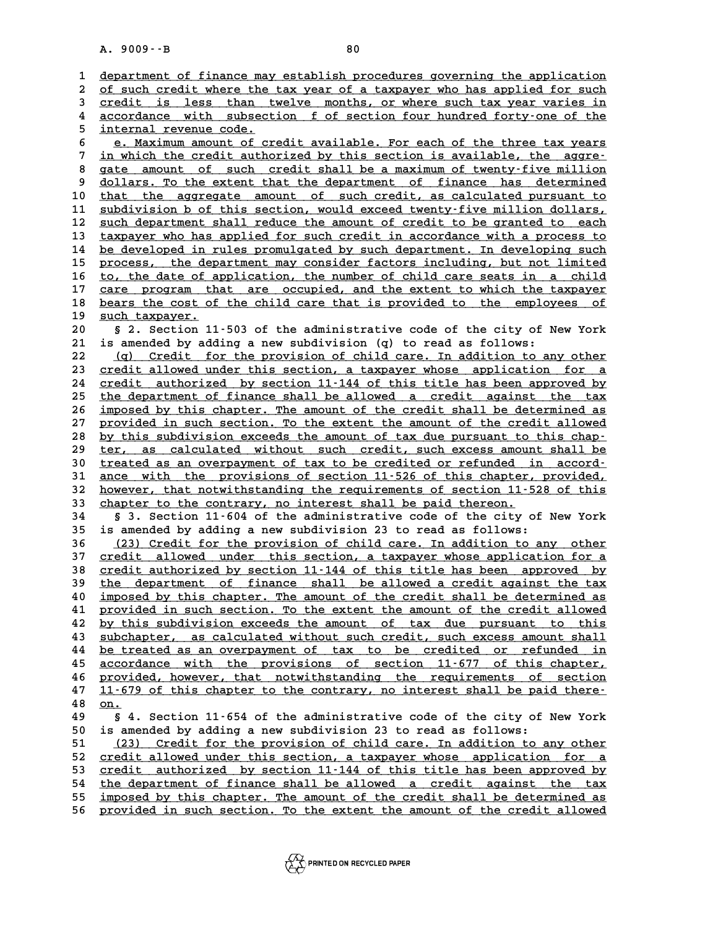|          | $A. 9009 - B$<br>80                                                                                                                                  |  |
|----------|------------------------------------------------------------------------------------------------------------------------------------------------------|--|
|          |                                                                                                                                                      |  |
| 1        | department of finance may establish procedures governing the application                                                                             |  |
| 2        | of such credit where the tax year of a taxpayer who has applied for such                                                                             |  |
| 3        | credit is less than twelve months, or where such tax year varies in                                                                                  |  |
| 4        | accordance with subsection f of section four hundred forty-one of the                                                                                |  |
| 5        | internal revenue code.                                                                                                                               |  |
| 6<br>7   | e. Maximum amount of credit available. For each of the three tax years                                                                               |  |
| 8        | in which the credit authorized by this section is available, the aggre-<br>gate amount of such credit shall be a maximum of twenty-five million      |  |
| 9        | dollars. To the extent that the department of finance has determined                                                                                 |  |
| 10       | that the aggregate amount of such credit, as calculated pursuant to                                                                                  |  |
| 11       | subdivision b of this section, would exceed twenty-five million dollars,                                                                             |  |
| 12       | such department shall reduce the amount of credit to be granted to each                                                                              |  |
| 13       | taxpayer who has applied for such credit in accordance with a process to                                                                             |  |
| 14       | be developed in rules promulgated by such department. In developing such                                                                             |  |
| 15       | process, the department may consider factors including, but not limited                                                                              |  |
| 16       | to, the date of application, the number of child care seats in a child                                                                               |  |
| 17       | care program that are occupied, and the extent to which the taxpayer                                                                                 |  |
| 18       | bears the cost of the child care that is provided to the employees of                                                                                |  |
| 19       | such taxpayer.                                                                                                                                       |  |
| 20       | § 2. Section 11-503 of the administrative code of the city of New York                                                                               |  |
| 21       | is amended by adding a new subdivision (q) to read as follows:                                                                                       |  |
| 22       | (q) Credit for the provision of child care. In addition to any other                                                                                 |  |
| 23       | credit allowed under this section, a taxpayer whose application for a                                                                                |  |
| 24       | credit authorized by section 11-144 of this title has been approved by                                                                               |  |
| 25       | the department of finance shall be allowed a credit against the tax                                                                                  |  |
| 26<br>27 | imposed by this chapter. The amount of the credit shall be determined as<br>provided in such section. To the extent the amount of the credit allowed |  |
| 28       | by this subdivision exceeds the amount of tax due pursuant to this chap-                                                                             |  |
| 29       | ter, as calculated without such credit, such excess amount shall be                                                                                  |  |
| 30       | treated as an overpayment of tax to be credited or refunded in accord-                                                                               |  |
| 31       | ance with the provisions of section 11-526 of this chapter, provided,                                                                                |  |
| 32       | however, that notwithstanding the requirements of section 11-528 of this                                                                             |  |
| 33       | chapter to the contrary, no interest shall be paid thereon.                                                                                          |  |
| 34       | § 3. Section 11-604 of the administrative code of the city of New York                                                                               |  |
| 35       | is amended by adding a new subdivision 23 to read as follows:                                                                                        |  |
| 36       | (23) Credit for the provision of child care. In addition to any other                                                                                |  |
| 37       | credit allowed under this section, a taxpayer whose application for a                                                                                |  |
| 38       | <u>credit authorized by section 11-144 of this title has been approved by</u>                                                                        |  |
| 39       | the department of finance shall be allowed a credit against the tax                                                                                  |  |
| 40       | imposed by this chapter. The amount of the credit shall be determined as                                                                             |  |
| 41       | provided in such section. To the extent the amount of the credit allowed                                                                             |  |
| 42<br>43 | by this subdivision exceeds the amount of tax due pursuant to this<br>subchapter, as calculated without such credit, such excess amount shall        |  |
| 44       | be treated as an overpayment of tax to be credited or refunded in                                                                                    |  |
| 45       | accordance with the provisions of section 11-677 of this chapter,                                                                                    |  |
| 46       | provided, however, that notwithstanding the requirements of section                                                                                  |  |
| 47       | 11-679 of this chapter to the contrary, no interest shall be paid there-                                                                             |  |
| 48       | on.                                                                                                                                                  |  |
| 49       | § 4. Section 11-654 of the administrative code of the city of New York                                                                               |  |
| 50       | is amended by adding a new subdivision 23 to read as follows:                                                                                        |  |
| 51       | (23) Credit for the provision of child care. In addition to any other                                                                                |  |
| 52       | credit allowed under this section, a taxpayer whose application for a                                                                                |  |
| 53       | credit authorized by section 11-144 of this title has been approved by                                                                               |  |
| 54       | the department of finance shall be allowed a credit against the tax                                                                                  |  |
| 55       | imposed by this chapter. The amount of the credit shall be determined as                                                                             |  |
| 56       | provided in such section. To the extent the amount of the credit allowed                                                                             |  |

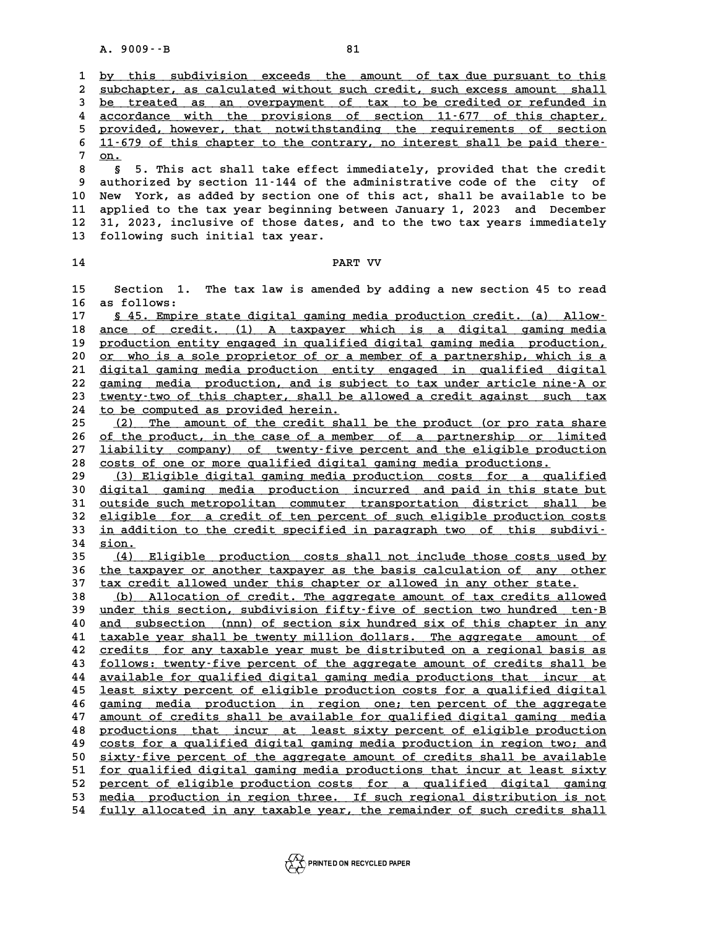|          | $A. 9009 - B$<br>81                                                                                                                            |
|----------|------------------------------------------------------------------------------------------------------------------------------------------------|
|          |                                                                                                                                                |
| 1        | by this subdivision exceeds the amount of tax due pursuant to this                                                                             |
| 2<br>3   | subchapter, as calculated without such credit, such excess amount shall<br>be treated as an overpayment of tax to be credited or refunded in   |
| 4        | accordance with the provisions of section 11-677 of this chapter,                                                                              |
| 5        | provided, however, that notwithstanding the requirements of section                                                                            |
| 6        | 11-679 of this chapter to the contrary, no interest shall be paid there-                                                                       |
| 7        | on.                                                                                                                                            |
| 8        | S.<br>5. This act shall take effect immediately, provided that the credit                                                                      |
| 9        | authorized by section 11-144 of the administrative code of the city of                                                                         |
| 10       | York, as added by section one of this act, shall be available to be<br>New                                                                     |
| 11       | applied to the tax year beginning between January 1, 2023 and December                                                                         |
| 12<br>13 | 31, 2023, inclusive of those dates, and to the two tax years immediately<br>following such initial tax year.                                   |
|          |                                                                                                                                                |
| 14       | PART VV                                                                                                                                        |
|          |                                                                                                                                                |
| 15       | 1. The tax law is amended by adding a new section 45 to read<br>Section                                                                        |
| 16       | as follows:                                                                                                                                    |
| 17       | \$ 45. Empire state digital gaming media production credit. (a) Allow-<br>ance of credit. (1) A taxpayer which is a digital gaming media       |
| 18<br>19 | production entity engaged in qualified digital gaming media production,                                                                        |
| 20       | or who is a sole proprietor of or a member of a partnership, which is a                                                                        |
| 21       | digital gaming media production entity engaged in qualified digital                                                                            |
| 22       | gaming media production, and is subject to tax under article nine-A or                                                                         |
| 23       | twenty-two of this chapter, shall be allowed a credit against such tax                                                                         |
| 24       | to be computed as provided herein.                                                                                                             |
| 25       | The amount of the credit shall be the product (or pro rata share<br>(2)                                                                        |
| 26       | of the product, in the case of a member of a partnership or limited                                                                            |
| 27<br>28 | liability company) of twenty-five percent and the eligible production<br>costs of one or more qualified digital gaming media productions.      |
| 29       | (3) Eligible digital gaming media production costs for a qualified                                                                             |
| 30       | digital gaming media production incurred and paid in this state but                                                                            |
| 31       | outside such metropolitan commuter transportation district shall be                                                                            |
| 32       | eligible for a credit of ten percent of such eligible production costs                                                                         |
| 33       | in addition to the credit specified in paragraph two of this subdivi-                                                                          |
| 34       | sion.                                                                                                                                          |
| 35       | Eligible production costs shall not include those costs used by<br>(4)                                                                         |
| 36<br>37 | the taxpayer or another taxpayer as the basis calculation of any other<br>tax credit allowed under this chapter or allowed in any other state. |
| 38       | Allocation of credit. The aggregate amount of tax credits allowed<br>(b)                                                                       |
| 39       | under this section, subdivision fifty-five of section two hundred ten-B                                                                        |
| 40       | and subsection (nnn) of section six hundred six of this chapter in any                                                                         |
| 41       | taxable year shall be twenty million dollars. The aggregate amount of                                                                          |
| 42       | credits for any taxable year must be distributed on a regional basis as                                                                        |
| 43       | follows: twenty-five percent of the aggregate amount of credits shall be                                                                       |
| 44       | available for qualified digital gaming media productions that incur at                                                                         |
| 45       | least sixty percent of eligible production costs for a qualified digital                                                                       |
| 46<br>47 | gaming media production in region one; ten percent of the aggregate<br>amount of credits shall be available for qualified digital gaming media |
| 48       | productions that incur at least sixty percent of eligible production                                                                           |
| 49       | costs for a qualified digital gaming media production in region two; and                                                                       |
| 50       | sixty-five percent of the aggregate amount of credits shall be available                                                                       |
| 51       | for qualified digital gaming media productions that incur at least sixty                                                                       |
| 52       | percent of eligible production costs for a qualified digital gaming                                                                            |
| 53       | media production in region three. If such regional distribution is not                                                                         |
| 54       | fully allocated in any taxable year, the remainder of such credits shall                                                                       |

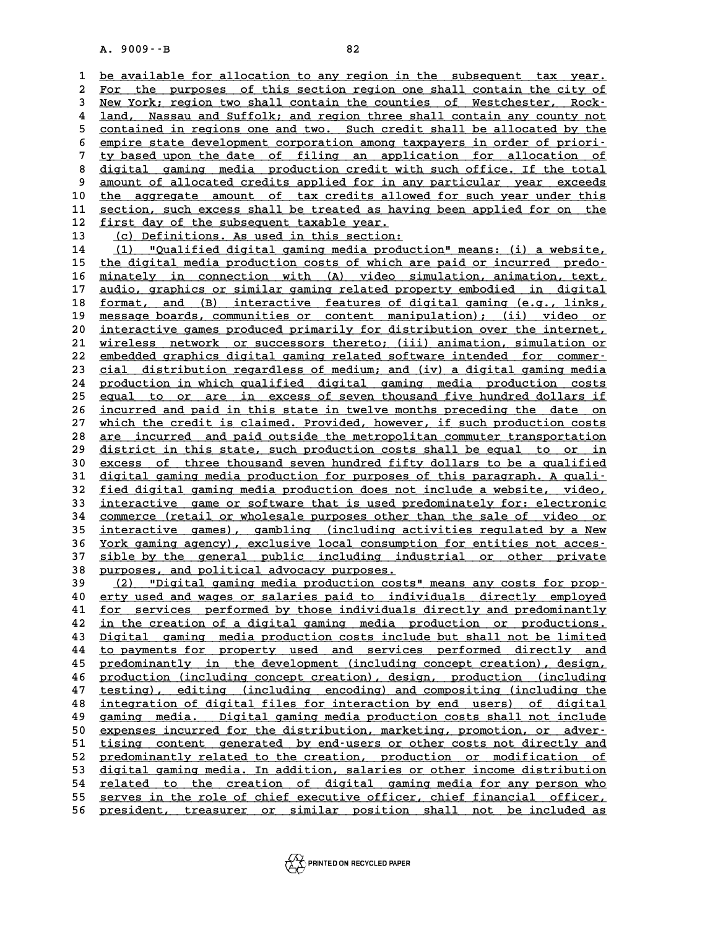A. 9009 · · B<br>1 <u>be available for allocation to any region in the subsequent tax year.</u><br>2 For the nurposes of this sestion region one shall sentain the situ of 2 <u>be available for allocation to any region in the subsequent tax year.</u><br>2 <u>For the purposes of this section region one shall contain the city of</u><br>3 New York, region tyo shall contain the counties of Mestchester, Bock. **3 New York; region to any region in the subsequent tax year.**<br>**3 New York; region two shall contain the counties of Westchester, Rock-**<br>**4 land.** Nassau and Suffolk: and region three shall contain any county not For the purposes of this section region one shall contain the city of<br>3 <u>New York; region two shall contain the counties of Westchester, Rock-<br>4 land, Nassau and Suffolk; and region three shall contain any county not<br>conta</u> New York; region two shall contain the counties of Westchester, Rock-<br>
4 land, Nassau and Suffolk; and region three shall contain any county not<br>
<u>contained in regions one and two. Such credit shall be allocated by the</u><br>
c 4 land, Nassau and Suffolk; and region three shall contain any county not<br>
5 <u>contained in regions one and two. Such credit shall be allocated by the<br>
6 empire state development corporation among taxpayers in order of prio</u> 5 contained in regions one and two. Such credit shall be allocated by the<br>6 empire state development corporation among taxpayers in order of priori-<br>7 ty based upon the date of filing an application for allocation of<br>8 dig 8 <u>empire state development corporation among taxpayers in order of priority based upon the date of filing an application for allocation of digital gaming media production credit with such office. If the total<br>a smount of </u> I ty based upon the date of filing an application for allocation of<br>
8 digital gaming media production credit with such office. If the total<br>
9 amount of allocated credits applied for in any particular year exceeds<br>
<sup>9</sup> an 8 digital gaming media production credit with such office. If the total<br>9 amount of allocated credits applied for in any particular year exceeds<br>10 <u>the aggregate amount of tax credits allowed for such year under this</u><br>sec 9 amount of allocated credits applied for in any particular year exceeds<br>
10 the aggregate amount of tax credits allowed for such year under this<br>
11 section, such excess shall be treated as having been applied for on the<br> 10 the aggregate amount of tax credits allo<br>
11 <u>section</u>, such excess shall be treated as hav<br>
12 first day of the subsequent taxable year.<br>
13 (c) Definitions As used in this section. 11 <u>section, such excess shall be treated as having been applied for on the<br>12 first day of the subsequent taxable year.<br>13 (c) Definitions. As used in this section:<br>14 (1) "Qualified digital gaming media production" means</u> 14 (1) "Qualified digital gaming media production" means: (i) a website,<br>15 the digital media production costs of which are paid or incurred predo-15 the digital media production costs of which are paid or incurred predo-<br>16 minately in connection with (A) video simulation, animation, text, 14 (1) "Qualified digital gaming media production" means: (i) a website,<br>15 <u>the digital media production costs of which are paid or incurred predo-</u><br>16 <u>minately in connection with (A) video simulation, animation, text,</u><br> the digital media production costs of which are paid or incurred predo-<br> **16** <u>minately in connection with (A) video simulation, animation, text,<br> **2010** audio, graphics or similar gaming related property embodied in digit</u> 16 <u>minately in connection with (A) video simulation, animation, text,</u><br>17 <u>audio, graphics or similar gaming related property embodied in digital</u><br>18 <u>format, and (B) interactive features of digital gaming (e.g., links,</u><br> 17 <u>audio, graphics or similar gaming related property embodied in digital</u><br>18 <u>format, and (B) interactive features of digital gaming (e.g., links,</u><br>19 <u>message boards, communities or content manipulation); (ii) video or</u> 18 <u>format, and (B) interactive features of digital gaming (e.g., links,</u><br>19 <u>message boards, communities or content manipulation); (ii) video or</u><br>20 <u>interactive games produced primarily for distribution over the internet</u> 19 message boards, communities or content manipulation); (ii) video or<br>20 <u>interactive games produced primarily for distribution over the internet,</u><br>21 <u>wireless network or successors thereto; (iii) animation, simulation o</u> Interactive games produced primarily for distribution over the internet,<br>
21 wireless network or successors thereto; (iii) animation, simulation or<br>
22 embedded graphics digital gaming related software intended for commer-21 <u>wireless network or successors thereto; (iii) animation, simulation or embedded graphics digital gaming related software intended for commer-<br>23 <u>cial distribution regardless of medium; and (iv) a digital gaming media</u></u> 22 <u>embedded graphics digital gaming related software intended for commer-</u><br>23 <u>cial distribution regardless of medium; and (iv) a digital gaming media</u><br>24 production in which qualified digital gaming media production cost 23 cial distribution regardless of medium; and (iv) a digital gaming media<br>24 production in which qualified digital gaming media production costs<br>25 equal to or are in excess of seven thousand five hundred dollars if<br>26 in 24 <u>production in which qualified digital gaming media production costs</u><br>25 <u>equal to or are in excess of seven thousand five hundred dollars if</u><br>26 <u>incurred and paid in this state in twelve months preceding the date on</u><br> 25 equal to or are in excess of seven thousand five hundred dollars if<br>26 <u>incurred and paid in this state in twelve months preceding the date on</u><br>27 which the credit is claimed. Provided, however, if such production costs incurred and paid in this state in twelve months preceding the date on<br>27 which the credit is claimed. Provided, however, if such production costs<br>28 <u>are incurred and paid outside the metropolitan commuter transportation</u> which the credit is claimed. Provided, however, if such production costs<br>
28 <u>are incurred</u> and paid outside the metropolitan commuter transportation<br>
29 district in this state, such production costs shall be equal to or i are incurred and paid outside the metropolitan commuter transportation<br> **29** district in this state, such production costs shall be equal to or in<br> **30** excess of three thousand seven hundred fifty dollars to be a qualifie district in this state, such production costs shall be equal to or in<br>30 excess of three thousand seven hundred fifty dollars to be a qualified<br>31 digital gaming media production for purposes of this paragraph. A quali-<br>50 30 excess of three thousand seven hundred fifty dollars to be a qualified<br>31 digital gaming media production for purposes of this paragraph. A quali-<br>32 fied digital gaming media production does not include a website, vide 31 <u>digital gaming media production for purposes of this paragraph. A quali-</u><br>32 <u>fied digital gaming media production does not include a website, video,</u><br>33 <u>interactive game or software that is used predominately for: el</u> 32 <u>fied digital gaming media production does not include a website, video,</u><br>33 <u>interactive game or software that is used predominately for: electronic</u><br>34 <u>commerce (retail or wholesale purposes other than the sale of vi</u> 33 interactive game or software that is used predominately for: electronic<br>34 <u>commerce (retail or wholesale purposes other than the sale of video or<br>35 interactive games), gambling (including activities regulated by a New</u> 34 <u>commerce (retail or wholesale purposes other than the sale of video or<br>35 <u>interactive games), gambling (including activities regulated by a New</u><br><u>York gaming agency), exclusive local consumption for entities not acces</u></u> 35 <u>interactive games), gambling (including activities regulated by a New York gaming agency), exclusive local consumption for entities not acces-<br>37 <u>sible by the general public including industrial or other private</u><br>38 <u></u></u> <u>York gaming agency), exclusive local consumption for entities not accessing in the seneral public including industrial or other private<br> **38 purposes, and political advocacy purposes.**<br> **39** (2) "Digital gaming media prod</u> 37 <u>sible by the general public including industrial or other private</u><br>38 <u>purposes, and political advocacy purposes.</u><br><u>(2) "Digital gaming media production costs" means any costs for prop-</u><br>40 erty used and wages or salar **40 erty used and wages or salaries paid to individuals directly employed \_\_\_\_\_\_\_\_\_\_\_\_\_\_\_\_\_\_\_\_\_\_\_\_\_\_\_\_\_\_\_\_\_\_\_\_\_\_\_\_\_\_\_\_\_\_\_\_\_\_\_\_\_\_\_\_\_\_\_\_\_\_\_\_\_\_\_\_\_\_\_\_** 40 (2) "Digital gaming media production costs" means any costs for prop-<br>
40 erty used and wages or salaries paid to individuals directly employed<br>
41 <u>for services performed by those individuals directly and predominantly</u> 40 erty used and wages or salaries paid to individuals directly employed<br>41 <u>for services performed by those individuals directly and predominantly</u><br>42 <u>in the creation of a digital gaming media production or productions.</u> **41** <u>for services performed by those individuals directly and predominantly<br>42 in the creation of a digital gaming media production or productions.<br>43 Digital gaming media production costs include but shall not be limited</u> 42 <u>in the creation of a digital gaming media production or productions.</u><br>43 <u>Digital gaming media production costs include but shall not be limited</u><br>44 <u>to payments for property used and services performed directly and</u><br>p **43** <u>Digital gaming media production costs include but shall not be limited</u><br>44 <u>to payments for property used and services performed directly and</u><br>45 <u>predominantly in the development (including concept creation), design</u> to payments for property used and services performed directly and<br>45 <u>predominantly in the development (including concept creation), design,</u><br>46 <u>production (including concept creation), design, production (including</u><br>47 t Fredominantly in the development (including concept creation), design, production (including concept creation), design, production (including the production), editing (including encoding) and compositing (including the int **46** production (including concept creation), design, production (including testing), editing (including encoding) and compositing (including the integration of digital files for interaction by end users) of digital coming **47** testing), editing (including encoding) and compositing (including the integration of digital files for interaction by end users) of digital gaming media. Digital gaming media production costs shall not include gyponeo image the dimension of digital files for interaction by end users) of digital<br>49 gaming media. Digital gaming media production costs shall not include<br>50 <u>expenses incurred for the distribution, marketing, promotion, or ad</u> **51 tising content generated by end-users or other costs not directly and \_\_\_\_\_\_\_\_\_\_\_\_\_\_\_\_\_\_\_\_\_\_\_\_\_\_\_\_\_\_\_\_\_\_\_\_\_\_\_\_\_\_\_\_\_\_\_\_\_\_\_\_\_\_\_\_\_\_\_\_\_\_\_\_\_\_\_\_\_\_\_\_ 50** expenses incurred for the distribution, marketing, promotion, or adver-<br>
<u>tising content generated by end-users or other costs not directly and</u><br>
<u>predominantly related to the creation, production or modification of</u><br> 51 <u>tising content generated by end-users or other costs not directly and</u><br>52 <u>predominantly related to the creation, production or modification of</u><br>53 <u>digital gaming media. In addition, salaries or other income distribut</u> 52 predominantly related to the creation, production or modification of<br>53 <u>digital gaming media. In addition, salaries or other income distribution</u><br>54 related to the creation of digital gaming media for any person who digital gaming media. In addition, salaries or other income distribution<br>
<u>related</u> to the creation of digital gaming media for any person who<br>
serves in the role of chief executive officer, chief financial officer,<br>
areci 54 <u>related to the creation of digital gaming media-for any person-who serves in the role of chief executive officer, chief financial officer, president, treasurer or similar position shall not be included as</u>

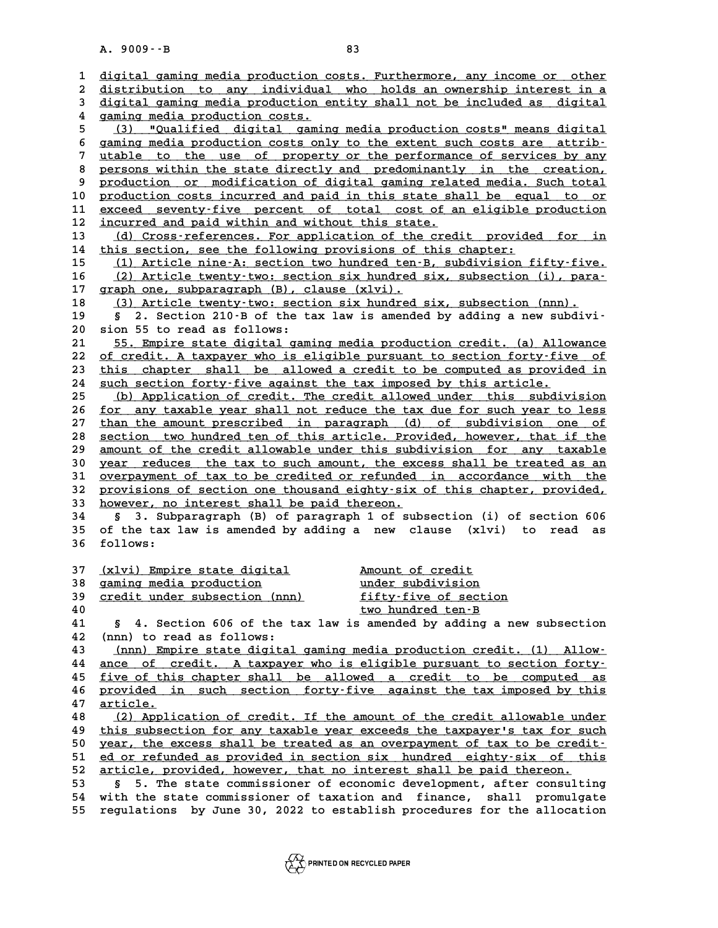|          | A. 9009 -- B<br>83                                                                                |
|----------|---------------------------------------------------------------------------------------------------|
|          |                                                                                                   |
| 1        | digital gaming media production costs. Furthermore, any income or other                           |
| 2        | distribution to any individual who holds an ownership interest in a                               |
| 3        | digital gaming media production entity shall not be included as digital                           |
| 4<br>5   | gaming media production costs.<br>"Qualified digital gaming media production costs" means digital |
|          | (3)<br>gaming media production costs only to the extent such costs are attrib-                    |
| 6<br>7   | utable to the use of property or the performance of services by any                               |
| 8        | persons within the state directly and predominantly in the creation,                              |
| 9        | production or modification of digital gaming related media. Such total                            |
| 10       | production costs incurred and paid in this state shall be equal to or                             |
| 11       | exceed seventy-five percent of total cost of an eligible production                               |
| 12       | incurred and paid within and without this state.                                                  |
| 13       | (d) Cross-references. For application of the credit provided for in                               |
| 14       | this section, see the following provisions of this chapter:                                       |
| 15       | (1) Article nine-A: section two hundred ten-B, subdivision fifty-five.                            |
| 16       | (2) Article twenty-two: section six hundred six, subsection (i), para-                            |
| 17       | graph one, subparagraph (B), clause (xlvi).                                                       |
| 18       | (3) Article twenty-two: section six hundred six, subsection (nnn).                                |
| 19       | 2. Section 210-B of the tax law is amended by adding a new subdivi-<br>S,                         |
| 20       | sion 55 to read as follows:                                                                       |
| 21       | 55. Empire state digital gaming media production credit. (a) Allowance                            |
| 22       | of credit. A taxpayer who is eligible pursuant to section forty-five of                           |
| 23       | this chapter shall be allowed a credit to be computed as provided in                              |
| 24       | such section forty-five against the tax imposed by this article.                                  |
| 25       | (b) Application of credit. The credit allowed under this subdivision                              |
| 26       | for any taxable year shall not reduce the tax due for such year to less                           |
| 27       | than the amount prescribed in paragraph (d) of subdivision one of                                 |
| 28       | section two hundred ten of this article. Provided, however, that if the                           |
| 29       | amount of the credit allowable under this subdivision for any taxable                             |
| 30       | year reduces the tax to such amount, the excess shall be treated as an                            |
| 31       | overpayment of tax to be credited or refunded in accordance with the                              |
| 32       | provisions of section one thousand eighty-six of this chapter, provided,                          |
| 33       | however, no interest shall be paid thereon.                                                       |
| 34       | 3. Subparagraph (B) of paragraph 1 of subsection (i) of section 606                               |
| 35       | of the tax law is amended by adding a new clause (xlvi)<br>to<br>read<br>as                       |
| 36       | follows:                                                                                          |
|          |                                                                                                   |
| 37<br>38 | (xlvi) Empire state digital<br>Amount of credit<br>gaming media production<br>under subdivision   |
| 39       | credit under subsection (nnn)<br>fifty-five of section                                            |
| 40       | two hundred ten-B                                                                                 |
| 41       | § 4. Section 606 of the tax law is amended by adding a new subsection                             |
| 42       | (nnn) to read as follows:                                                                         |
| 43       | (nnn) Empire state digital gaming media production credit. (1) Allow-                             |
| 44       | ance of credit. A taxpayer who is eligible pursuant to section forty-                             |
| 45       | five of this chapter shall be allowed a credit to be computed as                                  |
| 46       | provided in such section forty-five against the tax imposed by this                               |
| 47       | article.                                                                                          |
| 48       | (2) Application of credit. If the amount of the credit allowable under                            |
| 49       | this subsection for any taxable year exceeds the taxpayer's tax for such                          |
| 50       | year, the excess shall be treated as an overpayment of tax to be credit-                          |
| 51       | ed or refunded as provided in section six hundred eighty-six of this                              |
| 52       | article, provided, however, that no interest shall be paid thereon.                               |
| 53       | 5. The state commissioner of economic development, after consulting<br>S.                         |
| 54       | with the state commissioner of taxation and finance, shall promulgate                             |
| 55       | regulations by June 30, 2022 to establish procedures for the allocation                           |
|          |                                                                                                   |

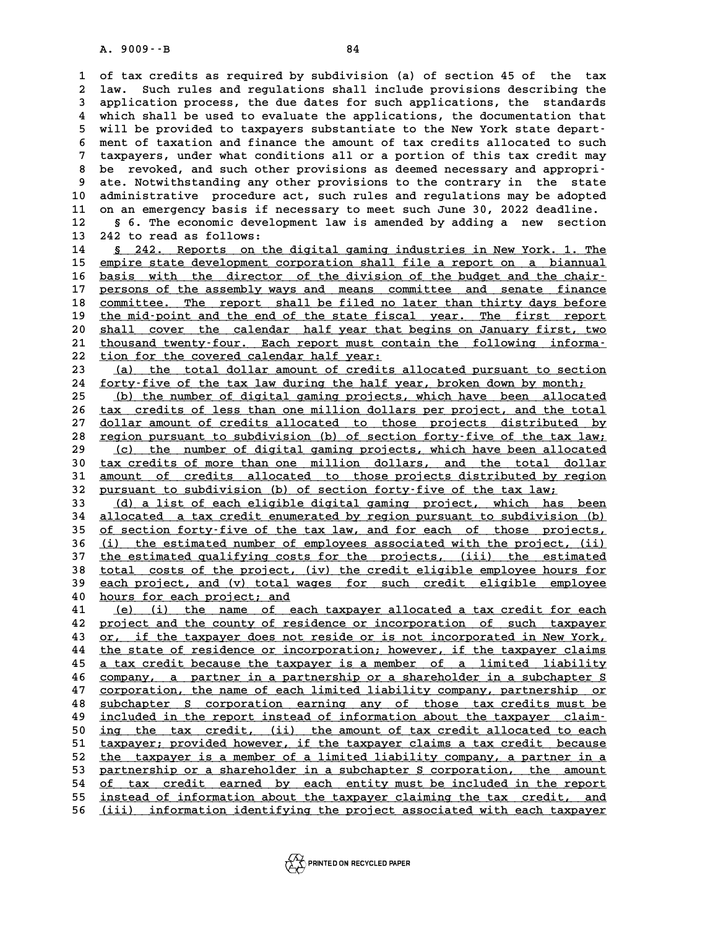**1 of tax credits as required by subdivision (a) of section 45 of the tax 2** 1 of tax credits as required by subdivision (a) of section 45 of the tax<br>2 law. Such rules and regulations shall include provisions describing the<br>3 application process, the due dates for such applications, the standar 1 of tax credits as required by subdivision (a) of section 45 of the tax<br>2 law. Such rules and regulations shall include provisions describing the<br>3 application process, the due dates for such applications, the standards<br><sup></sup> 1 aw. Such rules and regulations shall include provisions describing the<br>3 application process, the due dates for such applications, the standards<br>4 which shall be used to evaluate the applications, the documentation that<br> 3 application process, the due dates for such applications, the standards<br>4 which shall be used to evaluate the applications, the documentation that<br>5 will be provided to taxpayers substantiate to the New York state depart 4 which shall be used to evaluate the applications, the documentation that<br>5 will be provided to taxpayers substantiate to the New York state depart-<br>6 ment of taxation and finance the amount of tax credits allocated to su 5 will be provided to taxpayers substantiate to the New York state depart-<br>6 ment of taxation and finance the amount of tax credits allocated to such<br>7 taxpayers, under what conditions all or a portion of this tax credit m 6 ment of taxation and finance the amount of tax credits allocated to such<br>7 taxpayers, under what conditions all or a portion of this tax credit may<br>8 be revoked, and such other provisions as deemed necessary and appropri 9 taxpayers, under what conditions all or a portion of this tax credit may<br>
9 be revoked, and such other provisions as deemed necessary and appropri-<br>
9 ate. Notwithstanding any other provisions to the contrary in the stat 10 8 be revoked, and such other provisions as deemed necessary and appropri-<br>
10 administrative procedure act, such rules and regulations may be adopted<br>
11 on an emergency basis if peossary to meet such June 30, 2022 dead 9 ate. Notwithstanding any other provisions to the contrary in the state<br>10 administrative procedure act, such rules and regulations may be adopted<br>11 on an emergency basis if necessary to meet such June 30, 2022 deadline. 10 administrative procedure act, such rules and regulations may be adopted<br>11 on an emergency basis if necessary to meet such June 30, 2022 deadline.<br>12 § 6. The economic development law is amended by adding a new section 11 on an emergency basis if necessary to meet such June 30, 2022 deadline.<br>12 § 6. The economic development law is amended by adding a new section<br>13 242 to read as follows:<br>14 § 242. Reports on the digital gaming industri

14 **§ 242. Reports on the digital gaming industries in New York. 1. The 15** empire state development corporation shall file a report on a biannual 15 empire state development corporation shall file a report on a biannual<br>16 basis with the director of the division of the budget and the chair-**14** <u>§ 242. Reports on the digital gaming industries in New York. 1. The empire state development corporation shall file a report on a biannual basis with the director of the division of the budget and the chair-<br>porsons </u> **15 empire state development corporation shall file a report on a biannual**<br>16 <u>basis with the director of the division of the budget and the chair-</u><br>17 persons of the assembly ways and means committee and senate finance<br>2 **16** basis with the director of the division of the budget and the chair-<br>17 persons of the assembly ways and means committee and senate finance<br>18 committee. The report shall be filed no later than thirty days before<br>the persons of the assembly ways and means committee and senate finance<br>
18 committee. The report shall be filed no later than thirty days before<br>
the mid-point and the end of the state fiscal year. The first report<br>  $\frac{1}{20}$ 20 shall committee. The report shall be filed no later than thirty days before<br>
20 <u>shall cover the calendar half year that begins on January first, two</u><br>
21 thousand type the Fach report must contain the following informa 19 the mid-point and the end of the state fiscal year. The first report<br>20 <u>shall cover the calendar half year that begins on January first, two</u><br>21 thousand twenty-four. Each report must contain the following informa-<br>22 22 <u>tion for the covered calendar half year:</u><br>23 **(a)** the total dollar amount of credit 21 <u>thousand twenty-four. Each report must contain the following informa-<br>22 <u>tion for the covered calendar half year:</u><br>23 <u>(a) the total dollar amount of credits allocated pursuant to section</u><br>24 <u>forty-five of the tax la</u></u>

<u>(a) the total dollar amount of credits allocated pursuant to section</u><br>24 <u>forty-five of the tax law during the half year, broken down by month;</u><br>25 (b) the number of digital gaming projects, which have been allocated (a) the total dollar amount of credits allocated pursuant to section<br>
24 <u>forty-five of the tax law during the half year, broken down by month;<br>
(b) the number of digital gaming projects, which have been allocated<br>
26 tour</u>

24 <u>forty-five of the tax law during the half year, broken down by month;<br>
25 (b) the number of digital gaming projects, which have been allocated<br>
26 tax credits of less than one million dollars per project, and the total</u> (b) the number of digital gaming projects, which have been allocated tax credits of less than one million dollars per project, and the total dollar amount of credits allocated to those projects distributed by region purgua 26 tax credits of less than one million dollars per project, and the total<br>27 dollar amount of credits allocated to those projects distributed by<br>28 region pursuant to subdivision (b) of section forty-five of the tax law;<br> <u>dollar amount of credits allocated to those projects distributed by<br>28 region pursuant to subdivision (b) of section forty-five of the tax law;<br><u>(c) the number of digital gaming projects, which have been allocated</u><br>20 tax</u> **28 region pursuant to subdivision (b) of section forty-five of the tax law;**<br> **30** (c) the number of digital gaming projects, which have been allocated<br> **30** tax credits of more than one million dollars, and the total dol 29 (c) the number of digital gaming projects, which have been allocated<br>30 tax credits of more than one million dollars, and the total dollar<br>31 <u>amount of credits allocated to those projects distributed by region</u><br>22 nurs 30 <u>tax credits of more than one million dollars, and the total do<br>31 <u>amount of credits allocated to those projects distributed by re</u><br>32 <u>pursuant to subdivision (b) of section forty-five of the tax law;</u><br>(d) a list of e</u> 31 <u>amount of credits allocated to those projects distributed by region</u><br>32 <u>pursuant to subdivision (b) of section forty-five of the tax law;<br>33 (d) a list of each eligible digital gaming project, which has been<br>34 alloca</u>

**34** allocated a tax credit enumerated by region pursuant to subdivision (b)<br>35 of section forty-five of the tax law, and for each of those projects, 33 (d) a list of each eligible digital gaming project, which has been<br>34 allocated a tax credit enumerated by region pursuant to subdivision (b)<br>35 <u>of section forty-five of the tax law, and for each of those projects,</u><br>(i **34** allocated a tax credit enumerated by region pursuant to subdivision (b)<br>
<u>of section forty-five of the tax law, and for each of those projects,<br>
(i) the estimated number of employees associated with the project, (ii)<br></u> 35 of section forty-five of the tax law, and for each of those projects,<br>36 (i) the estimated number of employees associated with the project, (ii)<br>37 the estimated qualifying costs for the projects, (iii) the estimated<br>52 **36** (i) the estimated number of employees associated with the project, (ii)<br>37 the estimated qualifying costs for the projects, (iii) the estimated<br>38 total costs of the project, (iv) the credit eligible employee hours fo 37 the estimated qualifying costs for the projects, (iii) the estimated<br>38 total costs of the project, (iv) the credit eligible employee hours for<br>39 each project, and (v) total wages for such credit eligible employee<br>20 h 38 <u>total costs of the project, (</u><br>39 <u>each project, and (v) total way</u><br>40 <u>hours for each project; and</u><br>41 (e) (i) the name of each

each project, and (v) total wages for such credit eligible employee<br>
40 <u>hours for each project; and</u><br>
41 (e) (i) the name of each taxpayer allocated a tax credit for each<br>
42 <u>project and the county of residence or incorp</u> A provement and the country of residence or incorporation of such taxpayer<br>  $\frac{12}{12}$  project and the county of residence or incorporation of such taxpayer<br>  $\frac{12}{12}$  or if the taxpayer does not reside or is not incorp **41** (e) (i) the name of each taxpayer allocated a tax credit for each project and the county of residence or incorporation of such taxpayer 43 or, if the taxpayer does not reside or is not incorporated in New York, the st **42** project and the county of residence or incorporation of such taxpayer<br>43 or, if the taxpayer does not reside or is not incorporated in New York,<br><u>the state of residence or incorporation</u>; however, if the taxpayer clai **43** <u>or, if the taxpayer does not reside or is not incorporated in New York, the state of residence or incorporation; however, if the taxpayer claims a tax credit because the taxpayer is a member of a limited liability co</u> the state of residence or incorporation; however, if the taxpayer claims<br>
45 <u>a tax credit because the taxpayer is a member of a limited liability</u><br>
<u>company, a partner in a partnership or a shareholder in a subchapter S</u><br> **45** a tax credit because the taxpayer is a member of a limited liability<br>46 company, a partner in a partnership or a shareholder in a subchapter S<br>47 corporation, the name of each limited liability company, partnership or **46** <u>company, a partner in a partnership or a shareholder in a subchapter S</u><br>47 <u>corporation, the name of each limited liability company, partnership or</u><br>48 <u>subchapter S corporation earning any of those tax credits must </u> **47** <u>corporation, the name of each limited liability company, partnership or subchapter S corporation earning any of those tax credits must be included in the report instead of information about the taxpayer claim-<br> **49** </u> 50 included in the report instead of information about the taxpayer claim-<br>50 <u>ing the tax credit, (ii)</u> the amount of tax credit allocated to each<br>51 taxpayer; provided however, if the taxpayer claims a tax credit because included in the report instead of information about the taxpayer claim-<br>50 <u>ing the tax credit, (ii) the amount of tax credit allocated to each</u><br>51 <u>taxpayer; provided however, if the taxpayer claims a tax credit because</u><br> ing the tax credit, (ii) the amount of tax credit allocated to each<br>
51 taxpayer; provided however, if the taxpayer claims a tax credit because<br>
<u>the taxpayer is a member of a limited liability company, a partner in a</u><br>
pa 51 <u>taxpayer; provided however, if the taxpayer claims a tax credit because<br>52 the taxpayer is a member of a limited liability company, a partner in a<br>53 partnership or a shareholder in a subchapter S corporation, the amou</u> 52 <u>the taxpayer is a member of a limited liability company, a partner in a</u><br>53 <u>partnership or a shareholder in a subchapter S corporation, the amount</u><br>54 <u>of tax credit earned by each entity must be included in the repor</u> 53 partnership or a shareholder in a subchapter S corporation, the amount<br>
of tax credit earned by each entity must be included in the report<br>
instead of information about the taxpayer claiming the tax credit, and<br>
56 (ii) **56 (iii) information identifying the project associated with each taxpayer \_\_\_\_\_\_\_\_\_\_\_\_\_\_\_\_\_\_\_\_\_\_\_\_\_\_\_\_\_\_\_\_\_\_\_\_\_\_\_\_\_\_\_\_\_\_\_\_\_\_\_\_\_\_\_\_\_\_\_\_\_\_\_\_\_\_\_\_\_\_\_\_**

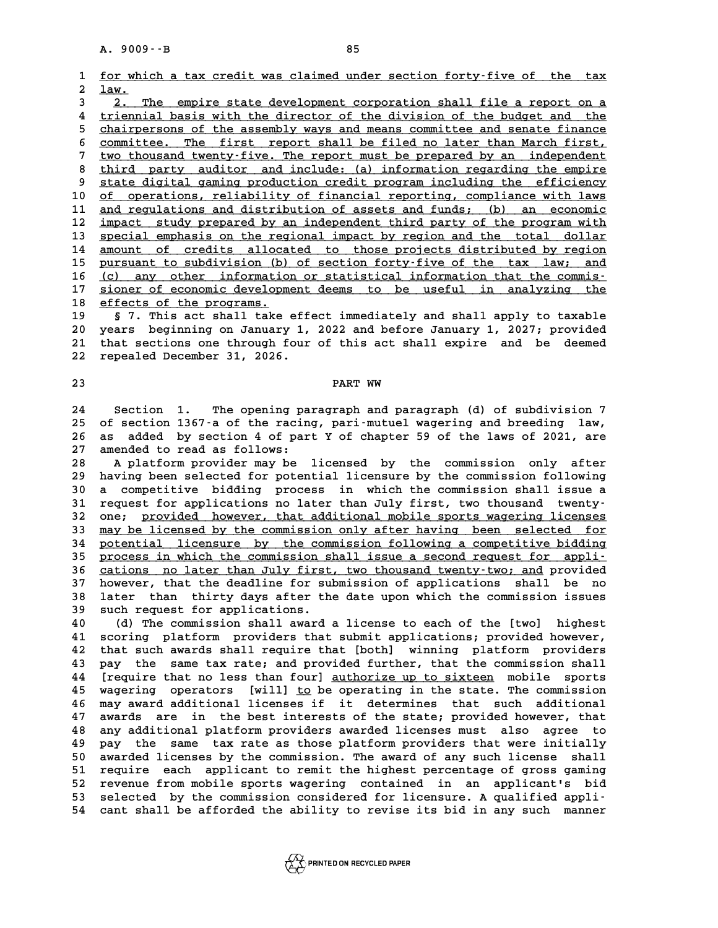**1** for which a tax credit was claimed under section forty-five of the tax<br> **1** for which a tax credit was claimed under section forty-five of the tax 1 <u>for whi</u><br>2 <u>law.</u><br>3 2 m **3** 1 for which a tax credit was claimed under section forty-five of the tax<br> **2.** The empire state development corporation shall file a report on a<br> *A* triennial basis with the director of the division of the budget and

1 1aw.<br>
4 triennial basis with the director of the division of the budget and the<br>
<sup>4</sup> triennial basis with the director of the division of the budget and the<br>
<sup>5</sup> shairpersons of the assembly ways and means semmittee and 3 2. The empire state development corporation shall file a report on a<br>
4 triennial basis with the director of the division of the budget and the<br>
<u>chairpersons of the assembly ways and means committee and senate finance</u><br> 4 <u>triennial basis with the director of the division of the budget and the chairpersons of the assembly ways and means committee and senate finance committee. The first report shall be filed no later than March first, two </u> 5 chairpersons of the assembly ways and means committee and senate finance<br>6 committee. The first report shall be filed no later than March first,<br><u>two thousand twenty-five. The report must be prepared by an independent</u><br>8 8 committee. The first report shall be filed no later than March first,<br> **7** two thousand twenty-five. The report must be prepared by an independent<br> **8** third party auditor and include: (a) information regarding the empir 9 two thousand twenty-five. The report must be prepared by an independent<br>8 third party auditor and include: (a) information regarding the empire<br>9 state digital gaming production credit program including the efficiency<br>10 8 <u>third party auditor and include: (a) information regarding the empire<br>
9 state digital gaming production credit program including the efficiency<br>
10 <u>of operations, reliability of financial reporting, compliance with la</u></u> 9 state digital gaming production credit program including the efficiency<br>
10 <u>of operations, reliability of financial reporting, compliance with laws</u><br>
11 and regulations and distribution of assets and funds; (b) an econo of operations, reliability of financial reporting, compliance with laws<br>
11 <u>and regulations and distribution of assets and funds; (b) an economic</u><br>
12 <u>impact study prepared by an independent third party of the program wi</u> **11** and regulations and distribution of assets and funds; (b) an economic<br> **12** <u>impact study prepared by an independent third party of the program with</u><br> **13** special emphasis on the regional impact by region and the tot **12** <u>impact study prepared by an independent third party of the program with</u><br> **13** special emphasis on the regional impact by region and the total dollar<br> **14** <u>amount of credits</u> allocated to those projects distributed 12 <u>impact study prepared by an independent third party of the program with</u><br>13 <u>special emphasis on the regional impact by region and the total dollar</u><br>14 <u>amount of credits allocated to those projects distributed by regi</u> **14 amount of credits allocated to those projects distributed by region**<br> **15 pursuant to subdivision (b) of section forty-five of the tax law; and**<br> **16 (c) any other information or statistical information that the commis 15** pursuant to subdivision (b) of section forty-five of the tax law; and<br>16 (c) any other information or statistical information that the commis-<br>17 sioner of economic development deems to be useful in analyzing the<br>5 se 16 (c) any other information<br>
17 <u>sioner of economic developm</u><br>
18 <u>effects of the programs.</u><br>
19 5.7 mbis act shall take 17 <u>sioner of economic development deems to be useful in analyzing the</u><br>18 <u>effects of the programs.</u><br>19 § 7. This act shall take effect immediately and shall apply to taxable<br>20 years beginning on January 1, 2022 and befo

**20 years beginning on January 1, 2022 and before January 1, 2027; provided 21 that sections one through four of this act shall expire and be deemed** 20 years beginning on January 1,<br>21 that sections one through four<br>22 repealed December 31, 2026. 21 that sections one through four of this act shall expire and be deemed<br>22 repealed December 31, 2026.<br>**PART WW** 

**24 Section 1. The opening paragraph and paragraph (d) of subdivision 7 24 Section 1. The opening paragraph and paragraph (d) of subdivision 7**<br>25 of section 1367-a of the racing, pari-mutuel wagering and breeding law,<br>26 25 added by section 4 of part Y of shaptor 50 of the laws of 2021, are **24 Section 1. The opening paragraph and paragraph (d) of subdivision 7<br>25 of section 1367 a of the racing, pari-mutuel wagering and breeding law,<br>26 as added by section 4 of part Y of chapter 59 of the laws of 2021, are<br>2** 25 of section 1367-a of the racin<br>26 as added by section 4 of par<br>27 amended to read as follows: 26 as added by section 4 of part Y of chapter 59 of the laws of 2021, are<br>27 amended to read as follows:<br>28 A platform provider may be licensed by the commission only after<br>29 having been selected for potential licensure b

27 amended to read as follows:<br>28 A platform provider may be licensed by the commission only after<br>29 having been selected for potential licensure by the commission following<br>20 a compotitive bidding process in which the c **30 a competitive bidding process in which the commission shall issue a** 29 having been selected for potential licensure by the commission following<br>30 a competitive bidding process in which the commission shall issue a<br>31 request for applications no later than July first, two thousand twenty-<br> 30 a competitive bidding process in which the commission shall issue a<br>31 request for applications no later than July first, two thousand twenty-<br>32 one; provided however, that additional mobile sports wagering licenses<br><sup>3</sup> 31 request for applications no later than July first, two thousand twenty-<br>32 one; <u>provided however, that additional mobile sports wagering licenses</u><br>33 <u>may be licensed by the commission only after having been selected f</u> 32 one; <u>provided however, that additional mobile sports wagering licenses</u><br>33 <u>may be licensed by the commission only after having been selected for</u><br>34 <u>potential licensure by the commission following a competitive biddi</u> 33 <u>may be licensed by the commission only after having been selected for potential licensure by the commission following a competitive bidding process in which the commission shall issue a second request for appli-<br>
36 ca</u> 34 <u>potential licensure by the commission following a competitive bidding</u><br>35 <u>process in which the commission shall issue a second request for appli-</u><br>36 <u>cations no later than July first, two thousand twenty-two; and</u> pr **35 process in which the commission shall issue a second request for appli-**<br>36 cations no later than July first, two thousand twenty-two; and provided<br>37 however, that the deadline for submission of applications shall be 36 cations no later than July first, two thousand twenty-two; and provided<br>37 however, that the deadline for submission of applications shall be no<br>38 later than thirty days after the date upon which the commission issues<br> **37 however, that the deadline for sum 138 later than thirty days after the such request for applications.** 18 later than thirty days after the date upon which the commission issues<br>
40 (d) The commission shall award a license to each of the [two] highest<br>
41 scoring platform providers that submit applications; provided however,

**41 scoring platform providers that submit applications; provided however, 40** (d) The commission shall award a license to each of the [two] highest<br>41 scoring platform providers that submit applications; provided however,<br>42 that such awards shall require that [both] winning platform providers<br> 41 scoring platform providers that submit applications; provided however,<br>42 that such awards shall require that [both] winning platform providers<br>43 pay the same tax rate; and provided further, that the commission shall<br>4 42 that such awards shall require that [both] winning platform providers<br>43 pay the same tax rate; and provided further, that the commission shall<br>44 [require that no less than four] <u>authorize up to sixteen</u> mobile sports 43 pay the same tax rate; and provided further, that the commission shall<br>44 [require that no less than four] <u>authorize up to sixteen</u> mobile sports<br>45 wagering operators [will] <u>to</u> be operating in the state. The commiss If a that no less than four <u>authorize up to sixteen</u> mobile sports<br>45 wagering operators [will] <u>to</u> be operating in the state. The commission<br>46 may award additional licenses if it determines that such additional<br>47 avai wagering operators [will] <u>to</u> be operating in the state. The commission<br>46 may award additional licenses if it determines that such additional<br>47 awards are in the best interests of the state; provided however, that<br>28 ap A any award additional licenses if it determines that such additional<br>47 awards are in the best interests of the state; provided however, that<br>48 any additional platform providers awarded licenses must also agree to<br>49 pay 47 awards are in the best interests of the state; provided however, that<br>48 any additional platform providers awarded licenses must also agree to<br>49 pay the same tax rate as those platform providers that were initially<br>50 48 any additional platform providers awarded licenses must also agree to<br>49 pay the same tax rate as those platform providers that were initially<br>50 awarded licenses by the commission. The award of any such license shall<br>5 **50 pay the same tax rate as those platform providers that were initially**<br>
50 awarded licenses by the commission. The award of any such license shall<br>
51 require each applicant to remit the highest percentage of gross gam **50 awarded licenses by the commission. The award of any such license shall**<br>51 require each applicant to remit the highest percentage of gross gaming<br>52 revenue from mobile sports wagering contained in an applicant's bid<br> 51 require each applicant to remit the highest percentage of gross gaming<br>
52 revenue from mobile sports wagering contained in an applicant's bid<br>
53 selected by the commission considered for licensure. A qualified appli-<br> 51 require each applicant to remit the highest percentage of gross gaming<br>52 revenue from mobile sports wagering contained in an applicant's bid<br>53 selected by the commission considered for licensure. A qualified appli-<br>54